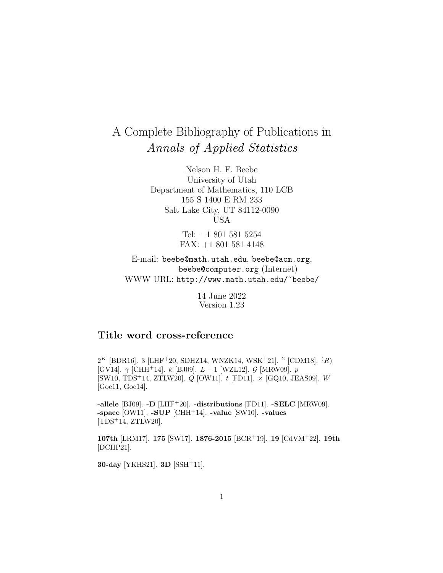# A Complete Bibliography of Publications in Annals of Applied Statistics

Nelson H. F. Beebe University of Utah Department of Mathematics, 110 LCB 155 S 1400 E RM 233 Salt Lake City, UT 84112-0090 USA

> Tel: +1 801 581 5254 FAX: +1 801 581 4148

E-mail: beebe@math.utah.edu, beebe@acm.org, beebe@computer.org (Internet) WWW URL: http://www.math.utah.edu/~beebe/

> 14 June 2022 Version 1.23

### **Title word cross-reference**

 $2^K$  [BDR16]. 3 [LHF<sup>+</sup>20, SDHZ14, WNZK14, WSK<sup>+</sup>21]. <sup>2</sup> [CDM18]. <sup>(</sup>R) [GV14].  $\gamma$  [CHH<sup>+</sup>14]. k [BJ09].  $L - 1$  [WZL12].  $\mathcal{G}$  [MRW09].  $p$  $[SW10, TDS<sup>+</sup>14, ZTLW20]$ . Q  $[OW11]$ . t  $[FD11]$ .  $\times$   $[GQ10, JEAS09]$ . W [Goe11, Goe14].

**-allele** [BJ09]. **-D** [LHF<sup>+</sup>20]. **-distributions** [FD11]. **-SELC** [MRW09]. **-space** [OW11]. **-SUP** [CHH<sup>+</sup>14]. **-value** [SW10]. **-values** [TDS<sup>+</sup>14, ZTLW20].

**107th** [LRM17]. **175** [SW17]. **1876-2015** [BCR<sup>+</sup>19]. **19** [CdVM<sup>+</sup>22]. **19th** [DCHP21].

**30-day** [YKHS21]. **3D** [SSH<sup>+</sup>11].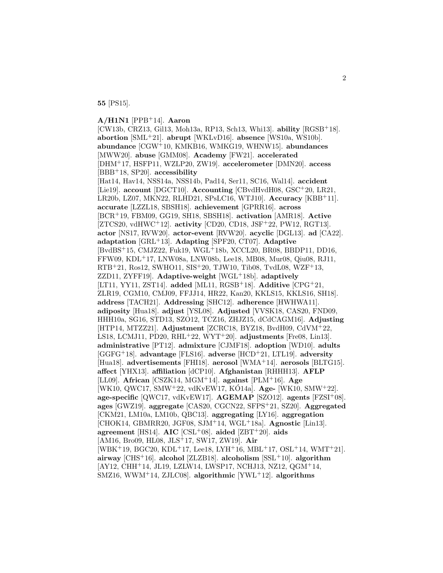**55** [PS15].

## **A/H1N1** [PPB<sup>+</sup>14]. **Aaron**

[CW13b, CRZ13, Gil13, Moh13a, RP13, Sch13, Whi13]. **ability** [RGSB<sup>+</sup>18]. **abortion** [SML<sup>+</sup>21]. **abrupt** [WKLvD16]. **absence** [WS10a, WS10b]. **abundance** [CGW<sup>+</sup>10, KMKB16, WMKG19, WHNW15]. **abundances** [MWW20]. **abuse** [GMM08]. **Academy** [FW21]. **accelerated** [DHM<sup>+</sup>17, HSFP11, WZLP20, ZW19]. **accelerometer** [DMN20]. **access** [BBB<sup>+</sup>18, SP20]. **accessibility** [Hat14, Hav14, NSS14a, NSS14b, Pad14, Ser11, SC16, Wal14]. **accident** [Lie19]. **account** [DGCT10]. **Accounting** [CBvdHvdH08, GSC<sup>+</sup>20, LR21, LR20b, LZ07, MKN22, RLHD21, SPsLC16, WTJ10]. **Accuracy** [KBB<sup>+</sup>11]. **accurate** [LZZL18, SBSH18]. **achievement** [GPRR16]. **across** [BCR<sup>+</sup>19, FBM09, GG19, SH18, SBSH18]. **activation** [AMR18]. **Active** [ZTCS20, vdHWC<sup>+</sup>12]. **activity** [CD20, CD18, JSF<sup>+</sup>22, PW12, RGT13]. **actor** [NS17, RVW20]. **actor-event** [RVW20]. **acyclic** [DGL13]. **ad** [CA22]. **adaptation** [GRL<sup>+</sup>13]. **Adapting** [SPF20, CT07]. **Adaptive** [BvdBS<sup>+</sup>15, CMJZ22, Fuk19, WGL<sup>+</sup>18b, XCCL20, BR08, BBDP11, DD16, FFW09, KDL<sup>+</sup>17, LNW08a, LNW08b, Lee18, MB08, Mur08, Qiu08, RJ11, RTB<sup>+</sup>21, Ros12, SWHO11, SIS<sup>+</sup>20, TJW10, Tib08, TvdL08, WZF<sup>+</sup>13, ZZD11, ZYFF19]. **Adaptive-weight** [WGL<sup>+</sup>18b]. **adaptively** [LT11, YY11, ZST14]. **added** [ML11, RGSB<sup>+</sup>18]. **Additive** [CPG<sup>+</sup>21, ZLR19, CGM10, CMJ09, FFJJ14, HR22, Kan20, KKLS15, KKLS16, SH18]. **address** [TACH21]. **Addressing** [SHC12]. **adherence** [HWHWA11]. **adiposity** [Hua18]. **adjust** [YSL08]. **Adjusted** [VVSK18, CAS20, FND09, HHH10a, SG16, STD13, SZO12, TCZ16, ZHJZ15, dCdCAGM16]. **Adjusting** [HTP14, MTZZ21]. **Adjustment** [ZCRC18, BYZ18, BvdH09, CdVM<sup>+</sup>22, LS18, LCMJ11, PD20, RHL<sup>+</sup>22, WYT<sup>+</sup>20]. **adjustments** [Fre08, Lin13]. **administrative** [PT12]. **admixture** [CJMF18]. **adoption** [WD10]. **adults** [GGFG<sup>+</sup>18]. **advantage** [FLS16]. **adverse** [HCD<sup>+</sup>21, LTL19]. **adversity** [Hua18]. **advertisements** [FHI18]. **aerosol** [WMA<sup>+</sup>14]. **aerosols** [BLTG15]. **affect** [YHX13]. **affiliation** [dCP10]. **Afghanistan** [RHHH13]. **AFLP** [LL09]. **African** [CSZK14, MGM<sup>+</sup>14]. **against** [PLM<sup>+</sup>16]. **Age** [WK10, QWC17, SMW<sup>+</sup>22, vdKvEW17, KÓ14a]. **Age-** [WK10, SMW<sup>+</sup>22]. **age-specific** [QWC17, vdKvEW17]. **AGEMAP** [SZO12]. **agents** [FZSI<sup>+</sup>08]. **ages** [GWZ19]. **aggregate** [CAS20, CGCN22, SFPS<sup>+</sup>21, SZ20]. **Aggregated** [CKM21, LM10a, LM10b, QBC13]. **aggregating** [LY16]. **aggregation** [CHOK14, GBMRR20, JGF08, SJM<sup>+</sup>14, WGL<sup>+</sup>18a]. **Agnostic** [Lin13]. **agreement** [HS14]. **AIC** [CSL<sup>+</sup>08]. **aided** [ZBT<sup>+</sup>20]. **aids** [AM16, Bro09, HL08, JLS<sup>+</sup>17, SW17, ZW19]. **Air** [WBK<sup>+</sup>19, BGC20, KDL<sup>+</sup>17, Lee18, LYH<sup>+</sup>16, MBL<sup>+</sup>17, OSL<sup>+</sup>14, WMT<sup>+</sup>21]. **airway** [CHS<sup>+</sup>16]. **alcohol** [ZLZB18]. **alcoholism** [SSL<sup>+</sup>10]. **algorithm** [AY12, CHH<sup>+</sup>14, JL19, LZLW14, LWSP17, NCHJ13, NZ12, QGM<sup>+</sup>14, SMZ16, WWM<sup>+</sup>14, ZJLC08]. **algorithmic** [YWL<sup>+</sup>12]. **algorithms**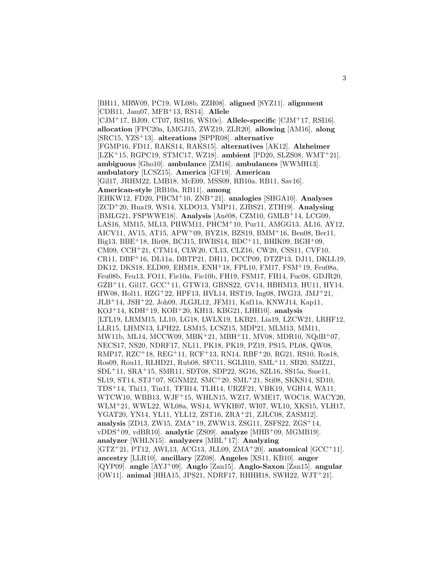[BH11, MRW09, PC19, WL08b, ZZH08]. **aligned** [SYZ11]. **alignment** [CDB11, Jam07, MFB<sup>+</sup>13, RS14]. **Allele** [CJM<sup>+</sup>17, BJ09, CT07, RSI16, WS10c]. **Allele-specific** [CJM<sup>+</sup>17, RSI16]. **allocation** [FPC20a, LMGJ15, ZWZ19, ZLR20]. **allowing** [AM16]. **along** [SRC15, YZS<sup>+</sup>13]. **alterations** [SPPR08]. **alternative** [FGMP16, FD11, RAKS14, RAKS15]. **alternatives** [AK12]. **Alzheimer** [LZK<sup>+</sup>15, RGPC19, STMC17, WZ18]. **ambient** [PD20, SLZS08, WMT<sup>+</sup>21]. **ambiguous** [Gho10]. **ambulance** [ZM16]. **ambulances** [WWMH13]. **ambulatory** [LCSZ15]. **America** [GF19]. **American** [Gil17, JRHM22, LMB18, McE09, MSS09, RB10a, RB11, Sav16]. **American-style** [RB10a, RB11]. **among** [EHKW12, FD20, PHCM<sup>+</sup>10, ZNB<sup>+</sup>21]. **analogies** [SHGA10]. **Analyses** [ZCD<sup>+</sup>20, Hua19, WS14, XLDO13, YMP11, ZJBS21, ZTH19]. **Analysing** [BMLG21, FSPWWE18]. **Analysis** [An´e08, CZM10, GMLB<sup>+</sup>14, LCG09, LAS16, MM15, ML13, PHWM11, PHCM<sup>+</sup>10, Pur11, AMGG13, AL16, AY12, AICV11, AV15, AT15, APW<sup>+</sup>09, BYZ18, BZS19, BMM<sup>+</sup>16, Ben08, Ber11, Big13, BBE<sup>+</sup>18, Bir08, BCJ15, BWBS14, BDC<sup>+</sup>11, BHIK09, BGH<sup>+</sup>09, CM09, CCH<sup>+</sup>21, CTM14, CLW20, CL13, CLZ16, CW20, CSS11, CVF10, CR11, DBF<sup>+</sup>16, DL11a, DBTP21, DH11, DCCP09, DTZP13, DJ11, DKLL19, DK12, DKS18, ELD09, EHM18, ENH<sup>+</sup>18, FPL10, FM17, FSM<sup>+</sup>19, Feu08a, Feu08b, Feu13, FO11, Fie10a, Fie10b, FH19, FSM17, FH14, Fuc08, GDJR20, GZB<sup>+</sup>11, Gil17, GCC<sup>+</sup>11, GTW13, GBNS22, GV14, HBHM13, HU11, HY14, HW08, Hol11, HZG<sup>+</sup>22, HPF13, HVL14, HST19, Ing08, IWG13, JMJ<sup>+</sup>21, JLB<sup>+</sup>14, JSH<sup>+</sup>22, Joh09, JLGJL12, JFM11, Kaf11a, KNWJ14, Kap11, KOJ<sup>+</sup>14, KDH<sup>+</sup>19, KOB<sup>+</sup>20, KH13, KBG21, LHH10]. **analysis** [LTL19, LRMM15, LL10, LG18, LWLX19, LKB21, Lia19, LZCW21, LRHF12, LLR15, LHMN13, LPH22, LSM15, LCSZ15, MDP21, MLM13, MM11, MW11b, ML14, MCCW09, MBK<sup>+</sup>21, MBH<sup>+</sup>11, MV08, MDR10, NQdB<sup>+</sup>07, NECS17, NS20, NDRF17, NL11, PK18, PK19, PZ19, PS15, PL08, QW08, RMP17, RZC<sup>+</sup>18, REG<sup>+</sup>11, RCF<sup>+</sup>13, RN14, RBF<sup>+</sup>20, RG21, RS10, Ros18, Ros09, Rou11, RLHD21, Rub08, SFC11, SGLB10, SML<sup>+</sup>11, SB20, SMZ21, SDL<sup>+</sup>11, SRA<sup>+</sup>15, SMR11, SDT08, SDP22, SG16, SZL16, SS15a, Sme11, SL19, ST14, STJ<sup>+</sup>07, SGNM22, SMC<sup>+</sup>20, SML<sup>+</sup>21, Sti08, SKKS14, SD10, TDS<sup>+</sup>14, Thi11, Tin11, TFB14, TLH14, URZF21, VBK19, VGH14, WA11, WTCW10, WBB13, WJF<sup>+</sup>15, WHLN15, WZ17, WME17, WOC18, WACY20, WLM<sup>+</sup>21, WWL22, WL08a, WS14, WYKH07, WI07, WL10, XKS15, YLH17, YGAT20, YN14, YL11, YLL12, ZST16, ZRA<sup>+</sup>21, ZJLC08, ZASM12]. **analysis** [ZD13, ZW15, ZMA<sup>+</sup>19, ZWW13, ZSG11, ZSFS22, ZGS<sup>+</sup>14, vDDS<sup>+</sup>09, vdBR10]. **analytic** [ZS09]. **analyze** [MHB<sup>+</sup>09, MGMB19]. **analyzer** [WHLN15]. **analyzers** [MBL<sup>+</sup>17]. **Analyzing** [GTZ<sup>+</sup>21, PT12, AWL13, ACG13, JLL09, ZMA<sup>+</sup>20]. **anatomical** [GCC<sup>+</sup>11]. **ancestry** [LLR10]. **ancillary** [ZZ08]. **Angeles** [XS11, KB10]. **anger** [QYP09]. **angle** [AYJ<sup>+</sup>09]. **Anglo** [Zan15]. **Anglo-Saxon** [Zan15]. **angular** [OW11]. **animal** [HHA15, JPS21, NDRF17, RHHH18, SWH22, WJT<sup>+</sup>21].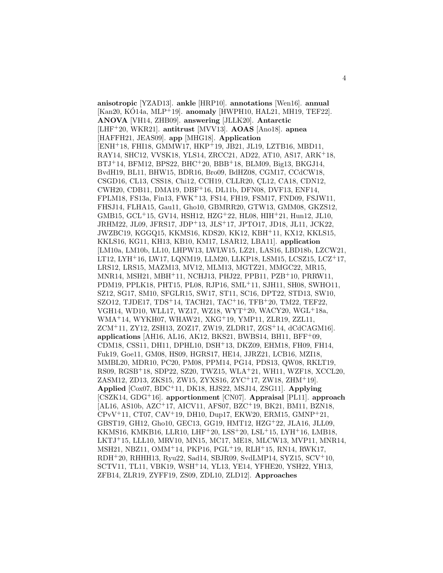**anisotropic** [YZAD13]. **ankle** [HRP10]. **annotations** [Wen16]. **annual** [Kan20, KÓ14a, MLP<sup>+</sup>19]. **anomaly** [HWPH10, HAL21, MH19, TEF22]. **ANOVA** [VH14, ZHB09]. **answering** [JLLK20]. **Antarctic** [LHF<sup>+</sup>20, WKR21]. **antitrust** [MVV13]. **AOAS** [Ano18]. **apnea** [HAFFH21, JEAS09]. **app** [MHG18]. **Application** [ENH<sup>+</sup>18, FHI18, GMMW17, HKP<sup>+</sup>19, JB21, JL19, LZTB16, MBD11, RAY14, SHC12, VVSK18, YLS14, ZRCC21, AD22, AT10, AS17, ARK<sup>+</sup>18, BTJ<sup>+</sup>14, BFM12, BPS22, BHC<sup>+</sup>20, BBB<sup>+</sup>18, BLM09, Big13, BKGJ14, BvdH19, BL11, BHW15, BDR16, Bro09, BdHZ08, CGM17, CCdCW18, CSGD16, CL13, CSS18, Chi12, CCH19, CLLR20, CL12, CA18, CDN12, CWH20, CDB11, DMA19, DBF<sup>+</sup>16, DL11b, DFN08, DVF13, ENF14, FPLM18, FS13a, Fin13, FWK<sup>+</sup>13, FS14, FH19, FSM17, FND09, FSJW11, FHSJ14, FLHA15, Gau11, Gho10, GBMRR20, GTW13, GMM08, GKZS12, GMB15, GCL<sup>+</sup>15, GV14, HSH12, HZG<sup>+</sup>22, HL08, HIH<sup>+</sup>21, Hun12, JL10, JRHM22, JL09, JFRS17, JDP<sup>+</sup>13, JLS<sup>+</sup>17, JPTO17, JD18, JL11, JCK22, JWZBC19, KGGQ15, KKMS16, KDS20, KK12, KBH<sup>+</sup>11, KX12, KKLS15, KKLS16, KG11, KH13, KB10, KM17, LSAR12, LBA11]. **application** [LM10a, LM10b, LL10, LHPW13, LWLW15, LZ21, LAS16, LBD18b, LZCW21, LT12, LYH<sup>+</sup>16, LW17, LQNM19, LLM20, LLKP18, LSM15, LCSZ15, LCZ<sup>+</sup>17, LRS12, LRS15, MAZM13, MV12, MLM13, MGTZ21, MMGC22, MR15, MNR14, MSH21, MBH<sup>+</sup>11, NCHJ13, PHJ22, PPB11, PZB<sup>+</sup>10, PRRW11, PDM19, PPLK18, PHT15, PL08, RJP16, SML<sup>+</sup>11, SJH11, SH08, SWHO11, SZ12, SG17, SM10, SFGLR15, SW17, ST11, SC16, DPT22, STD13, SW10, SZO12, TJDE17, TDS<sup>+</sup>14, TACH21, TAC<sup>+</sup>16, TFB<sup>+</sup>20, TM22, TEF22, VGH14, WD10, WLL17, WZ17, WZ18, WYT<sup>+</sup>20, WACY20, WGL<sup>+</sup>18a, WMA<sup>+</sup>14, WYKH07, WHAW21, XKG<sup>+</sup>19, YMP11, ZLR19, ZZL11, ZCM<sup>+</sup>11, ZY12, ZSH13, ZOZ17, ZW19, ZLDR17, ZGS<sup>+</sup>14, dCdCAGM16]. **applications** [AH16, AL16, AK12, BKS21, BWBS14, BH11, BFF<sup>+</sup>09, CDM18, CSS11, DH11, DPHL10, DSH<sup>+</sup>13, DKZ09, EHM18, FH09, FH14, Fuk19, Goe11, GM08, HS09, HGRS17, HE14, JJRZ21, LCB16, MZI18, MMBL20, MDR10, PC20, PM08, PPM14, PG14, PDS13, QW08, RKLT19, RS09, RGSB<sup>+</sup>18, SDP22, SZ20, TWZ15, WLA<sup>+</sup>21, WH11, WZF18, XCCL20, ZASM12, ZD13, ZKS15, ZW15, ZYXS16, ZYC<sup>+</sup>17, ZW18, ZHM<sup>+</sup>19]. **Applied** [Cox07, BDC<sup>+</sup>11, DK18, HJS22, MSJ14, ZSG11]. **Applying** [CSZK14, GDG<sup>+</sup>16]. **apportionment** [CN07]. **Appraisal** [PL11]. **approach** [AL16, AS10b, AZC<sup>+</sup>17, AICV11, AFS07, BZC<sup>+</sup>19, BK21, BM11, BZN18, CPvV<sup>+</sup>11, CT07, CAV<sup>+</sup>19, DH10, Dup17, EKW20, ERM15, GMNP<sup>+</sup>21, GBST19, GH12, Gho10, GEC13, GG19, HMT12, HZG<sup>+</sup>22, JLA16, JLL09, KKMS16, KMKB16, LLR10, LHF<sup>+</sup>20, LSS<sup>+</sup>20, LSL<sup>+</sup>15, LYH<sup>+</sup>16, LMB18, LKTJ<sup>+</sup>15, LLL10, MRV10, MN15, MC17, ME18, MLCW13, MVP11, MNR14, MSH21, NBZ11, OMM<sup>+</sup>14, PKP16, PGL<sup>+</sup>19, RLH<sup>+</sup>15, RN14, RWK17, RDH<sup>+</sup>20, RHHH13, Ryu22, Sad14, SBJR09, SvdLMP14, SYZ15, SCV<sup>+</sup>10, SCTV11, TL11, VBK19, WSH<sup>+</sup>14, YL13, YE14, YFHE20, YSH22, YH13, ZFB14, ZLR19, ZYFF19, ZS09, ZDL10, ZLD12]. **Approaches**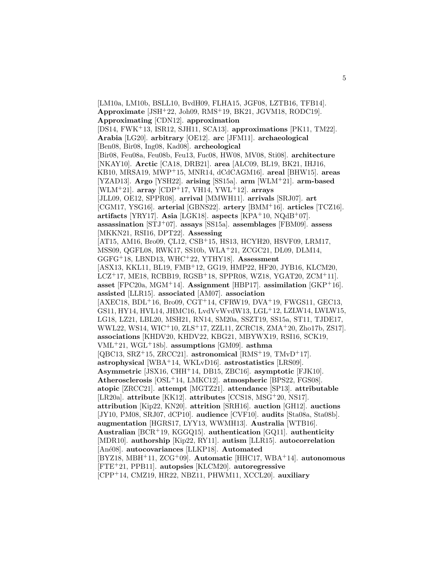[LM10a, LM10b, BSLL10, BvdH09, FLHA15, JGF08, LZTB16, TFB14]. **Approximate** [JSH<sup>+</sup>22, Joh09, RMS<sup>+</sup>19, BK21, JGVM18, RODC19]. **Approximating** [CDN12]. **approximation** [DS14, FWK<sup>+</sup>13, ISR12, SJH11, SCA13]. **approximations** [PK11, TM22]. **Arabia** [LG20]. **arbitrary** [OE12]. **arc** [JFM11]. **archaeological** [Ben08, Bir08, Ing08, Kad08]. **archeological** [Bir08, Feu08a, Feu08b, Feu13, Fuc08, HW08, MV08, Sti08]. **architecture** [NKAY10]. **Arctic** [CA18, DRB21]. **area** [ALC09, BL19, BK21, IHJ16, KB10, MRSA19, MWP<sup>+</sup>15, MNR14, dCdCAGM16]. **areal** [BHW15]. **areas** [YZAD13]. **Argo** [YSH22]. **arising** [SS15a]. **arm** [WLM<sup>+</sup>21]. **arm-based** [WLM<sup>+</sup>21]. **array** [CDP<sup>+</sup>17, VH14, YWL<sup>+</sup>12]. **arrays** [JLL09, OE12, SPPR08]. **arrival** [MMWH11]. **arrivals** [SRJ07]. **art** [CGM17, YSG16]. **arterial** [GBNS22]. **artery** [BMM<sup>+</sup>16]. **articles** [TCZ16]. **artifacts** [YRY17]. **Asia** [LGK18]. **aspects** [KPA<sup>+</sup>10, NQdB<sup>+</sup>07]. **assassination** [STJ<sup>+</sup>07]. **assays** [SS15a]. **assemblages** [FBM09]. **assess** [MKKN21, RSI16, DPT22]. **Assessing** [AT15, AM16, Bro09, CL12, CSB<sup>+</sup>15, HS13, HCYH20, HSVF09, LRM17, MSS09, QGFL08, RWK17, SS10b, WLA<sup>+</sup>21, ZCGC21, DL09, DLM14, GGFG<sup>+</sup>18, LBND13, WHC<sup>+</sup>22, YTHY18]. **Assessment** [ASX13, KKL11, BL19, FMB<sup>+</sup>12, GG19, HMP22, HF20, JYB16, KLCM20, LCZ<sup>+</sup>17, ME18, RCBB19, RGSB<sup>+</sup>18, SPPR08, WZ18, YGAT20, ZCM<sup>+</sup>11]. **asset** [FPC20a, MGM<sup>+</sup>14]. **Assignment** [HBP17]. **assimilation** [GKP<sup>+</sup>16]. **assisted** [LLR15]. **associated** [AM07]. **association**  $[AXEC18, BDL<sup>+</sup>16, Bro09, CGT<sup>+</sup>14, CFRW19, DVA<sup>+</sup>19, FWGS11, GEC13,$ GS11, HY14, HVL14, JHMC16, LvdVvWvdW13, LGL<sup>+</sup>12, LZLW14, LWLW15, LG18, LZ21, LBL20, MSH21, RN14, SM20a, SSZT19, SS15a, ST11, TJDE17, WWL22, WS14, WIC<sup>+</sup>10, ZLS<sup>+</sup>17, ZZL11, ZCRC18, ZMA<sup>+</sup>20, Zho17b, ZS17]. **associations** [KHDV20, KHDV22, KBG21, MBYWX19, RSI16, SCK19, VML<sup>+</sup>21, WGL<sup>+</sup>18b]. **assumptions** [GM09]. **asthma** [QBC13, SRZ<sup>+</sup>15, ZRCC21]. **astronomical** [RMS<sup>+</sup>19, TMvD<sup>+</sup>17]. **astrophysical** [WBA<sup>+</sup>14, WKLvD16]. **astrostatistics** [LRS09]. **Asymmetric** [JSX16, CHH<sup>+</sup>14, DB15, ZBC16]. **asymptotic** [FJK10]. **Atherosclerosis** [OSL<sup>+</sup>14, LMKC12]. **atmospheric** [BPS22, FGS08]. **atopic** [ZRCC21]. **attempt** [MGTZ21]. **attendance** [SP13]. **attributable** [LR20a]. **attribute** [KK12]. **attributes** [CCS18, MSG<sup>+</sup>20, NS17]. **attribution** [Kip22, KN20]. **attrition** [SRH16]. **auction** [GH12]. **auctions** [JY10, PM08, SRJ07, dCP10]. **audience** [CVF10]. **audits** [Sta08a, Sta08b]. **augmentation** [HGRS17, LYY13, WWMH13]. **Australia** [WTB16]. **Australian** [BCR<sup>+</sup>19, KGGQ15]. **authentication** [GQ11]. **authenticity** [MDR10]. **authorship** [Kip22, RY11]. **autism** [LLR15]. **autocorrelation** [An´e08]. **autocovariances** [LLKP18]. **Automated** [BYZ18, MBH<sup>+</sup>11, ZCG<sup>+</sup>09]. **Automatic** [HHC17, WBA<sup>+</sup>14]. **autonomous** [FTE<sup>+</sup>21, PPB11]. **autopsies** [KLCM20]. **autoregressive** [CPP<sup>+</sup>14, CMZ19, HR22, NBZ11, PHWM11, XCCL20]. **auxiliary**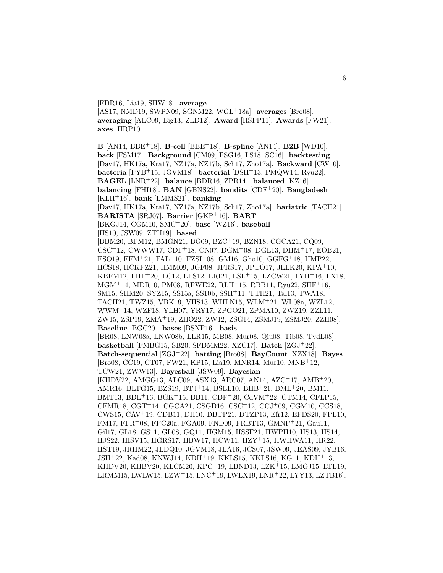[FDR16, Lia19, SHW18]. **average** [AS17, NMD19, SWPN09, SGNM22, WGL<sup>+</sup>18a]. **averages** [Bro08]. **averaging** [ALC09, Big13, ZLD12]. **Award** [HSFP11]. **Awards** [FW21]. **axes** [HRP10].

**B** [AN14, BBE<sup>+</sup>18]. **B-cell** [BBE<sup>+</sup>18]. **B-spline** [AN14]. **B2B** [WD10]. **back** [FSM17]. **Background** [CM09, FSG16, LS18, SC16]. **backtesting** [Dav17, HK17a, Kra17, NZ17a, NZ17b, Sch17, Zho17a]. **Backward** [CW10]. **bacteria** [FYB<sup>+</sup>15, JGVM18]. **bacterial** [DSH<sup>+</sup>13, PMQW14, Ryu22]. **BAGEL** [LNR<sup>+</sup>22]. **balance** [BDR16, ZPR14]. **balanced** [KZ16]. **balancing** [FHI18]. **BAN** [GBNS22]. **bandits** [CDF<sup>+</sup>20]. **Bangladesh** [KLH<sup>+</sup>16]. **bank** [LMMS21]. **banking** [Dav17, HK17a, Kra17, NZ17a, NZ17b, Sch17, Zho17a]. **bariatric** [TACH21]. **BARISTA** [SRJ07]. **Barrier** [GKP<sup>+</sup>16]. **BART** [BKGJ14, CGM10, SMC<sup>+</sup>20]. **base** [WZ16]. **baseball** [HS10, JSW09, ZTH19]. **based** [BBM20, BFM12, BMGN21, BG09, BZC<sup>+</sup>19, BZN18, CGCA21, CQ09, CSC<sup>+</sup>12, CWWW17, CDF<sup>+</sup>18, CN07, DGM<sup>+</sup>08, DGL13, DHM<sup>+</sup>17, EOB21, ESO19, FFM<sup>+</sup>21, FAL<sup>+</sup>10, FZSI<sup>+</sup>08, GM16, Gho10, GGFG<sup>+</sup>18, HMP22, HCS18, HCKFZ21, HMM09, JGF08, JFRS17, JPTO17, JLLK20, KPA<sup>+</sup>10, KBFM12, LHF<sup>+</sup>20, LC12, LES12, LRI21, LSL<sup>+</sup>15, LZCW21, LYH<sup>+</sup>16, LX18, MGM<sup>+</sup>14, MDR10, PM08, RFWE22, RLH<sup>+</sup>15, RBB11, Ryu22, SHF<sup>+</sup>16, SM15, SHM20, SYZ15, SS15a, SS10b, SSH<sup>+</sup>11, TTH21, Tal13, TWA18, TACH21, TWZ15, VBK19, VHS13, WHLN15, WLM<sup>+</sup>21, WL08a, WZL12, WWM<sup>+</sup>14, WZF18, YLH07, YRY17, ZPGO21, ZPMA10, ZWZ19, ZZL11, ZW15, ZSP19, ZMA<sup>+</sup>19, ZHO22, ZW12, ZSG14, ZSMJ19, ZSMJ20, ZZH08]. **Baseline** [BGC20]. **bases** [BSNP16]. **basis** [BR08, LNW08a, LNW08b, LLR15, MB08, Mur08, Qiu08, Tib08, TvdL08]. **basketball** [FMBG15, SB20, SFDMM22, XZC17]. **Batch** [ZGJ<sup>+</sup>22]. **Batch-sequential** [ZGJ<sup>+</sup>22]. **batting** [Bro08]. **BayCount** [XZX18]. **Bayes** [Bro08, CC19, CT07, FW21, KP15, Lia19, MNR14, Mur10, MNB<sup>+</sup>12, TCW21, ZWW13]. **Bayesball** [JSW09]. **Bayesian** [KHDV22, AMGG13, ALC09, ASX13, ARC07, AN14, AZC<sup>+</sup>17, AMB<sup>+</sup>20, AMR16, BLTG15, BZS19, BTJ<sup>+</sup>14, BSLL10, BHB<sup>+</sup>21, BML<sup>+</sup>20, BM11, BMT13, BDL<sup>+</sup>16, BGK<sup>+</sup>15, BB11, CDF<sup>+</sup>20, CdVM<sup>+</sup>22, CTM14, CFLP15, CFMR18, CGT<sup>+</sup>14, CGCA21, CSGD16, CSC<sup>+</sup>12, CCJ<sup>+</sup>09, CGM10, CCS18, CWS15, CAV<sup>+</sup>19, CDB11, DH10, DBTP21, DTZP13, Efr12, EFDS20, FPL10, FM17, FFR<sup>+</sup>08, FPC20a, FGA09, FND09, FRBT13, GMNP<sup>+</sup>21, Gau11, Gil17, GL18, GS11, GL08, GQ11, HGM15, HSSF21, HWPH10, HS13, HS14, HJS22, HISV15, HGRS17, HBW17, HCW11, HZY<sup>+</sup>15, HWHWA11, HR22, HST19, JRHM22, JLDQ10, JGVM18, JLA16, JCS07, JSW09, JEAS09, JYB16, JSH<sup>+</sup>22, Kad08, KNWJ14, KDH<sup>+</sup>19, KKLS15, KKLS16, KG11, KDH<sup>+</sup>13, KHDV20, KHBV20, KLCM20, KPC<sup>+</sup>19, LBND13, LZK<sup>+</sup>15, LMGJ15, LTL19, LRMM15, LWLW15, LZW<sup>+</sup>15, LNC<sup>+</sup>19, LWLX19, LNR<sup>+</sup>22, LYY13, LZTB16].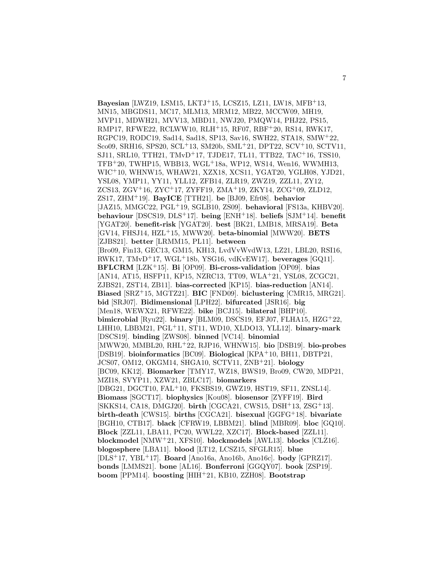**Bayesian** [LWZ19, LSM15, LKTJ<sup>+</sup>15, LCSZ15, LZ11, LW18, MFB<sup>+</sup>13, MN15, MBGDS11, MC17, MLM13, MRM12, MB22, MCCW09, MH19, MVP11, MDWH21, MVV13, MBD11, NWJ20, PMQW14, PHJ22, PS15, RMP17, RFWE22, RCLWW10, RLH<sup>+</sup>15, RF07, RBF<sup>+</sup>20, RS14, RWK17, RGPC19, RODC19, Sad14, Sad18, SP13, Sav16, SWH22, STA18, SMW<sup>+</sup>22, Sco09, SRH16, SPS20, SCL<sup>+</sup>13, SM20b, SML<sup>+</sup>21, DPT22, SCV<sup>+</sup>10, SCTV11, SJ11, SRL10, TTH21, TMvD<sup>+</sup>17, TJDE17, TL11, TTB22, TAC<sup>+</sup>16, TSS10, TFB<sup>+</sup>20, TWHP15, WBB13, WGL<sup>+</sup>18a, WP12, WS14, Wen16, WWMH13, WIC<sup>+</sup>10, WHNW15, WHAW21, XZX18, XCS11, YGAT20, YGLH08, YJD21, YSL08, YMP11, YY11, YLL12, ZFB14, ZLR19, ZWZ19, ZZL11, ZY12, ZCS13, ZGV<sup>+</sup>16, ZYC<sup>+</sup>17, ZYFF19, ZMA<sup>+</sup>19, ZKY14, ZCG<sup>+</sup>09, ZLD12, ZS17, ZHM<sup>+</sup>19]. **BayICE** [TTH21]. **be** [BJ09, Efr08]. **behavior** [JAZ15, MMGC22, PGL<sup>+</sup>19, SGLB10, ZS09]. **behavioral** [FS13a, KHBV20]. **behaviour** [DSCS19, DLS<sup>+</sup>17]. **being** [ENH<sup>+</sup>18]. **beliefs** [SJM<sup>+</sup>14]. **benefit** [YGAT20]. **benefit-risk** [YGAT20]. **best** [BK21, LMB18, MRSA19]. **Beta** [GV14, FHSJ14, HZL<sup>+</sup>15, MWW20]. **beta-binomial** [MWW20]. **BETS** [ZJBS21]. **better** [LRMM15, PL11]. **between** [Bro09, Fin13, GEC13, GM15, KH13, LvdVvWvdW13, LZ21, LBL20, RSI16, RWK17, TMvD<sup>+</sup>17, WGL<sup>+</sup>18b, YSG16, vdKvEW17]. **beverages** [GQ11]. **BFLCRM** [LZK<sup>+</sup>15]. **Bi** [OP09]. **Bi-cross-validation** [OP09]. **bias** [AN14, AT15, HSFP11, KP15, NZRC13, TT09, WLA<sup>+</sup>21, YSL08, ZCGC21, ZJBS21, ZST14, ZB11]. **bias-corrected** [KP15]. **bias-reduction** [AN14]. **Biased** [SRZ<sup>+</sup>15, MGTZ21]. **BIC** [FND09]. **biclustering** [CMR15, MRG21]. **bid** [SRJ07]. **Bidimensional** [LPH22]. **bifurcated** [JSR16]. **big** [Men18, WEWX21, RFWE22]. **bike** [BCJ15]. **bilateral** [BHP10]. **bimicrobial** [Ryu22]. **binary** [BLM09, DSCS19, EFJ07, FLHA15, HZG<sup>+</sup>22, LHH10, LBBM21, PGL<sup>+</sup>11, ST11, WD10, XLDO13, YLL12]. **binary-mark** [DSCS19]. **binding** [ZWS08]. **binned** [VC14]. **binomial** [MWW20, MMBL20, RHL<sup>+</sup>22, RJP16, WHNW15]. **bio** [DSB19]. **bio-probes** [DSB19]. **bioinformatics** [BC09]. **Biological** [KPA<sup>+</sup>10, BH11, DBTP21, JCS07, OM12, OKGM14, SHGA10, SCTV11, ZNB<sup>+</sup>21]. **biology** [BC09, KK12]. **Biomarker** [TMY17, WZ18, BWS19, Bro09, CW20, MDP21, MZI18, SVYP11, XZW21, ZBLC17]. **biomarkers** [DBG21, DGCT10, FAL<sup>+</sup>10, FKSBS19, GWZ19, HST19, SF11, ZNSL14]. **Biomass** [SGCT17]. **biophysics** [Kou08]. **biosensor** [ZYFF19]. **Bird** [SKKS14, CA18, DMGJ20]. **birth** [CGCA21, CWS15, DSH<sup>+</sup>13, ZSG<sup>+</sup>13]. **birth-death** [CWS15]. **births** [CGCA21]. **bisexual** [GGFG<sup>+</sup>18]. **bivariate** [BGH10, CTB17]. **black** [CFRW19, LBBM21]. **blind** [MBR09]. **bloc** [GQ10]. **Block** [ZZL11, LBA11, PC20, WWL22, XZC17]. **Block-based** [ZZL11]. **blockmodel** [NMW<sup>+</sup>21, XFS10]. **blockmodels** [AWL13]. **blocks** [CLZ16]. **blogosphere** [LBA11]. **blood** [LT12, LCSZ15, SFGLR15]. **blue** [DLS<sup>+</sup>17, YBL<sup>+</sup>17]. **Board** [Ano16a, Ano16b, Ano16c]. **body** [GPRZ17]. **bonds** [LMMS21]. **bone** [AL16]. **Bonferroni** [GGQY07]. **book** [ZSP19]. **boom** [PPM14]. **boosting** [HIH<sup>+</sup>21, KB10, ZZH08]. **Bootstrap**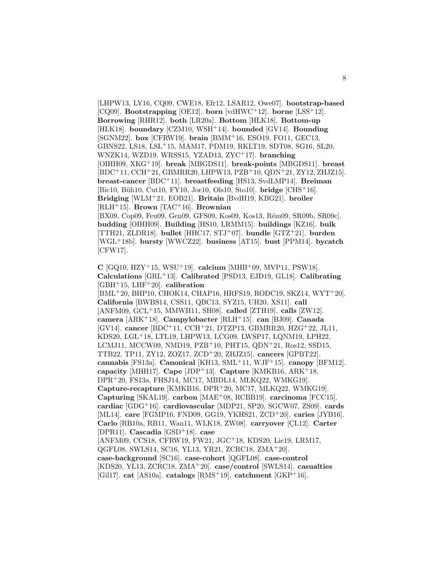[LHPW13, LY16, CQ09, CWE18, Efr12, LSAR12, Owe07]. **bootstrap-based** [CQ09]. **Bootstrapping** [OE12]. **born** [vdHWC<sup>+</sup>12]. **borne** [LSS<sup>+</sup>12]. **Borrowing** [RHR12]. **both** [LR20a]. **Bottom** [HLK18]. **Bottom-up** [HLK18]. **boundary** [CZM10, WSH<sup>+</sup>14]. **bounded** [GV14]. **Bounding** [SGNM22]. **box** [CFRW19]. **brain** [BMM<sup>+</sup>16, ESO19, FO11, GEC13, GBNS22, LS18, LSL<sup>+</sup>15, MAM17, PDM19, RKLT19, SDT08, SG16, SL20, WNZK14, WZD19, WRSS15, YZAD13, ZYC<sup>+</sup>17]. **branching** [OIHH09, XKG<sup>+</sup>19]. **break** [MBGDS11]. **break-points** [MBGDS11]. **breast** [BDC<sup>+</sup>11, CCH<sup>+</sup>21, GBMRR20, LHPW13, PZB<sup>+</sup>10, QDN<sup>+</sup>21, ZY12, ZHJZ15]. **breast-cancer** [BDC<sup>+</sup>11]. **breastfeeding** [HS13, SvdLMP14]. **Breiman** [Bic10, Büh10, Cut10, FY10, Jor10, Ols10, Sto10]. **bridge** [CHS<sup>+</sup>16]. **Bridging** [WLM<sup>+</sup>21, EOB21]. **Britain** [BvdH19, KBG21]. **broiler** [RLH<sup>+</sup>15]. **Brown** [TAC<sup>+</sup>16]. **Brownian**

[BX09, Cop09, Feu09, Gen09, GFS09, Kos09, Kos13, Rém09, SR09b, SR09c]. **budding** [OIHH09]. **Building** [HS10, LRMM15]. **buildings** [KZ16]. **bulk** [TTH21, ZLDR18]. **bullet** [HHC17, STJ<sup>+</sup>07]. **bundle** [GTZ<sup>+</sup>21]. **burden** [WGL<sup>+</sup>18b]. **bursty** [WWCZ22]. **business** [AT15]. **bust** [PPM14]. **bycatch** [CFW17].

**C** [GQ10, HZY<sup>+</sup>15, WSU<sup>+</sup>19]. **calcium** [MHB<sup>+</sup>09, MVP11, PSW18]. **Calculations** [GRL<sup>+</sup>13]. **Calibrated** [PSD13, EJD19, GL18]. **Calibrating** [GBH<sup>+</sup>15, LHF<sup>+</sup>20]. **calibration** [BML<sup>+</sup>20, BHP10, CHOK14, CHAP16, HRFS19, RODC19, SKZ14, WYT<sup>+</sup>20]. **California** [BWBS14, CSS11, QBC13, SYZ15, UH20, XS11]. **call** [ANFM09, GCL<sup>+</sup>15, MMWH11, SH08]. **called** [ZTH19]. **calls** [ZW12]. **camera** [ARK<sup>+</sup>18]. **Campylobacter** [RLH<sup>+</sup>15]. **can** [BJ09]. **Canada** [GV14]. **cancer** [BDC<sup>+</sup>11, CCH<sup>+</sup>21, DTZP13, GBMRR20, HZG<sup>+</sup>22, JL11, KDS20, LGL<sup>+</sup>18, LTL19, LHPW13, LCG09, LWSP17, LQNM19, LPH22, LCMJ11, MCCW09, NMD19, PZB<sup>+</sup>10, PHT15, QDN<sup>+</sup>21, Ros12, SSD15, TTB22, TP11, ZY12, ZOZ17, ZCD<sup>+</sup>20, ZHJZ15]. **cancers** [GPBT22]. **cannabis** [FS13a]. **Canonical** [KH13, SML<sup>+</sup>11, WJF<sup>+</sup>15]. **canopy** [BFM12]. **capacity** [MHH17]. **Cape** [JDP<sup>+</sup>13]. **Capture** [KMKB16, ARK<sup>+</sup>18, DPR<sup>+</sup>20, FS13a, FHSJ14, MC17, MBDL14, MLKQ22, WMKG19]. **Capture-recapture** [KMKB16, DPR<sup>+</sup>20, MC17, MLKQ22, WMKG19]. **Capturing** [SKAL19]. **carbon** [MAE<sup>+</sup>08, RCBB19]. **carcinoma** [FCC15]. **cardiac** [GDG<sup>+</sup>16]. **cardiovascular** [MDP21, SP20, SGCW07, ZS09]. **cards** [ML14]. **care** [FGMP16, FND09, GG19, YKHS21, ZCD<sup>+</sup>20]. **caries** [JYB16]. **Carlo** [RB10a, RB11, Wan11, WLK18, ZW08]. **carryover** [CL12]. **Carter** [DPR11]. **Cascadia** [GSD<sup>+</sup>18]. **case** [ANFM09, CCS18, CFRW19, FW21, JGC<sup>+</sup>18, KDS20, Lie19, LRM17, QGFL08, SWLS14, SC16, YL13, YR21, ZCRC18, ZMA<sup>+</sup>20]. **case-background** [SC16]. **case-cohort** [QGFL08]. **case-control** [KDS20, YL13, ZCRC18, ZMA<sup>+</sup>20]. **case/control** [SWLS14]. **casualties** [Gil17]. **cat** [AS10a]. **catalogs** [RMS<sup>+</sup>19]. **catchment** [GKP<sup>+</sup>16].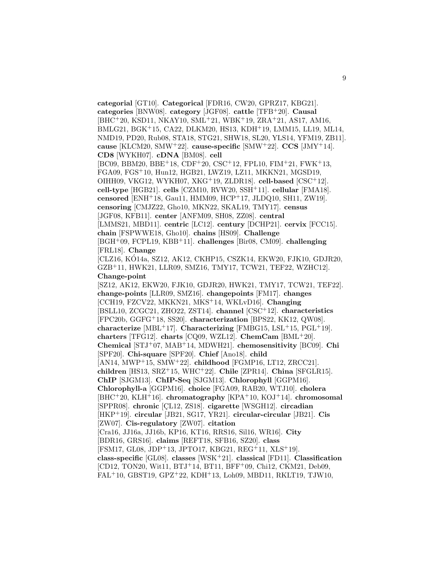**categorial** [GT10]. **Categorical** [FDR16, CW20, GPRZ17, KBG21]. **categories** [BNW08]. **category** [JGF08]. **cattle** [TFB<sup>+</sup>20]. **Causal** [BHC<sup>+</sup>20, KSD11, NKAY10, SML<sup>+</sup>21, WBK<sup>+</sup>19, ZRA<sup>+</sup>21, AS17, AM16, BMLG21, BGK<sup>+</sup>15, CA22, DLKM20, HS13, KDH<sup>+</sup>19, LMM15, LL19, ML14, NMD19, PD20, Rub08, STA18, STG21, SHW18, SL20, YLS14, YFM19, ZB11]. **cause** [KLCM20, SMW<sup>+</sup>22]. **cause-specific** [SMW<sup>+</sup>22]. **CCS** [JMY<sup>+</sup>14]. **CD8** [WYKH07]. **cDNA** [BM08]. **cell** [BC09, BBM20, BBE<sup>+</sup>18, CDF<sup>+</sup>20, CSC<sup>+</sup>12, FPL10, FIM<sup>+</sup>21, FWK<sup>+</sup>13, FGA09, FGS<sup>+</sup>10, Hun12, HGB21, LWZ19, LZ11, MKKN21, MGSD19, OIHH09, VKG12, WYKH07, XKG<sup>+</sup>19, ZLDR18]. **cell-based** [CSC<sup>+</sup>12]. **cell-type** [HGB21]. **cells** [CZM10, RVW20, SSH<sup>+</sup>11]. **cellular** [FMA18]. **censored** [ENH<sup>+</sup>18, Gau11, HMM09, HCP<sup>+</sup>17, JLDQ10, SH11, ZW19]. **censoring** [CMJZ22, Gho10, MKN22, SKAL19, TMY17]. **census** [JGF08, KFB11]. **center** [ANFM09, SH08, ZZ08]. **central** [LMMS21, MBD11]. **centric** [LC12]. **century** [DCHP21]. **cervix** [FCC15]. **chain** [FSPWWE18, Gho10]. **chains** [HS09]. **Challenge** [BGH<sup>+</sup>09, FCPL19, KBB<sup>+</sup>11]. **challenges** [Bir08, CM09]. **challenging** [FRL18]. **Change** [CLZ16, KÓ14a, SZ12, AK12, CKHP15, CSZK14, EKW20, FJK10, GDJR20, GZB<sup>+</sup>11, HWK21, LLR09, SMZ16, TMY17, TCW21, TEF22, WZHC12]. **Change-point** [SZ12, AK12, EKW20, FJK10, GDJR20, HWK21, TMY17, TCW21, TEF22]. **change-points** [LLR09, SMZ16]. **changepoints** [FM17]. **changes** [CCH19, FZCV22, MKKN21, MKS<sup>+</sup>14, WKLvD16]. **Changing** [BSLL10, ZCGC21, ZHO22, ZST14]. **channel** [CSC<sup>+</sup>12]. **characteristics** [FPC20b, GGFG<sup>+</sup>18, SS20]. **characterization** [BPS22, KK12, QW08]. **characterize** [MBL<sup>+</sup>17]. **Characterizing** [FMBG15, LSL<sup>+</sup>15, PGL<sup>+</sup>19]. **charters** [TFG12]. **charts** [CQ09, WZL12]. **ChemCam** [BML<sup>+</sup>20]. **Chemical** [STJ<sup>+</sup>07, MAB<sup>+</sup>14, MDWH21]. **chemosensitivity** [BC09]. **Chi** [SPF20]. **Chi-square** [SPF20]. **Chief** [Ano18]. **child** [AN14, MWP<sup>+</sup>15, SMW<sup>+</sup>22]. **childhood** [FGMP16, LT12, ZRCC21]. **children** [HS13, SRZ<sup>+</sup>15, WHC<sup>+</sup>22]. **Chile** [ZPR14]. **China** [SFGLR15]. **ChIP** [SJGM13]. **ChIP-Seq** [SJGM13]. **Chlorophyll** [GGPM16]. **Chlorophyll-a** [GGPM16]. **choice** [FGA09, RAB20, WTJ10]. **cholera** [BHC<sup>+</sup>20, KLH<sup>+</sup>16]. **chromatography** [KPA<sup>+</sup>10, KOJ<sup>+</sup>14]. **chromosomal** [SPPR08]. **chronic** [CL12, ZS18]. **cigarette** [WSGH12]. **circadian** [HKP<sup>+</sup>19]. **circular** [JB21, SG17, YR21]. **circular-circular** [JB21]. **Cis** [ZW07]. **Cis-regulatory** [ZW07]. **citation** [Cra16, JJ16a, JJ16b, KP16, KT16, RRS16, Sil16, WR16]. **City** [BDR16, GRS16]. **claims** [REFT18, SFB16, SZ20]. **class** [FSM17, GL08, JDP<sup>+</sup>13, JPTO17, KBG21, REG<sup>+</sup>11, XLS<sup>+</sup>19]. **class-specific** [GL08]. **classes** [WSK<sup>+</sup>21]. **classical** [FD11]. **Classification** [CD12, TON20, Wit11, BTJ<sup>+</sup>14, BT11, BFF<sup>+</sup>09, Chi12, CKM21, Deb09, FAL<sup>+</sup>10, GBST19, GPZ<sup>+</sup>22, KDH<sup>+</sup>13, Loh09, MBD11, RKLT19, TJW10,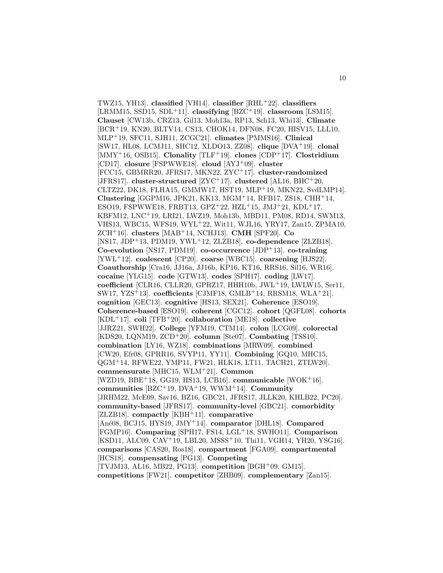TWZ15, YH13]. **classified** [VH14]. **classifier** [RHL<sup>+</sup>22]. **classifiers** [LRMM15, SSD15, SDL<sup>+</sup>11]. **classifying** [BZC<sup>+</sup>19]. **classroom** [LSM15]. **Clauset** [CW13b, CRZ13, Gil13, Moh13a, RP13, Sch13, Whi13]. **Climate** [BCR<sup>+</sup>19, KN20, BLTV14, CS13, CHOK14, DFN08, FC20, HISV15, LLL10, MLP<sup>+</sup>19, SFC11, SJH11, ZCGC21]. **climates** [PMMS16]. **Clinical** [SW17, HL08, LCMJ11, SHC12, XLDO13, ZZ08]. **clique** [DVA<sup>+</sup>19]. **clonal** [MMY<sup>+</sup>16, OSB15]. **Clonality** [TLF<sup>+</sup>19]. **clones** [CDP<sup>+</sup>17]. **Clostridium** [CD17]. **closure** [FSPWWE18]. **cloud** [AYJ<sup>+</sup>09]. **cluster** [FCC15, GBMRR20, JFRS17, MKN22, ZYC<sup>+</sup>17]. **cluster-randomized** [JFRS17]. **cluster-structured** [ZYC<sup>+</sup>17]. **clustered** [AL16, BHC<sup>+</sup>20, CLTZ22, DK18, FLHA15, GMMW17, HST19, MLP<sup>+</sup>19, MKN22, SvdLMP14]. **Clustering** [GGPM16, JPK21, KK13, MGM<sup>+</sup>14, RFB17, ZS18, CHH<sup>+</sup>14, ESO19, FSPWWE18, FRBT13, GPZ<sup>+</sup>22, HZL<sup>+</sup>15, JMJ<sup>+</sup>21, KDL<sup>+</sup>17, KBFM12, LNC<sup>+</sup>19, LRI21, LWZ19, Moh13b, MBD11, PM08, RD14, SWM13, VHS13, WBC15, WFS19, WYL<sup>+</sup>22, Wit11, WJL16, YRY17, Zan15, ZPMA10, ZCH<sup>+</sup>16]. **clusters** [MAB<sup>+</sup>14, NCHJ13]. **CMH** [SPF20]. **Co** [NS17, JDP<sup>+</sup>13, PDM19, YWL<sup>+</sup>12, ZLZB18]. **co-dependence** [ZLZB18]. **Co-evolution** [NS17, PDM19]. **co-occurrence** [JDP<sup>+</sup>13]. **co-training** [YWL<sup>+</sup>12]. **coalescent** [CP20]. **coarse** [WBC15]. **coarsening** [HJS22]. **Coauthorship** [Cra16, JJ16a, JJ16b, KP16, KT16, RRS16, Sil16, WR16]. **cocaine** [YLG15]. **code** [GTW13]. **codes** [SPH17]. **coding** [LW17]. **coefficient** [CLR16, CLLR20, GPRZ17, HHH10b, JWL<sup>+</sup>19, LWLW15, Ser11, SW17, YZS<sup>+</sup>13]. **coefficients** [CJMF18, GMLB<sup>+</sup>14, RRSM18, WLA<sup>+</sup>21]. **cognition** [GEC13]. **cognitive** [HS13, SEX21]. **Coherence** [ESO19]. **Coherence-based** [ESO19]. **coherent** [CGC12]. **cohort** [QGFL08]. **cohorts** [KDL<sup>+</sup>17]. **coli** [TFB<sup>+</sup>20]. **collaboration** [ME18]. **collective** [JJRZ21, SWH22]. **College** [YFM19, CTM14]. **colon** [LCG09]. **colorectal** [KDS20, LQNM19, ZCD<sup>+</sup>20]. **column** [Ste07]. **Combating** [TSS10]. **combination** [LY16, WZ18]. **combinations** [MRW09]. **combined** [CW20, Efr08, GPRR16, SVYP11, YY11]. **Combining** [GQ10, MHC15, QGM<sup>+</sup>14, RFWE22, YMP11, FW21, HLK18, LT11, TACH21, ZTLW20]. **commensurate** [MHC15, WLM<sup>+</sup>21]. **Common** [WZD19, BBE<sup>+</sup>18, GG19, HS13, LCB16]. **communicable** [WOK<sup>+</sup>16]. **communities** [BZC<sup>+</sup>19, DVA<sup>+</sup>19, WWM<sup>+</sup>14]. **Community** [JRHM22, McE09, Sav16, BZ16, GBC21, JFRS17, JLLK20, KHLB22, PC20]. **community-based** [JFRS17]. **community-level** [GBC21]. **comorbidity** [ZLZB18]. **compactly** [KBH<sup>+</sup>11]. **comparative** [An´e08, BCJ15, HYS19, JMY<sup>+</sup>14]. **comparator** [DHL18]. **Compared** [FGMP16]. **Comparing** [SPH17, FS14, LGL<sup>+</sup>18, SWHO11]. **Comparison** [KSD11, ALC09, CAV<sup>+</sup>19, LBL20, MSSS<sup>+</sup>10, Thi11, VGH14, YH20, YSG16]. **comparisons** [CAS20, Ros18]. **compartment** [FGA09]. **compartmental** [HCS18]. **compensating** [PG13]. **Competing** [TVJM13, AL16, MB22, PG13]. **competition** [BGH<sup>+</sup>09, GM15]. **competitions** [FW21]. **competitor** [ZHB09]. **complementary** [Zan15].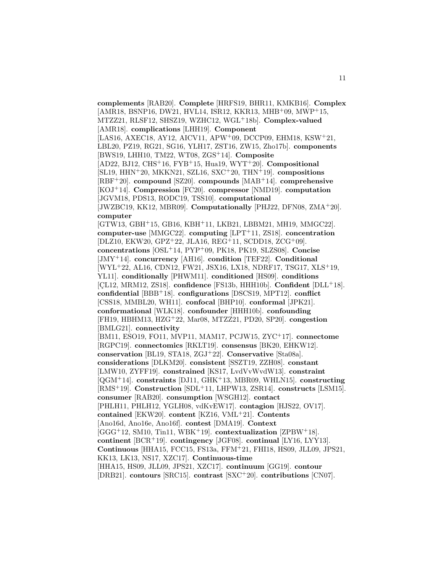**complements** [RAB20]. **Complete** [HRFS19, BHR11, KMKB16]. **Complex** [AMR18, BSNP16, DW21, HVL14, ISR12, KKR13, MHB<sup>+</sup>09, MWP<sup>+</sup>15, MTZZ21, RLSF12, SHSZ19, WZHC12, WGL<sup>+</sup>18b]. **Complex-valued** [AMR18]. **complications** [LHH19]. **Component** [LAS16, AXEC18, AY12, AICV11, APW<sup>+</sup>09, DCCP09, EHM18, KSW<sup>+</sup>21, LBL20, PZ19, RG21, SG16, YLH17, ZST16, ZW15, Zho17b]. **components** [BWS19, LHH10, TM22, WT08, ZGS<sup>+</sup>14]. **Composite** [AD22, BJ12, CHS<sup>+</sup>16, FYB<sup>+</sup>15, Hua19, WYT<sup>+</sup>20]. **Compositional** [SL19, HHN<sup>+</sup>20, MKKN21, SZL16, SXC<sup>+</sup>20, THN<sup>+</sup>19]. **compositions** [RBF<sup>+</sup>20]. **compound** [SZ20]. **compounds** [MAB<sup>+</sup>14]. **comprehensive** [KOJ<sup>+</sup>14]. **Compression** [FC20]. **compressor** [NMD19]. **computation** [JGVM18, PDS13, RODC19, TSS10]. **computational** [JWZBC19, KK12, MBR09]. **Computationally** [PHJ22, DFN08, ZMA<sup>+</sup>20]. **computer** [GTW13, GBH<sup>+</sup>15, GB16, KBH<sup>+</sup>11, LKB21, LBBM21, MH19, MMGC22]. **computer-use** [MMGC22]. **computing** [LPT<sup>+</sup>11, ZS18]. **concentration** [DLZ10, EKW20, GPZ<sup>+</sup>22, JLA16, REG<sup>+</sup>11, SCDD18, ZCG<sup>+</sup>09]. **concentrations** [OSL<sup>+</sup>14, PYP<sup>+</sup>09, PK18, PK19, SLZS08]. **Concise** [JMY<sup>+</sup>14]. **concurrency** [AH16]. **condition** [TEF22]. **Conditional** [WYL<sup>+</sup>22, AL16, CDN12, FW21, JSX16, LX18, NDRF17, TSG17, XLS<sup>+</sup>19, YL11]. **conditionally** [PHWM11]. **conditioned** [HS09]. **conditions** [CL12, MRM12, ZS18]. **confidence** [FS13b, HHH10b]. **Confident** [DLL<sup>+</sup>18]. **confidential** [BBB<sup>+</sup>18]. **configurations** [DSCS19, MPT12]. **conflict** [CSS18, MMBL20, WH11]. **confocal** [BHP10]. **conformal** [JPK21]. **conformational** [WLK18]. **confounder** [HHH10b]. **confounding** [FH19, HBHM13, HZG<sup>+</sup>22, Mar08, MTZZ21, PD20, SP20]. **congestion** [BMLG21]. **connectivity** [BM11, ESO19, FO11, MVP11, MAM17, PCJW15, ZYC<sup>+</sup>17]. **connectome** [RGPC19]. **connectomics** [RKLT19]. **consensus** [BK20, EHKW12]. **conservation** [BL19, STA18, ZGJ<sup>+</sup>22]. **Conservative** [Sta08a]. **considerations** [DLKM20]. **consistent** [SSZT19, ZZH08]. **constant** [LMW10, ZYFF19]. **constrained** [KS17, LvdVvWvdW13]. **constraint** [QGM<sup>+</sup>14]. **constraints** [DJ11, GHK<sup>+</sup>13, MBR09, WHLN15]. **constructing** [RMS<sup>+</sup>19]. **Construction** [SDL<sup>+</sup>11, LHPW13, ZSR14]. **constructs** [LSM15]. **consumer** [RAB20]. **consumption** [WSGH12]. **contact** [PHLH11, PHLH12, YGLH08, vdKvEW17]. **contagion** [HJS22, OV17]. **contained** [EKW20]. **content** [KZ16, VML<sup>+</sup>21]. **Contents** [Ano16d, Ano16e, Ano16f]. **contest** [DMA19]. **Context** [GGG<sup>+</sup>12, SM10, Tin11, WBK<sup>+</sup>19]. **contextualization** [ZPBW<sup>+</sup>18]. **continent** [BCR<sup>+</sup>19]. **contingency** [JGF08]. **continual** [LY16, LYY13]. **Continuous** [HHA15, FCC15, FS13a, FFM<sup>+</sup>21, FHI18, HS09, JLL09, JPS21, KK13, LK13, NS17, XZC17]. **Continuous-time** [HHA15, HS09, JLL09, JPS21, XZC17]. **continuum** [GG19]. **contour** [DRB21]. **contours** [SRC15]. **contrast** [SXC<sup>+</sup>20]. **contributions** [CN07].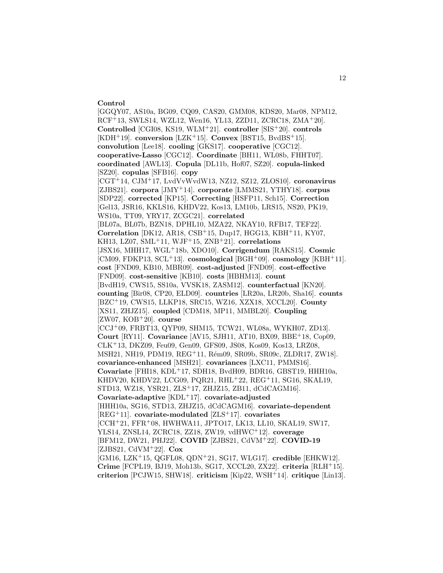#### **Control**

[GGQY07, AS10a, BG09, CQ09, CAS20, GMM08, KDS20, Mar08, NPM12, RCF<sup>+</sup>13, SWLS14, WZL12, Wen16, YL13, ZZD11, ZCRC18, ZMA<sup>+</sup>20]. **Controlled** [CGI08, KS19, WLM<sup>+</sup>21]. **controller** [SIS<sup>+</sup>20]. **controls**  $[KDH^+19]$ . **conversion**  $[LZK^+15]$ . **Convex**  $[BST15, BvdB5^+15]$ . **convolution** [Lee18]. **cooling** [GKS17]. **cooperative** [CGC12]. **cooperative-Lasso** [CGC12]. **Coordinate** [BH11, WL08b, FHHT07]. **coordinated** [AWL13]. **Copula** [DL11b, Hof07, SZ20]. **copula-linked** [SZ20]. **copulas** [SFB16]. **copy** [CGT<sup>+</sup>14, CJM<sup>+</sup>17, LvdVvWvdW13, NZ12, SZ12, ZLOS10]. **coronavirus** [ZJBS21]. **corpora** [JMY<sup>+</sup>14]. **corporate** [LMMS21, YTHY18]. **corpus** [SDP22]. **corrected** [KP15]. **Correcting** [HSFP11, Sch15]. **Correction** [Gel13, JSR16, KKLS16, KHDV22, Kos13, LM10b, LRS15, NS20, PK19, WS10a, TT09, YRY17, ZCGC21]. **correlated** [BL07a, BL07b, BZN18, DPHL10, MZA22, NKAY10, RFB17, TEF22]. **Correlation** [DK12, AR18, CSB<sup>+</sup>15, Dup17, HGG13, KBH<sup>+</sup>11, KY07, KH13, LZ07, SML<sup>+</sup>11, WJF<sup>+</sup>15, ZNB<sup>+</sup>21]. **correlations** [JSX16, MHH17, WGL<sup>+</sup>18b, XDO10]. **Corrigendum** [RAKS15]. **Cosmic** [CM09, FDKP13, SCL<sup>+</sup>13]. **cosmological** [BGH<sup>+</sup>09]. **cosmology** [KBH<sup>+</sup>11]. **cost** [FND09, KB10, MBR09]. **cost-adjusted** [FND09]. **cost-effective** [FND09]. **cost-sensitive** [KB10]. **costs** [HBHM13]. **count** [BvdH19, CWS15, SS10a, VVSK18, ZASM12]. **counterfactual** [KN20]. **counting** [Bir08, CP20, ELD09]. **countries** [LR20a, LR20b, Sha16]. **counts** [BZC<sup>+</sup>19, CWS15, LLKP18, SRC15, WZ16, XZX18, XCCL20]. **County** [XS11, ZHJZ15]. **coupled** [CDM18, MP11, MMBL20]. **Coupling** [ZW07, KOB<sup>+</sup>20]. **course** [CCJ<sup>+</sup>09, FRBT13, QYP09, SHM15, TCW21, WL08a, WYKH07, ZD13]. **Court** [RY11]. **Covariance** [AV15, SJH11, AT10, BX09, BBE<sup>+</sup>18, Cop09, CLK<sup>+</sup>13, DKZ09, Feu09, Gen09, GFS09, JS08, Kos09, Kos13, LRZ08, MSH21, NH19, PDM19, REG<sup>+</sup>11, Rém09, SR09b, SR09c, ZLDR17, ZW18]. **covariance-enhanced** [MSH21]. **covariances** [LXC11, PMMS16]. **Covariate** [FHI18, KDL<sup>+</sup>17, SDH18, BvdH09, BDR16, GBST19, HHH10a, KHDV20, KHDV22, LCG09, PQR21, RHL<sup>+</sup>22, REG<sup>+</sup>11, SG16, SKAL19, STD13, WZ18, YSR21, ZLS<sup>+</sup>17, ZHJZ15, ZB11, dCdCAGM16]. **Covariate-adaptive** [KDL<sup>+</sup>17]. **covariate-adjusted** [HHH10a, SG16, STD13, ZHJZ15, dCdCAGM16]. **covariate-dependent** [REG<sup>+</sup>11]. **covariate-modulated** [ZLS<sup>+</sup>17]. **covariates** [CCH<sup>+</sup>21, FFR<sup>+</sup>08, HWHWA11, JPTO17, LK13, LL10, SKAL19, SW17, YLS14, ZNSL14, ZCRC18, ZZ18, ZW19, vdHWC<sup>+</sup>12]. **coverage** [BFM12, DW21, PHJ22]. **COVID** [ZJBS21, CdVM<sup>+</sup>22]. **COVID-19** [ZJBS21, CdVM<sup>+</sup>22]. **Cox** [GM16, LZK<sup>+</sup>15, QGFL08, QDN<sup>+</sup>21, SG17, WLG17]. **credible** [EHKW12]. **Crime** [FCPL19, BJ19, Moh13b, SG17, XCCL20, ZX22]. **criteria** [RLH<sup>+</sup>15]. **criterion** [PCJW15, SHW18]. **criticism** [Kip22, WSH<sup>+</sup>14]. **critique** [Lin13].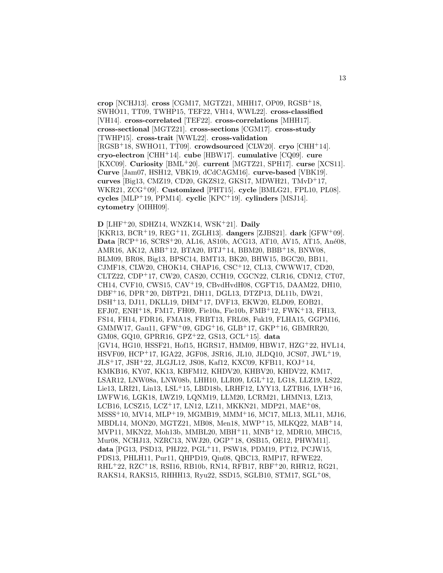**crop** [NCHJ13]. **cross** [CGM17, MGTZ21, MHH17, OP09, RGSB<sup>+</sup>18, SWHO11, TT09, TWHP15, TEF22, VH14, WWL22]. **cross-classified** [VH14]. **cross-correlated** [TEF22]. **cross-correlations** [MHH17]. **cross-sectional** [MGTZ21]. **cross-sections** [CGM17]. **cross-study** [TWHP15]. **cross-trait** [WWL22]. **cross-validation** [RGSB<sup>+</sup>18, SWHO11, TT09]. **crowdsourced** [CLW20]. **cryo** [CHH<sup>+</sup>14]. **cryo-electron** [CHH<sup>+</sup>14]. **cube** [HBW17]. **cumulative** [CQ09]. **cure** [KXC09]. **Curiosity** [BML<sup>+</sup>20]. **current** [MGTZ21, SPH17]. **curse** [XCS11]. **Curve** [Jam07, HSH12, VBK19, dCdCAGM16]. **curve-based** [VBK19]. **curves** [Big13, CMZ19, CD20, GKZS12, GKS17, MDWH21, TMvD<sup>+</sup>17, WKR21, ZCG<sup>+</sup>09]. **Customized** [PHT15]. **cycle** [BMLG21, FPL10, PL08]. **cycles** [MLP<sup>+</sup>19, PPM14]. **cyclic** [KPC<sup>+</sup>19]. **cylinders** [MSJ14]. **cytometry** [OIHH09].

**D** [LHF<sup>+</sup>20, SDHZ14, WNZK14, WSK<sup>+</sup>21]. **Daily** [KKR13, BCR<sup>+</sup>19, REG<sup>+</sup>11, ZGLH13]. **dangers** [ZJBS21]. **dark** [GFW<sup>+</sup>09]. **Data** [RCP+16, SCRS+20, AL16, AS10b, ACG13, AT10, AV15, AT15, Ané08, AMR16, AK12, ABB<sup>+</sup>12, BTA20, BTJ<sup>+</sup>14, BBM20, BBB<sup>+</sup>18, BNW08, BLM09, BR08, Big13, BPSC14, BMT13, BK20, BHW15, BGC20, BB11, CJMF18, CLW20, CHOK14, CHAP16, CSC<sup>+</sup>12, CL13, CWWW17, CD20, CLTZ22, CDP<sup>+</sup>17, CW20, CAS20, CCH19, CGCN22, CLR16, CDN12, CT07, CH14, CVF10, CWS15, CAV<sup>+</sup>19, CBvdHvdH08, CGFT15, DAAM22, DH10, DBF<sup>+</sup>16, DPR<sup>+</sup>20, DBTP21, DH11, DGL13, DTZP13, DL11b, DW21, DSH<sup>+</sup>13, DJ11, DKLL19, DHM<sup>+</sup>17, DVF13, EKW20, ELD09, EOB21, EFJ07, ENH<sup>+</sup>18, FM17, FH09, Fie10a, Fie10b, FMB<sup>+</sup>12, FWK<sup>+</sup>13, FH13, FS14, FH14, FDR16, FMA18, FRBT13, FRL08, Fuk19, FLHA15, GGPM16, GMMW17, Gau11, GFW<sup>+</sup>09, GDG<sup>+</sup>16, GLB<sup>+</sup>17, GKP<sup>+</sup>16, GBMRR20, GM08, GQ10, GPRR16, GPZ<sup>+</sup>22, GS13, GCL<sup>+</sup>15]. **data** [GV14, HG10, HSSF21, Hof15, HGRS17, HMM09, HBW17, HZG<sup>+</sup>22, HVL14, HSVF09, HCP<sup>+</sup>17, IGA22, JGF08, JSR16, JL10, JLDQ10, JCS07, JWL<sup>+</sup>19, JLS<sup>+</sup>17, JSH<sup>+</sup>22, JLGJL12, JS08, Kaf12, KXC09, KFB11, KOJ<sup>+</sup>14, KMKB16, KY07, KK13, KBFM12, KHDV20, KHBV20, KHDV22, KM17, LSAR12, LNW08a, LNW08b, LHH10, LLR09, LGL<sup>+</sup>12, LG18, LLZ19, LS22, Lie13, LRI21, Lin13, LSL<sup>+</sup>15, LBD18b, LRHF12, LYY13, LZTB16, LYH<sup>+</sup>16, LWFW16, LGK18, LWZ19, LQNM19, LLM20, LCRM21, LHMN13, LZ13, LCB16, LCSZ15, LCZ<sup>+</sup>17, LN12, LZ11, MKKN21, MDP21, MAE<sup>+</sup>08, MSSS<sup>+</sup>10, MV14, MLP<sup>+</sup>19, MGMB19, MMM<sup>+</sup>16, MC17, ML13, ML11, MJ16, MBDL14, MON20, MGTZ21, MB08, Men18, MWP<sup>+</sup>15, MLKQ22, MAB<sup>+</sup>14, MVP11, MKN22, Moh13b, MMBL20, MBH<sup>+</sup>11, MNB<sup>+</sup>12, MDR10, MHC15, Mur08, NCHJ13, NZRC13, NWJ20, OGP<sup>+</sup>18, OSB15, OE12, PHWM11]. **data** [PG13, PSD13, PHJ22, PGL<sup>+</sup>11, PSW18, PDM19, PT12, PCJW15, PDS13, PHLH11, Pur11, QHPD19, Qiu08, QBC13, RMP17, RFWE22, RHL<sup>+</sup>22, RZC<sup>+</sup>18, RSI16, RB10b, RN14, RFB17, RBF<sup>+</sup>20, RHR12, RG21, RAKS14, RAKS15, RHHH13, Ryu22, SSD15, SGLB10, STM17, SGL<sup>+</sup>08,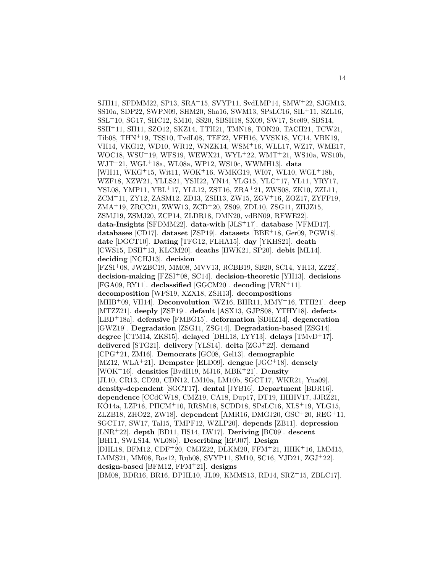SJH11, SFDMM22, SP13, SRA<sup>+</sup>15, SVYP11, SvdLMP14, SMW<sup>+</sup>22, SJGM13, SS10a, SDP22, SWPN09, SHM20, Sha16, SWM13, SPsLC16, SIL<sup>+</sup>11, SZL16, SSL<sup>+</sup>10, SG17, SHC12, SM10, SS20, SBSH18, SX09, SW17, Ste09, SBS14, SSH<sup>+</sup>11, SH11, SZO12, SKZ14, TTH21, TMN18, TON20, TACH21, TCW21, Tib08, THN<sup>+</sup>19, TSS10, TvdL08, TEF22, VFH16, VVSK18, VC14, VBK19, VH14, VKG12, WD10, WR12, WNZK14, WSM<sup>+</sup>16, WLL17, WZ17, WME17, WOC18, WSU<sup>+</sup>19, WFS19, WEWX21, WYL<sup>+</sup>22, WMT<sup>+</sup>21, WS10a, WS10b, WJT<sup>+</sup>21, WGL<sup>+</sup>18a, WL08a, WP12, WS10c, WWMH13]. **data** [WH11, WKG<sup>+</sup>15, Wit11, WOK<sup>+</sup>16, WMKG19, WI07, WL10, WGL<sup>+</sup>18b, WZF18, XZW21, YLLS21, YSH22, YN14, YLG15, YLC<sup>+</sup>17, YL11, YRY17, YSL08, YMP11, YBL<sup>+</sup>17, YLL12, ZST16, ZRA<sup>+</sup>21, ZWS08, ZK10, ZZL11, ZCM<sup>+</sup>11, ZY12, ZASM12, ZD13, ZSH13, ZW15, ZGV<sup>+</sup>16, ZOZ17, ZYFF19, ZMA<sup>+</sup>19, ZRCC21, ZWW13, ZCD<sup>+</sup>20, ZS09, ZDL10, ZSG11, ZHJZ15, ZSMJ19, ZSMJ20, ZCP14, ZLDR18, DMN20, vdBN09, RFWE22]. **data-Insights** [SFDMM22]. **data-with** [JLS<sup>+</sup>17]. **database** [VFMD17]. **databases** [CD17]. **dataset** [ZSP19]. **datasets** [BBE<sup>+</sup>18, Ger09, PGW18]. **date** [DGCT10]. **Dating** [TFG12, FLHA15]. **day** [YKHS21]. **death** [CWS15, DSH<sup>+</sup>13, KLCM20]. **deaths** [HWK21, SP20]. **debit** [ML14]. **deciding** [NCHJ13]. **decision** [FZSI<sup>+</sup>08, JWZBC19, MM08, MVV13, RCBB19, SB20, SC14, YH13, ZZ22]. **decision-making** [FZSI<sup>+</sup>08, SC14]. **decision-theoretic** [YH13]. **decisions** [FGA09, RY11]. **declassified** [GGCM20]. **decoding** [VRN<sup>+</sup>11]. **decomposition** [WFS19, XZX18, ZSH13]. **decompositions** [MHB<sup>+</sup>09, VH14]. **Deconvolution** [WZ16, BHR11, MMY<sup>+</sup>16, TTH21]. **deep** [MTZZ21]. **deeply** [ZSP19]. **default** [ASX13, GJPS08, YTHY18]. **defects** [LBD<sup>+</sup>18a]. **defensive** [FMBG15]. **deformation** [SDHZ14]. **degeneration** [GWZ19]. **Degradation** [ZSG11, ZSG14]. **Degradation-based** [ZSG14]. **degree** [CTM14, ZKS15]. **delayed** [DHL18, LYY13]. **delays** [TMvD<sup>+</sup>17]. **delivered** [STG21]. **delivery** [YLS14]. **delta** [ZGJ<sup>+</sup>22]. **demand** [CPG<sup>+</sup>21, ZM16]. **Democrats** [GC08, Gel13]. **demographic** [MZ12, WLA<sup>+</sup>21]. **Dempster** [ELD09]. **dengue** [JGC<sup>+</sup>18]. **densely** [WOK<sup>+</sup>16]. **densities** [BvdH19, MJ16, MBK<sup>+</sup>21]. **Density** [JL10, CR13, CD20, CDN12, LM10a, LM10b, SGCT17, WKR21, Yua09]. **density-dependent** [SGCT17]. **dental** [JYB16]. **Department** [BDR16]. **dependence** [CCdCW18, CMZ19, CA18, Dup17, DT19, HHHV17, JJRZ21, KÓ14a, LZP16, PHCM+10, RRSM18, SCDD18, SPsLC16, XLS+19, YLG15, ZLZB18, ZHO22, ZW18]. **dependent** [AMR16, DMGJ20, GSC<sup>+</sup>20, REG<sup>+</sup>11, SGCT17, SW17, Tal15, TMPF12, WZLP20]. **depends** [ZB11]. **depression** [LNR<sup>+</sup>22]. **depth** [BD11, HS14, LW17]. **Deriving** [BC09]. **descent** [BH11, SWLS14, WL08b]. **Describing** [EFJ07]. **Design** [DHL18, BFM12, CDF<sup>+</sup>20, CMJZ22, DLKM20, FFM<sup>+</sup>21, HHK<sup>+</sup>16, LMM15, LMMS21, MM08, Ros12, Rub08, SVYP11, SM10, SC16, YJD21, ZGJ<sup>+</sup>22]. **design-based** [BFM12, FFM<sup>+</sup>21]. **designs** [BM08, BDR16, BR16, DPHL10, JL09, KMMS13, RD14, SRZ<sup>+</sup>15, ZBLC17].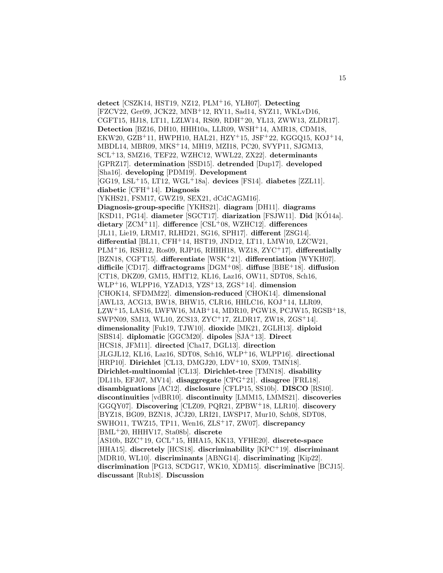**detect** [CSZK14, HST19, NZ12, PLM<sup>+</sup>16, YLH07]. **Detecting** [FZCV22, Ger09, JCK22, MNB<sup>+</sup>12, RY11, Sad14, SYZ11, WKLvD16, CGFT15, HJ18, LT11, LZLW14, RS09, RDH<sup>+</sup>20, YL13, ZWW13, ZLDR17]. **Detection** [BZ16, DH10, HHH10a, LLR09, WSH<sup>+</sup>14, AMR18, CDM18, EKW20, GZB<sup>+</sup>11, HWPH10, HAL21, HZY<sup>+</sup>15, JSF<sup>+</sup>22, KGGQ15, KOJ<sup>+</sup>14, MBDL14, MBR09, MKS<sup>+</sup>14, MH19, MZI18, PC20, SVYP11, SJGM13, SCL<sup>+</sup>13, SMZ16, TEF22, WZHC12, WWL22, ZX22]. **determinants** [GPRZ17]. **determination** [SSD15]. **detrended** [Dup17]. **developed** [Sha16]. **developing** [PDM19]. **Development** [GG19, LSL<sup>+</sup>15, LT12, WGL<sup>+</sup>18a]. **devices** [FS14]. **diabetes** [ZZL11]. **diabetic** [CFH<sup>+</sup>14]. **Diagnosis** [YKHS21, FSM17, GWZ19, SEX21, dCdCAGM16]. **Diagnosis-group-specific** [YKHS21]. **diagram** [DH11]. **diagrams** [KSD11, PG14]. **diameter** [SGCT17]. **diarization** [FSJW11]. **Did** [KO14a]. ´ **dietary** [ZCM<sup>+</sup>11]. **difference** [CSL<sup>+</sup>08, WZHC12]. **differences** [JL11, Lie19, LRM17, RLHD21, SG16, SPH17]. **different** [ZSG14]. **differential** [BL11, CFH<sup>+</sup>14, HST19, JND12, LT11, LMW10, LZCW21, PLM<sup>+</sup>16, RSH12, Ros09, RJP16, RHHH18, WZ18, ZYC<sup>+</sup>17]. **differentially** [BZN18, CGFT15]. **differentiate** [WSK<sup>+</sup>21]. **differentiation** [WYKH07]. **difficile** [CD17]. **diffractograms** [DGM<sup>+</sup>08]. **diffuse** [BBE<sup>+</sup>18]. **diffusion** [CT18, DKZ09, GM15, HMT12, KL16, Laz16, OW11, SDT08, Sch16, WLP<sup>+</sup>16, WLPP16, YZAD13, YZS<sup>+</sup>13, ZGS<sup>+</sup>14]. **dimension** [CHOK14, SFDMM22]. **dimension-reduced** [CHOK14]. **dimensional** [AWL13, ACG13, BW18, BHW15, CLR16, HHLC16, KOJ<sup>+</sup>14, LLR09,  $LZW+15$ , LAS16, LWFW16, MAB+14, MDR10, PGW18, PCJW15, RGSB+18, SWPN09, SM13, WL10, ZCS13, ZYC<sup>+</sup>17, ZLDR17, ZW18, ZGS<sup>+</sup>14]. **dimensionality** [Fuk19, TJW10]. **dioxide** [MK21, ZGLH13]. **diploid** [SBS14]. **diplomatic** [GGCM20]. **dipoles** [SJA<sup>+</sup>13]. **Direct** [HCS18, JFM11]. **directed** [Cha17, DGL13]. **direction** [JLGJL12, KL16, Laz16, SDT08, Sch16, WLP<sup>+</sup>16, WLPP16]. **directional** [HRP10]. **Dirichlet** [CL13, DMGJ20, LDV<sup>+</sup>10, SX09, TMN18]. **Dirichlet-multinomial** [CL13]. **Dirichlet-tree** [TMN18]. **disability** [DL11b, EFJ07, MV14]. **disaggregate** [CPG<sup>+</sup>21]. **disagree** [FRL18]. **disambiguations** [AC12]. **disclosure** [CFLP15, SS10b]. **DISCO** [RS10]. **discontinuities** [vdBR10]. **discontinuity** [LMM15, LMMS21]. **discoveries** [GGQY07]. **Discovering** [CLZ09, PQR21, ZPBW<sup>+</sup>18, LLR10]. **discovery** [BYZ18, BG09, BZN18, JCJ20, LRI21, LWSP17, Mur10, Sch08, SDT08, SWHO11, TWZ15, TP11, Wen16, ZLS<sup>+</sup>17, ZW07]. **discrepancy** [BML<sup>+</sup>20, HHHV17, Sta08b]. **discrete** [AS10b, BZC<sup>+</sup>19, GCL<sup>+</sup>15, HHA15, KK13, YFHE20]. **discrete-space** [HHA15]. **discretely** [HCS18]. **discriminability** [KPC<sup>+</sup>19]. **discriminant** [MDR10, WL10]. **discriminants** [ABNG14]. **discriminating** [Kip22]. **discrimination** [PG13, SCDG17, WK10, XDM15]. **discriminative** [BCJ15]. **discussant** [Rub18]. **Discussion**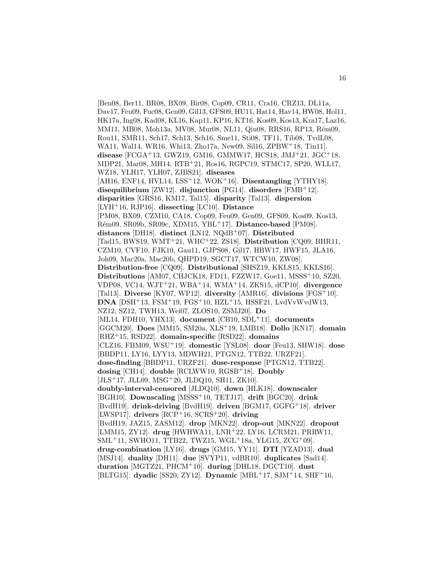[Ben08, Ber11, BR08, BX09, Bir08, Cop09, CR11, Cra16, CRZ13, DL11a, Dav17, Feu09, Fuc08, Gen09, Gil13, GFS09, HU11, Hat14, Hav14, HW08, Hol11, HK17a, Ing08, Kad08, KL16, Kap11, KP16, KT16, Kos09, Kos13, Kra17, Laz16, MM11, MB08, Moh13a, MV08, Mur08, NL11, Qiu08, RRS16, RP13, Rém09, Rou11, SMR11, Sch17, Sch13, Sch16, Sme11, Sti08, TF11, Tib08, TvdL08, WA11, Wal14, WR16, Whi13, Zho17a, New09, Sil16, ZPBW<sup>+</sup>18, Tin11]. **disease** [FCGA<sup>+</sup>13, GWZ19, GM16, GMMW17, HCS18, JMJ<sup>+</sup>21, JGC<sup>+</sup>18, MDP21, Mar08, MH14, RTB<sup>+</sup>21, Ros16, RGPC19, STMC17, SP20, WLL17, WZ18, YLH17, YLH07, ZJBS21]. **diseases** [AH16, ENF14, HVL14, LSS<sup>+</sup>12, WOK<sup>+</sup>16]. **Disentangling** [YTHY18]. **disequilibrium** [ZW12]. **disjunction** [PG14]. **disorders** [FMB<sup>+</sup>12]. **disparities** [GRS16, KM17, Tal15]. **disparity** [Tal13]. **dispersion** [LYH<sup>+</sup>16, RJP16]. **dissecting** [LC10]. **Distance** [PM08, BX09, CZM10, CA18, Cop09, Feu09, Gen09, GFS09, Kos09, Kos13, R´em09, SR09b, SR09c, XDM15, YBL<sup>+</sup>17]. **Distance-based** [PM08]. **distances** [DH18]. **distinct** [LN12, NQdB<sup>+</sup>07]. **Distributed** [Tad15, BWS19, WMT<sup>+</sup>21, WHC<sup>+</sup>22, ZS18]. **Distribution** [CQ09, BHR11, CZM10, CVF10, FJK10, Gau11, GJPS08, Gil17, HBW17, HWF15, JLA16, Joh09, Mac20a, Mac20b, QHPD19, SGCT17, WTCW10, ZW08]. **Distribution-free** [CQ09]. **Distributional** [SHSZ19, KKLS15, KKLS16]. **Distributions** [AM07, CHJCK18, FD11, FZZW17, Goe11, MSSS<sup>+</sup>10, SZ20, VDP08, VC14, WJT<sup>+</sup>21, WBA<sup>+</sup>14, WMA<sup>+</sup>14, ZKS15, dCP10]. **divergence** [Tal13]. **Diverse** [KY07, WP12]. **diversity** [AMR16]. **divisions** [FGS<sup>+</sup>10]. **DNA** [DSH<sup>+</sup>13, FSM<sup>+</sup>19, FGS<sup>+</sup>10, HZL<sup>+</sup>15, HSSF21, LvdVvWvdW13, NZ12, SZ12, TWH13, Wei07, ZLOS10, ZSMJ20]. **Do** [ML14, FDH10, YHX13]. **document** [CB10, SDL<sup>+</sup>11]. **documents** [GGCM20]. **Does** [MM15, SM20a, XLS<sup>+</sup>19, LMB18]. **Dollo** [KN17]. **domain** [RHZ<sup>+</sup>15, RSD22]. **domain-specific** [RSD22]. **domains** [CLZ16, FBM09, WSU<sup>+</sup>19]. **domestic** [YSL08]. **door** [Feu13, SHW18]. **dose** [BBDP11, LY16, LYY13, MDWH21, PTGN12, TTB22, URZF21]. **dose-finding** [BBDP11, URZF21]. **dose-response** [PTGN12, TTB22]. **dosing** [CH14]. **double** [RCLWW10, RGSB<sup>+</sup>18]. **Doubly** [JLS<sup>+</sup>17, JLL09, MSG<sup>+</sup>20, JLDQ10, SH11, ZK10]. **doubly-interval-censored** [JLDQ10]. **down** [HLK18]. **downscaler** [BGH10]. **Downscaling** [MSSS<sup>+</sup>10, TETJ17]. **drift** [BGC20]. **drink** [BvdH19]. **drink-driving** [BvdH19]. **driven** [BGM17, GGFG<sup>+</sup>18]. **driver** [LWSP17]. **drivers** [RCP<sup>+</sup>16, SCRS<sup>+</sup>20]. **driving** [BvdH19, JAZ15, ZASM12]. **drop** [MKN22]. **drop-out** [MKN22]. **dropout** [LMM15, ZY12]. **drug** [HWHWA11, LNR<sup>+</sup>22, LY16, LCRM21, PRRW11, SML<sup>+</sup>11, SWHO11, TTB22, TWZ15, WGL<sup>+</sup>18a, YLG15, ZCG<sup>+</sup>09]. **drug-combination** [LY16]. **drugs** [GM15, YY11]. **DTI** [YZAD13]. **dual** [MSJ14]. **duality** [DH11]. **due** [SVYP11, vdBR10]. **duplicates** [Sad14]. **duration** [MGTZ21, PHCM<sup>+</sup>10]. **during** [DHL18, DGCT10]. **dust** [BLTG15]. **dyadic** [SS20, ZY12]. **Dynamic** [MBL<sup>+</sup>17, SJM<sup>+</sup>14, SHF<sup>+</sup>16,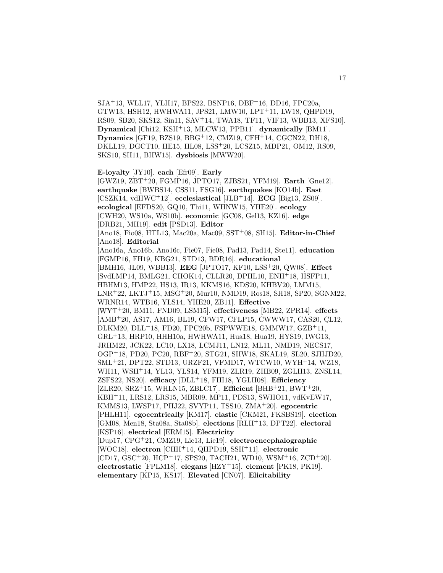SJA<sup>+</sup>13, WLL17, YLH17, BPS22, BSNP16, DBF<sup>+</sup>16, DD16, FPC20a, GTW13, HSH12, HWHWA11, JPS21, LMW10, LPT<sup>+</sup>11, LW18, QHPD19, RS09, SB20, SKS12, Sin11, SAV<sup>+</sup>14, TWA18, TF11, VIF13, WBB13, XFS10]. **Dynamical** [Chi12, KSH<sup>+</sup>13, MLCW13, PPB11]. **dynamically** [BM11]. **Dynamics** [GF19, BZS19, BBG<sup>+</sup>12, CMZ19, CFH<sup>+</sup>14, CGCN22, DH18, DKLL19, DGCT10, HE15, HL08, LSS<sup>+</sup>20, LCSZ15, MDP21, OM12, RS09, SKS10, SH11, BHW15]. **dysbiosis** [MWW20].

**E-loyalty** [JY10]. **each** [Efr09]. **Early**

[GWZ19, ZBT<sup>+</sup>20, FGMP16, JPTO17, ZJBS21, YFM19]. **Earth** [Gne12]. **earthquake** [BWBS14, CSS11, FSG16]. **earthquakes** [KO14b]. **East** [CSZK14, vdHWC<sup>+</sup>12]. **ecclesiastical** [JLB<sup>+</sup>14]. **ECG** [Big13, ZS09]. **ecological** [EFDS20, GQ10, Thi11, WHNW15, YHE20]. **ecology** [CWH20, WS10a, WS10b]. **economic** [GC08, Gel13, KZ16]. **edge** [DRB21, MH19]. **edit** [PSD13]. **Editor** [Ano18, Fio08, HTL13, Mac20a, Mac09, SST<sup>+</sup>08, SH15]. **Editor-in-Chief** [Ano18]. **Editorial** [Ano16a, Ano16b, Ano16c, Fie07, Fie08, Pad13, Pad14, Ste11]. **education** [FGMP16, FH19, KBG21, STD13, BDR16]. **educational** [BMH16, JL09, WBB13]. **EEG** [JPTO17, KF10, LSS<sup>+</sup>20, QW08]. **Effect** [SvdLMP14, BMLG21, CHOK14, CLLR20, DPHL10, ENH<sup>+</sup>18, HSFP11, HBHM13, HMP22, HS13, IR13, KKMS16, KDS20, KHBV20, LMM15, LNR<sup>+</sup>22, LKTJ<sup>+</sup>15, MSG<sup>+</sup>20, Mur10, NMD19, Ros18, SH18, SP20, SGNM22, WRNR14, WTB16, YLS14, YHE20, ZB11]. **Effective** [WYT<sup>+</sup>20, BM11, FND09, LSM15]. **effectiveness** [MB22, ZPR14]. **effects** [AMB<sup>+</sup>20, AS17, AM16, BL19, CFW17, CFLP15, CWWW17, CAS20, CL12, DLKM20, DLL<sup>+</sup>18, FD20, FPC20b, FSPWWE18, GMMW17, GZB<sup>+</sup>11, GRL<sup>+</sup>13, HRP10, HHH10a, HWHWA11, Hua18, Hua19, HYS19, IWG13, JRHM22, JCK22, LC10, LX18, LCMJ11, LN12, ML11, NMD19, NECS17, OGP<sup>+</sup>18, PD20, PC20, RBF<sup>+</sup>20, STG21, SHW18, SKAL19, SL20, SJHJD20, SML<sup>+</sup>21, DPT22, STD13, URZF21, VFMD17, WTCW10, WYH<sup>+</sup>14, WZ18, WH11, WSH<sup>+</sup>14, YL13, YLS14, YFM19, ZLR19, ZHB09, ZGLH13, ZNSL14, ZSFS22, NS20]. **efficacy** [DLL<sup>+</sup>18, FHI18, YGLH08]. **Efficiency** [ZLR20, SRZ<sup>+</sup>15, WHLN15, ZBLC17]. **Efficient** [BHB<sup>+</sup>21, BWT<sup>+</sup>20, KBH<sup>+</sup>11, LRS12, LRS15, MBR09, MP11, PDS13, SWHO11, vdKvEW17, KMMS13, LWSP17, PHJ22, SVYP11, TSS10, ZMA<sup>+</sup>20]. **egocentric** [PHLH11]. **egocentrically** [KM17]. **elastic** [CKM21, FKSBS19]. **election** [GM08, Men18, Sta08a, Sta08b]. **elections** [RLH<sup>+</sup>13, DPT22]. **electoral** [KSP16]. **electrical** [ERM15]. **Electricity** [Dup17, CPG<sup>+</sup>21, CMZ19, Lie13, Lie19]. **electroencephalographic** [WOC18]. **electron** [CHH<sup>+</sup>14, QHPD19, SSH<sup>+</sup>11]. **electronic** [CD17, GSC<sup>+</sup>20, HCP<sup>+</sup>17, SPS20, TACH21, WD10, WSM<sup>+</sup>16, ZCD<sup>+</sup>20]. **electrostatic** [FPLM18]. **elegans** [HZY<sup>+</sup>15]. **element** [PK18, PK19]. **elementary** [KP15, KS17]. **Elevated** [CN07]. **Elicitability**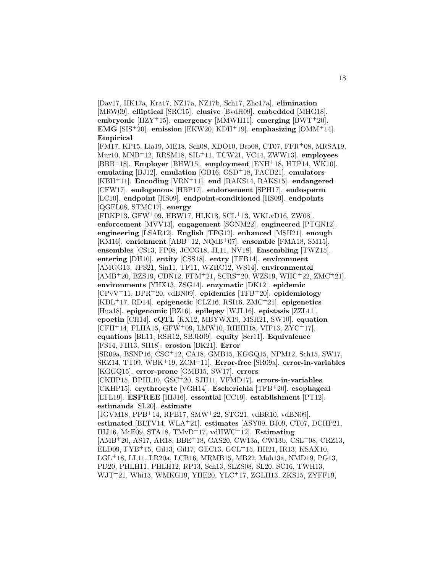[Dav17, HK17a, Kra17, NZ17a, NZ17b, Sch17, Zho17a]. **elimination** [MRW09]. **elliptical** [SRC15]. **elusive** [BvdH09]. **embedded** [MHG18]. **embryonic** [HZY<sup>+</sup>15]. **emergency** [MMWH11]. **emerging** [BWT<sup>+</sup>20]. **EMG** [SIS<sup>+</sup>20]. **emission** [EKW20, KDH<sup>+</sup>19]. **emphasizing** [OMM<sup>+</sup>14]. **Empirical**

[FM17, KP15, Lia19, ME18, Sch08, XDO10, Bro08, CT07, FFR<sup>+</sup>08, MRSA19, Mur10, MNB<sup>+</sup>12, RRSM18, SIL<sup>+</sup>11, TCW21, VC14, ZWW13]. **employees** [BBB<sup>+</sup>18]. **Employer** [BHW15]. **employment** [ENH<sup>+</sup>18, HTP14, WK10]. **emulating** [BJ12]. **emulation** [GB16, GSD<sup>+</sup>18, PACB21]. **emulators** [KBH<sup>+</sup>11]. **Encoding** [VRN<sup>+</sup>11]. **end** [RAKS14, RAKS15]. **endangered** [CFW17]. **endogenous** [HBP17]. **endorsement** [SPH17]. **endosperm** [LC10]. **endpoint** [HS09]. **endpoint-conditioned** [HS09]. **endpoints** [QGFL08, STMC17]. **energy**

[FDKP13, GFW<sup>+</sup>09, HBW17, HLK18, SCL<sup>+</sup>13, WKLvD16, ZW08]. **enforcement** [MVV13]. **engagement** [SGNM22]. **engineered** [PTGN12]. **engineering** [LSAR12]. **English** [TFG12]. **enhanced** [MSH21]. **enough** [KM16]. **enrichment** [ABB<sup>+</sup>12, NQdB<sup>+</sup>07]. **ensemble** [FMA18, SM15]. **ensembles** [CS13, FP08, JCCG18, JL11, NV18]. **Ensembling** [TWZ15]. **entering** [DH10]. **entity** [CSS18]. **entry** [TFB14]. **environment** [AMGG13, JPS21, Sin11, TF11, WZHC12, WS14]. **environmental** [AMB<sup>+</sup>20, BZS19, CDN12, FFM<sup>+</sup>21, SCRS<sup>+</sup>20, WZS19, WHC<sup>+</sup>22, ZMC<sup>+</sup>21]. **environments** [YHX13, ZSG14]. **enzymatic** [DK12]. **epidemic** [CPvV<sup>+</sup>11, DPR<sup>+</sup>20, vdBN09]. **epidemics** [TFB<sup>+</sup>20]. **epidemiology** [KDL<sup>+</sup>17, RD14]. **epigenetic** [CLZ16, RSI16, ZMC<sup>+</sup>21]. **epigenetics** [Hua18]. **epigenomic** [BZ16]. **epilepsy** [WJL16]. **epistasis** [ZZL11]. **epoetin** [CH14]. **eQTL** [KX12, MBYWX19, MSH21, SW10]. **equation**  $[CFH<sup>+</sup>14, FLHA15, GFW<sup>+</sup>09, LMW10, RHHH18, VIF13, ZYC<sup>+</sup>17].$ **equations** [BL11, RSH12, SBJR09]. **equity** [Ser11]. **Equivalence** [FS14, FH13, SH18]. **erosion** [BK21]. **Error** [SR09a, BSNP16, CSC<sup>+</sup>12, CA18, GMB15, KGGQ15, NPM12, Sch15, SW17, SKZ14, TT09, WBK<sup>+</sup>19, ZCM<sup>+</sup>11]. **Error-free** [SR09a]. **error-in-variables** [KGGQ15]. **error-prone** [GMB15, SW17]. **errors** [CKHP15, DPHL10, GSC<sup>+</sup>20, SJH11, VFMD17]. **errors-in-variables** [CKHP15]. **erythrocyte** [VGH14]. **Escherichia** [TFB<sup>+</sup>20]. **esophageal** [LTL19]. **ESPREE** [IHJ16]. **essential** [CC19]. **establishment** [PT12]. **estimands** [SL20]. **estimate** [JGVM18, PPB<sup>+</sup>14, RFB17, SMW<sup>+</sup>22, STG21, vdBR10, vdBN09]. **estimated** [BLTV14, WLA<sup>+</sup>21]. **estimates** [ASY09, BJ09, CT07, DCHP21, IHJ16, McE09, STA18, TMvD<sup>+</sup>17, vdHWC<sup>+</sup>12]. **Estimating** [AMB<sup>+</sup>20, AS17, AR18, BBE<sup>+</sup>18, CAS20, CW13a, CW13b, CSL<sup>+</sup>08, CRZ13, ELD09, FYB<sup>+</sup>15, Gil13, Gil17, GEC13, GCL<sup>+</sup>15, HH21, IR13, KSAX10, LGL<sup>+</sup>18, LL11, LR20a, LCB16, MRMB15, MB22, Moh13a, NMD19, PG13, PD20, PHLH11, PHLH12, RP13, Sch13, SLZS08, SL20, SC16, TWH13, WJT<sup>+</sup>21, Whi13, WMKG19, YHE20, YLC<sup>+</sup>17, ZGLH13, ZKS15, ZYFF19,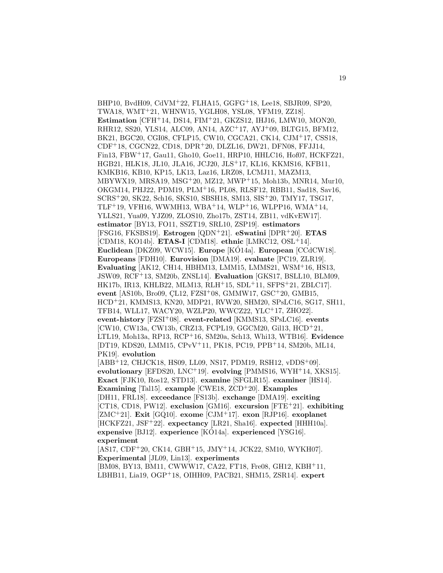BHP10, BvdH09, CdVM<sup>+</sup>22, FLHA15, GGFG<sup>+</sup>18, Lee18, SBJR09, SP20, TWA18, WMT<sup>+</sup>21, WHNW15, YGLH08, YSL08, YFM19, ZZ18]. **Estimation** [CFH<sup>+</sup>14, DS14, FIM<sup>+</sup>21, GKZS12, IHJ16, LMW10, MON20, RHR12, SS20, YLS14, ALC09, AN14, AZC<sup>+</sup>17, AYJ<sup>+</sup>09, BLTG15, BFM12, BK21, BGC20, CGI08, CFLP15, CW10, CGCA21, CK14, CJM<sup>+</sup>17, CSS18, CDF<sup>+</sup>18, CGCN22, CD18, DPR<sup>+</sup>20, DLZL16, DW21, DFN08, FFJJ14, Fin13, FBW<sup>+</sup>17, Gau11, Gho10, Goe11, HRP10, HHLC16, Hof07, HCKFZ21, HGB21, HLK18, JL10, JLA16, JCJ20, JLS<sup>+</sup>17, KL16, KKMS16, KFB11, KMKB16, KB10, KP15, LK13, Laz16, LRZ08, LCMJ11, MAZM13, MBYWX19, MRSA19, MSG<sup>+</sup>20, MZ12, MWP<sup>+</sup>15, Moh13b, MNR14, Mur10, OKGM14, PHJ22, PDM19, PLM<sup>+</sup>16, PL08, RLSF12, RBB11, Sad18, Sav16, SCRS<sup>+</sup>20, SK22, Sch16, SKS10, SBSH18, SM13, SIS<sup>+</sup>20, TMY17, TSG17, TLF<sup>+</sup>19, VFH16, WWMH13, WBA<sup>+</sup>14, WLP<sup>+</sup>16, WLPP16, WMA<sup>+</sup>14, YLLS21, Yua09, YJZ09, ZLOS10, Zho17b, ZST14, ZB11, vdKvEW17]. **estimator** [BY13, FO11, SSZT19, SRL10, ZSP19]. **estimators** [FSG16, FKSBS19]. **Estrogen** [QDN<sup>+</sup>21]. **eSwatini** [DPR<sup>+</sup>20]. **ETAS** [CDM18, KO14b]. **ETAS-I** [CDM18]. **ethnic** [LMKC12, OSL<sup>+</sup>14]. **Euclidean** [DKZ09, WCW15]. **Europe** [KÓ14a]. **European** [CCdCW18]. **Europeans** [FDH10]. **Eurovision** [DMA19]. **evaluate** [PC19, ZLR19]. **Evaluating** [AK12, CH14, HBHM13, LMM15, LMMS21, WSM<sup>+</sup>16, HS13, JSW09, RCF<sup>+</sup>13, SM20b, ZNSL14]. **Evaluation** [GKS17, BSLL10, BLM09, HK17b, IR13, KHLB22, MLM13, RLH<sup>+</sup>15, SDL<sup>+</sup>11, SFPS<sup>+</sup>21, ZBLC17]. **event** [AS10b, Bro09, CL12, FZSI<sup>+</sup>08, GMMW17, GSC<sup>+</sup>20, GMB15, HCD<sup>+</sup>21, KMMS13, KN20, MDP21, RVW20, SHM20, SPsLC16, SG17, SH11, TFB14, WLL17, WACY20, WZLP20, WWCZ22, YLC<sup>+</sup>17, ZHO22]. **event-history** [FZSI<sup>+</sup>08]. **event-related** [KMMS13, SPsLC16]. **events** [CW10, CW13a, CW13b, CRZ13, FCPL19, GGCM20, Gil13, HCD<sup>+</sup>21, LTL19, Moh13a, RP13, RCP<sup>+</sup>16, SM20a, Sch13, Whi13, WTB16]. **Evidence** [DT19, KDS20, LMM15, CPvV<sup>+</sup>11, PK18, PC19, PPB<sup>+</sup>14, SM20b, ML14, PK19]. **evolution**

[ABB<sup>+</sup>12, CHJCK18, HS09, LL09, NS17, PDM19, RSH12, vDDS<sup>+</sup>09]. **evolutionary** [EFDS20, LNC<sup>+</sup>19]. **evolving** [PMMS16, WYH<sup>+</sup>14, XKS15]. **Exact** [FJK10, Ros12, STD13]. **examine** [SFGLR15]. **examiner** [HS14]. **Examining** [Tal15]. **example** [CWE18, ZCD<sup>+</sup>20]. **Examples** [DH11, FRL18]. **exceedance** [FS13b]. **exchange** [DMA19]. **exciting** [CT18, CD18, PW12]. **exclusion** [GM16]. **excursion** [FTE<sup>+</sup>21]. **exhibiting** [ZMC<sup>+</sup>21]. **Exit** [GQ10]. **exome** [CJM<sup>+</sup>17]. **exon** [RJP16]. **exoplanet** [HCKFZ21, JSF<sup>+</sup>22]. **expectancy** [LR21, Sha16]. **expected** [HHH10a]. **expensive** [BJ12]. **experience** [KO14a]. **experienced** [YSG16]. **experiment**

[AS17, CDF<sup>+</sup>20, CK14, GBH<sup>+</sup>15, JMY<sup>+</sup>14, JCK22, SM10, WYKH07]. **Experimental** [JL09, Lin13]. **experiments** [BM08, BY13, BM11, CWWW17, CA22, FT18, Fre08, GH12, KBH<sup>+</sup>11,

LBHB11, Lia19, OGP<sup>+</sup>18, OIHH09, PACB21, SHM15, ZSR14]. **expert**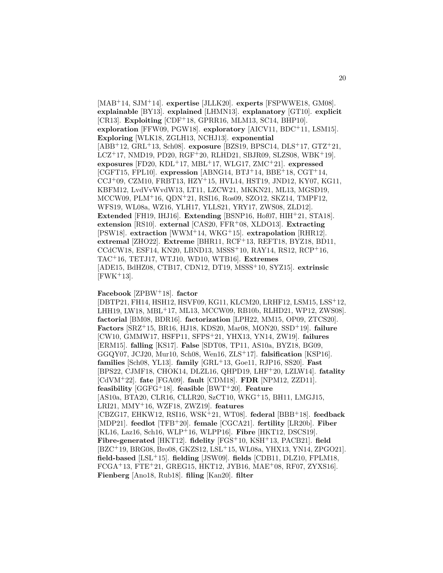[MAB<sup>+</sup>14, SJM<sup>+</sup>14]. **expertise** [JLLK20]. **experts** [FSPWWE18, GM08]. **explainable** [BY13]. **explained** [LHMN13]. **explanatory** [GT10]. **explicit** [CR13]. **Exploiting** [CDF<sup>+</sup>18, GPRR16, MLM13, SC14, BHP10]. **exploration** [FFW09, PGW18]. **exploratory** [AICV11, BDC<sup>+</sup>11, LSM15]. **Exploring** [WLK18, ZGLH13, NCHJ13]. **exponential** [ABB<sup>+</sup>12, GRL<sup>+</sup>13, Sch08]. **exposure** [BZS19, BPSC14, DLS<sup>+</sup>17, GTZ<sup>+</sup>21,  $LCZ^{+}17$ , NMD19, PD20, RGF<sup>+</sup>20, RLHD21, SBJR09, SLZS08, WBK<sup>+</sup>19]. **exposures**  $[FD20, KDL+17, MBL+17, WLG17, ZMC+21]$ . **expressed** [CGFT15, FPL10]. **expression** [ABNG14, BTJ<sup>+</sup>14, BBE<sup>+</sup>18, CGT<sup>+</sup>14, CCJ<sup>+</sup>09, CZM10, FRBT13, HZY<sup>+</sup>15, HVL14, HST19, JND12, KY07, KG11, KBFM12, LvdVvWvdW13, LT11, LZCW21, MKKN21, ML13, MGSD19, MCCW09, PLM<sup>+</sup>16, QDN<sup>+</sup>21, RSI16, Ros09, SZO12, SKZ14, TMPF12, WFS19, WL08a, WZ16, YLH17, YLLS21, YRY17, ZWS08, ZLD12]. **Extended** [FH19, IHJ16]. **Extending** [BSNP16, Hof07, HIH<sup>+</sup>21, STA18]. **extension** [RS10]. **external** [CAS20, FFR<sup>+</sup>08, XLDO13]. **Extracting** [PSW18]. **extraction** [WWM<sup>+</sup>14, WKG<sup>+</sup>15]. **extrapolation** [RHR12]. **extremal** [ZHO22]. **Extreme** [BHR11, RCF<sup>+</sup>13, REFT18, BYZ18, BD11, CCdCW18, ESF14, KN20, LBND13, MSSS<sup>+</sup>10, RAY14, RS12, RCP<sup>+</sup>16, TAC<sup>+</sup>16, TETJ17, WTJ10, WD10, WTB16]. **Extremes** [ADE15, BdHZ08, CTB17, CDN12, DT19, MSSS<sup>+</sup>10, SYZ15]. **extrinsic**  $[FWK+13]$ .

#### **Facebook** [ZPBW<sup>+</sup>18]. **factor**

[DBTP21, FH14, HSH12, HSVF09, KG11, KLCM20, LRHF12, LSM15, LSS<sup>+</sup>12, LHH19, LW18, MBL<sup>+</sup>17, ML13, MCCW09, RB10b, RLHD21, WP12, ZWS08]. **factorial** [BM08, BDR16]. **factorization** [LPH22, MM15, OP09, ZTCS20]. **Factors** [SRZ<sup>+</sup>15, BR16, HJ18, KDS20, Mar08, MON20, SSD<sup>+</sup>19]. **failure** [CW10, GMMW17, HSFP11, SFPS<sup>+</sup>21, YHX13, YN14, ZW19]. **failures** [ERM15]. **falling** [KS17]. **False** [SDT08, TP11, AS10a, BYZ18, BG09, GGQY07, JCJ20, Mur10, Sch08, Wen16, ZLS<sup>+</sup>17]. **falsification** [KSP16]. **families** [Sch08, YL13]. **family** [GRL<sup>+</sup>13, Goe11, RJP16, SS20]. **Fast** [BPS22, CJMF18, CHOK14, DLZL16, QHPD19, LHF<sup>+</sup>20, LZLW14]. **fatality** [CdVM<sup>+</sup>22]. **fate** [FGA09]. **fault** [CDM18]. **FDR** [NPM12, ZZD11]. **feasibility** [GGFG<sup>+</sup>18]. **feasible** [BWT<sup>+</sup>20]. **Feature** [AS10a, BTA20, CLR16, CLLR20, SzCT10, WKG<sup>+</sup>15, BH11, LMGJ15, LRI21, MMY<sup>+</sup>16, WZF18, ZWZ19]. **features** [CBZG17, EHKW12, RSI16, WSK<sup>+</sup>21, WT08]. **federal** [BBB<sup>+</sup>18]. **feedback** [MDP21]. **feedlot** [TFB<sup>+</sup>20]. **female** [CGCA21]. **fertility** [LR20b]. **Fiber** [KL16, Laz16, Sch16, WLP<sup>+</sup>16, WLPP16]. **Fibre** [HKT12, DSCS19]. **Fibre-generated** [HKT12]. **fidelity** [FGS<sup>+</sup>10, KSH<sup>+</sup>13, PACB21]. **field** [BZC<sup>+</sup>19, BRG08, Bro08, GKZS12, LSL<sup>+</sup>15, WL08a, YHX13, YN14, ZPGO21]. **field-based** [LSL<sup>+</sup>15]. **fielding** [JSW09]. **fields** [CDB11, DLZ10, FPLM18,  $FCGA+13, FTE+21, GREG15, HKT12, JYB16, MAE+08, RFO7, ZYXS16].$ **Fienberg** [Ano18, Rub18]. **filing** [Kan20]. **filter**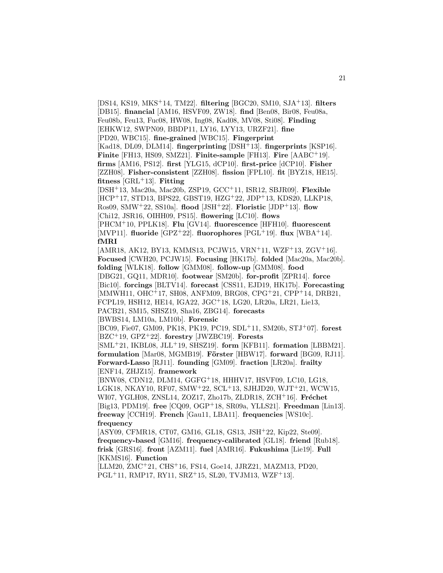[DS14, KS19, MKS<sup>+</sup>14, TM22]. **filtering** [BGC20, SM10, SJA<sup>+</sup>13]. **filters** [DB15]. **financial** [AM16, HSVF09, ZW18]. **find** [Ben08, Bir08, Feu08a, Feu08b, Feu13, Fuc08, HW08, Ing08, Kad08, MV08, Sti08]. **Finding** [EHKW12, SWPN09, BBDP11, LY16, LYY13, URZF21]. **fine** [PD20, WBC15]. **fine-grained** [WBC15]. **Fingerprint** [Kad18, DL09, DLM14]. **fingerprinting** [DSH<sup>+</sup>13]. **fingerprints** [KSP16]. **Finite** [FH13, HS09, SMZ21]. **Finite-sample** [FH13]. **Fire** [AABC<sup>+</sup>19]. **firms** [AM16, PS12]. **first** [YLG15, dCP10]. **first-price** [dCP10]. **Fisher** [ZZH08]. **Fisher-consistent** [ZZH08]. **fission** [FPL10]. **fit** [BYZ18, HE15]. **fitness** [GRL<sup>+</sup>13]. **Fitting** [DSH<sup>+</sup>13, Mac20a, Mac20b, ZSP19, GCC<sup>+</sup>11, ISR12, SBJR09]. **Flexible** [HCP<sup>+</sup>17, STD13, BPS22, GBST19, HZG<sup>+</sup>22, JDP<sup>+</sup>13, KDS20, LLKP18, Ros09, SMW<sup>+</sup>22, SS10a]. **flood** [JSH<sup>+</sup>22]. **Floristic** [JDP<sup>+</sup>13]. **flow** [Chi12, JSR16, OIHH09, PS15]. **flowering** [LC10]. **flows** [PHCM<sup>+</sup>10, PPLK18]. **Flu** [GV14]. **fluorescence** [HFH10]. **fluorescent** [MVP11]. **fluoride** [GPZ<sup>+</sup>22]. **fluorophores** [PGL<sup>+</sup>19]. **flux** [WBA<sup>+</sup>14]. **fMRI** [AMR18, AK12, BY13, KMMS13, PCJW15, VRN<sup>+</sup>11, WZF<sup>+</sup>13, ZGV<sup>+</sup>16]. **Focused** [CWH20, PCJW15]. **Focusing** [HK17b]. **folded** [Mac20a, Mac20b]. **folding** [WLK18]. **follow** [GMM08]. **follow-up** [GMM08]. **food** [DBG21, GQ11, MDR10]. **footwear** [SM20b]. **for-profit** [ZPR14]. **force** [Bic10]. **forcings** [BLTV14]. **forecast** [CSS11, EJD19, HK17b]. **Forecasting** [MMWH11, OHC<sup>+</sup>17, SH08, ANFM09, BRG08, CPG<sup>+</sup>21, CPP<sup>+</sup>14, DRB21, FCPL19, HSH12, HE14, IGA22, JGC<sup>+</sup>18, LG20, LR20a, LR21, Lie13, PACB21, SM15, SHSZ19, Sha16, ZBG14]. **forecasts** [BWBS14, LM10a, LM10b]. **Forensic** [BC09, Fie07, GM09, PK18, PK19, PC19, SDL<sup>+</sup>11, SM20b, STJ<sup>+</sup>07]. **forest** [BZC<sup>+</sup>19, GPZ<sup>+</sup>22]. **forestry** [JWZBC19]. **Forests** [SML<sup>+</sup>21, IKBL08, JLL<sup>+</sup>19, SHSZ19]. **form** [KFB11]. **formation** [LBBM21]. **formulation** [Mar08, MGMB19]. **Förster** [HBW17]. **forward** [BG09, RJ11]. **Forward-Lasso** [RJ11]. **founding** [GM09]. **fraction** [LR20a]. **frailty** [ENF14, ZHJZ15]. **framework** [BNW08, CDN12, DLM14, GGFG<sup>+</sup>18, HHHV17, HSVF09, LC10, LG18, LGK18, NKAY10, RF07, SMW<sup>+</sup>22, SCL<sup>+</sup>13, SJHJD20, WJT<sup>+</sup>21, WCW15, WI07, YGLH08, ZNSL14, ZOZ17, Zho17b, ZLDR18, ZCH<sup>+</sup>16]. **Fréchet** [Big13, PDM19]. **free** [CQ09, OGP<sup>+</sup>18, SR09a, YLLS21]. **Freedman** [Lin13]. **freeway** [CCH19]. **French** [Gau11, LBA11]. **frequencies** [WS10c]. **frequency** [ASY09, CFMR18, CT07, GM16, GL18, GS13, JSH<sup>+</sup>22, Kip22, Ste09]. **frequency-based** [GM16]. **frequency-calibrated** [GL18]. **friend** [Rub18]. **frisk** [GRS16]. **front** [AZM11]. **fuel** [AMR16]. **Fukushima** [Lie19]. **Full** [KKMS16]. **Function** [LLM20, ZMC<sup>+</sup>21, CHS<sup>+</sup>16, FS14, Goe14, JJRZ21, MAZM13, PD20,  $PGL+11$ , RMP17, RY11, SRZ $+15$ , SL20, TVJM13, WZF $+13$ .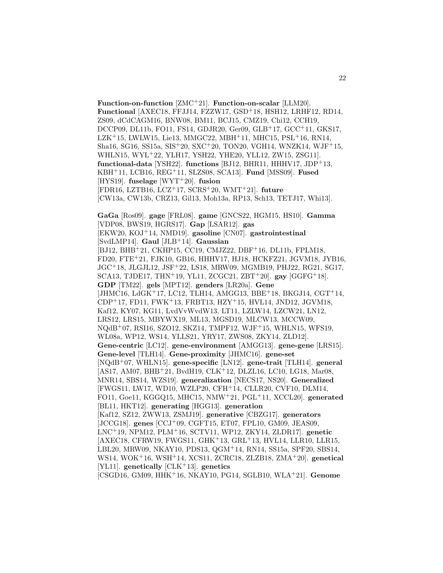**Function-on-function** [ZMC<sup>+</sup>21]. **Function-on-scalar** [LLM20]. **Functional** [AXEC18, FFJJ14, FZZW17, GSD<sup>+</sup>18, HSH12, LRHF12, RD14, ZS09, dCdCAGM16, BNW08, BM11, BCJ15, CMZ19, Chi12, CCH19, DCCP09, DL11b, FO11, FS14, GDJR20, Ger09, GLB<sup>+</sup>17, GCC<sup>+</sup>11, GKS17,  $LZK+15$ , LWLW15, Lie13, MMGC22, MBH<sup>+</sup>11, MHC15, PSL<sup>+</sup>16, RN14, Sha16, SG16, SS15a, SIS<sup>+</sup>20, SXC<sup>+</sup>20, TON20, VGH14, WNZK14, WJF<sup>+</sup>15, WHLN15, WYL<sup>+</sup>22, YLH17, YSH22, YHE20, YLL12, ZW15, ZSG11]. **functional-data** [YSH22]. **functions** [BJ12, BHR11, HHHV17, JDP<sup>+</sup>13, KBH<sup>+</sup>11, LCB16, REG<sup>+</sup>11, SLZS08, SCA13]. **Fund** [MSS09]. **Fused** [HYS19]. **fuselage** [WYT<sup>+</sup>20]. **fusion** [FDR16, LZTB16, LCZ<sup>+</sup>17, SCRS<sup>+</sup>20, WMT<sup>+</sup>21]. **future** [CW13a, CW13b, CRZ13, Gil13, Moh13a, RP13, Sch13, TETJ17, Whi13]. **GaGa** [Ros09]. **gage** [FRL08]. **game** [GNCS22, HGM15, HS10]. **Gamma** [VDP08, BWS19, HGRS17]. **Gap** [LSAR12]. **gas** [EKW20, KOJ<sup>+</sup>14, NMD19]. **gasoline** [CN07]. **gastrointestinal** [SvdLMP14]. **Gaul** [JLB<sup>+</sup>14]. **Gaussian** [BJ12, BHB<sup>+</sup>21, CKHP15, CC19, CMJZ22, DBF<sup>+</sup>16, DL11b, FPLM18, FD20, FTE<sup>+</sup>21, FJK10, GB16, HHHV17, HJ18, HCKFZ21, JGVM18, JYB16, JGC<sup>+</sup>18, JLGJL12, JSF<sup>+</sup>22, LS18, MRW09, MGMB19, PHJ22, RG21, SG17, SCA13, TJDE17, THN<sup>+</sup>19, YL11, ZCGC21, ZBT<sup>+</sup>20]. **gay** [GGFG<sup>+</sup>18]. **GDP** [TM22]. **gels** [MPT12]. **genders** [LR20a]. **Gene** [JHMC16, LdGK<sup>+</sup>17, LC12, TLH14, AMGG13, BBE<sup>+</sup>18, BKGJ14, CGT<sup>+</sup>14, CDP<sup>+</sup>17, FD11, FWK<sup>+</sup>13, FRBT13, HZY<sup>+</sup>15, HVL14, JND12, JGVM18, Kaf12, KY07, KG11, LvdVvWvdW13, LT11, LZLW14, LZCW21, LN12, LRS12, LRS15, MBYWX19, ML13, MGSD19, MLCW13, MCCW09, NQdB<sup>+</sup>07, RSI16, SZO12, SKZ14, TMPF12, WJF<sup>+</sup>15, WHLN15, WFS19, WL08a, WP12, WS14, YLLS21, YRY17, ZWS08, ZKY14, ZLD12]. **Gene-centric** [LC12]. **gene-environment** [AMGG13]. **gene-gene** [LRS15]. **Gene-level** [TLH14]. **Gene-proximity** [JHMC16]. **gene-set** [NQdB<sup>+</sup>07, WHLN15]. **gene-specific** [LN12]. **gene-trait** [TLH14]. **general** [AS17, AM07, BHB<sup>+</sup>21, BvdH19, CLK<sup>+</sup>12, DLZL16, LC10, LG18, Mar08, MNR14, SBS14, WZS19]. **generalization** [NECS17, NS20]. **Generalized** [FWGS11, LW17, WD10, WZLP20, CFH<sup>+</sup>14, CLLR20, CVF10, DLM14, FO11, Goe11, KGGQ15, MHC15, NMW<sup>+</sup>21, PGL<sup>+</sup>11, XCCL20]. **generated** [BL11, HKT12]. **generating** [HGG13]. **generation** [Kaf12, SZ12, ZWW13, ZSMJ19]. **generative** [CBZG17]. **generators** [JCCG18]. **genes** [CCJ<sup>+</sup>09, CGFT15, ET07, FPL10, GM09, JEAS09, LNC<sup>+</sup>19, NPM12, PLM<sup>+</sup>16, SCTV11, WP12, ZKY14, ZLDR17]. **genetic** [AXEC18, CFRW19, FWGS11, GHK+13, GRL+13, HVL14, LLR10, LLR15, LBL20, MRW09, NKAY10, PDS13, QGM<sup>+</sup>14, RN14, SS15a, SPF20, SBS14, WS14, WOK<sup>+</sup>16, WSH<sup>+</sup>14, XCS11, ZCRC18, ZLZB18, ZMA<sup>+</sup>20]. **genetical** [YL11]. **genetically** [CLK<sup>+</sup>13]. **genetics**

[CSGD16, GM09, HHK<sup>+</sup>16, NKAY10, PG14, SGLB10, WLA<sup>+</sup>21]. **Genome**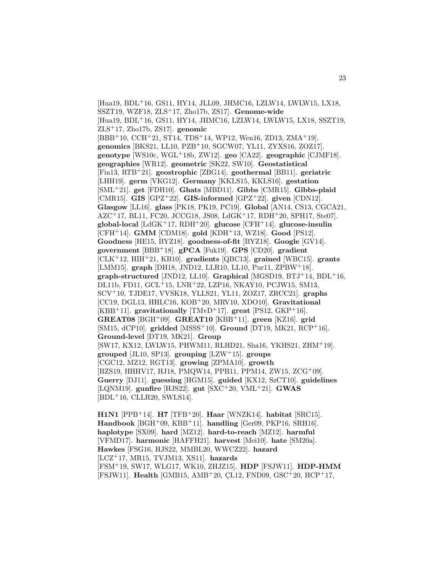[Hua19, BDL<sup>+</sup>16, GS11, HY14, JLL09, JHMC16, LZLW14, LWLW15, LX18, SSZT19, WZF18, ZLS<sup>+</sup>17, Zho17b, ZS17]. **Genome-wide** [Hua19, BDL<sup>+</sup>16, GS11, HY14, JHMC16, LZLW14, LWLW15, LX18, SSZT19, ZLS<sup>+</sup>17, Zho17b, ZS17]. **genomic** [BBB<sup>+</sup>10, CCH<sup>+</sup>21, ST14, TDS<sup>+</sup>14, WP12, Wen16, ZD13, ZMA<sup>+</sup>19]. **genomics** [BKS21, LL10, PZB<sup>+</sup>10, SGCW07, YL11, ZYXS16, ZOZ17]. **genotype** [WS10c, WGL<sup>+</sup>18b, ZW12]. **geo** [CA22]. **geographic** [CJMF18]. **geographies** [WR12]. **geometric** [SK22, SW10]. **Geostatistical** [Fin13, RTB<sup>+</sup>21]. **geostrophic** [ZBG14]. **geothermal** [BB11]. **geriatric** [LHH19]. **germ** [VKG12]. **Germany** [KKLS15, KKLS16]. **gestation** [SML<sup>+</sup>21]. **get** [FDH10]. **Ghats** [MBD11]. **Gibbs** [CMR15]. **Gibbs-plaid** [CMR15]. **GIS** [GPZ<sup>+</sup>22]. **GIS-informed** [GPZ<sup>+</sup>22]. **given** [CDN12]. **Glasgow** [LL16]. **glass** [PK18, PK19, PC19]. **Global** [AN14, CS13, CGCA21,  $AZC+17$ , BL11, FC20, JCCG18, JS08, LdGK+17, RDH+20, SPH17, Ste07. **global-local** [LdGK<sup>+</sup>17, RDH<sup>+</sup>20]. **glucose** [CFH<sup>+</sup>14]. **glucose-insulin** [CFH<sup>+</sup>14]. **GMM** [CDM18]. **gold** [KDH<sup>+</sup>13, WZ18]. **Good** [PS12]. **Goodness** [HE15, BYZ18]. **goodness-of-fit** [BYZ18]. **Google** [GV14]. **government** [BBB<sup>+</sup>18]. **gPCA** [Fuk19]. **GPS** [CD20]. **gradient** [CLK<sup>+</sup>12, HIH<sup>+</sup>21, KB10]. **gradients** [QBC13]. **grained** [WBC15]. **grants** [LMM15]. **graph** [DH18, JND12, LLR10, LL10, Pur11, ZPBW<sup>+</sup>18]. **graph-structured** [JND12, LL10]. **Graphical** [MGSD19, BTJ<sup>+</sup>14, BDL<sup>+</sup>16, DL11b, FD11, GCL<sup>+</sup>15, LNR<sup>+</sup>22, LZP16, NKAY10, PCJW15, SM13, SCV<sup>+</sup>10, TJDE17, VVSK18, YLLS21, YL11, ZOZ17, ZRCC21]. **graphs** [CC19, DGL13, HHLC16, KOB<sup>+</sup>20, MRV10, XDO10]. **Gravitational** [KBB<sup>+</sup>11]. **gravitationally** [TMvD<sup>+</sup>17]. **great** [PS12, GKP<sup>+</sup>16]. **GREAT08** [BGH<sup>+</sup>09]. **GREAT10** [KBB<sup>+</sup>11]. **green** [KZ16]. **grid** [SM15, dCP10]. **gridded** [MSSS<sup>+</sup>10]. **Ground** [DT19, MK21, RCP<sup>+</sup>16]. **Ground-level** [DT19, MK21]. **Group** [SW17, KX12, LWLW15, PHWM11, RLHD21, Sha16, YKHS21, ZHM<sup>+</sup>19]. **grouped** [JL10, SP13]. **grouping** [LZW<sup>+</sup>15]. **groups** [CGC12, MZ12, RGT13]. **growing** [ZPMA10]. **growth** [BZS19, HHHV17, HJ18, PMQW14, PPB11, PPM14, ZW15, ZCG<sup>+</sup>09]. **Guerry** [DJ11]. **guessing** [HGM15]. **guided** [KX12, SzCT10]. **guidelines** [LQNM19]. **gunfire** [HJS22]. **gut** [SXC<sup>+</sup>20, VML<sup>+</sup>21]. **GWAS**  $[BDL+16, CLLR20, SWLS14].$ 

**H1N1** [PPB<sup>+</sup>14]. **H7** [TFB<sup>+</sup>20]. **Haar** [WNZK14]. **habitat** [SRC15]. **Handbook** [BGH<sup>+</sup>09, KBB<sup>+</sup>11]. **handling** [Ger09, PKP16, SRH16]. **haplotype** [SX09]. **hard** [MZ12]. **hard-to-reach** [MZ12]. **harmful** [VFMD17]. **harmonic** [HAFFH21]. **harvest** [Mei10]. **hate** [SM20a]. **Hawkes** [FSG16, HJS22, MMBL20, WWCZ22]. **hazard** [LCZ<sup>+</sup>17, MR15, TVJM13, XS11]. **hazards** [FSM<sup>+</sup>19, SW17, WLG17, WK10, ZHJZ15]. **HDP** [FSJW11]. **HDP-HMM** [FSJW11]. **Health** [GMB15, AMB<sup>+</sup>20, CL12, FND09, GSC<sup>+</sup>20, HCP<sup>+</sup>17,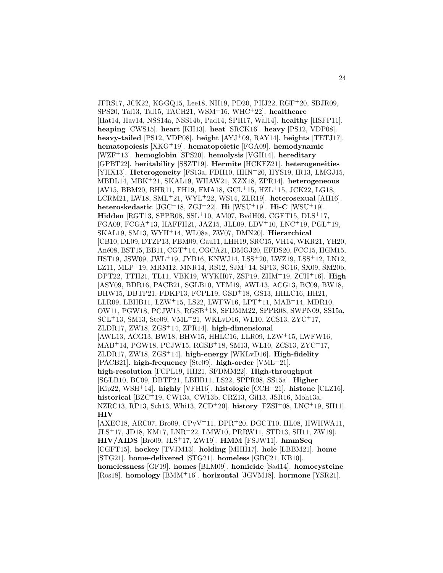JFRS17, JCK22, KGGQ15, Lee18, NH19, PD20, PHJ22, RGF<sup>+</sup>20, SBJR09, SPS20, Tal13, Tal15, TACH21, WSM<sup>+</sup>16, WHC<sup>+</sup>22]. **healthcare** [Hat14, Hav14, NSS14a, NSS14b, Pad14, SPH17, Wal14]. **healthy** [HSFP11]. **heaping** [CWS15]. **heart** [KH13]. **heat** [SRCK16]. **heavy** [PS12, VDP08]. **heavy-tailed** [PS12, VDP08]. **height** [AYJ<sup>+</sup>09, RAY14]. **heights** [TETJ17]. **hematopoiesis** [XKG<sup>+</sup>19]. **hematopoietic** [FGA09]. **hemodynamic** [WZF<sup>+</sup>13]. **hemoglobin** [SPS20]. **hemolysis** [VGH14]. **hereditary** [GPBT22]. **heritability** [SSZT19]. **Hermite** [HCKFZ21]. **heterogeneities** [YHX13]. **Heterogeneity** [FS13a, FDH10, HHN<sup>+</sup>20, HYS19, IR13, LMGJ15, MBDL14, MBK<sup>+</sup>21, SKAL19, WHAW21, XZX18, ZPR14]. **heterogeneous** [AV15, BBM20, BHR11, FH19, FMA18, GCL<sup>+</sup>15, HZL<sup>+</sup>15, JCK22, LG18, LCRM21, LW18, SML<sup>+</sup>21, WYL<sup>+</sup>22, WS14, ZLR19]. **heterosexual** [AH16]. **heteroskedastic** [JGC<sup>+</sup>18, ZGJ<sup>+</sup>22]. **Hi** [WSU<sup>+</sup>19]. **Hi-C** [WSU<sup>+</sup>19]. **Hidden** [RGT13, SPPR08, SSL<sup>+</sup>10, AM07, BvdH09, CGFT15, DLS<sup>+</sup>17, FGA09, FCGA<sup>+</sup>13, HAFFH21, JAZ15, JLL09, LDV<sup>+</sup>10, LNC<sup>+</sup>19, PGL<sup>+</sup>19, SKAL19, SM13, WYH<sup>+</sup>14, WL08a, ZW07, DMN20]. **Hierarchical** [CB10, DL09, DTZP13, FBM09, Gau11, LHH19, SRC15, VH14, WKR21, YH20, Ané08, BST15, BB11, CGT+14, CGCA21, DMGJ20, EFDS20, FCC15, HGM15, HST19, JSW09, JWL<sup>+</sup>19, JYB16, KNWJ14, LSS<sup>+</sup>20, LWZ19, LSS<sup>+</sup>12, LN12, LZ11, MLP<sup>+</sup>19, MRM12, MNR14, RS12, SJM<sup>+</sup>14, SP13, SG16, SX09, SM20b, DPT22, TTH21, TL11, VBK19, WYKH07, ZSP19, ZHM<sup>+</sup>19, ZCH<sup>+</sup>16]. **High** [ASY09, BDR16, PACB21, SGLB10, YFM19, AWL13, ACG13, BC09, BW18, BHW15, DBTP21, FDKP13, FCPL19, GSD<sup>+</sup>18, GS13, HHLC16, HH21, LLR09, LBHB11, LZW<sup>+</sup>15, LS22, LWFW16, LPT<sup>+</sup>11, MAB<sup>+</sup>14, MDR10, OW11, PGW18, PCJW15, RGSB<sup>+</sup>18, SFDMM22, SPPR08, SWPN09, SS15a, SCL<sup>+</sup>13, SM13, Ste09, VML<sup>+</sup>21, WKLvD16, WL10, ZCS13, ZYC<sup>+</sup>17, ZLDR17, ZW18, ZGS<sup>+</sup>14, ZPR14]. **high-dimensional** [AWL13, ACG13, BW18, BHW15, HHLC16, LLR09, LZW<sup>+</sup>15, LWFW16, MAB<sup>+</sup>14, PGW18, PCJW15, RGSB<sup>+</sup>18, SM13, WL10, ZCS13, ZYC<sup>+</sup>17, ZLDR17, ZW18, ZGS<sup>+</sup>14]. **high-energy** [WKLvD16]. **High-fidelity** [PACB21]. **high-frequency** [Ste09]. **high-order** [VML<sup>+</sup>21]. **high-resolution** [FCPL19, HH21, SFDMM22]. **High-throughput** [SGLB10, BC09, DBTP21, LBHB11, LS22, SPPR08, SS15a]. **Higher** [Kip22, WSH<sup>+</sup>14]. **highly** [VFH16]. **histologic** [CCH<sup>+</sup>21]. **histone** [CLZ16]. **historical** [BZC<sup>+</sup>19, CW13a, CW13b, CRZ13, Gil13, JSR16, Moh13a, NZRC13, RP13, Sch13, Whi13, ZCD<sup>+</sup>20]. **history** [FZSI<sup>+</sup>08, LNC<sup>+</sup>19, SH11]. **HIV** [AXEC18, ARC07, Bro09, CPvV<sup>+</sup>11, DPR<sup>+</sup>20, DGCT10, HL08, HWHWA11, JLS<sup>+</sup>17, JD18, KM17, LNR<sup>+</sup>22, LMW10, PRRW11, STD13, SH11, ZW19]. **HIV/AIDS** [Bro09, JLS<sup>+</sup>17, ZW19]. **HMM** [FSJW11]. **hmmSeq** [CGFT15]. **hockey** [TVJM13]. **holding** [MHH17]. **hole** [LBBM21]. **home** [STG21]. **home-delivered** [STG21]. **homeless** [GBC21, KB10]. **homelessness** [GF19]. **homes** [BLM09]. **homicide** [Sad14]. **homocysteine**

[Ros18]. **homology** [BMM<sup>+</sup>16]. **horizontal** [JGVM18]. **hormone** [YSR21].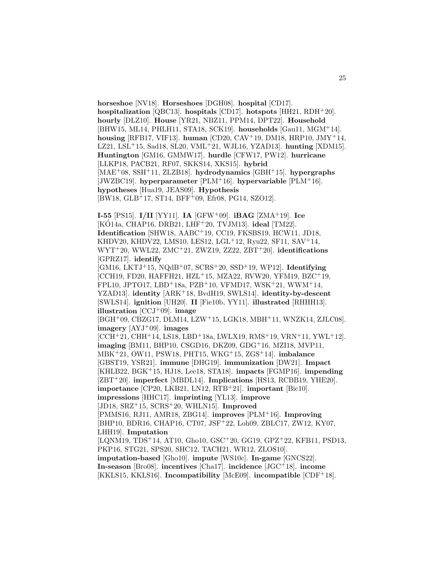**horseshoe** [NV18]. **Horseshoes** [DGH08]. **hospital** [CD17]. **hospitalization** [QBC13]. **hospitals** [CD17]. **hotspots** [HH21, RDH<sup>+</sup>20]. **hourly** [DLZ10]. **House** [YR21, NBZ11, PPM14, DPT22]. **Household** [BHW15, ML14, PHLH11, STA18, SCK19]. **households** [Gau11, MGM<sup>+</sup>14]. **housing** [RFB17, VIF13]. **human** [CD20, CAV<sup>+</sup>19, DM18, HRP10, JMY<sup>+</sup>14, LZ21, LSL<sup>+</sup>15, Sad18, SL20, VML<sup>+</sup>21, WJL16, YZAD13]. **hunting** [XDM15]. **Huntington** [GM16, GMMW17]. **hurdle** [CFW17, PW12]. **hurricane** [LLKP18, PACB21, RF07, SKKS14, XKS15]. **hybrid** [MAE<sup>+</sup>08, SSH<sup>+</sup>11, ZLZB18]. **hydrodynamics** [GBH<sup>+</sup>15]. **hypergraphs** [JWZBC19]. **hyperparameter** [PLM<sup>+</sup>16]. **hypervariable** [PLM<sup>+</sup>16]. **hypotheses** [Hua19, JEAS09]. **Hypothesis** [BW18, GLB<sup>+</sup>17, ST14, BFF<sup>+</sup>09, Efr08, PG14, SZO12].

**I-55** [PS15]. **I/II** [YY11]. **IA** [GFW<sup>+</sup>09]. **iBAG** [ZMA<sup>+</sup>19]. **Ice** [KÓ14a, CHAP16, DRB21, LHF<sup>+</sup>20, TVJM13]. **ideal** [TM22]. **Identification** [SHW18, AABC<sup>+</sup>19, CC19, FKSBS19, HCW11, JD18, KHDV20, KHDV22, LMS10, LES12, LGL<sup>+</sup>12, Ryu22, SF11, SAV<sup>+</sup>14, WYT<sup>+</sup>20, WWL22, ZMC<sup>+</sup>21, ZWZ19, ZZ22, ZBT<sup>+</sup>20]. **identifications** [GPRZ17]. **identify** [GM16, LKTJ<sup>+</sup>15, NQdB<sup>+</sup>07, SCRS<sup>+</sup>20, SSD<sup>+</sup>19, WP12]. **Identifying** [CCH19, FD20, HAFFH21, HZL<sup>+</sup>15, MZA22, RVW20, YFM19, BZC<sup>+</sup>19, FPL10, JPTO17, LBD<sup>+</sup>18a, PZB<sup>+</sup>10, VFMD17, WSK<sup>+</sup>21, WWM<sup>+</sup>14, YZAD13]. **identity** [ARK<sup>+</sup>18, BvdH19, SWLS14]. **identity-by-descent** [SWLS14]. **ignition** [UH20]. **II** [Fie10b, YY11]. **illustrated** [RHHH13]. **illustration** [CCJ<sup>+</sup>09]. **image** [BGH<sup>+</sup>09, CBZG17, DLM14, LZW<sup>+</sup>15, LGK18, MBH<sup>+</sup>11, WNZK14, ZJLC08]. **imagery** [AYJ<sup>+</sup>09]. **images** [CCH<sup>+</sup>21, CHH<sup>+</sup>14, LS18, LBD<sup>+</sup>18a, LWLX19, RMS<sup>+</sup>19, VRN<sup>+</sup>11, YWL<sup>+</sup>12]. **imaging** [BM11, BHP10, CSGD16, DKZ09, GDG<sup>+</sup>16, MZI18, MVP11, MBK<sup>+</sup>21, OW11, PSW18, PHT15, WKG<sup>+</sup>15, ZGS<sup>+</sup>14]. **imbalance** [GBST19, YSR21]. **immune** [DHG19]. **immunization** [DW21]. **Impact** [KHLB22, BGK<sup>+</sup>15, HJ18, Lee18, STA18]. **impacts** [FGMP16]. **impending** [ZBT<sup>+</sup>20]. **imperfect** [MBDL14]. **Implications** [HS13, RCBB19, YHE20]. **importance** [CP20, LKB21, LN12, RTB<sup>+</sup>21]. **important** [Bic10]. **impressions** [HHC17]. **imprinting** [YL13]. **improve**

[JD18, SRZ<sup>+</sup>15, SCRS<sup>+</sup>20, WHLN15]. **Improved**

[PMMS16, RJ11, AMR18, ZBG14]. **improves** [PLM<sup>+</sup>16]. **Improving** [BHP10, BDR16, CHAP16, CT07, JSF<sup>+</sup>22, Loh09, ZBLC17, ZW12, KY07, LHH19]. **Imputation**

[LQNM19, TDS<sup>+</sup>14, AT10, Gho10, GSC<sup>+</sup>20, GG19, GPZ<sup>+</sup>22, KFB11, PSD13, PKP16, STG21, SPS20, SHC12, TACH21, WR12, ZLOS10].

**imputation-based** [Gho10]. **impute** [WS10c]. **In-game** [GNCS22].

**In-season** [Bro08]. **incentives** [Cha17]. **incidence** [JGC<sup>+</sup>18]. **income** [KKLS15, KKLS16]. **Incompatibility** [McE09]. **incompatible** [CDF<sup>+</sup>18].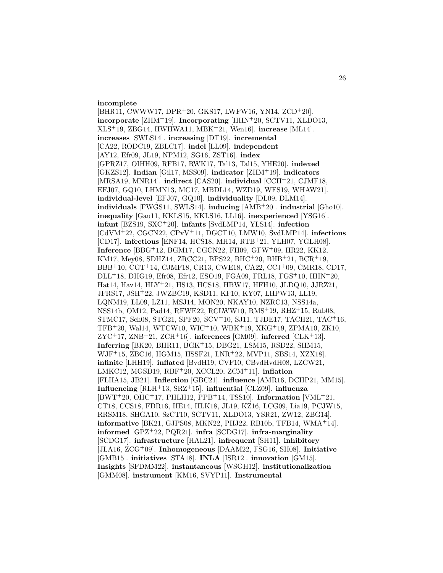#### **incomplete**

[BHR11, CWWW17, DPR<sup>+</sup>20, GKS17, LWFW16, YN14, ZCD<sup>+</sup>20]. **incorporate** [ZHM<sup>+</sup>19]. **Incorporating** [HHN<sup>+</sup>20, SCTV11, XLDO13, XLS<sup>+</sup>19, ZBG14, HWHWA11, MBK<sup>+</sup>21, Wen16]. **increase** [ML14]. **increases** [SWLS14]. **increasing** [DT19]. **incremental** [CA22, RODC19, ZBLC17]. **indel** [LL09]. **independent** [AY12, Efr09, JL19, NPM12, SG16, ZST16]. **index** [GPRZ17, OIHH09, RFB17, RWK17, Tal13, Tal15, YHE20]. **indexed** [GKZS12]. **Indian** [Gil17, MSS09]. **indicator** [ZHM<sup>+</sup>19]. **indicators** [MRSA19, MNR14]. **indirect** [CAS20]. **individual** [CCH<sup>+</sup>21, CJMF18, EFJ07, GQ10, LHMN13, MC17, MBDL14, WZD19, WFS19, WHAW21]. **individual-level** [EFJ07, GQ10]. **individuality** [DL09, DLM14]. **individuals** [FWGS11, SWLS14]. **inducing** [AMB<sup>+</sup>20]. **industrial** [Gho10]. **inequality** [Gau11, KKLS15, KKLS16, LL16]. **inexperienced** [YSG16]. **infant** [BZS19, SXC<sup>+</sup>20]. **infants** [SvdLMP14, YLS14]. **infection** [CdVM<sup>+</sup>22, CGCN22, CPvV<sup>+</sup>11, DGCT10, LMW10, SvdLMP14]. **infections** [CD17]. **infectious** [ENF14, HCS18, MH14, RTB<sup>+</sup>21, YLH07, YGLH08]. **Inference** [BBG<sup>+</sup>12, BGM17, CGCN22, FH09, GFW<sup>+</sup>09, HR22, KK12, KM17, Mey08, SDHZ14, ZRCC21, BPS22, BHC<sup>+</sup>20, BHB<sup>+</sup>21, BCR<sup>+</sup>19, BBB<sup>+</sup>10, CGT<sup>+</sup>14, CJMF18, CR13, CWE18, CA22, CCJ<sup>+</sup>09, CMR18, CD17, DLL<sup>+</sup>18, DHG19, Efr08, Efr12, ESO19, FGA09, FRL18, FGS<sup>+</sup>10, HHN<sup>+</sup>20, Hat14, Hav14, HLY<sup>+</sup>21, HS13, HCS18, HBW17, HFH10, JLDQ10, JJRZ21, JFRS17, JSH<sup>+</sup>22, JWZBC19, KSD11, KF10, KY07, LHPW13, LL19, LQNM19, LL09, LZ11, MSJ14, MON20, NKAY10, NZRC13, NSS14a, NSS14b, OM12, Pad14, RFWE22, RCLWW10, RMS<sup>+</sup>19, RHZ<sup>+</sup>15, Rub08, STMC17, Sch08, STG21, SPF20, SCV<sup>+</sup>10, SJ11, TJDE17, TACH21, TAC<sup>+</sup>16, TFB<sup>+</sup>20, Wal14, WTCW10, WIC<sup>+</sup>10, WBK<sup>+</sup>19, XKG<sup>+</sup>19, ZPMA10, ZK10, ZYC<sup>+</sup>17, ZNB<sup>+</sup>21, ZCH<sup>+</sup>16]. **inferences** [GM09]. **inferred** [CLK<sup>+</sup>13]. **Inferring** [BK20, BHR11, BGK<sup>+</sup>15, DBG21, LSM15, RSD22, SHM15, WJF<sup>+</sup>15, ZBC16, HGM15, HSSF21, LNR<sup>+</sup>22, MVP11, SBS14, XZX18]. **infinite** [LHH19]. **inflated** [BvdH19, CVF10, CBvdHvdH08, LZCW21, LMKC12, MGSD19, RBF<sup>+</sup>20, XCCL20, ZCM<sup>+</sup>11]. **inflation** [FLHA15, JB21]. **Inflection** [GBC21]. **influence** [AMR16, DCHP21, MM15]. **Influencing** [RLH<sup>+</sup>13, SRZ<sup>+</sup>15]. **influential** [CLZ09]. **influenza** [BWT<sup>+</sup>20, OHC<sup>+</sup>17, PHLH12, PPB<sup>+</sup>14, TSS10]. **Information** [VML<sup>+</sup>21, CT18, CCS18, FDR16, HE14, HLK18, JL19, KZ16, LCG09, Lia19, PCJW15, RRSM18, SHGA10, SzCT10, SCTV11, XLDO13, YSR21, ZW12, ZBG14]. **informative** [BK21, GJPS08, MKN22, PHJ22, RB10b, TFB14, WMA<sup>+</sup>14]. **informed** [GPZ<sup>+</sup>22, PQR21]. **infra** [SCDG17]. **infra-marginality** [SCDG17]. **infrastructure** [HAL21]. **infrequent** [SH11]. **inhibitory** [JLA16, ZCG<sup>+</sup>09]. **Inhomogeneous** [DAAM22, FSG16, SH08]. **Initiative** [GMB15]. **initiatives** [STA18]. **INLA** [ISR12]. **innovation** [GM15]. **Insights** [SFDMM22]. **instantaneous** [WSGH12]. **institutionalization** [GMM08]. **instrument** [KM16, SVYP11]. **Instrumental**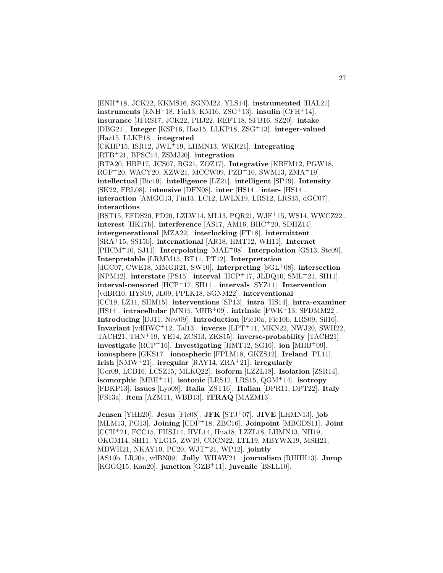[ENH<sup>+</sup>18, JCK22, KKMS16, SGNM22, YLS14]. **instrumented** [HAL21].  $\text{instruments}$  [ENH<sup>+</sup>18, Fin13, KM16, ZSG<sup>+</sup>13].  $\text{insulin}$  [CFH<sup>+</sup>14]. **insurance** [JFRS17, JCK22, PHJ22, REFT18, SFB16, SZ20]. **intake** [DBG21]. **Integer** [KSP16, Haz15, LLKP18, ZSG<sup>+</sup>13]. **integer-valued** [Haz15, LLKP18]. **integrated** [CKHP15, ISR12, JWL<sup>+</sup>19, LHMN13, WKR21]. **Integrating** [RTB<sup>+</sup>21, BPSC14, ZSMJ20]. **integration** [BTA20, HBP17, JCS07, RG21, ZOZ17]. **Integrative** [KBFM12, PGW18, RGF<sup>+</sup>20, WACY20, XZW21, MCCW09, PZB<sup>+</sup>10, SWM13, ZMA<sup>+</sup>19]. **intellectual** [Bic10]. **intelligence** [LZ21]. **intelligent** [SP19]. **Intensity** [SK22, FRL08]. **intensive** [DFN08]. **inter** [HS14]. **inter-** [HS14]. **interaction** [AMGG13, Fin13, LC12, LWLX19, LRS12, LRS15, dGC07]. **interactions** [BST15, EFDS20, FD20, LZLW14, ML13, PQR21, WJF<sup>+</sup>15, WS14, WWCZ22]. **interest** [HK17b]. **interference** [AS17, AM16, BHC<sup>+</sup>20, SDHZ14]. **intergenerational** [MZA22]. **interlocking** [FT18]. **intermittent** [SRA<sup>+</sup>15, SS15b]. **international** [AR18, HMT12, WH11]. **Internet** [PHCM<sup>+</sup>10, SJ11]. **Interpolating** [MAE<sup>+</sup>08]. **Interpolation** [GS13, Ste09]. **Interpretable** [LRMM15, BT11, PT12]. **Interpretation** [dGC07, CWE18, MMGR21, SW10]. **Interpreting** [SGL<sup>+</sup>08]. **intersection** [NPM12]. **interstate** [PS15]. **interval** [HCP<sup>+</sup>17, JLDQ10, SML<sup>+</sup>21, SH11]. **interval-censored** [HCP<sup>+</sup>17, SH11]. **intervals** [SYZ11]. **Intervention** [vdBR10, HYS19, JL09, PPLK18, SGNM22]. **interventional** [CC19, LZ11, SHM15]. **interventions** [SP13]. **intra** [HS14]. **intra-examiner** [HS14]. **intracellular** [MN15, MHB<sup>+</sup>09]. **intrinsic** [FWK<sup>+</sup>13, SFDMM22]. **Introducing** [DJ11, New09]. **Introduction** [Fie10a, Fie10b, LRS09, Sil16]. **Invariant** [vdHWC<sup>+</sup>12, Tal13]. **inverse** [LPT<sup>+</sup>11, MKN22, NWJ20, SWH22, TACH21, THN<sup>+</sup>19, YE14, ZCS13, ZKS15]. **inverse-probability** [TACH21]. **investigate** [RCP<sup>+</sup>16]. **Investigating** [HMT12, SG16]. **ion** [MHB<sup>+</sup>09]. **ionosphere** [GKS17]. **ionospheric** [FPLM18, GKZS12]. **Ireland** [PL11]. **Irish** [NMW<sup>+</sup>21]. **irregular** [RAY14, ZRA<sup>+</sup>21]. **irregularly** [Ger09, LCB16, LCSZ15, MLKQ22]. **isoform** [LZZL18]. **Isolation** [ZSR14]. **isomorphic** [MBH<sup>+</sup>11]. **isotonic** [LRS12, LRS15, QGM<sup>+</sup>14]. **isotropy** [FDKP13]. **issues** [Lyo08]. **Italia** [ZST16]. **Italian** [DPR11, DPT22]. **Italy** [FS13a]. **item** [AZM11, WBB13]. **iTRAQ** [MAZM13].

**Jensen** [YHE20]. **Jesus** [Fie08]. **JFK** [STJ<sup>+</sup>07]. **JIVE** [LHMN13]. **job** [MLM13, PG13]. **Joining** [CDF<sup>+</sup>18, ZBC16]. **Joinpoint** [MBGDS11]. **Joint** [CCH<sup>+</sup>21, FCC15, FHSJ14, HVL14, Hua18, LZZL18, LHMN13, NH19, OKGM14, SH11, YLG15, ZW19, CGCN22, LTL19, MBYWX19, MSH21, MDWH21, NKAY10, PC20, WJT<sup>+</sup>21, WP12]. **jointly** [AS10b, LR20a, vdBN09]. **Jolly** [WHAW21]. **journalism** [RHHH13]. **Jump** [KGGQ15, Kan20]. **junction** [GZB<sup>+</sup>11]. **juvenile** [BSLL10].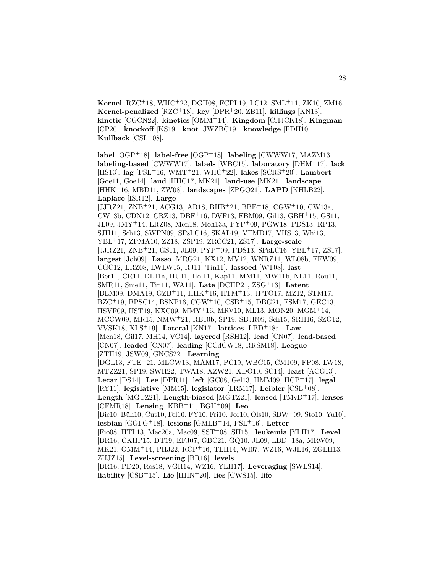**Kernel** [RZC<sup>+</sup>18, WHC<sup>+</sup>22, DGH08, FCPL19, LC12, SML<sup>+</sup>11, ZK10, ZM16]. **Kernel-penalized** [RZC<sup>+</sup>18]. **key** [DPR<sup>+</sup>20, ZB11]. **killings** [KN13]. **kinetic** [CGCN22]. **kinetics** [OMM<sup>+</sup>14]. **Kingdom** [CHJCK18]. **Kingman** [CP20]. **knockoff** [KS19]. **knot** [JWZBC19]. **knowledge** [FDH10]. **Kullback** [CSL<sup>+</sup>08].

**label** [OGP<sup>+</sup>18]. **label-free** [OGP<sup>+</sup>18]. **labeling** [CWWW17, MAZM13]. **labeling-based** [CWWW17]. **labels** [WBC15]. **laboratory** [DHM<sup>+</sup>17]. **lack** [HS13]. **lag** [PSL<sup>+</sup>16, WMT<sup>+</sup>21, WHC<sup>+</sup>22]. **lakes** [SCRS<sup>+</sup>20]. **Lambert** [Goe11, Goe14]. **land** [HHC17, MK21]. **land-use** [MK21]. **landscape** [HHK<sup>+</sup>16, MBD11, ZW08]. **landscapes** [ZPGO21]. **LAPD** [KHLB22]. **Laplace** [ISR12]. **Large** [JJRZ21, ZNB<sup>+</sup>21, ACG13, AR18, BHB<sup>+</sup>21, BBE<sup>+</sup>18, CGW<sup>+</sup>10, CW13a, CW13b, CDN12, CRZ13, DBF<sup>+</sup>16, DVF13, FBM09, Gil13, GBH<sup>+</sup>15, GS11, JL09, JMY<sup>+</sup>14, LRZ08, Men18, Moh13a, PYP<sup>+</sup>09, PGW18, PDS13, RP13, SJH11, Sch13, SWPN09, SPsLC16, SKAL19, VFMD17, VHS13, Whi13, YBL<sup>+</sup>17, ZPMA10, ZZ18, ZSP19, ZRCC21, ZS17]. **Large-scale** [JJRZ21, ZNB<sup>+</sup>21, GS11, JL09, PYP<sup>+</sup>09, PDS13, SPsLC16, YBL<sup>+</sup>17, ZS17]. **largest** [Joh09]. **Lasso** [MRG21, KX12, MV12, WNRZ11, WL08b, FFW09, CGC12, LRZ08, LWLW15, RJ11, Tin11]. **lassoed** [WT08]. **last** [Ber11, CR11, DL11a, HU11, Hol11, Kap11, MM11, MW11b, NL11, Rou11, SMR11, Sme11, Tin11, WA11]. **Late** [DCHP21, ZSG<sup>+</sup>13]. **Latent** [BLM09, DMA19, GZB<sup>+</sup>11, HHK<sup>+</sup>16, HTM<sup>+</sup>13, JPTO17, MZ12, STM17, BZC<sup>+</sup>19, BPSC14, BSNP16, CGW<sup>+</sup>10, CSB<sup>+</sup>15, DBG21, FSM17, GEC13, HSVF09, HST19, KXC09, MMY<sup>+</sup>16, MRV10, ML13, MON20, MGM<sup>+</sup>14, MCCW09, MR15, NMW<sup>+</sup>21, RB10b, SP19, SBJR09, Sch15, SRH16, SZO12, VVSK18, XLS<sup>+</sup>19]. **Lateral** [KN17]. **lattices** [LBD<sup>+</sup>18a]. **Law** [Men18, Gil17, MH14, VC14]. **layered** [RSH12]. **lead** [CN07]. **lead-based** [CN07]. **leaded** [CN07]. **leading** [CCdCW18, RRSM18]. **League** [ZTH19, JSW09, GNCS22]. **Learning** [DGL13, FTE<sup>+</sup>21, MLCW13, MAM17, PC19, WBC15, CMJ09, FP08, LW18, MTZZ21, SP19, SWH22, TWA18, XZW21, XDO10, SC14]. **least** [ACG13]. **Lecar** [DS14]. **Lee** [DPR11]. **left** [GC08, Gel13, HMM09, HCP<sup>+</sup>17]. **legal** [RY11]. **legislative** [MM15]. **legislator** [LRM17]. **Leibler** [CSL<sup>+</sup>08]. **Length** [MGTZ21]. **Length-biased** [MGTZ21]. **lensed** [TMvD<sup>+</sup>17]. **lenses** [CFMR18]. **Lensing** [KBB<sup>+</sup>11, BGH<sup>+</sup>09]. **Leo** [Bic10, Büh10, Cut10, Fel10, FY10, Fri10, Jor10, Ols10, SBW+09, Sto10, Yu10]. **lesbian** [GGFG<sup>+</sup>18]. **lesions** [GMLB<sup>+</sup>14, PSL<sup>+</sup>16]. **Letter** [Fio08, HTL13, Mac20a, Mac09, SST<sup>+</sup>08, SH15]. **leukemia** [YLH17]. **Level** [BR16, CKHP15, DT19, EFJ07, GBC21, GQ10, JL09, LBD<sup>+</sup>18a, MRW09, MK21, OMM<sup>+</sup>14, PHJ22, RCP<sup>+</sup>16, TLH14, WI07, WZ16, WJL16, ZGLH13, ZHJZ15]. **Level-screening** [BR16]. **levels**

[BR16, PD20, Ros18, VGH14, WZ16, YLH17]. **Leveraging** [SWLS14]. **liability** [CSB<sup>+</sup>15]. **Lie** [HHN<sup>+</sup>20]. **lies** [CWS15]. **life**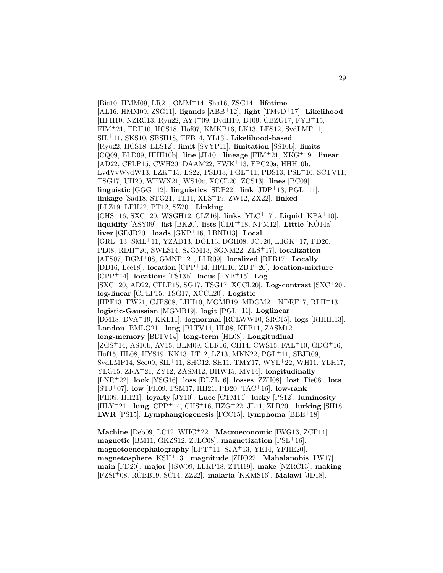[Bic10, HMM09, LR21, OMM<sup>+</sup>14, Sha16, ZSG14]. **lifetime** [AL16, HMM09, ZSG11]. **ligands** [ABB<sup>+</sup>12]. **light** [TMvD<sup>+</sup>17]. **Likelihood** [HFH10, NZRC13, Ryu22, AYJ<sup>+</sup>09, BvdH19, BJ09, CBZG17, FYB<sup>+</sup>15, FIM<sup>+</sup>21, FDH10, HCS18, Hof07, KMKB16, LK13, LES12, SvdLMP14, SIL<sup>+</sup>11, SKS10, SBSH18, TFB14, YL13]. **Likelihood-based** [Ryu22, HCS18, LES12]. **limit** [SVYP11]. **limitation** [SS10b]. **limits** [CQ09, ELD09, HHH10b]. **line** [JL10]. **lineage** [FIM<sup>+</sup>21, XKG<sup>+</sup>19]. **linear** [AD22, CFLP15, CWH20, DAAM22, FWK<sup>+</sup>13, FPC20a, HHH10b, LvdVvWvdW13, LZK<sup>+</sup>15, LS22, PSD13, PGL<sup>+</sup>11, PDS13, PSL<sup>+</sup>16, SCTV11, TSG17, UH20, WEWX21, WS10c, XCCL20, ZCS13]. **lines** [BC09]. **linguistic** [GGG<sup>+</sup>12]. **linguistics** [SDP22]. **link** [JDP<sup>+</sup>13, PGL<sup>+</sup>11]. **linkage** [Sad18, STG21, TL11, XLS<sup>+</sup>19, ZW12, ZX22]. **linked** [LLZ19, LPH22, PT12, SZ20]. **Linking** [CHS<sup>+</sup>16, SXC<sup>+</sup>20, WSGH12, CLZ16]. **links** [YLC<sup>+</sup>17]. **Liquid** [KPA<sup>+</sup>10]. **liquidity** [ASY09]. **list** [BK20]. **lists** [CDF<sup>+</sup>18, NPM12]. **Little** [KO14a]. **liver** [GDJR20]. **loads** [GKP<sup>+</sup>16, LBND13]. **Local** [GRL<sup>+</sup>13, SML<sup>+</sup>11, YZAD13, DGL13, DGH08, JCJ20, LdGK<sup>+</sup>17, PD20, PL08, RDH<sup>+</sup>20, SWLS14, SJGM13, SGNM22, ZLS<sup>+</sup>17]. **localization** [AFS07, DGM<sup>+</sup>08, GMNP<sup>+</sup>21, LLR09]. **localized** [RFB17]. **Locally** [DD16, Lee18]. **location** [CPP<sup>+</sup>14, HFH10, ZBT<sup>+</sup>20]. **location-mixture** [CPP<sup>+</sup>14]. **locations** [FS13b]. **locus** [FYB<sup>+</sup>15]. **Log** [SXC<sup>+</sup>20, AD22, CFLP15, SG17, TSG17, XCCL20]. **Log-contrast** [SXC<sup>+</sup>20]. **log-linear** [CFLP15, TSG17, XCCL20]. **Logistic** [HPF13, FW21, GJPS08, LHH10, MGMB19, MDGM21, NDRF17, RLH<sup>+</sup>13]. **logistic-Gaussian** [MGMB19]. **logit** [PGL<sup>+</sup>11]. **Loglinear** [DM18, DVA<sup>+</sup>19, KKL11]. **lognormal** [RCLWW10, SRC15]. **logs** [RHHH13]. **London** [BMLG21]. **long** [BLTV14, HL08, KFB11, ZASM12]. **long-memory** [BLTV14]. **long-term** [HL08]. **Longitudinal** [ZGS<sup>+</sup>14, AS10b, AV15, BLM09, CLR16, CH14, CWS15, FAL<sup>+</sup>10, GDG<sup>+</sup>16, Hof15, HL08, HYS19, KK13, LT12, LZ13, MKN22, PGL<sup>+</sup>11, SBJR09, SvdLMP14, Sco09, SIL<sup>+</sup>11, SHC12, SH11, TMY17, WYL<sup>+</sup>22, WH11, YLH17, YLG15, ZRA<sup>+</sup>21, ZY12, ZASM12, BHW15, MV14]. **longitudinally** [LNR<sup>+</sup>22]. **look** [YSG16]. **loss** [DLZL16]. **losses** [ZZH08]. **lost** [Fie08]. **lots** [STJ<sup>+</sup>07]. **low** [FH09, FSM17, HH21, PD20, TAC<sup>+</sup>16]. **low-rank** [FH09, HH21]. **loyalty** [JY10]. **Luce** [CTM14]. **lucky** [PS12]. **luminosity** [HLY<sup>+</sup>21]. **lung** [CPP<sup>+</sup>14, CHS<sup>+</sup>16, HZG<sup>+</sup>22, JL11, ZLR20]. **lurking** [SH18]. **LWR** [PS15]. **Lymphangiogenesis** [FCC15]. **lymphoma** [BBE<sup>+</sup>18].

**Machine** [Deb09, LC12, WHC<sup>+</sup>22]. **Macroeconomic** [IWG13, ZCP14]. **magnetic** [BM11, GKZS12, ZJLC08]. **magnetization** [PSL<sup>+</sup>16]. **magnetoencephalography** [LPT<sup>+</sup>11, SJA<sup>+</sup>13, YE14, YFHE20]. **magnetosphere** [KSH<sup>+</sup>13]. **magnitude** [ZHO22]. **Mahalanobis** [LW17]. **main** [FD20]. **major** [JSW09, LLKP18, ZTH19]. **make** [NZRC13]. **making** [FZSI<sup>+</sup>08, RCBB19, SC14, ZZ22]. **malaria** [KKMS16]. **Malawi** [JD18].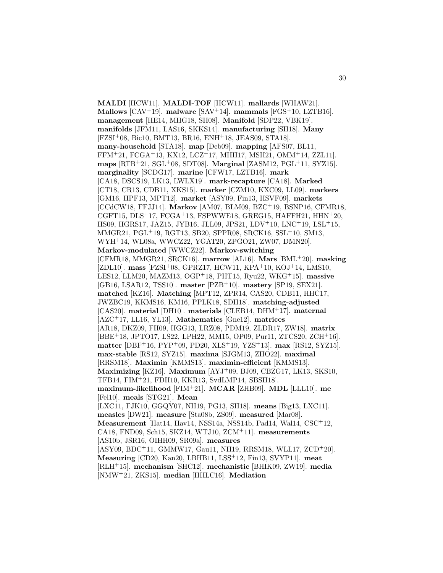**MALDI** [HCW11]. **MALDI-TOF** [HCW11]. **mallards** [WHAW21]. **Mallows** [CAV<sup>+</sup>19]. **malware** [SAV<sup>+</sup>14]. **mammals** [FGS<sup>+</sup>10, LZTB16]. **management** [HE14, MHG18, SH08]. **Manifold** [SDP22, VBK19]. **manifolds** [JFM11, LAS16, SKKS14]. **manufacturing** [SH18]. **Many** [FZSI<sup>+</sup>08, Bic10, BMT13, BR16, ENH<sup>+</sup>18, JEAS09, STA18]. **many-household** [STA18]. **map** [Deb09]. **mapping** [AFS07, BL11, FFM<sup>+</sup>21, FCGA<sup>+</sup>13, KX12, LCZ<sup>+</sup>17, MHH17, MSH21, OMM<sup>+</sup>14, ZZL11]. **maps** [RTB<sup>+</sup>21, SGL<sup>+</sup>08, SDT08]. **Marginal** [ZASM12, PGL<sup>+</sup>11, SYZ15]. **marginality** [SCDG17]. **marine** [CFW17, LZTB16]. **mark** [CA18, DSCS19, LK13, LWLX19]. **mark-recapture** [CA18]. **Marked** [CT18, CR13, CDB11, XKS15]. **marker** [CZM10, KXC09, LL09]. **markers** [GM16, HPF13, MPT12]. **market** [ASY09, Fin13, HSVF09]. **markets** [CCdCW18, FFJJ14]. **Markov** [AM07, BLM09, BZC<sup>+</sup>19, BSNP16, CFMR18, CGFT15,  $DLS+17$ ,  $FCGA+13$ ,  $FSPWWE18$ ,  $GREG15$ ,  $HAFFH21$ ,  $HHN+20$ , HS09, HGRS17, JAZ15, JYB16, JLL09, JPS21, LDV<sup>+</sup>10, LNC<sup>+</sup>19, LSL<sup>+</sup>15, MMGR21, PGL<sup>+</sup>19, RGT13, SB20, SPPR08, SRCK16, SSL<sup>+</sup>10, SM13, WYH<sup>+</sup>14, WL08a, WWCZ22, YGAT20, ZPGO21, ZW07, DMN20]. **Markov-modulated** [WWCZ22]. **Markov-switching** [CFMR18, MMGR21, SRCK16]. **marrow** [AL16]. **Mars** [BML<sup>+</sup>20]. **masking** [ZDL10]. **mass** [FZSI<sup>+</sup>08, GPRZ17, HCW11, KPA<sup>+</sup>10, KOJ<sup>+</sup>14, LMS10, LES12, LLM20, MAZM13, OGP<sup>+</sup>18, PHT15, Ryu22, WKG<sup>+</sup>15]. **massive** [GB16, LSAR12, TSS10]. **master** [PZB<sup>+</sup>10]. **mastery** [SP19, SEX21]. **matched** [KZ16]. **Matching** [MPT12, ZPR14, CAS20, CDB11, HHC17, JWZBC19, KKMS16, KM16, PPLK18, SDH18]. **matching-adjusted** [CAS20]. **material** [DH10]. **materials** [CLEB14, DHM<sup>+</sup>17]. **maternal** [AZC<sup>+</sup>17, LL16, YL13]. **Mathematics** [Gne12]. **matrices** [AR18, DKZ09, FH09, HGG13, LRZ08, PDM19, ZLDR17, ZW18]. **matrix** [BBE<sup>+</sup>18, JPTO17, LS22, LPH22, MM15, OP09, Pur11, ZTCS20, ZCH<sup>+</sup>16]. **matter** [DBF<sup>+</sup>16, PYP<sup>+</sup>09, PD20, XLS<sup>+</sup>19, YZS<sup>+</sup>13]. **max** [RS12, SYZ15]. **max-stable** [RS12, SYZ15]. **maxima** [SJGM13, ZHO22]. **maximal** [RRSM18]. **Maximin** [KMMS13]. **maximin-efficient** [KMMS13]. **Maximizing** [KZ16]. **Maximum** [AYJ<sup>+</sup>09, BJ09, CBZG17, LK13, SKS10, TFB14, FIM<sup>+</sup>21, FDH10, KKR13, SvdLMP14, SBSH18]. **maximum-likelihood** [FIM<sup>+</sup>21]. **MCAR** [ZHB09]. **MDL** [LLL10]. **me** [Fel10]. **meals** [STG21]. **Mean** [LXC11, FJK10, GGQY07, NH19, PG13, SH18]. **means** [Big13, LXC11]. **measles** [DW21]. **measure** [Sta08b, ZS09]. **measured** [Mar08]. **Measurement** [Hat14, Hav14, NSS14a, NSS14b, Pad14, Wal14, CSC<sup>+</sup>12, CA18, FND09, Sch15, SKZ14, WTJ10, ZCM<sup>+</sup>11]. **measurements** [AS10b, JSR16, OIHH09, SR09a]. **measures** [ASY09, BDC<sup>+</sup>11, GMMW17, Gau11, NH19, RRSM18, WLL17, ZCD<sup>+</sup>20]. **Measuring** [CD20, Kan20, LBHB11, LSS<sup>+</sup>12, Fin13, SVYP11]. **meat** [RLH<sup>+</sup>15]. **mechanism** [SHC12]. **mechanistic** [BHIK09, ZW19]. **media** [NMW<sup>+</sup>21, ZKS15]. **median** [HHLC16]. **Mediation**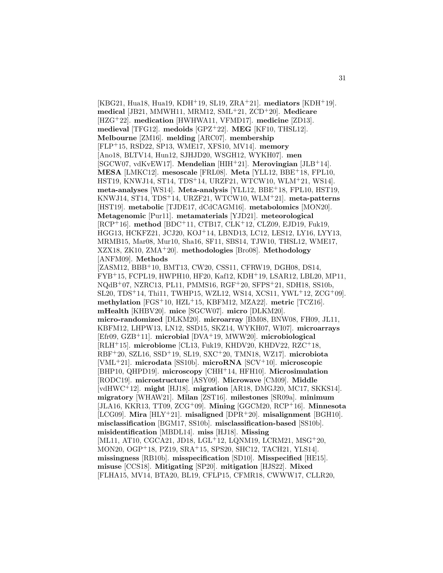[KBG21, Hua18, Hua19, KDH<sup>+</sup>19, SL19, ZRA<sup>+</sup>21]. **mediators** [KDH<sup>+</sup>19]. **medical** [JB21, MMWH11, MRM12, SML<sup>+</sup>21, ZCD<sup>+</sup>20]. **Medicare** [HZG<sup>+</sup>22]. **medication** [HWHWA11, VFMD17]. **medicine** [ZD13]. **medieval** [TFG12]. **medoids** [GPZ<sup>+</sup>22]. **MEG** [KF10, THSL12]. **Melbourne** [ZM16]. **melding** [ARC07]. **membership** [FLP<sup>+</sup>15, RSD22, SP13, WME17, XFS10, MV14]. **memory** [Ano18, BLTV14, Hun12, SJHJD20, WSGH12, WYKH07]. **men** [SGCW07, vdKvEW17]. **Mendelian** [HIH<sup>+</sup>21]. **Merovingian** [JLB<sup>+</sup>14]. **MESA** [LMKC12]. **mesoscale** [FRL08]. **Meta** [YLL12, BBE<sup>+</sup>18, FPL10, HST19, KNWJ14, ST14, TDS<sup>+</sup>14, URZF21, WTCW10, WLM<sup>+</sup>21, WS14]. **meta-analyses** [WS14]. **Meta-analysis** [YLL12, BBE<sup>+</sup>18, FPL10, HST19, KNWJ14, ST14, TDS<sup>+</sup>14, URZF21, WTCW10, WLM<sup>+</sup>21]. **meta-patterns** [HST19]. **metabolic** [TJDE17, dCdCAGM16]. **metabolomics** [MON20]. **Metagenomic** [Pur11]. **metamaterials** [YJD21]. **meteorological** [RCP<sup>+</sup>16]. **method** [BDC<sup>+</sup>11, CTB17, CLK<sup>+</sup>12, CLZ09, EJD19, Fuk19, HGG13, HCKFZ21, JCJ20, KOJ<sup>+</sup>14, LBND13, LC12, LES12, LY16, LYY13, MRMB15, Mar08, Mur10, Sha16, SF11, SBS14, TJW10, THSL12, WME17, XZX18, ZK10, ZMA<sup>+</sup>20]. **methodologies** [Bro08]. **Methodology** [ANFM09]. **Methods** [ZASM12, BBB<sup>+</sup>10, BMT13, CW20, CSS11, CFRW19, DGH08, DS14, FYB<sup>+</sup>15, FCPL19, HWPH10, HF20, Kaf12, KDH<sup>+</sup>19, LSAR12, LBL20, MP11, NQdB<sup>+</sup>07, NZRC13, PL11, PMMS16, RGF<sup>+</sup>20, SFPS<sup>+</sup>21, SDH18, SS10b, SL20, TDS<sup>+</sup>14, Thi11, TWHP15, WZL12, WS14, XCS11, YWL<sup>+</sup>12, ZCG<sup>+</sup>09]. **methylation** [FGS<sup>+</sup>10, HZL<sup>+</sup>15, KBFM12, MZA22]. **metric** [TCZ16]. **mHealth** [KHBV20]. **mice** [SGCW07]. **micro** [DLKM20]. **micro-randomized** [DLKM20]. **microarray** [BM08, BNW08, FH09, JL11, KBFM12, LHPW13, LN12, SSD15, SKZ14, WYKH07, WI07]. **microarrays** [Efr09, GZB<sup>+</sup>11]. **microbial** [DVA<sup>+</sup>19, MWW20]. **microbiological** [RLH<sup>+</sup>15]. **microbiome** [CL13, Fuk19, KHDV20, KHDV22, RZC<sup>+</sup>18, RBF<sup>+</sup>20, SZL16, SSD<sup>+</sup>19, SL19, SXC<sup>+</sup>20, TMN18, WZ17]. **microbiota** [VML<sup>+</sup>21]. **microdata** [SS10b]. **microRNA** [SCV<sup>+</sup>10]. **microscopic** [BHP10, QHPD19]. **microscopy** [CHH<sup>+</sup>14, HFH10]. **Microsimulation** [RODC19]. **microstructure** [ASY09]. **Microwave** [CM09]. **Middle** [vdHWC<sup>+</sup>12]. **might** [HJ18]. **migration** [AR18, DMGJ20, MC17, SKKS14]. **migratory** [WHAW21]. **Milan** [ZST16]. **milestones** [SR09a]. **minimum** [JLA16, KKR13, TT09, ZCG<sup>+</sup>09]. **Mining** [GGCM20, RCP<sup>+</sup>16]. **Minnesota** [LCG09]. **Mira** [HLY<sup>+</sup>21]. **misaligned** [DPR<sup>+</sup>20]. **misalignment** [BGH10]. **misclassification** [BGM17, SS10b]. **misclassification-based** [SS10b]. **misidentification** [MBDL14]. **miss** [HJ18]. **Missing** [ML11, AT10, CGCA21, JD18, LGL<sup>+</sup>12, LQNM19, LCRM21, MSG<sup>+</sup>20, MON20, OGP<sup>+</sup>18, PZ19, SRA<sup>+</sup>15, SPS20, SHC12, TACH21, YLS14]. **missingness** [RB10b]. **misspecification** [SD10]. **Misspecified** [HE15]. **misuse** [CCS18]. **Mitigating** [SP20]. **mitigation** [HJS22]. **Mixed** [FLHA15, MV14, BTA20, BL19, CFLP15, CFMR18, CWWW17, CLLR20,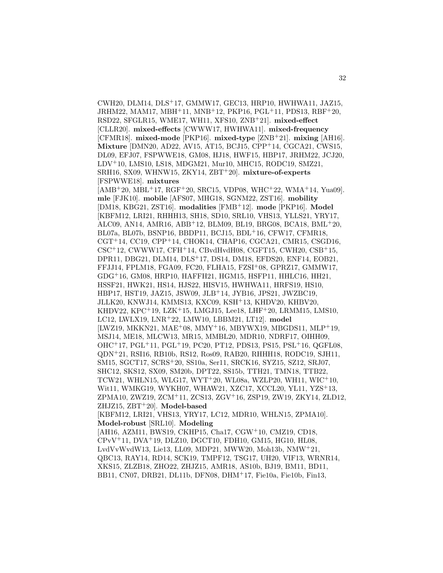CWH20, DLM14, DLS<sup>+</sup>17, GMMW17, GEC13, HRP10, HWHWA11, JAZ15, JRHM22, MAM17, MBH<sup>+</sup>11, MNB<sup>+</sup>12, PKP16, PGL<sup>+</sup>11, PDS13, RBF<sup>+</sup>20, RSD22, SFGLR15, WME17, WH11, XFS10, ZNB<sup>+</sup>21]. **mixed-effect** [CLLR20]. **mixed-effects** [CWWW17, HWHWA11]. **mixed-frequency** [CFMR18]. **mixed-mode** [PKP16]. **mixed-type** [ZNB<sup>+</sup>21]. **mixing** [AH16]. **Mixture** [DMN20, AD22, AV15, AT15, BCJ15, CPP<sup>+</sup>14, CGCA21, CWS15, DL09, EFJ07, FSPWWE18, GM08, HJ18, HWF15, HBP17, JRHM22, JCJ20, LDV<sup>+</sup>10, LMS10, LS18, MDGM21, Mur10, MHC15, RODC19, SMZ21, SRH16, SX09, WHNW15, ZKY14, ZBT<sup>+</sup>20]. **mixture-of-experts** [FSPWWE18]. **mixtures**

[AMB<sup>+</sup>20, MBL<sup>+</sup>17, RGF<sup>+</sup>20, SRC15, VDP08, WHC<sup>+</sup>22, WMA<sup>+</sup>14, Yua09]. **mle** [FJK10]. **mobile** [AFS07, MHG18, SGNM22, ZST16]. **mobility** [DM18, KBG21, ZST16]. **modalities** [FMB<sup>+</sup>12]. **mode** [PKP16]. **Model** [KBFM12, LRI21, RHHH13, SH18, SD10, SRL10, VHS13, YLLS21, YRY17, ALC09, AN14, AMR16, ABB<sup>+</sup>12, BLM09, BL19, BRG08, BCA18, BML<sup>+</sup>20, BL07a, BL07b, BSNP16, BBDP11, BCJ15, BDL<sup>+</sup>16, CFW17, CFMR18,  $CGT<sup>+</sup>14, CC19, CPP<sup>+</sup>14, CHOK14, CHAP16, CGCA21, CMR15, CSGD16,$  $CSC<sup>+</sup>12$ , CWWW17, CFH<sup>+</sup>14, CBvdHvdH08, CGFT15, CWH20, CSB<sup>+</sup>15, DPR11, DBG21, DLM14, DLS<sup>+</sup>17, DS14, DM18, EFDS20, ENF14, EOB21, FFJJ14, FPLM18, FGA09, FC20, FLHA15, FZSI<sup>+</sup>08, GPRZ17, GMMW17, GDG<sup>+</sup>16, GM08, HRP10, HAFFH21, HGM15, HSFP11, HHLC16, HH21, HSSF21, HWK21, HS14, HJS22, HISV15, HWHWA11, HRFS19, HS10, HBP17, HST19, JAZ15, JSW09, JLB<sup>+</sup>14, JYB16, JPS21, JWZBC19, JLLK20, KNWJ14, KMMS13, KXC09, KSH<sup>+</sup>13, KHDV20, KHBV20, KHDV22, KPC<sup>+</sup>19, LZK<sup>+</sup>15, LMGJ15, Lee18, LHF<sup>+</sup>20, LRMM15, LMS10, LC12, LWLX19, LNR<sup>+</sup>22, LMW10, LBBM21, LT12]. **model** [LWZ19, MKKN21, MAE<sup>+</sup>08, MMY<sup>+</sup>16, MBYWX19, MBGDS11, MLP<sup>+</sup>19, MSJ14, ME18, MLCW13, MR15, MMBL20, MDR10, NDRF17, OIHH09, OHC<sup>+</sup>17, PGL<sup>+</sup>11, PGL<sup>+</sup>19, PC20, PT12, PDS13, PS15, PSL<sup>+</sup>16, QGFL08, QDN<sup>+</sup>21, RSI16, RB10b, RS12, Ros09, RAB20, RHHH18, RODC19, SJH11, SM15, SGCT17, SCRS<sup>+</sup>20, SS10a, Ser11, SRCK16, SYZ15, SZ12, SRJ07, SHC12, SKS12, SX09, SM20b, DPT22, SS15b, TTH21, TMN18, TTB22, TCW21, WHLN15, WLG17, WYT<sup>+</sup>20, WL08a, WZLP20, WH11, WIC<sup>+</sup>10, Wit11, WMKG19, WYKH07, WHAW21, XZC17, XCCL20, YL11, YZS<sup>+</sup>13, ZPMA10, ZWZ19, ZCM<sup>+</sup>11, ZCS13, ZGV<sup>+</sup>16, ZSP19, ZW19, ZKY14, ZLD12, ZHJZ15, ZBT<sup>+</sup>20]. **Model-based** [KBFM12, LRI21, VHS13, YRY17, LC12, MDR10, WHLN15, ZPMA10]. **Model-robust** [SRL10]. **Modeling** [AH16, AZM11, BWS19, CKHP15, Cha17, CGW<sup>+</sup>10, CMZ19, CD18,

CPvV<sup>+</sup>11, DVA<sup>+</sup>19, DLZ10, DGCT10, FDH10, GM15, HG10, HL08, LvdVvWvdW13, Lie13, LL09, MDP21, MWW20, Moh13b, NMW<sup>+</sup>21, QBC13, RAY14, RD14, SCK19, TMPF12, TSG17, UH20, VIF13, WRNR14, XKS15, ZLZB18, ZHO22, ZHJZ15, AMR18, AS10b, BJ19, BM11, BD11, BB11, CN07, DRB21, DL11b, DFN08, DHM<sup>+</sup>17, Fie10a, Fie10b, Fin13,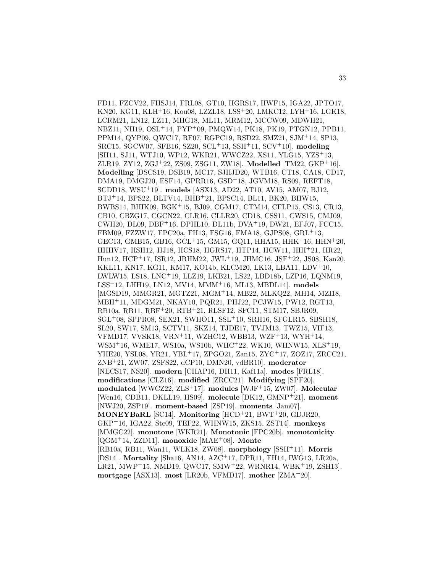FD11, FZCV22, FHSJ14, FRL08, GT10, HGRS17, HWF15, IGA22, JPTO17, KN20, KG11, KLH<sup>+</sup>16, Kou08, LZZL18, LSS<sup>+</sup>20, LMKC12, LYH<sup>+</sup>16, LGK18, LCRM21, LN12, LZ11, MHG18, ML11, MRM12, MCCW09, MDWH21, NBZ11, NH19, OSL<sup>+</sup>14, PYP<sup>+</sup>09, PMQW14, PK18, PK19, PTGN12, PPB11, PPM14, QYP09, QWC17, RF07, RGPC19, RSD22, SMZ21, SJM<sup>+</sup>14, SP13, SRC15, SGCW07, SFB16, SZ20, SCL<sup>+</sup>13, SSH<sup>+</sup>11, SCV<sup>+</sup>10]. **modeling** [SH11, SJ11, WTJ10, WP12, WKR21, WWCZ22, XS11, YLG15, YZS<sup>+</sup>13, ZLR19, ZY12, ZGJ<sup>+</sup>22, ZS09, ZSG11, ZW18]. **Modelled** [TM22, GKP<sup>+</sup>16]. **Modelling** [DSCS19, DSB19, MC17, SJHJD20, WTB16, CT18, CA18, CD17, DMA19, DMGJ20, ESF14, GPRR16, GSD<sup>+</sup>18, JGVM18, RS09, REFT18, SCDD18, WSU<sup>+</sup>19]. **models** [ASX13, AD22, AT10, AV15, AM07, BJ12, BTJ<sup>+</sup>14, BPS22, BLTV14, BHB<sup>+</sup>21, BPSC14, BL11, BK20, BHW15, BWBS14, BHIK09, BGK<sup>+</sup>15, BJ09, CGM17, CTM14, CFLP15, CS13, CR13, CB10, CBZG17, CGCN22, CLR16, CLLR20, CD18, CSS11, CWS15, CMJ09, CWH20, DL09, DBF<sup>+</sup>16, DPHL10, DL11b, DVA<sup>+</sup>19, DW21, EFJ07, FCC15, FBM09, FZZW17, FPC20a, FH13, FSG16, FMA18, GJPS08, GRL<sup>+</sup>13, GEC13, GMB15, GB16, GCL<sup>+</sup>15, GM15, GQ11, HHA15, HHK<sup>+</sup>16, HHN<sup>+</sup>20, HHHV17, HSH12, HJ18, HCS18, HGRS17, HTP14, HCW11, HIH<sup>+</sup>21, HR22, Hun12, HCP<sup>+</sup>17, ISR12, JRHM22, JWL<sup>+</sup>19, JHMC16, JSF<sup>+</sup>22, JS08, Kan20, KKL11, KN17, KG11, KM17, KO14b, KLCM20, LK13, LBA11, LDV<sup>+</sup>10, LWLW15, LS18, LNC<sup>+</sup>19, LLZ19, LKB21, LS22, LBD18b, LZP16, LQNM19, LSS<sup>+</sup>12, LHH19, LN12, MV14, MMM<sup>+</sup>16, ML13, MBDL14]. **models** [MGSD19, MMGR21, MGTZ21, MGM<sup>+</sup>14, MB22, MLKQ22, MH14, MZI18, MBH<sup>+</sup>11, MDGM21, NKAY10, PQR21, PHJ22, PCJW15, PW12, RGT13, RB10a, RB11, RBF<sup>+</sup>20, RTB<sup>+</sup>21, RLSF12, SFC11, STM17, SBJR09,  $SGL+08$ , SPPR08, SEX21, SWHO11, SSL<sup>+</sup>10, SRH16, SFGLR15, SBSH18, SL20, SW17, SM13, SCTV11, SKZ14, TJDE17, TVJM13, TWZ15, VIF13, VFMD17, VVSK18, VRN<sup>+</sup>11, WZHC12, WBB13, WZF<sup>+</sup>13, WYH<sup>+</sup>14, WSM<sup>+</sup>16, WME17, WS10a, WS10b, WHC<sup>+</sup>22, WK10, WHNW15, XLS<sup>+</sup>19, YHE20, YSL08, YR21, YBL<sup>+</sup>17, ZPGO21, Zan15, ZYC<sup>+</sup>17, ZOZ17, ZRCC21, ZNB<sup>+</sup>21, ZW07, ZSFS22, dCP10, DMN20, vdBR10]. **moderator** [NECS17, NS20]. **modern** [CHAP16, DH11, Kaf11a]. **modes** [FRL18]. **modifications** [CLZ16]. **modified** [ZRCC21]. **Modifying** [SPF20]. **modulated** [WWCZ22, ZLS<sup>+</sup>17]. **modules** [WJF<sup>+</sup>15, ZW07]. **Molecular** [Wen16, CDB11, DKLL19, HS09]. **molecule** [DK12, GMNP<sup>+</sup>21]. **moment** [NWJ20, ZSP19]. **moment-based** [ZSP19]. **moments** [Jam07]. **MONEYBaRL** [SC14]. **Monitoring** [HCD<sup>+</sup>21, BWT<sup>+</sup>20, GDJR20, GKP<sup>+</sup>16, IGA22, Ste09, TEF22, WHNW15, ZKS15, ZST14]. **monkeys** [MMGC22]. **monotone** [WKR21]. **Monotonic** [FPC20b]. **monotonicity** [QGM<sup>+</sup>14, ZZD11]. **monoxide** [MAE<sup>+</sup>08]. **Monte** [RB10a, RB11, Wan11, WLK18, ZW08]. **morphology** [SSH<sup>+</sup>11]. **Morris** [DS14]. **Mortality** [Sha16, AN14, AZC<sup>+</sup>17, DPR11, FH14, IWG13, LR20a, LR21, MWP<sup>+</sup>15, NMD19, QWC17, SMW<sup>+</sup>22, WRNR14, WBK<sup>+</sup>19, ZSH13]. **mortgage** [ASX13]. **most** [LR20b, VFMD17]. **mother** [ZMA<sup>+</sup>20].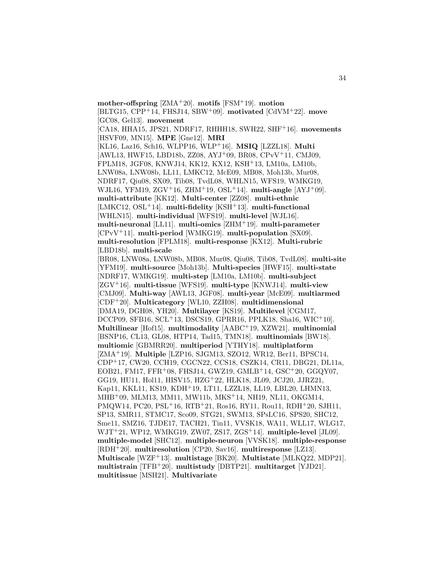**mother-offspring** [ZMA<sup>+</sup>20]. **motifs** [FSM<sup>+</sup>19]. **motion** [BLTG15, CPP<sup>+</sup>14, FHSJ14, SBW<sup>+</sup>09]. **motivated** [CdVM<sup>+</sup>22]. **move** [GC08, Gel13]. **movement** [CA18, HHA15, JPS21, NDRF17, RHHH18, SWH22, SHF<sup>+</sup>16]. **movements** [HSVF09, MN15]. **MPE** [Gne12]. **MRI** [KL16, Laz16, Sch16, WLPP16, WLP<sup>+</sup>16]. **MSIQ** [LZZL18]. **Multi** [AWL13, HWF15, LBD18b, ZZ08, AYJ<sup>+</sup>09, BR08, CPvV<sup>+</sup>11, CMJ09, FPLM18, JGF08, KNWJ14, KK12, KX12, KSH<sup>+</sup>13, LM10a, LM10b, LNW08a, LNW08b, LL11, LMKC12, McE09, MB08, Moh13b, Mur08, NDRF17, Qiu08, SX09, Tib08, TvdL08, WHLN15, WFS19, WMKG19, WJL16, YFM19, ZGV<sup>+</sup>16, ZHM<sup>+</sup>19, OSL<sup>+</sup>14]. **multi-angle** [AYJ<sup>+</sup>09]. **multi-attribute** [KK12]. **Multi-center** [ZZ08]. **multi-ethnic** [LMKC12, OSL<sup>+</sup>14]. **multi-fidelity** [KSH<sup>+</sup>13]. **multi-functional** [WHLN15]. **multi-individual** [WFS19]. **multi-level** [WJL16]. **multi-neuronal** [LL11]. **multi-omics** [ZHM<sup>+</sup>19]. **multi-parameter** [CPvV<sup>+</sup>11]. **multi-period** [WMKG19]. **multi-population** [SX09]. **multi-resolution** [FPLM18]. **multi-response** [KX12]. **Multi-rubric** [LBD18b]. **multi-scale** [BR08, LNW08a, LNW08b, MB08, Mur08, Qiu08, Tib08, TvdL08]. **multi-site** [YFM19]. **multi-source** [Moh13b]. **Multi-species** [HWF15]. **multi-state** [NDRF17, WMKG19]. **multi-step** [LM10a, LM10b]. **multi-subject** [ZGV<sup>+</sup>16]. **multi-tissue** [WFS19]. **multi-type** [KNWJ14]. **multi-view** [CMJ09]. **Multi-way** [AWL13, JGF08]. **multi-year** [McE09]. **multiarmed** [CDF<sup>+</sup>20]. **Multicategory** [WL10, ZZH08]. **multidimensional** [DMA19, DGH08, YH20]. **Multilayer** [KS19]. **Multilevel** [CGM17, DCCP09, SFB16, SCL<sup>+</sup>13, DSCS19, GPRR16, PPLK18, Sha16, WIC<sup>+</sup>10]. **Multilinear** [Hof15]. **multimodality** [AABC<sup>+</sup>19, XZW21]. **multinomial** [BSNP16, CL13, GL08, HTP14, Tad15, TMN18]. **multinomials** [BW18]. **multiomic** [GBMRR20]. **multiperiod** [YTHY18]. **multiplatform** [ZMA<sup>+</sup>19]. **Multiple** [LZP16, SJGM13, SZO12, WR12, Ber11, BPSC14, CDP<sup>+</sup>17, CW20, CCH19, CGCN22, CCS18, CSZK14, CR11, DBG21, DL11a, EOB21, FM17, FFR<sup>+</sup>08, FHSJ14, GWZ19, GMLB<sup>+</sup>14, GSC<sup>+</sup>20, GGQY07, GG19, HU11, Hol11, HISV15, HZG<sup>+</sup>22, HLK18, JL09, JCJ20, JJRZ21, Kap11, KKL11, KS19, KDH<sup>+</sup>19, LT11, LZZL18, LL19, LBL20, LHMN13, MHB<sup>+</sup>09, MLM13, MM11, MW11b, MKS<sup>+</sup>14, NH19, NL11, OKGM14, PMQW14, PC20, PSL<sup>+</sup>16, RTB<sup>+</sup>21, Ros16, RY11, Rou11, RDH<sup>+</sup>20, SJH11, SP13, SMR11, STMC17, Sco09, STG21, SWM13, SPsLC16, SPS20, SHC12, Sme11, SMZ16, TJDE17, TACH21, Tin11, VVSK18, WA11, WLL17, WLG17, WJT<sup>+</sup>21, WP12, WMKG19, ZW07, ZS17, ZGS<sup>+</sup>14]. **multiple-level** [JL09]. **multiple-model** [SHC12]. **multiple-neuron** [VVSK18]. **multiple-response** [RDH<sup>+</sup>20]. **multiresolution** [CP20, Sav16]. **multiresponse** [LZ13]. **Multiscale** [WZF<sup>+</sup>13]. **multistage** [BK20]. **Multistate** [MLKQ22, MDP21]. **multistrain** [TFB<sup>+</sup>20]. **multistudy** [DBTP21]. **multitarget** [YJD21]. **multitissue** [MSH21]. **Multivariate**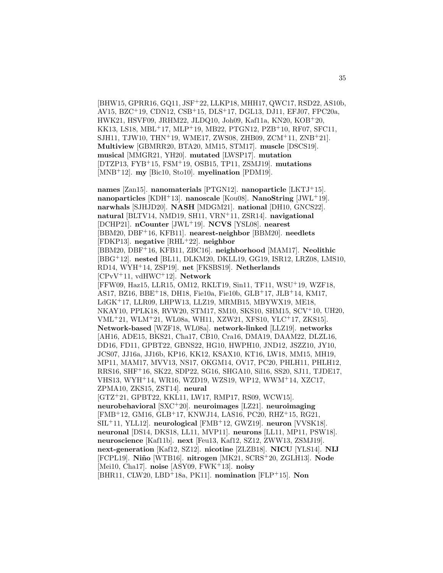[BHW15, GPRR16, GQ11, JSF<sup>+</sup>22, LLKP18, MHH17, QWC17, RSD22, AS10b, AV15, BZC<sup>+</sup>19, CDN12, CSB<sup>+</sup>15, DLS<sup>+</sup>17, DGL13, DJ11, EFJ07, FPC20a, HWK21, HSVF09, JRHM22, JLDQ10, Joh09, Kaf11a, KN20, KOB<sup>+</sup>20, KK13, LS18, MBL<sup>+</sup>17, MLP<sup>+</sup>19, MB22, PTGN12, PZB<sup>+</sup>10, RF07, SFC11, SJH11, TJW10, THN<sup>+</sup>19, WME17, ZWS08, ZHB09, ZCM<sup>+</sup>11, ZNB<sup>+</sup>21. **Multiview** [GBMRR20, BTA20, MM15, STM17]. **muscle** [DSCS19]. **musical** [MMGR21, YH20]. **mutated** [LWSP17]. **mutation** [DTZP13, FYB<sup>+</sup>15, FSM<sup>+</sup>19, OSB15, TP11, ZSMJ19]. **mutations** [MNB<sup>+</sup>12]. **my** [Bic10, Sto10]. **myelination** [PDM19].

**names** [Zan15]. **nanomaterials** [PTGN12]. **nanoparticle** [LKTJ<sup>+</sup>15]. **nanoparticles** [KDH<sup>+</sup>13]. **nanoscale** [Kou08]. **NanoString** [JWL<sup>+</sup>19]. **narwhals** [SJHJD20]. **NASH** [MDGM21]. **national** [DH10, GNCS22]. **natural** [BLTV14, NMD19, SH11, VRN<sup>+</sup>11, ZSR14]. **navigational** [DCHP21]. **nCounter** [JWL<sup>+</sup>19]. **NCVS** [YSL08]. **nearest** [BBM20, DBF<sup>+</sup>16, KFB11]. **nearest-neighbor** [BBM20]. **needlets** [FDKP13]. **negative** [RHL<sup>+</sup>22]. **neighbor** [BBM20, DBF<sup>+</sup>16, KFB11, ZBC16]. **neighborhood** [MAM17]. **Neolithic** [BBG<sup>+</sup>12]. **nested** [BL11, DLKM20, DKLL19, GG19, ISR12, LRZ08, LMS10, RD14, WYH<sup>+</sup>14, ZSP19]. **net** [FKSBS19]. **Netherlands** [CPvV<sup>+</sup>11, vdHWC<sup>+</sup>12]. **Network** [FFW09, Haz15, LLR15, OM12, RKLT19, Sin11, TF11, WSU<sup>+</sup>19, WZF18, AS17, BZ16, BBE<sup>+</sup>18, DH18, Fie10a, Fie10b, GLB<sup>+</sup>17, JLB<sup>+</sup>14, KM17, LdGK<sup>+</sup>17, LLR09, LHPW13, LLZ19, MRMB15, MBYWX19, ME18, NKAY10, PPLK18, RVW20, STM17, SM10, SKS10, SHM15, SCV<sup>+</sup>10, UH20, VML<sup>+</sup>21, WLM<sup>+</sup>21, WL08a, WH11, XZW21, XFS10, YLC<sup>+</sup>17, ZKS15]. **Network-based** [WZF18, WL08a]. **network-linked** [LLZ19]. **networks** [AH16, ADE15, BKS21, Cha17, CB10, Cra16, DMA19, DAAM22, DLZL16, DD16, FD11, GPBT22, GBNS22, HG10, HWPH10, JND12, JSZZ10, JY10, JCS07, JJ16a, JJ16b, KP16, KK12, KSAX10, KT16, LW18, MM15, MH19, MP11, MAM17, MVV13, NS17, OKGM14, OV17, PC20, PHLH11, PHLH12, RRS16, SHF<sup>+</sup>16, SK22, SDP22, SG16, SHGA10, Sil16, SS20, SJ11, TJDE17, VHS13, WYH<sup>+</sup>14, WR16, WZD19, WZS19, WP12, WWM<sup>+</sup>14, XZC17, ZPMA10, ZKS15, ZST14]. **neural** [GTZ<sup>+</sup>21, GPBT22, KKL11, LW17, RMP17, RS09, WCW15]. **neurobehavioral** [SXC<sup>+</sup>20]. **neuroimages** [LZ21]. **neuroimaging** [FMB<sup>+</sup>12, GM16, GLB<sup>+</sup>17, KNWJ14, LAS16, PC20, RHZ<sup>+</sup>15, RG21, SIL<sup>+</sup>11, YLL12]. **neurological** [FMB<sup>+</sup>12, GWZ19]. **neuron** [VVSK18]. **neuronal** [DS14, DKS18, LL11, MVP11]. **neurons** [LL11, MP11, PSW18]. **neuroscience** [Kaf11b]. **next** [Feu13, Kaf12, SZ12, ZWW13, ZSMJ19]. **next-generation** [Kaf12, SZ12]. **nicotine** [ZLZB18]. **NICU** [YLS14]. **NIJ** [FCPL19]. **Ni˜no** [WTB16]. **nitrogen** [MK21, SCRS<sup>+</sup>20, ZGLH13]. **Node** [Mei10, Cha17]. **noise** [ASY09, FWK<sup>+</sup>13]. **noisy** [BHR11, CLW20, LBD<sup>+</sup>18a, PK11]. **nomination** [FLP<sup>+</sup>15]. **Non**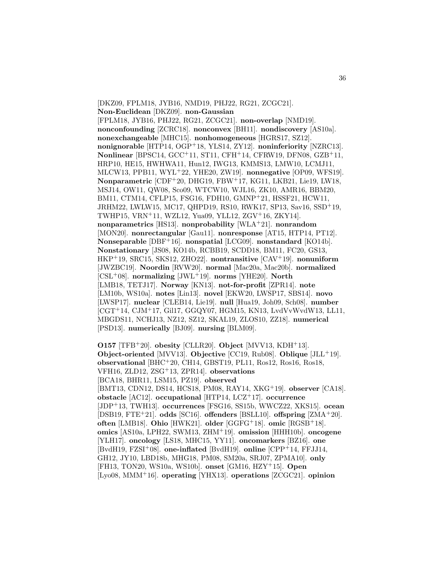[DKZ09, FPLM18, JYB16, NMD19, PHJ22, RG21, ZCGC21]. **Non-Euclidean** [DKZ09]. **non-Gaussian** [FPLM18, JYB16, PHJ22, RG21, ZCGC21]. **non-overlap** [NMD19]. **nonconfounding** [ZCRC18]. **nonconvex** [BH11]. **nondiscovery** [AS10a]. **nonexchangeable** [MHC15]. **nonhomogeneous** [HGRS17, SZ12]. **nonignorable** [HTP14, OGP<sup>+</sup>18, YLS14, ZY12]. **noninferiority** [NZRC13]. **Nonlinear** [BPSC14, GCC<sup>+</sup>11, ST11, CFH<sup>+</sup>14, CFRW19, DFN08, GZB<sup>+</sup>11, HRP10, HE15, HWHWA11, Hun12, IWG13, KMMS13, LMW10, LCMJ11, MLCW13, PPB11, WYL<sup>+</sup>22, YHE20, ZW19]. **nonnegative** [OP09, WFS19]. **Nonparametric** [CDF<sup>+</sup>20, DHG19, FBW<sup>+</sup>17, KG11, LKB21, Lie19, LW18, MSJ14, OW11, QW08, Sco09, WTCW10, WJL16, ZK10, AMR16, BBM20, BM11, CTM14, CFLP15, FSG16, FDH10, GMNP<sup>+</sup>21, HSSF21, HCW11, JRHM22, LWLW15, MC17, QHPD19, RS10, RWK17, SP13, Sav16, SSD<sup>+</sup>19, TWHP15, VRN<sup>+</sup>11, WZL12, Yua09, YLL12, ZGV<sup>+</sup>16, ZKY14]. **nonparametrics** [HS13]. **nonprobability** [WLA<sup>+</sup>21]. **nonrandom** [MON20]. **nonrectangular** [Gau11]. **nonresponse** [AT15, HTP14, PT12]. **Nonseparable** [DBF<sup>+</sup>16]. **nonspatial** [LCG09]. **nonstandard** [KO14b]. **Nonstationary** [JS08, KO14b, RCBB19, SCDD18, BM11, FC20, GS13, HKP<sup>+</sup>19, SRC15, SKS12, ZHO22]. **nontransitive** [CAV<sup>+</sup>19]. **nonuniform** [JWZBC19]. **Noordin** [RVW20]. **normal** [Mac20a, Mac20b]. **normalized** [CSL<sup>+</sup>08]. **normalizing** [JWL<sup>+</sup>19]. **norms** [YHE20]. **North** [LMB18, TETJ17]. **Norway** [KN13]. **not-for-profit** [ZPR14]. **note** [LM10b, WS10a]. **notes** [Lin13]. **novel** [EKW20, LWSP17, SBS14]. **novo** [LWSP17]. **nuclear** [CLEB14, Lie19]. **null** [Hua19, Joh09, Sch08]. **number** [CGT<sup>+</sup>14, CJM<sup>+</sup>17, Gil17, GGQY07, HGM15, KN13, LvdVvWvdW13, LL11, MBGDS11, NCHJ13, NZ12, SZ12, SKAL19, ZLOS10, ZZ18]. **numerical** [PSD13]. **numerically** [BJ09]. **nursing** [BLM09].

**O157** [TFB<sup>+</sup>20]. **obesity** [CLLR20]. **Object** [MVV13, KDH<sup>+</sup>13]. **Object-oriented** [MVV13]. **Objective** [CC19, Rub08]. **Oblique** [JLL<sup>+</sup>19]. **observational** [BHC<sup>+</sup>20, CH14, GBST19, PL11, Ros12, Ros16, Ros18, VFH16, ZLD12, ZSG<sup>+</sup>13, ZPR14]. **observations** [BCA18, BHR11, LSM15, PZ19]. **observed** [BMT13, CDN12, DS14, HCS18, PM08, RAY14, XKG<sup>+</sup>19]. **observer** [CA18]. **obstacle** [AC12]. **occupational** [HTP14, LCZ<sup>+</sup>17]. **occurrence** [JDP<sup>+</sup>13, TWH13]. **occurrences** [FSG16, SS15b, WWCZ22, XKS15]. **ocean** [DSB19, FTE<sup>+</sup>21]. **odds** [SC16]. **offenders** [BSLL10]. **offspring** [ZMA<sup>+</sup>20]. **often** [LMB18]. **Ohio** [HWK21]. **older** [GGFG<sup>+</sup>18]. **omic** [RGSB<sup>+</sup>18]. **omics** [AS10a, LPH22, SWM13, ZHM<sup>+</sup>19]. **omission** [HHH10b]. **oncogene** [YLH17]. **oncology** [LS18, MHC15, YY11]. **oncomarkers** [BZ16]. **one** [BvdH19, FZSI<sup>+</sup>08]. **one-inflated** [BvdH19]. **online** [CPP<sup>+</sup>14, FFJJ14, GH12, JY10, LBD18b, MHG18, PM08, SM20a, SRJ07, ZPMA10]. **only** [FH13, TON20, WS10a, WS10b]. **onset** [GM16, HZY<sup>+</sup>15]. **Open** [Lyo08, MMM<sup>+</sup>16]. **operating** [YHX13]. **operations** [ZCGC21]. **opinion**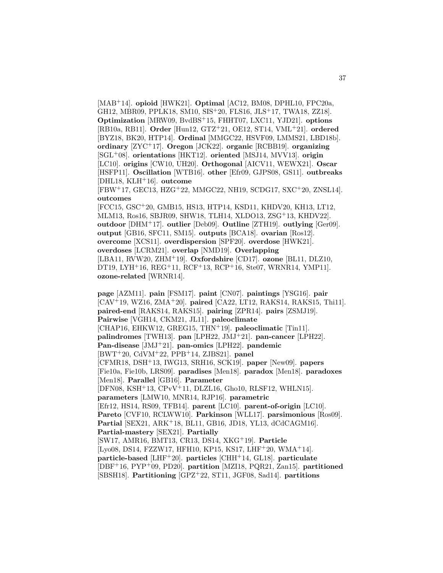[MAB<sup>+</sup>14]. **opioid** [HWK21]. **Optimal** [AC12, BM08, DPHL10, FPC20a, GH12, MBR09, PPLK18, SM10, SIS<sup>+</sup>20, FLS16, JLS<sup>+</sup>17, TWA18, ZZ18]. **Optimization** [MRW09, BvdBS<sup>+</sup>15, FHHT07, LXC11, YJD21]. **options** [RB10a, RB11]. **Order** [Hun12, GTZ<sup>+</sup>21, OE12, ST14, VML<sup>+</sup>21]. **ordered** [BYZ18, BK20, HTP14]. **Ordinal** [MMGC22, HSVF09, LMMS21, LBD18b]. **ordinary** [ZYC<sup>+</sup>17]. **Oregon** [JCK22]. **organic** [RCBB19]. **organizing** [SGL<sup>+</sup>08]. **orientations** [HKT12]. **oriented** [MSJ14, MVV13]. **origin** [LC10]. **origins** [CW10, UH20]. **Orthogonal** [AICV11, WEWX21]. **Oscar** [HSFP11]. **Oscillation** [WTB16]. **other** [Efr09, GJPS08, GS11]. **outbreaks** [DHL18, KLH<sup>+</sup>16]. **outcome**

[FBW<sup>+</sup>17, GEC13, HZG<sup>+</sup>22, MMGC22, NH19, SCDG17, SXC<sup>+</sup>20, ZNSL14]. **outcomes**

[FCC15, GSC<sup>+</sup>20, GMB15, HS13, HTP14, KSD11, KHDV20, KH13, LT12, MLM13, Ros16, SBJR09, SHW18, TLH14, XLDO13, ZSG<sup>+</sup>13, KHDV22]. **outdoor** [DHM<sup>+</sup>17]. **outlier** [Deb09]. **Outline** [ZTH19]. **outlying** [Ger09]. **output** [GB16, SFC11, SM15]. **outputs** [BCA18]. **ovarian** [Ros12]. **overcome** [XCS11]. **overdispersion** [SPF20]. **overdose** [HWK21]. **overdoses** [LCRM21]. **overlap** [NMD19]. **Overlapping** [LBA11, RVW20, ZHM<sup>+</sup>19]. **Oxfordshire** [CD17]. **ozone** [BL11, DLZ10, DT19, LYH<sup>+</sup>16, REG<sup>+</sup>11, RCF<sup>+</sup>13, RCP<sup>+</sup>16, Ste07, WRNR14, YMP11]. **ozone-related** [WRNR14].

**page** [AZM11]. **pain** [FSM17]. **paint** [CN07]. **paintings** [YSG16]. **pair** [CAV<sup>+</sup>19, WZ16, ZMA<sup>+</sup>20]. **paired** [CA22, LT12, RAKS14, RAKS15, Thi11]. **paired-end** [RAKS14, RAKS15]. **pairing** [ZPR14]. **pairs** [ZSMJ19]. **Pairwise** [VGH14, CKM21, JL11]. **paleoclimate** [CHAP16, EHKW12, GREG15, THN<sup>+</sup>19]. **paleoclimatic** [Tin11]. **palindromes** [TWH13]. **pan** [LPH22, JMJ<sup>+</sup>21]. **pan-cancer** [LPH22]. **Pan-disease** [JMJ<sup>+</sup>21]. **pan-omics** [LPH22]. **pandemic** [BWT<sup>+</sup>20, CdVM<sup>+</sup>22, PPB<sup>+</sup>14, ZJBS21]. **panel** [CFMR18, DSH<sup>+</sup>13, IWG13, SRH16, SCK19]. **paper** [New09]. **papers** [Fie10a, Fie10b, LRS09]. **paradises** [Men18]. **paradox** [Men18]. **paradoxes** [Men18]. **Parallel** [GB16]. **Parameter** [DFN08, KSH<sup>+</sup>13, CPvV<sup>+</sup>11, DLZL16, Gho10, RLSF12, WHLN15]. **parameters** [LMW10, MNR14, RJP16]. **parametric** [Efr12, HS14, RS09, TFB14]. **parent** [LC10]. **parent-of-origin** [LC10]. **Pareto** [CVF10, RCLWW10]. **Parkinson** [WLL17]. **parsimonious** [Ros09]. **Partial** [SEX21, ARK<sup>+</sup>18, BL11, GB16, JD18, YL13, dCdCAGM16]. **Partial-mastery** [SEX21]. **Partially** [SW17, AMR16, BMT13, CR13, DS14, XKG<sup>+</sup>19]. **Particle** [Lyo08, DS14, FZZW17, HFH10, KP15, KS17, LHF+20, WMA+14]. **particle-based** [LHF<sup>+</sup>20]. **particles** [CHH<sup>+</sup>14, GL18]. **particulate** [DBF<sup>+</sup>16, PYP<sup>+</sup>09, PD20]. **partition** [MZI18, PQR21, Zan15]. **partitioned** [SBSH18]. **Partitioning** [GPZ<sup>+</sup>22, ST11, JGF08, Sad14]. **partitions**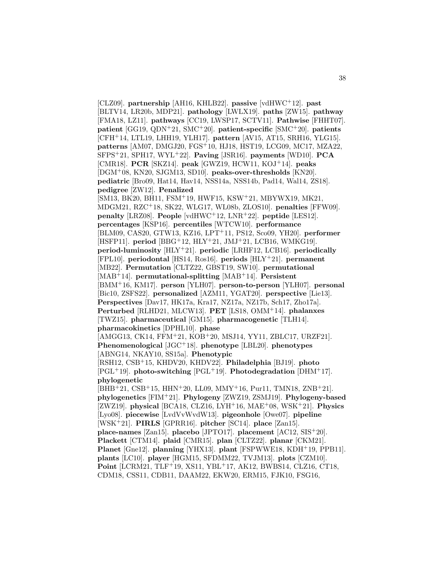[CLZ09]. **partnership** [AH16, KHLB22]. **passive** [vdHWC<sup>+</sup>12]. **past** [BLTV14, LR20b, MDP21]. **pathology** [LWLX19]. **paths** [ZW15]. **pathway** [FMA18, LZ11]. **pathways** [CC19, LWSP17, SCTV11]. **Pathwise** [FHHT07]. **patient** [GG19, QDN<sup>+</sup>21, SMC<sup>+</sup>20]. **patient-specific** [SMC<sup>+</sup>20]. **patients** [CFH<sup>+</sup>14, LTL19, LHH19, YLH17]. **pattern** [AV15, AT15, SRH16, YLG15]. **patterns** [AM07, DMGJ20, FGS<sup>+</sup>10, HJ18, HST19, LCG09, MC17, MZA22, SFPS<sup>+</sup>21, SPH17, WYL<sup>+</sup>22]. **Paving** [JSR16]. **payments** [WD10]. **PCA** [CMR18]. **PCR** [SKZ14]. **peak** [GWZ19, HCW11, KOJ<sup>+</sup>14]. **peaks** [DGM<sup>+</sup>08, KN20, SJGM13, SD10]. **peaks-over-thresholds** [KN20]. **pediatric** [Bro09, Hat14, Hav14, NSS14a, NSS14b, Pad14, Wal14, ZS18]. **pedigree** [ZW12]. **Penalized** [SM13, BK20, BH11, FSM<sup>+</sup>19, HWF15, KSW<sup>+</sup>21, MBYWX19, MK21, MDGM21, RZC<sup>+</sup>18, SK22, WLG17, WL08b, ZLOS10]. **penalties** [FFW09]. **penalty** [LRZ08]. **People** [vdHWC<sup>+</sup>12, LNR<sup>+</sup>22]. **peptide** [LES12]. **percentages** [KSP16]. **percentiles** [WTCW10]. **performance** [BLM09, CAS20, GTW13, KZ16, LPT<sup>+</sup>11, PS12, Sco09, YH20]. **performer** [HSFP11]. **period** [BBG<sup>+</sup>12, HLY<sup>+</sup>21, JMJ<sup>+</sup>21, LCB16, WMKG19]. **period-luminosity** [HLY<sup>+</sup>21]. **periodic** [LRHF12, LCB16]. **periodically** [FPL10]. **periodontal** [HS14, Ros16]. **periods** [HLY<sup>+</sup>21]. **permanent** [MB22]. **Permutation** [CLTZ22, GBST19, SW10]. **permutational** [MAB<sup>+</sup>14]. **permutational-splitting** [MAB<sup>+</sup>14]. **Persistent** [BMM<sup>+</sup>16, KM17]. **person** [YLH07]. **person-to-person** [YLH07]. **personal** [Bic10, ZSFS22]. **personalized** [AZM11, YGAT20]. **perspective** [Lie13]. **Perspectives** [Dav17, HK17a, Kra17, NZ17a, NZ17b, Sch17, Zho17a]. **Perturbed** [RLHD21, MLCW13]. **PET** [LS18, OMM<sup>+</sup>14]. **phalanxes** [TWZ15]. **pharmaceutical** [GM15]. **pharmacogenetic** [TLH14]. **pharmacokinetics** [DPHL10]. **phase** [AMGG13, CK14, FFM<sup>+</sup>21, KOB<sup>+</sup>20, MSJ14, YY11, ZBLC17, URZF21]. **Phenomenological** [JGC<sup>+</sup>18]. **phenotype** [LBL20]. **phenotypes** [ABNG14, NKAY10, SS15a]. **Phenotypic** [RSH12, CSB<sup>+</sup>15, KHDV20, KHDV22]. **Philadelphia** [BJ19]. **photo** [PGL<sup>+</sup>19]. **photo-switching** [PGL<sup>+</sup>19]. **Photodegradation** [DHM<sup>+</sup>17]. **phylogenetic** [BHB<sup>+</sup>21, CSB<sup>+</sup>15, HHN<sup>+</sup>20, LL09, MMY<sup>+</sup>16, Pur11, TMN18, ZNB<sup>+</sup>21]. **phylogenetics** [FIM<sup>+</sup>21]. **Phylogeny** [ZWZ19, ZSMJ19]. **Phylogeny-based** [ZWZ19]. **physical** [BCA18, CLZ16, LYH<sup>+</sup>16, MAE<sup>+</sup>08, WSK<sup>+</sup>21]. **Physics** [Lyo08]. **piecewise** [LvdVvWvdW13]. **pigeonhole** [Owe07]. **pipeline** [WSK<sup>+</sup>21]. **PIRLS** [GPRR16]. **pitcher** [SC14]. **place** [Zan15]. **place-names** [Zan15]. **placebo** [JPTO17]. **placement** [AC12, SIS<sup>+</sup>20]. **Plackett** [CTM14]. **plaid** [CMR15]. **plan** [CLTZ22]. **planar** [CKM21]. **Planet** [Gne12]. **planning** [YHX13]. **plant** [FSPWWE18, KDH<sup>+</sup>19, PPB11]. **plants** [LC10]. **player** [HGM15, SFDMM22, TVJM13]. **plots** [CZM10]. **Point** [LCRM21, TLF<sup>+</sup>19, XS11, YBL<sup>+</sup>17, AK12, BWBS14, CLZ16, CT18, CDM18, CSS11, CDB11, DAAM22, EKW20, ERM15, FJK10, FSG16,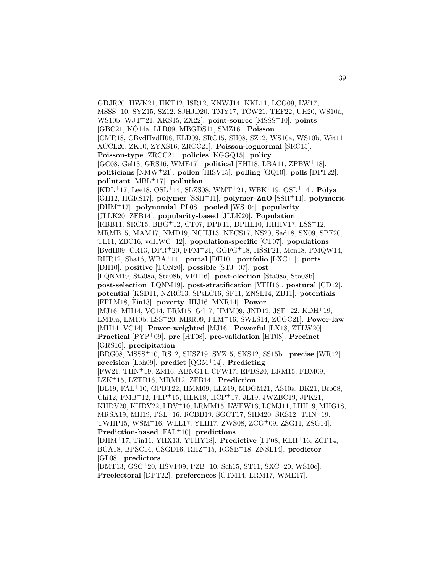GDJR20, HWK21, HKT12, ISR12, KNWJ14, KKL11, LCG09, LW17, MSSS<sup>+</sup>10, SYZ15, SZ12, SJHJD20, TMY17, TCW21, TEF22, UH20, WS10a, WS10b, WJT<sup>+</sup>21, XKS15, ZX22]. **point-source** [MSSS<sup>+</sup>10]. **points** [GBC21, KÓ14a, LLR09, MBGDS11, SMZ16]. **Poisson** [CMR18, CBvdHvdH08, ELD09, SRC15, SH08, SZ12, WS10a, WS10b, Wit11, XCCL20, ZK10, ZYXS16, ZRCC21]. **Poisson-lognormal** [SRC15]. **Poisson-type** [ZRCC21]. **policies** [KGGQ15]. **policy** [GC08, Gel13, GRS16, WME17]. **political** [FHI18, LBA11, ZPBW<sup>+</sup>18]. **politicians** [NMW<sup>+</sup>21]. **pollen** [HISV15]. **polling** [GQ10]. **polls** [DPT22]. **pollutant** [MBL<sup>+</sup>17]. **pollution**  $[KDL+17, Lee18, OSL+14, SLZS08, WMT+21, WBK+19, OSL+14]$ . **Pólya** [GH12, HGRS17]. **polymer** [SSH<sup>+</sup>11]. **polymer-ZnO** [SSH<sup>+</sup>11]. **polymeric** [DHM<sup>+</sup>17]. **polynomial** [PL08]. **pooled** [WS10c]. **popularity** [JLLK20, ZFB14]. **popularity-based** [JLLK20]. **Population** [RBB11, SRC15, BBG<sup>+</sup>12, CT07, DPR11, DPHL10, HHHV17, LSS<sup>+</sup>12, MRMB15, MAM17, NMD19, NCHJ13, NECS17, NS20, Sad18, SX09, SPF20, TL11, ZBC16, vdHWC<sup>+</sup>12]. **population-specific** [CT07]. **populations** [BvdH09, CR13, DPR<sup>+</sup>20, FFM<sup>+</sup>21, GGFG<sup>+</sup>18, HSSF21, Men18, PMQW14, RHR12, Sha16, WBA<sup>+</sup>14]. **portal** [DH10]. **portfolio** [LXC11]. **ports** [DH10]. **positive** [TON20]. **possible** [STJ<sup>+</sup>07]. **post** [LQNM19, Sta08a, Sta08b, VFH16]. **post-election** [Sta08a, Sta08b]. **post-selection** [LQNM19]. **post-stratification** [VFH16]. **postural** [CD12]. **potential** [KSD11, NZRC13, SPsLC16, SF11, ZNSL14, ZB11]. **potentials** [FPLM18, Fin13]. **poverty** [IHJ16, MNR14]. **Power** [MJ16, MH14, VC14, ERM15, Gil17, HMM09, JND12, JSF+22, KDH+19, LM10a, LM10b, LSS<sup>+</sup>20, MBR09, PLM<sup>+</sup>16, SWLS14, ZCGC21]. **Power-law** [MH14, VC14]. **Power-weighted** [MJ16]. **Powerful** [LX18, ZTLW20]. **Practical** [PYP<sup>+</sup>09]. **pre** [HT08]. **pre-validation** [HT08]. **Precinct** [GRS16]. **precipitation** [BRG08, MSSS<sup>+</sup>10, RS12, SHSZ19, SYZ15, SKS12, SS15b]. **precise** [WR12]. **precision** [Loh09]. **predict** [QGM<sup>+</sup>14]. **Predicting** [FW21, THN<sup>+</sup>19, ZM16, ABNG14, CFW17, EFDS20, ERM15, FBM09, LZK<sup>+</sup>15, LZTB16, MRM12, ZFB14]. **Prediction** [BL19, FAL<sup>+</sup>10, GPBT22, HMM09, LLZ19, MDGM21, AS10a, BK21, Bro08, Chi12, FMB<sup>+</sup>12, FLP<sup>+</sup>15, HLK18, HCP<sup>+</sup>17, JL19, JWZBC19, JPK21, KHDV20, KHDV22, LDV<sup>+</sup>10, LRMM15, LWFW16, LCMJ11, LHH19, MHG18, MRSA19, MH19, PSL<sup>+</sup>16, RCBB19, SGCT17, SHM20, SKS12, THN<sup>+</sup>19, TWHP15, WSM<sup>+</sup>16, WLL17, YLH17, ZWS08, ZCG<sup>+</sup>09, ZSG11, ZSG14]. **Prediction-based** [FAL<sup>+</sup>10]. **predictions** [DHM<sup>+</sup>17, Tin11, YHX13, YTHY18]. **Predictive** [FP08, KLH<sup>+</sup>16, ZCP14, BCA18, BPSC14, CSGD16, RHZ<sup>+</sup>15, RGSB<sup>+</sup>18, ZNSL14]. **predictor** [GL08]. **predictors** [BMT13, GSC<sup>+</sup>20, HSVF09, PZB<sup>+</sup>10, Sch15, ST11, SXC<sup>+</sup>20, WS10c]. **Preelectoral** [DPT22]. **preferences** [CTM14, LRM17, WME17].

39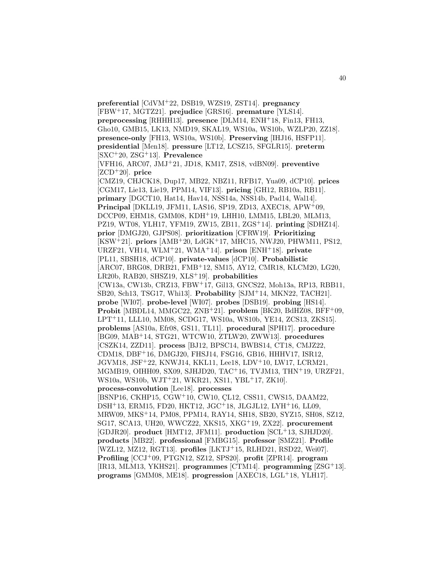**preferential** [CdVM<sup>+</sup>22, DSB19, WZS19, ZST14]. **pregnancy** [FBW<sup>+</sup>17, MGTZ21]. **prejudice** [GRS16]. **premature** [YLS14]. **preprocessing** [RHHH13]. **presence** [DLM14, ENH<sup>+</sup>18, Fin13, FH13, Gho10, GMB15, LK13, NMD19, SKAL19, WS10a, WS10b, WZLP20, ZZ18]. **presence-only** [FH13, WS10a, WS10b]. **Preserving** [IHJ16, HSFP11]. **presidential** [Men18]. **pressure** [LT12, LCSZ15, SFGLR15]. **preterm** [SXC<sup>+</sup>20, ZSG<sup>+</sup>13]. **Prevalence** [VFH16, ARC07, JMJ<sup>+</sup>21, JD18, KM17, ZS18, vdBN09]. **preventive** [ZCD<sup>+</sup>20]. **price** [CMZ19, CHJCK18, Dup17, MB22, NBZ11, RFB17, Yua09, dCP10]. **prices** [CGM17, Lie13, Lie19, PPM14, VIF13]. **pricing** [GH12, RB10a, RB11]. **primary** [DGCT10, Hat14, Hav14, NSS14a, NSS14b, Pad14, Wal14]. **Principal** [DKLL19, JFM11, LAS16, SP19, ZD13, AXEC18, APW<sup>+</sup>09, DCCP09, EHM18, GMM08, KDH<sup>+</sup>19, LHH10, LMM15, LBL20, MLM13, PZ19, WT08, YLH17, YFM19, ZW15, ZB11, ZGS<sup>+</sup>14]. **printing** [SDHZ14]. **prior** [DMGJ20, GJPS08]. **prioritization** [CFRW19]. **Prioritizing** [KSW<sup>+</sup>21]. **priors** [AMB<sup>+</sup>20, LdGK<sup>+</sup>17, MHC15, NWJ20, PHWM11, PS12, URZF21, VH14, WLM<sup>+</sup>21, WMA<sup>+</sup>14]. **prison** [ENH<sup>+</sup>18]. **private** [PL11, SBSH18, dCP10]. **private-values** [dCP10]. **Probabilistic** [ARC07, BRG08, DRB21, FMB<sup>+</sup>12, SM15, AY12, CMR18, KLCM20, LG20, LR20b, RAB20, SHSZ19, XLS<sup>+</sup>19]. **probabilities** [CW13a, CW13b, CRZ13, FBW<sup>+</sup>17, Gil13, GNCS22, Moh13a, RP13, RBB11, SB20, Sch13, TSG17, Whi13]. **Probability** [SJM<sup>+</sup>14, MKN22, TACH21]. **probe** [WI07]. **probe-level** [WI07]. **probes** [DSB19]. **probing** [HS14]. **Probit** [MBDL14, MMGC22, ZNB<sup>+</sup>21]. **problem** [BK20, BdHZ08, BFF<sup>+</sup>09, LPT<sup>+</sup>11, LLL10, MM08, SCDG17, WS10a, WS10b, YE14, ZCS13, ZKS15]. **problems** [AS10a, Efr08, GS11, TL11]. **procedural** [SPH17]. **procedure** [BG09, MAB<sup>+</sup>14, STG21, WTCW10, ZTLW20, ZWW13]. **procedures** [CSZK14, ZZD11]. **process** [BJ12, BPSC14, BWBS14, CT18, CMJZ22, CDM18, DBF<sup>+</sup>16, DMGJ20, FHSJ14, FSG16, GB16, HHHV17, ISR12, JGVM18, JSF<sup>+</sup>22, KNWJ14, KKL11, Lee18, LDV<sup>+</sup>10, LW17, LCRM21, MGMB19, OIHH09, SX09, SJHJD20, TAC<sup>+</sup>16, TVJM13, THN<sup>+</sup>19, URZF21, WS10a, WS10b, WJT<sup>+</sup>21, WKR21, XS11, YBL<sup>+</sup>17, ZK10]. **process-convolution** [Lee18]. **processes** [BSNP16, CKHP15, CGW+10, CW10, CL12, CSS11, CWS15, DAAM22, DSH<sup>+</sup>13, ERM15, FD20, HKT12, JGC<sup>+</sup>18, JLGJL12, LYH<sup>+</sup>16, LL09, MRW09, MKS<sup>+</sup>14, PM08, PPM14, RAY14, SH18, SB20, SYZ15, SH08, SZ12, SG17, SCA13, UH20, WWCZ22, XKS15, XKG<sup>+</sup>19, ZX22]. **procurement** [GDJR20]. **product** [HMT12, JFM11]. **production** [SCL<sup>+</sup>13, SJHJD20]. **products** [MB22]. **professional** [FMBG15]. **professor** [SMZ21]. **Profile** [WZL12, MZ12, RGT13]. **profiles** [LKTJ<sup>+</sup>15, RLHD21, RSD22, Wei07]. **Profiling** [CCJ<sup>+</sup>09, PTGN12, SZ12, SPS20]. **profit** [ZPR14]. **program** [IR13, MLM13, YKHS21]. **programmes** [CTM14]. **programming** [ZSG<sup>+</sup>13]. **programs** [GMM08, ME18]. **progression** [AXEC18, LGL<sup>+</sup>18, YLH17].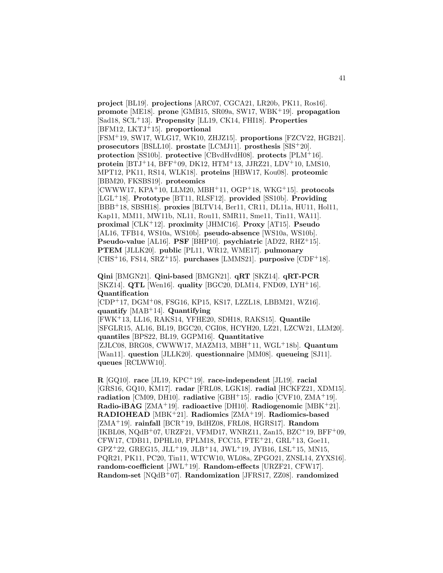**project** [BL19]. **projections** [ARC07, CGCA21, LR20b, PK11, Ros16]. **promote** [ME18]. **prone** [GMB15, SR09a, SW17, WBK<sup>+</sup>19]. **propagation** [Sad18, SCL<sup>+</sup>13]. **Propensity** [LL19, CK14, FHI18]. **Properties** [BFM12, LKTJ<sup>+</sup>15]. **proportional**

[FSM<sup>+</sup>19, SW17, WLG17, WK10, ZHJZ15]. **proportions** [FZCV22, HGB21]. **prosecutors** [BSLL10]. **prostate** [LCMJ11]. **prosthesis** [SIS<sup>+</sup>20]. **protection** [SS10b]. **protective** [CBvdHvdH08]. **protects** [PLM<sup>+</sup>16]. **protein** [BTJ<sup>+</sup>14, BFF<sup>+</sup>09, DK12, HTM<sup>+</sup>13, JJRZ21, LDV<sup>+</sup>10, LMS10, MPT12, PK11, RS14, WLK18]. **proteins** [HBW17, Kou08]. **proteomic** [BBM20, FKSBS19]. **proteomics**

[CWWW17, KPA<sup>+</sup>10, LLM20, MBH<sup>+</sup>11, OGP<sup>+</sup>18, WKG<sup>+</sup>15]. **protocols** [LGL<sup>+</sup>18]. **Prototype** [BT11, RLSF12]. **provided** [SS10b]. **Providing** [BBB<sup>+</sup>18, SBSH18]. **proxies** [BLTV14, Ber11, CR11, DL11a, HU11, Hol11, Kap11, MM11, MW11b, NL11, Rou11, SMR11, Sme11, Tin11, WA11]. **proximal** [CLK<sup>+</sup>12]. **proximity** [JHMC16]. **Proxy** [AT15]. **Pseudo** [AL16, TFB14, WS10a, WS10b]. **pseudo-absence** [WS10a, WS10b]. **Pseudo-value** [AL16]. **PSF** [BHP10]. **psychiatric** [AD22, RHZ<sup>+</sup>15]. **PTEM** [JLLK20]. **public** [PL11, WR12, WME17]. **pulmonary** [CHS<sup>+</sup>16, FS14, SRZ<sup>+</sup>15]. **purchases** [LMMS21]. **purposive** [CDF<sup>+</sup>18].

**Qini** [BMGN21]. **Qini-based** [BMGN21]. **qRT** [SKZ14]. **qRT-PCR** [SKZ14]. **QTL** [Wen16]. **quality** [BGC20, DLM14, FND09, LYH<sup>+</sup>16]. **Quantification**

[CDP<sup>+</sup>17, DGM<sup>+</sup>08, FSG16, KP15, KS17, LZZL18, LBBM21, WZ16]. **quantify** [MAB<sup>+</sup>14]. **Quantifying**

[FWK<sup>+</sup>13, LL16, RAKS14, YFHE20, SDH18, RAKS15]. **Quantile** [SFGLR15, AL16, BL19, BGC20, CGI08, HCYH20, LZ21, LZCW21, LLM20]. **quantiles** [BPS22, BL19, GGPM16]. **Quantitative** [ZJLC08, BRG08, CWWW17, MAZM13, MBH<sup>+</sup>11, WGL<sup>+</sup>18b]. **Quantum** [Wan11]. **question** [JLLK20]. **questionnaire** [MM08]. **queueing** [SJ11]. **queues** [RCLWW10].

**R** [GQ10]. **race** [JL19, KPC<sup>+</sup>19]. **race-independent** [JL19]. **racial** [GRS16, GQ10, KM17]. **radar** [FRL08, LGK18]. **radial** [HCKFZ21, XDM15]. **radiation** [CM09, DH10]. **radiative** [GBH<sup>+</sup>15]. **radio** [CVF10, ZMA<sup>+</sup>19]. **Radio-iBAG** [ZMA<sup>+</sup>19]. **radioactive** [DH10]. **Radiogenomic** [MBK<sup>+</sup>21]. **RADIOHEAD** [MBK<sup>+</sup>21]. **Radiomics** [ZMA<sup>+</sup>19]. **Radiomics-based** [ZMA<sup>+</sup>19]. **rainfall** [BCR<sup>+</sup>19, BdHZ08, FRL08, HGRS17]. **Random** [IKBL08, NQdB<sup>+</sup>07, URZF21, VFMD17, WNRZ11, Zan15, BZC<sup>+</sup>19, BFF<sup>+</sup>09, CFW17, CDB11, DPHL10, FPLM18, FCC15, FTE<sup>+</sup>21, GRL<sup>+</sup>13, Goe11,  $GPZ+22$ ,  $GREG15$ ,  $JLL+19$ ,  $JLB+14$ ,  $JWL+19$ ,  $JYB16$ ,  $LSL+15$ ,  $MN15$ , PQR21, PK11, PC20, Tin11, WTCW10, WL08a, ZPGO21, ZNSL14, ZYXS16]. **random-coefficient** [JWL<sup>+</sup>19]. **Random-effects** [URZF21, CFW17]. **Random-set** [NQdB<sup>+</sup>07]. **Randomization** [JFRS17, ZZ08]. **randomized**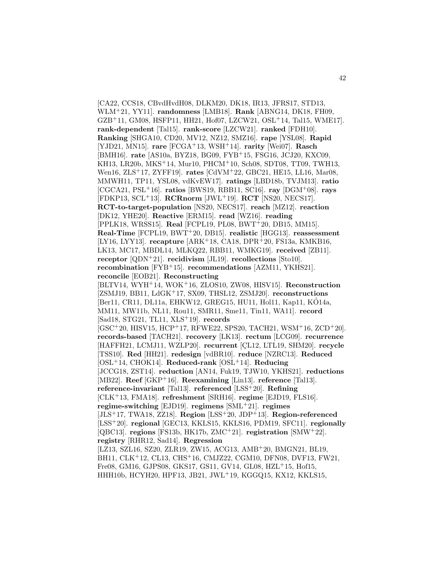[CA22, CCS18, CBvdHvdH08, DLKM20, DK18, IR13, JFRS17, STD13, WLM<sup>+</sup>21, YY11]. **randomness** [LMB18]. **Rank** [ABNG14, DK18, FH09,  $GZB+11$ , GM08, HSFP11, HH21, Hof07, LZCW21,  $OSL+14$ , Tal15, WME17. **rank-dependent** [Tal15]. **rank-score** [LZCW21]. **ranked** [FDH10]. **Ranking** [SHGA10, CD20, MV12, NZ12, SMZ16]. **rape** [YSL08]. **Rapid** [YJD21, MN15]. **rare** [FCGA<sup>+</sup>13, WSH<sup>+</sup>14]. **rarity** [Wei07]. **Rasch** [BMH16]. **rate** [AS10a, BYZ18, BG09, FYB<sup>+</sup>15, FSG16, JCJ20, KXC09, KH13, LR20b, MKS<sup>+</sup>14, Mur10, PHCM<sup>+</sup>10, Sch08, SDT08, TT09, TWH13, Wen16, ZLS<sup>+</sup>17, ZYFF19]. **rates** [CdVM<sup>+</sup>22, GBC21, HE15, LL16, Mar08, MMWH11, TP11, YSL08, vdKvEW17]. **ratings** [LBD18b, TVJM13]. **ratio** [CGCA21, PSL<sup>+</sup>16]. **ratios** [BWS19, RBB11, SC16]. **ray** [DGM<sup>+</sup>08]. **rays** [FDKP13, SCL<sup>+</sup>13]. **RCRnorm** [JWL<sup>+</sup>19]. **RCT** [NS20, NECS17]. **RCT-to-target-population** [NS20, NECS17]. **reach** [MZ12]. **reaction** [DK12, YHE20]. **Reactive** [ERM15]. **read** [WZ16]. **reading** [PPLK18, WRSS15]. **Real** [FCPL19, PL08, BWT<sup>+</sup>20, DB15, MM15]. **Real-Time** [FCPL19, BWT<sup>+</sup>20, DB15]. **realistic** [HGG13]. **reassessment** [LY16, LYY13]. **recapture** [ARK<sup>+</sup>18, CA18, DPR<sup>+</sup>20, FS13a, KMKB16, LK13, MC17, MBDL14, MLKQ22, RBB11, WMKG19]. **received** [ZB11]. **receptor** [QDN<sup>+</sup>21]. **recidivism** [JL19]. **recollections** [Sto10]. **recombination** [FYB<sup>+</sup>15]. **recommendations** [AZM11, YKHS21]. **reconcile** [EOB21]. **Reconstructing** [BLTV14, WYH<sup>+</sup>14, WOK<sup>+</sup>16, ZLOS10, ZW08, HISV15]. **Reconstruction** [ZSMJ19, BB11, LdGK<sup>+</sup>17, SX09, THSL12, ZSMJ20]. **reconstructions** [Ber11, CR11, DL11a, EHKW12, GREG15, HU11, Hol11, Kap11, KÓ14a, MM11, MW11b, NL11, Rou11, SMR11, Sme11, Tin11, WA11]. **record** [Sad18, STG21, TL11, XLS<sup>+</sup>19]. **records**  $[GSC+20, HISV15, HCP+17, RFWE22, SPS20, TACH21, WSM+16, ZCD+20].$ **records-based** [TACH21]. **recovery** [LK13]. **rectum** [LCG09]. **recurrence** [HAFFH21, LCMJ11, WZLP20]. **recurrent** [CL12, LTL19, SHM20]. **recycle** [TSS10]. **Red** [HH21]. **redesign** [vdBR10]. **reduce** [NZRC13]. **Reduced** [OSL<sup>+</sup>14, CHOK14]. **Reduced-rank** [OSL<sup>+</sup>14]. **Reducing** [JCCG18, ZST14]. **reduction** [AN14, Fuk19, TJW10, YKHS21]. **reductions** [MB22]. **Reef** [GKP<sup>+</sup>16]. **Reexamining** [Lin13]. **reference** [Tal13]. **reference-invariant** [Tal13]. **referenced** [LSS<sup>+</sup>20]. **Refining** [CLK<sup>+</sup>13, FMA18]. **refreshment** [SRH16]. **regime** [EJD19, FLS16]. **regime-switching** [EJD19]. **regimens** [SML<sup>+</sup>21]. **regimes** [JLS<sup>+</sup>17, TWA18, ZZ18]. **Region** [LSS<sup>+</sup>20, JDP<sup>+</sup>13]. **Region-referenced** [LSS<sup>+</sup>20]. **regional** [GEC13, KKLS15, KKLS16, PDM19, SFC11]. **regionally** [QBC13]. **regions** [FS13b, HK17b, ZMC<sup>+</sup>21]. **registration** [SMW<sup>+</sup>22]. **registry** [RHR12, Sad14]. **Regression** [LZ13, SZL16, SZ20, ZLR19, ZW15, ACG13, AMB<sup>+</sup>20, BMGN21, BL19, BH11, CLK<sup>+</sup>12, CL13, CHS<sup>+</sup>16, CMJZ22, CGM10, DFN08, DVF13, FW21, Fre08, GM16, GJPS08, GKS17, GS11, GV14, GL08, HZL<sup>+</sup>15, Hof15, HHH10b, HCYH20, HPF13, JB21, JWL<sup>+</sup>19, KGGQ15, KX12, KKLS15,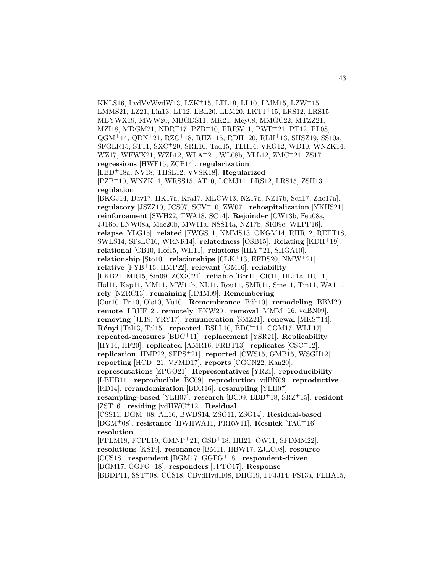KKLS16, LvdVvWvdW13, LZK<sup>+</sup>15, LTL19, LL10, LMM15, LZW<sup>+</sup>15, LMMS21, LZ21, Lin13, LT12, LBL20, LLM20, LKTJ<sup>+</sup>15, LRS12, LRS15, MBYWX19, MWW20, MBGDS11, MK21, Mey08, MMGC22, MTZZ21, MZI18, MDGM21, NDRF17, PZB<sup>+</sup>10, PRRW11, PWP<sup>+</sup>21, PT12, PL08,  $QGM<sup>+</sup>14, QDN<sup>+</sup>21, RZC<sup>+</sup>18, RHZ<sup>+</sup>15, RDH<sup>+</sup>20, RLH<sup>+</sup>13, SHSZ19, SS10a,$ SFGLR15, ST11, SXC<sup>+</sup>20, SRL10, Tad15, TLH14, VKG12, WD10, WNZK14, WZ17, WEWX21, WZL12, WLA<sup>+</sup>21, WL08b, YLL12, ZMC<sup>+</sup>21, ZS17]. **regressions** [HWF15, ZCP14]. **regularization** [LBD<sup>+</sup>18a, NV18, THSL12, VVSK18]. **Regularized** [PZB<sup>+</sup>10, WNZK14, WRSS15, AT10, LCMJ11, LRS12, LRS15, ZSH13]. **regulation** [BKGJ14, Dav17, HK17a, Kra17, MLCW13, NZ17a, NZ17b, Sch17, Zho17a]. **regulatory** [JSZZ10, JCS07, SCV<sup>+</sup>10, ZW07]. **rehospitalization** [YKHS21]. **reinforcement** [SWH22, TWA18, SC14]. **Rejoinder** [CW13b, Feu08a, JJ16b, LNW08a, Mac20b, MW11a, NSS14a, NZ17b, SR09c, WLPP16]. **relapse** [YLG15]. **related** [FWGS11, KMMS13, OKGM14, RHR12, REFT18, SWLS14, SPsLC16, WRNR14]. **relatedness** [OSB15]. **Relating** [KDH<sup>+</sup>19]. **relational** [CB10, Hof15, WH11]. **relations** [HLY<sup>+</sup>21, SHGA10]. **relationship** [Sto10]. **relationships** [CLK<sup>+</sup>13, EFDS20, NMW<sup>+</sup>21]. **relative** [FYB<sup>+</sup>15, HMP22]. **relevant** [GM16]. **reliability** [LKB21, MR15, Sin09, ZCGC21]. **reliable** [Ber11, CR11, DL11a, HU11, Hol11, Kap11, MM11, MW11b, NL11, Rou11, SMR11, Sme11, Tin11, WA11]. **rely** [NZRC13]. **remaining** [HMM09]. **Remembering** [Cut10, Fri10, Ols10, Yu10]. **Remembrance** [Büh10]. **remodeling** [BBM20]. **remote** [LRHF12]. **remotely** [EKW20]. **removal** [MMM<sup>+</sup>16, vdBN09]. **removing** [JL19, YRY17]. **remuneration** [SMZ21]. **renewal** [MKS<sup>+</sup>14]. **R´enyi** [Tal13, Tal15]. **repeated** [BSLL10, BDC<sup>+</sup>11, CGM17, WLL17]. **repeated-measures** [BDC<sup>+</sup>11]. **replacement** [YSR21]. **Replicability** [HY14, HF20]. **replicated** [AMR16, FRBT13]. **replicates** [CSC<sup>+</sup>12]. **replication** [HMP22, SFPS<sup>+</sup>21]. **reported** [CWS15, GMB15, WSGH12]. **reporting** [HCD<sup>+</sup>21, VFMD17]. **reports** [CGCN22, Kan20]. **representations** [ZPGO21]. **Representatives** [YR21]. **reproducibility** [LBHB11]. **reproducible** [BC09]. **reproduction** [vdBN09]. **reproductive** [RD14]. **rerandomization** [BDR16]. **resampling** [YLH07]. **resampling-based** [YLH07]. **research** [BC09, BBB<sup>+</sup>18, SRZ<sup>+</sup>15]. **resident** [ZST16]. **residing** [vdHWC<sup>+</sup>12]. **Residual** [CSS11, DGM<sup>+</sup>08, AL16, BWBS14, ZSG11, ZSG14]. **Residual-based** [DGM<sup>+</sup>08]. **resistance** [HWHWA11, PRRW11]. **Resnick** [TAC<sup>+</sup>16]. **resolution** [FPLM18, FCPL19, GMNP<sup>+</sup>21, GSD<sup>+</sup>18, HH21, OW11, SFDMM22]. **resolutions** [KS19]. **resonance** [BM11, HBW17, ZJLC08]. **resource** [CCS18]. **respondent** [BGM17, GGFG<sup>+</sup>18]. **respondent-driven** [BGM17, GGFG<sup>+</sup>18]. **responders** [JPTO17]. **Response** [BBDP11, SST<sup>+</sup>08, CCS18, CBvdHvdH08, DHG19, FFJJ14, FS13a, FLHA15,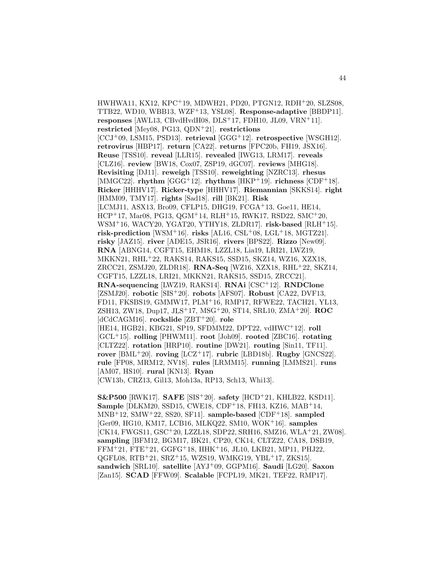HWHWA11, KX12, KPC<sup>+</sup>19, MDWH21, PD20, PTGN12, RDH<sup>+</sup>20, SLZS08, TTB22, WD10, WBB13, WZF<sup>+</sup>13, YSL08]. **Response-adaptive** [BBDP11]. **responses** [AWL13, CBvdHvdH08, DLS<sup>+</sup>17, FDH10, JL09, VRN<sup>+</sup>11]. **restricted** [Mey08, PG13, QDN<sup>+</sup>21]. **restrictions** [CCJ<sup>+</sup>09, LSM15, PSD13]. **retrieval** [GGG<sup>+</sup>12]. **retrospective** [WSGH12]. **retrovirus** [HBP17]. **return** [CA22]. **returns** [FPC20b, FH19, JSX16]. **Reuse** [TSS10]. **reveal** [LLR15]. **revealed** [IWG13, LRM17]. **reveals** [CLZ16]. **review** [BW18, Cox07, ZSP19, dGC07]. **reviews** [MHG18]. **Revisiting** [DJ11]. **reweigh** [TSS10]. **reweighting** [NZRC13]. **rhesus** [MMGC22]. **rhythm** [GGG<sup>+</sup>12]. **rhythms** [HKP<sup>+</sup>19]. **richness** [CDF<sup>+</sup>18]. **Ricker** [HHHV17]. **Ricker-type** [HHHV17]. **Riemannian** [SKKS14]. **right** [HMM09, TMY17]. **rights** [Sad18]. **rill** [BK21]. **Risk** [LCMJ11, ASX13, Bro09, CFLP15, DHG19, FCGA<sup>+</sup>13, Goe11, HE14, HCP<sup>+</sup>17, Mar08, PG13, QGM<sup>+</sup>14, RLH<sup>+</sup>15, RWK17, RSD22, SMC<sup>+</sup>20, WSM<sup>+</sup>16, WACY20, YGAT20, YTHY18, ZLDR17]. **risk-based** [RLH<sup>+</sup>15]. risk-prediction  $[WSM^+16]$ . risks  $[AL16, CSL^+08, LGL^+18, MGTZ21]$ . **risky** [JAZ15]. **river** [ADE15, JSR16]. **rivers** [BPS22]. **Rizzo** [New09]. **RNA** [ABNG14, CGFT15, EHM18, LZZL18, Lia19, LRI21, LWZ19, MKKN21, RHL<sup>+</sup>22, RAKS14, RAKS15, SSD15, SKZ14, WZ16, XZX18, ZRCC21, ZSMJ20, ZLDR18]. **RNA-Seq** [WZ16, XZX18, RHL<sup>+</sup>22, SKZ14, CGFT15, LZZL18, LRI21, MKKN21, RAKS15, SSD15, ZRCC21]. **RNA-sequencing** [LWZ19, RAKS14]. **RNAi** [CSC<sup>+</sup>12]. **RNDClone** [ZSMJ20]. **robotic** [SIS<sup>+</sup>20]. **robots** [AFS07]. **Robust** [CA22, DVF13, FD11, FKSBS19, GMMW17, PLM<sup>+</sup>16, RMP17, RFWE22, TACH21, YL13, ZSH13, ZW18, Dup17, JLS<sup>+</sup>17, MSG<sup>+</sup>20, ST14, SRL10, ZMA<sup>+</sup>20]. **ROC** [dCdCAGM16]. **rockslide** [ZBT<sup>+</sup>20]. **role** [HE14, HGB21, KBG21, SP19, SFDMM22, DPT22, vdHWC<sup>+</sup>12]. **roll** [GCL<sup>+</sup>15]. **rolling** [PHWM11]. **root** [Joh09]. **rooted** [ZBC16]. **rotating** [CLTZ22]. **rotation** [HRP10]. **routine** [DW21]. **routing** [Sin11, TF11].  $\text{rower}$  [BML<sup>+</sup>20].  $\text{rowing}$  [LCZ<sup>+</sup>17].  $\text{rubric}$  [LBD18b].  $\text{Rugby}$  [GNCS22]. **rule** [FP08, MRM12, NV18]. **rules** [LRMM15]. **running** [LMMS21]. **runs** [AM07, HS10]. **rural** [KN13]. **Ryan** [CW13b, CRZ13, Gil13, Moh13a, RP13, Sch13, Whi13].

**S&P500** [RWK17]. **SAFE** [SIS<sup>+</sup>20]. **safety** [HCD<sup>+</sup>21, KHLB22, KSD11]. **Sample** [DLKM20, SSD15, CWE18, CDF<sup>+</sup>18, FH13, KZ16, MAB<sup>+</sup>14, MNB<sup>+</sup>12, SMW<sup>+</sup>22, SS20, SF11]. **sample-based** [CDF<sup>+</sup>18]. **sampled** [Ger09, HG10, KM17, LCB16, MLKQ22, SM10, WOK<sup>+</sup>16]. **samples** [CK14, FWGS11, GSC<sup>+</sup>20, LZZL18, SDP22, SRH16, SMZ16, WLA<sup>+</sup>21, ZW08]. **sampling** [BFM12, BGM17, BK21, CP20, CK14, CLTZ22, CA18, DSB19, FFM<sup>+</sup>21, FTE<sup>+</sup>21, GGFG<sup>+</sup>18, HHK<sup>+</sup>16, JL10, LKB21, MP11, PHJ22, QGFL08, RTB<sup>+</sup>21, SRZ<sup>+</sup>15, WZS19, WMKG19, YBL<sup>+</sup>17, ZKS15]. **sandwich** [SRL10]. **satellite** [AYJ<sup>+</sup>09, GGPM16]. **Saudi** [LG20]. **Saxon** [Zan15]. **SCAD** [FFW09]. **Scalable** [FCPL19, MK21, TEF22, RMP17].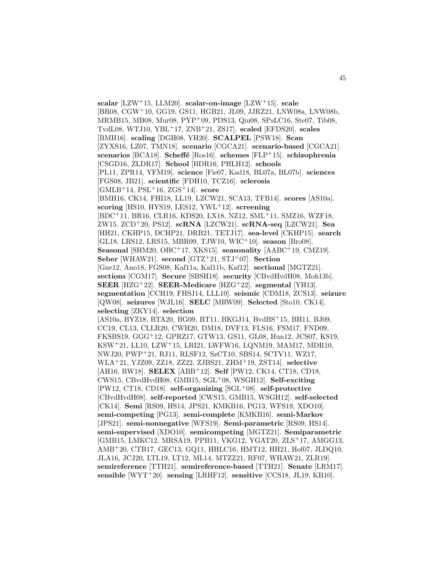**scalar** [LZW<sup>+</sup>15, LLM20]. **scalar-on-image** [LZW<sup>+</sup>15]. **scale** [BR08, CGW<sup>+</sup>10, GG19, GS11, HGB21, JL09, JJRZ21, LNW08a, LNW08b, MRMB15, MB08, Mur08, PYP<sup>+</sup>09, PDS13, Qiu08, SPsLC16, Ste07, Tib08, TvdL08, WTJ10, YBL<sup>+</sup>17, ZNB<sup>+</sup>21, ZS17]. **scaled** [EFDS20]. **scales** [BMH16]. **scaling** [DGH08, YH20]. **SCALPEL** [PSW18]. **Scan** [ZYXS16, LZ07, TMN18]. **scenario** [CGCA21]. **scenario-based** [CGCA21]. **scenarios** [BCA18]. **Scheff´e** [Ros16]. **schemes** [FLP<sup>+</sup>15]. **schizophrenia** [CSGD16, ZLDR17]. **School** [BDR16, PHLH12]. **schools** [PL11, ZPR14, YFM19]. **science** [Fie07, Kad18, BL07a, BL07b]. **sciences** [FGS08, JB21]. **scientific** [FDH10, TCZ16]. **sclerosis** [GMLB<sup>+</sup>14, PSL<sup>+</sup>16, ZGS<sup>+</sup>14]. **score** [BMH16, CK14, FHI18, LL19, LZCW21, SCA13, TFB14]. **scores** [AS10a]. **scoring** [HS10, HYS19, LES12, YWL<sup>+</sup>12]. **screening** [BDC<sup>+</sup>11, BR16, CLR16, KDS20, LX18, NZ12, SML<sup>+</sup>11, SMZ16, WZF18, ZW15, ZCD<sup>+</sup>20, PS12]. **scRNA** [LZCW21]. **scRNA-seq** [LZCW21]. **Sea** [HH21, CKHP15, DCHP21, DRB21, TETJ17]. **sea-level** [CKHP15]. **search** [GL18, LRS12, LRS15, MBR09, TJW10, WIC<sup>+</sup>10]. **season** [Bro08]. **Seasonal** [SHM20, OHC<sup>+</sup>17, XKS15]. **seasonality** [AABC<sup>+</sup>19, CMZ19]. **Seber** [WHAW21]. **second** [GTZ<sup>+</sup>21, STJ<sup>+</sup>07]. **Section** [Gne12, Ano18, FGS08, Kaf11a, Kaf11b, Kaf12]. **sectional** [MGTZ21]. **sections** [CGM17]. **Secure** [SBSH18]. **security** [CBvdHvdH08, Moh13b]. **SEER** [HZG<sup>+</sup>22]. **SEER-Medicare** [HZG<sup>+</sup>22]. **segmental** [YH13]. **segmentation** [CCH19, FHSJ14, LLL10]. **seismic** [CDM18, ZCS13]. **seizure** [QW08]. **seizures** [WJL16]. **SELC** [MRW09]. **Selected** [Sto10, CK14]. **selecting** [ZKY14]. **selection** [AS10a, BYZ18, BTA20, BG09, BT11, BKGJ14, BvdBS<sup>+</sup>15, BH11, BJ09, CC19, CL13, CLLR20, CWH20, DM18, DVF13, FLS16, FSM17, FND09, FKSBS19, GGG<sup>+</sup>12, GPRZ17, GTW13, GS11, GL08, Hun12, JCS07, KS19, KSW<sup>+</sup>21, LL10, LZW<sup>+</sup>15, LRI21, LWFW16, LQNM19, MAM17, MDR10, NWJ20, PWP<sup>+</sup>21, RJ11, RLSF12, SzCT10, SBS14, SCTV11, WZ17, WLA<sup>+</sup>21, YJZ09, ZZ18, ZZ22, ZJBS21, ZHM<sup>+</sup>19, ZST14]. **selective** [AH16, BW18]. **SELEX** [ABB<sup>+</sup>12]. **Self** [PW12, CK14, CT18, CD18, CWS15, CBvdHvdH08, GMB15, SGL<sup>+</sup>08, WSGH12]. **Self-exciting** [PW12, CT18, CD18]. **self-organizing** [SGL<sup>+</sup>08]. **self-protective** [CBvdHvdH08]. **self-reported** [CWS15, GMB15, WSGH12]. **self-selected** [CK14]. **Semi** [RS09, HS14, JPS21, KMKB16, PG13, WFS19, XDO10]. **semi-competing** [PG13]. **semi-complete** [KMKB16]. **semi-Markov** [JPS21]. **semi-nonnegative** [WFS19]. **Semi-parametric** [RS09, HS14]. **semi-supervised** [XDO10]. **semicompeting** [MGTZ21]. **Semiparametric** [GMB15, LMKC12, MRSA19, PPB11, VKG12, YGAT20, ZLS<sup>+</sup>17, AMGG13, AMB<sup>+</sup>20, CTB17, GEC13, GQ11, HHLC16, HMT12, HH21, Hof07, JLDQ10, JLA16, JCJ20, LTL19, LT12, ML14, MTZZ21, RF07, WHAW21, ZLR19]. **semireference** [TTH21]. **semireference-based** [TTH21]. **Senate** [LRM17]. **sensible** [WYT<sup>+</sup>20]. **sensing** [LRHF12]. **sensitive** [CCS18, JL19, KB10].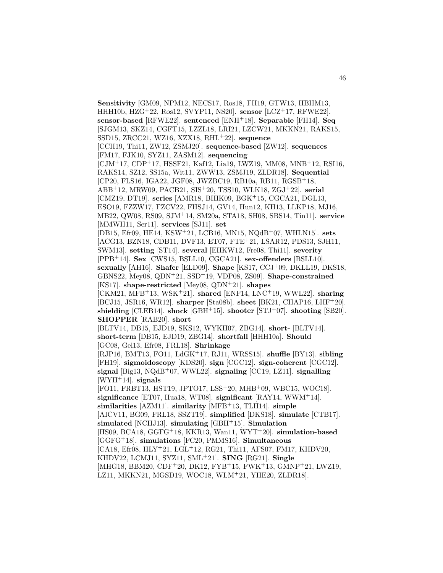**Sensitivity** [GM09, NPM12, NECS17, Ros18, FH19, GTW13, HBHM13, HHH10b, HZG<sup>+</sup>22, Ros12, SVYP11, NS20]. **sensor** [LCZ<sup>+</sup>17, RFWE22]. **sensor-based** [RFWE22]. **sentenced** [ENH<sup>+</sup>18]. **Separable** [FH14]. **Seq** [SJGM13, SKZ14, CGFT15, LZZL18, LRI21, LZCW21, MKKN21, RAKS15, SSD15, ZRCC21, WZ16, XZX18, RHL<sup>+</sup>22]. **sequence** [CCH19, Thi11, ZW12, ZSMJ20]. **sequence-based** [ZW12]. **sequences** [FM17, FJK10, SYZ11, ZASM12]. **sequencing** [CJM<sup>+</sup>17, CDP<sup>+</sup>17, HSSF21, Kaf12, Lia19, LWZ19, MM08, MNB<sup>+</sup>12, RSI16, RAKS14, SZ12, SS15a, Wit11, ZWW13, ZSMJ19, ZLDR18]. **Sequential** [CP20, FLS16, IGA22, JGF08, JWZBC19, RB10a, RB11, RGSB<sup>+</sup>18, ABB<sup>+</sup>12, MRW09, PACB21, SIS<sup>+</sup>20, TSS10, WLK18, ZGJ<sup>+</sup>22]. **serial** [CMZ19, DT19]. **series** [AMR18, BHIK09, BGK<sup>+</sup>15, CGCA21, DGL13, ESO19, FZZW17, FZCV22, FHSJ14, GV14, Hun12, KH13, LLKP18, MJ16, MB22, QW08, RS09, SJM<sup>+</sup>14, SM20a, STA18, SH08, SBS14, Tin11]. **service** [MMWH11, Ser11]. **services** [SJ11]. **set** [DB15, Efr09, HE14, KSW<sup>+</sup>21, LCB16, MN15, NQdB<sup>+</sup>07, WHLN15]. **sets** [ACG13, BZN18, CDB11, DVF13, ET07, FTE<sup>+</sup>21, LSAR12, PDS13, SJH11, SWM13]. **setting** [ST14]. **several** [EHKW12, Fre08, Thi11]. **severity** [PPB<sup>+</sup>14]. **Sex** [CWS15, BSLL10, CGCA21]. **sex-offenders** [BSLL10]. **sexually** [AH16]. **Shafer** [ELD09]. **Shape** [KS17, CCJ<sup>+</sup>09, DKLL19, DKS18, GBNS22, Mey08, QDN<sup>+</sup>21, SSD<sup>+</sup>19, VDP08, ZS09]. **Shape-constrained** [KS17]. **shape-restricted** [Mey08, QDN<sup>+</sup>21]. **shapes** [CKM21, MFB<sup>+</sup>13, WSK<sup>+</sup>21]. **shared** [ENF14, LNC<sup>+</sup>19, WWL22]. **sharing** [BCJ15, JSR16, WR12]. **sharper** [Sta08b]. **sheet** [BK21, CHAP16, LHF<sup>+</sup>20]. **shielding** [CLEB14]. **shock** [GBH<sup>+</sup>15]. **shooter** [STJ<sup>+</sup>07]. **shooting** [SB20]. **SHOPPER** [RAB20]. **short** [BLTV14, DB15, EJD19, SKS12, WYKH07, ZBG14]. **short-** [BLTV14]. **short-term** [DB15, EJD19, ZBG14]. **shortfall** [HHH10a]. **Should** [GC08, Gel13, Efr08, FRL18]. **Shrinkage** [RJP16, BMT13, FO11, LdGK<sup>+</sup>17, RJ11, WRSS15]. **shuffle** [BY13]. **sibling** [FH19]. **sigmoidoscopy** [KDS20]. **sign** [CGC12]. **sign-coherent** [CGC12]. **signal** [Big13, NQdB<sup>+</sup>07, WWL22]. **signaling** [CC19, LZ11]. **signalling** [WYH<sup>+</sup>14]. **signals** [FO11, FRBT13, HST19, JPTO17, LSS<sup>+</sup>20, MHB<sup>+</sup>09, WBC15, WOC18]. **significance** [ET07, Hua18, WT08]. **significant** [RAY14, WWM<sup>+</sup>14]. **similarities** [AZM11]. **similarity** [MFB<sup>+</sup>13, TLH14]. **simple** [AICV11, BG09, FRL18, SSZT19]. **simplified** [DKS18]. **simulate** [CTB17]. **simulated** [NCHJ13]. **simulating** [GBH<sup>+</sup>15]. **Simulation** [HS09, BCA18, GGFG<sup>+</sup>18, KKR13, Wan11, WYT<sup>+</sup>20]. **simulation-based** [GGFG<sup>+</sup>18]. **simulations** [FC20, PMMS16]. **Simultaneous** [CA18, Efr08, HLY<sup>+</sup>21, LGL<sup>+</sup>12, RG21, Thi11, AFS07, FM17, KHDV20, KHDV22, LCMJ11, SYZ11, SML<sup>+</sup>21]. **SING** [RG21]. **Single** [MHG18, BBM20, CDF<sup>+</sup>20, DK12, FYB<sup>+</sup>15, FWK<sup>+</sup>13, GMNP<sup>+</sup>21, LWZ19, LZ11, MKKN21, MGSD19, WOC18, WLM<sup>+</sup>21, YHE20, ZLDR18].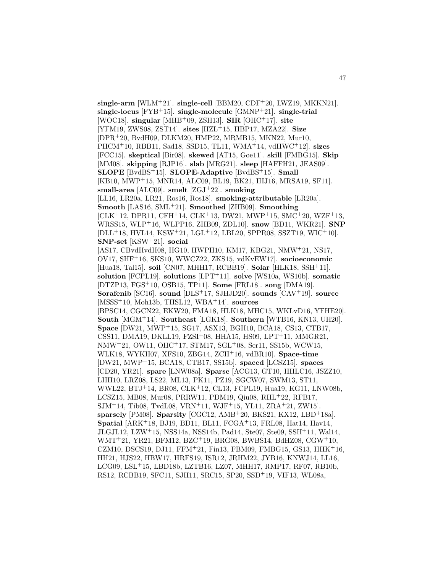**single-arm** [WLM<sup>+</sup>21]. **single-cell** [BBM20, CDF<sup>+</sup>20, LWZ19, MKKN21]. **single-locus** [FYB<sup>+</sup>15]. **single-molecule** [GMNP<sup>+</sup>21]. **single-trial** [WOC18]. **singular** [MHB<sup>+</sup>09, ZSH13]. **SIR** [OHC<sup>+</sup>17]. **site** [YFM19, ZWS08, ZST14]. **sites** [HZL<sup>+</sup>15, HBP17, MZA22]. **Size** [DPR<sup>+</sup>20, BvdH09, DLKM20, HMP22, MRMB15, MKN22, Mur10, PHCM<sup>+</sup>10, RBB11, Sad18, SSD15, TL11, WMA<sup>+</sup>14, vdHWC<sup>+</sup>12]. **sizes** [FCC15]. **skeptical** [Bir08]. **skewed** [AT15, Goe11]. **skill** [FMBG15]. **Skip** [MM08]. **skipping** [RJP16]. **slab** [MRG21]. **sleep** [HAFFH21, JEAS09]. **SLOPE** [BvdBS<sup>+</sup>15]. **SLOPE-Adaptive** [BvdBS<sup>+</sup>15]. **Small** [KB10, MWP<sup>+</sup>15, MNR14, ALC09, BL19, BK21, IHJ16, MRSA19, SF11]. **small-area** [ALC09]. **smelt** [ZGJ<sup>+</sup>22]. **smoking** [LL16, LR20a, LR21, Ros16, Ros18]. **smoking-attributable** [LR20a]. **Smooth** [LAS16, SML<sup>+</sup>21]. **Smoothed** [ZHB09]. **Smoothing**  $[CLK<sup>+</sup>12, DPR11, CFH<sup>+</sup>14, CLK<sup>+</sup>13, DW21, MWP<sup>+</sup>15, SMC<sup>+</sup>20, WZF<sup>+</sup>13,$ WRSS15, WLP<sup>+</sup>16, WLPP16, ZHB09, ZDL10]. **snow** [BD11, WKR21]. **SNP**  $[DLL+18, HVL14, KSW+21, LGL+12, LBL20, SPPR08, SSZT19, WIC+10].$ **SNP-set** [KSW<sup>+</sup>21]. **social** [AS17, CBvdHvdH08, HG10, HWPH10, KM17, KBG21, NMW<sup>+</sup>21, NS17, OV17, SHF<sup>+</sup>16, SKS10, WWCZ22, ZKS15, vdKvEW17]. **socioeconomic** [Hua18, Tal15]. **soil** [CN07, MHH17, RCBB19]. **Solar** [HLK18, SSH<sup>+</sup>11]. **solution** [FCPL19]. **solutions** [LPT<sup>+</sup>11]. **solve** [WS10a, WS10b]. **somatic** [DTZP13, FGS<sup>+</sup>10, OSB15, TP11]. **Some** [FRL18]. **song** [DMA19]. **Sorafenib** [SC16]. **sound** [DLS<sup>+</sup>17, SJHJD20]. **sounds** [CAV<sup>+</sup>19]. **source** [MSSS<sup>+</sup>10, Moh13b, THSL12, WBA<sup>+</sup>14]. **sources** [BPSC14, CGCN22, EKW20, FMA18, HLK18, MHC15, WKLvD16, YFHE20]. **South** [MGM<sup>+</sup>14]. **Southeast** [LGK18]. **Southern** [WTB16, KN13, UH20]. **Space** [DW21, MWP<sup>+</sup>15, SG17, ASX13, BGH10, BCA18, CS13, CTB17, CSS11, DMA19, DKLL19, FZSI<sup>+</sup>08, HHA15, HS09, LPT<sup>+</sup>11, MMGR21, NMW<sup>+</sup>21, OW11, OHC<sup>+</sup>17, STM17, SGL<sup>+</sup>08, Ser11, SS15b, WCW15, WLK18, WYKH07, XFS10, ZBG14, ZCH<sup>+</sup>16, vdBR10]. **Space-time** [DW21, MWP<sup>+</sup>15, BCA18, CTB17, SS15b]. **spaced** [LCSZ15]. **spaces** [CD20, YR21]. **spare** [LNW08a]. **Sparse** [ACG13, GT10, HHLC16, JSZZ10, LHH10, LRZ08, LS22, ML13, PK11, PZ19, SGCW07, SWM13, ST11, WWL22, BTJ<sup>+</sup>14, BR08, CLK<sup>+</sup>12, CL13, FCPL19, Hua19, KG11, LNW08b, LCSZ15, MB08, Mur08, PRRW11, PDM19, Qiu08, RHL<sup>+</sup>22, RFB17, SJM<sup>+</sup>14, Tib08, TvdL08, VRN<sup>+</sup>11, WJF<sup>+</sup>15, YL11, ZRA<sup>+</sup>21, ZW15]. **sparsely** [PM08]. **Sparsity** [CGC12, AMB<sup>+</sup>20, BKS21, KX12, LBD<sup>+</sup>18a]. **Spatial** [ARK<sup>+</sup>18, BJ19, BD11, BL11, FCGA<sup>+</sup>13, FRL08, Hat14, Hav14, JLGJL12, LZW<sup>+</sup>15, NSS14a, NSS14b, Pad14, Ste07, Ste09, SSH<sup>+</sup>11, Wal14, WMT<sup>+</sup>21, YR21, BFM12, BZC<sup>+</sup>19, BRG08, BWBS14, BdHZ08, CGW<sup>+</sup>10, CZM10, DSCS19, DJ11, FFM<sup>+</sup>21, Fin13, FBM09, FMBG15, GS13, HHK<sup>+</sup>16, HH21, HJS22, HBW17, HRFS19, ISR12, JRHM22, JYB16, KNWJ14, LL16, LCG09, LSL<sup>+</sup>15, LBD18b, LZTB16, LZ07, MHH17, RMP17, RF07, RB10b, RS12, RCBB19, SFC11, SJH11, SRC15, SP20, SSD<sup>+</sup>19, VIF13, WL08a,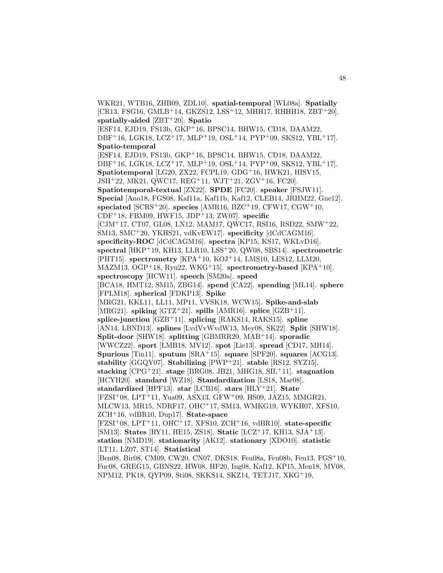WKR21, WTB16, ZHB09, ZDL10]. **spatial-temporal** [WL08a]. **Spatially**  $[CR13, FSG16, GMLB<sup>+</sup>14, GKZS12, LSS<sup>+</sup>12, MHHI7, RHHH18, ZBT<sup>+</sup>20].$ **spatially-aided** [ZBT<sup>+</sup>20]. **Spatio** [ESF14, EJD19, FS13b, GKP<sup>+</sup>16, BPSC14, BHW15, CD18, DAAM22,  $DBF+16$ , LGK18, LCZ<sup>+</sup>17, MLP<sup>+</sup>19, OSL<sup>+</sup>14, PYP<sup>+</sup>09, SKS12, YBL<sup>+</sup>17. **Spatio-temporal** [ESF14, EJD19, FS13b, GKP<sup>+</sup>16, BPSC14, BHW15, CD18, DAAM22, DBF<sup>+</sup>16, LGK18, LCZ<sup>+</sup>17, MLP<sup>+</sup>19, OSL<sup>+</sup>14, PYP<sup>+</sup>09, SKS12, YBL<sup>+</sup>17]. **Spatiotemporal** [LG20, ZX22, FCPL19, GDG<sup>+</sup>16, HWK21, HISV15, JSH<sup>+</sup>22, MK21, QWC17, REG<sup>+</sup>11, WJT<sup>+</sup>21, ZGV<sup>+</sup>16, FC20]. **Spatiotemporal-textual** [ZX22]. **SPDE** [FC20]. **speaker** [FSJW11]. **Special** [Ano18, FGS08, Kaf11a, Kaf11b, Kaf12, CLEB14, JRHM22, Gne12]. **speciated** [SCRS<sup>+</sup>20]. **species** [AMR16, BZC<sup>+</sup>19, CFW17, CGW<sup>+</sup>10, CDF<sup>+</sup>18, FBM09, HWF15, JDP<sup>+</sup>13, ZW07]. **specific** [CJM<sup>+</sup>17, CT07, GL08, LN12, MAM17, QWC17, RSI16, RSD22, SMW<sup>+</sup>22, SM13, SMC<sup>+</sup>20, YKHS21, vdKvEW17]. **specificity** [dCdCAGM16]. **specificity-ROC** [dCdCAGM16]. **spectra** [KP15, KS17, WKLvD16]. **spectral** [HKP<sup>+</sup>19, KH13, LLR10, LSS<sup>+</sup>20, QW08, SBS14]. **spectrometric** [PHT15]. **spectrometry** [KPA<sup>+</sup>10, KOJ<sup>+</sup>14, LMS10, LES12, LLM20, MAZM13, OGP<sup>+</sup>18, Ryu22, WKG<sup>+</sup>15]. **spectrometry-based** [KPA<sup>+</sup>10]. **spectroscopy** [HCW11]. **speech** [SM20a]. **speed** [BCA18, HMT12, SM15, ZBG14]. **spend** [CA22]. **spending** [ML14]. **sphere** [FPLM18]. **spherical** [FDKP13]. **Spike** [MRG21, KKL11, LL11, MP11, VVSK18, WCW15]. **Spike-and-slab** [MRG21]. **spiking**  $[GTZ^+21]$ . **spills**  $[AMR16]$ . **splice**  $[GZB^+11]$ . **splice-junction** [GZB<sup>+</sup>11]. **splicing** [RAKS14, RAKS15]. **spline** [AN14, LBND13]. **splines** [LvdVvWvdW13, Mey08, SK22]. **Split** [SHW18]. **Split-door** [SHW18]. **splitting** [GBMRR20, MAB<sup>+</sup>14]. **sporadic** [WWCZ22]. **sport** [LMB18, MV12]. **spot** [Lie13]. **spread** [CD17, MH14]. **Spurious** [Tin11]. **sputum** [SRA<sup>+</sup>15]. **square** [SPF20]. **squares** [ACG13]. **stability** [GGQY07]. **Stabilizing** [PWP<sup>+</sup>21]. **stable** [RS12, SYZ15]. **stacking** [CPG<sup>+</sup>21]. **stage** [BRG08, JB21, MHG18, SIL<sup>+</sup>11]. **stagnation** [HCYH20]. **standard** [WZ18]. **Standardization** [LS18, Mar08]. **standardized** [HPF13]. **star** [LCB16]. **stars** [HLY<sup>+</sup>21]. **State** [FZSI<sup>+</sup>08, LPT<sup>+</sup>11, Yua09, ASX13, GFW<sup>+</sup>09, HS09, JAZ15, MMGR21, MLCW13, MR15, NDRF17, OHC<sup>+</sup>17, SM13, WMKG19, WYKH07, XFS10, ZCH<sup>+</sup>16, vdBR10, Dup17]. **State-space** [FZSI<sup>+</sup>08, LPT<sup>+</sup>11, OHC<sup>+</sup>17, XFS10, ZCH<sup>+</sup>16, vdBR10]. **state-specific** [SM13]. **States** [RY11, HE15, ZS18]. **Static** [LCZ<sup>+</sup>17, KH13, SJA<sup>+</sup>13]. **station** [NMD19]. **stationarity** [AK12]. **stationary** [XDO10]. **statistic** [LT11, LZ07, ST14]. **Statistical** [Ben08, Bir08, CM09, CW20, CN07, DKS18, Feu08a, Feu08b, Feu13, FGS<sup>+</sup>10, Fuc08, GREG15, GBNS22, HW08, HF20, Ing08, Kaf12, KP15, Men18, MV08, NPM12, PK18, QYP09, Sti08, SKKS14, SKZ14, TETJ17, XKG<sup>+</sup>19,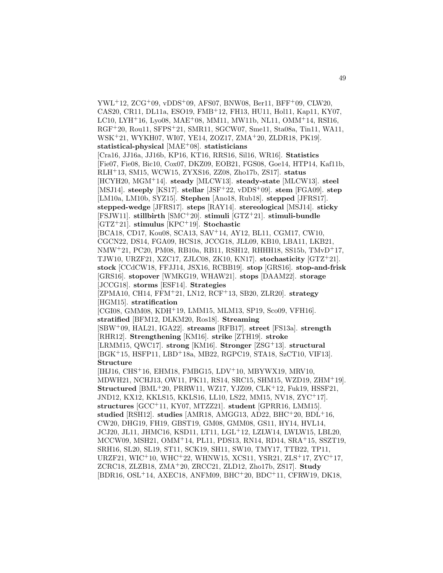$YWL+12, ZCG+09, vDDS+09, AFS07, BNW08, Ber11, BFF+09, CLW20,$ CAS20, CR11, DL11a, ESO19, FMB<sup>+</sup>12, FH13, HU11, Hol11, Kap11, KY07, LC10, LYH<sup>+</sup>16, Lyo08, MAE<sup>+</sup>08, MM11, MW11b, NL11, OMM<sup>+</sup>14, RSI16, RGF<sup>+</sup>20, Rou11, SFPS<sup>+</sup>21, SMR11, SGCW07, Sme11, Sta08a, Tin11, WA11, WSK<sup>+</sup>21, WYKH07, WI07, YE14, ZOZ17, ZMA<sup>+</sup>20, ZLDR18, PK19]. **statistical-physical** [MAE<sup>+</sup>08]. **statisticians** [Cra16, JJ16a, JJ16b, KP16, KT16, RRS16, Sil16, WR16]. **Statistics** [Fie07, Fie08, Bic10, Cox07, DKZ09, EOB21, FGS08, Goe14, HTP14, Kaf11b, RLH<sup>+</sup>13, SM15, WCW15, ZYXS16, ZZ08, Zho17b, ZS17]. **status** [HCYH20, MGM<sup>+</sup>14]. **steady** [MLCW13]. **steady-state** [MLCW13]. **steel** [MSJ14]. **steeply** [KS17]. **stellar** [JSF<sup>+</sup>22, vDDS<sup>+</sup>09]. **stem** [FGA09]. **step** [LM10a, LM10b, SYZ15]. **Stephen** [Ano18, Rub18]. **stepped** [JFRS17]. **stepped-wedge** [JFRS17]. **steps** [RAY14]. **stereological** [MSJ14]. **sticky** [FSJW11]. **stillbirth** [SMC<sup>+</sup>20]. **stimuli** [GTZ<sup>+</sup>21]. **stimuli-bundle** [GTZ<sup>+</sup>21]. **stimulus** [KPC<sup>+</sup>19]. **Stochastic** [BCA18, CD17, Kou08, SCA13, SAV<sup>+</sup>14, AY12, BL11, CGM17, CW10, CGCN22, DS14, FGA09, HCS18, JCCG18, JLL09, KB10, LBA11, LKB21, NMW<sup>+</sup>21, PC20, PM08, RB10a, RB11, RSH12, RHHH18, SS15b, TMvD<sup>+</sup>17, TJW10, URZF21, XZC17, ZJLC08, ZK10, KN17]. **stochasticity** [GTZ<sup>+</sup>21]. **stock** [CCdCW18, FFJJ14, JSX16, RCBB19]. **stop** [GRS16]. **stop-and-frisk** [GRS16]. **stopover** [WMKG19, WHAW21]. **stops** [DAAM22]. **storage** [JCCG18]. **storms** [ESF14]. **Strategies** [ZPMA10, CH14, FFM<sup>+</sup>21, LN12, RCF<sup>+</sup>13, SB20, ZLR20]. **strategy** [HGM15]. **stratification** [CGI08, GMM08, KDH+19, LMM15, MLM13, SP19, Sco09, VFH16]. **stratified** [BFM12, DLKM20, Ros18]. **Streaming** [SBW<sup>+</sup>09, HAL21, IGA22]. **streams** [RFB17]. **street** [FS13a]. **strength** [RHR12]. **Strengthening** [KM16]. **strike** [ZTH19]. **stroke** [LRMM15, QWC17]. **strong** [KM16]. **Stronger** [ZSG<sup>+</sup>13]. **structural** [BGK+15, HSFP11, LBD+18a, MB22, RGPC19, STA18, SzCT10, VIF13]. **Structure** [IHJ16, CHS<sup>+</sup>16, EHM18, FMBG15, LDV<sup>+</sup>10, MBYWX19, MRV10, MDWH21, NCHJ13, OW11, PK11, RS14, SRC15, SHM15, WZD19, ZHM<sup>+</sup>19]. **Structured** [BML<sup>+</sup>20, PRRW11, WZ17, YJZ09, CLK<sup>+</sup>12, Fuk19, HSSF21, JND12, KX12, KKLS15, KKLS16, LL10, LS22, MM15, NV18, ZYC<sup>+</sup>17]. **structures** [GCC<sup>+</sup>11, KY07, MTZZ21]. **student** [GPRR16, LMM15]. **studied** [RSH12]. **studies** [AMR18, AMGG13, AD22, BHC<sup>+</sup>20, BDL<sup>+</sup>16, CW20, DHG19, FH19, GBST19, GM08, GMM08, GS11, HY14, HVL14, JCJ20, JL11, JHMC16, KSD11, LT11, LGL<sup>+</sup>12, LZLW14, LWLW15, LBL20, MCCW09, MSH21, OMM<sup>+</sup>14, PL11, PDS13, RN14, RD14, SRA<sup>+</sup>15, SSZT19, SRH16, SL20, SL19, ST11, SCK19, SH11, SW10, TMY17, TTB22, TP11, URZF21, WIC<sup>+</sup>10, WHC<sup>+</sup>22, WHNW15, XCS11, YSR21, ZLS<sup>+</sup>17, ZYC<sup>+</sup>17, ZCRC18, ZLZB18, ZMA<sup>+</sup>20, ZRCC21, ZLD12, Zho17b, ZS17]. **Study** [BDR16, OSL<sup>+</sup>14, AXEC18, ANFM09, BHC<sup>+</sup>20, BDC<sup>+</sup>11, CFRW19, DK18,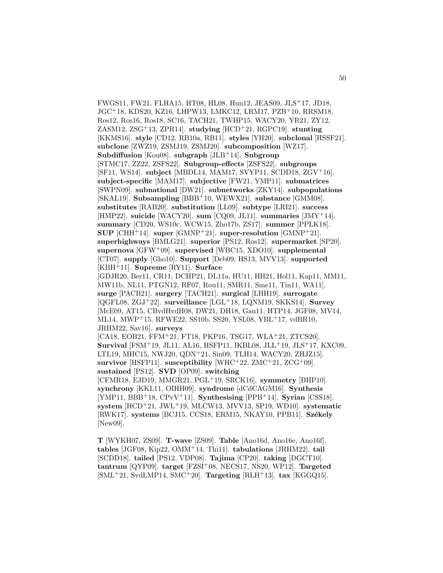FWGS11, FW21, FLHA15, HT08, HL08, Hun12, JEAS09, JLS<sup>+</sup>17, JD18, JGC<sup>+</sup>18, KDS20, KZ16, LHPW13, LMKC12, LRM17, PZB<sup>+</sup>10, RRSM18, Ros12, Ros16, Ros18, SC16, TACH21, TWHP15, WACY20, YR21, ZY12, ZASM12, ZSG<sup>+</sup>13, ZPR14]. **studying** [HCD<sup>+</sup>21, RGPC19]. **stunting** [KKMS16]. **style** [CD12, RB10a, RB11]. **styles** [YH20]. **subclonal** [HSSF21]. **subclone** [ZWZ19, ZSMJ19, ZSMJ20]. **subcomposition** [WZ17]. **Subdiffusion** [Kou08]. **subgraph** [JLB<sup>+</sup>14]. **Subgroup** [STMC17, ZZ22, ZSFS22]. **Subgroup-effects** [ZSFS22]. **subgroups** [SF11, WS14]. **subject** [MBDL14, MAM17, SVYP11, SCDD18, ZGV<sup>+</sup>16]. **subject-specific** [MAM17]. **subjective** [FW21, YMP11]. **submatrices** [SWPN09]. **subnational** [DW21]. **subnetworks** [ZKY14]. **subpopulations** [SKAL19]. **Subsampling** [BBB<sup>+</sup>10, WEWX21]. **substance** [GMM08]. **substitutes** [RAB20]. **substitution** [LL09]. **subtype** [LRI21]. **success** [HMP22]. **suicide** [WACY20]. **sum** [CQ09, JL11]. **summaries** [JMY<sup>+</sup>14]. **summary** [CD20, WS10c, WCW15, Zho17b, ZS17]. **summer** [PPLK18]. **SUP** [CHH<sup>+</sup>14]. **super** [GMNP<sup>+</sup>21]. **super-resolution** [GMNP<sup>+</sup>21]. **superhighways** [BMLG21]. **superior** [PS12, Ros12]. **supermarket** [SP20]. **supernova** [GFW<sup>+</sup>09]. **supervised** [WBC15, XDO10]. **supplemental** [CT07]. **supply** [Gho10]. **Support** [Deb09, HS13, MVV13]. **supported** [KBH<sup>+</sup>11]. **Supreme** [RY11]. **Surface** [GDJR20, Ber11, CR11, DCHP21, DL11a, HU11, HH21, Hol11, Kap11, MM11, MW11b, NL11, PTGN12, RF07, Rou11, SMR11, Sme11, Tin11, WA11]. **surge** [PACB21]. **surgery** [TACH21]. **surgical** [LHH19]. **surrogate** [QGFL08, ZGJ<sup>+</sup>22]. **surveillance** [LGL<sup>+</sup>18, LQNM19, SKKS14]. **Survey** [McE09, AT15, CBvdHvdH08, DW21, DH18, Gau11, HTP14, JGF08, MV14, ML14, MWP<sup>+</sup>15, RFWE22, SS10b, SS20, YSL08, YBL<sup>+</sup>17, vdBR10, JRHM22, Sav16]. **surveys** [CA18, EOB21, FFM<sup>+</sup>21, FT18, PKP16, TSG17, WLA<sup>+</sup>21, ZTCS20]. **Survival** [FSM<sup>+</sup>19, JL11, AL16, HSFP11, IKBL08, JLL<sup>+</sup>19, JLS<sup>+</sup>17, KXC09, LTL19, MHC15, NWJ20, QDN<sup>+</sup>21, Sin09, TLH14, WACY20, ZHJZ15]. **survivor** [HSFP11]. **susceptibility** [WHC<sup>+</sup>22, ZMC<sup>+</sup>21, ZCG<sup>+</sup>09]. **sustained** [PS12]. **SVD** [OP09]. **switching** [CFMR18, EJD19, MMGR21, PGL<sup>+</sup>19, SRCK16]. **symmetry** [BHP10]. **synchrony** [KKL11, OIHH09]. **syndrome** [dCdCAGM16]. **Synthesis** [YMP11, BBB<sup>+</sup>18, CPvV<sup>+</sup>11]. **Synthesising** [PPB<sup>+</sup>14]. **Syrian** [CSS18]. **system** [HCD<sup>+</sup>21, JWL<sup>+</sup>19, MLCW13, MVV13, SP19, WD10]. **systematic** [RWK17]. systems [BCJ15, CCS18, ERM15, NKAY10, PPB11]. Székely [New09].

**T** [WYKH07, ZS09]. **T-wave** [ZS09]. **Table** [Ano16d, Ano16e, Ano16f]. **tables** [JGF08, Kip22, OMM<sup>+</sup>14, Thi11]. **tabulations** [JRHM22]. **tail** [SCDD18]. **tailed** [PS12, VDP08]. **Tajima** [CP20]. **taking** [DGCT10]. **tantrum** [QYP09]. **target** [FZSI<sup>+</sup>08, NECS17, NS20, WP12]. **Targeted** [SML<sup>+</sup>21, SvdLMP14, SMC<sup>+</sup>20]. **Targeting** [RLH<sup>+</sup>13]. **tax** [KGGQ15].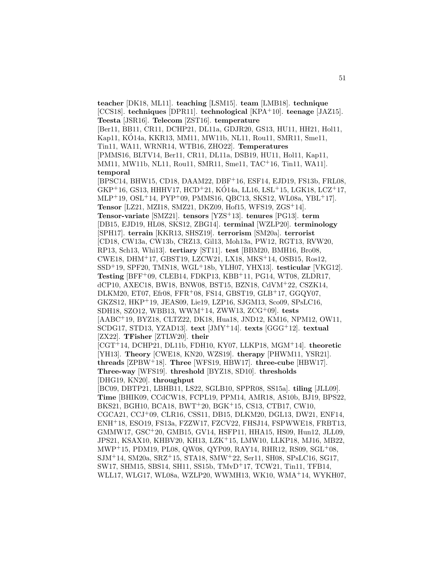**teacher** [DK18, ML11]. **teaching** [LSM15]. **team** [LMB18]. **technique** [CCS18]. **techniques** [DPR11]. **technological** [KPA<sup>+</sup>10]. **teenage** [JAZ15]. **Teesta** [JSR16]. **Telecom** [ZST16]. **temperature** [Ber11, BB11, CR11, DCHP21, DL11a, GDJR20, GS13, HU11, HH21, Hol11, Kap11, KÓ14a, KKR13, MM11, MW11b, NL11, Rou11, SMR11, Sme11, Tin11, WA11, WRNR14, WTB16, ZHO22]. **Temperatures** [PMMS16, BLTV14, Ber11, CR11, DL11a, DSB19, HU11, Hol11, Kap11, MM11, MW11b, NL11, Rou11, SMR11, Sme11, TAC<sup>+</sup>16, Tin11, WA11]. **temporal** [BPSC14, BHW15, CD18, DAAM22, DBF<sup>+</sup>16, ESF14, EJD19, FS13b, FRL08,  $GKP+16, GS13, HHHV17, HCD+21, KÓ14a, LLI6, LSL+15, LGK18, LCZ+17,$ MLP<sup>+</sup>19, OSL<sup>+</sup>14, PYP<sup>+</sup>09, PMMS16, QBC13, SKS12, WL08a, YBL<sup>+</sup>17]. **Tensor** [LZ21, MZI18, SMZ21, DKZ09, Hof15, WFS19, ZGS<sup>+</sup>14]. **Tensor-variate** [SMZ21]. **tensors** [YZS<sup>+</sup>13]. **tenures** [PG13]. **term** [DB15, EJD19, HL08, SKS12, ZBG14]. **terminal** [WZLP20]. **terminology** [SPH17]. **terrain** [KKR13, SHSZ19]. **terrorism** [SM20a]. **terrorist** [CD18, CW13a, CW13b, CRZ13, Gil13, Moh13a, PW12, RGT13, RVW20, RP13, Sch13, Whi13]. **tertiary** [ST11]. **test** [BBM20, BMH16, Bro08, CWE18, DHM<sup>+</sup>17, GBST19, LZCW21, LX18, MKS<sup>+</sup>14, OSB15, Ros12, SSD<sup>+</sup>19, SPF20, TMN18, WGL<sup>+</sup>18b, YLH07, YHX13]. **testicular** [VKG12]. **Testing** [BFF<sup>+</sup>09, CLEB14, FDKP13, KBB<sup>+</sup>11, PG14, WT08, ZLDR17, dCP10, AXEC18, BW18, BNW08, BST15, BZN18, CdVM<sup>+</sup>22, CSZK14, DLKM20, ET07, Efr08, FFR<sup>+</sup>08, FS14, GBST19, GLB<sup>+</sup>17, GGQY07, GKZS12, HKP<sup>+</sup>19, JEAS09, Lie19, LZP16, SJGM13, Sco09, SPsLC16, SDH18, SZO12, WBB13, WWM<sup>+</sup>14, ZWW13, ZCG<sup>+</sup>09]. **tests** [AABC<sup>+</sup>19, BYZ18, CLTZ22, DK18, Hua18, JND12, KM16, NPM12, OW11, SCDG17, STD13, YZAD13]. **text** [JMY<sup>+</sup>14]. **texts** [GGG<sup>+</sup>12]. **textual** [ZX22]. **TFisher** [ZTLW20]. **their** [CGT<sup>+</sup>14, DCHP21, DL11b, FDH10, KY07, LLKP18, MGM<sup>+</sup>14]. **theoretic** [YH13]. **Theory** [CWE18, KN20, WZS19]. **therapy** [PHWM11, YSR21]. **threads** [ZPBW<sup>+</sup>18]. **Three** [WFS19, HBW17]. **three-cube** [HBW17]. **Three-way** [WFS19]. **threshold** [BYZ18, SD10]. **thresholds** [DHG19, KN20]. **throughput** [BC09, DBTP21, LBHB11, LS22, SGLB10, SPPR08, SS15a]. **tiling** [JLL09]. **Time** [BHIK09, CCdCW18, FCPL19, PPM14, AMR18, AS10b, BJ19, BPS22, BKS21, BGH10, BCA18, BWT<sup>+</sup>20, BGK<sup>+</sup>15, CS13, CTB17, CW10, CGCA21, CCJ<sup>+</sup>09, CLR16, CSS11, DB15, DLKM20, DGL13, DW21, ENF14, ENH<sup>+</sup>18, ESO19, FS13a, FZZW17, FZCV22, FHSJ14, FSPWWE18, FRBT13, GMMW17, GSC<sup>+</sup>20, GMB15, GV14, HSFP11, HHA15, HS09, Hun12, JLL09, JPS21, KSAX10, KHBV20, KH13, LZK<sup>+</sup>15, LMW10, LLKP18, MJ16, MB22, MWP<sup>+</sup>15, PDM19, PL08, QW08, QYP09, RAY14, RHR12, RS09, SGL<sup>+</sup>08, SJM<sup>+</sup>14, SM20a, SRZ<sup>+</sup>15, STA18, SMW<sup>+</sup>22, Ser11, SH08, SPsLC16, SG17, SW17, SHM15, SBS14, SH11, SS15b, TMvD<sup>+</sup>17, TCW21, Tin11, TFB14, WLL17, WLG17, WL08a, WZLP20, WWMH13, WK10, WMA<sup>+</sup>14, WYKH07,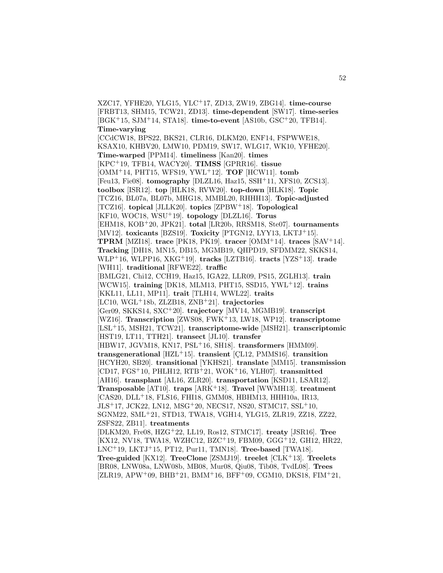XZC17, YFHE20, YLG15, YLC<sup>+</sup>17, ZD13, ZW19, ZBG14]. **time-course** [FRBT13, SHM15, TCW21, ZD13]. **time-dependent** [SW17]. **time-series** [BGK<sup>+</sup>15, SJM<sup>+</sup>14, STA18]. **time-to-event** [AS10b, GSC<sup>+</sup>20, TFB14]. **Time-varying** [CCdCW18, BPS22, BKS21, CLR16, DLKM20, ENF14, FSPWWE18, KSAX10, KHBV20, LMW10, PDM19, SW17, WLG17, WK10, YFHE20]. **Time-warped** [PPM14]. **timeliness** [Kan20]. **times** [KPC<sup>+</sup>19, TFB14, WACY20]. **TIMSS** [GPRR16]. **tissue** [OMM<sup>+</sup>14, PHT15, WFS19, YWL<sup>+</sup>12]. **TOF** [HCW11]. **tomb** [Feu13, Fie08]. **tomography** [DLZL16, Haz15, SSH<sup>+</sup>11, XFS10, ZCS13]. **toolbox** [ISR12]. **top** [HLK18, RVW20]. **top-down** [HLK18]. **Topic** [TCZ16, BL07a, BL07b, MHG18, MMBL20, RHHH13]. **Topic-adjusted** [TCZ16]. **topical** [JLLK20]. **topics** [ZPBW<sup>+</sup>18]. **Topological** [KF10, WOC18, WSU<sup>+</sup>19]. **topology** [DLZL16]. **Torus** [EHM18, KOB<sup>+</sup>20, JPK21]. **total** [LR20b, RRSM18, Ste07]. **tournaments** [MV12]. **toxicants** [BZS19]. **Toxicity** [PTGN12, LYY13, LKTJ<sup>+</sup>15]. **TPRM** [MZI18]. **trace** [PK18, PK19]. **tracer** [OMM<sup>+</sup>14]. **traces** [SAV<sup>+</sup>14]. **Tracking** [DH18, MN15, DB15, MGMB19, QHPD19, SFDMM22, SKKS14, WLP<sup>+</sup>16, WLPP16, XKG<sup>+</sup>19]. **tracks** [LZTB16]. **tracts** [YZS<sup>+</sup>13]. **trade** [WH11]. **traditional** [RFWE22]. **traffic** [BMLG21, Chi12, CCH19, Haz15, IGA22, LLR09, PS15, ZGLH13]. **train** [WCW15]. **training** [DK18, MLM13, PHT15, SSD15, YWL<sup>+</sup>12]. **trains** [KKL11, LL11, MP11]. **trait** [TLH14, WWL22]. **traits** [LC10, WGL<sup>+</sup>18b, ZLZB18, ZNB<sup>+</sup>21]. **trajectories** [Ger09, SKKS14, SXC<sup>+</sup>20]. **trajectory** [MV14, MGMB19]. **transcript** [WZ16]. **Transcription** [ZWS08, FWK<sup>+</sup>13, LW18, WP12]. **transcriptome** [LSL<sup>+</sup>15, MSH21, TCW21]. **transcriptome-wide** [MSH21]. **transcriptomic** [HST19, LT11, TTH21]. **transect** [JL10]. **transfer** [HBW17, JGVM18, KN17, PSL<sup>+</sup>16, SH18]. **transformers** [HMM09]. **transgenerational** [HZL<sup>+</sup>15]. **transient** [CL12, PMMS16]. **transition** [HCYH20, SB20]. **transitional** [YKHS21]. **translate** [MM15]. **transmission** [CD17, FGS<sup>+</sup>10, PHLH12, RTB<sup>+</sup>21, WOK<sup>+</sup>16, YLH07]. **transmitted** [AH16]. **transplant** [AL16, ZLR20]. **transportation** [KSD11, LSAR12]. **Transposable** [AT10]. **traps** [ARK<sup>+</sup>18]. **Travel** [WWMH13]. **treatment** [CAS20, DLL<sup>+</sup>18, FLS16, FHI18, GMM08, HBHM13, HHH10a, IR13, JLS<sup>+</sup>17, JCK22, LN12, MSG<sup>+</sup>20, NECS17, NS20, STMC17, SSL<sup>+</sup>10, SGNM22, SML<sup>+</sup>21, STD13, TWA18, VGH14, YLG15, ZLR19, ZZ18, ZZ22, ZSFS22, ZB11]. **treatments** [DLKM20, Fre08, HZG<sup>+</sup>22, LL19, Ros12, STMC17]. **treaty** [JSR16]. **Tree** [KX12, NV18, TWA18, WZHC12, BZC<sup>+</sup>19, FBM09, GGG<sup>+</sup>12, GH12, HR22, LNC<sup>+</sup>19, LKTJ<sup>+</sup>15, PT12, Pur11, TMN18]. **Tree-based** [TWA18]. **Tree-guided** [KX12]. **TreeClone** [ZSMJ19]. **treelet** [CLK<sup>+</sup>13]. **Treelets** [BR08, LNW08a, LNW08b, MB08, Mur08, Qiu08, Tib08, TvdL08]. **Trees**  $[ZLR19, APW+09, BHB+21, BMM+16, BFF+09, CGM10, DKS18, FIM+21,$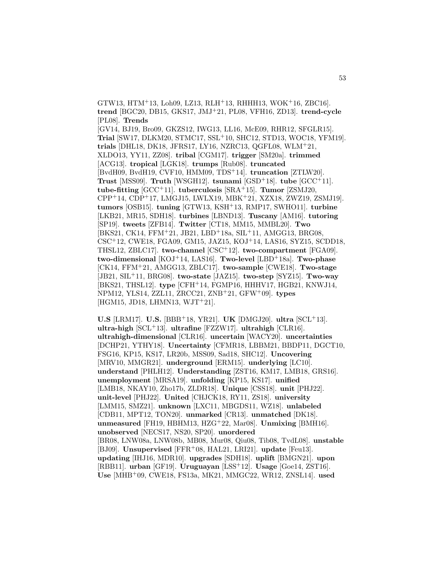GTW13, HTM<sup>+</sup>13, Loh09, LZ13, RLH<sup>+</sup>13, RHHH13, WOK<sup>+</sup>16, ZBC16]. **trend** [BGC20, DB15, GKS17, JMJ<sup>+</sup>21, PL08, VFH16, ZD13]. **trend-cycle** [PL08]. **Trends**

[GV14, BJ19, Bro09, GKZS12, IWG13, LL16, McE09, RHR12, SFGLR15]. **Trial** [SW17, DLKM20, STMC17, SSL<sup>+</sup>10, SHC12, STD13, WOC18, YFM19]. **trials** [DHL18, DK18, JFRS17, LY16, NZRC13, QGFL08, WLM<sup>+</sup>21, XLDO13, YY11, ZZ08]. **tribal** [CGM17]. **trigger** [SM20a]. **trimmed** [ACG13]. **tropical** [LGK18]. **trumps** [Rub08]. **truncated** [BvdH09, BvdH19, CVF10, HMM09, TDS<sup>+</sup>14]. **truncation** [ZTLW20]. **Trust** [MSS09]. **Truth** [WSGH12]. **tsunami** [GSD<sup>+</sup>18]. **tube** [GCC<sup>+</sup>11]. **tube-fitting** [GCC<sup>+</sup>11]. **tuberculosis** [SRA<sup>+</sup>15]. **Tumor** [ZSMJ20, CPP<sup>+</sup>14, CDP<sup>+</sup>17, LMGJ15, LWLX19, MBK<sup>+</sup>21, XZX18, ZWZ19, ZSMJ19]. **tumors** [OSB15]. **tuning** [GTW13, KSH<sup>+</sup>13, RMP17, SWHO11]. **turbine** [LKB21, MR15, SDH18]. **turbines** [LBND13]. **Tuscany** [AM16]. **tutoring** [SP19]. **tweets** [ZFB14]. **Twitter** [CT18, MM15, MMBL20]. **Two** [BKS21, CK14, FFM<sup>+</sup>21, JB21, LBD<sup>+</sup>18a, SIL<sup>+</sup>11, AMGG13, BRG08, CSC<sup>+</sup>12, CWE18, FGA09, GM15, JAZ15, KOJ<sup>+</sup>14, LAS16, SYZ15, SCDD18, THSL12, ZBLC17]. **two-channel** [CSC<sup>+</sup>12]. **two-compartment** [FGA09]. **two-dimensional** [KOJ<sup>+</sup>14, LAS16]. **Two-level** [LBD<sup>+</sup>18a]. **Two-phase** [CK14, FFM<sup>+</sup>21, AMGG13, ZBLC17]. **two-sample** [CWE18]. **Two-stage** [JB21, SIL<sup>+</sup>11, BRG08]. **two-state** [JAZ15]. **two-step** [SYZ15]. **Two-way** [BKS21, THSL12]. **type** [CFH<sup>+</sup>14, FGMP16, HHHV17, HGB21, KNWJ14, NPM12, YLS14, ZZL11, ZRCC21, ZNB<sup>+</sup>21, GFW<sup>+</sup>09]. **types** [HGM15, JD18, LHMN13, WJT<sup>+</sup>21].

**U.S** [LRM17]. **U.S.** [BBB<sup>+</sup>18, YR21]. **UK** [DMGJ20]. **ultra** [SCL<sup>+</sup>13]. **ultra-high** [SCL<sup>+</sup>13]. **ultrafine** [FZZW17]. **ultrahigh** [CLR16]. **ultrahigh-dimensional** [CLR16]. **uncertain** [WACY20]. **uncertainties** [DCHP21, YTHY18]. **Uncertainty** [CFMR18, LBBM21, BBDP11, DGCT10, FSG16, KP15, KS17, LR20b, MSS09, Sad18, SHC12]. **Uncovering** [MRV10, MMGR21]. **underground** [ERM15]. **underlying** [LC10]. **understand** [PHLH12]. **Understanding** [ZST16, KM17, LMB18, GRS16]. **unemployment** [MRSA19]. **unfolding** [KP15, KS17]. **unified** [LMB18, NKAY10, Zho17b, ZLDR18]. **Unique** [CSS18]. **unit** [PHJ22]. **unit-level** [PHJ22]. **United** [CHJCK18, RY11, ZS18]. **university** [LMM15, SMZ21]. **unknown** [LXC11, MBGDS11, WZ18]. **unlabeled** [CDB11, MPT12, TON20]. **unmarked** [CR13]. **unmatched** [DK18]. **unmeasured** [FH19, HBHM13, HZG<sup>+</sup>22, Mar08]. **Unmixing** [BMH16]. **unobserved** [NECS17, NS20, SP20]. **unordered** [BR08, LNW08a, LNW08b, MB08, Mur08, Qiu08, Tib08, TvdL08]. **unstable** [BJ09]. **Unsupervised** [FFR<sup>+</sup>08, HAL21, LRI21]. **update** [Feu13]. **updating** [IHJ16, MDR10]. **upgrades** [SDH18]. **uplift** [BMGN21]. **upon** [RBB11]. **urban** [GF19]. **Uruguayan** [LSS<sup>+</sup>12]. **Usage** [Goe14, ZST16]. **Use** [MHB<sup>+</sup>09, CWE18, FS13a, MK21, MMGC22, WR12, ZNSL14]. **used**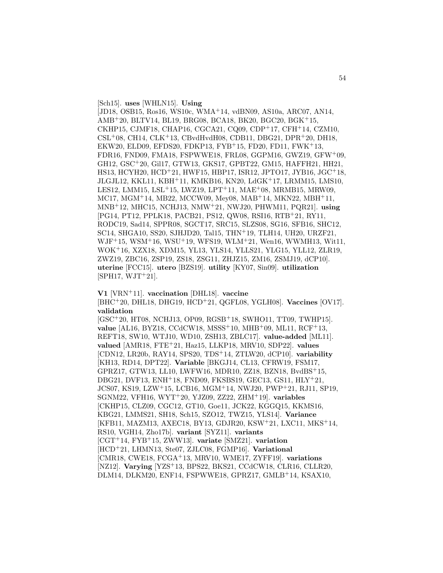[Sch15]. **uses** [WHLN15]. **Using**

[JD18, OSB15, Ros16, WS10c, WMA<sup>+</sup>14, vdBN09, AS10a, ARC07, AN14, AMB<sup>+</sup>20, BLTV14, BL19, BRG08, BCA18, BK20, BGC20, BGK<sup>+</sup>15, CKHP15, CJMF18, CHAP16, CGCA21, CQ09, CDP<sup>+</sup>17, CFH<sup>+</sup>14, CZM10,  $CSL<sup>+</sup>08$ , CH14, CLK<sup>+</sup>13, CBvdHvdH08, CDB11, DBG21, DPR<sup>+</sup>20, DH18, EKW20, ELD09, EFDS20, FDKP13, FYB<sup>+</sup>15, FD20, FD11, FWK<sup>+</sup>13, FDR16, FND09, FMA18, FSPWWE18, FRL08, GGPM16, GWZ19, GFW<sup>+</sup>09, GH12, GSC<sup>+</sup>20, Gil17, GTW13, GKS17, GPBT22, GM15, HAFFH21, HH21, HS13, HCYH20, HCD<sup>+</sup>21, HWF15, HBP17, ISR12, JPTO17, JYB16, JGC<sup>+</sup>18, JLGJL12, KKL11, KBH<sup>+</sup>11, KMKB16, KN20, LdGK<sup>+</sup>17, LRMM15, LMS10, LES12, LMM15, LSL<sup>+</sup>15, LWZ19, LPT<sup>+</sup>11, MAE<sup>+</sup>08, MRMB15, MRW09, MC17, MGM<sup>+</sup>14, MB22, MCCW09, Mey08, MAB<sup>+</sup>14, MKN22, MBH<sup>+</sup>11, MNB<sup>+</sup>12, MHC15, NCHJ13, NMW<sup>+</sup>21, NWJ20, PHWM11, PQR21]. **using** [PG14, PT12, PPLK18, PACB21, PS12, QW08, RSI16, RTB<sup>+</sup>21, RY11, RODC19, Sad14, SPPR08, SGCT17, SRC15, SLZS08, SG16, SFB16, SHC12, SC14, SHGA10, SS20, SJHJD20, Tal15, THN<sup>+</sup>19, TLH14, UH20, URZF21, WJF<sup>+</sup>15, WSM<sup>+</sup>16, WSU<sup>+</sup>19, WFS19, WLM<sup>+</sup>21, Wen16, WWMH13, Wit11, WOK<sup>+</sup>16, XZX18, XDM15, YL13, YLS14, YLLS21, YLG15, YLL12, ZLR19, ZWZ19, ZBC16, ZSP19, ZS18, ZSG11, ZHJZ15, ZM16, ZSMJ19, dCP10]. **uterine** [FCC15]. **utero** [BZS19]. **utility** [KY07, Sin09]. **utilization**  $[SPH17, WJT+21]$ .

**V1** [VRN<sup>+</sup>11]. **vaccination** [DHL18]. **vaccine** [BHC<sup>+</sup>20, DHL18, DHG19, HCD<sup>+</sup>21, QGFL08, YGLH08]. **Vaccines** [OV17]. **validation**

[GSC<sup>+</sup>20, HT08, NCHJ13, OP09, RGSB<sup>+</sup>18, SWHO11, TT09, TWHP15]. **value** [AL16, BYZ18, CCdCW18, MSSS<sup>+</sup>10, MHB<sup>+</sup>09, ML11, RCF<sup>+</sup>13, REFT18, SW10, WTJ10, WD10, ZSH13, ZBLC17]. **value-added** [ML11]. **valued** [AMR18, FTE<sup>+</sup>21, Haz15, LLKP18, MRV10, SDP22]. **values** [CDN12, LR20b, RAY14, SPS20, TDS<sup>+</sup>14, ZTLW20, dCP10]. **variability** [KH13, RD14, DPT22]. **Variable** [BKGJ14, CL13, CFRW19, FSM17, GPRZ17, GTW13, LL10, LWFW16, MDR10, ZZ18, BZN18, BvdBS<sup>+</sup>15, DBG21, DVF13, ENH<sup>+</sup>18, FND09, FKSBS19, GEC13, GS11, HLY<sup>+</sup>21, JCS07, KS19, LZW<sup>+</sup>15, LCB16, MGM<sup>+</sup>14, NWJ20, PWP<sup>+</sup>21, RJ11, SP19, SGNM22, VFH16, WYT<sup>+</sup>20, YJZ09, ZZ22, ZHM<sup>+</sup>19]. **variables** [CKHP15, CLZ09, CGC12, GT10, Goe11, JCK22, KGGQ15, KKMS16, KBG21, LMMS21, SH18, Sch15, SZO12, TWZ15, YLS14]. **Variance** [KFB11, MAZM13, AXEC18, BY13, GDJR20, KSW<sup>+</sup>21, LXC11, MKS<sup>+</sup>14, RS10, VGH14, Zho17b]. **variant** [SYZ11]. **variants** [CGT<sup>+</sup>14, FYB<sup>+</sup>15, ZWW13]. **variate** [SMZ21]. **variation** [HCD<sup>+</sup>21, LHMN13, Ste07, ZJLC08, FGMP16]. **Variational** [CMR18, CWE18, FCGA<sup>+</sup>13, MRV10, WME17, ZYFF19]. **variations** [NZ12]. **Varying** [YZS<sup>+</sup>13, BPS22, BKS21, CCdCW18, CLR16, CLLR20, DLM14, DLKM20, ENF14, FSPWWE18, GPRZ17, GMLB<sup>+</sup>14, KSAX10,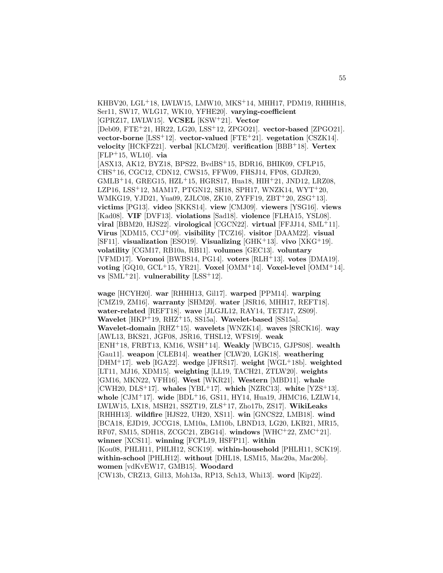KHBV20, LGL<sup>+</sup>18, LWLW15, LMW10, MKS<sup>+</sup>14, MHH17, PDM19, RHHH18, Ser11, SW17, WLG17, WK10, YFHE20]. **varying-coefficient** [GPRZ17, LWLW15]. **VCSEL** [KSW<sup>+</sup>21]. **Vector** [Deb09, FTE<sup>+</sup>21, HR22, LG20, LSS<sup>+</sup>12, ZPGO21]. **vector-based** [ZPGO21]. **vector-borne** [LSS<sup>+</sup>12]. **vector-valued** [FTE<sup>+</sup>21]. **vegetation** [CSZK14]. **velocity** [HCKFZ21]. **verbal** [KLCM20]. **verification** [BBB<sup>+</sup>18]. **Vertex** [FLP<sup>+</sup>15, WL10]. **via** [ASX13, AK12, BYZ18, BPS22, BvdBS<sup>+</sup>15, BDR16, BHIK09, CFLP15, CHS<sup>+</sup>16, CGC12, CDN12, CWS15, FFW09, FHSJ14, FP08, GDJR20,  $GMLB+14$ , GREG15, HZL<sup>+</sup>15, HGRS17, Hua18, HIH<sup>+</sup>21, JND12, LRZ08, LZP16, LSS<sup>+</sup>12, MAM17, PTGN12, SH18, SPH17, WNZK14, WYT<sup>+</sup>20, WMKG19, YJD21, Yua09, ZJLC08, ZK10, ZYFF19, ZBT<sup>+</sup>20, ZSG<sup>+</sup>13]. **victims** [PG13]. **video** [SKKS14]. **view** [CMJ09]. **viewers** [YSG16]. **views** [Kad08]. **VIF** [DVF13]. **violations** [Sad18]. **violence** [FLHA15, YSL08]. **viral** [BBM20, HJS22]. **virological** [CGCN22]. **virtual** [FFJJ14, SML<sup>+</sup>11]. **Virus** [XDM15, CCJ<sup>+</sup>09]. **visibility** [TCZ16]. **visitor** [DAAM22]. **visual** [SF11]. **visualization** [ESO19]. **Visualizing** [GHK<sup>+</sup>13]. **vivo** [XKG<sup>+</sup>19]. **volatility** [CGM17, RB10a, RB11]. **volumes** [GEC13]. **voluntary** [VFMD17]. **Voronoi** [BWBS14, PG14]. **voters** [RLH<sup>+</sup>13]. **votes** [DMA19]. **voting** [GQ10, GCL<sup>+</sup>15, YR21]. **Voxel** [OMM<sup>+</sup>14]. **Voxel-level** [OMM<sup>+</sup>14]. **vs** [SML<sup>+</sup>21]. **vulnerability** [LSS<sup>+</sup>12].

**wage** [HCYH20]. **war** [RHHH13, Gil17]. **warped** [PPM14]. **warping** [CMZ19, ZM16]. **warranty** [SHM20]. **water** [JSR16, MHH17, REFT18]. **water-related** [REFT18]. **wave** [JLGJL12, RAY14, TETJ17, ZS09]. **Wavelet** [HKP<sup>+</sup>19, RHZ<sup>+</sup>15, SS15a]. **Wavelet-based** [SS15a]. **Wavelet-domain** [RHZ<sup>+</sup>15]. **wavelets** [WNZK14]. **waves** [SRCK16]. **way** [AWL13, BKS21, JGF08, JSR16, THSL12, WFS19]. **weak** [ENH<sup>+</sup>18, FRBT13, KM16, WSH<sup>+</sup>14]. **Weakly** [WBC15, GJPS08]. **wealth** [Gau11]. **weapon** [CLEB14]. **weather** [CLW20, LGK18]. **weathering** [DHM<sup>+</sup>17]. **web** [IGA22]. **wedge** [JFRS17]. **weight** [WGL<sup>+</sup>18b]. **weighted** [LT11, MJ16, XDM15]. **weighting** [LL19, TACH21, ZTLW20]. **weights** [GM16, MKN22, VFH16]. **West** [WKR21]. **Western** [MBD11]. **whale** [CWH20, DLS<sup>+</sup>17]. **whales** [YBL<sup>+</sup>17]. **which** [NZRC13]. **white** [YZS<sup>+</sup>13]. **whole** [CJM<sup>+</sup>17]. **wide** [BDL<sup>+</sup>16, GS11, HY14, Hua19, JHMC16, LZLW14, LWLW15, LX18, MSH21, SSZT19, ZLS<sup>+</sup>17, Zho17b, ZS17]. **WikiLeaks** [RHHH13]. **wildfire** [HJS22, UH20, XS11]. **win** [GNCS22, LMB18]. **wind** [BCA18, EJD19, JCCG18, LM10a, LM10b, LBND13, LG20, LKB21, MR15, RF07, SM15, SDH18, ZCGC21, ZBG14]. **windows** [WHC<sup>+</sup>22, ZMC<sup>+</sup>21]. **winner** [XCS11]. **winning** [FCPL19, HSFP11]. **within** [Kou08, PHLH11, PHLH12, SCK19]. **within-household** [PHLH11, SCK19]. **within-school** [PHLH12]. **without** [DHL18, LSM15, Mac20a, Mac20b]. **women** [vdKvEW17, GMB15]. **Woodard** [CW13b, CRZ13, Gil13, Moh13a, RP13, Sch13, Whi13]. **word** [Kip22].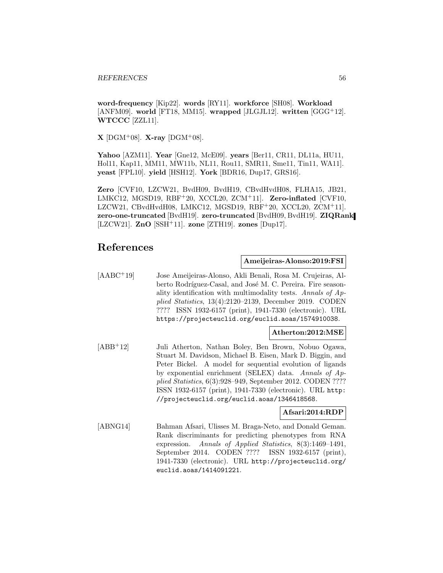**word-frequency** [Kip22]. **words** [RY11]. **workforce** [SH08]. **Workload** [ANFM09]. **world** [FT18, MM15]. **wrapped** [JLGJL12]. **written** [GGG<sup>+</sup>12]. **WTCCC** [ZZL11].

**X** [DGM+08]. **X-ray** [DGM+08].

**Yahoo** [AZM11]. **Year** [Gne12, McE09]. **years** [Ber11, CR11, DL11a, HU11, Hol11, Kap11, MM11, MW11b, NL11, Rou11, SMR11, Sme11, Tin11, WA11]. **yeast** [FPL10]. **yield** [HSH12]. **York** [BDR16, Dup17, GRS16].

**Zero** [CVF10, LZCW21, BvdH09, BvdH19, CBvdHvdH08, FLHA15, JB21, LMKC12, MGSD19, RBF<sup>+</sup>20, XCCL20, ZCM<sup>+</sup>11]. **Zero-inflated** [CVF10, LZCW21, CBvdHvdH08, LMKC12, MGSD19, RBF<sup>+</sup>20, XCCL20, ZCM<sup>+</sup>11]. **zero-one-truncated** [BvdH19]. **zero-truncated** [BvdH09, BvdH19]. **ZIQRank** [LZCW21]. **ZnO** [SSH<sup>+</sup>11]. **zone** [ZTH19]. **zones** [Dup17].

# **References**

## **Ameijeiras-Alonso:2019:FSI**

[AABC<sup>+</sup>19] Jose Ameijeiras-Alonso, Akli Benali, Rosa M. Crujeiras, Alberto Rodríguez-Casal, and José M. C. Pereira. Fire seasonality identification with multimodality tests. Annals of Applied Statistics, 13(4):2120–2139, December 2019. CODEN ???? ISSN 1932-6157 (print), 1941-7330 (electronic). URL https://projecteuclid.org/euclid.aoas/1574910038.

## **Atherton:2012:MSE**

[ABB<sup>+</sup>12] Juli Atherton, Nathan Boley, Ben Brown, Nobuo Ogawa, Stuart M. Davidson, Michael B. Eisen, Mark D. Biggin, and Peter Bickel. A model for sequential evolution of ligands by exponential enrichment (SELEX) data. Annals of Applied Statistics, 6(3):928–949, September 2012. CODEN ???? ISSN 1932-6157 (print), 1941-7330 (electronic). URL http: //projecteuclid.org/euclid.aoas/1346418568.

### **Afsari:2014:RDP**

[ABNG14] Bahman Afsari, Ulisses M. Braga-Neto, and Donald Geman. Rank discriminants for predicting phenotypes from RNA expression. Annals of Applied Statistics, 8(3):1469–1491, September 2014. CODEN ???? ISSN 1932-6157 (print), 1941-7330 (electronic). URL http://projecteuclid.org/ euclid.aoas/1414091221.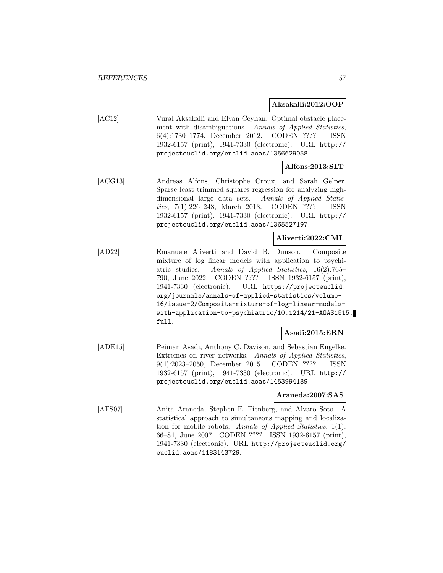### **Aksakalli:2012:OOP**

[AC12] Vural Aksakalli and Elvan Ceyhan. Optimal obstacle placement with disambiguations. Annals of Applied Statistics, 6(4):1730–1774, December 2012. CODEN ???? ISSN 1932-6157 (print), 1941-7330 (electronic). URL http:// projecteuclid.org/euclid.aoas/1356629058.

# **Alfons:2013:SLT**

[ACG13] Andreas Alfons, Christophe Croux, and Sarah Gelper. Sparse least trimmed squares regression for analyzing highdimensional large data sets. Annals of Applied Statistics, 7(1):226–248, March 2013. CODEN ???? ISSN 1932-6157 (print), 1941-7330 (electronic). URL http:// projecteuclid.org/euclid.aoas/1365527197.

# **Aliverti:2022:CML**

[AD22] Emanuele Aliverti and David B. Dunson. Composite mixture of log–linear models with application to psychiatric studies. Annals of Applied Statistics, 16(2):765– 790, June 2022. CODEN ???? ISSN 1932-6157 (print), 1941-7330 (electronic). URL https://projecteuclid. org/journals/annals-of-applied-statistics/volume-16/issue-2/Composite-mixture-of-log-linear-modelswith-application-to-psychiatric/10.1214/21-AOAS1515. full.

# **Asadi:2015:ERN**

[ADE15] Peiman Asadi, Anthony C. Davison, and Sebastian Engelke. Extremes on river networks. Annals of Applied Statistics, 9(4):2023–2050, December 2015. CODEN ???? ISSN 1932-6157 (print), 1941-7330 (electronic). URL http:// projecteuclid.org/euclid.aoas/1453994189.

### **Araneda:2007:SAS**

[AFS07] Anita Araneda, Stephen E. Fienberg, and Alvaro Soto. A statistical approach to simultaneous mapping and localization for mobile robots. Annals of Applied Statistics, 1(1): 66–84, June 2007. CODEN ???? ISSN 1932-6157 (print), 1941-7330 (electronic). URL http://projecteuclid.org/ euclid.aoas/1183143729.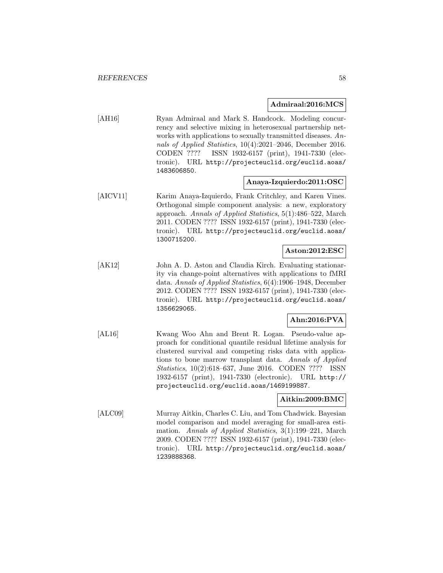#### **Admiraal:2016:MCS**

[AH16] Ryan Admiraal and Mark S. Handcock. Modeling concurrency and selective mixing in heterosexual partnership networks with applications to sexually transmitted diseases. Annals of Applied Statistics, 10(4):2021–2046, December 2016. CODEN ???? ISSN 1932-6157 (print), 1941-7330 (electronic). URL http://projecteuclid.org/euclid.aoas/ 1483606850.

## **Anaya-Izquierdo:2011:OSC**

[AICV11] Karim Anaya-Izquierdo, Frank Critchley, and Karen Vines. Orthogonal simple component analysis: a new, exploratory approach. Annals of Applied Statistics, 5(1):486–522, March 2011. CODEN ???? ISSN 1932-6157 (print), 1941-7330 (electronic). URL http://projecteuclid.org/euclid.aoas/ 1300715200.

# **Aston:2012:ESC**

[AK12] John A. D. Aston and Claudia Kirch. Evaluating stationarity via change-point alternatives with applications to fMRI data. Annals of Applied Statistics, 6(4):1906–1948, December 2012. CODEN ???? ISSN 1932-6157 (print), 1941-7330 (electronic). URL http://projecteuclid.org/euclid.aoas/ 1356629065.

### **Ahn:2016:PVA**

[AL16] Kwang Woo Ahn and Brent R. Logan. Pseudo-value approach for conditional quantile residual lifetime analysis for clustered survival and competing risks data with applications to bone marrow transplant data. Annals of Applied Statistics, 10(2):618–637, June 2016. CODEN ???? ISSN 1932-6157 (print), 1941-7330 (electronic). URL http:// projecteuclid.org/euclid.aoas/1469199887.

## **Aitkin:2009:BMC**

[ALC09] Murray Aitkin, Charles C. Liu, and Tom Chadwick. Bayesian model comparison and model averaging for small-area estimation. Annals of Applied Statistics, 3(1):199–221, March 2009. CODEN ???? ISSN 1932-6157 (print), 1941-7330 (electronic). URL http://projecteuclid.org/euclid.aoas/ 1239888368.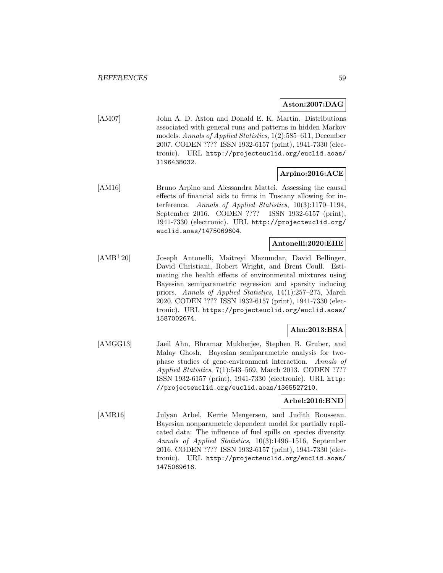### **Aston:2007:DAG**

[AM07] John A. D. Aston and Donald E. K. Martin. Distributions associated with general runs and patterns in hidden Markov models. Annals of Applied Statistics, 1(2):585–611, December 2007. CODEN ???? ISSN 1932-6157 (print), 1941-7330 (electronic). URL http://projecteuclid.org/euclid.aoas/ 1196438032.

# **Arpino:2016:ACE**

[AM16] Bruno Arpino and Alessandra Mattei. Assessing the causal effects of financial aids to firms in Tuscany allowing for interference. Annals of Applied Statistics, 10(3):1170–1194, September 2016. CODEN ???? ISSN 1932-6157 (print), 1941-7330 (electronic). URL http://projecteuclid.org/ euclid.aoas/1475069604.

## **Antonelli:2020:EHE**

[AMB<sup>+</sup>20] Joseph Antonelli, Maitreyi Mazumdar, David Bellinger, David Christiani, Robert Wright, and Brent Coull. Estimating the health effects of environmental mixtures using Bayesian semiparametric regression and sparsity inducing priors. Annals of Applied Statistics, 14(1):257–275, March 2020. CODEN ???? ISSN 1932-6157 (print), 1941-7330 (electronic). URL https://projecteuclid.org/euclid.aoas/ 1587002674.

## **Ahn:2013:BSA**

[AMGG13] Jaeil Ahn, Bhramar Mukherjee, Stephen B. Gruber, and Malay Ghosh. Bayesian semiparametric analysis for twophase studies of gene-environment interaction. Annals of Applied Statistics, 7(1):543–569, March 2013. CODEN ???? ISSN 1932-6157 (print), 1941-7330 (electronic). URL http: //projecteuclid.org/euclid.aoas/1365527210.

### **Arbel:2016:BND**

[AMR16] Julyan Arbel, Kerrie Mengersen, and Judith Rousseau. Bayesian nonparametric dependent model for partially replicated data: The influence of fuel spills on species diversity. Annals of Applied Statistics, 10(3):1496–1516, September 2016. CODEN ???? ISSN 1932-6157 (print), 1941-7330 (electronic). URL http://projecteuclid.org/euclid.aoas/ 1475069616.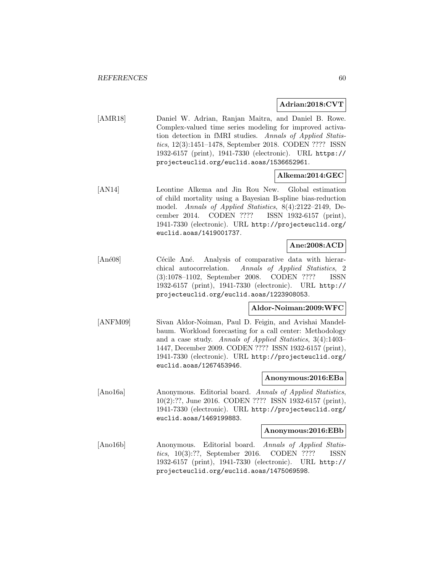### **Adrian:2018:CVT**

[AMR18] Daniel W. Adrian, Ranjan Maitra, and Daniel B. Rowe. Complex-valued time series modeling for improved activation detection in fMRI studies. Annals of Applied Statistics, 12(3):1451–1478, September 2018. CODEN ???? ISSN 1932-6157 (print), 1941-7330 (electronic). URL https:// projecteuclid.org/euclid.aoas/1536652961.

### **Alkema:2014:GEC**

[AN14] Leontine Alkema and Jin Rou New. Global estimation of child mortality using a Bayesian B-spline bias-reduction model. Annals of Applied Statistics, 8(4):2122–2149, December 2014. CODEN ???? ISSN 1932-6157 (print), 1941-7330 (electronic). URL http://projecteuclid.org/ euclid.aoas/1419001737.

### **Ane:2008:ACD**

[Ané08] Cécile Ané. Analysis of comparative data with hierarchical autocorrelation. Annals of Applied Statistics, 2 (3):1078–1102, September 2008. CODEN ???? ISSN 1932-6157 (print), 1941-7330 (electronic). URL http:// projecteuclid.org/euclid.aoas/1223908053.

#### **Aldor-Noiman:2009:WFC**

[ANFM09] Sivan Aldor-Noiman, Paul D. Feigin, and Avishai Mandelbaum. Workload forecasting for a call center: Methodology and a case study. Annals of Applied Statistics, 3(4):1403– 1447, December 2009. CODEN ???? ISSN 1932-6157 (print), 1941-7330 (electronic). URL http://projecteuclid.org/ euclid.aoas/1267453946.

#### **Anonymous:2016:EBa**

[Ano16a] Anonymous. Editorial board. Annals of Applied Statistics, 10(2):??, June 2016. CODEN ???? ISSN 1932-6157 (print), 1941-7330 (electronic). URL http://projecteuclid.org/ euclid.aoas/1469199883.

#### **Anonymous:2016:EBb**

[Ano16b] Anonymous. Editorial board. Annals of Applied Statistics, 10(3):??, September 2016. CODEN ???? ISSN 1932-6157 (print), 1941-7330 (electronic). URL http:// projecteuclid.org/euclid.aoas/1475069598.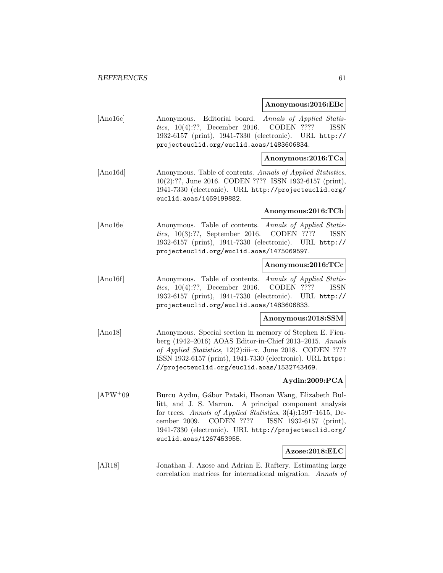#### **Anonymous:2016:EBc**

[Ano16c] Anonymous. Editorial board. Annals of Applied Statistics, 10(4):??, December 2016. CODEN ???? ISSN 1932-6157 (print), 1941-7330 (electronic). URL http:// projecteuclid.org/euclid.aoas/1483606834.

## **Anonymous:2016:TCa**

[Ano16d] Anonymous. Table of contents. Annals of Applied Statistics, 10(2):??, June 2016. CODEN ???? ISSN 1932-6157 (print), 1941-7330 (electronic). URL http://projecteuclid.org/ euclid.aoas/1469199882.

#### **Anonymous:2016:TCb**

[Ano16e] Anonymous. Table of contents. Annals of Applied Statistics, 10(3):??, September 2016. CODEN ???? ISSN 1932-6157 (print), 1941-7330 (electronic). URL http:// projecteuclid.org/euclid.aoas/1475069597.

## **Anonymous:2016:TCc**

[Ano16f] Anonymous. Table of contents. Annals of Applied Statistics, 10(4):??, December 2016. CODEN ???? ISSN 1932-6157 (print), 1941-7330 (electronic). URL http:// projecteuclid.org/euclid.aoas/1483606833.

### **Anonymous:2018:SSM**

[Ano18] Anonymous. Special section in memory of Stephen E. Fienberg (1942–2016) AOAS Editor-in-Chief 2013–2015. Annals of Applied Statistics, 12(2):iii–x, June 2018. CODEN ???? ISSN 1932-6157 (print), 1941-7330 (electronic). URL https: //projecteuclid.org/euclid.aoas/1532743469.

# **Aydin:2009:PCA**

[APW<sup>+</sup>09] Burcu Aydın, Gábor Pataki, Haonan Wang, Elizabeth Bullitt, and J. S. Marron. A principal component analysis for trees. Annals of Applied Statistics, 3(4):1597–1615, December 2009. CODEN ???? ISSN 1932-6157 (print), 1941-7330 (electronic). URL http://projecteuclid.org/ euclid.aoas/1267453955.

## **Azose:2018:ELC**

[AR18] Jonathan J. Azose and Adrian E. Raftery. Estimating large correlation matrices for international migration. Annals of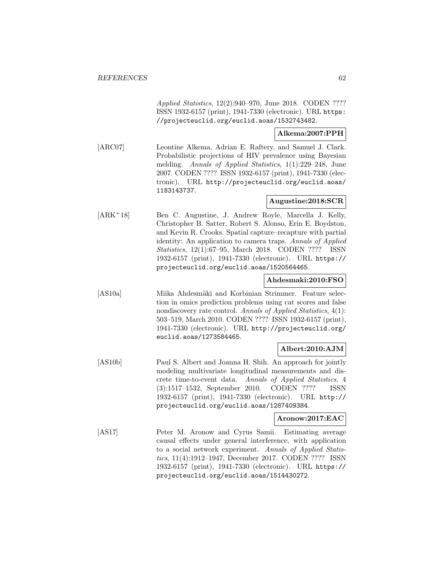Applied Statistics, 12(2):940–970, June 2018. CODEN ???? ISSN 1932-6157 (print), 1941-7330 (electronic). URL https: //projecteuclid.org/euclid.aoas/1532743482.

### **Alkema:2007:PPH**

[ARC07] Leontine Alkema, Adrian E. Raftery, and Samuel J. Clark. Probabilistic projections of HIV prevalence using Bayesian melding. Annals of Applied Statistics, 1(1):229–248, June 2007. CODEN ???? ISSN 1932-6157 (print), 1941-7330 (electronic). URL http://projecteuclid.org/euclid.aoas/ 1183143737.

## **Augustine:2018:SCR**

[ARK<sup>+</sup>18] Ben C. Augustine, J. Andrew Royle, Marcella J. Kelly, Christopher B. Satter, Robert S. Alonso, Erin E. Boydston, and Kevin R. Crooks. Spatial capture–recapture with partial identity: An application to camera traps. Annals of Applied Statistics, 12(1):67–95, March 2018. CODEN ???? ISSN 1932-6157 (print), 1941-7330 (electronic). URL https:// projecteuclid.org/euclid.aoas/1520564465.

### **Ahdesmaki:2010:FSO**

[AS10a] Miika Ahdesmäki and Korbinian Strimmer. Feature selection in omics prediction problems using cat scores and false nondiscovery rate control. Annals of Applied Statistics, 4(1): 503–519, March 2010. CODEN ???? ISSN 1932-6157 (print), 1941-7330 (electronic). URL http://projecteuclid.org/ euclid.aoas/1273584465.

# **Albert:2010:AJM**

[AS10b] Paul S. Albert and Joanna H. Shih. An approach for jointly modeling multivariate longitudinal measurements and discrete time-to-event data. Annals of Applied Statistics, 4 (3):1517–1532, September 2010. CODEN ???? ISSN 1932-6157 (print), 1941-7330 (electronic). URL http:// projecteuclid.org/euclid.aoas/1287409384.

## **Aronow:2017:EAC**

[AS17] Peter M. Aronow and Cyrus Samii. Estimating average causal effects under general interference, with application to a social network experiment. Annals of Applied Statistics, 11(4):1912–1947, December 2017. CODEN ???? ISSN 1932-6157 (print), 1941-7330 (electronic). URL https:// projecteuclid.org/euclid.aoas/1514430272.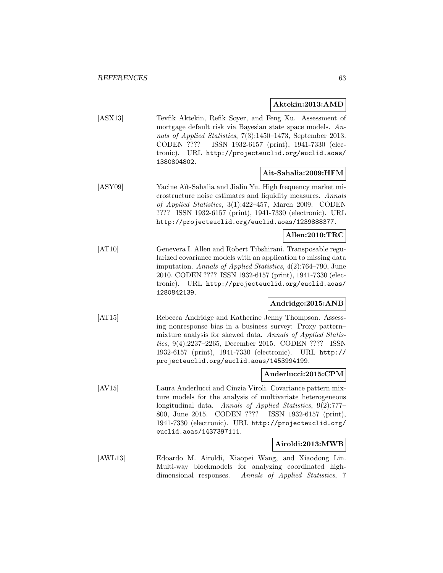#### **Aktekin:2013:AMD**

[ASX13] Tevfik Aktekin, Refik Soyer, and Feng Xu. Assessment of mortgage default risk via Bayesian state space models. Annals of Applied Statistics, 7(3):1450–1473, September 2013. CODEN ???? ISSN 1932-6157 (print), 1941-7330 (electronic). URL http://projecteuclid.org/euclid.aoas/ 1380804802.

## **Ait-Sahalia:2009:HFM**

[ASY09] Yacine Aït-Sahalia and Jialin Yu. High frequency market microstructure noise estimates and liquidity measures. Annals of Applied Statistics, 3(1):422–457, March 2009. CODEN ???? ISSN 1932-6157 (print), 1941-7330 (electronic). URL http://projecteuclid.org/euclid.aoas/1239888377.

## **Allen:2010:TRC**

[AT10] Genevera I. Allen and Robert Tibshirani. Transposable regularized covariance models with an application to missing data imputation. Annals of Applied Statistics, 4(2):764–790, June 2010. CODEN ???? ISSN 1932-6157 (print), 1941-7330 (electronic). URL http://projecteuclid.org/euclid.aoas/ 1280842139.

# **Andridge:2015:ANB**

[AT15] Rebecca Andridge and Katherine Jenny Thompson. Assessing nonresponse bias in a business survey: Proxy pattern– mixture analysis for skewed data. Annals of Applied Statistics, 9(4):2237–2265, December 2015. CODEN ???? ISSN 1932-6157 (print), 1941-7330 (electronic). URL http:// projecteuclid.org/euclid.aoas/1453994199.

#### **Anderlucci:2015:CPM**

[AV15] Laura Anderlucci and Cinzia Viroli. Covariance pattern mixture models for the analysis of multivariate heterogeneous longitudinal data. Annals of Applied Statistics, 9(2):777– 800, June 2015. CODEN ???? ISSN 1932-6157 (print), 1941-7330 (electronic). URL http://projecteuclid.org/ euclid.aoas/1437397111.

### **Airoldi:2013:MWB**

[AWL13] Edoardo M. Airoldi, Xiaopei Wang, and Xiaodong Lin. Multi-way blockmodels for analyzing coordinated highdimensional responses. Annals of Applied Statistics, 7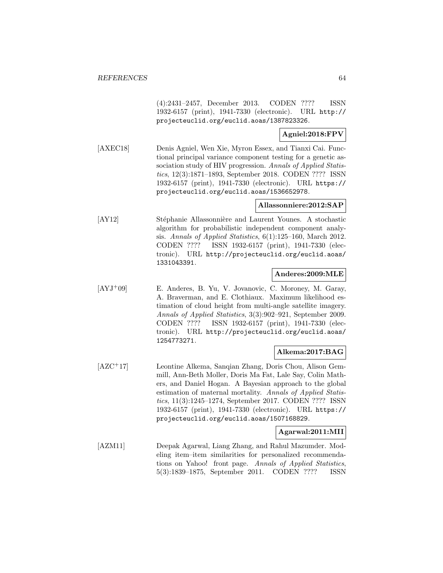(4):2431–2457, December 2013. CODEN ???? ISSN 1932-6157 (print), 1941-7330 (electronic). URL http:// projecteuclid.org/euclid.aoas/1387823326.

## **Agniel:2018:FPV**

[AXEC18] Denis Agniel, Wen Xie, Myron Essex, and Tianxi Cai. Functional principal variance component testing for a genetic association study of HIV progression. Annals of Applied Statistics, 12(3):1871–1893, September 2018. CODEN ???? ISSN 1932-6157 (print), 1941-7330 (electronic). URL https:// projecteuclid.org/euclid.aoas/1536652978.

## **Allassonniere:2012:SAP**

[AY12] Stéphanie Allassonnière and Laurent Younes. A stochastic algorithm for probabilistic independent component analysis. Annals of Applied Statistics, 6(1):125–160, March 2012. CODEN ???? ISSN 1932-6157 (print), 1941-7330 (electronic). URL http://projecteuclid.org/euclid.aoas/ 1331043391.

## **Anderes:2009:MLE**

[AYJ<sup>+</sup>09] E. Anderes, B. Yu, V. Jovanovic, C. Moroney, M. Garay, A. Braverman, and E. Clothiaux. Maximum likelihood estimation of cloud height from multi-angle satellite imagery. Annals of Applied Statistics, 3(3):902–921, September 2009. CODEN ???? ISSN 1932-6157 (print), 1941-7330 (electronic). URL http://projecteuclid.org/euclid.aoas/ 1254773271.

### **Alkema:2017:BAG**

[AZC<sup>+</sup>17] Leontine Alkema, Sanqian Zhang, Doris Chou, Alison Gemmill, Ann-Beth Moller, Doris Ma Fat, Lale Say, Colin Mathers, and Daniel Hogan. A Bayesian approach to the global estimation of maternal mortality. Annals of Applied Statistics, 11(3):1245–1274, September 2017. CODEN ???? ISSN 1932-6157 (print), 1941-7330 (electronic). URL https:// projecteuclid.org/euclid.aoas/1507168829.

### **Agarwal:2011:MII**

[AZM11] Deepak Agarwal, Liang Zhang, and Rahul Mazumder. Modeling item–item similarities for personalized recommendations on Yahoo! front page. Annals of Applied Statistics, 5(3):1839–1875, September 2011. CODEN ???? ISSN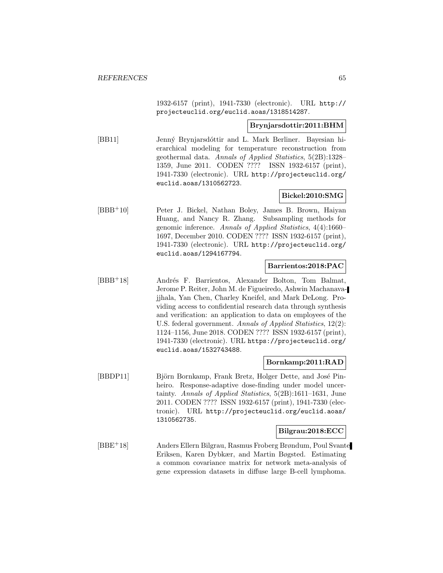1932-6157 (print), 1941-7330 (electronic). URL http:// projecteuclid.org/euclid.aoas/1318514287.

### **Brynjarsdottir:2011:BHM**

[BB11] Jenný Brynjarsdóttir and L. Mark Berliner. Bayesian hierarchical modeling for temperature reconstruction from geothermal data. Annals of Applied Statistics, 5(2B):1328– 1359, June 2011. CODEN ???? ISSN 1932-6157 (print), 1941-7330 (electronic). URL http://projecteuclid.org/ euclid.aoas/1310562723.

### **Bickel:2010:SMG**

[BBB<sup>+</sup>10] Peter J. Bickel, Nathan Boley, James B. Brown, Haiyan Huang, and Nancy R. Zhang. Subsampling methods for genomic inference. Annals of Applied Statistics, 4(4):1660– 1697, December 2010. CODEN ???? ISSN 1932-6157 (print), 1941-7330 (electronic). URL http://projecteuclid.org/ euclid.aoas/1294167794.

## **Barrientos:2018:PAC**

[BBB<sup>+</sup>18] Andrés F. Barrientos, Alexander Bolton, Tom Balmat, Jerome P. Reiter, John M. de Figueiredo, Ashwin Machanavajjhala, Yan Chen, Charley Kneifel, and Mark DeLong. Providing access to confidential research data through synthesis and verification: an application to data on employees of the U.S. federal government. Annals of Applied Statistics, 12(2): 1124–1156, June 2018. CODEN ???? ISSN 1932-6157 (print), 1941-7330 (electronic). URL https://projecteuclid.org/ euclid.aoas/1532743488.

### **Bornkamp:2011:RAD**

[BBDP11] Björn Bornkamp, Frank Bretz, Holger Dette, and José Pinheiro. Response-adaptive dose-finding under model uncertainty. Annals of Applied Statistics, 5(2B):1611–1631, June 2011. CODEN ???? ISSN 1932-6157 (print), 1941-7330 (electronic). URL http://projecteuclid.org/euclid.aoas/ 1310562735.

## **Bilgrau:2018:ECC**

[BBE<sup>+</sup>18] Anders Ellern Bilgrau, Rasmus Froberg Brøndum, Poul Svante Eriksen, Karen Dybkær, and Martin Bøgsted. Estimating a common covariance matrix for network meta-analysis of gene expression datasets in diffuse large B-cell lymphoma.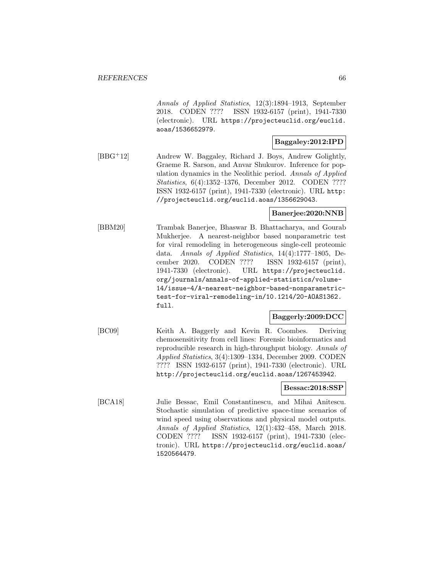Annals of Applied Statistics, 12(3):1894–1913, September 2018. CODEN ???? ISSN 1932-6157 (print), 1941-7330 (electronic). URL https://projecteuclid.org/euclid. aoas/1536652979.

#### **Baggaley:2012:IPD**

[BBG<sup>+</sup>12] Andrew W. Baggaley, Richard J. Boys, Andrew Golightly, Graeme R. Sarson, and Anvar Shukurov. Inference for population dynamics in the Neolithic period. Annals of Applied Statistics, 6(4):1352–1376, December 2012. CODEN ???? ISSN 1932-6157 (print), 1941-7330 (electronic). URL http: //projecteuclid.org/euclid.aoas/1356629043.

#### **Banerjee:2020:NNB**

[BBM20] Trambak Banerjee, Bhaswar B. Bhattacharya, and Gourab Mukherjee. A nearest-neighbor based nonparametric test for viral remodeling in heterogeneous single-cell proteomic data. Annals of Applied Statistics, 14(4):1777–1805, December 2020. CODEN ???? ISSN 1932-6157 (print), 1941-7330 (electronic). URL https://projecteuclid. org/journals/annals-of-applied-statistics/volume-14/issue-4/A-nearest-neighbor-based-nonparametrictest-for-viral-remodeling-in/10.1214/20-AOAS1362. full.

### **Baggerly:2009:DCC**

[BC09] Keith A. Baggerly and Kevin R. Coombes. Deriving chemosensitivity from cell lines: Forensic bioinformatics and reproducible research in high-throughput biology. Annals of Applied Statistics, 3(4):1309–1334, December 2009. CODEN ???? ISSN 1932-6157 (print), 1941-7330 (electronic). URL http://projecteuclid.org/euclid.aoas/1267453942.

### **Bessac:2018:SSP**

[BCA18] Julie Bessac, Emil Constantinescu, and Mihai Anitescu. Stochastic simulation of predictive space-time scenarios of wind speed using observations and physical model outputs. Annals of Applied Statistics, 12(1):432–458, March 2018. CODEN ???? ISSN 1932-6157 (print), 1941-7330 (electronic). URL https://projecteuclid.org/euclid.aoas/ 1520564479.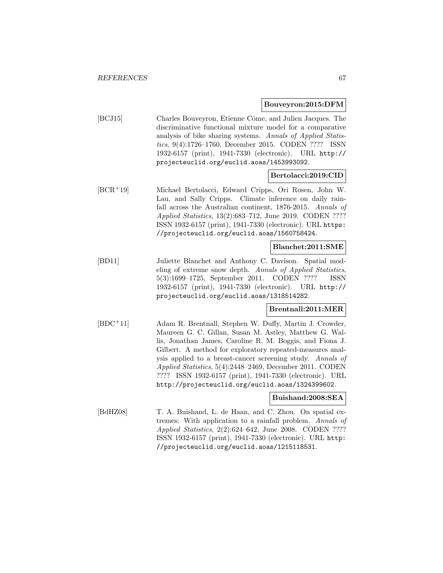#### **Bouveyron:2015:DFM**

[BCJ15] Charles Bouveyron, Etienne Côme, and Julien Jacques. The discriminative functional mixture model for a comparative analysis of bike sharing systems. Annals of Applied Statistics, 9(4):1726–1760, December 2015. CODEN ???? ISSN 1932-6157 (print), 1941-7330 (electronic). URL http:// projecteuclid.org/euclid.aoas/1453993092.

### **Bertolacci:2019:CID**

[BCR<sup>+</sup>19] Michael Bertolacci, Edward Cripps, Ori Rosen, John W. Lau, and Sally Cripps. Climate inference on daily rainfall across the Australian continent, 1876-2015. Annals of Applied Statistics, 13(2):683–712, June 2019. CODEN ???? ISSN 1932-6157 (print), 1941-7330 (electronic). URL https: //projecteuclid.org/euclid.aoas/1560758424.

## **Blanchet:2011:SME**

[BD11] Juliette Blanchet and Anthony C. Davison. Spatial modeling of extreme snow depth. Annals of Applied Statistics, 5(3):1699–1725, September 2011. CODEN ???? ISSN 1932-6157 (print), 1941-7330 (electronic). URL http:// projecteuclid.org/euclid.aoas/1318514282.

## **Brentnall:2011:MER**

[BDC<sup>+</sup>11] Adam R. Brentnall, Stephen W. Duffy, Martin J. Crowder, Maureen G. C. Gillan, Susan M. Astley, Matthew G. Wallis, Jonathan James, Caroline R. M. Boggis, and Fiona J. Gilbert. A method for exploratory repeated-measures analysis applied to a breast-cancer screening study. Annals of Applied Statistics, 5(4):2448–2469, December 2011. CODEN ???? ISSN 1932-6157 (print), 1941-7330 (electronic). URL http://projecteuclid.org/euclid.aoas/1324399602.

#### **Buishand:2008:SEA**

[BdHZ08] T. A. Buishand, L. de Haan, and C. Zhou. On spatial extremes: With application to a rainfall problem. Annals of Applied Statistics, 2(2):624–642, June 2008. CODEN ???? ISSN 1932-6157 (print), 1941-7330 (electronic). URL http: //projecteuclid.org/euclid.aoas/1215118531.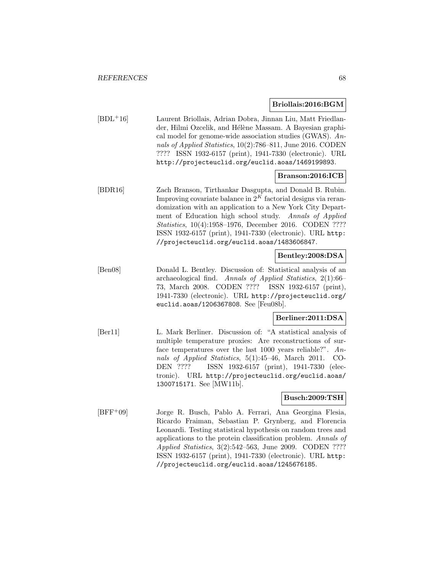#### **Briollais:2016:BGM**

[BDL<sup>+</sup>16] Laurent Briollais, Adrian Dobra, Jinnan Liu, Matt Friedlander, Hilmi Ozcelik, and Hélène Massam. A Bayesian graphical model for genome-wide association studies (GWAS). Annals of Applied Statistics, 10(2):786–811, June 2016. CODEN ???? ISSN 1932-6157 (print), 1941-7330 (electronic). URL http://projecteuclid.org/euclid.aoas/1469199893.

### **Branson:2016:ICB**

[BDR16] Zach Branson, Tirthankar Dasgupta, and Donald B. Rubin. Improving covariate balance in  $2^K$  factorial designs via rerandomization with an application to a New York City Department of Education high school study. Annals of Applied Statistics, 10(4):1958–1976, December 2016. CODEN ???? ISSN 1932-6157 (print), 1941-7330 (electronic). URL http: //projecteuclid.org/euclid.aoas/1483606847.

## **Bentley:2008:DSA**

[Ben08] Donald L. Bentley. Discussion of: Statistical analysis of an archaeological find. Annals of Applied Statistics, 2(1):66– 73, March 2008. CODEN ???? ISSN 1932-6157 (print), 1941-7330 (electronic). URL http://projecteuclid.org/ euclid.aoas/1206367808. See [Feu08b].

# **Berliner:2011:DSA**

[Ber11] L. Mark Berliner. Discussion of: "A statistical analysis of multiple temperature proxies: Are reconstructions of surface temperatures over the last 1000 years reliable?". Annals of Applied Statistics, 5(1):45–46, March 2011. CO-DEN ???? ISSN 1932-6157 (print), 1941-7330 (electronic). URL http://projecteuclid.org/euclid.aoas/ 1300715171. See [MW11b].

## **Busch:2009:TSH**

[BFF<sup>+</sup>09] Jorge R. Busch, Pablo A. Ferrari, Ana Georgina Flesia, Ricardo Fraiman, Sebastian P. Grynberg, and Florencia Leonardi. Testing statistical hypothesis on random trees and applications to the protein classification problem. Annals of Applied Statistics, 3(2):542–563, June 2009. CODEN ???? ISSN 1932-6157 (print), 1941-7330 (electronic). URL http: //projecteuclid.org/euclid.aoas/1245676185.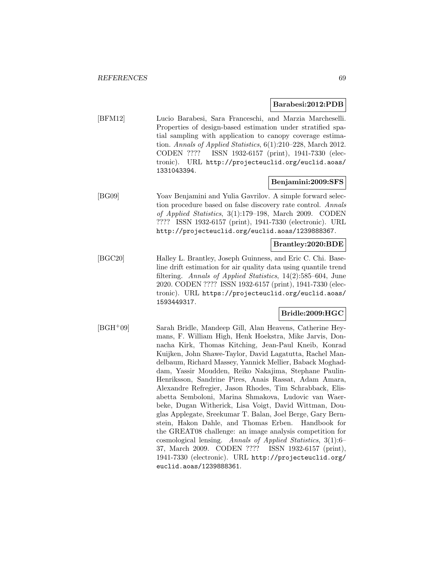#### **Barabesi:2012:PDB**

[BFM12] Lucio Barabesi, Sara Franceschi, and Marzia Marcheselli. Properties of design-based estimation under stratified spatial sampling with application to canopy coverage estimation. Annals of Applied Statistics,  $6(1):210-228$ , March 2012. CODEN ???? ISSN 1932-6157 (print), 1941-7330 (electronic). URL http://projecteuclid.org/euclid.aoas/ 1331043394.

# **Benjamini:2009:SFS**

[BG09] Yoav Benjamini and Yulia Gavrilov. A simple forward selection procedure based on false discovery rate control. Annals of Applied Statistics, 3(1):179–198, March 2009. CODEN ???? ISSN 1932-6157 (print), 1941-7330 (electronic). URL http://projecteuclid.org/euclid.aoas/1239888367.

#### **Brantley:2020:BDE**

[BGC20] Halley L. Brantley, Joseph Guinness, and Eric C. Chi. Baseline drift estimation for air quality data using quantile trend filtering. Annals of Applied Statistics, 14(2):585–604, June 2020. CODEN ???? ISSN 1932-6157 (print), 1941-7330 (electronic). URL https://projecteuclid.org/euclid.aoas/ 1593449317.

## **Bridle:2009:HGC**

[BGH<sup>+</sup>09] Sarah Bridle, Mandeep Gill, Alan Heavens, Catherine Heymans, F. William High, Henk Hoekstra, Mike Jarvis, Donnacha Kirk, Thomas Kitching, Jean-Paul Kneib, Konrad Kuijken, John Shawe-Taylor, David Lagatutta, Rachel Mandelbaum, Richard Massey, Yannick Mellier, Baback Moghaddam, Yassir Moudden, Reiko Nakajima, Stephane Paulin-Henriksson, Sandrine Pires, Anais Rassat, Adam Amara, Alexandre Refregier, Jason Rhodes, Tim Schrabback, Elisabetta Semboloni, Marina Shmakova, Ludovic van Waerbeke, Dugan Witherick, Lisa Voigt, David Wittman, Douglas Applegate, Sreekumar T. Balan, Joel Berge, Gary Bernstein, Hakon Dahle, and Thomas Erben. Handbook for the GREAT08 challenge: an image analysis competition for cosmological lensing. Annals of Applied Statistics, 3(1):6– 37, March 2009. CODEN ???? ISSN 1932-6157 (print), 1941-7330 (electronic). URL http://projecteuclid.org/ euclid.aoas/1239888361.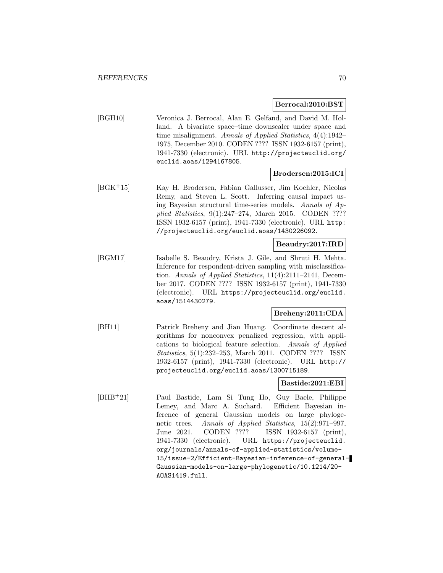#### **Berrocal:2010:BST**

[BGH10] Veronica J. Berrocal, Alan E. Gelfand, and David M. Holland. A bivariate space–time downscaler under space and time misalignment. Annals of Applied Statistics, 4(4):1942– 1975, December 2010. CODEN ???? ISSN 1932-6157 (print), 1941-7330 (electronic). URL http://projecteuclid.org/ euclid.aoas/1294167805.

## **Brodersen:2015:ICI**

[BGK<sup>+</sup>15] Kay H. Brodersen, Fabian Gallusser, Jim Koehler, Nicolas Remy, and Steven L. Scott. Inferring causal impact using Bayesian structural time-series models. Annals of Applied Statistics, 9(1):247–274, March 2015. CODEN ???? ISSN 1932-6157 (print), 1941-7330 (electronic). URL http: //projecteuclid.org/euclid.aoas/1430226092.

#### **Beaudry:2017:IRD**

[BGM17] Isabelle S. Beaudry, Krista J. Gile, and Shruti H. Mehta. Inference for respondent-driven sampling with misclassification. Annals of Applied Statistics, 11(4):2111–2141, December 2017. CODEN ???? ISSN 1932-6157 (print), 1941-7330 (electronic). URL https://projecteuclid.org/euclid. aoas/1514430279.

### **Breheny:2011:CDA**

[BH11] Patrick Breheny and Jian Huang. Coordinate descent algorithms for nonconvex penalized regression, with applications to biological feature selection. Annals of Applied Statistics, 5(1):232–253, March 2011. CODEN ???? ISSN 1932-6157 (print), 1941-7330 (electronic). URL http:// projecteuclid.org/euclid.aoas/1300715189.

#### **Bastide:2021:EBI**

[BHB<sup>+</sup>21] Paul Bastide, Lam Si Tung Ho, Guy Baele, Philippe Lemey, and Marc A. Suchard. Efficient Bayesian inference of general Gaussian models on large phylogenetic trees. Annals of Applied Statistics, 15(2):971–997, June 2021. CODEN ???? ISSN 1932-6157 (print), 1941-7330 (electronic). URL https://projecteuclid. org/journals/annals-of-applied-statistics/volume-15/issue-2/Efficient-Bayesian-inference-of-general-Gaussian-models-on-large-phylogenetic/10.1214/20- AOAS1419.full.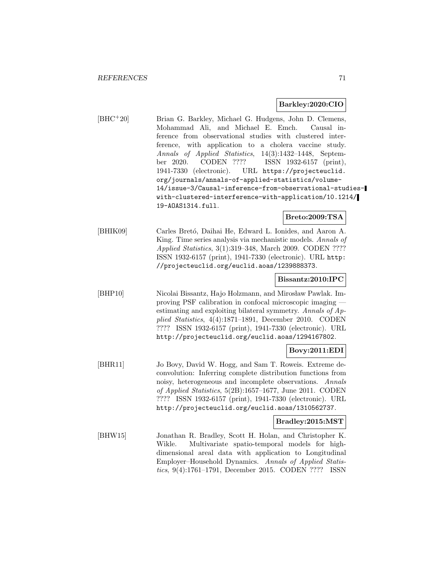## **Barkley:2020:CIO**

[BHC<sup>+</sup>20] Brian G. Barkley, Michael G. Hudgens, John D. Clemens, Mohammad Ali, and Michael E. Emch. Causal inference from observational studies with clustered interference, with application to a cholera vaccine study. Annals of Applied Statistics, 14(3):1432–1448, September 2020. CODEN ???? ISSN 1932-6157 (print), 1941-7330 (electronic). URL https://projecteuclid. org/journals/annals-of-applied-statistics/volume-14/issue-3/Causal-inference-from-observational-studieswith-clustered-interference-with-application/10.1214/ 19-AOAS1314.full.

**Breto:2009:TSA**

[BHIK09] Carles Bretó, Daihai He, Edward L. Ionides, and Aaron A. King. Time series analysis via mechanistic models. Annals of Applied Statistics, 3(1):319–348, March 2009. CODEN ???? ISSN 1932-6157 (print), 1941-7330 (electronic). URL http: //projecteuclid.org/euclid.aoas/1239888373.

## **Bissantz:2010:IPC**

[BHP10] Nicolai Bissantz, Hajo Holzmann, and Mirosław Pawlak. Improving PSF calibration in confocal microscopic imaging estimating and exploiting bilateral symmetry. Annals of Applied Statistics, 4(4):1871–1891, December 2010. CODEN ???? ISSN 1932-6157 (print), 1941-7330 (electronic). URL http://projecteuclid.org/euclid.aoas/1294167802.

### **Bovy:2011:EDI**

[BHR11] Jo Bovy, David W. Hogg, and Sam T. Roweis. Extreme deconvolution: Inferring complete distribution functions from noisy, heterogeneous and incomplete observations. Annals of Applied Statistics, 5(2B):1657–1677, June 2011. CODEN ???? ISSN 1932-6157 (print), 1941-7330 (electronic). URL http://projecteuclid.org/euclid.aoas/1310562737.

#### **Bradley:2015:MST**

[BHW15] Jonathan R. Bradley, Scott H. Holan, and Christopher K. Wikle. Multivariate spatio-temporal models for highdimensional areal data with application to Longitudinal Employer–Household Dynamics. Annals of Applied Statistics, 9(4):1761–1791, December 2015. CODEN ???? ISSN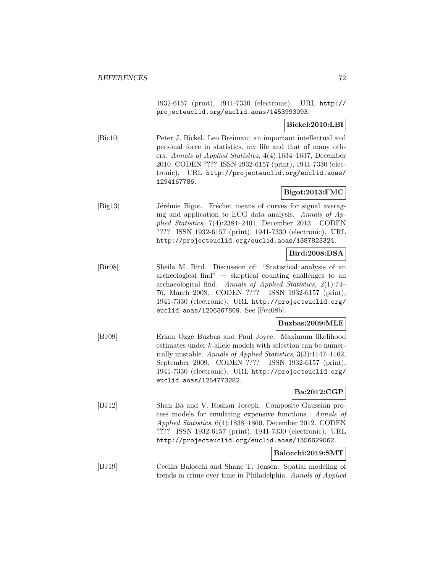1932-6157 (print), 1941-7330 (electronic). URL http:// projecteuclid.org/euclid.aoas/1453993093.

# **Bickel:2010:LBI**

[Bic10] Peter J. Bickel. Leo Breiman: an important intellectual and personal force in statistics, my life and that of many others. Annals of Applied Statistics, 4(4):1634–1637, December 2010. CODEN ???? ISSN 1932-6157 (print), 1941-7330 (electronic). URL http://projecteuclid.org/euclid.aoas/ 1294167786.

# **Bigot:2013:FMC**

[Big13] Jérémie Bigot. Fréchet means of curves for signal averaging and application to ECG data analysis. Annals of Applied Statistics, 7(4):2384–2401, December 2013. CODEN ???? ISSN 1932-6157 (print), 1941-7330 (electronic). URL http://projecteuclid.org/euclid.aoas/1387823324.

### **Bird:2008:DSA**

[Bir08] Sheila M. Bird. Discussion of: "Statistical analysis of an archeological find" — skeptical counting challenges to an archaeological find. Annals of Applied Statistics, 2(1):74– 76, March 2008. CODEN ???? ISSN 1932-6157 (print), 1941-7330 (electronic). URL http://projecteuclid.org/ euclid.aoas/1206367809. See [Feu08b].

## **Buzbas:2009:MLE**

[BJ09] Erkan Ozge Buzbas and Paul Joyce. Maximum likelihood estimates under k-allele models with selection can be numerically unstable. Annals of Applied Statistics, 3(3):1147–1162, September 2009. CODEN ???? ISSN 1932-6157 (print), 1941-7330 (electronic). URL http://projecteuclid.org/ euclid.aoas/1254773282.

# **Ba:2012:CGP**

- [BJ12] Shan Ba and V. Roshan Joseph. Composite Gaussian process models for emulating expensive functions. Annals of Applied Statistics, 6(4):1838–1860, December 2012. CODEN ???? ISSN 1932-6157 (print), 1941-7330 (electronic). URL http://projecteuclid.org/euclid.aoas/1356629062. **Balocchi:2019:SMT**
- [BJ19] Cecilia Balocchi and Shane T. Jensen. Spatial modeling of trends in crime over time in Philadelphia. Annals of Applied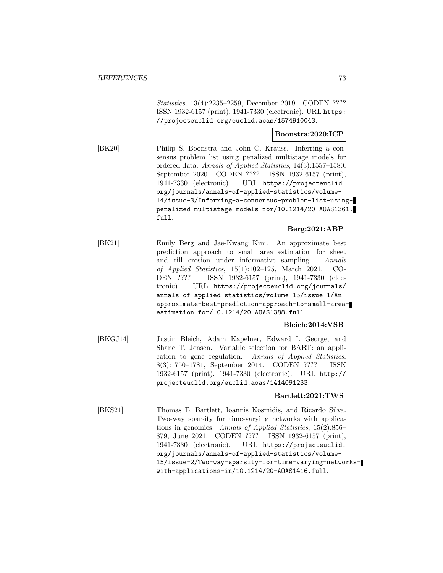Statistics, 13(4):2235–2259, December 2019. CODEN ???? ISSN 1932-6157 (print), 1941-7330 (electronic). URL https: //projecteuclid.org/euclid.aoas/1574910043.

### **Boonstra:2020:ICP**

[BK20] Philip S. Boonstra and John C. Krauss. Inferring a consensus problem list using penalized multistage models for ordered data. Annals of Applied Statistics, 14(3):1557–1580, September 2020. CODEN ???? ISSN 1932-6157 (print), 1941-7330 (electronic). URL https://projecteuclid. org/journals/annals-of-applied-statistics/volume-14/issue-3/Inferring-a-consensus-problem-list-usingpenalized-multistage-models-for/10.1214/20-AOAS1361. full.

## **Berg:2021:ABP**

[BK21] Emily Berg and Jae-Kwang Kim. An approximate best prediction approach to small area estimation for sheet and rill erosion under informative sampling. Annals of Applied Statistics, 15(1):102–125, March 2021. CO-DEN ???? ISSN 1932-6157 (print), 1941-7330 (electronic). URL https://projecteuclid.org/journals/ annals-of-applied-statistics/volume-15/issue-1/Anapproximate-best-prediction-approach-to-small-areaestimation-for/10.1214/20-AOAS1388.full.

## **Bleich:2014:VSB**

[BKGJ14] Justin Bleich, Adam Kapelner, Edward I. George, and Shane T. Jensen. Variable selection for BART: an application to gene regulation. Annals of Applied Statistics, 8(3):1750–1781, September 2014. CODEN ???? ISSN 1932-6157 (print), 1941-7330 (electronic). URL http:// projecteuclid.org/euclid.aoas/1414091233.

## **Bartlett:2021:TWS**

[BKS21] Thomas E. Bartlett, Ioannis Kosmidis, and Ricardo Silva. Two-way sparsity for time-varying networks with applications in genomics. Annals of Applied Statistics, 15(2):856– 879, June 2021. CODEN ???? ISSN 1932-6157 (print), 1941-7330 (electronic). URL https://projecteuclid. org/journals/annals-of-applied-statistics/volume-15/issue-2/Two-way-sparsity-for-time-varying-networkswith-applications-in/10.1214/20-AOAS1416.full.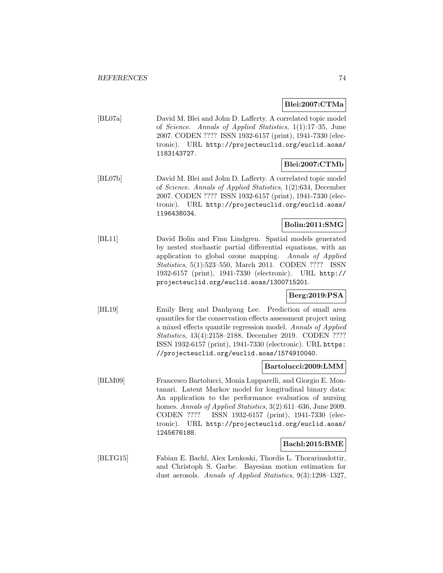## **Blei:2007:CTMa**

[BL07a] David M. Blei and John D. Lafferty. A correlated topic model of Science. Annals of Applied Statistics, 1(1):17–35, June 2007. CODEN ???? ISSN 1932-6157 (print), 1941-7330 (electronic). URL http://projecteuclid.org/euclid.aoas/ 1183143727.

# **Blei:2007:CTMb**

[BL07b] David M. Blei and John D. Lafferty. A correlated topic model of Science. Annals of Applied Statistics, 1(2):634, December 2007. CODEN ???? ISSN 1932-6157 (print), 1941-7330 (electronic). URL http://projecteuclid.org/euclid.aoas/ 1196438034.

# **Bolin:2011:SMG**

[BL11] David Bolin and Finn Lindgren. Spatial models generated by nested stochastic partial differential equations, with an application to global ozone mapping. Annals of Applied Statistics, 5(1):523–550, March 2011. CODEN ???? ISSN 1932-6157 (print), 1941-7330 (electronic). URL http:// projecteuclid.org/euclid.aoas/1300715201.

# **Berg:2019:PSA**

[BL19] Emily Berg and Danhyang Lee. Prediction of small area quantiles for the conservation effects assessment project using a mixed effects quantile regression model. Annals of Applied Statistics, 13(4):2158–2188, December 2019. CODEN ???? ISSN 1932-6157 (print), 1941-7330 (electronic). URL https: //projecteuclid.org/euclid.aoas/1574910040.

## **Bartolucci:2009:LMM**

[BLM09] Francesco Bartolucci, Monia Lupparelli, and Giorgio E. Montanari. Latent Markov model for longitudinal binary data: An application to the performance evaluation of nursing homes. Annals of Applied Statistics, 3(2):611–636, June 2009. CODEN ???? ISSN 1932-6157 (print), 1941-7330 (electronic). URL http://projecteuclid.org/euclid.aoas/ 1245676188.

## **Bachl:2015:BME**

[BLTG15] Fabian E. Bachl, Alex Lenkoski, Thordis L. Thorarinsdottir, and Christoph S. Garbe. Bayesian motion estimation for dust aerosols. Annals of Applied Statistics, 9(3):1298–1327,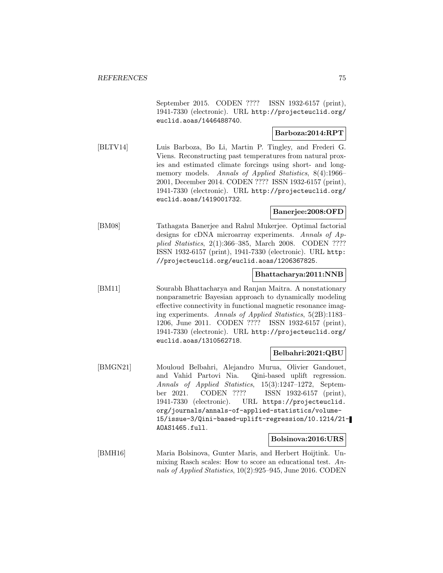September 2015. CODEN ???? ISSN 1932-6157 (print), 1941-7330 (electronic). URL http://projecteuclid.org/ euclid.aoas/1446488740.

## **Barboza:2014:RPT**

[BLTV14] Luis Barboza, Bo Li, Martin P. Tingley, and Frederi G. Viens. Reconstructing past temperatures from natural proxies and estimated climate forcings using short- and longmemory models. Annals of Applied Statistics, 8(4):1966– 2001, December 2014. CODEN ???? ISSN 1932-6157 (print), 1941-7330 (electronic). URL http://projecteuclid.org/ euclid.aoas/1419001732.

#### **Banerjee:2008:OFD**

[BM08] Tathagata Banerjee and Rahul Mukerjee. Optimal factorial designs for cDNA microarray experiments. Annals of Applied Statistics, 2(1):366–385, March 2008. CODEN ???? ISSN 1932-6157 (print), 1941-7330 (electronic). URL http: //projecteuclid.org/euclid.aoas/1206367825.

## **Bhattacharya:2011:NNB**

[BM11] Sourabh Bhattacharya and Ranjan Maitra. A nonstationary nonparametric Bayesian approach to dynamically modeling effective connectivity in functional magnetic resonance imaging experiments. Annals of Applied Statistics, 5(2B):1183– 1206, June 2011. CODEN ???? ISSN 1932-6157 (print), 1941-7330 (electronic). URL http://projecteuclid.org/ euclid.aoas/1310562718.

## **Belbahri:2021:QBU**

[BMGN21] Mouloud Belbahri, Alejandro Murua, Olivier Gandouet, and Vahid Partovi Nia. Qini-based uplift regression. Annals of Applied Statistics, 15(3):1247–1272, September 2021. CODEN ???? ISSN 1932-6157 (print), 1941-7330 (electronic). URL https://projecteuclid. org/journals/annals-of-applied-statistics/volume-15/issue-3/Qini-based-uplift-regression/10.1214/21- AOAS1465.full.

## **Bolsinova:2016:URS**

[BMH16] Maria Bolsinova, Gunter Maris, and Herbert Hoijtink. Unmixing Rasch scales: How to score an educational test. Annals of Applied Statistics, 10(2):925–945, June 2016. CODEN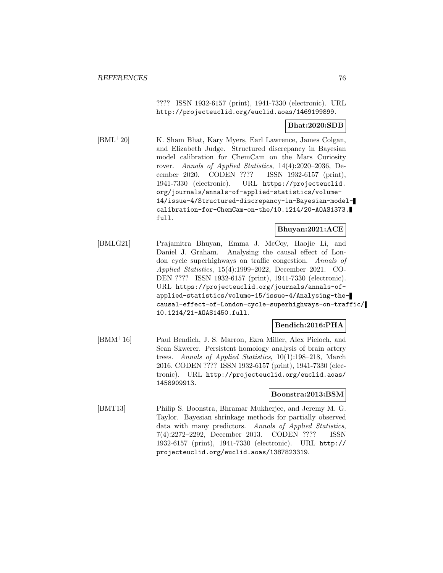???? ISSN 1932-6157 (print), 1941-7330 (electronic). URL http://projecteuclid.org/euclid.aoas/1469199899.

#### **Bhat:2020:SDB**

[BML<sup>+</sup>20] K. Sham Bhat, Kary Myers, Earl Lawrence, James Colgan, and Elizabeth Judge. Structured discrepancy in Bayesian model calibration for ChemCam on the Mars Curiosity rover. Annals of Applied Statistics, 14(4):2020–2036, December 2020. CODEN ???? ISSN 1932-6157 (print), 1941-7330 (electronic). URL https://projecteuclid. org/journals/annals-of-applied-statistics/volume-14/issue-4/Structured-discrepancy-in-Bayesian-modelcalibration-for-ChemCam-on-the/10.1214/20-AOAS1373. full.

## **Bhuyan:2021:ACE**

[BMLG21] Prajamitra Bhuyan, Emma J. McCoy, Haojie Li, and Daniel J. Graham. Analysing the causal effect of London cycle superhighways on traffic congestion. Annals of Applied Statistics, 15(4):1999–2022, December 2021. CO-DEN ???? ISSN 1932-6157 (print), 1941-7330 (electronic). URL https://projecteuclid.org/journals/annals-ofapplied-statistics/volume-15/issue-4/Analysing-thecausal-effect-of-London-cycle-superhighways-on-traffic/ 10.1214/21-AOAS1450.full.

## **Bendich:2016:PHA**

[BMM<sup>+</sup>16] Paul Bendich, J. S. Marron, Ezra Miller, Alex Pieloch, and Sean Skwerer. Persistent homology analysis of brain artery trees. Annals of Applied Statistics, 10(1):198–218, March 2016. CODEN ???? ISSN 1932-6157 (print), 1941-7330 (electronic). URL http://projecteuclid.org/euclid.aoas/ 1458909913.

## **Boonstra:2013:BSM**

[BMT13] Philip S. Boonstra, Bhramar Mukherjee, and Jeremy M. G. Taylor. Bayesian shrinkage methods for partially observed data with many predictors. Annals of Applied Statistics, 7(4):2272–2292, December 2013. CODEN ???? ISSN 1932-6157 (print), 1941-7330 (electronic). URL http:// projecteuclid.org/euclid.aoas/1387823319.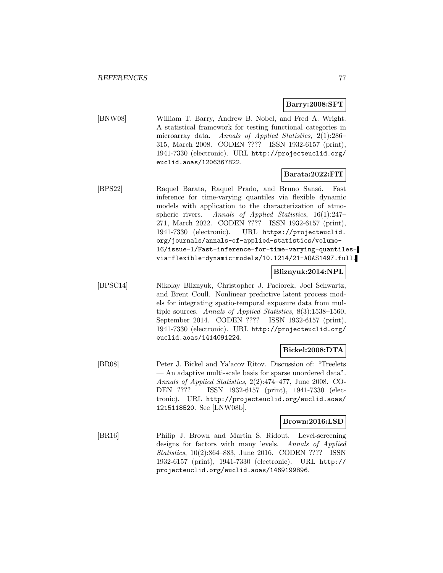## **Barry:2008:SFT**

[BNW08] William T. Barry, Andrew B. Nobel, and Fred A. Wright. A statistical framework for testing functional categories in microarray data. Annals of Applied Statistics, 2(1):286– 315, March 2008. CODEN ???? ISSN 1932-6157 (print), 1941-7330 (electronic). URL http://projecteuclid.org/ euclid.aoas/1206367822.

## **Barata:2022:FIT**

[BPS22] Raquel Barata, Raquel Prado, and Bruno Sansó. Fast inference for time-varying quantiles via flexible dynamic models with application to the characterization of atmospheric rivers. Annals of Applied Statistics, 16(1):247– 271, March 2022. CODEN ???? ISSN 1932-6157 (print), 1941-7330 (electronic). URL https://projecteuclid. org/journals/annals-of-applied-statistics/volume-16/issue-1/Fast-inference-for-time-varying-quantilesvia-flexible-dynamic-models/10.1214/21-AOAS1497.full.

## **Bliznyuk:2014:NPL**

[BPSC14] Nikolay Bliznyuk, Christopher J. Paciorek, Joel Schwartz, and Brent Coull. Nonlinear predictive latent process models for integrating spatio-temporal exposure data from multiple sources. Annals of Applied Statistics, 8(3):1538–1560, September 2014. CODEN ???? ISSN 1932-6157 (print), 1941-7330 (electronic). URL http://projecteuclid.org/ euclid.aoas/1414091224.

## **Bickel:2008:DTA**

[BR08] Peter J. Bickel and Ya'acov Ritov. Discussion of: "Treelets — An adaptive multi-scale basis for sparse unordered data". Annals of Applied Statistics, 2(2):474–477, June 2008. CO-DEN ???? ISSN 1932-6157 (print), 1941-7330 (electronic). URL http://projecteuclid.org/euclid.aoas/ 1215118520. See [LNW08b].

#### **Brown:2016:LSD**

[BR16] Philip J. Brown and Martin S. Ridout. Level-screening designs for factors with many levels. Annals of Applied Statistics, 10(2):864–883, June 2016. CODEN ???? ISSN 1932-6157 (print), 1941-7330 (electronic). URL http:// projecteuclid.org/euclid.aoas/1469199896.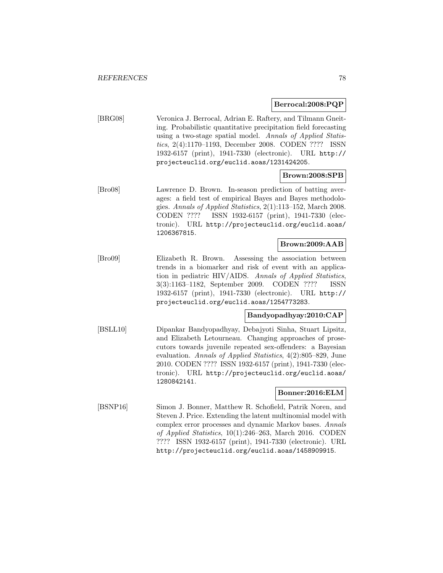#### **Berrocal:2008:PQP**

[BRG08] Veronica J. Berrocal, Adrian E. Raftery, and Tilmann Gneiting. Probabilistic quantitative precipitation field forecasting using a two-stage spatial model. Annals of Applied Statistics, 2(4):1170–1193, December 2008. CODEN ???? ISSN 1932-6157 (print), 1941-7330 (electronic). URL http:// projecteuclid.org/euclid.aoas/1231424205.

## **Brown:2008:SPB**

[Bro08] Lawrence D. Brown. In-season prediction of batting averages: a field test of empirical Bayes and Bayes methodologies. Annals of Applied Statistics, 2(1):113–152, March 2008. CODEN ???? ISSN 1932-6157 (print), 1941-7330 (electronic). URL http://projecteuclid.org/euclid.aoas/ 1206367815.

## **Brown:2009:AAB**

[Bro09] Elizabeth R. Brown. Assessing the association between trends in a biomarker and risk of event with an application in pediatric HIV/AIDS. Annals of Applied Statistics, 3(3):1163–1182, September 2009. CODEN ???? ISSN 1932-6157 (print), 1941-7330 (electronic). URL http:// projecteuclid.org/euclid.aoas/1254773283.

## **Bandyopadhyay:2010:CAP**

[BSLL10] Dipankar Bandyopadhyay, Debajyoti Sinha, Stuart Lipsitz, and Elizabeth Letourneau. Changing approaches of prosecutors towards juvenile repeated sex-offenders: a Bayesian evaluation. Annals of Applied Statistics, 4(2):805–829, June 2010. CODEN ???? ISSN 1932-6157 (print), 1941-7330 (electronic). URL http://projecteuclid.org/euclid.aoas/ 1280842141.

## **Bonner:2016:ELM**

[BSNP16] Simon J. Bonner, Matthew R. Schofield, Patrik Noren, and Steven J. Price. Extending the latent multinomial model with complex error processes and dynamic Markov bases. Annals of Applied Statistics, 10(1):246–263, March 2016. CODEN ???? ISSN 1932-6157 (print), 1941-7330 (electronic). URL http://projecteuclid.org/euclid.aoas/1458909915.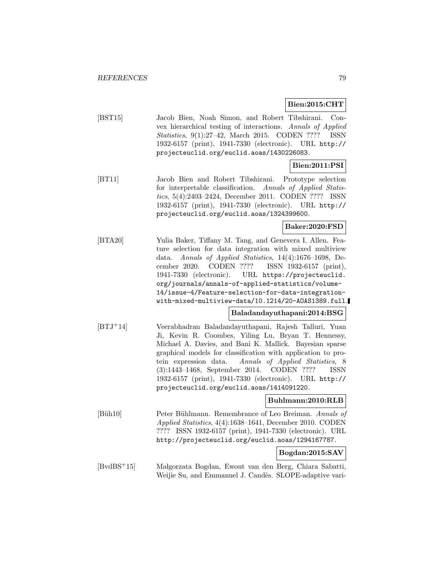**Bien:2015:CHT**

[BST15] Jacob Bien, Noah Simon, and Robert Tibshirani. Convex hierarchical testing of interactions. Annals of Applied Statistics, 9(1):27–42, March 2015. CODEN ???? ISSN 1932-6157 (print), 1941-7330 (electronic). URL http:// projecteuclid.org/euclid.aoas/1430226083.

## **Bien:2011:PSI**

[BT11] Jacob Bien and Robert Tibshirani. Prototype selection for interpretable classification. Annals of Applied Statistics, 5(4):2403–2424, December 2011. CODEN ???? ISSN 1932-6157 (print), 1941-7330 (electronic). URL http:// projecteuclid.org/euclid.aoas/1324399600.

## **Baker:2020:FSD**

[BTA20] Yulia Baker, Tiffany M. Tang, and Genevera I. Allen. Feature selection for data integration with mixed multiview data. Annals of Applied Statistics, 14(4):1676–1698, December 2020. CODEN ???? ISSN 1932-6157 (print), 1941-7330 (electronic). URL https://projecteuclid. org/journals/annals-of-applied-statistics/volume-14/issue-4/Feature-selection-for-data-integrationwith-mixed-multiview-data/10.1214/20-AOAS1389.full.

## **Baladandayuthapani:2014:BSG**

[BTJ<sup>+</sup>14] Veerabhadran Baladandayuthapani, Rajesh Talluri, Yuan Ji, Kevin R. Coombes, Yiling Lu, Bryan T. Hennessy, Michael A. Davies, and Bani K. Mallick. Bayesian sparse graphical models for classification with application to protein expression data. Annals of Applied Statistics, 8 (3):1443–1468, September 2014. CODEN ???? ISSN 1932-6157 (print), 1941-7330 (electronic). URL http:// projecteuclid.org/euclid.aoas/1414091220.

#### **Buhlmann:2010:RLB**

[Büh10] Peter Bühlmann. Remembrance of Leo Breiman. Annals of Applied Statistics, 4(4):1638–1641, December 2010. CODEN ???? ISSN 1932-6157 (print), 1941-7330 (electronic). URL http://projecteuclid.org/euclid.aoas/1294167787.

**Bogdan:2015:SAV**

[BvdBS<sup>+</sup>15] Ma lgorzata Bogdan, Ewout van den Berg, Chiara Sabatti, Weijie Su, and Emmanuel J. Candès. SLOPE-adaptive vari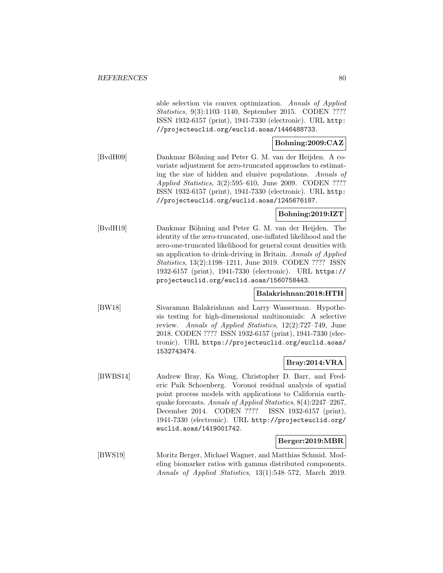able selection via convex optimization. Annals of Applied Statistics, 9(3):1103–1140, September 2015. CODEN ???? ISSN 1932-6157 (print), 1941-7330 (electronic). URL http: //projecteuclid.org/euclid.aoas/1446488733.

# **Bohning:2009:CAZ**

[BvdH09] Dankmar Böhning and Peter G. M. van der Heijden. A covariate adjustment for zero-truncated approaches to estimating the size of hidden and elusive populations. Annals of Applied Statistics, 3(2):595–610, June 2009. CODEN ???? ISSN 1932-6157 (print), 1941-7330 (electronic). URL http: //projecteuclid.org/euclid.aoas/1245676187.

## **Bohning:2019:IZT**

[BvdH19] Dankmar B¨ohning and Peter G. M. van der Heijden. The identity of the zero-truncated, one-inflated likelihood and the zero-one-truncated likelihood for general count densities with an application to drink-driving in Britain. Annals of Applied Statistics, 13(2):1198–1211, June 2019. CODEN ???? ISSN 1932-6157 (print), 1941-7330 (electronic). URL https:// projecteuclid.org/euclid.aoas/1560758443.

## **Balakrishnan:2018:HTH**

[BW18] Sivaraman Balakrishnan and Larry Wasserman. Hypothesis testing for high-dimensional multinomials: A selective review. Annals of Applied Statistics, 12(2):727–749, June 2018. CODEN ???? ISSN 1932-6157 (print), 1941-7330 (electronic). URL https://projecteuclid.org/euclid.aoas/ 1532743474.

## **Bray:2014:VRA**

[BWBS14] Andrew Bray, Ka Wong, Christopher D. Barr, and Frederic Paik Schoenberg. Voronoi residual analysis of spatial point process models with applications to California earthquake forecasts. Annals of Applied Statistics, 8(4):2247–2267, December 2014. CODEN ???? ISSN 1932-6157 (print), 1941-7330 (electronic). URL http://projecteuclid.org/ euclid.aoas/1419001742.

### **Berger:2019:MBR**

[BWS19] Moritz Berger, Michael Wagner, and Matthias Schmid. Modeling biomarker ratios with gamma distributed components. Annals of Applied Statistics, 13(1):548–572, March 2019.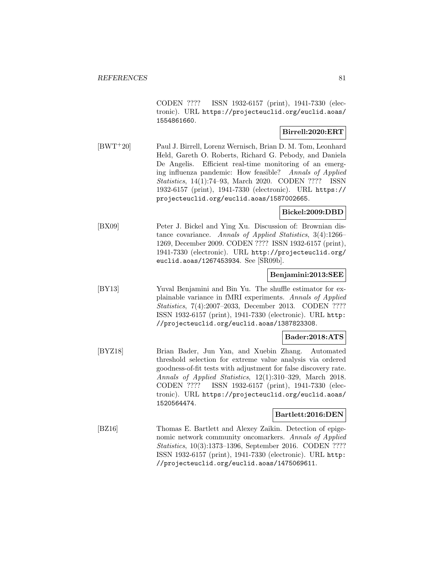CODEN ???? ISSN 1932-6157 (print), 1941-7330 (electronic). URL https://projecteuclid.org/euclid.aoas/ 1554861660.

## **Birrell:2020:ERT**

[BWT<sup>+</sup>20] Paul J. Birrell, Lorenz Wernisch, Brian D. M. Tom, Leonhard Held, Gareth O. Roberts, Richard G. Pebody, and Daniela De Angelis. Efficient real-time monitoring of an emerging influenza pandemic: How feasible? Annals of Applied Statistics, 14(1):74–93, March 2020. CODEN ???? ISSN 1932-6157 (print), 1941-7330 (electronic). URL https:// projecteuclid.org/euclid.aoas/1587002665.

**Bickel:2009:DBD**

[BX09] Peter J. Bickel and Ying Xu. Discussion of: Brownian distance covariance. Annals of Applied Statistics, 3(4):1266– 1269, December 2009. CODEN ???? ISSN 1932-6157 (print), 1941-7330 (electronic). URL http://projecteuclid.org/ euclid.aoas/1267453934. See [SR09b].

#### **Benjamini:2013:SEE**

[BY13] Yuval Benjamini and Bin Yu. The shuffle estimator for explainable variance in fMRI experiments. Annals of Applied Statistics, 7(4):2007–2033, December 2013. CODEN ???? ISSN 1932-6157 (print), 1941-7330 (electronic). URL http: //projecteuclid.org/euclid.aoas/1387823308.

## **Bader:2018:ATS**

[BYZ18] Brian Bader, Jun Yan, and Xuebin Zhang. Automated threshold selection for extreme value analysis via ordered goodness-of-fit tests with adjustment for false discovery rate. Annals of Applied Statistics, 12(1):310–329, March 2018. CODEN ???? ISSN 1932-6157 (print), 1941-7330 (electronic). URL https://projecteuclid.org/euclid.aoas/ 1520564474.

#### **Bartlett:2016:DEN**

[BZ16] Thomas E. Bartlett and Alexey Zaikin. Detection of epigenomic network community oncomarkers. Annals of Applied Statistics, 10(3):1373–1396, September 2016. CODEN ???? ISSN 1932-6157 (print), 1941-7330 (electronic). URL http: //projecteuclid.org/euclid.aoas/1475069611.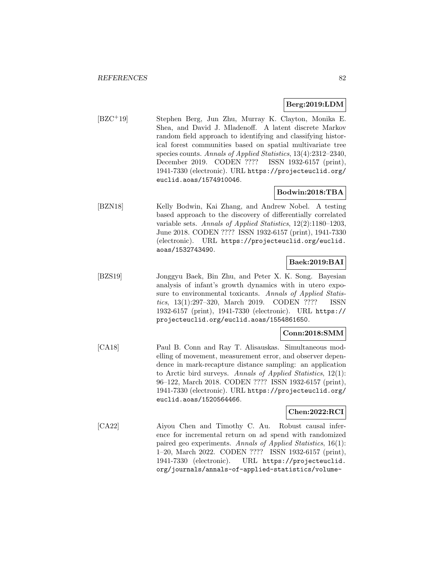## **Berg:2019:LDM**

[BZC<sup>+</sup>19] Stephen Berg, Jun Zhu, Murray K. Clayton, Monika E. Shea, and David J. Mladenoff. A latent discrete Markov random field approach to identifying and classifying historical forest communities based on spatial multivariate tree species counts. Annals of Applied Statistics, 13(4):2312–2340, December 2019. CODEN ???? ISSN 1932-6157 (print), 1941-7330 (electronic). URL https://projecteuclid.org/ euclid.aoas/1574910046.

# **Bodwin:2018:TBA**

[BZN18] Kelly Bodwin, Kai Zhang, and Andrew Nobel. A testing based approach to the discovery of differentially correlated variable sets. Annals of Applied Statistics, 12(2):1180–1203, June 2018. CODEN ???? ISSN 1932-6157 (print), 1941-7330 (electronic). URL https://projecteuclid.org/euclid. aoas/1532743490.

# **Baek:2019:BAI**

[BZS19] Jonggyu Baek, Bin Zhu, and Peter X. K. Song. Bayesian analysis of infant's growth dynamics with in utero exposure to environmental toxicants. Annals of Applied Statistics, 13(1):297–320, March 2019. CODEN ???? ISSN 1932-6157 (print), 1941-7330 (electronic). URL https:// projecteuclid.org/euclid.aoas/1554861650.

# **Conn:2018:SMM**

[CA18] Paul B. Conn and Ray T. Alisauskas. Simultaneous modelling of movement, measurement error, and observer dependence in mark-recapture distance sampling: an application to Arctic bird surveys. Annals of Applied Statistics, 12(1): 96–122, March 2018. CODEN ???? ISSN 1932-6157 (print), 1941-7330 (electronic). URL https://projecteuclid.org/ euclid.aoas/1520564466.

## **Chen:2022:RCI**

[CA22] Aiyou Chen and Timothy C. Au. Robust causal inference for incremental return on ad spend with randomized paired geo experiments. Annals of Applied Statistics, 16(1): 1–20, March 2022. CODEN ???? ISSN 1932-6157 (print), 1941-7330 (electronic). URL https://projecteuclid. org/journals/annals-of-applied-statistics/volume-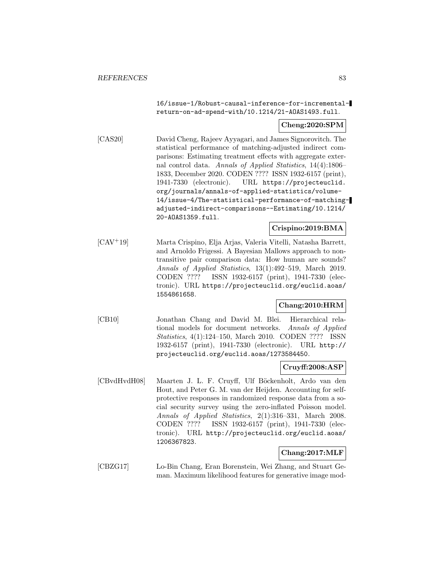16/issue-1/Robust-causal-inference-for-incrementalreturn-on-ad-spend-with/10.1214/21-AOAS1493.full.

## **Cheng:2020:SPM**

[CAS20] David Cheng, Rajeev Ayyagari, and James Signorovitch. The statistical performance of matching-adjusted indirect comparisons: Estimating treatment effects with aggregate external control data. Annals of Applied Statistics, 14(4):1806– 1833, December 2020. CODEN ???? ISSN 1932-6157 (print), 1941-7330 (electronic). URL https://projecteuclid. org/journals/annals-of-applied-statistics/volume-14/issue-4/The-statistical-performance-of-matchingadjusted-indirect-comparisons--Estimating/10.1214/ 20-AOAS1359.full.

#### **Crispino:2019:BMA**

[CAV<sup>+</sup>19] Marta Crispino, Elja Arjas, Valeria Vitelli, Natasha Barrett, and Arnoldo Frigessi. A Bayesian Mallows approach to nontransitive pair comparison data: How human are sounds? Annals of Applied Statistics, 13(1):492–519, March 2019. CODEN ???? ISSN 1932-6157 (print), 1941-7330 (electronic). URL https://projecteuclid.org/euclid.aoas/ 1554861658.

## **Chang:2010:HRM**

[CB10] Jonathan Chang and David M. Blei. Hierarchical relational models for document networks. Annals of Applied Statistics, 4(1):124–150, March 2010. CODEN ???? ISSN 1932-6157 (print), 1941-7330 (electronic). URL http:// projecteuclid.org/euclid.aoas/1273584450.

## **Cruyff:2008:ASP**

[CBvdHvdH08] Maarten J. L. F. Cruyff, Ulf Böckenholt, Ardo van den Hout, and Peter G. M. van der Heijden. Accounting for selfprotective responses in randomized response data from a social security survey using the zero-inflated Poisson model. Annals of Applied Statistics, 2(1):316–331, March 2008. CODEN ???? ISSN 1932-6157 (print), 1941-7330 (electronic). URL http://projecteuclid.org/euclid.aoas/ 1206367823.

## **Chang:2017:MLF**

[CBZG17] Lo-Bin Chang, Eran Borenstein, Wei Zhang, and Stuart Geman. Maximum likelihood features for generative image mod-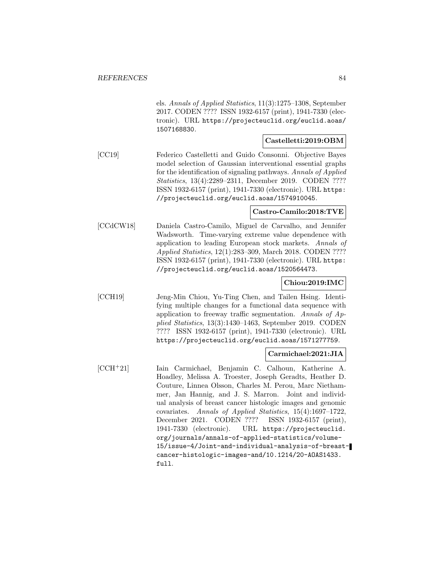els. Annals of Applied Statistics, 11(3):1275–1308, September 2017. CODEN ???? ISSN 1932-6157 (print), 1941-7330 (electronic). URL https://projecteuclid.org/euclid.aoas/ 1507168830.

### **Castelletti:2019:OBM**

[CC19] Federico Castelletti and Guido Consonni. Objective Bayes model selection of Gaussian interventional essential graphs for the identification of signaling pathways. Annals of Applied Statistics, 13(4):2289–2311, December 2019. CODEN ???? ISSN 1932-6157 (print), 1941-7330 (electronic). URL https: //projecteuclid.org/euclid.aoas/1574910045.

#### **Castro-Camilo:2018:TVE**

[CCdCW18] Daniela Castro-Camilo, Miguel de Carvalho, and Jennifer Wadsworth. Time-varying extreme value dependence with application to leading European stock markets. Annals of Applied Statistics, 12(1):283–309, March 2018. CODEN ???? ISSN 1932-6157 (print), 1941-7330 (electronic). URL https: //projecteuclid.org/euclid.aoas/1520564473.

## **Chiou:2019:IMC**

[CCH19] Jeng-Min Chiou, Yu-Ting Chen, and Tailen Hsing. Identifying multiple changes for a functional data sequence with application to freeway traffic segmentation. Annals of Applied Statistics, 13(3):1430–1463, September 2019. CODEN ???? ISSN 1932-6157 (print), 1941-7330 (electronic). URL https://projecteuclid.org/euclid.aoas/1571277759.

## **Carmichael:2021:JIA**

[CCH<sup>+</sup>21] Iain Carmichael, Benjamin C. Calhoun, Katherine A. Hoadley, Melissa A. Troester, Joseph Geradts, Heather D. Couture, Linnea Olsson, Charles M. Perou, Marc Niethammer, Jan Hannig, and J. S. Marron. Joint and individual analysis of breast cancer histologic images and genomic covariates. Annals of Applied Statistics, 15(4):1697–1722, December 2021. CODEN ???? ISSN 1932-6157 (print), 1941-7330 (electronic). URL https://projecteuclid. org/journals/annals-of-applied-statistics/volume-15/issue-4/Joint-and-individual-analysis-of-breastcancer-histologic-images-and/10.1214/20-AOAS1433. full.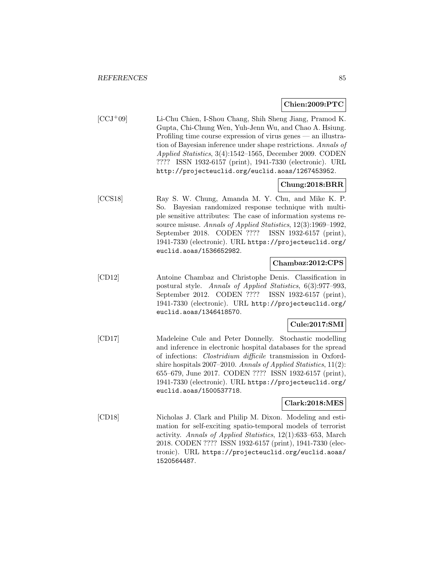## **Chien:2009:PTC**

[CCJ<sup>+</sup>09] Li-Chu Chien, I-Shou Chang, Shih Sheng Jiang, Pramod K. Gupta, Chi-Chung Wen, Yuh-Jenn Wu, and Chao A. Hsiung. Profiling time course expression of virus genes — an illustration of Bayesian inference under shape restrictions. Annals of Applied Statistics, 3(4):1542–1565, December 2009. CODEN ???? ISSN 1932-6157 (print), 1941-7330 (electronic). URL http://projecteuclid.org/euclid.aoas/1267453952.

## **Chung:2018:BRR**

[CCS18] Ray S. W. Chung, Amanda M. Y. Chu, and Mike K. P. So. Bayesian randomized response technique with multiple sensitive attributes: The case of information systems resource misuse. Annals of Applied Statistics, 12(3):1969–1992, September 2018. CODEN ???? ISSN 1932-6157 (print), 1941-7330 (electronic). URL https://projecteuclid.org/ euclid.aoas/1536652982.

## **Chambaz:2012:CPS**

[CD12] Antoine Chambaz and Christophe Denis. Classification in postural style. Annals of Applied Statistics, 6(3):977–993, September 2012. CODEN ???? ISSN 1932-6157 (print), 1941-7330 (electronic). URL http://projecteuclid.org/ euclid.aoas/1346418570.

## **Cule:2017:SMI**

[CD17] Madeleine Cule and Peter Donnelly. Stochastic modelling and inference in electronic hospital databases for the spread of infections: Clostridium difficile transmission in Oxfordshire hospitals 2007–2010. Annals of Applied Statistics, 11(2): 655–679, June 2017. CODEN ???? ISSN 1932-6157 (print), 1941-7330 (electronic). URL https://projecteuclid.org/ euclid.aoas/1500537718.

## **Clark:2018:MES**

[CD18] Nicholas J. Clark and Philip M. Dixon. Modeling and estimation for self-exciting spatio-temporal models of terrorist activity. Annals of Applied Statistics, 12(1):633–653, March 2018. CODEN ???? ISSN 1932-6157 (print), 1941-7330 (electronic). URL https://projecteuclid.org/euclid.aoas/ 1520564487.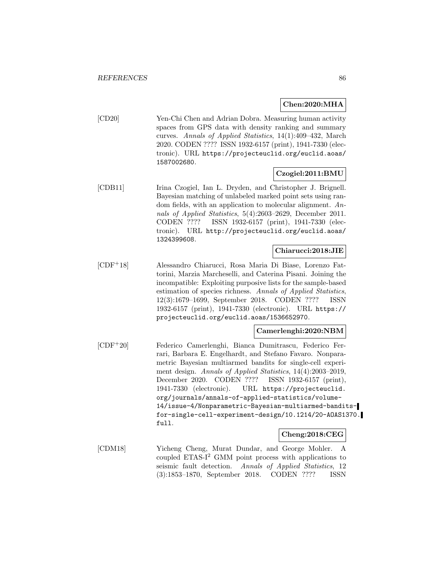#### **Chen:2020:MHA**

[CD20] Yen-Chi Chen and Adrian Dobra. Measuring human activity spaces from GPS data with density ranking and summary curves. Annals of Applied Statistics, 14(1):409–432, March 2020. CODEN ???? ISSN 1932-6157 (print), 1941-7330 (electronic). URL https://projecteuclid.org/euclid.aoas/ 1587002680.

## **Czogiel:2011:BMU**

[CDB11] Irina Czogiel, Ian L. Dryden, and Christopher J. Brignell. Bayesian matching of unlabeled marked point sets using random fields, with an application to molecular alignment. Annals of Applied Statistics, 5(4):2603–2629, December 2011. CODEN ???? ISSN 1932-6157 (print), 1941-7330 (electronic). URL http://projecteuclid.org/euclid.aoas/ 1324399608.

## **Chiarucci:2018:JIE**

[CDF<sup>+</sup>18] Alessandro Chiarucci, Rosa Maria Di Biase, Lorenzo Fattorini, Marzia Marcheselli, and Caterina Pisani. Joining the incompatible: Exploiting purposive lists for the sample-based estimation of species richness. Annals of Applied Statistics, 12(3):1679–1699, September 2018. CODEN ???? ISSN 1932-6157 (print), 1941-7330 (electronic). URL https:// projecteuclid.org/euclid.aoas/1536652970.

## **Camerlenghi:2020:NBM**

[CDF<sup>+</sup>20] Federico Camerlenghi, Bianca Dumitrascu, Federico Ferrari, Barbara E. Engelhardt, and Stefano Favaro. Nonparametric Bayesian multiarmed bandits for single-cell experiment design. Annals of Applied Statistics, 14(4):2003–2019, December 2020. CODEN ???? ISSN 1932-6157 (print), 1941-7330 (electronic). URL https://projecteuclid. org/journals/annals-of-applied-statistics/volume-14/issue-4/Nonparametric-Bayesian-multiarmed-banditsfor-single-cell-experiment-design/10.1214/20-AOAS1370. full.

## **Cheng:2018:CEG**

[CDM18] Yicheng Cheng, Murat Dundar, and George Mohler. A coupled  $ETAS-I<sup>2</sup>$  GMM point process with applications to seismic fault detection. Annals of Applied Statistics, 12 (3):1853–1870, September 2018. CODEN ???? ISSN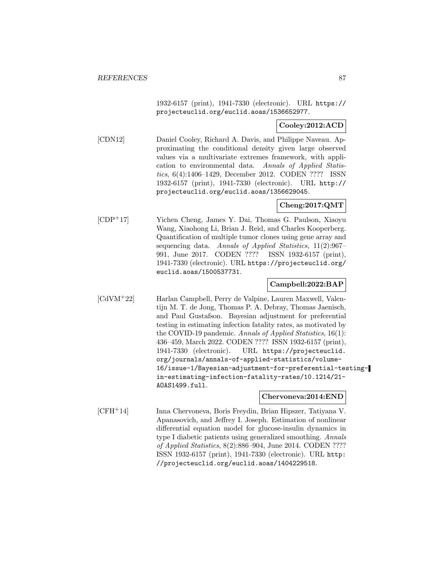1932-6157 (print), 1941-7330 (electronic). URL https:// projecteuclid.org/euclid.aoas/1536652977.

## **Cooley:2012:ACD**

[CDN12] Daniel Cooley, Richard A. Davis, and Philippe Naveau. Approximating the conditional density given large observed values via a multivariate extremes framework, with application to environmental data. Annals of Applied Statistics, 6(4):1406–1429, December 2012. CODEN ???? ISSN 1932-6157 (print), 1941-7330 (electronic). URL http:// projecteuclid.org/euclid.aoas/1356629045.

## **Cheng:2017:QMT**

[CDP<sup>+</sup>17] Yichen Cheng, James Y. Dai, Thomas G. Paulson, Xiaoyu Wang, Xiaohong Li, Brian J. Reid, and Charles Kooperberg. Quantification of multiple tumor clones using gene array and sequencing data. Annals of Applied Statistics, 11(2):967– 991, June 2017. CODEN ???? ISSN 1932-6157 (print), 1941-7330 (electronic). URL https://projecteuclid.org/ euclid.aoas/1500537731.

## **Campbell:2022:BAP**

[CdVM<sup>+</sup>22] Harlan Campbell, Perry de Valpine, Lauren Maxwell, Valentijn M. T. de Jong, Thomas P. A. Debray, Thomas Jaenisch, and Paul Gustafson. Bayesian adjustment for preferential testing in estimating infection fatality rates, as motivated by the COVID-19 pandemic. Annals of Applied Statistics, 16(1): 436–459, March 2022. CODEN ???? ISSN 1932-6157 (print), 1941-7330 (electronic). URL https://projecteuclid. org/journals/annals-of-applied-statistics/volume-16/issue-1/Bayesian-adjustment-for-preferential-testingin-estimating-infection-fatality-rates/10.1214/21- AOAS1499.full.

## **Chervoneva:2014:END**

[CFH<sup>+</sup>14] Inna Chervoneva, Boris Freydin, Brian Hipszer, Tatiyana V. Apanasovich, and Jeffrey I. Joseph. Estimation of nonlinear differential equation model for glucose-insulin dynamics in type I diabetic patients using generalized smoothing. Annals of Applied Statistics, 8(2):886–904, June 2014. CODEN ???? ISSN 1932-6157 (print), 1941-7330 (electronic). URL http: //projecteuclid.org/euclid.aoas/1404229518.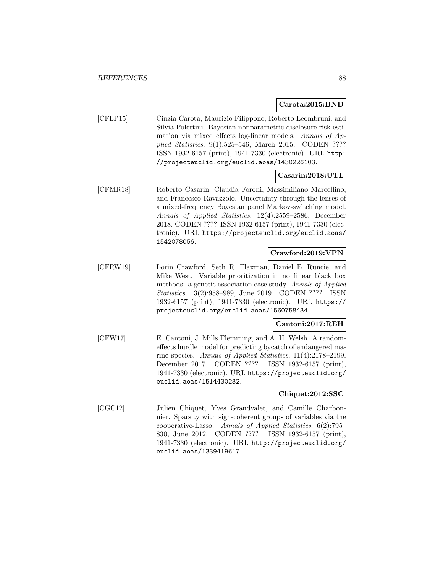#### **Carota:2015:BND**

[CFLP15] Cinzia Carota, Maurizio Filippone, Roberto Leombruni, and Silvia Polettini. Bayesian nonparametric disclosure risk estimation via mixed effects log-linear models. Annals of Applied Statistics, 9(1):525–546, March 2015. CODEN ???? ISSN 1932-6157 (print), 1941-7330 (electronic). URL http: //projecteuclid.org/euclid.aoas/1430226103.

## **Casarin:2018:UTL**

[CFMR18] Roberto Casarin, Claudia Foroni, Massimiliano Marcellino, and Francesco Ravazzolo. Uncertainty through the lenses of a mixed-frequency Bayesian panel Markov-switching model. Annals of Applied Statistics, 12(4):2559–2586, December 2018. CODEN ???? ISSN 1932-6157 (print), 1941-7330 (electronic). URL https://projecteuclid.org/euclid.aoas/ 1542078056.

## **Crawford:2019:VPN**

[CFRW19] Lorin Crawford, Seth R. Flaxman, Daniel E. Runcie, and Mike West. Variable prioritization in nonlinear black box methods: a genetic association case study. Annals of Applied Statistics, 13(2):958–989, June 2019. CODEN ???? ISSN 1932-6157 (print), 1941-7330 (electronic). URL https:// projecteuclid.org/euclid.aoas/1560758434.

## **Cantoni:2017:REH**

[CFW17] E. Cantoni, J. Mills Flemming, and A. H. Welsh. A randomeffects hurdle model for predicting bycatch of endangered marine species. Annals of Applied Statistics, 11(4):2178–2199, December 2017. CODEN ???? ISSN 1932-6157 (print), 1941-7330 (electronic). URL https://projecteuclid.org/ euclid.aoas/1514430282.

## **Chiquet:2012:SSC**

[CGC12] Julien Chiquet, Yves Grandvalet, and Camille Charbonnier. Sparsity with sign-coherent groups of variables via the cooperative-Lasso. Annals of Applied Statistics, 6(2):795– 830, June 2012. CODEN ???? ISSN 1932-6157 (print), 1941-7330 (electronic). URL http://projecteuclid.org/ euclid.aoas/1339419617.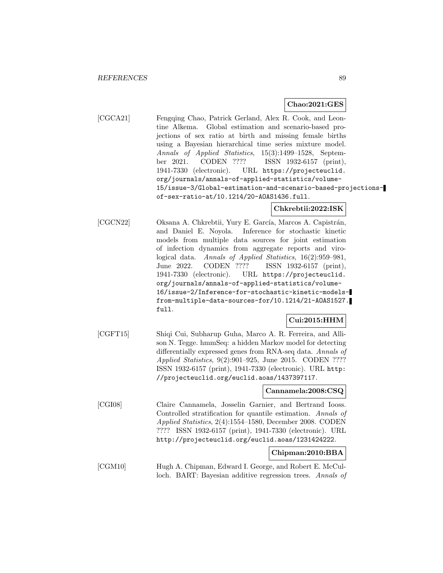#### **Chao:2021:GES**

[CGCA21] Fengqing Chao, Patrick Gerland, Alex R. Cook, and Leontine Alkema. Global estimation and scenario-based projections of sex ratio at birth and missing female births using a Bayesian hierarchical time series mixture model. Annals of Applied Statistics, 15(3):1499–1528, September 2021. CODEN ???? ISSN 1932-6157 (print), 1941-7330 (electronic). URL https://projecteuclid. org/journals/annals-of-applied-statistics/volume-15/issue-3/Global-estimation-and-scenario-based-projectionsof-sex-ratio-at/10.1214/20-AOAS1436.full.

#### **Chkrebtii:2022:ISK**

[CGCN22] Oksana A. Chkrebtii, Yury E. García, Marcos A. Capistrán, and Daniel E. Noyola. Inference for stochastic kinetic models from multiple data sources for joint estimation of infection dynamics from aggregate reports and virological data. Annals of Applied Statistics, 16(2):959–981, June 2022. CODEN ???? ISSN 1932-6157 (print), 1941-7330 (electronic). URL https://projecteuclid. org/journals/annals-of-applied-statistics/volume-16/issue-2/Inference-for-stochastic-kinetic-modelsfrom-multiple-data-sources-for/10.1214/21-AOAS1527. full.

## **Cui:2015:HHM**

[CGFT15] Shiqi Cui, Subharup Guha, Marco A. R. Ferreira, and Allison N. Tegge. hmmSeq: a hidden Markov model for detecting differentially expressed genes from RNA-seq data. Annals of Applied Statistics, 9(2):901–925, June 2015. CODEN ???? ISSN 1932-6157 (print), 1941-7330 (electronic). URL http: //projecteuclid.org/euclid.aoas/1437397117.

#### **Cannamela:2008:CSQ**

[CGI08] Claire Cannamela, Josselin Garnier, and Bertrand Iooss. Controlled stratification for quantile estimation. Annals of Applied Statistics, 2(4):1554–1580, December 2008. CODEN ???? ISSN 1932-6157 (print), 1941-7330 (electronic). URL http://projecteuclid.org/euclid.aoas/1231424222.

## **Chipman:2010:BBA**

[CGM10] Hugh A. Chipman, Edward I. George, and Robert E. McCulloch. BART: Bayesian additive regression trees. Annals of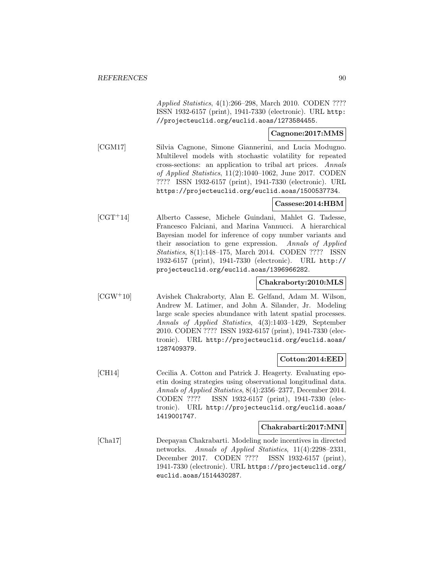Applied Statistics, 4(1):266–298, March 2010. CODEN ???? ISSN 1932-6157 (print), 1941-7330 (electronic). URL http: //projecteuclid.org/euclid.aoas/1273584455.

## **Cagnone:2017:MMS**

[CGM17] Silvia Cagnone, Simone Giannerini, and Lucia Modugno. Multilevel models with stochastic volatility for repeated cross-sections: an application to tribal art prices. Annals of Applied Statistics, 11(2):1040–1062, June 2017. CODEN ???? ISSN 1932-6157 (print), 1941-7330 (electronic). URL https://projecteuclid.org/euclid.aoas/1500537734.

#### **Cassese:2014:HBM**

[CGT<sup>+</sup>14] Alberto Cassese, Michele Guindani, Mahlet G. Tadesse, Francesco Falciani, and Marina Vannucci. A hierarchical Bayesian model for inference of copy number variants and their association to gene expression. Annals of Applied Statistics, 8(1):148–175, March 2014. CODEN ???? ISSN 1932-6157 (print), 1941-7330 (electronic). URL http:// projecteuclid.org/euclid.aoas/1396966282.

## **Chakraborty:2010:MLS**

[CGW<sup>+</sup>10] Avishek Chakraborty, Alan E. Gelfand, Adam M. Wilson, Andrew M. Latimer, and John A. Silander, Jr. Modeling large scale species abundance with latent spatial processes. Annals of Applied Statistics, 4(3):1403–1429, September 2010. CODEN ???? ISSN 1932-6157 (print), 1941-7330 (electronic). URL http://projecteuclid.org/euclid.aoas/ 1287409379.

## **Cotton:2014:EED**

[CH14] Cecilia A. Cotton and Patrick J. Heagerty. Evaluating epoetin dosing strategies using observational longitudinal data. Annals of Applied Statistics, 8(4):2356–2377, December 2014. CODEN ???? ISSN 1932-6157 (print), 1941-7330 (electronic). URL http://projecteuclid.org/euclid.aoas/ 1419001747.

#### **Chakrabarti:2017:MNI**

[Cha17] Deepayan Chakrabarti. Modeling node incentives in directed networks. Annals of Applied Statistics, 11(4):2298–2331, December 2017. CODEN ???? ISSN 1932-6157 (print), 1941-7330 (electronic). URL https://projecteuclid.org/ euclid.aoas/1514430287.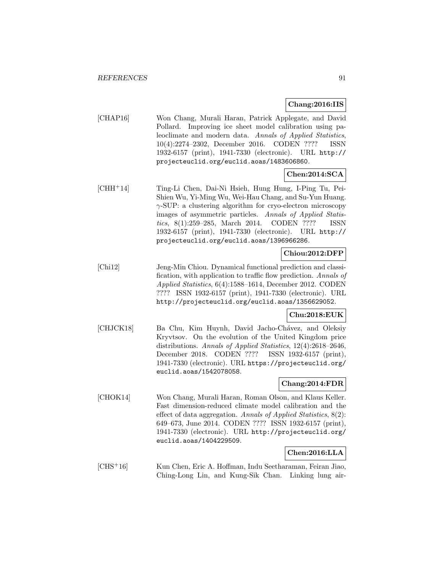#### **Chang:2016:IIS**

[CHAP16] Won Chang, Murali Haran, Patrick Applegate, and David Pollard. Improving ice sheet model calibration using paleoclimate and modern data. Annals of Applied Statistics, 10(4):2274–2302, December 2016. CODEN ???? ISSN 1932-6157 (print), 1941-7330 (electronic). URL http:// projecteuclid.org/euclid.aoas/1483606860.

## **Chen:2014:SCA**

[CHH<sup>+</sup>14] Ting-Li Chen, Dai-Ni Hsieh, Hung Hung, I-Ping Tu, Pei-Shien Wu, Yi-Ming Wu, Wei-Hau Chang, and Su-Yun Huang. γ-SUP: a clustering algorithm for cryo-electron microscopy images of asymmetric particles. Annals of Applied Statistics, 8(1):259–285, March 2014. CODEN ???? ISSN 1932-6157 (print), 1941-7330 (electronic). URL http:// projecteuclid.org/euclid.aoas/1396966286.

# **Chiou:2012:DFP**

[Chi12] Jeng-Min Chiou. Dynamical functional prediction and classification, with application to traffic flow prediction. Annals of Applied Statistics, 6(4):1588–1614, December 2012. CODEN ???? ISSN 1932-6157 (print), 1941-7330 (electronic). URL http://projecteuclid.org/euclid.aoas/1356629052.

## **Chu:2018:EUK**

[CHJCK18] Ba Chu, Kim Huynh, David Jacho-Chávez, and Oleksiy Kryvtsov. On the evolution of the United Kingdom price distributions. Annals of Applied Statistics, 12(4):2618–2646, December 2018. CODEN ???? ISSN 1932-6157 (print), 1941-7330 (electronic). URL https://projecteuclid.org/ euclid.aoas/1542078058.

## **Chang:2014:FDR**

[CHOK14] Won Chang, Murali Haran, Roman Olson, and Klaus Keller. Fast dimension-reduced climate model calibration and the effect of data aggregation. Annals of Applied Statistics, 8(2): 649–673, June 2014. CODEN ???? ISSN 1932-6157 (print), 1941-7330 (electronic). URL http://projecteuclid.org/ euclid.aoas/1404229509.

## **Chen:2016:LLA**

[CHS<sup>+</sup>16] Kun Chen, Eric A. Hoffman, Indu Seetharaman, Feiran Jiao, Ching-Long Lin, and Kung-Sik Chan. Linking lung air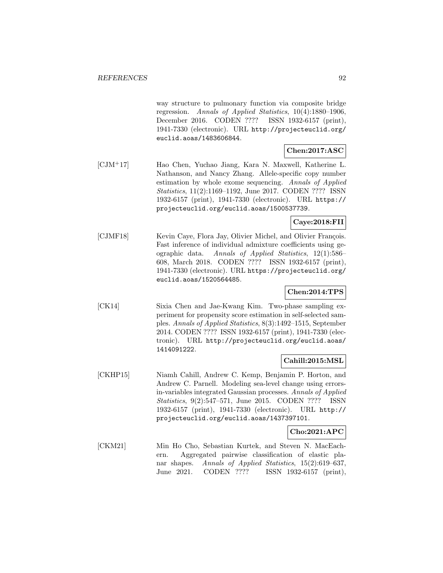way structure to pulmonary function via composite bridge regression. Annals of Applied Statistics, 10(4):1880–1906, December 2016. CODEN ???? ISSN 1932-6157 (print), 1941-7330 (electronic). URL http://projecteuclid.org/ euclid.aoas/1483606844.

# **Chen:2017:ASC**

[CJM<sup>+</sup>17] Hao Chen, Yuchao Jiang, Kara N. Maxwell, Katherine L. Nathanson, and Nancy Zhang. Allele-specific copy number estimation by whole exome sequencing. Annals of Applied Statistics, 11(2):1169–1192, June 2017. CODEN ???? ISSN 1932-6157 (print), 1941-7330 (electronic). URL https:// projecteuclid.org/euclid.aoas/1500537739.

## **Caye:2018:FII**

[CJMF18] Kevin Caye, Flora Jay, Olivier Michel, and Olivier François. Fast inference of individual admixture coefficients using geographic data. Annals of Applied Statistics, 12(1):586– 608, March 2018. CODEN ???? ISSN 1932-6157 (print), 1941-7330 (electronic). URL https://projecteuclid.org/ euclid.aoas/1520564485.

## **Chen:2014:TPS**

[CK14] Sixia Chen and Jae-Kwang Kim. Two-phase sampling experiment for propensity score estimation in self-selected samples. Annals of Applied Statistics, 8(3):1492–1515, September 2014. CODEN ???? ISSN 1932-6157 (print), 1941-7330 (electronic). URL http://projecteuclid.org/euclid.aoas/ 1414091222.

## **Cahill:2015:MSL**

[CKHP15] Niamh Cahill, Andrew C. Kemp, Benjamin P. Horton, and Andrew C. Parnell. Modeling sea-level change using errorsin-variables integrated Gaussian processes. Annals of Applied Statistics, 9(2):547–571, June 2015. CODEN ???? ISSN 1932-6157 (print), 1941-7330 (electronic). URL http:// projecteuclid.org/euclid.aoas/1437397101.

## **Cho:2021:APC**

[CKM21] Min Ho Cho, Sebastian Kurtek, and Steven N. MacEachern. Aggregated pairwise classification of elastic planar shapes. Annals of Applied Statistics, 15(2):619–637, June 2021. CODEN ???? ISSN 1932-6157 (print),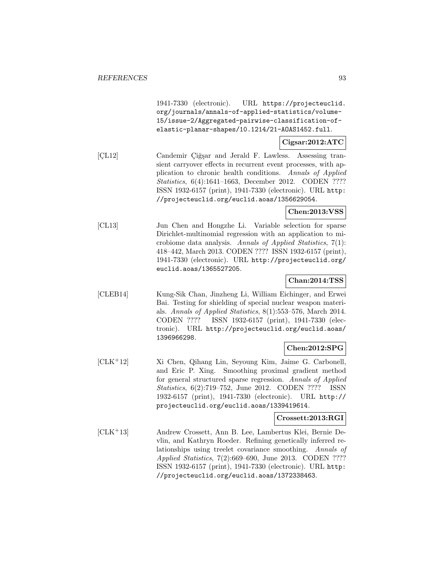1941-7330 (electronic). URL https://projecteuclid. org/journals/annals-of-applied-statistics/volume-15/issue-2/Aggregated-pairwise-classification-ofelastic-planar-shapes/10.1214/21-AOAS1452.full.

# **Cigsar:2012:ATC**

[CL12] Candemir Çiğşar and Jerald F. Lawless. Assessing transient carryover effects in recurrent event processes, with application to chronic health conditions. Annals of Applied Statistics, 6(4):1641–1663, December 2012. CODEN ???? ISSN 1932-6157 (print), 1941-7330 (electronic). URL http: //projecteuclid.org/euclid.aoas/1356629054.

#### **Chen:2013:VSS**

[CL13] Jun Chen and Hongzhe Li. Variable selection for sparse Dirichlet-multinomial regression with an application to microbiome data analysis. Annals of Applied Statistics, 7(1): 418–442, March 2013. CODEN ???? ISSN 1932-6157 (print), 1941-7330 (electronic). URL http://projecteuclid.org/ euclid.aoas/1365527205.

## **Chan:2014:TSS**

[CLEB14] Kung-Sik Chan, Jinzheng Li, William Eichinger, and Erwei Bai. Testing for shielding of special nuclear weapon materials. Annals of Applied Statistics, 8(1):553–576, March 2014. CODEN ???? ISSN 1932-6157 (print), 1941-7330 (electronic). URL http://projecteuclid.org/euclid.aoas/ 1396966298.

## **Chen:2012:SPG**

[CLK<sup>+</sup>12] Xi Chen, Qihang Lin, Seyoung Kim, Jaime G. Carbonell, and Eric P. Xing. Smoothing proximal gradient method for general structured sparse regression. Annals of Applied Statistics, 6(2):719–752, June 2012. CODEN ???? ISSN 1932-6157 (print), 1941-7330 (electronic). URL http:// projecteuclid.org/euclid.aoas/1339419614.

## **Crossett:2013:RGI**

[CLK<sup>+</sup>13] Andrew Crossett, Ann B. Lee, Lambertus Klei, Bernie Devlin, and Kathryn Roeder. Refining genetically inferred relationships using treelet covariance smoothing. Annals of Applied Statistics, 7(2):669–690, June 2013. CODEN ???? ISSN 1932-6157 (print), 1941-7330 (electronic). URL http: //projecteuclid.org/euclid.aoas/1372338463.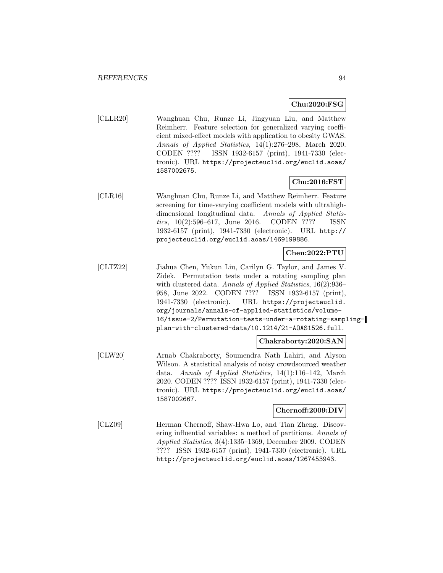## **Chu:2020:FSG**

[CLLR20] Wanghuan Chu, Runze Li, Jingyuan Liu, and Matthew Reimherr. Feature selection for generalized varying coefficient mixed-effect models with application to obesity GWAS. Annals of Applied Statistics, 14(1):276–298, March 2020. CODEN ???? ISSN 1932-6157 (print), 1941-7330 (electronic). URL https://projecteuclid.org/euclid.aoas/ 1587002675.

## **Chu:2016:FST**

[CLR16] Wanghuan Chu, Runze Li, and Matthew Reimherr. Feature screening for time-varying coefficient models with ultrahighdimensional longitudinal data. Annals of Applied Statistics, 10(2):596–617, June 2016. CODEN ???? ISSN 1932-6157 (print), 1941-7330 (electronic). URL http:// projecteuclid.org/euclid.aoas/1469199886.

## **Chen:2022:PTU**

[CLTZ22] Jiahua Chen, Yukun Liu, Carilyn G. Taylor, and James V. Zidek. Permutation tests under a rotating sampling plan with clustered data. Annals of Applied Statistics, 16(2):936– 958, June 2022. CODEN ???? ISSN 1932-6157 (print), 1941-7330 (electronic). URL https://projecteuclid. org/journals/annals-of-applied-statistics/volume-16/issue-2/Permutation-tests-under-a-rotating-samplingplan-with-clustered-data/10.1214/21-AOAS1526.full.

## **Chakraborty:2020:SAN**

[CLW20] Arnab Chakraborty, Soumendra Nath Lahiri, and Alyson Wilson. A statistical analysis of noisy crowdsourced weather data. Annals of Applied Statistics, 14(1):116–142, March 2020. CODEN ???? ISSN 1932-6157 (print), 1941-7330 (electronic). URL https://projecteuclid.org/euclid.aoas/ 1587002667.

## **Chernoff:2009:DIV**

[CLZ09] Herman Chernoff, Shaw-Hwa Lo, and Tian Zheng. Discovering influential variables: a method of partitions. Annals of Applied Statistics, 3(4):1335–1369, December 2009. CODEN ???? ISSN 1932-6157 (print), 1941-7330 (electronic). URL http://projecteuclid.org/euclid.aoas/1267453943.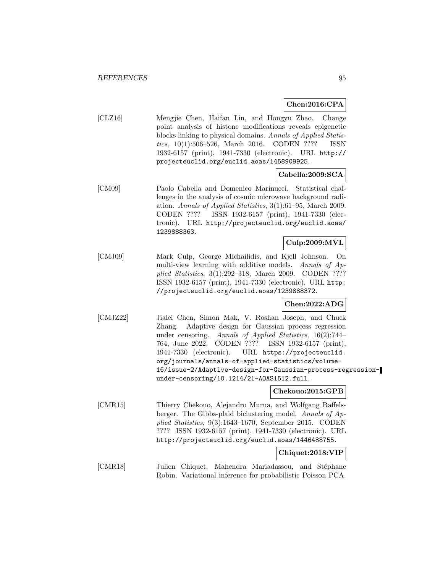## **Chen:2016:CPA**

[CLZ16] Mengjie Chen, Haifan Lin, and Hongyu Zhao. Change point analysis of histone modifications reveals epigenetic blocks linking to physical domains. Annals of Applied Statistics, 10(1):506–526, March 2016. CODEN ???? ISSN 1932-6157 (print), 1941-7330 (electronic). URL http:// projecteuclid.org/euclid.aoas/1458909925.

## **Cabella:2009:SCA**

[CM09] Paolo Cabella and Domenico Marinucci. Statistical challenges in the analysis of cosmic microwave background radiation. Annals of Applied Statistics, 3(1):61–95, March 2009. CODEN ???? ISSN 1932-6157 (print), 1941-7330 (electronic). URL http://projecteuclid.org/euclid.aoas/ 1239888363.

## **Culp:2009:MVL**

[CMJ09] Mark Culp, George Michailidis, and Kjell Johnson. On multi-view learning with additive models. Annals of Applied Statistics, 3(1):292–318, March 2009. CODEN ???? ISSN 1932-6157 (print), 1941-7330 (electronic). URL http: //projecteuclid.org/euclid.aoas/1239888372.

## **Chen:2022:ADG**

[CMJZ22] Jialei Chen, Simon Mak, V. Roshan Joseph, and Chuck Zhang. Adaptive design for Gaussian process regression under censoring. Annals of Applied Statistics, 16(2):744– 764, June 2022. CODEN ???? ISSN 1932-6157 (print), 1941-7330 (electronic). URL https://projecteuclid. org/journals/annals-of-applied-statistics/volume-16/issue-2/Adaptive-design-for-Gaussian-process-regressionunder-censoring/10.1214/21-AOAS1512.full.

## **Chekouo:2015:GPB**

[CMR15] Thierry Chekouo, Alejandro Murua, and Wolfgang Raffelsberger. The Gibbs-plaid biclustering model. Annals of Applied Statistics, 9(3):1643–1670, September 2015. CODEN ???? ISSN 1932-6157 (print), 1941-7330 (electronic). URL http://projecteuclid.org/euclid.aoas/1446488755.

## **Chiquet:2018:VIP**

[CMR18] Julien Chiquet, Mahendra Mariadassou, and Stéphane Robin. Variational inference for probabilistic Poisson PCA.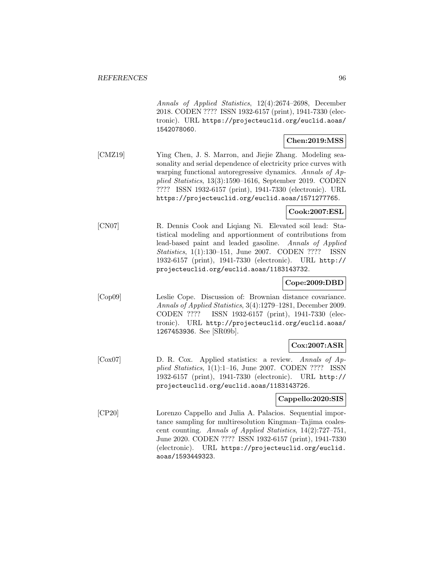Annals of Applied Statistics, 12(4):2674–2698, December 2018. CODEN ???? ISSN 1932-6157 (print), 1941-7330 (electronic). URL https://projecteuclid.org/euclid.aoas/ 1542078060.

### **Chen:2019:MSS**

[CMZ19] Ying Chen, J. S. Marron, and Jiejie Zhang. Modeling seasonality and serial dependence of electricity price curves with warping functional autoregressive dynamics. Annals of Applied Statistics, 13(3):1590–1616, September 2019. CODEN ???? ISSN 1932-6157 (print), 1941-7330 (electronic). URL https://projecteuclid.org/euclid.aoas/1571277765.

## **Cook:2007:ESL**

[CN07] R. Dennis Cook and Liqiang Ni. Elevated soil lead: Statistical modeling and apportionment of contributions from lead-based paint and leaded gasoline. Annals of Applied Statistics, 1(1):130–151, June 2007. CODEN ???? ISSN 1932-6157 (print), 1941-7330 (electronic). URL http:// projecteuclid.org/euclid.aoas/1183143732.

## **Cope:2009:DBD**

[Cop09] Leslie Cope. Discussion of: Brownian distance covariance. Annals of Applied Statistics, 3(4):1279–1281, December 2009. CODEN ???? ISSN 1932-6157 (print), 1941-7330 (electronic). URL http://projecteuclid.org/euclid.aoas/ 1267453936. See [SR09b].

## **Cox:2007:ASR**

[Cox07] D. R. Cox. Applied statistics: a review. Annals of Applied Statistics, 1(1):1–16, June 2007. CODEN ???? ISSN 1932-6157 (print), 1941-7330 (electronic). URL http:// projecteuclid.org/euclid.aoas/1183143726.

#### **Cappello:2020:SIS**

[CP20] Lorenzo Cappello and Julia A. Palacios. Sequential importance sampling for multiresolution Kingman–Tajima coalescent counting. Annals of Applied Statistics, 14(2):727–751, June 2020. CODEN ???? ISSN 1932-6157 (print), 1941-7330 (electronic). URL https://projecteuclid.org/euclid. aoas/1593449323.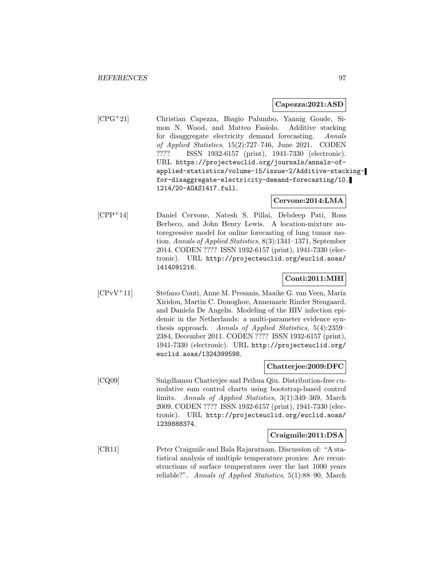#### **Capezza:2021:ASD**

[CPG<sup>+</sup>21] Christian Capezza, Biagio Palumbo, Yannig Goude, Simon N. Wood, and Matteo Fasiolo. Additive stacking for disaggregate electricity demand forecasting. Annals of Applied Statistics, 15(2):727–746, June 2021. CODEN ???? ISSN 1932-6157 (print), 1941-7330 (electronic). URL https://projecteuclid.org/journals/annals-ofapplied-statistics/volume-15/issue-2/Additive-stackingfor-disaggregate-electricity-demand-forecasting/10. 1214/20-AOAS1417.full.

## **Cervone:2014:LMA**

[CPP<sup>+</sup>14] Daniel Cervone, Natesh S. Pillai, Debdeep Pati, Ross Berbeco, and John Henry Lewis. A location-mixture autoregressive model for online forecasting of lung tumor motion. Annals of Applied Statistics, 8(3):1341–1371, September 2014. CODEN ???? ISSN 1932-6157 (print), 1941-7330 (electronic). URL http://projecteuclid.org/euclid.aoas/ 1414091216.

## **Conti:2011:MHI**

[CPvV<sup>+</sup>11] Stefano Conti, Anne M. Presanis, Maaike G. van Veen, Maria Xiridou, Martin C. Donoghoe, Annemarie Rinder Stengaard, and Daniela De Angelis. Modeling of the HIV infection epidemic in the Netherlands: a multi-parameter evidence synthesis approach. Annals of Applied Statistics, 5(4):2359– 2384, December 2011. CODEN ???? ISSN 1932-6157 (print), 1941-7330 (electronic). URL http://projecteuclid.org/ euclid.aoas/1324399598.

#### **Chatterjee:2009:DFC**

[CQ09] Snigdhansu Chatterjee and Peihua Qiu. Distribution-free cumulative sum control charts using bootstrap-based control limits. Annals of Applied Statistics, 3(1):349–369, March 2009. CODEN ???? ISSN 1932-6157 (print), 1941-7330 (electronic). URL http://projecteuclid.org/euclid.aoas/ 1239888374.

## **Craigmile:2011:DSA**

[CR11] Peter Craigmile and Bala Rajaratnam. Discussion of: "A statistical analysis of multiple temperature proxies: Are reconstructions of surface temperatures over the last 1000 years reliable?". Annals of Applied Statistics, 5(1):88–90, March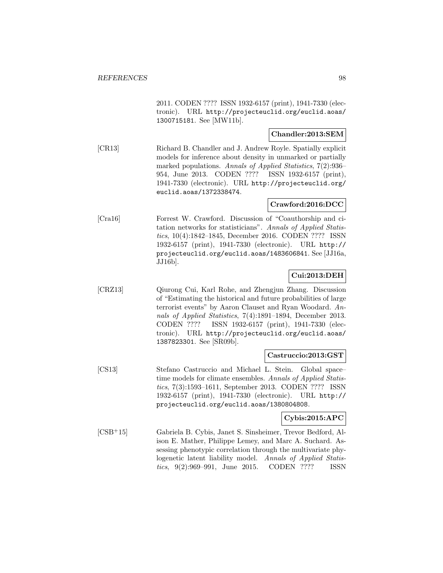2011. CODEN ???? ISSN 1932-6157 (print), 1941-7330 (electronic). URL http://projecteuclid.org/euclid.aoas/ 1300715181. See [MW11b].

## **Chandler:2013:SEM**

[CR13] Richard B. Chandler and J. Andrew Royle. Spatially explicit models for inference about density in unmarked or partially marked populations. Annals of Applied Statistics, 7(2):936– 954, June 2013. CODEN ???? ISSN 1932-6157 (print), 1941-7330 (electronic). URL http://projecteuclid.org/ euclid.aoas/1372338474.

## **Crawford:2016:DCC**

[Cra16] Forrest W. Crawford. Discussion of "Coauthorship and citation networks for statisticians". Annals of Applied Statistics, 10(4):1842–1845, December 2016. CODEN ???? ISSN 1932-6157 (print), 1941-7330 (electronic). URL http:// projecteuclid.org/euclid.aoas/1483606841. See [JJ16a, JJ16b].

## **Cui:2013:DEH**

[CRZ13] Qiurong Cui, Karl Rohe, and Zhengjun Zhang. Discussion of "Estimating the historical and future probabilities of large terrorist events" by Aaron Clauset and Ryan Woodard. Annals of Applied Statistics, 7(4):1891–1894, December 2013. CODEN ???? ISSN 1932-6157 (print), 1941-7330 (electronic). URL http://projecteuclid.org/euclid.aoas/ 1387823301. See [SR09b].

#### **Castruccio:2013:GST**

[CS13] Stefano Castruccio and Michael L. Stein. Global space– time models for climate ensembles. Annals of Applied Statistics, 7(3):1593–1611, September 2013. CODEN ???? ISSN 1932-6157 (print), 1941-7330 (electronic). URL http:// projecteuclid.org/euclid.aoas/1380804808.

## **Cybis:2015:APC**

[CSB<sup>+</sup>15] Gabriela B. Cybis, Janet S. Sinsheimer, Trevor Bedford, Alison E. Mather, Philippe Lemey, and Marc A. Suchard. Assessing phenotypic correlation through the multivariate phylogenetic latent liability model. Annals of Applied Statistics, 9(2):969–991, June 2015. CODEN ???? ISSN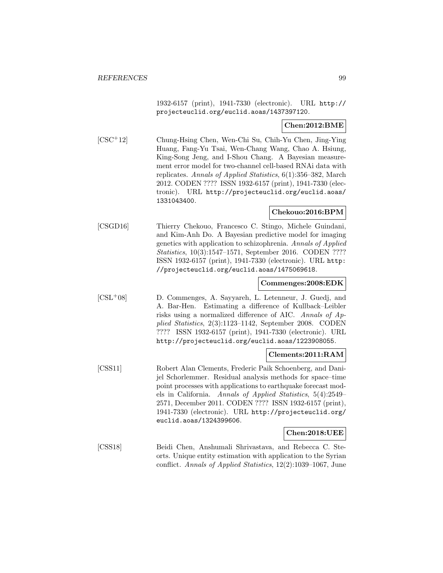1932-6157 (print), 1941-7330 (electronic). URL http:// projecteuclid.org/euclid.aoas/1437397120.

## **Chen:2012:BME**

[CSC<sup>+</sup>12] Chung-Hsing Chen, Wen-Chi Su, Chih-Yu Chen, Jing-Ying Huang, Fang-Yu Tsai, Wen-Chang Wang, Chao A. Hsiung, King-Song Jeng, and I-Shou Chang. A Bayesian measurement error model for two-channel cell-based RNAi data with replicates. Annals of Applied Statistics, 6(1):356–382, March 2012. CODEN ???? ISSN 1932-6157 (print), 1941-7330 (electronic). URL http://projecteuclid.org/euclid.aoas/ 1331043400.

## **Chekouo:2016:BPM**

[CSGD16] Thierry Chekouo, Francesco C. Stingo, Michele Guindani, and Kim-Anh Do. A Bayesian predictive model for imaging genetics with application to schizophrenia. Annals of Applied Statistics, 10(3):1547–1571, September 2016. CODEN ???? ISSN 1932-6157 (print), 1941-7330 (electronic). URL http: //projecteuclid.org/euclid.aoas/1475069618.

## **Commenges:2008:EDK**

[CSL<sup>+</sup>08] D. Commenges, A. Sayyareh, L. Letenneur, J. Guedj, and A. Bar-Hen. Estimating a difference of Kullback–Leibler risks using a normalized difference of AIC. Annals of Applied Statistics, 2(3):1123–1142, September 2008. CODEN ???? ISSN 1932-6157 (print), 1941-7330 (electronic). URL http://projecteuclid.org/euclid.aoas/1223908055.

#### **Clements:2011:RAM**

[CSS11] Robert Alan Clements, Frederic Paik Schoenberg, and Danijel Schorlemmer. Residual analysis methods for space–time point processes with applications to earthquake forecast models in California. Annals of Applied Statistics, 5(4):2549– 2571, December 2011. CODEN ???? ISSN 1932-6157 (print), 1941-7330 (electronic). URL http://projecteuclid.org/ euclid.aoas/1324399606.

#### **Chen:2018:UEE**

[CSS18] Beidi Chen, Anshumali Shrivastava, and Rebecca C. Steorts. Unique entity estimation with application to the Syrian conflict. Annals of Applied Statistics, 12(2):1039–1067, June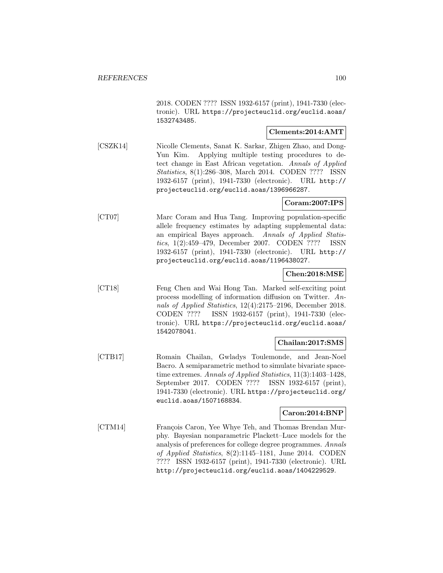2018. CODEN ???? ISSN 1932-6157 (print), 1941-7330 (electronic). URL https://projecteuclid.org/euclid.aoas/ 1532743485.

## **Clements:2014:AMT**

[CSZK14] Nicolle Clements, Sanat K. Sarkar, Zhigen Zhao, and Dong-Yun Kim. Applying multiple testing procedures to detect change in East African vegetation. Annals of Applied Statistics, 8(1):286–308, March 2014. CODEN ???? ISSN 1932-6157 (print), 1941-7330 (electronic). URL http:// projecteuclid.org/euclid.aoas/1396966287.

## **Coram:2007:IPS**

[CT07] Marc Coram and Hua Tang. Improving population-specific allele frequency estimates by adapting supplemental data: an empirical Bayes approach. Annals of Applied Statistics, 1(2):459–479, December 2007. CODEN ???? ISSN 1932-6157 (print), 1941-7330 (electronic). URL http:// projecteuclid.org/euclid.aoas/1196438027.

## **Chen:2018:MSE**

[CT18] Feng Chen and Wai Hong Tan. Marked self-exciting point process modelling of information diffusion on Twitter. Annals of Applied Statistics, 12(4):2175–2196, December 2018. CODEN ???? ISSN 1932-6157 (print), 1941-7330 (electronic). URL https://projecteuclid.org/euclid.aoas/ 1542078041.

## **Chailan:2017:SMS**

[CTB17] Romain Chailan, Gwladys Toulemonde, and Jean-Noel Bacro. A semiparametric method to simulate bivariate spacetime extremes. Annals of Applied Statistics, 11(3):1403–1428, September 2017. CODEN ???? ISSN 1932-6157 (print), 1941-7330 (electronic). URL https://projecteuclid.org/ euclid.aoas/1507168834.

## **Caron:2014:BNP**

[CTM14] François Caron, Yee Whye Teh, and Thomas Brendan Murphy. Bayesian nonparametric Plackett–Luce models for the analysis of preferences for college degree programmes. Annals of Applied Statistics, 8(2):1145–1181, June 2014. CODEN ???? ISSN 1932-6157 (print), 1941-7330 (electronic). URL http://projecteuclid.org/euclid.aoas/1404229529.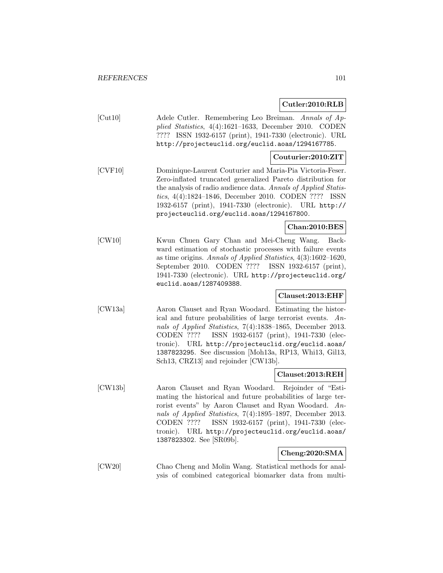**Cutler:2010:RLB**

| [Cut10] | Adele Cutler. Remembering Leo Breiman. Annals of Ap-      |
|---------|-----------------------------------------------------------|
|         | plied Statistics, $4(4):1621-1633$ , December 2010. CODEN |
|         | ???? ISSN 1932-6157 (print), 1941-7330 (electronic). URL  |
|         | http://projecteuclid.org/euclid.aoas/1294167785.          |
|         |                                                           |

## **Couturier:2010:ZIT**

[CVF10] Dominique-Laurent Couturier and Maria-Pia Victoria-Feser. Zero-inflated truncated generalized Pareto distribution for the analysis of radio audience data. Annals of Applied Statistics, 4(4):1824–1846, December 2010. CODEN ???? ISSN 1932-6157 (print), 1941-7330 (electronic). URL http:// projecteuclid.org/euclid.aoas/1294167800.

# **Chan:2010:BES**

[CW10] Kwun Chuen Gary Chan and Mei-Cheng Wang. Backward estimation of stochastic processes with failure events as time origins. Annals of Applied Statistics, 4(3):1602–1620, September 2010. CODEN ???? ISSN 1932-6157 (print), 1941-7330 (electronic). URL http://projecteuclid.org/ euclid.aoas/1287409388.

## **Clauset:2013:EHF**

[CW13a] Aaron Clauset and Ryan Woodard. Estimating the historical and future probabilities of large terrorist events. Annals of Applied Statistics, 7(4):1838–1865, December 2013. CODEN ???? ISSN 1932-6157 (print), 1941-7330 (electronic). URL http://projecteuclid.org/euclid.aoas/ 1387823295. See discussion [Moh13a, RP13, Whi13, Gil13, Sch13, CRZ13] and rejoinder [CW13b].

#### **Clauset:2013:REH**

[CW13b] Aaron Clauset and Ryan Woodard. Rejoinder of "Estimating the historical and future probabilities of large terrorist events" by Aaron Clauset and Ryan Woodard. Annals of Applied Statistics, 7(4):1895–1897, December 2013. CODEN ???? ISSN 1932-6157 (print), 1941-7330 (electronic). URL http://projecteuclid.org/euclid.aoas/ 1387823302. See [SR09b].

## **Cheng:2020:SMA**

[CW20] Chao Cheng and Molin Wang. Statistical methods for analysis of combined categorical biomarker data from multi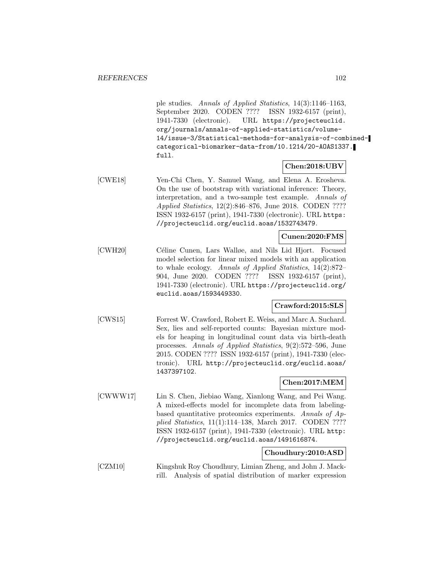ple studies. Annals of Applied Statistics, 14(3):1146–1163, September 2020. CODEN ???? ISSN 1932-6157 (print), 1941-7330 (electronic). URL https://projecteuclid. org/journals/annals-of-applied-statistics/volume-14/issue-3/Statistical-methods-for-analysis-of-combinedcategorical-biomarker-data-from/10.1214/20-AOAS1337. full.

# **Chen:2018:UBV**

[CWE18] Yen-Chi Chen, Y. Samuel Wang, and Elena A. Erosheva. On the use of bootstrap with variational inference: Theory, interpretation, and a two-sample test example. Annals of Applied Statistics, 12(2):846–876, June 2018. CODEN ???? ISSN 1932-6157 (print), 1941-7330 (electronic). URL https: //projecteuclid.org/euclid.aoas/1532743479.

## **Cunen:2020:FMS**

[CWH20] Céline Cunen, Lars Walløe, and Nils Lid Hjort. Focused model selection for linear mixed models with an application to whale ecology. Annals of Applied Statistics, 14(2):872– 904, June 2020. CODEN ???? ISSN 1932-6157 (print), 1941-7330 (electronic). URL https://projecteuclid.org/ euclid.aoas/1593449330.

## **Crawford:2015:SLS**

[CWS15] Forrest W. Crawford, Robert E. Weiss, and Marc A. Suchard. Sex, lies and self-reported counts: Bayesian mixture models for heaping in longitudinal count data via birth-death processes. Annals of Applied Statistics, 9(2):572–596, June 2015. CODEN ???? ISSN 1932-6157 (print), 1941-7330 (electronic). URL http://projecteuclid.org/euclid.aoas/ 1437397102.

# **Chen:2017:MEM**

[CWWW17] Lin S. Chen, Jiebiao Wang, Xianlong Wang, and Pei Wang. A mixed-effects model for incomplete data from labelingbased quantitative proteomics experiments. Annals of Applied Statistics, 11(1):114–138, March 2017. CODEN ???? ISSN 1932-6157 (print), 1941-7330 (electronic). URL http: //projecteuclid.org/euclid.aoas/1491616874.

## **Choudhury:2010:ASD**

[CZM10] Kingshuk Roy Choudhury, Limian Zheng, and John J. Mackrill. Analysis of spatial distribution of marker expression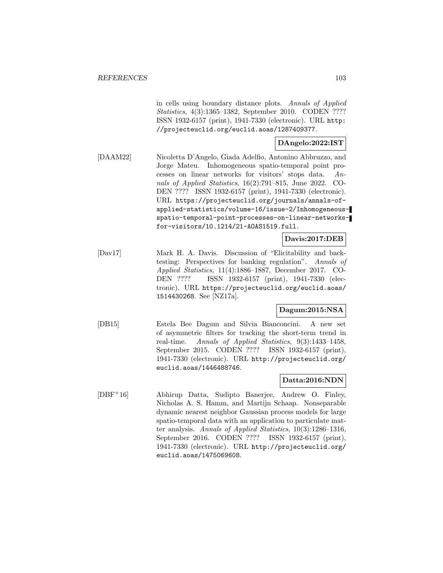in cells using boundary distance plots. Annals of Applied Statistics, 4(3):1365–1382, September 2010. CODEN ???? ISSN 1932-6157 (print), 1941-7330 (electronic). URL http: //projecteuclid.org/euclid.aoas/1287409377.

## **DAngelo:2022:IST**

[DAAM22] Nicoletta D'Angelo, Giada Adelfio, Antonino Abbruzzo, and Jorge Mateu. Inhomogeneous spatio-temporal point processes on linear networks for visitors' stops data. Annals of Applied Statistics, 16(2):791–815, June 2022. CO-DEN ???? ISSN 1932-6157 (print), 1941-7330 (electronic). URL https://projecteuclid.org/journals/annals-ofapplied-statistics/volume-16/issue-2/Inhomogeneousspatio-temporal-point-processes-on-linear-networksfor-visitors/10.1214/21-AOAS1519.full.

**Davis:2017:DEB**

[Dav17] Mark H. A. Davis. Discussion of "Elicitability and backtesting: Perspectives for banking regulation". Annals of Applied Statistics, 11(4):1886–1887, December 2017. CO-DEN ???? ISSN 1932-6157 (print), 1941-7330 (electronic). URL https://projecteuclid.org/euclid.aoas/ 1514430268. See [NZ17a].

## **Dagum:2015:NSA**

[DB15] Estela Bee Dagum and Silvia Bianconcini. A new set of asymmetric filters for tracking the short-term trend in real-time. Annals of Applied Statistics, 9(3):1433–1458, September 2015. CODEN ???? ISSN 1932-6157 (print), 1941-7330 (electronic). URL http://projecteuclid.org/ euclid.aoas/1446488746.

## **Datta:2016:NDN**

[DBF<sup>+</sup>16] Abhirup Datta, Sudipto Banerjee, Andrew O. Finley, Nicholas A. S. Hamm, and Martijn Schaap. Nonseparable dynamic nearest neighbor Gaussian process models for large spatio-temporal data with an application to particulate matter analysis. Annals of Applied Statistics, 10(3):1286–1316, September 2016. CODEN ???? ISSN 1932-6157 (print), 1941-7330 (electronic). URL http://projecteuclid.org/ euclid.aoas/1475069608.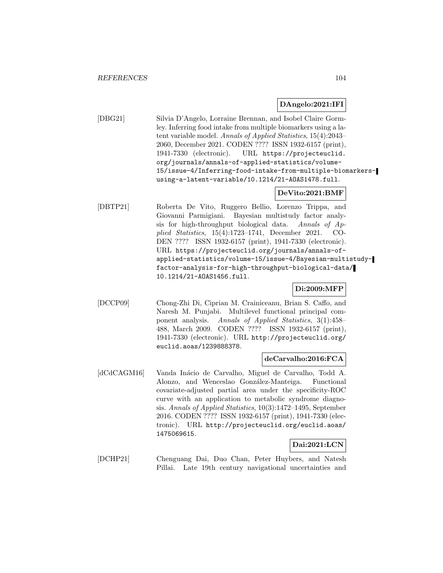#### **DAngelo:2021:IFI**

[DBG21] Silvia D'Angelo, Lorraine Brennan, and Isobel Claire Gormley. Inferring food intake from multiple biomarkers using a latent variable model. Annals of Applied Statistics, 15(4):2043– 2060, December 2021. CODEN ???? ISSN 1932-6157 (print), 1941-7330 (electronic). URL https://projecteuclid. org/journals/annals-of-applied-statistics/volume-15/issue-4/Inferring-food-intake-from-multiple-biomarkersusing-a-latent-variable/10.1214/21-AOAS1478.full.

## **DeVito:2021:BMF**

[DBTP21] Roberta De Vito, Ruggero Bellio, Lorenzo Trippa, and Giovanni Parmigiani. Bayesian multistudy factor analysis for high-throughput biological data. Annals of Applied Statistics, 15(4):1723–1741, December 2021. CO-DEN ???? ISSN 1932-6157 (print), 1941-7330 (electronic). URL https://projecteuclid.org/journals/annals-ofapplied-statistics/volume-15/issue-4/Bayesian-multistudyfactor-analysis-for-high-throughput-biological-data/ 10.1214/21-AOAS1456.full.

## **Di:2009:MFP**

[DCCP09] Chong-Zhi Di, Ciprian M. Crainiceanu, Brian S. Caffo, and Naresh M. Punjabi. Multilevel functional principal component analysis. Annals of Applied Statistics, 3(1):458– 488, March 2009. CODEN ???? ISSN 1932-6157 (print), 1941-7330 (electronic). URL http://projecteuclid.org/ euclid.aoas/1239888378.

## **deCarvalho:2016:FCA**

[dCdCAGM16] Vanda Inácio de Carvalho, Miguel de Carvalho, Todd A. Alonzo, and Wenceslao González-Manteiga. Functional covariate-adjusted partial area under the specificity-ROC curve with an application to metabolic syndrome diagnosis. Annals of Applied Statistics, 10(3):1472–1495, September 2016. CODEN ???? ISSN 1932-6157 (print), 1941-7330 (electronic). URL http://projecteuclid.org/euclid.aoas/ 1475069615.

## **Dai:2021:LCN**

[DCHP21] Chenguang Dai, Duo Chan, Peter Huybers, and Natesh Pillai. Late 19th century navigational uncertainties and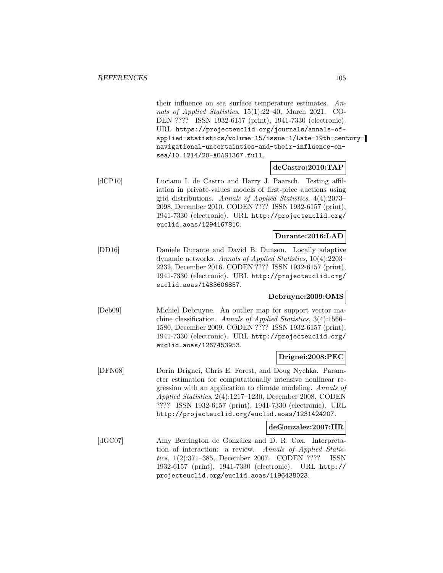|                                | their influence on sea surface temperature estimates.<br>$An-$<br>nals of Applied Statistics, 15(1):22-40, March 2021.<br>$CO-$<br>DEN ???? ISSN 1932-6157 (print), 1941-7330 (electronic).<br>URL https://projecteuclid.org/journals/annals-of-<br>applied-statistics/volume-15/issue-1/Late-19th-century-<br>navigational-uncertainties-and-their-influence-on-<br>sea/10.1214/20-A0AS1367.full. |
|--------------------------------|----------------------------------------------------------------------------------------------------------------------------------------------------------------------------------------------------------------------------------------------------------------------------------------------------------------------------------------------------------------------------------------------------|
|                                | deCastro:2010: TAP                                                                                                                                                                                                                                                                                                                                                                                 |
| $\left[$ dCP10 $\right]$       | Luciano I. de Castro and Harry J. Paarsch. Testing affil-<br>iation in private-values models of first-price auctions using<br>grid distributions. Annals of Applied Statistics, 4(4):2073-<br>2098, December 2010. CODEN ???? ISSN 1932-6157 (print),<br>1941-7330 (electronic). URL http://projecteuclid.org/<br>euclid.aoas/1294167810.                                                          |
|                                | Durante:2016:LAD                                                                                                                                                                                                                                                                                                                                                                                   |
| [DD16]                         | Daniele Durante and David B. Dunson. Locally adaptive<br>dynamic networks. Annals of Applied Statistics, 10(4):2203-<br>2232, December 2016. CODEN ???? ISSN 1932-6157 (print),<br>1941-7330 (electronic). URL http://projecteuclid.org/<br>euclid.aoas/1483606857.                                                                                                                                |
|                                | Debruyne:2009:OMS                                                                                                                                                                                                                                                                                                                                                                                  |
| [Deb09]                        | Michiel Debruyne. An outlier map for support vector ma-<br>chine classification. Annals of Applied Statistics, $3(4):1566-$<br>1580, December 2009. CODEN ???? ISSN 1932-6157 (print),<br>1941-7330 (electronic). URL http://projecteuclid.org/<br>euclid.aoas/1267453953.                                                                                                                         |
|                                | Drignei:2008:PEC                                                                                                                                                                                                                                                                                                                                                                                   |
| [DFN08]                        | Dorin Drignei, Chris E. Forest, and Doug Nychka. Param-<br>eter estimation for computationally intensive nonlinear re-<br>gression with an application to climate modeling. Annals of<br>$Applied Statistics, 2(4):1217-1230, December 2008. CODEN$<br>???? ISSN 1932-6157 (print), 1941-7330 (electronic). URL<br>http://projecteuclid.org/euclid.aoas/1231424207.                                |
|                                | deGonzalez:2007:IIR                                                                                                                                                                                                                                                                                                                                                                                |
| $\left[ \mathrm{dGC07}\right]$ | Amy Berrington de González and D. R. Cox. Interpreta-<br>tion of interaction: a review.<br>Annals of Applied Statis-<br>$tics, 1(2):371-385, December 2007.$<br>CODEN ????<br><b>ISSN</b><br>1932-6157 (print), 1941-7330 (electronic). URL http://<br>projecteuclid.org/euclid.aoas/1196438023.                                                                                                   |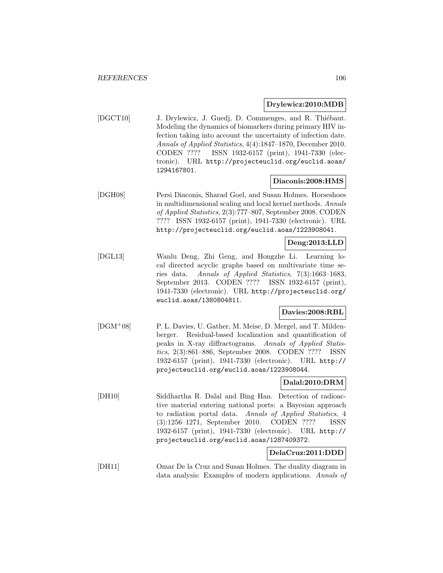## **Drylewicz:2010:MDB**

[DGCT10] J. Drylewicz, J. Guedj, D. Commenges, and R. Thiébaut. Modeling the dynamics of biomarkers during primary HIV infection taking into account the uncertainty of infection date. Annals of Applied Statistics, 4(4):1847–1870, December 2010. CODEN ???? ISSN 1932-6157 (print), 1941-7330 (electronic). URL http://projecteuclid.org/euclid.aoas/ 1294167801.

## **Diaconis:2008:HMS**

[DGH08] Persi Diaconis, Sharad Goel, and Susan Holmes. Horseshoes in multidimensional scaling and local kernel methods. Annals of Applied Statistics, 2(3):777–807, September 2008. CODEN ???? ISSN 1932-6157 (print), 1941-7330 (electronic). URL http://projecteuclid.org/euclid.aoas/1223908041.

## **Deng:2013:LLD**

[DGL13] Wanlu Deng, Zhi Geng, and Hongzhe Li. Learning local directed acyclic graphs based on multivariate time series data. Annals of Applied Statistics, 7(3):1663–1683, September 2013. CODEN ???? ISSN 1932-6157 (print), 1941-7330 (electronic). URL http://projecteuclid.org/ euclid.aoas/1380804811.

## **Davies:2008:RBL**

[DGM<sup>+</sup>08] P. L. Davies, U. Gather, M. Meise, D. Mergel, and T. Mildenberger. Residual-based localization and quantification of peaks in X-ray diffractograms. Annals of Applied Statistics, 2(3):861–886, September 2008. CODEN ???? ISSN 1932-6157 (print), 1941-7330 (electronic). URL http:// projecteuclid.org/euclid.aoas/1223908044.

## **Dalal:2010:DRM**

[DH10] Siddhartha R. Dalal and Bing Han. Detection of radioactive material entering national ports: a Bayesian approach to radiation portal data. Annals of Applied Statistics, 4 (3):1256–1271, September 2010. CODEN ???? ISSN 1932-6157 (print), 1941-7330 (electronic). URL http:// projecteuclid.org/euclid.aoas/1287409372.

# **DelaCruz:2011:DDD**

[DH11] Omar De la Cruz and Susan Holmes. The duality diagram in data analysis: Examples of modern applications. Annals of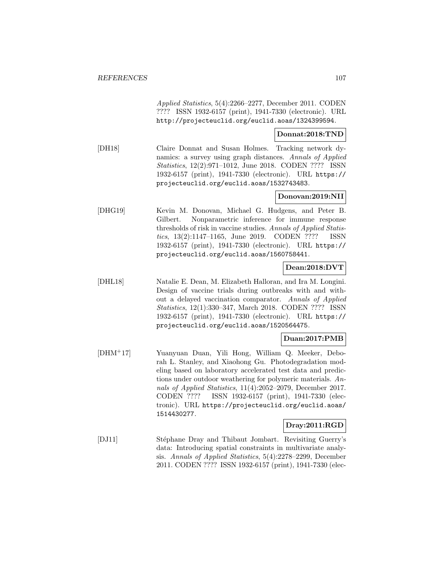Applied Statistics, 5(4):2266–2277, December 2011. CODEN ???? ISSN 1932-6157 (print), 1941-7330 (electronic). URL http://projecteuclid.org/euclid.aoas/1324399594.

#### **Donnat:2018:TND**

[DH18] Claire Donnat and Susan Holmes. Tracking network dynamics: a survey using graph distances. Annals of Applied Statistics, 12(2):971–1012, June 2018. CODEN ???? ISSN 1932-6157 (print), 1941-7330 (electronic). URL https:// projecteuclid.org/euclid.aoas/1532743483.

## **Donovan:2019:NII**

[DHG19] Kevin M. Donovan, Michael G. Hudgens, and Peter B. Gilbert. Nonparametric inference for immune response thresholds of risk in vaccine studies. Annals of Applied Statistics, 13(2):1147–1165, June 2019. CODEN ???? ISSN 1932-6157 (print), 1941-7330 (electronic). URL https:// projecteuclid.org/euclid.aoas/1560758441.

# **Dean:2018:DVT**

[DHL18] Natalie E. Dean, M. Elizabeth Halloran, and Ira M. Longini. Design of vaccine trials during outbreaks with and without a delayed vaccination comparator. Annals of Applied Statistics, 12(1):330–347, March 2018. CODEN ???? ISSN 1932-6157 (print), 1941-7330 (electronic). URL https:// projecteuclid.org/euclid.aoas/1520564475.

## **Duan:2017:PMB**

[DHM<sup>+</sup>17] Yuanyuan Duan, Yili Hong, William Q. Meeker, Deborah L. Stanley, and Xiaohong Gu. Photodegradation modeling based on laboratory accelerated test data and predictions under outdoor weathering for polymeric materials. Annals of Applied Statistics, 11(4):2052–2079, December 2017. CODEN ???? ISSN 1932-6157 (print), 1941-7330 (electronic). URL https://projecteuclid.org/euclid.aoas/ 1514430277.

## **Dray:2011:RGD**

[DJ11] Stéphane Dray and Thibaut Jombart. Revisiting Guerry's data: Introducing spatial constraints in multivariate analysis. Annals of Applied Statistics, 5(4):2278–2299, December 2011. CODEN ???? ISSN 1932-6157 (print), 1941-7330 (elec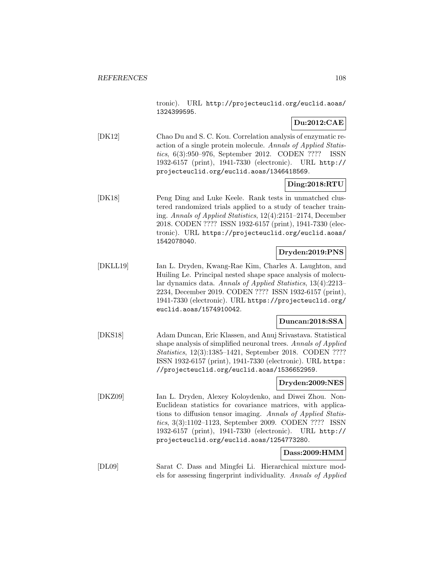tronic). URL http://projecteuclid.org/euclid.aoas/ 1324399595.

# **Du:2012:CAE**

[DK12] Chao Du and S. C. Kou. Correlation analysis of enzymatic reaction of a single protein molecule. Annals of Applied Statistics, 6(3):950–976, September 2012. CODEN ???? ISSN 1932-6157 (print), 1941-7330 (electronic). URL http:// projecteuclid.org/euclid.aoas/1346418569.

# **Ding:2018:RTU**

[DK18] Peng Ding and Luke Keele. Rank tests in unmatched clustered randomized trials applied to a study of teacher training. Annals of Applied Statistics, 12(4):2151–2174, December 2018. CODEN ???? ISSN 1932-6157 (print), 1941-7330 (electronic). URL https://projecteuclid.org/euclid.aoas/ 1542078040.

## **Dryden:2019:PNS**

[DKLL19] Ian L. Dryden, Kwang-Rae Kim, Charles A. Laughton, and Huiling Le. Principal nested shape space analysis of molecular dynamics data. Annals of Applied Statistics, 13(4):2213– 2234, December 2019. CODEN ???? ISSN 1932-6157 (print), 1941-7330 (electronic). URL https://projecteuclid.org/ euclid.aoas/1574910042.

# **Duncan:2018:SSA**

[DKS18] Adam Duncan, Eric Klassen, and Anuj Srivastava. Statistical shape analysis of simplified neuronal trees. Annals of Applied Statistics, 12(3):1385–1421, September 2018. CODEN ???? ISSN 1932-6157 (print), 1941-7330 (electronic). URL https: //projecteuclid.org/euclid.aoas/1536652959.

## **Dryden:2009:NES**

[DKZ09] Ian L. Dryden, Alexey Koloydenko, and Diwei Zhou. Non-Euclidean statistics for covariance matrices, with applications to diffusion tensor imaging. Annals of Applied Statistics, 3(3):1102–1123, September 2009. CODEN ???? ISSN 1932-6157 (print), 1941-7330 (electronic). URL http:// projecteuclid.org/euclid.aoas/1254773280.

## **Dass:2009:HMM**

[DL09] Sarat C. Dass and Mingfei Li. Hierarchical mixture models for assessing fingerprint individuality. Annals of Applied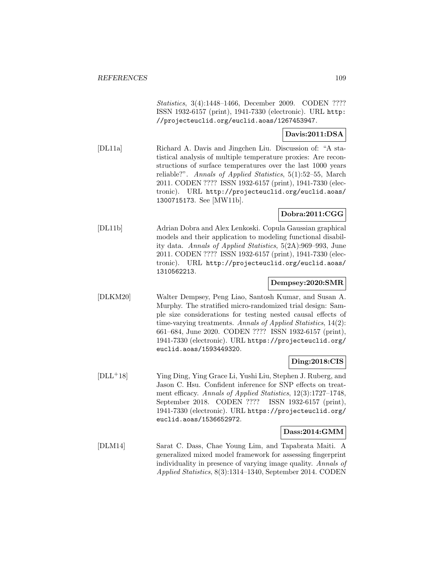Statistics, 3(4):1448–1466, December 2009. CODEN ???? ISSN 1932-6157 (print), 1941-7330 (electronic). URL http: //projecteuclid.org/euclid.aoas/1267453947.

### **Davis:2011:DSA**

[DL11a] Richard A. Davis and Jingchen Liu. Discussion of: "A statistical analysis of multiple temperature proxies: Are reconstructions of surface temperatures over the last 1000 years reliable?". Annals of Applied Statistics, 5(1):52–55, March 2011. CODEN ???? ISSN 1932-6157 (print), 1941-7330 (electronic). URL http://projecteuclid.org/euclid.aoas/ 1300715173. See [MW11b].

# **Dobra:2011:CGG**

[DL11b] Adrian Dobra and Alex Lenkoski. Copula Gaussian graphical models and their application to modeling functional disability data. Annals of Applied Statistics, 5(2A):969–993, June 2011. CODEN ???? ISSN 1932-6157 (print), 1941-7330 (electronic). URL http://projecteuclid.org/euclid.aoas/ 1310562213.

### **Dempsey:2020:SMR**

[DLKM20] Walter Dempsey, Peng Liao, Santosh Kumar, and Susan A. Murphy. The stratified micro-randomized trial design: Sample size considerations for testing nested causal effects of time-varying treatments. Annals of Applied Statistics, 14(2): 661–684, June 2020. CODEN ???? ISSN 1932-6157 (print), 1941-7330 (electronic). URL https://projecteuclid.org/ euclid.aoas/1593449320.

### **Ding:2018:CIS**

[DLL<sup>+</sup>18] Ying Ding, Ying Grace Li, Yushi Liu, Stephen J. Ruberg, and Jason C. Hsu. Confident inference for SNP effects on treatment efficacy. Annals of Applied Statistics, 12(3):1727–1748, September 2018. CODEN ???? ISSN 1932-6157 (print), 1941-7330 (electronic). URL https://projecteuclid.org/ euclid.aoas/1536652972.

#### **Dass:2014:GMM**

[DLM14] Sarat C. Dass, Chae Young Lim, and Tapabrata Maiti. A generalized mixed model framework for assessing fingerprint individuality in presence of varying image quality. Annals of Applied Statistics, 8(3):1314–1340, September 2014. CODEN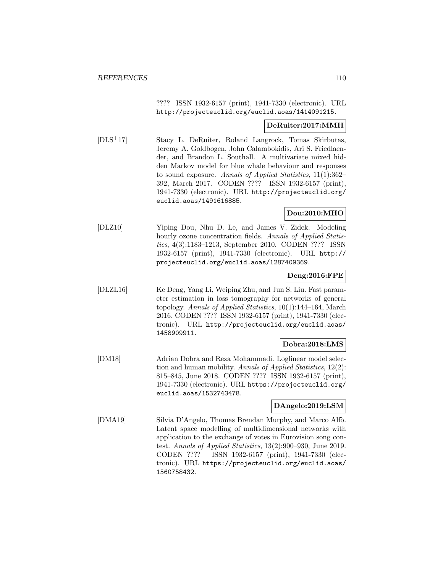???? ISSN 1932-6157 (print), 1941-7330 (electronic). URL http://projecteuclid.org/euclid.aoas/1414091215.

#### **DeRuiter:2017:MMH**

[DLS<sup>+</sup>17] Stacy L. DeRuiter, Roland Langrock, Tomas Skirbutas, Jeremy A. Goldbogen, John Calambokidis, Ari S. Friedlaender, and Brandon L. Southall. A multivariate mixed hidden Markov model for blue whale behaviour and responses to sound exposure. Annals of Applied Statistics, 11(1):362– 392, March 2017. CODEN ???? ISSN 1932-6157 (print), 1941-7330 (electronic). URL http://projecteuclid.org/ euclid.aoas/1491616885.

### **Dou:2010:MHO**

[DLZ10] Yiping Dou, Nhu D. Le, and James V. Zidek. Modeling hourly ozone concentration fields. Annals of Applied Statistics, 4(3):1183–1213, September 2010. CODEN ???? ISSN 1932-6157 (print), 1941-7330 (electronic). URL http:// projecteuclid.org/euclid.aoas/1287409369.

### **Deng:2016:FPE**

[DLZL16] Ke Deng, Yang Li, Weiping Zhu, and Jun S. Liu. Fast parameter estimation in loss tomography for networks of general topology. Annals of Applied Statistics, 10(1):144–164, March 2016. CODEN ???? ISSN 1932-6157 (print), 1941-7330 (electronic). URL http://projecteuclid.org/euclid.aoas/ 1458909911.

### **Dobra:2018:LMS**

[DM18] Adrian Dobra and Reza Mohammadi. Loglinear model selection and human mobility. Annals of Applied Statistics, 12(2): 815–845, June 2018. CODEN ???? ISSN 1932-6157 (print), 1941-7330 (electronic). URL https://projecteuclid.org/ euclid.aoas/1532743478.

### **DAngelo:2019:LSM**

[DMA19] Silvia D'Angelo, Thomas Brendan Murphy, and Marco Alfò. Latent space modelling of multidimensional networks with application to the exchange of votes in Eurovision song contest. Annals of Applied Statistics, 13(2):900–930, June 2019. CODEN ???? ISSN 1932-6157 (print), 1941-7330 (electronic). URL https://projecteuclid.org/euclid.aoas/ 1560758432.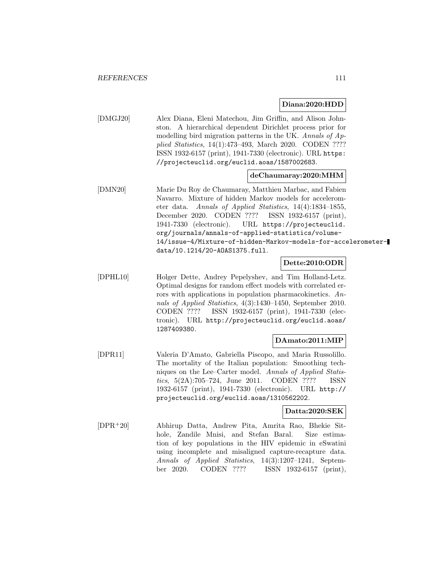#### **Diana:2020:HDD**

[DMGJ20] Alex Diana, Eleni Matechou, Jim Griffin, and Alison Johnston. A hierarchical dependent Dirichlet process prior for modelling bird migration patterns in the UK. Annals of Applied Statistics, 14(1):473–493, March 2020. CODEN ???? ISSN 1932-6157 (print), 1941-7330 (electronic). URL https: //projecteuclid.org/euclid.aoas/1587002683.

#### **deChaumaray:2020:MHM**

[DMN20] Marie Du Roy de Chaumaray, Matthieu Marbac, and Fabien Navarro. Mixture of hidden Markov models for accelerometer data. Annals of Applied Statistics, 14(4):1834–1855, December 2020. CODEN ???? ISSN 1932-6157 (print), 1941-7330 (electronic). URL https://projecteuclid. org/journals/annals-of-applied-statistics/volume-14/issue-4/Mixture-of-hidden-Markov-models-for-accelerometerdata/10.1214/20-AOAS1375.full.

### **Dette:2010:ODR**

[DPHL10] Holger Dette, Andrey Pepelyshev, and Tim Holland-Letz. Optimal designs for random effect models with correlated errors with applications in population pharmacokinetics. Annals of Applied Statistics, 4(3):1430–1450, September 2010. CODEN ???? ISSN 1932-6157 (print), 1941-7330 (electronic). URL http://projecteuclid.org/euclid.aoas/ 1287409380.

### **DAmato:2011:MIP**

[DPR11] Valeria D'Amato, Gabriella Piscopo, and Maria Russolillo. The mortality of the Italian population: Smoothing techniques on the Lee–Carter model. Annals of Applied Statistics, 5(2A):705–724, June 2011. CODEN ???? ISSN 1932-6157 (print), 1941-7330 (electronic). URL http:// projecteuclid.org/euclid.aoas/1310562202.

### **Datta:2020:SEK**

[DPR<sup>+</sup>20] Abhirup Datta, Andrew Pita, Amrita Rao, Bhekie Sithole, Zandile Mnisi, and Stefan Baral. Size estimation of key populations in the HIV epidemic in eSwatini using incomplete and misaligned capture-recapture data. Annals of Applied Statistics, 14(3):1207–1241, September 2020. CODEN ???? ISSN 1932-6157 (print),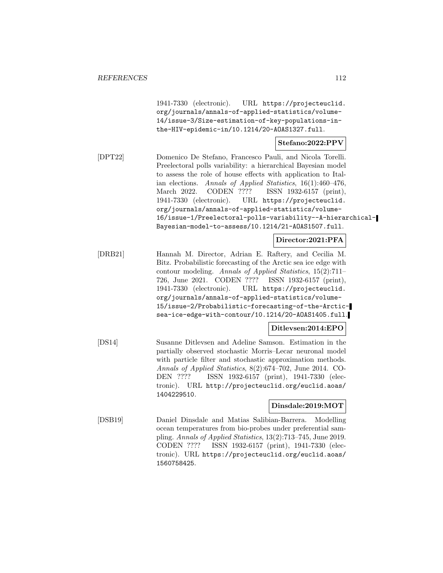1941-7330 (electronic). URL https://projecteuclid. org/journals/annals-of-applied-statistics/volume-14/issue-3/Size-estimation-of-key-populations-inthe-HIV-epidemic-in/10.1214/20-AOAS1327.full.

### **Stefano:2022:PPV**

[DPT22] Domenico De Stefano, Francesco Pauli, and Nicola Torelli. Preelectoral polls variability: a hierarchical Bayesian model to assess the role of house effects with application to Italian elections. Annals of Applied Statistics, 16(1):460–476, March 2022. CODEN ???? ISSN 1932-6157 (print), 1941-7330 (electronic). URL https://projecteuclid. org/journals/annals-of-applied-statistics/volume-16/issue-1/Preelectoral-polls-variability--A-hierarchical-Bayesian-model-to-assess/10.1214/21-AOAS1507.full.

**Director:2021:PFA**

[DRB21] Hannah M. Director, Adrian E. Raftery, and Cecilia M. Bitz. Probabilistic forecasting of the Arctic sea ice edge with contour modeling. Annals of Applied Statistics, 15(2):711– 726, June 2021. CODEN ???? ISSN 1932-6157 (print), 1941-7330 (electronic). URL https://projecteuclid. org/journals/annals-of-applied-statistics/volume-15/issue-2/Probabilistic-forecasting-of-the-Arcticsea-ice-edge-with-contour/10.1214/20-AOAS1405.full.

**Ditlevsen:2014:EPO**

[DS14] Susanne Ditlevsen and Adeline Samson. Estimation in the partially observed stochastic Morris–Lecar neuronal model with particle filter and stochastic approximation methods. Annals of Applied Statistics, 8(2):674–702, June 2014. CO-DEN ???? ISSN 1932-6157 (print), 1941-7330 (electronic). URL http://projecteuclid.org/euclid.aoas/ 1404229510.

### **Dinsdale:2019:MOT**

[DSB19] Daniel Dinsdale and Matias Salibian-Barrera. Modelling ocean temperatures from bio-probes under preferential sampling. Annals of Applied Statistics, 13(2):713–745, June 2019. CODEN ???? ISSN 1932-6157 (print), 1941-7330 (electronic). URL https://projecteuclid.org/euclid.aoas/ 1560758425.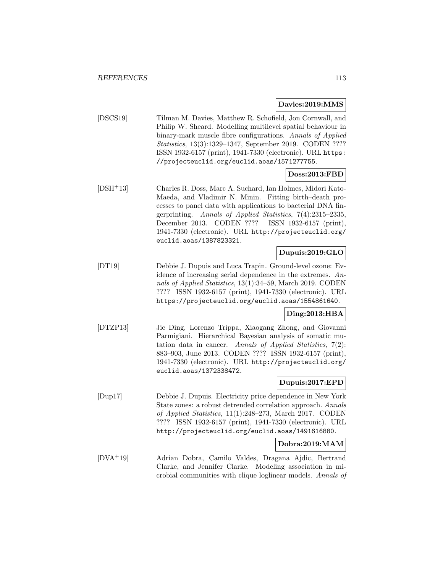#### **Davies:2019:MMS**

[DSCS19] Tilman M. Davies, Matthew R. Schofield, Jon Cornwall, and Philip W. Sheard. Modelling multilevel spatial behaviour in binary-mark muscle fibre configurations. Annals of Applied Statistics, 13(3):1329–1347, September 2019. CODEN ???? ISSN 1932-6157 (print), 1941-7330 (electronic). URL https: //projecteuclid.org/euclid.aoas/1571277755.

### **Doss:2013:FBD**

[DSH<sup>+</sup>13] Charles R. Doss, Marc A. Suchard, Ian Holmes, Midori Kato-Maeda, and Vladimir N. Minin. Fitting birth–death processes to panel data with applications to bacterial DNA fingerprinting. Annals of Applied Statistics, 7(4):2315–2335, December 2013. CODEN ???? ISSN 1932-6157 (print), 1941-7330 (electronic). URL http://projecteuclid.org/ euclid.aoas/1387823321.

### **Dupuis:2019:GLO**

[DT19] Debbie J. Dupuis and Luca Trapin. Ground-level ozone: Evidence of increasing serial dependence in the extremes. Annals of Applied Statistics, 13(1):34–59, March 2019. CODEN ???? ISSN 1932-6157 (print), 1941-7330 (electronic). URL https://projecteuclid.org/euclid.aoas/1554861640.

### **Ding:2013:HBA**

[DTZP13] Jie Ding, Lorenzo Trippa, Xiaogang Zhong, and Giovanni Parmigiani. Hierarchical Bayesian analysis of somatic mutation data in cancer. Annals of Applied Statistics, 7(2): 883–903, June 2013. CODEN ???? ISSN 1932-6157 (print), 1941-7330 (electronic). URL http://projecteuclid.org/ euclid.aoas/1372338472.

### **Dupuis:2017:EPD**

[Dup17] Debbie J. Dupuis. Electricity price dependence in New York State zones: a robust detrended correlation approach. Annals of Applied Statistics, 11(1):248–273, March 2017. CODEN ???? ISSN 1932-6157 (print), 1941-7330 (electronic). URL http://projecteuclid.org/euclid.aoas/1491616880.

### **Dobra:2019:MAM**

[DVA<sup>+</sup>19] Adrian Dobra, Camilo Valdes, Dragana Ajdic, Bertrand Clarke, and Jennifer Clarke. Modeling association in microbial communities with clique loglinear models. Annals of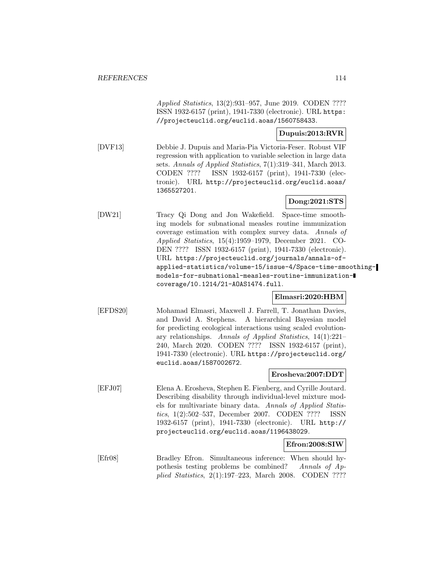Applied Statistics, 13(2):931–957, June 2019. CODEN ???? ISSN 1932-6157 (print), 1941-7330 (electronic). URL https: //projecteuclid.org/euclid.aoas/1560758433.

### **Dupuis:2013:RVR**

[DVF13] Debbie J. Dupuis and Maria-Pia Victoria-Feser. Robust VIF regression with application to variable selection in large data sets. Annals of Applied Statistics, 7(1):319–341, March 2013. CODEN ???? ISSN 1932-6157 (print), 1941-7330 (electronic). URL http://projecteuclid.org/euclid.aoas/ 1365527201.

# **Dong:2021:STS**

[DW21] Tracy Qi Dong and Jon Wakefield. Space-time smoothing models for subnational measles routine immunization coverage estimation with complex survey data. Annals of Applied Statistics, 15(4):1959–1979, December 2021. CO-DEN ???? ISSN 1932-6157 (print), 1941-7330 (electronic). URL https://projecteuclid.org/journals/annals-ofapplied-statistics/volume-15/issue-4/Space-time-smoothingmodels-for-subnational-measles-routine-immunizationcoverage/10.1214/21-AOAS1474.full.

### **Elmasri:2020:HBM**

[EFDS20] Mohamad Elmasri, Maxwell J. Farrell, T. Jonathan Davies, and David A. Stephens. A hierarchical Bayesian model for predicting ecological interactions using scaled evolutionary relationships. Annals of Applied Statistics, 14(1):221– 240, March 2020. CODEN ???? ISSN 1932-6157 (print), 1941-7330 (electronic). URL https://projecteuclid.org/ euclid.aoas/1587002672.

### **Erosheva:2007:DDT**

[EFJ07] Elena A. Erosheva, Stephen E. Fienberg, and Cyrille Joutard. Describing disability through individual-level mixture models for multivariate binary data. Annals of Applied Statistics, 1(2):502–537, December 2007. CODEN ???? ISSN 1932-6157 (print), 1941-7330 (electronic). URL http:// projecteuclid.org/euclid.aoas/1196438029.

### **Efron:2008:SIW**

[Efr08] Bradley Efron. Simultaneous inference: When should hypothesis testing problems be combined? Annals of Applied Statistics, 2(1):197–223, March 2008. CODEN ????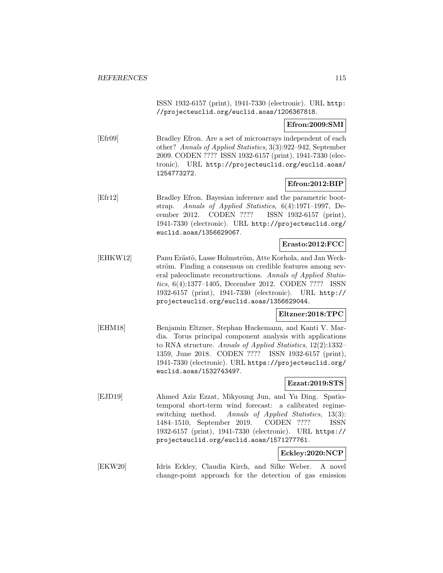ISSN 1932-6157 (print), 1941-7330 (electronic). URL http: //projecteuclid.org/euclid.aoas/1206367818.

#### **Efron:2009:SMI**

[Efr09] Bradley Efron. Are a set of microarrays independent of each other? Annals of Applied Statistics, 3(3):922–942, September 2009. CODEN ???? ISSN 1932-6157 (print), 1941-7330 (electronic). URL http://projecteuclid.org/euclid.aoas/ 1254773272.

### **Efron:2012:BIP**

[Efr12] Bradley Efron. Bayesian inference and the parametric bootstrap. Annals of Applied Statistics, 6(4):1971–1997, December 2012. CODEN ???? ISSN 1932-6157 (print), 1941-7330 (electronic). URL http://projecteuclid.org/ euclid.aoas/1356629067.

### **Erasto:2012:FCC**

[EHKW12] Panu Erästö, Lasse Holmström, Atte Korhola, and Jan Weckström. Finding a consensus on credible features among several paleoclimate reconstructions. Annals of Applied Statistics, 6(4):1377–1405, December 2012. CODEN ???? ISSN 1932-6157 (print), 1941-7330 (electronic). URL http:// projecteuclid.org/euclid.aoas/1356629044.

### **Eltzner:2018:TPC**

[EHM18] Benjamin Eltzner, Stephan Huckemann, and Kanti V. Mardia. Torus principal component analysis with applications to RNA structure. Annals of Applied Statistics, 12(2):1332– 1359, June 2018. CODEN ???? ISSN 1932-6157 (print), 1941-7330 (electronic). URL https://projecteuclid.org/ euclid.aoas/1532743497.

### **Ezzat:2019:STS**

[EJD19] Ahmed Aziz Ezzat, Mikyoung Jun, and Yu Ding. Spatiotemporal short-term wind forecast: a calibrated regimeswitching method. Annals of Applied Statistics, 13(3): 1484–1510, September 2019. CODEN ???? ISSN 1932-6157 (print), 1941-7330 (electronic). URL https:// projecteuclid.org/euclid.aoas/1571277761.

### **Eckley:2020:NCP**

[EKW20] Idris Eckley, Claudia Kirch, and Silke Weber. A novel change-point approach for the detection of gas emission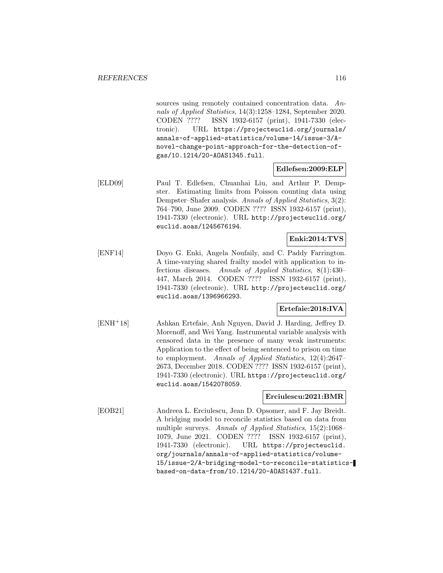sources using remotely contained concentration data. Annals of Applied Statistics, 14(3):1258–1284, September 2020. CODEN ???? ISSN 1932-6157 (print), 1941-7330 (electronic). URL https://projecteuclid.org/journals/ annals-of-applied-statistics/volume-14/issue-3/Anovel-change-point-approach-for-the-detection-ofgas/10.1214/20-AOAS1345.full.

### **Edlefsen:2009:ELP**

[ELD09] Paul T. Edlefsen, Chuanhai Liu, and Arthur P. Dempster. Estimating limits from Poisson counting data using Dempster–Shafer analysis. Annals of Applied Statistics, 3(2): 764–790, June 2009. CODEN ???? ISSN 1932-6157 (print), 1941-7330 (electronic). URL http://projecteuclid.org/ euclid.aoas/1245676194.

### **Enki:2014:TVS**

[ENF14] Doyo G. Enki, Angela Noufaily, and C. Paddy Farrington. A time-varying shared frailty model with application to infectious diseases. Annals of Applied Statistics, 8(1):430– 447, March 2014. CODEN ???? ISSN 1932-6157 (print), 1941-7330 (electronic). URL http://projecteuclid.org/ euclid.aoas/1396966293.

#### **Ertefaie:2018:IVA**

[ENH<sup>+</sup>18] Ashkan Ertefaie, Anh Nguyen, David J. Harding, Jeffrey D. Morenoff, and Wei Yang. Instrumental variable analysis with censored data in the presence of many weak instruments: Application to the effect of being sentenced to prison on time to employment. Annals of Applied Statistics, 12(4):2647– 2673, December 2018. CODEN ???? ISSN 1932-6157 (print), 1941-7330 (electronic). URL https://projecteuclid.org/ euclid.aoas/1542078059.

### **Erciulescu:2021:BMR**

[EOB21] Andreea L. Erciulescu, Jean D. Opsomer, and F. Jay Breidt. A bridging model to reconcile statistics based on data from multiple surveys. Annals of Applied Statistics, 15(2):1068– 1079, June 2021. CODEN ???? ISSN 1932-6157 (print), 1941-7330 (electronic). URL https://projecteuclid. org/journals/annals-of-applied-statistics/volume-15/issue-2/A-bridging-model-to-reconcile-statisticsbased-on-data-from/10.1214/20-AOAS1437.full.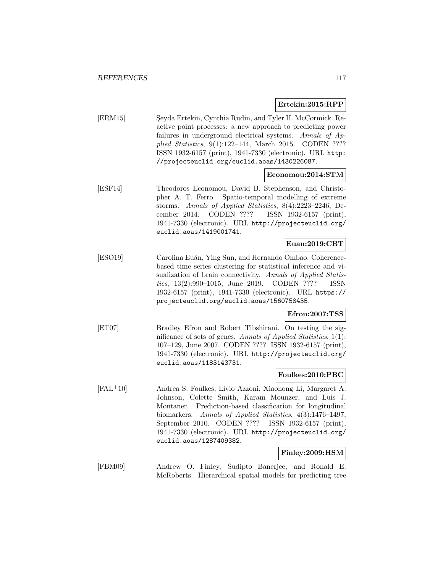### **Ertekin:2015:RPP**

[ERM15] Seyda Ertekin, Cynthia Rudin, and Tyler H. McCormick. Reactive point processes: a new approach to predicting power failures in underground electrical systems. Annals of Applied Statistics, 9(1):122–144, March 2015. CODEN ???? ISSN 1932-6157 (print), 1941-7330 (electronic). URL http: //projecteuclid.org/euclid.aoas/1430226087.

### **Economou:2014:STM**

[ESF14] Theodoros Economou, David B. Stephenson, and Christopher A. T. Ferro. Spatio-temporal modelling of extreme storms. Annals of Applied Statistics, 8(4):2223–2246, December 2014. CODEN ???? ISSN 1932-6157 (print), 1941-7330 (electronic). URL http://projecteuclid.org/ euclid.aoas/1419001741.

### **Euan:2019:CBT**

[ESO19] Carolina Euán, Ying Sun, and Hernando Ombao. Coherencebased time series clustering for statistical inference and visualization of brain connectivity. Annals of Applied Statistics, 13(2):990–1015, June 2019. CODEN ???? ISSN 1932-6157 (print), 1941-7330 (electronic). URL https:// projecteuclid.org/euclid.aoas/1560758435.

### **Efron:2007:TSS**

[ET07] Bradley Efron and Robert Tibshirani. On testing the significance of sets of genes. Annals of Applied Statistics,  $1(1)$ : 107–129, June 2007. CODEN ???? ISSN 1932-6157 (print), 1941-7330 (electronic). URL http://projecteuclid.org/ euclid.aoas/1183143731.

#### **Foulkes:2010:PBC**

[FAL<sup>+</sup>10] Andrea S. Foulkes, Livio Azzoni, Xiaohong Li, Margaret A. Johnson, Colette Smith, Karam Mounzer, and Luis J. Montaner. Prediction-based classification for longitudinal biomarkers. Annals of Applied Statistics, 4(3):1476–1497, September 2010. CODEN ???? ISSN 1932-6157 (print), 1941-7330 (electronic). URL http://projecteuclid.org/ euclid.aoas/1287409382.

### **Finley:2009:HSM**

[FBM09] Andrew O. Finley, Sudipto Banerjee, and Ronald E. McRoberts. Hierarchical spatial models for predicting tree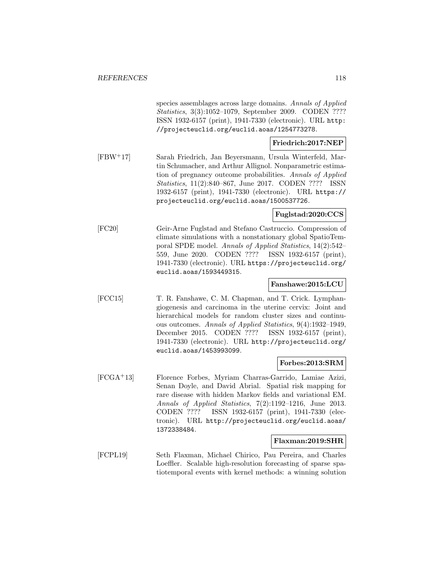species assemblages across large domains. Annals of Applied Statistics, 3(3):1052–1079, September 2009. CODEN ???? ISSN 1932-6157 (print), 1941-7330 (electronic). URL http: //projecteuclid.org/euclid.aoas/1254773278.

### **Friedrich:2017:NEP**

[FBW<sup>+</sup>17] Sarah Friedrich, Jan Beyersmann, Ursula Winterfeld, Martin Schumacher, and Arthur Allignol. Nonparametric estimation of pregnancy outcome probabilities. Annals of Applied Statistics, 11(2):840–867, June 2017. CODEN ???? ISSN 1932-6157 (print), 1941-7330 (electronic). URL https:// projecteuclid.org/euclid.aoas/1500537726.

### **Fuglstad:2020:CCS**

[FC20] Geir-Arne Fuglstad and Stefano Castruccio. Compression of climate simulations with a nonstationary global SpatioTemporal SPDE model. Annals of Applied Statistics, 14(2):542– 559, June 2020. CODEN ???? ISSN 1932-6157 (print), 1941-7330 (electronic). URL https://projecteuclid.org/ euclid.aoas/1593449315.

### **Fanshawe:2015:LCU**

[FCC15] T. R. Fanshawe, C. M. Chapman, and T. Crick. Lymphangiogenesis and carcinoma in the uterine cervix: Joint and hierarchical models for random cluster sizes and continuous outcomes. Annals of Applied Statistics, 9(4):1932–1949, December 2015. CODEN ???? ISSN 1932-6157 (print), 1941-7330 (electronic). URL http://projecteuclid.org/ euclid.aoas/1453993099.

### **Forbes:2013:SRM**

[FCGA<sup>+</sup>13] Florence Forbes, Myriam Charras-Garrido, Lamiae Azizi, Senan Doyle, and David Abrial. Spatial risk mapping for rare disease with hidden Markov fields and variational EM. Annals of Applied Statistics, 7(2):1192–1216, June 2013. CODEN ???? ISSN 1932-6157 (print), 1941-7330 (electronic). URL http://projecteuclid.org/euclid.aoas/ 1372338484.

### **Flaxman:2019:SHR**

[FCPL19] Seth Flaxman, Michael Chirico, Pau Pereira, and Charles Loeffler. Scalable high-resolution forecasting of sparse spatiotemporal events with kernel methods: a winning solution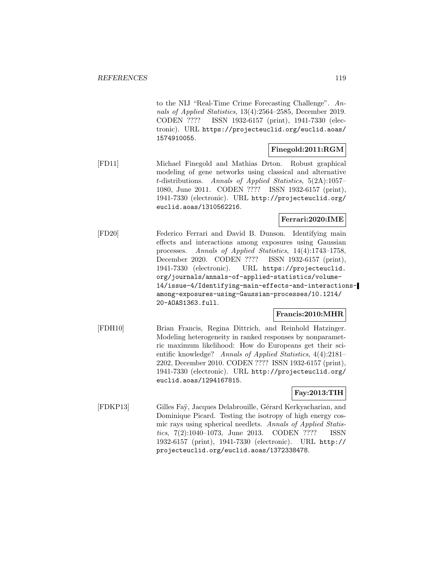to the NIJ "Real-Time Crime Forecasting Challenge". Annals of Applied Statistics, 13(4):2564–2585, December 2019. CODEN ???? ISSN 1932-6157 (print), 1941-7330 (electronic). URL https://projecteuclid.org/euclid.aoas/ 1574910055.

### **Finegold:2011:RGM**

[FD11] Michael Finegold and Mathias Drton. Robust graphical modeling of gene networks using classical and alternative t-distributions. Annals of Applied Statistics, 5(2A):1057– 1080, June 2011. CODEN ???? ISSN 1932-6157 (print), 1941-7330 (electronic). URL http://projecteuclid.org/ euclid.aoas/1310562216.

### **Ferrari:2020:IME**

[FD20] Federico Ferrari and David B. Dunson. Identifying main effects and interactions among exposures using Gaussian processes. Annals of Applied Statistics, 14(4):1743–1758, December 2020. CODEN ???? ISSN 1932-6157 (print), 1941-7330 (electronic). URL https://projecteuclid. org/journals/annals-of-applied-statistics/volume-14/issue-4/Identifying-main-effects-and-interactionsamong-exposures-using-Gaussian-processes/10.1214/ 20-AOAS1363.full.

### **Francis:2010:MHR**

[FDH10] Brian Francis, Regina Dittrich, and Reinhold Hatzinger. Modeling heterogeneity in ranked responses by nonparametric maximum likelihood: How do Europeans get their scientific knowledge? Annals of Applied Statistics, 4(4):2181– 2202, December 2010. CODEN ???? ISSN 1932-6157 (print), 1941-7330 (electronic). URL http://projecteuclid.org/ euclid.aoas/1294167815.

# **Fay:2013:TIH**

[FDKP13] Gilles Faÿ, Jacques Delabrouille, Gérard Kerkyacharian, and Dominique Picard. Testing the isotropy of high energy cosmic rays using spherical needlets. Annals of Applied Statistics, 7(2):1040–1073, June 2013. CODEN ???? ISSN 1932-6157 (print), 1941-7330 (electronic). URL http:// projecteuclid.org/euclid.aoas/1372338478.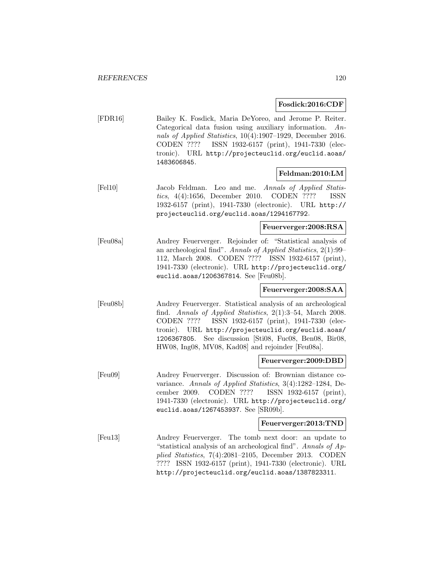#### **Fosdick:2016:CDF**

[FDR16] Bailey K. Fosdick, Maria DeYoreo, and Jerome P. Reiter. Categorical data fusion using auxiliary information. Annals of Applied Statistics, 10(4):1907–1929, December 2016. CODEN ???? ISSN 1932-6157 (print), 1941-7330 (electronic). URL http://projecteuclid.org/euclid.aoas/ 1483606845.

### **Feldman:2010:LM**

[Fel10] Jacob Feldman. Leo and me. Annals of Applied Statistics, 4(4):1656, December 2010. CODEN ???? ISSN 1932-6157 (print), 1941-7330 (electronic). URL http:// projecteuclid.org/euclid.aoas/1294167792.

### **Feuerverger:2008:RSA**

[Feu08a] Andrey Feuerverger. Rejoinder of: "Statistical analysis of an archeological find". Annals of Applied Statistics, 2(1):99– 112, March 2008. CODEN ???? ISSN 1932-6157 (print), 1941-7330 (electronic). URL http://projecteuclid.org/ euclid.aoas/1206367814. See [Feu08b].

### **Feuerverger:2008:SAA**

[Feu08b] Andrey Feuerverger. Statistical analysis of an archeological find. Annals of Applied Statistics, 2(1):3–54, March 2008. CODEN ???? ISSN 1932-6157 (print), 1941-7330 (electronic). URL http://projecteuclid.org/euclid.aoas/ 1206367805. See discussion [Sti08, Fuc08, Ben08, Bir08, HW08, Ing08, MV08, Kad08] and rejoinder [Feu08a].

#### **Feuerverger:2009:DBD**

[Feu09] Andrey Feuerverger. Discussion of: Brownian distance covariance. Annals of Applied Statistics, 3(4):1282–1284, December 2009. CODEN ???? ISSN 1932-6157 (print), 1941-7330 (electronic). URL http://projecteuclid.org/ euclid.aoas/1267453937. See [SR09b].

#### **Feuerverger:2013:TND**

[Feu13] Andrey Feuerverger. The tomb next door: an update to "statistical analysis of an archeological find". Annals of Applied Statistics, 7(4):2081–2105, December 2013. CODEN ???? ISSN 1932-6157 (print), 1941-7330 (electronic). URL http://projecteuclid.org/euclid.aoas/1387823311.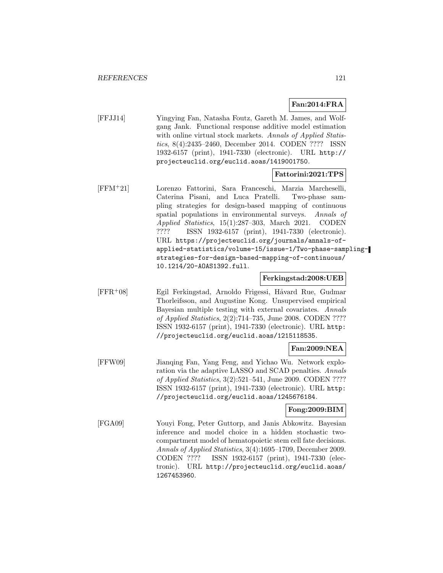# **Fan:2014:FRA**

[FFJJ14] Yingying Fan, Natasha Foutz, Gareth M. James, and Wolfgang Jank. Functional response additive model estimation with online virtual stock markets. Annals of Applied Statistics, 8(4):2435–2460, December 2014. CODEN ???? ISSN 1932-6157 (print), 1941-7330 (electronic). URL http:// projecteuclid.org/euclid.aoas/1419001750.

### **Fattorini:2021:TPS**

[FFM<sup>+</sup>21] Lorenzo Fattorini, Sara Franceschi, Marzia Marcheselli, Caterina Pisani, and Luca Pratelli. Two-phase sampling strategies for design-based mapping of continuous spatial populations in environmental surveys. Annals of Applied Statistics, 15(1):287–303, March 2021. CODEN ???? ISSN 1932-6157 (print), 1941-7330 (electronic). URL https://projecteuclid.org/journals/annals-ofapplied-statistics/volume-15/issue-1/Two-phase-samplingstrategies-for-design-based-mapping-of-continuous/ 10.1214/20-AOAS1392.full.

### **Ferkingstad:2008:UEB**

[FFR+08] Egil Ferkingstad, Arnoldo Frigessi, Håvard Rue, Gudmar Thorleifsson, and Augustine Kong. Unsupervised empirical Bayesian multiple testing with external covariates. Annals of Applied Statistics, 2(2):714–735, June 2008. CODEN ???? ISSN 1932-6157 (print), 1941-7330 (electronic). URL http: //projecteuclid.org/euclid.aoas/1215118535.

### **Fan:2009:NEA**

[FFW09] Jianqing Fan, Yang Feng, and Yichao Wu. Network exploration via the adaptive LASSO and SCAD penalties. Annals of Applied Statistics, 3(2):521–541, June 2009. CODEN ???? ISSN 1932-6157 (print), 1941-7330 (electronic). URL http: //projecteuclid.org/euclid.aoas/1245676184.

### **Fong:2009:BIM**

[FGA09] Youyi Fong, Peter Guttorp, and Janis Abkowitz. Bayesian inference and model choice in a hidden stochastic twocompartment model of hematopoietic stem cell fate decisions. Annals of Applied Statistics, 3(4):1695–1709, December 2009. CODEN ???? ISSN 1932-6157 (print), 1941-7330 (electronic). URL http://projecteuclid.org/euclid.aoas/ 1267453960.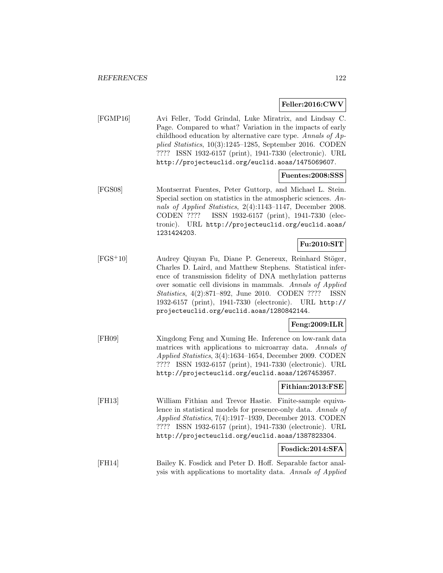### **Feller:2016:CWV**

[FGMP16] Avi Feller, Todd Grindal, Luke Miratrix, and Lindsay C. Page. Compared to what? Variation in the impacts of early childhood education by alternative care type. Annals of Applied Statistics, 10(3):1245–1285, September 2016. CODEN ???? ISSN 1932-6157 (print), 1941-7330 (electronic). URL http://projecteuclid.org/euclid.aoas/1475069607.

### **Fuentes:2008:SSS**

[FGS08] Montserrat Fuentes, Peter Guttorp, and Michael L. Stein. Special section on statistics in the atmospheric sciences. Annals of Applied Statistics, 2(4):1143–1147, December 2008. CODEN ???? ISSN 1932-6157 (print), 1941-7330 (electronic). URL http://projecteuclid.org/euclid.aoas/ 1231424203.

### **Fu:2010:SIT**

[FGS<sup>+</sup>10] Audrey Qiuyan Fu, Diane P. Genereux, Reinhard Stöger, Charles D. Laird, and Matthew Stephens. Statistical inference of transmission fidelity of DNA methylation patterns over somatic cell divisions in mammals. Annals of Applied Statistics, 4(2):871–892, June 2010. CODEN ???? ISSN 1932-6157 (print), 1941-7330 (electronic). URL http:// projecteuclid.org/euclid.aoas/1280842144.

### **Feng:2009:ILR**

[FH09] Xingdong Feng and Xuming He. Inference on low-rank data matrices with applications to microarray data. Annals of Applied Statistics, 3(4):1634–1654, December 2009. CODEN ???? ISSN 1932-6157 (print), 1941-7330 (electronic). URL http://projecteuclid.org/euclid.aoas/1267453957.

### **Fithian:2013:FSE**

[FH13] William Fithian and Trevor Hastie. Finite-sample equivalence in statistical models for presence-only data. Annals of Applied Statistics, 7(4):1917–1939, December 2013. CODEN ???? ISSN 1932-6157 (print), 1941-7330 (electronic). URL http://projecteuclid.org/euclid.aoas/1387823304.

#### **Fosdick:2014:SFA**

[FH14] Bailey K. Fosdick and Peter D. Hoff. Separable factor analysis with applications to mortality data. Annals of Applied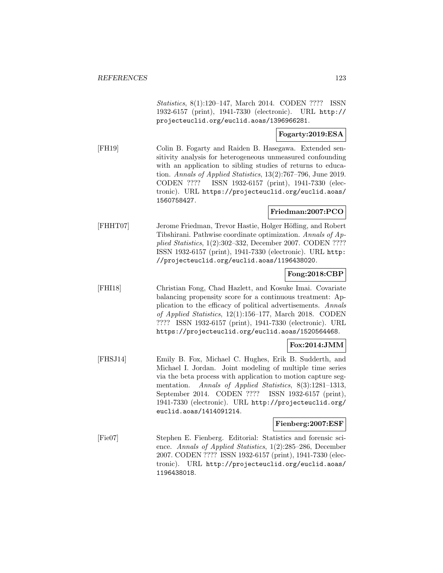Statistics, 8(1):120–147, March 2014. CODEN ???? ISSN 1932-6157 (print), 1941-7330 (electronic). URL http:// projecteuclid.org/euclid.aoas/1396966281.

### **Fogarty:2019:ESA**

[FH19] Colin B. Fogarty and Raiden B. Hasegawa. Extended sensitivity analysis for heterogeneous unmeasured confounding with an application to sibling studies of returns to education. Annals of Applied Statistics, 13(2):767–796, June 2019. CODEN ???? ISSN 1932-6157 (print), 1941-7330 (electronic). URL https://projecteuclid.org/euclid.aoas/ 1560758427.

#### **Friedman:2007:PCO**

[FHHT07] Jerome Friedman, Trevor Hastie, Holger Höfling, and Robert Tibshirani. Pathwise coordinate optimization. Annals of Applied Statistics, 1(2):302–332, December 2007. CODEN ???? ISSN 1932-6157 (print), 1941-7330 (electronic). URL http: //projecteuclid.org/euclid.aoas/1196438020.

### **Fong:2018:CBP**

[FHI18] Christian Fong, Chad Hazlett, and Kosuke Imai. Covariate balancing propensity score for a continuous treatment: Application to the efficacy of political advertisements. Annals of Applied Statistics, 12(1):156–177, March 2018. CODEN ???? ISSN 1932-6157 (print), 1941-7330 (electronic). URL https://projecteuclid.org/euclid.aoas/1520564468.

### **Fox:2014:JMM**

[FHSJ14] Emily B. Fox, Michael C. Hughes, Erik B. Sudderth, and Michael I. Jordan. Joint modeling of multiple time series via the beta process with application to motion capture segmentation. Annals of Applied Statistics, 8(3):1281-1313, September 2014. CODEN ???? ISSN 1932-6157 (print), 1941-7330 (electronic). URL http://projecteuclid.org/ euclid.aoas/1414091214.

### **Fienberg:2007:ESF**

[Fie07] Stephen E. Fienberg. Editorial: Statistics and forensic science. Annals of Applied Statistics, 1(2):285–286, December 2007. CODEN ???? ISSN 1932-6157 (print), 1941-7330 (electronic). URL http://projecteuclid.org/euclid.aoas/ 1196438018.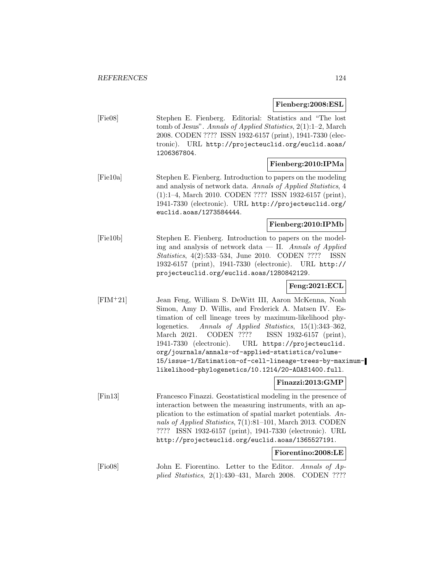### **Fienberg:2008:ESL**

[Fie08] Stephen E. Fienberg. Editorial: Statistics and "The lost tomb of Jesus". Annals of Applied Statistics, 2(1):1–2, March 2008. CODEN ???? ISSN 1932-6157 (print), 1941-7330 (electronic). URL http://projecteuclid.org/euclid.aoas/ 1206367804.

# **Fienberg:2010:IPMa**

[Fie10a] Stephen E. Fienberg. Introduction to papers on the modeling and analysis of network data. Annals of Applied Statistics, 4 (1):1–4, March 2010. CODEN ???? ISSN 1932-6157 (print), 1941-7330 (electronic). URL http://projecteuclid.org/ euclid.aoas/1273584444.

#### **Fienberg:2010:IPMb**

[Fie10b] Stephen E. Fienberg. Introduction to papers on the modeling and analysis of network data  $-$  II. Annals of Applied Statistics, 4(2):533–534, June 2010. CODEN ???? ISSN 1932-6157 (print), 1941-7330 (electronic). URL http:// projecteuclid.org/euclid.aoas/1280842129.

# **Feng:2021:ECL**

[FIM<sup>+</sup>21] Jean Feng, William S. DeWitt III, Aaron McKenna, Noah Simon, Amy D. Willis, and Frederick A. Matsen IV. Estimation of cell lineage trees by maximum-likelihood phylogenetics. Annals of Applied Statistics, 15(1):343–362, March 2021. CODEN ???? ISSN 1932-6157 (print), 1941-7330 (electronic). URL https://projecteuclid. org/journals/annals-of-applied-statistics/volume-15/issue-1/Estimation-of-cell-lineage-trees-by-maximumlikelihood-phylogenetics/10.1214/20-AOAS1400.full.

### **Finazzi:2013:GMP**

[Fin13] Francesco Finazzi. Geostatistical modeling in the presence of interaction between the measuring instruments, with an application to the estimation of spatial market potentials. Annals of Applied Statistics, 7(1):81–101, March 2013. CODEN ???? ISSN 1932-6157 (print), 1941-7330 (electronic). URL http://projecteuclid.org/euclid.aoas/1365527191.

### **Fiorentino:2008:LE**

[Fio08] John E. Fiorentino. Letter to the Editor. Annals of Applied Statistics, 2(1):430–431, March 2008. CODEN ????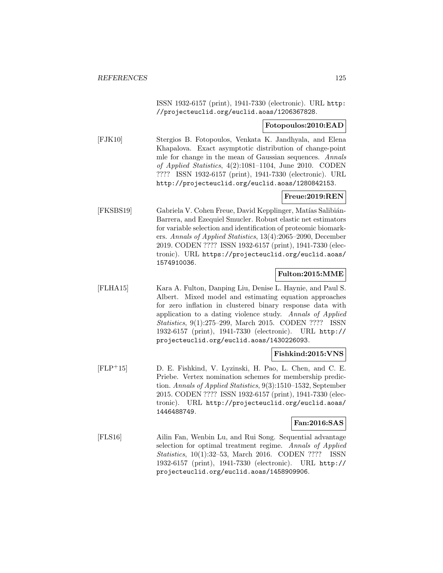ISSN 1932-6157 (print), 1941-7330 (electronic). URL http: //projecteuclid.org/euclid.aoas/1206367828.

#### **Fotopoulos:2010:EAD**

[FJK10] Stergios B. Fotopoulos, Venkata K. Jandhyala, and Elena Khapalova. Exact asymptotic distribution of change-point mle for change in the mean of Gaussian sequences. Annals of Applied Statistics, 4(2):1081–1104, June 2010. CODEN ???? ISSN 1932-6157 (print), 1941-7330 (electronic). URL http://projecteuclid.org/euclid.aoas/1280842153.

# **Freue:2019:REN**

[FKSBS19] Gabriela V. Cohen Freue, David Kepplinger, Matías Salibián-Barrera, and Ezequiel Smucler. Robust elastic net estimators for variable selection and identification of proteomic biomarkers. Annals of Applied Statistics, 13(4):2065–2090, December 2019. CODEN ???? ISSN 1932-6157 (print), 1941-7330 (electronic). URL https://projecteuclid.org/euclid.aoas/ 1574910036.

### **Fulton:2015:MME**

[FLHA15] Kara A. Fulton, Danping Liu, Denise L. Haynie, and Paul S. Albert. Mixed model and estimating equation approaches for zero inflation in clustered binary response data with application to a dating violence study. Annals of Applied Statistics, 9(1):275–299, March 2015. CODEN ???? ISSN 1932-6157 (print), 1941-7330 (electronic). URL http:// projecteuclid.org/euclid.aoas/1430226093.

### **Fishkind:2015:VNS**

[FLP<sup>+</sup>15] D. E. Fishkind, V. Lyzinski, H. Pao, L. Chen, and C. E. Priebe. Vertex nomination schemes for membership prediction. Annals of Applied Statistics, 9(3):1510–1532, September 2015. CODEN ???? ISSN 1932-6157 (print), 1941-7330 (electronic). URL http://projecteuclid.org/euclid.aoas/ 1446488749.

### **Fan:2016:SAS**

[FLS16] Ailin Fan, Wenbin Lu, and Rui Song. Sequential advantage selection for optimal treatment regime. Annals of Applied Statistics, 10(1):32–53, March 2016. CODEN ???? ISSN 1932-6157 (print), 1941-7330 (electronic). URL http:// projecteuclid.org/euclid.aoas/1458909906.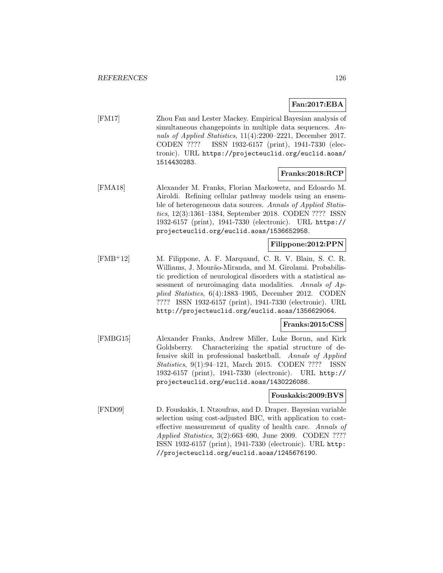### **Fan:2017:EBA**

[FM17] Zhou Fan and Lester Mackey. Empirical Bayesian analysis of simultaneous changepoints in multiple data sequences. Annals of Applied Statistics, 11(4):2200–2221, December 2017. CODEN ???? ISSN 1932-6157 (print), 1941-7330 (electronic). URL https://projecteuclid.org/euclid.aoas/ 1514430283.

### **Franks:2018:RCP**

[FMA18] Alexander M. Franks, Florian Markowetz, and Edoardo M. Airoldi. Refining cellular pathway models using an ensemble of heterogeneous data sources. Annals of Applied Statistics, 12(3):1361–1384, September 2018. CODEN ???? ISSN 1932-6157 (print), 1941-7330 (electronic). URL https:// projecteuclid.org/euclid.aoas/1536652958.

### **Filippone:2012:PPN**

[FMB<sup>+</sup>12] M. Filippone, A. F. Marquand, C. R. V. Blain, S. C. R. Williams, J. Mourão-Miranda, and M. Girolami. Probabilistic prediction of neurological disorders with a statistical assessment of neuroimaging data modalities. Annals of Applied Statistics, 6(4):1883–1905, December 2012. CODEN ???? ISSN 1932-6157 (print), 1941-7330 (electronic). URL http://projecteuclid.org/euclid.aoas/1356629064.

### **Franks:2015:CSS**

[FMBG15] Alexander Franks, Andrew Miller, Luke Bornn, and Kirk Goldsberry. Characterizing the spatial structure of defensive skill in professional basketball. Annals of Applied Statistics, 9(1):94–121, March 2015. CODEN ???? ISSN 1932-6157 (print), 1941-7330 (electronic). URL http:// projecteuclid.org/euclid.aoas/1430226086.

### **Fouskakis:2009:BVS**

[FND09] D. Fouskakis, I. Ntzoufras, and D. Draper. Bayesian variable selection using cost-adjusted BIC, with application to costeffective measurement of quality of health care. Annals of Applied Statistics, 3(2):663–690, June 2009. CODEN ???? ISSN 1932-6157 (print), 1941-7330 (electronic). URL http: //projecteuclid.org/euclid.aoas/1245676190.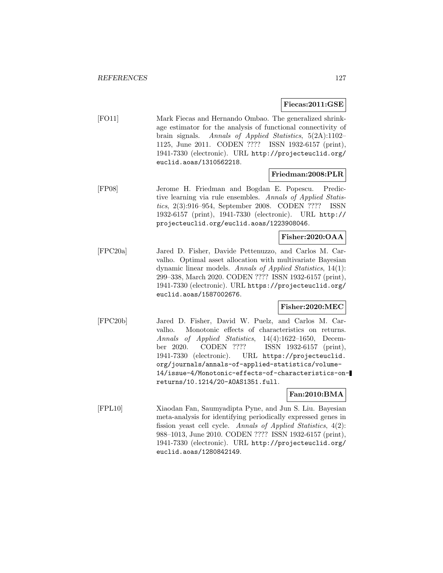### **Fiecas:2011:GSE**

[FO11] Mark Fiecas and Hernando Ombao. The generalized shrinkage estimator for the analysis of functional connectivity of brain signals. Annals of Applied Statistics, 5(2A):1102– 1125, June 2011. CODEN ???? ISSN 1932-6157 (print), 1941-7330 (electronic). URL http://projecteuclid.org/ euclid.aoas/1310562218.

### **Friedman:2008:PLR**

[FP08] Jerome H. Friedman and Bogdan E. Popescu. Predictive learning via rule ensembles. Annals of Applied Statistics, 2(3):916–954, September 2008. CODEN ???? ISSN 1932-6157 (print), 1941-7330 (electronic). URL http:// projecteuclid.org/euclid.aoas/1223908046.

### **Fisher:2020:OAA**

[FPC20a] Jared D. Fisher, Davide Pettenuzzo, and Carlos M. Carvalho. Optimal asset allocation with multivariate Bayesian dynamic linear models. Annals of Applied Statistics, 14(1): 299–338, March 2020. CODEN ???? ISSN 1932-6157 (print), 1941-7330 (electronic). URL https://projecteuclid.org/ euclid.aoas/1587002676.

### **Fisher:2020:MEC**

[FPC20b] Jared D. Fisher, David W. Puelz, and Carlos M. Carvalho. Monotonic effects of characteristics on returns. Annals of Applied Statistics, 14(4):1622–1650, December 2020. CODEN ???? ISSN 1932-6157 (print), 1941-7330 (electronic). URL https://projecteuclid. org/journals/annals-of-applied-statistics/volume-14/issue-4/Monotonic-effects-of-characteristics-onreturns/10.1214/20-AOAS1351.full.

### **Fan:2010:BMA**

[FPL10] Xiaodan Fan, Saumyadipta Pyne, and Jun S. Liu. Bayesian meta-analysis for identifying periodically expressed genes in fission yeast cell cycle. Annals of Applied Statistics, 4(2): 988–1013, June 2010. CODEN ???? ISSN 1932-6157 (print), 1941-7330 (electronic). URL http://projecteuclid.org/ euclid.aoas/1280842149.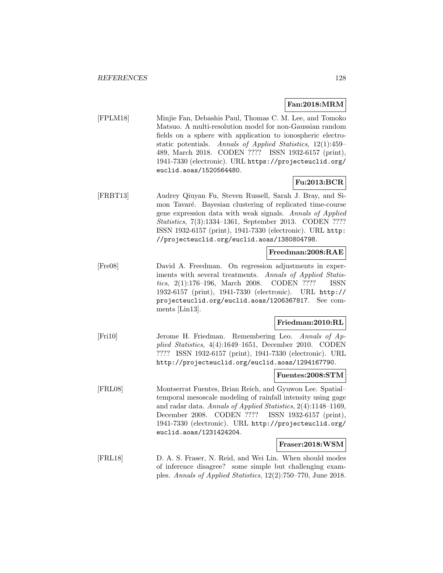### **Fan:2018:MRM**

[FPLM18] Minjie Fan, Debashis Paul, Thomas C. M. Lee, and Tomoko Matsuo. A multi-resolution model for non-Gaussian random fields on a sphere with application to ionospheric electrostatic potentials. Annals of Applied Statistics, 12(1):459– 489, March 2018. CODEN ???? ISSN 1932-6157 (print), 1941-7330 (electronic). URL https://projecteuclid.org/ euclid.aoas/1520564480.

# **Fu:2013:BCR**

[FRBT13] Audrey Qiuyan Fu, Steven Russell, Sarah J. Bray, and Simon Tavaré. Bayesian clustering of replicated time-course gene expression data with weak signals. Annals of Applied Statistics, 7(3):1334–1361, September 2013. CODEN ???? ISSN 1932-6157 (print), 1941-7330 (electronic). URL http: //projecteuclid.org/euclid.aoas/1380804798.

### **Freedman:2008:RAE**

[Fre08] David A. Freedman. On regression adjustments in experiments with several treatments. Annals of Applied Statistics, 2(1):176–196, March 2008. CODEN ???? ISSN 1932-6157 (print), 1941-7330 (electronic). URL http:// projecteuclid.org/euclid.aoas/1206367817. See comments [Lin13].

## **Friedman:2010:RL**

[Fri10] Jerome H. Friedman. Remembering Leo. Annals of Applied Statistics, 4(4):1649–1651, December 2010. CODEN ???? ISSN 1932-6157 (print), 1941-7330 (electronic). URL http://projecteuclid.org/euclid.aoas/1294167790.

#### **Fuentes:2008:STM**

[FRL08] Montserrat Fuentes, Brian Reich, and Gyuwon Lee. Spatial– temporal mesoscale modeling of rainfall intensity using gage and radar data. Annals of Applied Statistics, 2(4):1148–1169, December 2008. CODEN ???? ISSN 1932-6157 (print), 1941-7330 (electronic). URL http://projecteuclid.org/ euclid.aoas/1231424204.

### **Fraser:2018:WSM**

[FRL18] D. A. S. Fraser, N. Reid, and Wei Lin. When should modes of inference disagree? some simple but challenging examples. Annals of Applied Statistics, 12(2):750–770, June 2018.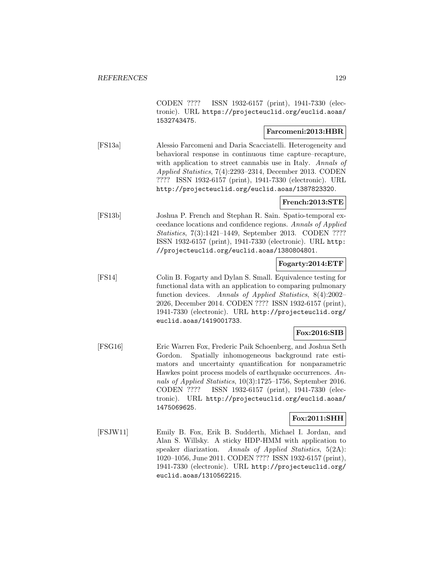CODEN ???? ISSN 1932-6157 (print), 1941-7330 (electronic). URL https://projecteuclid.org/euclid.aoas/ 1532743475.

### **Farcomeni:2013:HBR**

[FS13a] Alessio Farcomeni and Daria Scacciatelli. Heterogeneity and behavioral response in continuous time capture–recapture, with application to street cannabis use in Italy. Annals of Applied Statistics, 7(4):2293–2314, December 2013. CODEN ???? ISSN 1932-6157 (print), 1941-7330 (electronic). URL http://projecteuclid.org/euclid.aoas/1387823320.

### **French:2013:STE**

[FS13b] Joshua P. French and Stephan R. Sain. Spatio-temporal exceedance locations and confidence regions. Annals of Applied Statistics, 7(3):1421–1449, September 2013. CODEN ???? ISSN 1932-6157 (print), 1941-7330 (electronic). URL http: //projecteuclid.org/euclid.aoas/1380804801.

# **Fogarty:2014:ETF**

[FS14] Colin B. Fogarty and Dylan S. Small. Equivalence testing for functional data with an application to comparing pulmonary function devices. Annals of Applied Statistics, 8(4):2002– 2026, December 2014. CODEN ???? ISSN 1932-6157 (print), 1941-7330 (electronic). URL http://projecteuclid.org/ euclid.aoas/1419001733.

### **Fox:2016:SIB**

[FSG16] Eric Warren Fox, Frederic Paik Schoenberg, and Joshua Seth Gordon. Spatially inhomogeneous background rate estimators and uncertainty quantification for nonparametric Hawkes point process models of earthquake occurrences. Annals of Applied Statistics, 10(3):1725–1756, September 2016. CODEN ???? ISSN 1932-6157 (print), 1941-7330 (electronic). URL http://projecteuclid.org/euclid.aoas/ 1475069625.

### **Fox:2011:SHH**

[FSJW11] Emily B. Fox, Erik B. Sudderth, Michael I. Jordan, and Alan S. Willsky. A sticky HDP-HMM with application to speaker diarization. Annals of Applied Statistics, 5(2A): 1020–1056, June 2011. CODEN ???? ISSN 1932-6157 (print), 1941-7330 (electronic). URL http://projecteuclid.org/ euclid.aoas/1310562215.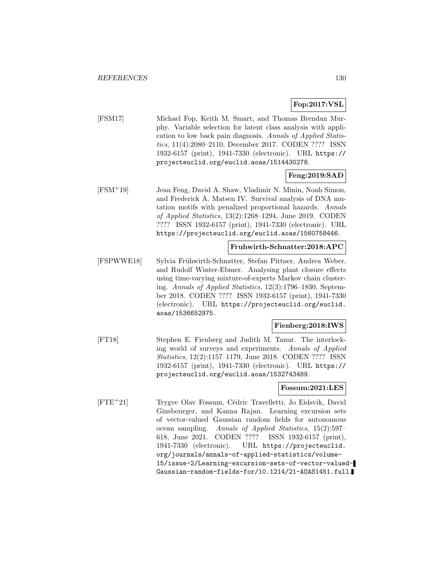# **Fop:2017:VSL**

[FSM17] Michael Fop, Keith M. Smart, and Thomas Brendan Murphy. Variable selection for latent class analysis with application to low back pain diagnosis. Annals of Applied Statistics, 11(4):2080–2110, December 2017. CODEN ???? ISSN 1932-6157 (print), 1941-7330 (electronic). URL https:// projecteuclid.org/euclid.aoas/1514430278.

### **Feng:2019:SAD**

[FSM<sup>+</sup>19] Jean Feng, David A. Shaw, Vladimir N. Minin, Noah Simon, and Frederick A. Matsen IV. Survival analysis of DNA mutation motifs with penalized proportional hazards. Annals of Applied Statistics, 13(2):1268–1294, June 2019. CODEN ???? ISSN 1932-6157 (print), 1941-7330 (electronic). URL https://projecteuclid.org/euclid.aoas/1560758446.

### **Fruhwirth-Schnatter:2018:APC**

[FSPWWE18] Sylvia Frühwirth-Schnatter, Stefan Pittner, Andrea Weber, and Rudolf Winter-Ebmer. Analysing plant closure effects using time-varying mixture-of-experts Markov chain clustering. Annals of Applied Statistics, 12(3):1796–1830, September 2018. CODEN ???? ISSN 1932-6157 (print), 1941-7330 (electronic). URL https://projecteuclid.org/euclid. aoas/1536652975.

### **Fienberg:2018:IWS**

[FT18] Stephen E. Fienberg and Judith M. Tanur. The interlocking world of surveys and experiments. Annals of Applied Statistics, 12(2):1157–1179, June 2018. CODEN ???? ISSN 1932-6157 (print), 1941-7330 (electronic). URL https:// projecteuclid.org/euclid.aoas/1532743489.

### **Fossum:2021:LES**

[FTE<sup>+</sup>21] Trygve Olav Fossum, Cédric Travelletti, Jo Eidsvik, David Ginsbourger, and Kanna Rajan. Learning excursion sets of vector-valued Gaussian random fields for autonomous ocean sampling. Annals of Applied Statistics, 15(2):597– 618, June 2021. CODEN ???? ISSN 1932-6157 (print), 1941-7330 (electronic). URL https://projecteuclid. org/journals/annals-of-applied-statistics/volume-15/issue-2/Learning-excursion-sets-of-vector-valued-Gaussian-random-fields-for/10.1214/21-AOAS1451.full.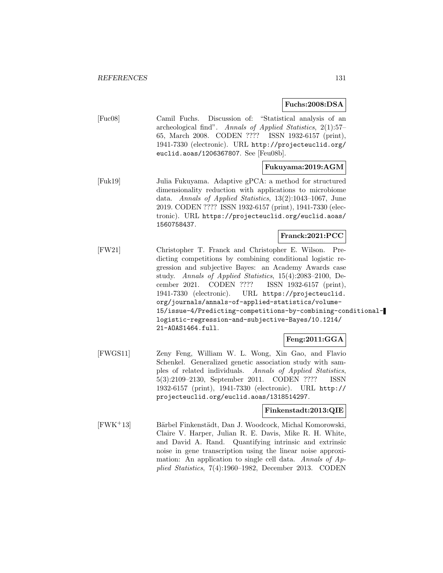### **Fuchs:2008:DSA**

[Fuc08] Camil Fuchs. Discussion of: "Statistical analysis of an archeological find". Annals of Applied Statistics, 2(1):57– 65, March 2008. CODEN ???? ISSN 1932-6157 (print), 1941-7330 (electronic). URL http://projecteuclid.org/ euclid.aoas/1206367807. See [Feu08b].

### **Fukuyama:2019:AGM**

[Fuk19] Julia Fukuyama. Adaptive gPCA: a method for structured dimensionality reduction with applications to microbiome data. Annals of Applied Statistics, 13(2):1043–1067, June 2019. CODEN ???? ISSN 1932-6157 (print), 1941-7330 (electronic). URL https://projecteuclid.org/euclid.aoas/ 1560758437.

### **Franck:2021:PCC**

[FW21] Christopher T. Franck and Christopher E. Wilson. Predicting competitions by combining conditional logistic regression and subjective Bayes: an Academy Awards case study. Annals of Applied Statistics, 15(4):2083–2100, December 2021. CODEN ???? ISSN 1932-6157 (print), 1941-7330 (electronic). URL https://projecteuclid. org/journals/annals-of-applied-statistics/volume-15/issue-4/Predicting-competitions-by-combining-conditionallogistic-regression-and-subjective-Bayes/10.1214/ 21-AOAS1464.full.

### **Feng:2011:GGA**

[FWGS11] Zeny Feng, William W. L. Wong, Xin Gao, and Flavio Schenkel. Generalized genetic association study with samples of related individuals. Annals of Applied Statistics, 5(3):2109–2130, September 2011. CODEN ???? ISSN 1932-6157 (print), 1941-7330 (electronic). URL http:// projecteuclid.org/euclid.aoas/1318514297.

### **Finkenstadt:2013:QIE**

[FWK<sup>+</sup>13] Bärbel Finkenstädt, Dan J. Woodcock, Michal Komorowski, Claire V. Harper, Julian R. E. Davis, Mike R. H. White, and David A. Rand. Quantifying intrinsic and extrinsic noise in gene transcription using the linear noise approximation: An application to single cell data. Annals of Applied Statistics, 7(4):1960–1982, December 2013. CODEN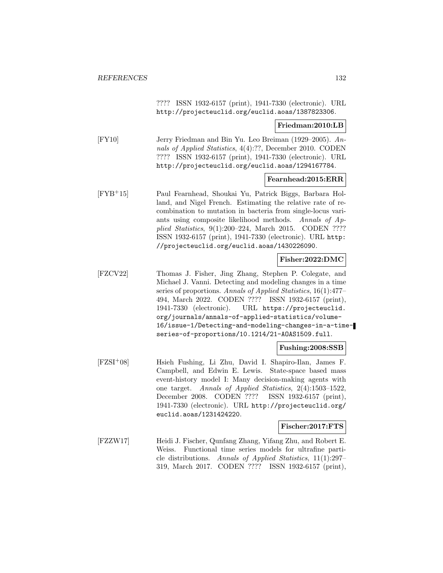???? ISSN 1932-6157 (print), 1941-7330 (electronic). URL http://projecteuclid.org/euclid.aoas/1387823306.

#### **Friedman:2010:LB**

[FY10] Jerry Friedman and Bin Yu. Leo Breiman (1929–2005). Annals of Applied Statistics, 4(4):??, December 2010. CODEN ???? ISSN 1932-6157 (print), 1941-7330 (electronic). URL http://projecteuclid.org/euclid.aoas/1294167784.

#### **Fearnhead:2015:ERR**

[FYB<sup>+</sup>15] Paul Fearnhead, Shoukai Yu, Patrick Biggs, Barbara Holland, and Nigel French. Estimating the relative rate of recombination to mutation in bacteria from single-locus variants using composite likelihood methods. Annals of Applied Statistics, 9(1):200–224, March 2015. CODEN ???? ISSN 1932-6157 (print), 1941-7330 (electronic). URL http: //projecteuclid.org/euclid.aoas/1430226090.

#### **Fisher:2022:DMC**

[FZCV22] Thomas J. Fisher, Jing Zhang, Stephen P. Colegate, and Michael J. Vanni. Detecting and modeling changes in a time series of proportions. Annals of Applied Statistics, 16(1):477– 494, March 2022. CODEN ???? ISSN 1932-6157 (print), 1941-7330 (electronic). URL https://projecteuclid. org/journals/annals-of-applied-statistics/volume-16/issue-1/Detecting-and-modeling-changes-in-a-timeseries-of-proportions/10.1214/21-AOAS1509.full.

### **Fushing:2008:SSB**

[FZSI<sup>+</sup>08] Hsieh Fushing, Li Zhu, David I. Shapiro-Ilan, James F. Campbell, and Edwin E. Lewis. State-space based mass event-history model I: Many decision-making agents with one target. Annals of Applied Statistics, 2(4):1503–1522, December 2008. CODEN ???? ISSN 1932-6157 (print), 1941-7330 (electronic). URL http://projecteuclid.org/ euclid.aoas/1231424220.

#### **Fischer:2017:FTS**

[FZZW17] Heidi J. Fischer, Qunfang Zhang, Yifang Zhu, and Robert E. Weiss. Functional time series models for ultrafine particle distributions. Annals of Applied Statistics, 11(1):297– 319, March 2017. CODEN ???? ISSN 1932-6157 (print),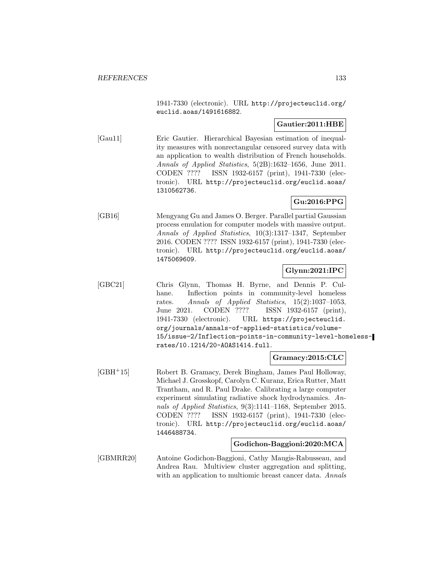1941-7330 (electronic). URL http://projecteuclid.org/ euclid.aoas/1491616882.

### **Gautier:2011:HBE**

[Gau11] Eric Gautier. Hierarchical Bayesian estimation of inequality measures with nonrectangular censored survey data with an application to wealth distribution of French households. Annals of Applied Statistics, 5(2B):1632–1656, June 2011. CODEN ???? ISSN 1932-6157 (print), 1941-7330 (electronic). URL http://projecteuclid.org/euclid.aoas/ 1310562736.

# **Gu:2016:PPG**

[GB16] Mengyang Gu and James O. Berger. Parallel partial Gaussian process emulation for computer models with massive output. Annals of Applied Statistics, 10(3):1317–1347, September 2016. CODEN ???? ISSN 1932-6157 (print), 1941-7330 (electronic). URL http://projecteuclid.org/euclid.aoas/ 1475069609.

### **Glynn:2021:IPC**

[GBC21] Chris Glynn, Thomas H. Byrne, and Dennis P. Culhane. Inflection points in community-level homeless rates. Annals of Applied Statistics, 15(2):1037–1053, June 2021. CODEN ???? ISSN 1932-6157 (print), 1941-7330 (electronic). URL https://projecteuclid. org/journals/annals-of-applied-statistics/volume-15/issue-2/Inflection-points-in-community-level-homelessrates/10.1214/20-AOAS1414.full.

### **Gramacy:2015:CLC**

[GBH<sup>+</sup>15] Robert B. Gramacy, Derek Bingham, James Paul Holloway, Michael J. Grosskopf, Carolyn C. Kuranz, Erica Rutter, Matt Trantham, and R. Paul Drake. Calibrating a large computer experiment simulating radiative shock hydrodynamics. Annals of Applied Statistics, 9(3):1141–1168, September 2015. CODEN ???? ISSN 1932-6157 (print), 1941-7330 (electronic). URL http://projecteuclid.org/euclid.aoas/ 1446488734.

### **Godichon-Baggioni:2020:MCA**

[GBMRR20] Antoine Godichon-Baggioni, Cathy Maugis-Rabusseau, and Andrea Rau. Multiview cluster aggregation and splitting, with an application to multiomic breast cancer data. Annals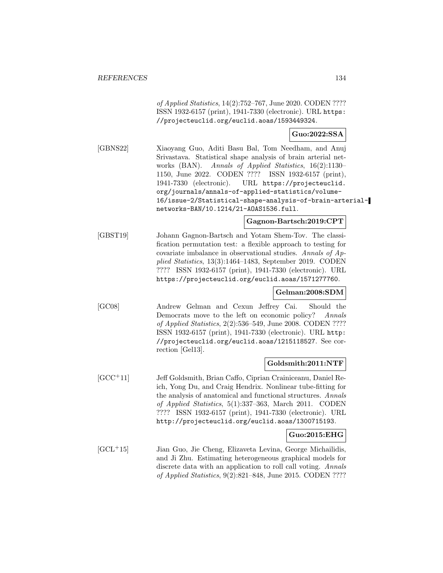of Applied Statistics, 14(2):752–767, June 2020. CODEN ???? ISSN 1932-6157 (print), 1941-7330 (electronic). URL https: //projecteuclid.org/euclid.aoas/1593449324.

### **Guo:2022:SSA**

[GBNS22] Xiaoyang Guo, Aditi Basu Bal, Tom Needham, and Anuj Srivastava. Statistical shape analysis of brain arterial networks (BAN). Annals of Applied Statistics, 16(2):1130– 1150, June 2022. CODEN ???? ISSN 1932-6157 (print), 1941-7330 (electronic). URL https://projecteuclid. org/journals/annals-of-applied-statistics/volume-16/issue-2/Statistical-shape-analysis-of-brain-arterialnetworks-BAN/10.1214/21-AOAS1536.full.

### **Gagnon-Bartsch:2019:CPT**

[GBST19] Johann Gagnon-Bartsch and Yotam Shem-Tov. The classification permutation test: a flexible approach to testing for covariate imbalance in observational studies. Annals of Applied Statistics, 13(3):1464–1483, September 2019. CODEN ???? ISSN 1932-6157 (print), 1941-7330 (electronic). URL https://projecteuclid.org/euclid.aoas/1571277760.

### **Gelman:2008:SDM**

[GC08] Andrew Gelman and Cexun Jeffrey Cai. Should the Democrats move to the left on economic policy? Annals of Applied Statistics, 2(2):536–549, June 2008. CODEN ???? ISSN 1932-6157 (print), 1941-7330 (electronic). URL http: //projecteuclid.org/euclid.aoas/1215118527. See correction [Gel13].

### **Goldsmith:2011:NTF**

[GCC<sup>+</sup>11] Jeff Goldsmith, Brian Caffo, Ciprian Crainiceanu, Daniel Reich, Yong Du, and Craig Hendrix. Nonlinear tube-fitting for the analysis of anatomical and functional structures. Annals of Applied Statistics, 5(1):337–363, March 2011. CODEN ???? ISSN 1932-6157 (print), 1941-7330 (electronic). URL http://projecteuclid.org/euclid.aoas/1300715193.

### **Guo:2015:EHG**

[GCL<sup>+</sup>15] Jian Guo, Jie Cheng, Elizaveta Levina, George Michailidis, and Ji Zhu. Estimating heterogeneous graphical models for discrete data with an application to roll call voting. Annals of Applied Statistics, 9(2):821–848, June 2015. CODEN ????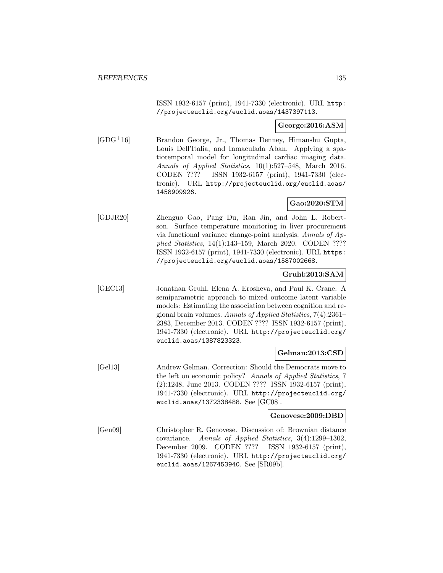ISSN 1932-6157 (print), 1941-7330 (electronic). URL http: //projecteuclid.org/euclid.aoas/1437397113.

### **George:2016:ASM**

[GDG<sup>+</sup>16] Brandon George, Jr., Thomas Denney, Himanshu Gupta, Louis Dell'Italia, and Inmaculada Aban. Applying a spatiotemporal model for longitudinal cardiac imaging data. Annals of Applied Statistics, 10(1):527–548, March 2016. CODEN ???? ISSN 1932-6157 (print), 1941-7330 (electronic). URL http://projecteuclid.org/euclid.aoas/ 1458909926.

### **Gao:2020:STM**

[GDJR20] Zhenguo Gao, Pang Du, Ran Jin, and John L. Robertson. Surface temperature monitoring in liver procurement via functional variance change-point analysis. Annals of Applied Statistics, 14(1):143–159, March 2020. CODEN ???? ISSN 1932-6157 (print), 1941-7330 (electronic). URL https: //projecteuclid.org/euclid.aoas/1587002668.

# **Gruhl:2013:SAM**

[GEC13] Jonathan Gruhl, Elena A. Erosheva, and Paul K. Crane. A semiparametric approach to mixed outcome latent variable models: Estimating the association between cognition and regional brain volumes. Annals of Applied Statistics, 7(4):2361– 2383, December 2013. CODEN ???? ISSN 1932-6157 (print), 1941-7330 (electronic). URL http://projecteuclid.org/ euclid.aoas/1387823323.

### **Gelman:2013:CSD**

[Gel13] Andrew Gelman. Correction: Should the Democrats move to the left on economic policy? Annals of Applied Statistics, 7 (2):1248, June 2013. CODEN ???? ISSN 1932-6157 (print), 1941-7330 (electronic). URL http://projecteuclid.org/ euclid.aoas/1372338488. See [GC08].

#### **Genovese:2009:DBD**

[Gen09] Christopher R. Genovese. Discussion of: Brownian distance covariance. Annals of Applied Statistics, 3(4):1299–1302, December 2009. CODEN ???? ISSN 1932-6157 (print), 1941-7330 (electronic). URL http://projecteuclid.org/ euclid.aoas/1267453940. See [SR09b].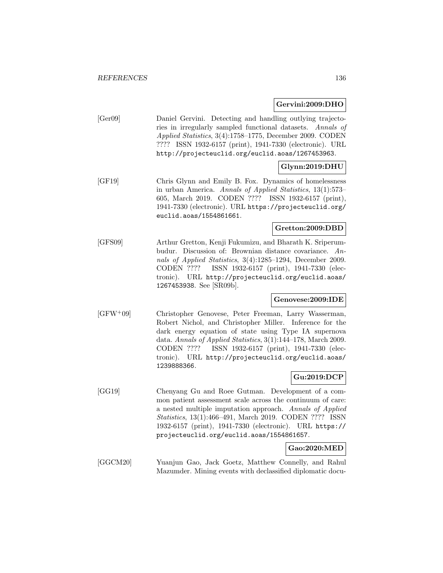### **Gervini:2009:DHO**

| [Ger09] | Daniel Gervini. Detecting and handling outlying trajecto-   |
|---------|-------------------------------------------------------------|
|         | ries in irregularly sampled functional datasets. Annals of  |
|         | Applied Statistics, $3(4):1758-1775$ , December 2009. CODEN |
|         | ???? ISSN 1932-6157 (print), 1941-7330 (electronic). URL    |
|         | http://projecteuclid.org/euclid.aoas/1267453963.            |

# **Glynn:2019:DHU**

[GF19] Chris Glynn and Emily B. Fox. Dynamics of homelessness in urban America. Annals of Applied Statistics, 13(1):573– 605, March 2019. CODEN ???? ISSN 1932-6157 (print), 1941-7330 (electronic). URL https://projecteuclid.org/ euclid.aoas/1554861661.

### **Gretton:2009:DBD**

[GFS09] Arthur Gretton, Kenji Fukumizu, and Bharath K. Sriperumbudur. Discussion of: Brownian distance covariance. Annals of Applied Statistics, 3(4):1285–1294, December 2009. CODEN ???? ISSN 1932-6157 (print), 1941-7330 (electronic). URL http://projecteuclid.org/euclid.aoas/ 1267453938. See [SR09b].

### **Genovese:2009:IDE**

[GFW<sup>+</sup>09] Christopher Genovese, Peter Freeman, Larry Wasserman, Robert Nichol, and Christopher Miller. Inference for the dark energy equation of state using Type IA supernova data. Annals of Applied Statistics, 3(1):144–178, March 2009. CODEN ???? ISSN 1932-6157 (print), 1941-7330 (electronic). URL http://projecteuclid.org/euclid.aoas/ 1239888366.

### **Gu:2019:DCP**

[GG19] Chenyang Gu and Roee Gutman. Development of a common patient assessment scale across the continuum of care: a nested multiple imputation approach. Annals of Applied Statistics, 13(1):466–491, March 2019. CODEN ???? ISSN 1932-6157 (print), 1941-7330 (electronic). URL https:// projecteuclid.org/euclid.aoas/1554861657.

### **Gao:2020:MED**

[GGCM20] Yuanjun Gao, Jack Goetz, Matthew Connelly, and Rahul Mazumder. Mining events with declassified diplomatic docu-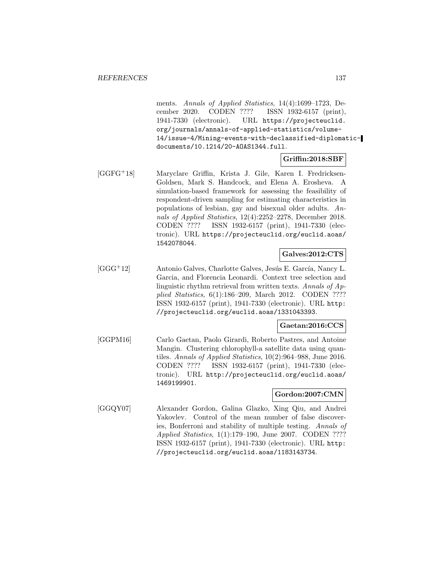ments. Annals of Applied Statistics, 14(4):1699–1723, December 2020. CODEN ???? ISSN 1932-6157 (print), 1941-7330 (electronic). URL https://projecteuclid. org/journals/annals-of-applied-statistics/volume-14/issue-4/Mining-events-with-declassified-diplomaticdocuments/10.1214/20-AOAS1344.full.

#### **Griffin:2018:SBF**

[GGFG<sup>+</sup>18] Maryclare Griffin, Krista J. Gile, Karen I. Fredricksen-Goldsen, Mark S. Handcock, and Elena A. Erosheva. A simulation-based framework for assessing the feasibility of respondent-driven sampling for estimating characteristics in populations of lesbian, gay and bisexual older adults. Annals of Applied Statistics, 12(4):2252–2278, December 2018. CODEN ???? ISSN 1932-6157 (print), 1941-7330 (electronic). URL https://projecteuclid.org/euclid.aoas/ 1542078044.

### **Galves:2012:CTS**

[GGG<sup>+</sup>12] Antonio Galves, Charlotte Galves, Jesús E. García, Nancy L. Garcia, and Florencia Leonardi. Context tree selection and linguistic rhythm retrieval from written texts. Annals of Applied Statistics, 6(1):186–209, March 2012. CODEN ???? ISSN 1932-6157 (print), 1941-7330 (electronic). URL http: //projecteuclid.org/euclid.aoas/1331043393.

#### **Gaetan:2016:CCS**

[GGPM16] Carlo Gaetan, Paolo Girardi, Roberto Pastres, and Antoine Mangin. Clustering chlorophyll-a satellite data using quantiles. Annals of Applied Statistics, 10(2):964–988, June 2016. CODEN ???? ISSN 1932-6157 (print), 1941-7330 (electronic). URL http://projecteuclid.org/euclid.aoas/ 1469199901.

### **Gordon:2007:CMN**

[GGQY07] Alexander Gordon, Galina Glazko, Xing Qiu, and Andrei Yakovlev. Control of the mean number of false discoveries, Bonferroni and stability of multiple testing. Annals of Applied Statistics, 1(1):179–190, June 2007. CODEN ???? ISSN 1932-6157 (print), 1941-7330 (electronic). URL http: //projecteuclid.org/euclid.aoas/1183143734.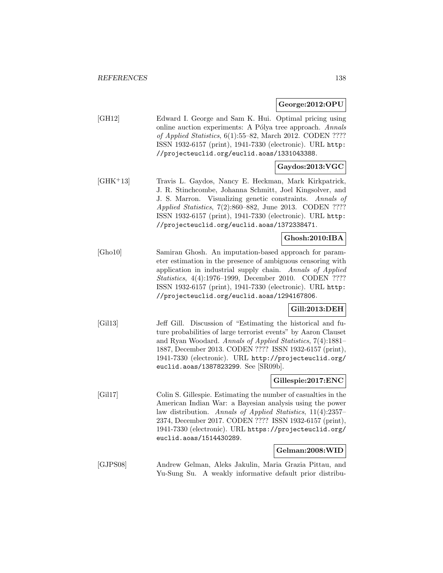**George:2012:OPU**

[GH12] Edward I. George and Sam K. Hui. Optimal pricing using online auction experiments: A Pólya tree approach. Annals of Applied Statistics, 6(1):55–82, March 2012. CODEN ???? ISSN 1932-6157 (print), 1941-7330 (electronic). URL http: //projecteuclid.org/euclid.aoas/1331043388.

# **Gaydos:2013:VGC**

[GHK<sup>+</sup>13] Travis L. Gaydos, Nancy E. Heckman, Mark Kirkpatrick, J. R. Stinchcombe, Johanna Schmitt, Joel Kingsolver, and J. S. Marron. Visualizing genetic constraints. Annals of Applied Statistics, 7(2):860–882, June 2013. CODEN ???? ISSN 1932-6157 (print), 1941-7330 (electronic). URL http: //projecteuclid.org/euclid.aoas/1372338471.

### **Ghosh:2010:IBA**

[Gho10] Samiran Ghosh. An imputation-based approach for parameter estimation in the presence of ambiguous censoring with application in industrial supply chain. Annals of Applied Statistics, 4(4):1976–1999, December 2010. CODEN ???? ISSN 1932-6157 (print), 1941-7330 (electronic). URL http: //projecteuclid.org/euclid.aoas/1294167806.

### **Gill:2013:DEH**

[Gil13] Jeff Gill. Discussion of "Estimating the historical and future probabilities of large terrorist events" by Aaron Clauset and Ryan Woodard. Annals of Applied Statistics, 7(4):1881– 1887, December 2013. CODEN ???? ISSN 1932-6157 (print), 1941-7330 (electronic). URL http://projecteuclid.org/ euclid.aoas/1387823299. See [SR09b].

### **Gillespie:2017:ENC**

[Gil17] Colin S. Gillespie. Estimating the number of casualties in the American Indian War: a Bayesian analysis using the power law distribution. Annals of Applied Statistics, 11(4):2357– 2374, December 2017. CODEN ???? ISSN 1932-6157 (print), 1941-7330 (electronic). URL https://projecteuclid.org/ euclid.aoas/1514430289.

#### **Gelman:2008:WID**

[GJPS08] Andrew Gelman, Aleks Jakulin, Maria Grazia Pittau, and Yu-Sung Su. A weakly informative default prior distribu-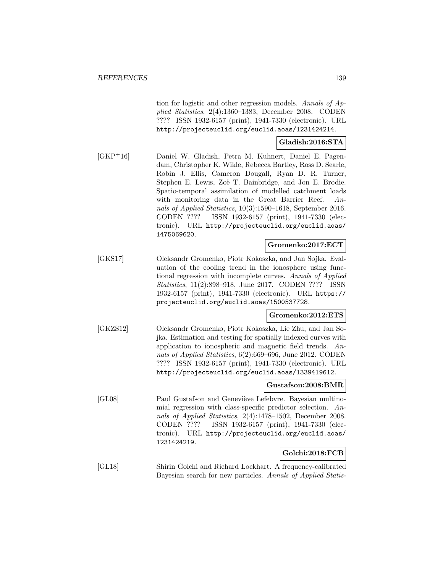tion for logistic and other regression models. Annals of Applied Statistics, 2(4):1360–1383, December 2008. CODEN ???? ISSN 1932-6157 (print), 1941-7330 (electronic). URL http://projecteuclid.org/euclid.aoas/1231424214.

### **Gladish:2016:STA**

[GKP<sup>+</sup>16] Daniel W. Gladish, Petra M. Kuhnert, Daniel E. Pagendam, Christopher K. Wikle, Rebecca Bartley, Ross D. Searle, Robin J. Ellis, Cameron Dougall, Ryan D. R. Turner, Stephen E. Lewis, Zoë T. Bainbridge, and Jon E. Brodie. Spatio-temporal assimilation of modelled catchment loads with monitoring data in the Great Barrier Reef. Annals of Applied Statistics, 10(3):1590–1618, September 2016. CODEN ???? ISSN 1932-6157 (print), 1941-7330 (electronic). URL http://projecteuclid.org/euclid.aoas/ 1475069620.

### **Gromenko:2017:ECT**

[GKS17] Oleksandr Gromenko, Piotr Kokoszka, and Jan Sojka. Evaluation of the cooling trend in the ionosphere using functional regression with incomplete curves. Annals of Applied Statistics, 11(2):898–918, June 2017. CODEN ???? ISSN 1932-6157 (print), 1941-7330 (electronic). URL https:// projecteuclid.org/euclid.aoas/1500537728.

### **Gromenko:2012:ETS**

[GKZS12] Oleksandr Gromenko, Piotr Kokoszka, Lie Zhu, and Jan Sojka. Estimation and testing for spatially indexed curves with application to ionospheric and magnetic field trends. Annals of Applied Statistics, 6(2):669–696, June 2012. CODEN ???? ISSN 1932-6157 (print), 1941-7330 (electronic). URL http://projecteuclid.org/euclid.aoas/1339419612.

### **Gustafson:2008:BMR**

[GL08] Paul Gustafson and Geneviève Lefebvre. Bayesian multinomial regression with class-specific predictor selection. Annals of Applied Statistics, 2(4):1478–1502, December 2008. CODEN ???? ISSN 1932-6157 (print), 1941-7330 (electronic). URL http://projecteuclid.org/euclid.aoas/ 1231424219.

### **Golchi:2018:FCB**

[GL18] Shirin Golchi and Richard Lockhart. A frequency-calibrated Bayesian search for new particles. Annals of Applied Statis-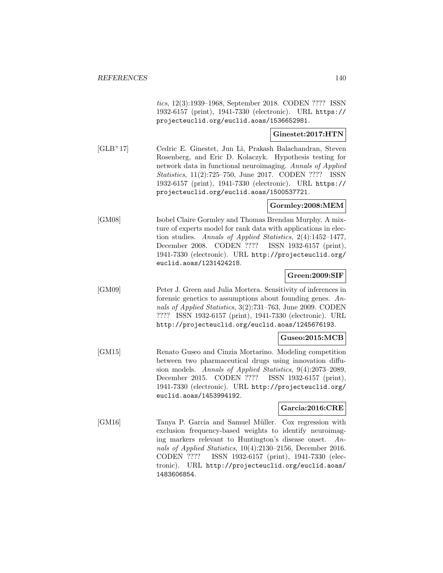tics, 12(3):1939–1968, September 2018. CODEN ???? ISSN 1932-6157 (print), 1941-7330 (electronic). URL https:// projecteuclid.org/euclid.aoas/1536652981.

### **Ginestet:2017:HTN**

[GLB<sup>+</sup>17] Cedric E. Ginestet, Jun Li, Prakash Balachandran, Steven Rosenberg, and Eric D. Kolaczyk. Hypothesis testing for network data in functional neuroimaging. Annals of Applied Statistics, 11(2):725–750, June 2017. CODEN ???? ISSN 1932-6157 (print), 1941-7330 (electronic). URL https:// projecteuclid.org/euclid.aoas/1500537721.

### **Gormley:2008:MEM**

[GM08] Isobel Claire Gormley and Thomas Brendan Murphy. A mixture of experts model for rank data with applications in election studies. Annals of Applied Statistics, 2(4):1452–1477, December 2008. CODEN ???? ISSN 1932-6157 (print), 1941-7330 (electronic). URL http://projecteuclid.org/ euclid.aoas/1231424218.

### **Green:2009:SIF**

[GM09] Peter J. Green and Julia Mortera. Sensitivity of inferences in forensic genetics to assumptions about founding genes. Annals of Applied Statistics, 3(2):731–763, June 2009. CODEN ???? ISSN 1932-6157 (print), 1941-7330 (electronic). URL http://projecteuclid.org/euclid.aoas/1245676193.

### **Guseo:2015:MCB**

[GM15] Renato Guseo and Cinzia Mortarino. Modeling competition between two pharmaceutical drugs using innovation diffusion models. Annals of Applied Statistics, 9(4):2073–2089, December 2015. CODEN ???? ISSN 1932-6157 (print), 1941-7330 (electronic). URL http://projecteuclid.org/ euclid.aoas/1453994192.

### **Garcia:2016:CRE**

[GM16] Tanya P. Garcia and Samuel Müller. Cox regression with exclusion frequency-based weights to identify neuroimaging markers relevant to Huntington's disease onset. Annals of Applied Statistics, 10(4):2130–2156, December 2016. CODEN ???? ISSN 1932-6157 (print), 1941-7330 (electronic). URL http://projecteuclid.org/euclid.aoas/ 1483606854.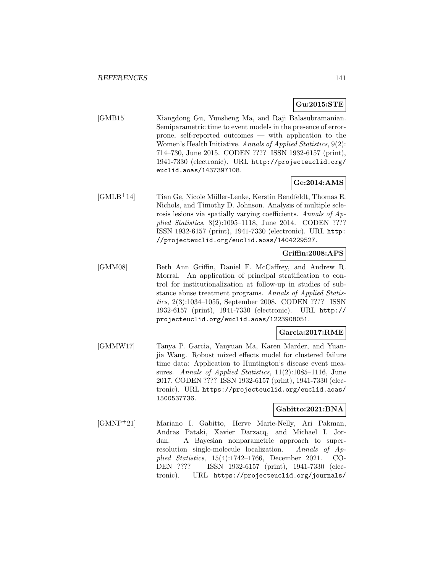### **Gu:2015:STE**

[GMB15] Xiangdong Gu, Yunsheng Ma, and Raji Balasubramanian. Semiparametric time to event models in the presence of errorprone, self-reported outcomes — with application to the Women's Health Initiative. Annals of Applied Statistics, 9(2): 714–730, June 2015. CODEN ???? ISSN 1932-6157 (print), 1941-7330 (electronic). URL http://projecteuclid.org/ euclid.aoas/1437397108.

### **Ge:2014:AMS**

[GMLB<sup>+</sup>14] Tian Ge, Nicole Müller-Lenke, Kerstin Bendfeldt, Thomas E. Nichols, and Timothy D. Johnson. Analysis of multiple sclerosis lesions via spatially varying coefficients. Annals of Applied Statistics, 8(2):1095–1118, June 2014. CODEN ???? ISSN 1932-6157 (print), 1941-7330 (electronic). URL http: //projecteuclid.org/euclid.aoas/1404229527.

# **Griffin:2008:APS**

[GMM08] Beth Ann Griffin, Daniel F. McCaffrey, and Andrew R. Morral. An application of principal stratification to control for institutionalization at follow-up in studies of substance abuse treatment programs. Annals of Applied Statistics, 2(3):1034–1055, September 2008. CODEN ???? ISSN 1932-6157 (print), 1941-7330 (electronic). URL http:// projecteuclid.org/euclid.aoas/1223908051.

#### **Garcia:2017:RME**

[GMMW17] Tanya P. Garcia, Yanyuan Ma, Karen Marder, and Yuanjia Wang. Robust mixed effects model for clustered failure time data: Application to Huntington's disease event measures. Annals of Applied Statistics, 11(2):1085–1116, June 2017. CODEN ???? ISSN 1932-6157 (print), 1941-7330 (electronic). URL https://projecteuclid.org/euclid.aoas/ 1500537736.

### **Gabitto:2021:BNA**

[GMNP<sup>+</sup>21] Mariano I. Gabitto, Herve Marie-Nelly, Ari Pakman, Andras Pataki, Xavier Darzacq, and Michael I. Jordan. A Bayesian nonparametric approach to superresolution single-molecule localization. Annals of Applied Statistics, 15(4):1742–1766, December 2021. CO-DEN ???? ISSN 1932-6157 (print), 1941-7330 (electronic). URL https://projecteuclid.org/journals/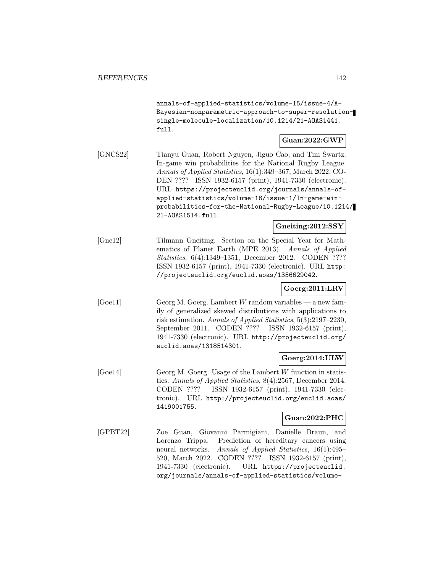annals-of-applied-statistics/volume-15/issue-4/A-Bayesian-nonparametric-approach-to-super-resolutionsingle-molecule-localization/10.1214/21-AOAS1441. full.

### **Guan:2022:GWP**

[GNCS22] Tianyu Guan, Robert Nguyen, Jiguo Cao, and Tim Swartz. In-game win probabilities for the National Rugby League. Annals of Applied Statistics, 16(1):349–367, March 2022. CO-DEN ???? ISSN 1932-6157 (print), 1941-7330 (electronic). URL https://projecteuclid.org/journals/annals-ofapplied-statistics/volume-16/issue-1/In-game-winprobabilities-for-the-National-Rugby-League/10.1214/ 21-AOAS1514.full.

# **Gneiting:2012:SSY**

[Gne12] Tilmann Gneiting. Section on the Special Year for Mathematics of Planet Earth (MPE 2013). Annals of Applied Statistics, 6(4):1349–1351, December 2012. CODEN ???? ISSN 1932-6157 (print), 1941-7330 (electronic). URL http: //projecteuclid.org/euclid.aoas/1356629042.

# **Goerg:2011:LRV**

[Goe11] Georg M. Goerg. Lambert W random variables — a new family of generalized skewed distributions with applications to risk estimation. Annals of Applied Statistics, 5(3):2197–2230, September 2011. CODEN ???? ISSN 1932-6157 (print), 1941-7330 (electronic). URL http://projecteuclid.org/ euclid.aoas/1318514301.

### **Goerg:2014:ULW**

[Goe14] Georg M. Goerg. Usage of the Lambert W function in statistics. Annals of Applied Statistics, 8(4):2567, December 2014. CODEN ???? ISSN 1932-6157 (print), 1941-7330 (electronic). URL http://projecteuclid.org/euclid.aoas/ 1419001755.

### **Guan:2022:PHC**

[GPBT22] Zoe Guan, Giovanni Parmigiani, Danielle Braun, and Lorenzo Trippa. Prediction of hereditary cancers using neural networks. Annals of Applied Statistics, 16(1):495– 520, March 2022. CODEN ???? ISSN 1932-6157 (print), 1941-7330 (electronic). URL https://projecteuclid. org/journals/annals-of-applied-statistics/volume-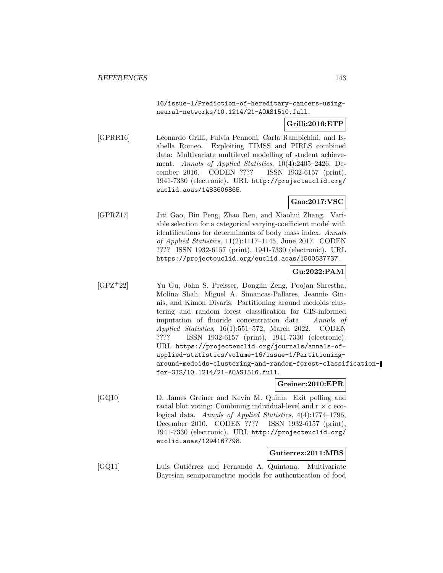16/issue-1/Prediction-of-hereditary-cancers-usingneural-networks/10.1214/21-AOAS1510.full.

# **Grilli:2016:ETP**

[GPRR16] Leonardo Grilli, Fulvia Pennoni, Carla Rampichini, and Isabella Romeo. Exploiting TIMSS and PIRLS combined data: Multivariate multilevel modelling of student achievement. Annals of Applied Statistics, 10(4):2405–2426, December 2016. CODEN ???? ISSN 1932-6157 (print), 1941-7330 (electronic). URL http://projecteuclid.org/ euclid.aoas/1483606865.

# **Gao:2017:VSC**

[GPRZ17] Jiti Gao, Bin Peng, Zhao Ren, and Xiaohui Zhang. Variable selection for a categorical varying-coefficient model with identifications for determinants of body mass index. Annals of Applied Statistics, 11(2):1117–1145, June 2017. CODEN ???? ISSN 1932-6157 (print), 1941-7330 (electronic). URL https://projecteuclid.org/euclid.aoas/1500537737.

### **Gu:2022:PAM**

[GPZ<sup>+</sup>22] Yu Gu, John S. Preisser, Donglin Zeng, Poojan Shrestha, Molina Shah, Miguel A. Simancas-Pallares, Jeannie Ginnis, and Kimon Divaris. Partitioning around medoids clustering and random forest classification for GIS-informed imputation of fluoride concentration data. Annals of Applied Statistics, 16(1):551–572, March 2022. CODEN ???? ISSN 1932-6157 (print), 1941-7330 (electronic). URL https://projecteuclid.org/journals/annals-ofapplied-statistics/volume-16/issue-1/Partitioningaround-medoids-clustering-and-random-forest-classificationfor-GIS/10.1214/21-AOAS1516.full.

### **Greiner:2010:EPR**

[GQ10] D. James Greiner and Kevin M. Quinn. Exit polling and racial bloc voting: Combining individual-level and  $r \times c$  ecological data. Annals of Applied Statistics, 4(4):1774–1796, December 2010. CODEN ???? ISSN 1932-6157 (print), 1941-7330 (electronic). URL http://projecteuclid.org/ euclid.aoas/1294167798.

### **Gutierrez:2011:MBS**

[GQ11] Luis Gutiérrez and Fernando A. Quintana. Multivariate Bayesian semiparametric models for authentication of food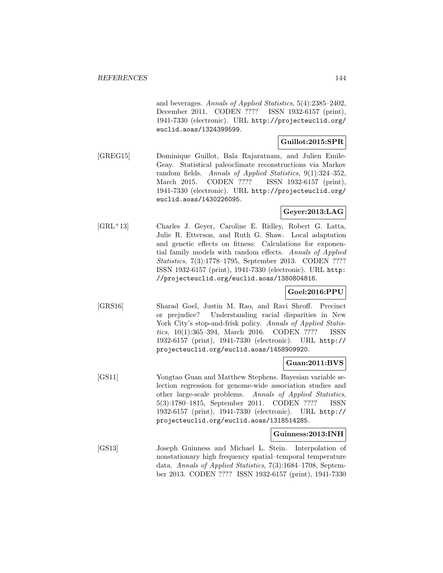and beverages. Annals of Applied Statistics, 5(4):2385–2402, December 2011. CODEN ???? ISSN 1932-6157 (print), 1941-7330 (electronic). URL http://projecteuclid.org/ euclid.aoas/1324399599.

### **Guillot:2015:SPR**

[GREG15] Dominique Guillot, Bala Rajaratnam, and Julien Emile-Geay. Statistical paleoclimate reconstructions via Markov random fields. Annals of Applied Statistics, 9(1):324–352, March 2015. CODEN ???? ISSN 1932-6157 (print), 1941-7330 (electronic). URL http://projecteuclid.org/ euclid.aoas/1430226095.

### **Geyer:2013:LAG**

[GRL<sup>+</sup>13] Charles J. Geyer, Caroline E. Ridley, Robert G. Latta, Julie R. Etterson, and Ruth G. Shaw. Local adaptation and genetic effects on fitness: Calculations for exponential family models with random effects. Annals of Applied Statistics, 7(3):1778–1795, September 2013. CODEN ???? ISSN 1932-6157 (print), 1941-7330 (electronic). URL http: //projecteuclid.org/euclid.aoas/1380804816.

### **Goel:2016:PPU**

[GRS16] Sharad Goel, Justin M. Rao, and Ravi Shroff. Precinct or prejudice? Understanding racial disparities in New York City's stop-and-frisk policy. Annals of Applied Statistics, 10(1):365–394, March 2016. CODEN ???? ISSN 1932-6157 (print), 1941-7330 (electronic). URL http:// projecteuclid.org/euclid.aoas/1458909920.

### **Guan:2011:BVS**

[GS11] Yongtao Guan and Matthew Stephens. Bayesian variable selection regression for genome-wide association studies and other large-scale problems. Annals of Applied Statistics, 5(3):1780–1815, September 2011. CODEN ???? ISSN 1932-6157 (print), 1941-7330 (electronic). URL http:// projecteuclid.org/euclid.aoas/1318514285.

### **Guinness:2013:INH**

[GS13] Joseph Guinness and Michael L. Stein. Interpolation of nonstationary high frequency spatial–temporal temperature data. Annals of Applied Statistics, 7(3):1684–1708, September 2013. CODEN ???? ISSN 1932-6157 (print), 1941-7330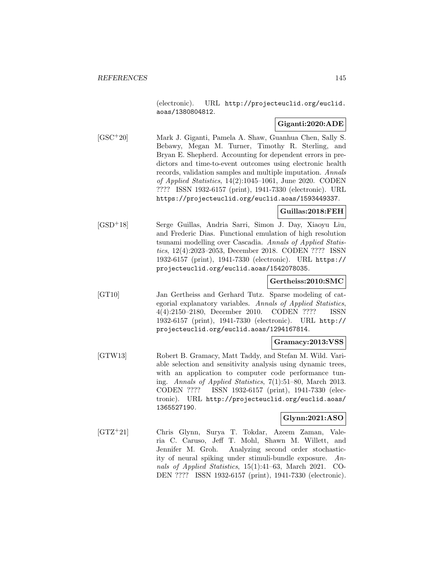(electronic). URL http://projecteuclid.org/euclid. aoas/1380804812.

### **Giganti:2020:ADE**

[GSC<sup>+</sup>20] Mark J. Giganti, Pamela A. Shaw, Guanhua Chen, Sally S. Bebawy, Megan M. Turner, Timothy R. Sterling, and Bryan E. Shepherd. Accounting for dependent errors in predictors and time-to-event outcomes using electronic health records, validation samples and multiple imputation. Annals of Applied Statistics, 14(2):1045–1061, June 2020. CODEN ???? ISSN 1932-6157 (print), 1941-7330 (electronic). URL https://projecteuclid.org/euclid.aoas/1593449337.

#### **Guillas:2018:FEH**

[GSD<sup>+</sup>18] Serge Guillas, Andria Sarri, Simon J. Day, Xiaoyu Liu, and Frederic Dias. Functional emulation of high resolution tsunami modelling over Cascadia. Annals of Applied Statistics, 12(4):2023–2053, December 2018. CODEN ???? ISSN 1932-6157 (print), 1941-7330 (electronic). URL https:// projecteuclid.org/euclid.aoas/1542078035.

#### **Gertheiss:2010:SMC**

[GT10] Jan Gertheiss and Gerhard Tutz. Sparse modeling of categorial explanatory variables. Annals of Applied Statistics, 4(4):2150–2180, December 2010. CODEN ???? ISSN 1932-6157 (print), 1941-7330 (electronic). URL http:// projecteuclid.org/euclid.aoas/1294167814.

#### **Gramacy:2013:VSS**

[GTW13] Robert B. Gramacy, Matt Taddy, and Stefan M. Wild. Variable selection and sensitivity analysis using dynamic trees, with an application to computer code performance tuning. Annals of Applied Statistics, 7(1):51–80, March 2013. CODEN ???? ISSN 1932-6157 (print), 1941-7330 (electronic). URL http://projecteuclid.org/euclid.aoas/ 1365527190.

#### **Glynn:2021:ASO**

[GTZ<sup>+</sup>21] Chris Glynn, Surya T. Tokdar, Azeem Zaman, Valeria C. Caruso, Jeff T. Mohl, Shawn M. Willett, and Jennifer M. Groh. Analyzing second order stochasticity of neural spiking under stimuli-bundle exposure. Annals of Applied Statistics, 15(1):41–63, March 2021. CO-DEN ???? ISSN 1932-6157 (print), 1941-7330 (electronic).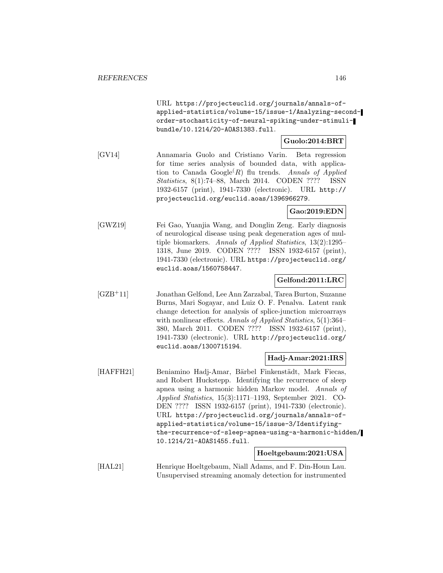URL https://projecteuclid.org/journals/annals-ofapplied-statistics/volume-15/issue-1/Analyzing-secondorder-stochasticity-of-neural-spiking-under-stimulibundle/10.1214/20-AOAS1383.full.

## **Guolo:2014:BRT**

[GV14] Annamaria Guolo and Cristiano Varin. Beta regression for time series analysis of bounded data, with application to Canada  $Google(R)$  flu trends. Annals of Applied Statistics, 8(1):74–88, March 2014. CODEN ???? ISSN 1932-6157 (print), 1941-7330 (electronic). URL http:// projecteuclid.org/euclid.aoas/1396966279.

#### **Gao:2019:EDN**

[GWZ19] Fei Gao, Yuanjia Wang, and Donglin Zeng. Early diagnosis of neurological disease using peak degeneration ages of multiple biomarkers. Annals of Applied Statistics, 13(2):1295– 1318, June 2019. CODEN ???? ISSN 1932-6157 (print), 1941-7330 (electronic). URL https://projecteuclid.org/ euclid.aoas/1560758447.

#### **Gelfond:2011:LRC**

[GZB<sup>+</sup>11] Jonathan Gelfond, Lee Ann Zarzabal, Tarea Burton, Suzanne Burns, Mari Sogayar, and Luiz O. F. Penalva. Latent rank change detection for analysis of splice-junction microarrays with nonlinear effects. Annals of Applied Statistics, 5(1):364– 380, March 2011. CODEN ???? ISSN 1932-6157 (print), 1941-7330 (electronic). URL http://projecteuclid.org/ euclid.aoas/1300715194.

### **Hadj-Amar:2021:IRS**

[HAFFH21] Beniamino Hadj-Amar, Bärbel Finkenstädt, Mark Fiecas, and Robert Huckstepp. Identifying the recurrence of sleep apnea using a harmonic hidden Markov model. Annals of Applied Statistics, 15(3):1171–1193, September 2021. CO-DEN ???? ISSN 1932-6157 (print), 1941-7330 (electronic). URL https://projecteuclid.org/journals/annals-ofapplied-statistics/volume-15/issue-3/Identifyingthe-recurrence-of-sleep-apnea-using-a-harmonic-hidden/ 10.1214/21-AOAS1455.full.

### **Hoeltgebaum:2021:USA**

[HAL21] Henrique Hoeltgebaum, Niall Adams, and F. Din-Houn Lau. Unsupervised streaming anomaly detection for instrumented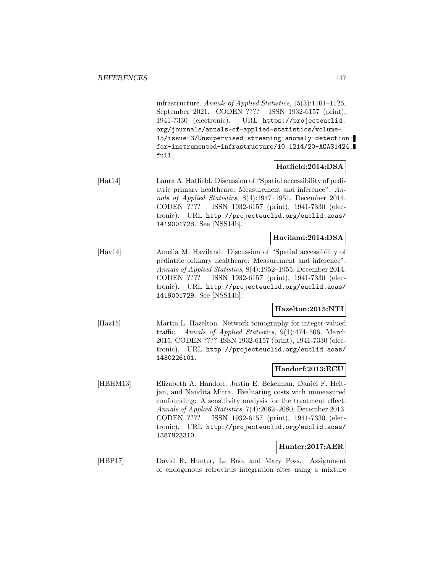infrastructure. Annals of Applied Statistics, 15(3):1101–1125, September 2021. CODEN ???? ISSN 1932-6157 (print), 1941-7330 (electronic). URL https://projecteuclid. org/journals/annals-of-applied-statistics/volume-15/issue-3/Unsupervised-streaming-anomaly-detectionfor-instrumented-infrastructure/10.1214/20-AOAS1424. full.

# **Hatfield:2014:DSA**

[Hat14] Laura A. Hatfield. Discussion of "Spatial accessibility of pediatric primary healthcare: Measurement and inference". Annals of Applied Statistics, 8(4):1947–1951, December 2014. CODEN ???? ISSN 1932-6157 (print), 1941-7330 (electronic). URL http://projecteuclid.org/euclid.aoas/ 1419001728. See [NSS14b].

# **Haviland:2014:DSA**

[Hav14] Amelia M. Haviland. Discussion of "Spatial accessibility of pediatric primary healthcare: Measurement and inference". Annals of Applied Statistics, 8(4):1952–1955, December 2014. CODEN ???? ISSN 1932-6157 (print), 1941-7330 (electronic). URL http://projecteuclid.org/euclid.aoas/ 1419001729. See [NSS14b].

#### **Hazelton:2015:NTI**

[Haz15] Martin L. Hazelton. Network tomography for integer-valued traffic. Annals of Applied Statistics, 9(1):474–506, March 2015. CODEN ???? ISSN 1932-6157 (print), 1941-7330 (electronic). URL http://projecteuclid.org/euclid.aoas/ 1430226101.

### **Handorf:2013:ECU**

[HBHM13] Elizabeth A. Handorf, Justin E. Bekelman, Daniel F. Heitjan, and Nandita Mitra. Evaluating costs with unmeasured confounding: A sensitivity analysis for the treatment effect. Annals of Applied Statistics, 7(4):2062–2080, December 2013. CODEN ???? ISSN 1932-6157 (print), 1941-7330 (electronic). URL http://projecteuclid.org/euclid.aoas/ 1387823310.

#### **Hunter:2017:AER**

[HBP17] David R. Hunter, Le Bao, and Mary Poss. Assignment of endogenous retrovirus integration sites using a mixture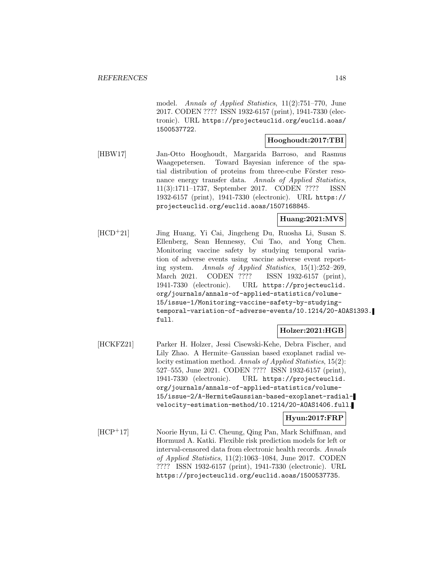model. Annals of Applied Statistics, 11(2):751–770, June 2017. CODEN ???? ISSN 1932-6157 (print), 1941-7330 (electronic). URL https://projecteuclid.org/euclid.aoas/ 1500537722.

#### **Hooghoudt:2017:TBI**

[HBW17] Jan-Otto Hooghoudt, Margarida Barroso, and Rasmus Waagepetersen. Toward Bayesian inference of the spatial distribution of proteins from three-cube Förster resonance energy transfer data. Annals of Applied Statistics, 11(3):1711–1737, September 2017. CODEN ???? ISSN 1932-6157 (print), 1941-7330 (electronic). URL https:// projecteuclid.org/euclid.aoas/1507168845.

### **Huang:2021:MVS**

[HCD<sup>+</sup>21] Jing Huang, Yi Cai, Jingcheng Du, Ruosha Li, Susan S. Ellenberg, Sean Hennessy, Cui Tao, and Yong Chen. Monitoring vaccine safety by studying temporal variation of adverse events using vaccine adverse event reporting system. Annals of Applied Statistics, 15(1):252–269, March 2021. CODEN ???? ISSN 1932-6157 (print), 1941-7330 (electronic). URL https://projecteuclid. org/journals/annals-of-applied-statistics/volume-15/issue-1/Monitoring-vaccine-safety-by-studyingtemporal-variation-of-adverse-events/10.1214/20-AOAS1393. full.

### **Holzer:2021:HGB**

[HCKFZ21] Parker H. Holzer, Jessi Cisewski-Kehe, Debra Fischer, and Lily Zhao. A Hermite–Gaussian based exoplanet radial velocity estimation method. Annals of Applied Statistics, 15(2): 527–555, June 2021. CODEN ???? ISSN 1932-6157 (print), 1941-7330 (electronic). URL https://projecteuclid. org/journals/annals-of-applied-statistics/volume-15/issue-2/A-HermiteGaussian-based-exoplanet-radialvelocity-estimation-method/10.1214/20-AOAS1406.full.

#### **Hyun:2017:FRP**

[HCP<sup>+</sup>17] Noorie Hyun, Li C. Cheung, Qing Pan, Mark Schiffman, and Hormuzd A. Katki. Flexible risk prediction models for left or interval-censored data from electronic health records. Annals of Applied Statistics, 11(2):1063–1084, June 2017. CODEN ???? ISSN 1932-6157 (print), 1941-7330 (electronic). URL https://projecteuclid.org/euclid.aoas/1500537735.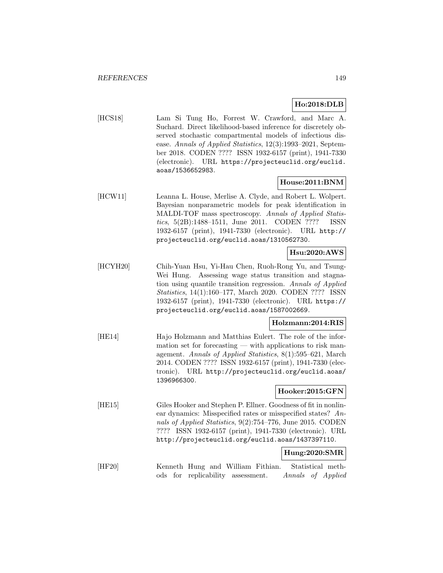# **Ho:2018:DLB**

[HCS18] Lam Si Tung Ho, Forrest W. Crawford, and Marc A. Suchard. Direct likelihood-based inference for discretely observed stochastic compartmental models of infectious disease. Annals of Applied Statistics, 12(3):1993–2021, September 2018. CODEN ???? ISSN 1932-6157 (print), 1941-7330 (electronic). URL https://projecteuclid.org/euclid. aoas/1536652983.

### **House:2011:BNM**

[HCW11] Leanna L. House, Merlise A. Clyde, and Robert L. Wolpert. Bayesian nonparametric models for peak identification in MALDI-TOF mass spectroscopy. Annals of Applied Statistics, 5(2B):1488–1511, June 2011. CODEN ???? ISSN 1932-6157 (print), 1941-7330 (electronic). URL http:// projecteuclid.org/euclid.aoas/1310562730.

## **Hsu:2020:AWS**

[HCYH20] Chih-Yuan Hsu, Yi-Hau Chen, Ruoh-Rong Yu, and Tsung-Wei Hung. Assessing wage status transition and stagnation using quantile transition regression. Annals of Applied Statistics, 14(1):160–177, March 2020. CODEN ???? ISSN 1932-6157 (print), 1941-7330 (electronic). URL https:// projecteuclid.org/euclid.aoas/1587002669.

### **Holzmann:2014:RIS**

[HE14] Hajo Holzmann and Matthias Eulert. The role of the information set for forecasting — with applications to risk management. Annals of Applied Statistics, 8(1):595–621, March 2014. CODEN ???? ISSN 1932-6157 (print), 1941-7330 (electronic). URL http://projecteuclid.org/euclid.aoas/ 1396966300.

#### **Hooker:2015:GFN**

[HE15] Giles Hooker and Stephen P. Ellner. Goodness of fit in nonlinear dynamics: Misspecified rates or misspecified states? Annals of Applied Statistics, 9(2):754–776, June 2015. CODEN ???? ISSN 1932-6157 (print), 1941-7330 (electronic). URL http://projecteuclid.org/euclid.aoas/1437397110.

#### **Hung:2020:SMR**

[HF20] Kenneth Hung and William Fithian. Statistical methods for replicability assessment. Annals of Applied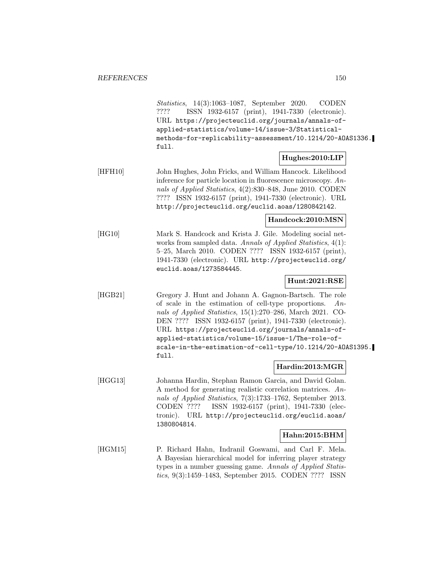Statistics, 14(3):1063–1087, September 2020. CODEN ???? ISSN 1932-6157 (print), 1941-7330 (electronic). URL https://projecteuclid.org/journals/annals-ofapplied-statistics/volume-14/issue-3/Statisticalmethods-for-replicability-assessment/10.1214/20-AOAS1336. full.

### **Hughes:2010:LIP**

[HFH10] John Hughes, John Fricks, and William Hancock. Likelihood inference for particle location in fluorescence microscopy. Annals of Applied Statistics, 4(2):830–848, June 2010. CODEN ???? ISSN 1932-6157 (print), 1941-7330 (electronic). URL http://projecteuclid.org/euclid.aoas/1280842142.

**Handcock:2010:MSN**

[HG10] Mark S. Handcock and Krista J. Gile. Modeling social networks from sampled data. Annals of Applied Statistics, 4(1): 5–25, March 2010. CODEN ???? ISSN 1932-6157 (print), 1941-7330 (electronic). URL http://projecteuclid.org/ euclid.aoas/1273584445.

### **Hunt:2021:RSE**

[HGB21] Gregory J. Hunt and Johann A. Gagnon-Bartsch. The role of scale in the estimation of cell-type proportions. Annals of Applied Statistics, 15(1):270–286, March 2021. CO-DEN ???? ISSN 1932-6157 (print), 1941-7330 (electronic). URL https://projecteuclid.org/journals/annals-ofapplied-statistics/volume-15/issue-1/The-role-ofscale-in-the-estimation-of-cell-type/10.1214/20-AOAS1395. full.

#### **Hardin:2013:MGR**

[HGG13] Johanna Hardin, Stephan Ramon Garcia, and David Golan. A method for generating realistic correlation matrices. Annals of Applied Statistics, 7(3):1733–1762, September 2013. CODEN ???? ISSN 1932-6157 (print), 1941-7330 (electronic). URL http://projecteuclid.org/euclid.aoas/ 1380804814.

#### **Hahn:2015:BHM**

[HGM15] P. Richard Hahn, Indranil Goswami, and Carl F. Mela. A Bayesian hierarchical model for inferring player strategy types in a number guessing game. Annals of Applied Statistics, 9(3):1459–1483, September 2015. CODEN ???? ISSN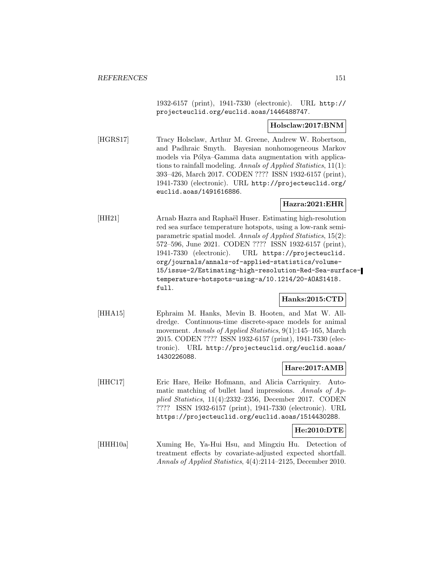1932-6157 (print), 1941-7330 (electronic). URL http:// projecteuclid.org/euclid.aoas/1446488747.

#### **Holsclaw:2017:BNM**

[HGRS17] Tracy Holsclaw, Arthur M. Greene, Andrew W. Robertson, and Padhraic Smyth. Bayesian nonhomogeneous Markov models via Pólya–Gamma data augmentation with applications to rainfall modeling. Annals of Applied Statistics, 11(1): 393–426, March 2017. CODEN ???? ISSN 1932-6157 (print), 1941-7330 (electronic). URL http://projecteuclid.org/ euclid.aoas/1491616886.

### **Hazra:2021:EHR**

[HH21] Arnab Hazra and Raphaël Huser. Estimating high-resolution red sea surface temperature hotspots, using a low-rank semiparametric spatial model. Annals of Applied Statistics, 15(2): 572–596, June 2021. CODEN ???? ISSN 1932-6157 (print), 1941-7330 (electronic). URL https://projecteuclid. org/journals/annals-of-applied-statistics/volume-15/issue-2/Estimating-high-resolution-Red-Sea-surfacetemperature-hotspots-using-a/10.1214/20-AOAS1418. full.

#### **Hanks:2015:CTD**

[HHA15] Ephraim M. Hanks, Mevin B. Hooten, and Mat W. Alldredge. Continuous-time discrete-space models for animal movement. Annals of Applied Statistics, 9(1):145–165, March 2015. CODEN ???? ISSN 1932-6157 (print), 1941-7330 (electronic). URL http://projecteuclid.org/euclid.aoas/ 1430226088.

#### **Hare:2017:AMB**

- [HHC17] Eric Hare, Heike Hofmann, and Alicia Carriquiry. Automatic matching of bullet land impressions. Annals of Applied Statistics, 11(4):2332–2356, December 2017. CODEN ???? ISSN 1932-6157 (print), 1941-7330 (electronic). URL https://projecteuclid.org/euclid.aoas/1514430288. **He:2010:DTE**
- [HHH10a] Xuming He, Ya-Hui Hsu, and Mingxiu Hu. Detection of treatment effects by covariate-adjusted expected shortfall. Annals of Applied Statistics, 4(4):2114–2125, December 2010.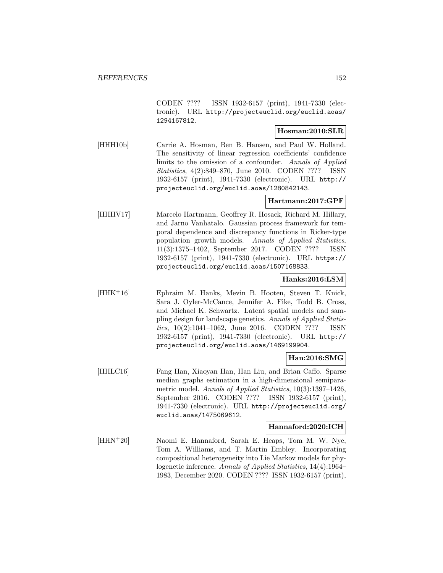CODEN ???? ISSN 1932-6157 (print), 1941-7330 (electronic). URL http://projecteuclid.org/euclid.aoas/ 1294167812.

### **Hosman:2010:SLR**

[HHH10b] Carrie A. Hosman, Ben B. Hansen, and Paul W. Holland. The sensitivity of linear regression coefficients' confidence limits to the omission of a confounder. Annals of Applied Statistics, 4(2):849–870, June 2010. CODEN ???? ISSN 1932-6157 (print), 1941-7330 (electronic). URL http:// projecteuclid.org/euclid.aoas/1280842143.

## **Hartmann:2017:GPF**

[HHHV17] Marcelo Hartmann, Geoffrey R. Hosack, Richard M. Hillary, and Jarno Vanhatalo. Gaussian process framework for temporal dependence and discrepancy functions in Ricker-type population growth models. Annals of Applied Statistics, 11(3):1375–1402, September 2017. CODEN ???? ISSN 1932-6157 (print), 1941-7330 (electronic). URL https:// projecteuclid.org/euclid.aoas/1507168833.

## **Hanks:2016:LSM**

[HHK<sup>+</sup>16] Ephraim M. Hanks, Mevin B. Hooten, Steven T. Knick, Sara J. Oyler-McCance, Jennifer A. Fike, Todd B. Cross, and Michael K. Schwartz. Latent spatial models and sampling design for landscape genetics. Annals of Applied Statistics, 10(2):1041–1062, June 2016. CODEN ???? ISSN 1932-6157 (print), 1941-7330 (electronic). URL http:// projecteuclid.org/euclid.aoas/1469199904.

### **Han:2016:SMG**

[HHLC16] Fang Han, Xiaoyan Han, Han Liu, and Brian Caffo. Sparse median graphs estimation in a high-dimensional semiparametric model. Annals of Applied Statistics, 10(3):1397-1426, September 2016. CODEN ???? ISSN 1932-6157 (print), 1941-7330 (electronic). URL http://projecteuclid.org/ euclid.aoas/1475069612.

#### **Hannaford:2020:ICH**

[HHN<sup>+</sup>20] Naomi E. Hannaford, Sarah E. Heaps, Tom M. W. Nye, Tom A. Williams, and T. Martin Embley. Incorporating compositional heterogeneity into Lie Markov models for phylogenetic inference. Annals of Applied Statistics, 14(4):1964– 1983, December 2020. CODEN ???? ISSN 1932-6157 (print),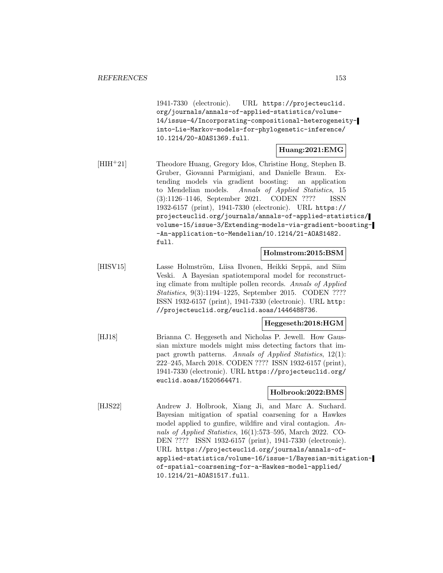1941-7330 (electronic). URL https://projecteuclid. org/journals/annals-of-applied-statistics/volume-14/issue-4/Incorporating-compositional-heterogeneityinto-Lie-Markov-models-for-phylogenetic-inference/ 10.1214/20-AOAS1369.full.

#### **Huang:2021:EMG**

[HIH<sup>+</sup>21] Theodore Huang, Gregory Idos, Christine Hong, Stephen B. Gruber, Giovanni Parmigiani, and Danielle Braun. Extending models via gradient boosting: an application to Mendelian models. Annals of Applied Statistics, 15 (3):1126–1146, September 2021. CODEN ???? ISSN 1932-6157 (print), 1941-7330 (electronic). URL https:// projecteuclid.org/journals/annals-of-applied-statistics/ volume-15/issue-3/Extending-models-via-gradient-boosting- -An-application-to-Mendelian/10.1214/21-AOAS1482. full.

#### **Holmstrom:2015:BSM**

[HISV15] Lasse Holmström, Liisa Ilvonen, Heikki Seppä, and Siim Veski. A Bayesian spatiotemporal model for reconstructing climate from multiple pollen records. Annals of Applied Statistics, 9(3):1194–1225, September 2015. CODEN ???? ISSN 1932-6157 (print), 1941-7330 (electronic). URL http: //projecteuclid.org/euclid.aoas/1446488736.

**Heggeseth:2018:HGM**

[HJ18] Brianna C. Heggeseth and Nicholas P. Jewell. How Gaussian mixture models might miss detecting factors that impact growth patterns. Annals of Applied Statistics, 12(1): 222–245, March 2018. CODEN ???? ISSN 1932-6157 (print), 1941-7330 (electronic). URL https://projecteuclid.org/ euclid.aoas/1520564471.

#### **Holbrook:2022:BMS**

[HJS22] Andrew J. Holbrook, Xiang Ji, and Marc A. Suchard. Bayesian mitigation of spatial coarsening for a Hawkes model applied to gunfire, wildfire and viral contagion. Annals of Applied Statistics, 16(1):573–595, March 2022. CO-DEN ???? ISSN 1932-6157 (print), 1941-7330 (electronic). URL https://projecteuclid.org/journals/annals-ofapplied-statistics/volume-16/issue-1/Bayesian-mitigationof-spatial-coarsening-for-a-Hawkes-model-applied/ 10.1214/21-AOAS1517.full.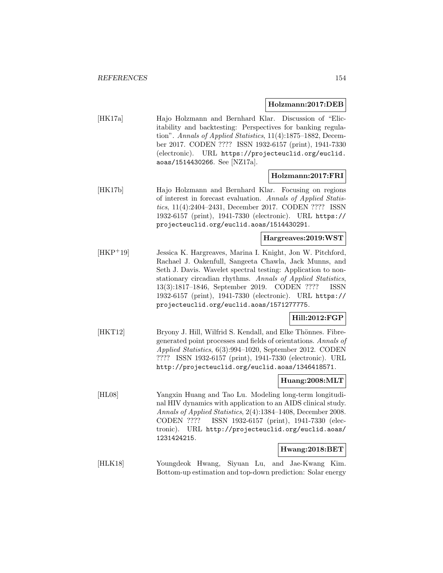#### **Holzmann:2017:DEB**

[HK17a] Hajo Holzmann and Bernhard Klar. Discussion of "Elicitability and backtesting: Perspectives for banking regulation". Annals of Applied Statistics, 11(4):1875–1882, December 2017. CODEN ???? ISSN 1932-6157 (print), 1941-7330 (electronic). URL https://projecteuclid.org/euclid. aoas/1514430266. See [NZ17a].

#### **Holzmann:2017:FRI**

[HK17b] Hajo Holzmann and Bernhard Klar. Focusing on regions of interest in forecast evaluation. Annals of Applied Statistics, 11(4):2404–2431, December 2017. CODEN ???? ISSN 1932-6157 (print), 1941-7330 (electronic). URL https:// projecteuclid.org/euclid.aoas/1514430291.

## **Hargreaves:2019:WST**

[HKP<sup>+</sup>19] Jessica K. Hargreaves, Marina I. Knight, Jon W. Pitchford, Rachael J. Oakenfull, Sangeeta Chawla, Jack Munns, and Seth J. Davis. Wavelet spectral testing: Application to nonstationary circadian rhythms. Annals of Applied Statistics, 13(3):1817–1846, September 2019. CODEN ???? ISSN 1932-6157 (print), 1941-7330 (electronic). URL https:// projecteuclid.org/euclid.aoas/1571277775.

# **Hill:2012:FGP**

[HKT12] Bryony J. Hill, Wilfrid S. Kendall, and Elke Thönnes. Fibregenerated point processes and fields of orientations. Annals of Applied Statistics, 6(3):994–1020, September 2012. CODEN ???? ISSN 1932-6157 (print), 1941-7330 (electronic). URL http://projecteuclid.org/euclid.aoas/1346418571.

## **Huang:2008:MLT**

[HL08] Yangxin Huang and Tao Lu. Modeling long-term longitudinal HIV dynamics with application to an AIDS clinical study. Annals of Applied Statistics, 2(4):1384–1408, December 2008. CODEN ???? ISSN 1932-6157 (print), 1941-7330 (electronic). URL http://projecteuclid.org/euclid.aoas/ 1231424215.

### **Hwang:2018:BET**

[HLK18] Youngdeok Hwang, Siyuan Lu, and Jae-Kwang Kim. Bottom-up estimation and top-down prediction: Solar energy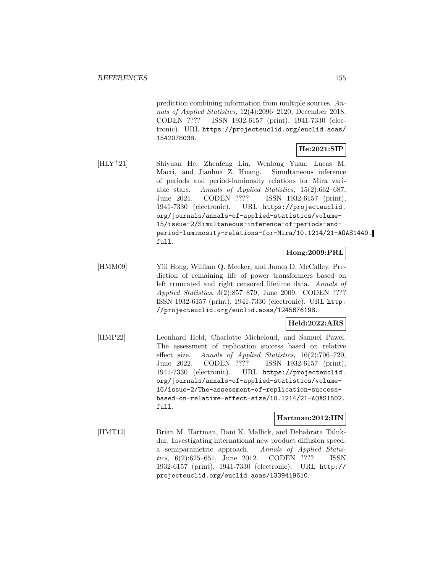prediction combining information from multiple sources. Annals of Applied Statistics, 12(4):2096–2120, December 2018. CODEN ???? ISSN 1932-6157 (print), 1941-7330 (electronic). URL https://projecteuclid.org/euclid.aoas/ 1542078038.

## **He:2021:SIP**

[HLY<sup>+</sup>21] Shiyuan He, Zhenfeng Lin, Wenlong Yuan, Lucas M. Macri, and Jianhua Z. Huang. Simultaneous inference of periods and period-luminosity relations for Mira variable stars. Annals of Applied Statistics, 15(2):662–687, June 2021. CODEN ???? ISSN 1932-6157 (print), 1941-7330 (electronic). URL https://projecteuclid. org/journals/annals-of-applied-statistics/volume-15/issue-2/Simultaneous-inference-of-periods-andperiod-luminosity-relations-for-Mira/10.1214/21-AOAS1440. full.

### **Hong:2009:PRL**

[HMM09] Yili Hong, William Q. Meeker, and James D. McCalley. Prediction of remaining life of power transformers based on left truncated and right censored lifetime data. Annals of Applied Statistics, 3(2):857–879, June 2009. CODEN ???? ISSN 1932-6157 (print), 1941-7330 (electronic). URL http: //projecteuclid.org/euclid.aoas/1245676198.

### **Held:2022:ARS**

[HMP22] Leonhard Held, Charlotte Micheloud, and Samuel Pawel. The assessment of replication success based on relative effect size. Annals of Applied Statistics, 16(2):706–720, June 2022. CODEN ???? ISSN 1932-6157 (print), 1941-7330 (electronic). URL https://projecteuclid. org/journals/annals-of-applied-statistics/volume-16/issue-2/The-assessment-of-replication-successbased-on-relative-effect-size/10.1214/21-AOAS1502. full.

### **Hartman:2012:IIN**

[HMT12] Brian M. Hartman, Bani K. Mallick, and Debabrata Talukdar. Investigating international new product diffusion speed: a semiparametric approach. Annals of Applied Statistics, 6(2):625–651, June 2012. CODEN ???? ISSN 1932-6157 (print), 1941-7330 (electronic). URL http:// projecteuclid.org/euclid.aoas/1339419610.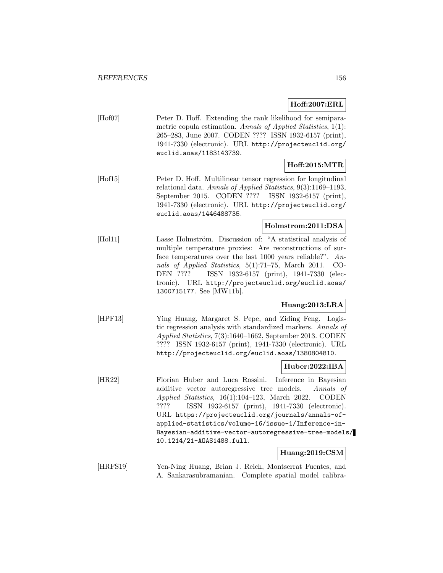### **Hoff:2007:ERL**

[Hof07] Peter D. Hoff. Extending the rank likelihood for semiparametric copula estimation. Annals of Applied Statistics, 1(1): 265–283, June 2007. CODEN ???? ISSN 1932-6157 (print), 1941-7330 (electronic). URL http://projecteuclid.org/ euclid.aoas/1183143739.

#### **Hoff:2015:MTR**

[Hof15] Peter D. Hoff. Multilinear tensor regression for longitudinal relational data. Annals of Applied Statistics, 9(3):1169–1193, September 2015. CODEN ???? ISSN 1932-6157 (print), 1941-7330 (electronic). URL http://projecteuclid.org/ euclid.aoas/1446488735.

### **Holmstrom:2011:DSA**

[Hol11] Lasse Holmström. Discussion of: "A statistical analysis of multiple temperature proxies: Are reconstructions of surface temperatures over the last 1000 years reliable?". Annals of Applied Statistics, 5(1):71–75, March 2011. CO-DEN ???? ISSN 1932-6157 (print), 1941-7330 (electronic). URL http://projecteuclid.org/euclid.aoas/ 1300715177. See [MW11b].

## **Huang:2013:LRA**

[HPF13] Ying Huang, Margaret S. Pepe, and Ziding Feng. Logistic regression analysis with standardized markers. Annals of Applied Statistics, 7(3):1640–1662, September 2013. CODEN ???? ISSN 1932-6157 (print), 1941-7330 (electronic). URL http://projecteuclid.org/euclid.aoas/1380804810.

#### **Huber:2022:IBA**

[HR22] Florian Huber and Luca Rossini. Inference in Bayesian additive vector autoregressive tree models. Annals of Applied Statistics, 16(1):104–123, March 2022. CODEN ???? ISSN 1932-6157 (print), 1941-7330 (electronic). URL https://projecteuclid.org/journals/annals-ofapplied-statistics/volume-16/issue-1/Inference-in-Bayesian-additive-vector-autoregressive-tree-models/ 10.1214/21-AOAS1488.full.

#### **Huang:2019:CSM**

[HRFS19] Yen-Ning Huang, Brian J. Reich, Montserrat Fuentes, and A. Sankarasubramanian. Complete spatial model calibra-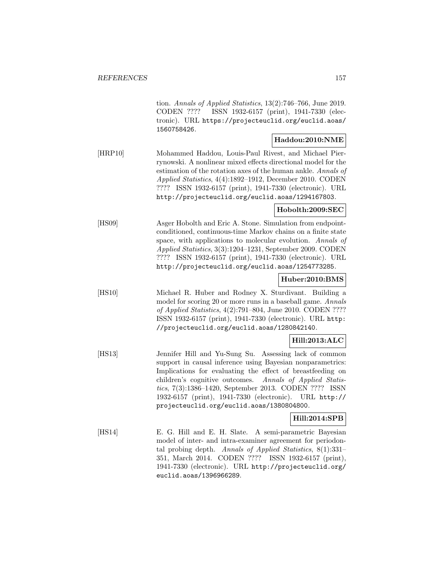tion. Annals of Applied Statistics, 13(2):746–766, June 2019. CODEN ???? ISSN 1932-6157 (print), 1941-7330 (electronic). URL https://projecteuclid.org/euclid.aoas/ 1560758426.

### **Haddou:2010:NME**

[HRP10] Mohammed Haddou, Louis-Paul Rivest, and Michael Pierrynowski. A nonlinear mixed effects directional model for the estimation of the rotation axes of the human ankle. Annals of Applied Statistics, 4(4):1892–1912, December 2010. CODEN ???? ISSN 1932-6157 (print), 1941-7330 (electronic). URL http://projecteuclid.org/euclid.aoas/1294167803.

#### **Hobolth:2009:SEC**

[HS09] Asger Hobolth and Eric A. Stone. Simulation from endpointconditioned, continuous-time Markov chains on a finite state space, with applications to molecular evolution. Annals of Applied Statistics, 3(3):1204–1231, September 2009. CODEN ???? ISSN 1932-6157 (print), 1941-7330 (electronic). URL http://projecteuclid.org/euclid.aoas/1254773285.

#### **Huber:2010:BMS**

[HS10] Michael R. Huber and Rodney X. Sturdivant. Building a model for scoring 20 or more runs in a baseball game. Annals of Applied Statistics, 4(2):791–804, June 2010. CODEN ???? ISSN 1932-6157 (print), 1941-7330 (electronic). URL http: //projecteuclid.org/euclid.aoas/1280842140.

# **Hill:2013:ALC**

[HS13] Jennifer Hill and Yu-Sung Su. Assessing lack of common support in causal inference using Bayesian nonparametrics: Implications for evaluating the effect of breastfeeding on children's cognitive outcomes. Annals of Applied Statistics, 7(3):1386–1420, September 2013. CODEN ???? ISSN 1932-6157 (print), 1941-7330 (electronic). URL http:// projecteuclid.org/euclid.aoas/1380804800.

#### **Hill:2014:SPB**

[HS14] E. G. Hill and E. H. Slate. A semi-parametric Bayesian model of inter- and intra-examiner agreement for periodontal probing depth. Annals of Applied Statistics, 8(1):331– 351, March 2014. CODEN ???? ISSN 1932-6157 (print), 1941-7330 (electronic). URL http://projecteuclid.org/ euclid.aoas/1396966289.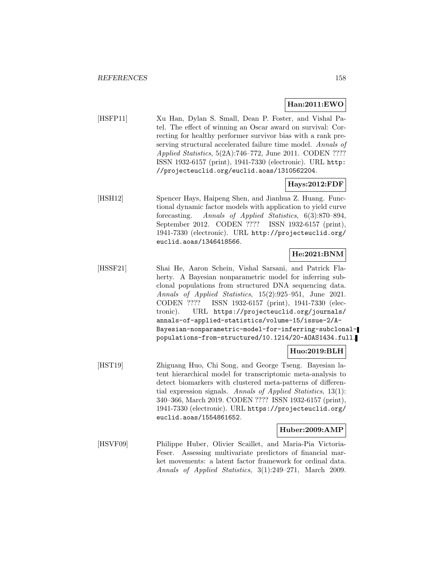### **Han:2011:EWO**

[HSFP11] Xu Han, Dylan S. Small, Dean P. Foster, and Vishal Patel. The effect of winning an Oscar award on survival: Correcting for healthy performer survivor bias with a rank preserving structural accelerated failure time model. Annals of Applied Statistics, 5(2A):746–772, June 2011. CODEN ???? ISSN 1932-6157 (print), 1941-7330 (electronic). URL http: //projecteuclid.org/euclid.aoas/1310562204.

### **Hays:2012:FDF**

[HSH12] Spencer Hays, Haipeng Shen, and Jianhua Z. Huang. Functional dynamic factor models with application to yield curve forecasting. Annals of Applied Statistics, 6(3):870–894, September 2012. CODEN ???? ISSN 1932-6157 (print), 1941-7330 (electronic). URL http://projecteuclid.org/ euclid.aoas/1346418566.

## **He:2021:BNM**

[HSSF21] Shai He, Aaron Schein, Vishal Sarsani, and Patrick Flaherty. A Bayesian nonparametric model for inferring subclonal populations from structured DNA sequencing data. Annals of Applied Statistics, 15(2):925–951, June 2021. CODEN ???? ISSN 1932-6157 (print), 1941-7330 (electronic). URL https://projecteuclid.org/journals/ annals-of-applied-statistics/volume-15/issue-2/A-Bayesian-nonparametric-model-for-inferring-subclonalpopulations-from-structured/10.1214/20-AOAS1434.full.

#### **Huo:2019:BLH**

[HST19] Zhiguang Huo, Chi Song, and George Tseng. Bayesian latent hierarchical model for transcriptomic meta-analysis to detect biomarkers with clustered meta-patterns of differential expression signals. Annals of Applied Statistics, 13(1): 340–366, March 2019. CODEN ???? ISSN 1932-6157 (print), 1941-7330 (electronic). URL https://projecteuclid.org/ euclid.aoas/1554861652.

### **Huber:2009:AMP**

[HSVF09] Philippe Huber, Olivier Scaillet, and Maria-Pia Victoria-Feser. Assessing multivariate predictors of financial market movements: a latent factor framework for ordinal data. Annals of Applied Statistics, 3(1):249–271, March 2009.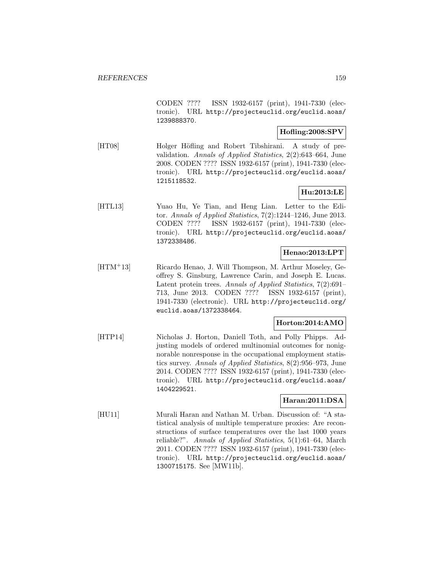CODEN ???? ISSN 1932-6157 (print), 1941-7330 (electronic). URL http://projecteuclid.org/euclid.aoas/ 1239888370.

## **Hofling:2008:SPV**

[HT08] Holger Höfling and Robert Tibshirani. A study of prevalidation. Annals of Applied Statistics, 2(2):643–664, June 2008. CODEN ???? ISSN 1932-6157 (print), 1941-7330 (electronic). URL http://projecteuclid.org/euclid.aoas/ 1215118532.

# **Hu:2013:LE**

[HTL13] Yuao Hu, Ye Tian, and Heng Lian. Letter to the Editor. Annals of Applied Statistics, 7(2):1244–1246, June 2013. CODEN ???? ISSN 1932-6157 (print), 1941-7330 (electronic). URL http://projecteuclid.org/euclid.aoas/ 1372338486.

## **Henao:2013:LPT**

[HTM<sup>+</sup>13] Ricardo Henao, J. Will Thompson, M. Arthur Moseley, Geoffrey S. Ginsburg, Lawrence Carin, and Joseph E. Lucas. Latent protein trees. Annals of Applied Statistics, 7(2):691– 713, June 2013. CODEN ???? ISSN 1932-6157 (print), 1941-7330 (electronic). URL http://projecteuclid.org/ euclid.aoas/1372338464.

### **Horton:2014:AMO**

[HTP14] Nicholas J. Horton, Daniell Toth, and Polly Phipps. Adjusting models of ordered multinomial outcomes for nonignorable nonresponse in the occupational employment statistics survey. Annals of Applied Statistics, 8(2):956–973, June 2014. CODEN ???? ISSN 1932-6157 (print), 1941-7330 (electronic). URL http://projecteuclid.org/euclid.aoas/ 1404229521.

## **Haran:2011:DSA**

[HU11] Murali Haran and Nathan M. Urban. Discussion of: "A statistical analysis of multiple temperature proxies: Are reconstructions of surface temperatures over the last 1000 years reliable?". Annals of Applied Statistics, 5(1):61–64, March 2011. CODEN ???? ISSN 1932-6157 (print), 1941-7330 (electronic). URL http://projecteuclid.org/euclid.aoas/ 1300715175. See [MW11b].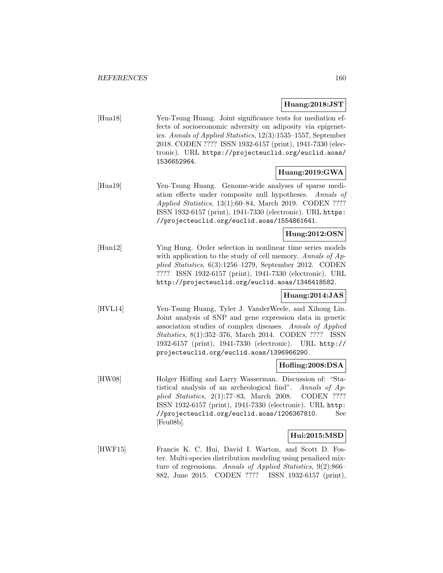### **Huang:2018:JST**

| [Hua18] | Yen-Tsung Huang. Joint significance tests for mediation ef-      |
|---------|------------------------------------------------------------------|
|         | fects of socioeconomic adversity on adiposity via epigenet-      |
|         | ics. Annals of Applied Statistics, $12(3)$ :1535-1557, September |
|         | 2018. CODEN ???? ISSN 1932-6157 (print), 1941-7330 (elec-        |
|         | tronic). URL https://projecteuclid.org/euclid.aoas/              |
|         | 1536652964.                                                      |
|         | Huang:2019:GWA                                                   |

[Hua19] Yen-Tsung Huang. Genome-wide analyses of sparse mediation effects under composite null hypotheses. Annals of Applied Statistics, 13(1):60–84, March 2019. CODEN ???? ISSN 1932-6157 (print), 1941-7330 (electronic). URL https: //projecteuclid.org/euclid.aoas/1554861641.

#### **Hung:2012:OSN**

[Hun12] Ying Hung. Order selection in nonlinear time series models with application to the study of cell memory. Annals of Applied Statistics, 6(3):1256–1279, September 2012. CODEN ???? ISSN 1932-6157 (print), 1941-7330 (electronic). URL http://projecteuclid.org/euclid.aoas/1346418582.

## **Huang:2014:JAS**

[HVL14] Yen-Tsung Huang, Tyler J. VanderWeele, and Xihong Lin. Joint analysis of SNP and gene expression data in genetic association studies of complex diseases. Annals of Applied Statistics, 8(1):352–376, March 2014. CODEN ???? ISSN 1932-6157 (print), 1941-7330 (electronic). URL http:// projecteuclid.org/euclid.aoas/1396966290.

### **Hofling:2008:DSA**

[HW08] Holger Höfling and Larry Wasserman. Discussion of: "Statistical analysis of an archeological find". Annals of Applied Statistics, 2(1):77–83, March 2008. CODEN ???? ISSN 1932-6157 (print), 1941-7330 (electronic). URL http: //projecteuclid.org/euclid.aoas/1206367810. See [Feu08b].

#### **Hui:2015:MSD**

[HWF15] Francis K. C. Hui, David I. Warton, and Scott D. Foster. Multi-species distribution modeling using penalized mixture of regressions. Annals of Applied Statistics, 9(2):866– 882, June 2015. CODEN ???? ISSN 1932-6157 (print),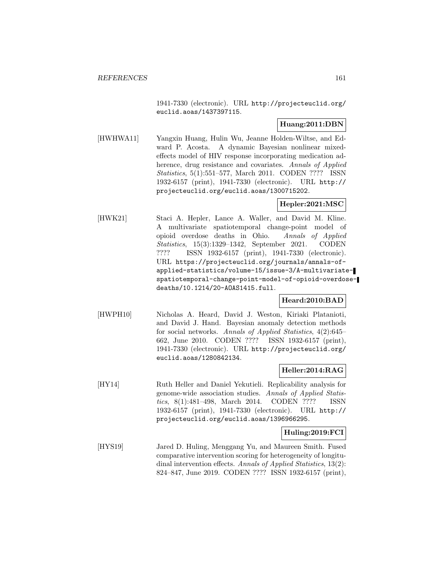1941-7330 (electronic). URL http://projecteuclid.org/ euclid.aoas/1437397115.

### **Huang:2011:DBN**

[HWHWA11] Yangxin Huang, Hulin Wu, Jeanne Holden-Wiltse, and Edward P. Acosta. A dynamic Bayesian nonlinear mixedeffects model of HIV response incorporating medication adherence, drug resistance and covariates. Annals of Applied Statistics, 5(1):551–577, March 2011. CODEN ???? ISSN 1932-6157 (print), 1941-7330 (electronic). URL http:// projecteuclid.org/euclid.aoas/1300715202.

### **Hepler:2021:MSC**

[HWK21] Staci A. Hepler, Lance A. Waller, and David M. Kline. A multivariate spatiotemporal change-point model of opioid overdose deaths in Ohio. Annals of Applied Statistics, 15(3):1329–1342, September 2021. CODEN ???? ISSN 1932-6157 (print), 1941-7330 (electronic). URL https://projecteuclid.org/journals/annals-ofapplied-statistics/volume-15/issue-3/A-multivariatespatiotemporal-change-point-model-of-opioid-overdosedeaths/10.1214/20-AOAS1415.full.

#### **Heard:2010:BAD**

[HWPH10] Nicholas A. Heard, David J. Weston, Kiriaki Platanioti, and David J. Hand. Bayesian anomaly detection methods for social networks. Annals of Applied Statistics, 4(2):645– 662, June 2010. CODEN ???? ISSN 1932-6157 (print), 1941-7330 (electronic). URL http://projecteuclid.org/ euclid.aoas/1280842134.

## **Heller:2014:RAG**

[HY14] Ruth Heller and Daniel Yekutieli. Replicability analysis for genome-wide association studies. Annals of Applied Statistics, 8(1):481–498, March 2014. CODEN ???? ISSN 1932-6157 (print), 1941-7330 (electronic). URL http:// projecteuclid.org/euclid.aoas/1396966295.

## **Huling:2019:FCI**

[HYS19] Jared D. Huling, Menggang Yu, and Maureen Smith. Fused comparative intervention scoring for heterogeneity of longitudinal intervention effects. Annals of Applied Statistics, 13(2): 824–847, June 2019. CODEN ???? ISSN 1932-6157 (print),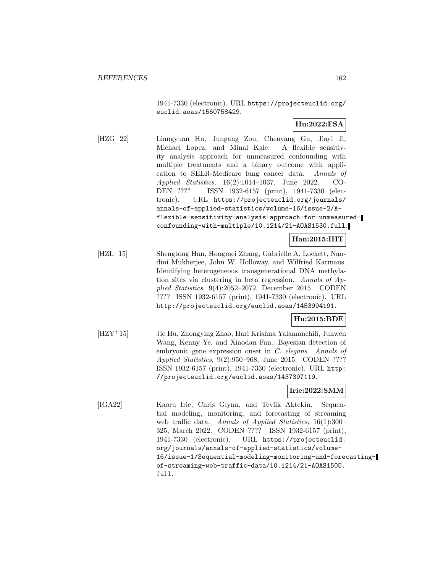1941-7330 (electronic). URL https://projecteuclid.org/ euclid.aoas/1560758429.

## **Hu:2022:FSA**

[HZG<sup>+</sup>22] Liangyuan Hu, Jungang Zou, Chenyang Gu, Jiayi Ji, Michael Lopez, and Minal Kale. A flexible sensitivity analysis approach for unmeasured confounding with multiple treatments and a binary outcome with application to SEER-Medicare lung cancer data. Annals of Applied Statistics, 16(2):1014–1037, June 2022. CO-DEN ???? ISSN 1932-6157 (print), 1941-7330 (electronic). URL https://projecteuclid.org/journals/ annals-of-applied-statistics/volume-16/issue-2/Aflexible-sensitivity-analysis-approach-for-unmeasuredconfounding-with-multiple/10.1214/21-AOAS1530.full.

**Han:2015:IHT**

[HZL<sup>+</sup>15] Shengtong Han, Hongmei Zhang, Gabrielle A. Lockett, Nandini Mukherjee, John W. Holloway, and Wilfried Karmaus. Identifying heterogeneous transgenerational DNA methylation sites via clustering in beta regression. Annals of Applied Statistics, 9(4):2052–2072, December 2015. CODEN ???? ISSN 1932-6157 (print), 1941-7330 (electronic). URL http://projecteuclid.org/euclid.aoas/1453994191.

# **Hu:2015:BDE**

[HZY<sup>+</sup>15] Jie Hu, Zhongying Zhao, Hari Krishna Yalamanchili, Junwen Wang, Kenny Ye, and Xiaodan Fan. Bayesian detection of embryonic gene expression onset in C. elegans. Annals of Applied Statistics, 9(2):950–968, June 2015. CODEN ???? ISSN 1932-6157 (print), 1941-7330 (electronic). URL http: //projecteuclid.org/euclid.aoas/1437397119.

#### **Irie:2022:SMM**

[IGA22] Kaoru Irie, Chris Glynn, and Tevfik Aktekin. Sequential modeling, monitoring, and forecasting of streaming web traffic data. Annals of Applied Statistics, 16(1):300– 325, March 2022. CODEN ???? ISSN 1932-6157 (print), 1941-7330 (electronic). URL https://projecteuclid. org/journals/annals-of-applied-statistics/volume-16/issue-1/Sequential-modeling-monitoring-and-forecastingof-streaming-web-traffic-data/10.1214/21-AOAS1505. full.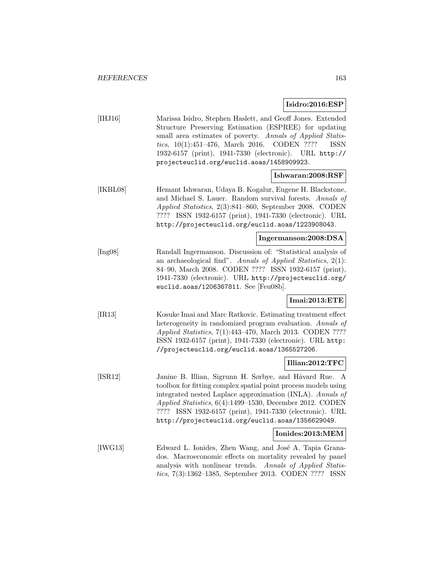#### **Isidro:2016:ESP**

| [HHJ16] | Marissa Isidro, Stephen Haslett, and Geoff Jones. Extended  |
|---------|-------------------------------------------------------------|
|         | Structure Preserving Estimation (ESPREE) for updating       |
|         | small area estimates of poverty. Annals of Applied Statis-  |
|         | <i>tics</i> , $10(1):451-476$ , March 2016. CODEN ???? ISSN |
|         | 1932-6157 (print), 1941-7330 (electronic). URL http://      |
|         | projecteuclid.org/euclid.aoas/1458909923.                   |
|         |                                                             |

- **Ishwaran:2008:RSF**
- [IKBL08] Hemant Ishwaran, Udaya B. Kogalur, Eugene H. Blackstone, and Michael S. Lauer. Random survival forests. Annals of Applied Statistics, 2(3):841–860, September 2008. CODEN ???? ISSN 1932-6157 (print), 1941-7330 (electronic). URL http://projecteuclid.org/euclid.aoas/1223908043.

### **Ingermanson:2008:DSA**

[Ing08] Randall Ingermanson. Discussion of: "Statistical analysis of an archaeological find". Annals of Applied Statistics, 2(1): 84–90, March 2008. CODEN ???? ISSN 1932-6157 (print), 1941-7330 (electronic). URL http://projecteuclid.org/ euclid.aoas/1206367811. See [Feu08b].

### **Imai:2013:ETE**

[IR13] Kosuke Imai and Marc Ratkovic. Estimating treatment effect heterogeneity in randomized program evaluation. Annals of Applied Statistics, 7(1):443–470, March 2013. CODEN ???? ISSN 1932-6157 (print), 1941-7330 (electronic). URL http: //projecteuclid.org/euclid.aoas/1365527206.

#### **Illian:2012:TFC**

[ISR12] Janine B. Illian, Sigrunn H. Sørbye, and Håvard Rue. A toolbox for fitting complex spatial point process models using integrated nested Laplace approximation (INLA). Annals of Applied Statistics, 6(4):1499–1530, December 2012. CODEN ???? ISSN 1932-6157 (print), 1941-7330 (electronic). URL http://projecteuclid.org/euclid.aoas/1356629049.

#### **Ionides:2013:MEM**

[IWG13] Edward L. Ionides, Zhen Wang, and José A. Tapia Granados. Macroeconomic effects on mortality revealed by panel analysis with nonlinear trends. Annals of Applied Statistics, 7(3):1362–1385, September 2013. CODEN ???? ISSN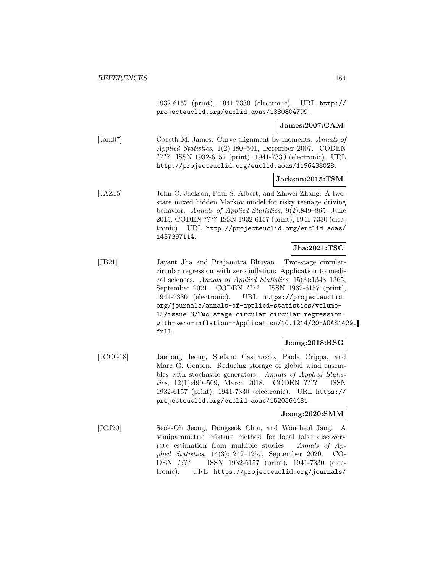1932-6157 (print), 1941-7330 (electronic). URL http:// projecteuclid.org/euclid.aoas/1380804799.

### **James:2007:CAM**

[Jam07] Gareth M. James. Curve alignment by moments. Annals of Applied Statistics, 1(2):480–501, December 2007. CODEN ???? ISSN 1932-6157 (print), 1941-7330 (electronic). URL http://projecteuclid.org/euclid.aoas/1196438028.

#### **Jackson:2015:TSM**

[JAZ15] John C. Jackson, Paul S. Albert, and Zhiwei Zhang. A twostate mixed hidden Markov model for risky teenage driving behavior. Annals of Applied Statistics, 9(2):849–865, June 2015. CODEN ???? ISSN 1932-6157 (print), 1941-7330 (electronic). URL http://projecteuclid.org/euclid.aoas/ 1437397114.

### **Jha:2021:TSC**

[JB21] Jayant Jha and Prajamitra Bhuyan. Two-stage circularcircular regression with zero inflation: Application to medical sciences. Annals of Applied Statistics, 15(3):1343–1365, September 2021. CODEN ???? ISSN 1932-6157 (print), 1941-7330 (electronic). URL https://projecteuclid. org/journals/annals-of-applied-statistics/volume-15/issue-3/Two-stage-circular-circular-regressionwith-zero-inflation--Application/10.1214/20-AOAS1429. full.

#### **Jeong:2018:RSG**

[JCCG18] Jaehong Jeong, Stefano Castruccio, Paola Crippa, and Marc G. Genton. Reducing storage of global wind ensembles with stochastic generators. Annals of Applied Statistics, 12(1):490–509, March 2018. CODEN ???? ISSN 1932-6157 (print), 1941-7330 (electronic). URL https:// projecteuclid.org/euclid.aoas/1520564481.

#### **Jeong:2020:SMM**

[JCJ20] Seok-Oh Jeong, Dongseok Choi, and Woncheol Jang. A semiparametric mixture method for local false discovery rate estimation from multiple studies. Annals of Applied Statistics, 14(3):1242–1257, September 2020. CO-DEN ???? ISSN 1932-6157 (print), 1941-7330 (electronic). URL https://projecteuclid.org/journals/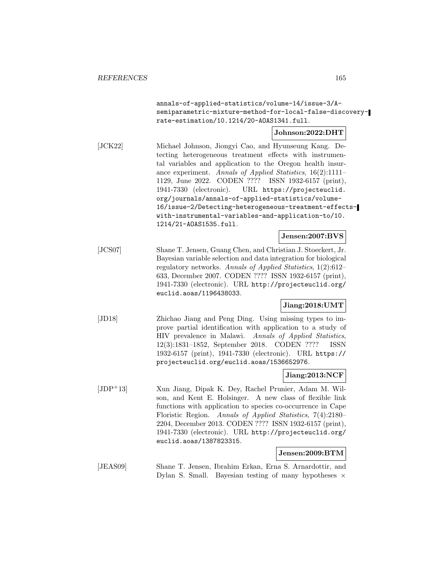annals-of-applied-statistics/volume-14/issue-3/Asemiparametric-mixture-method-for-local-false-discoveryrate-estimation/10.1214/20-AOAS1341.full.

**Johnson:2022:DHT**

[JCK22] Michael Johnson, Jiongyi Cao, and Hyunseung Kang. Detecting heterogeneous treatment effects with instrumental variables and application to the Oregon health insurance experiment. Annals of Applied Statistics, 16(2):1111– 1129, June 2022. CODEN ???? ISSN 1932-6157 (print), 1941-7330 (electronic). URL https://projecteuclid. org/journals/annals-of-applied-statistics/volume-16/issue-2/Detecting-heterogeneous-treatment-effectswith-instrumental-variables-and-application-to/10. 1214/21-AOAS1535.full.

**Jensen:2007:BVS**

[JCS07] Shane T. Jensen, Guang Chen, and Christian J. Stoeckert, Jr. Bayesian variable selection and data integration for biological regulatory networks. Annals of Applied Statistics, 1(2):612– 633, December 2007. CODEN ???? ISSN 1932-6157 (print), 1941-7330 (electronic). URL http://projecteuclid.org/ euclid.aoas/1196438033.

#### **Jiang:2018:UMT**

[JD18] Zhichao Jiang and Peng Ding. Using missing types to improve partial identification with application to a study of HIV prevalence in Malawi. Annals of Applied Statistics, 12(3):1831–1852, September 2018. CODEN ???? ISSN 1932-6157 (print), 1941-7330 (electronic). URL https:// projecteuclid.org/euclid.aoas/1536652976.

### **Jiang:2013:NCF**

[JDP<sup>+</sup>13] Xun Jiang, Dipak K. Dey, Rachel Prunier, Adam M. Wilson, and Kent E. Holsinger. A new class of flexible link functions with application to species co-occurrence in Cape Floristic Region. Annals of Applied Statistics, 7(4):2180– 2204, December 2013. CODEN ???? ISSN 1932-6157 (print), 1941-7330 (electronic). URL http://projecteuclid.org/ euclid.aoas/1387823315.

### **Jensen:2009:BTM**

[JEAS09] Shane T. Jensen, Ibrahim Erkan, Erna S. Arnardottir, and Dylan S. Small. Bayesian testing of many hypotheses  $\times$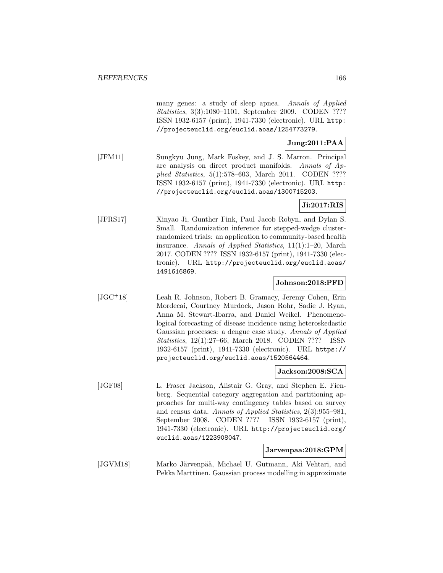many genes: a study of sleep apnea. Annals of Applied Statistics, 3(3):1080–1101, September 2009. CODEN ???? ISSN 1932-6157 (print), 1941-7330 (electronic). URL http: //projecteuclid.org/euclid.aoas/1254773279.

# **Jung:2011:PAA**

[JFM11] Sungkyu Jung, Mark Foskey, and J. S. Marron. Principal arc analysis on direct product manifolds. Annals of Applied Statistics, 5(1):578–603, March 2011. CODEN ???? ISSN 1932-6157 (print), 1941-7330 (electronic). URL http: //projecteuclid.org/euclid.aoas/1300715203.

## **Ji:2017:RIS**

[JFRS17] Xinyao Ji, Gunther Fink, Paul Jacob Robyn, and Dylan S. Small. Randomization inference for stepped-wedge clusterrandomized trials: an application to community-based health insurance. Annals of Applied Statistics, 11(1):1–20, March 2017. CODEN ???? ISSN 1932-6157 (print), 1941-7330 (electronic). URL http://projecteuclid.org/euclid.aoas/ 1491616869.

### **Johnson:2018:PFD**

[JGC<sup>+</sup>18] Leah R. Johnson, Robert B. Gramacy, Jeremy Cohen, Erin Mordecai, Courtney Murdock, Jason Rohr, Sadie J. Ryan, Anna M. Stewart-Ibarra, and Daniel Weikel. Phenomenological forecasting of disease incidence using heteroskedastic Gaussian processes: a dengue case study. Annals of Applied Statistics, 12(1):27–66, March 2018. CODEN ???? ISSN 1932-6157 (print), 1941-7330 (electronic). URL https:// projecteuclid.org/euclid.aoas/1520564464.

#### **Jackson:2008:SCA**

[JGF08] L. Fraser Jackson, Alistair G. Gray, and Stephen E. Fienberg. Sequential category aggregation and partitioning approaches for multi-way contingency tables based on survey and census data. Annals of Applied Statistics, 2(3):955–981, September 2008. CODEN ???? ISSN 1932-6157 (print), 1941-7330 (electronic). URL http://projecteuclid.org/ euclid.aoas/1223908047.

### **Jarvenpaa:2018:GPM**

[JGVM18] Marko Järvenpää, Michael U. Gutmann, Aki Vehtari, and Pekka Marttinen. Gaussian process modelling in approximate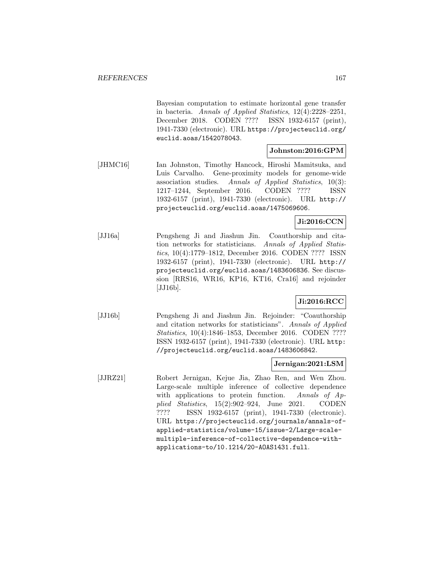Bayesian computation to estimate horizontal gene transfer in bacteria. Annals of Applied Statistics, 12(4):2228–2251, December 2018. CODEN ???? ISSN 1932-6157 (print), 1941-7330 (electronic). URL https://projecteuclid.org/ euclid.aoas/1542078043.

#### **Johnston:2016:GPM**

[JHMC16] Ian Johnston, Timothy Hancock, Hiroshi Mamitsuka, and Luis Carvalho. Gene-proximity models for genome-wide association studies. Annals of Applied Statistics, 10(3): 1217–1244, September 2016. CODEN ???? ISSN 1932-6157 (print), 1941-7330 (electronic). URL http:// projecteuclid.org/euclid.aoas/1475069606.

### **Ji:2016:CCN**

[JJ16a] Pengsheng Ji and Jiashun Jin. Coauthorship and citation networks for statisticians. Annals of Applied Statistics, 10(4):1779–1812, December 2016. CODEN ???? ISSN 1932-6157 (print), 1941-7330 (electronic). URL http:// projecteuclid.org/euclid.aoas/1483606836. See discussion [RRS16, WR16, KP16, KT16, Cra16] and rejoinder [JJ16b].

## **Ji:2016:RCC**

[JJ16b] Pengsheng Ji and Jiashun Jin. Rejoinder: "Coauthorship and citation networks for statisticians". Annals of Applied Statistics, 10(4):1846–1853, December 2016. CODEN ???? ISSN 1932-6157 (print), 1941-7330 (electronic). URL http: //projecteuclid.org/euclid.aoas/1483606842.

#### **Jernigan:2021:LSM**

[JJRZ21] Robert Jernigan, Kejue Jia, Zhao Ren, and Wen Zhou. Large-scale multiple inference of collective dependence with applications to protein function. Annals of Applied Statistics, 15(2):902–924, June 2021. CODEN ???? ISSN 1932-6157 (print), 1941-7330 (electronic). URL https://projecteuclid.org/journals/annals-ofapplied-statistics/volume-15/issue-2/Large-scalemultiple-inference-of-collective-dependence-withapplications-to/10.1214/20-AOAS1431.full.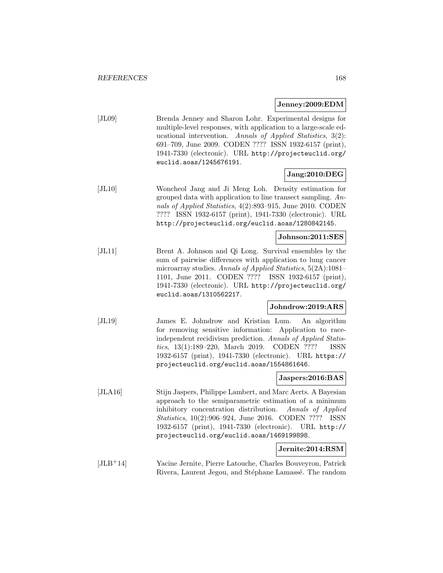#### **Jenney:2009:EDM**

[JL09] Brenda Jenney and Sharon Lohr. Experimental designs for multiple-level responses, with application to a large-scale educational intervention. Annals of Applied Statistics, 3(2): 691–709, June 2009. CODEN ???? ISSN 1932-6157 (print), 1941-7330 (electronic). URL http://projecteuclid.org/ euclid.aoas/1245676191.

# **Jang:2010:DEG**

[JL10] Woncheol Jang and Ji Meng Loh. Density estimation for grouped data with application to line transect sampling. Annals of Applied Statistics, 4(2):893–915, June 2010. CODEN ???? ISSN 1932-6157 (print), 1941-7330 (electronic). URL http://projecteuclid.org/euclid.aoas/1280842145.

### **Johnson:2011:SES**

[JL11] Brent A. Johnson and Qi Long. Survival ensembles by the sum of pairwise differences with application to lung cancer microarray studies. Annals of Applied Statistics, 5(2A):1081– 1101, June 2011. CODEN ???? ISSN 1932-6157 (print), 1941-7330 (electronic). URL http://projecteuclid.org/ euclid.aoas/1310562217.

#### **Johndrow:2019:ARS**

[JL19] James E. Johndrow and Kristian Lum. An algorithm for removing sensitive information: Application to raceindependent recidivism prediction. Annals of Applied Statistics, 13(1):189–220, March 2019. CODEN ???? ISSN 1932-6157 (print), 1941-7330 (electronic). URL https:// projecteuclid.org/euclid.aoas/1554861646.

#### **Jaspers:2016:BAS**

[JLA16] Stijn Jaspers, Philippe Lambert, and Marc Aerts. A Bayesian approach to the semiparametric estimation of a minimum inhibitory concentration distribution. Annals of Applied Statistics, 10(2):906–924, June 2016. CODEN ???? ISSN 1932-6157 (print), 1941-7330 (electronic). URL http:// projecteuclid.org/euclid.aoas/1469199898.

### **Jernite:2014:RSM**

[JLB<sup>+</sup>14] Yacine Jernite, Pierre Latouche, Charles Bouveyron, Patrick Rivera, Laurent Jegou, and Stéphane Lamassé. The random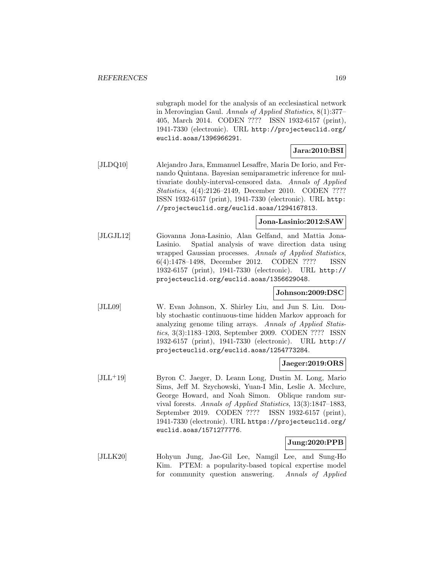subgraph model for the analysis of an ecclesiastical network in Merovingian Gaul. Annals of Applied Statistics, 8(1):377– 405, March 2014. CODEN ???? ISSN 1932-6157 (print), 1941-7330 (electronic). URL http://projecteuclid.org/ euclid.aoas/1396966291.

## **Jara:2010:BSI**

[JLDQ10] Alejandro Jara, Emmanuel Lesaffre, Maria De Iorio, and Fernando Quintana. Bayesian semiparametric inference for multivariate doubly-interval-censored data. Annals of Applied Statistics, 4(4):2126–2149, December 2010. CODEN ???? ISSN 1932-6157 (print), 1941-7330 (electronic). URL http: //projecteuclid.org/euclid.aoas/1294167813.

### **Jona-Lasinio:2012:SAW**

[JLGJL12] Giovanna Jona-Lasinio, Alan Gelfand, and Mattia Jona-Lasinio. Spatial analysis of wave direction data using wrapped Gaussian processes. Annals of Applied Statistics, 6(4):1478–1498, December 2012. CODEN ???? ISSN 1932-6157 (print), 1941-7330 (electronic). URL http:// projecteuclid.org/euclid.aoas/1356629048.

## **Johnson:2009:DSC**

[JLL09] W. Evan Johnson, X. Shirley Liu, and Jun S. Liu. Doubly stochastic continuous-time hidden Markov approach for analyzing genome tiling arrays. Annals of Applied Statistics, 3(3):1183–1203, September 2009. CODEN ???? ISSN 1932-6157 (print), 1941-7330 (electronic). URL http:// projecteuclid.org/euclid.aoas/1254773284.

#### **Jaeger:2019:ORS**

[JLL<sup>+</sup>19] Byron C. Jaeger, D. Leann Long, Dustin M. Long, Mario Sims, Jeff M. Szychowski, Yuan-I Min, Leslie A. Mcclure, George Howard, and Noah Simon. Oblique random survival forests. Annals of Applied Statistics, 13(3):1847–1883, September 2019. CODEN ???? ISSN 1932-6157 (print), 1941-7330 (electronic). URL https://projecteuclid.org/ euclid.aoas/1571277776.

## **Jung:2020:PPB**

[JLLK20] Hohyun Jung, Jae-Gil Lee, Namgil Lee, and Sung-Ho Kim. PTEM: a popularity-based topical expertise model for community question answering. Annals of Applied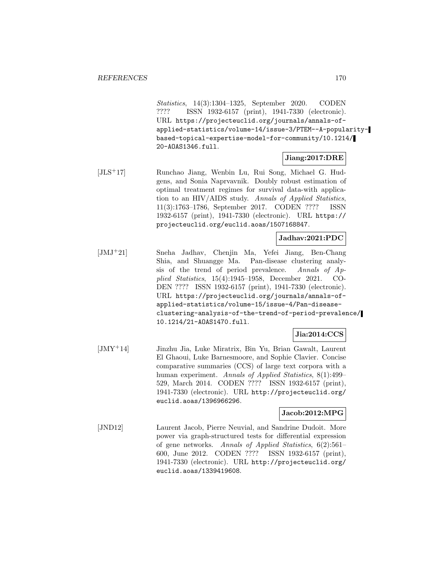Statistics, 14(3):1304–1325, September 2020. CODEN ???? ISSN 1932-6157 (print), 1941-7330 (electronic). URL https://projecteuclid.org/journals/annals-ofapplied-statistics/volume-14/issue-3/PTEM--A-popularitybased-topical-expertise-model-for-community/10.1214/ 20-AOAS1346.full.

#### **Jiang:2017:DRE**

[JLS<sup>+</sup>17] Runchao Jiang, Wenbin Lu, Rui Song, Michael G. Hudgens, and Sonia Naprvavnik. Doubly robust estimation of optimal treatment regimes for survival data-with application to an HIV/AIDS study. Annals of Applied Statistics, 11(3):1763–1786, September 2017. CODEN ???? ISSN 1932-6157 (print), 1941-7330 (electronic). URL https:// projecteuclid.org/euclid.aoas/1507168847.

## **Jadhav:2021:PDC**

[JMJ<sup>+</sup>21] Sneha Jadhav, Chenjin Ma, Yefei Jiang, Ben-Chang Shia, and Shuangge Ma. Pan-disease clustering analysis of the trend of period prevalence. Annals of Applied Statistics, 15(4):1945–1958, December 2021. CO-DEN ???? ISSN 1932-6157 (print), 1941-7330 (electronic). URL https://projecteuclid.org/journals/annals-ofapplied-statistics/volume-15/issue-4/Pan-diseaseclustering-analysis-of-the-trend-of-period-prevalence/ 10.1214/21-AOAS1470.full.

# **Jia:2014:CCS**

[JMY<sup>+</sup>14] Jinzhu Jia, Luke Miratrix, Bin Yu, Brian Gawalt, Laurent El Ghaoui, Luke Barnesmoore, and Sophie Clavier. Concise comparative summaries (CCS) of large text corpora with a human experiment. Annals of Applied Statistics, 8(1):499– 529, March 2014. CODEN ???? ISSN 1932-6157 (print), 1941-7330 (electronic). URL http://projecteuclid.org/ euclid.aoas/1396966296.

### **Jacob:2012:MPG**

[JND12] Laurent Jacob, Pierre Neuvial, and Sandrine Dudoit. More power via graph-structured tests for differential expression of gene networks. Annals of Applied Statistics, 6(2):561– 600, June 2012. CODEN ???? ISSN 1932-6157 (print), 1941-7330 (electronic). URL http://projecteuclid.org/ euclid.aoas/1339419608.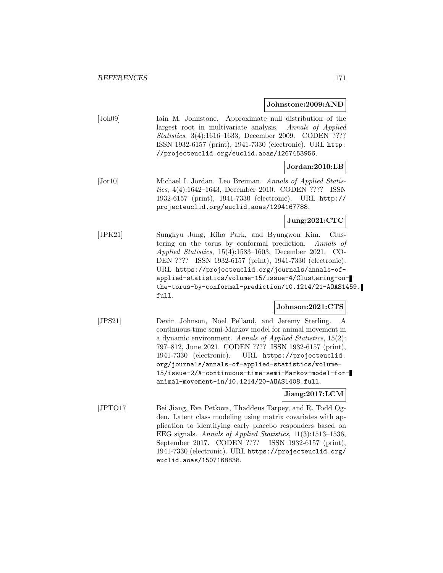#### **Johnstone:2009:AND**

| [John09] | Iain M. Johnstone. Approximate null distribution of the       |
|----------|---------------------------------------------------------------|
|          | largest root in multivariate analysis. Annals of Applied      |
|          | <i>Statistics</i> , 3(4):1616-1633, December 2009. CODEN ???? |
|          | ISSN 1932-6157 (print), 1941-7330 (electronic). URL http:     |
|          | //projecteuclid.org/euclid.aoas/1267453956.                   |
|          |                                                               |

## **Jordan:2010:LB**

[Jor10] Michael I. Jordan. Leo Breiman. Annals of Applied Statistics, 4(4):1642–1643, December 2010. CODEN ???? ISSN 1932-6157 (print), 1941-7330 (electronic). URL http:// projecteuclid.org/euclid.aoas/1294167788.

### **Jung:2021:CTC**

[JPK21] Sungkyu Jung, Kiho Park, and Byungwon Kim. Clustering on the torus by conformal prediction. Annals of Applied Statistics, 15(4):1583–1603, December 2021. CO-DEN ???? ISSN 1932-6157 (print), 1941-7330 (electronic). URL https://projecteuclid.org/journals/annals-ofapplied-statistics/volume-15/issue-4/Clustering-onthe-torus-by-conformal-prediction/10.1214/21-AOAS1459. full.

#### **Johnson:2021:CTS**

[JPS21] Devin Johnson, Noel Pelland, and Jeremy Sterling. A continuous-time semi-Markov model for animal movement in a dynamic environment. Annals of Applied Statistics, 15(2): 797–812, June 2021. CODEN ???? ISSN 1932-6157 (print), 1941-7330 (electronic). URL https://projecteuclid. org/journals/annals-of-applied-statistics/volume-15/issue-2/A-continuous-time-semi-Markov-model-foranimal-movement-in/10.1214/20-AOAS1408.full.

### **Jiang:2017:LCM**

[JPTO17] Bei Jiang, Eva Petkova, Thaddeus Tarpey, and R. Todd Ogden. Latent class modeling using matrix covariates with application to identifying early placebo responders based on EEG signals. Annals of Applied Statistics, 11(3):1513–1536, September 2017. CODEN ???? ISSN 1932-6157 (print), 1941-7330 (electronic). URL https://projecteuclid.org/ euclid.aoas/1507168838.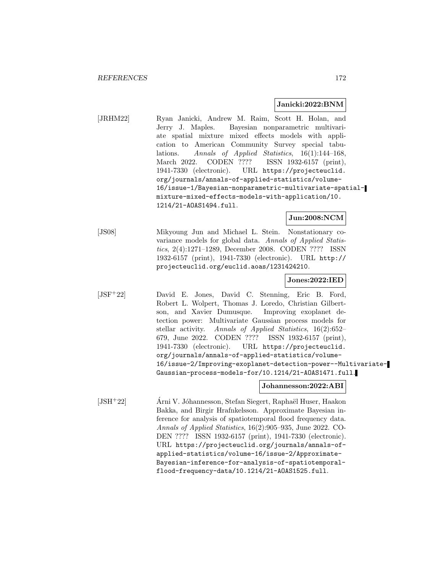#### **Janicki:2022:BNM**

[JRHM22] Ryan Janicki, Andrew M. Raim, Scott H. Holan, and Jerry J. Maples. Bayesian nonparametric multivariate spatial mixture mixed effects models with application to American Community Survey special tabulations. Annals of Applied Statistics, 16(1):144–168, March 2022. CODEN ???? ISSN 1932-6157 (print), 1941-7330 (electronic). URL https://projecteuclid. org/journals/annals-of-applied-statistics/volume-16/issue-1/Bayesian-nonparametric-multivariate-spatialmixture-mixed-effects-models-with-application/10. 1214/21-AOAS1494.full.

**Jun:2008:NCM**

[JS08] Mikyoung Jun and Michael L. Stein. Nonstationary covariance models for global data. Annals of Applied Statistics, 2(4):1271–1289, December 2008. CODEN ???? ISSN 1932-6157 (print), 1941-7330 (electronic). URL http:// projecteuclid.org/euclid.aoas/1231424210.

**Jones:2022:IED**

[JSF<sup>+</sup>22] David E. Jones, David C. Stenning, Eric B. Ford, Robert L. Wolpert, Thomas J. Loredo, Christian Gilbertson, and Xavier Dumusque. Improving exoplanet detection power: Multivariate Gaussian process models for stellar activity. Annals of Applied Statistics, 16(2):652– 679, June 2022. CODEN ???? ISSN 1932-6157 (print), 1941-7330 (electronic). URL https://projecteuclid. org/journals/annals-of-applied-statistics/volume-16/issue-2/Improving-exoplanet-detection-power--Multivariate-Gaussian-process-models-for/10.1214/21-AOAS1471.full.

#### **Johannesson:2022:ABI**

 $[JSH<sup>+</sup>22]$  Árni V. Jóhannesson, Stefan Siegert, Raphaël Huser, Haakon Bakka, and Birgir Hrafnkelsson. Approximate Bayesian inference for analysis of spatiotemporal flood frequency data. Annals of Applied Statistics, 16(2):905–935, June 2022. CO-DEN ???? ISSN 1932-6157 (print), 1941-7330 (electronic). URL https://projecteuclid.org/journals/annals-ofapplied-statistics/volume-16/issue-2/Approximate-Bayesian-inference-for-analysis-of-spatiotemporalflood-frequency-data/10.1214/21-AOAS1525.full.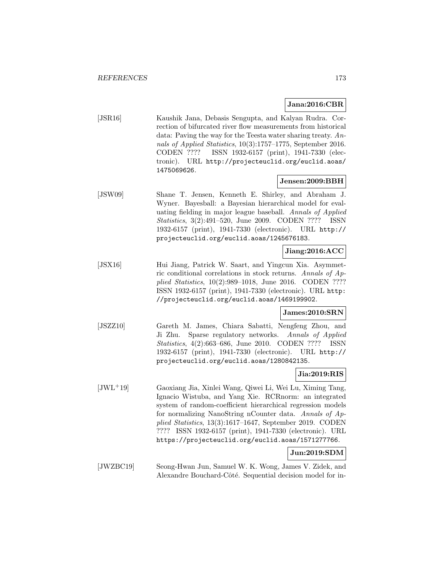#### **Jana:2016:CBR**

[JSR16] Kaushik Jana, Debasis Sengupta, and Kalyan Rudra. Correction of bifurcated river flow measurements from historical data: Paving the way for the Teesta water sharing treaty. Annals of Applied Statistics, 10(3):1757–1775, September 2016. CODEN ???? ISSN 1932-6157 (print), 1941-7330 (electronic). URL http://projecteuclid.org/euclid.aoas/ 1475069626.

#### **Jensen:2009:BBH**

[JSW09] Shane T. Jensen, Kenneth E. Shirley, and Abraham J. Wyner. Bayesball: a Bayesian hierarchical model for evaluating fielding in major league baseball. Annals of Applied Statistics, 3(2):491–520, June 2009. CODEN ???? ISSN 1932-6157 (print), 1941-7330 (electronic). URL http:// projecteuclid.org/euclid.aoas/1245676183.

# **Jiang:2016:ACC**

[JSX16] Hui Jiang, Patrick W. Saart, and Yingcun Xia. Asymmetric conditional correlations in stock returns. Annals of Applied Statistics, 10(2):989–1018, June 2016. CODEN ???? ISSN 1932-6157 (print), 1941-7330 (electronic). URL http: //projecteuclid.org/euclid.aoas/1469199902.

#### **James:2010:SRN**

[JSZZ10] Gareth M. James, Chiara Sabatti, Nengfeng Zhou, and Ji Zhu. Sparse regulatory networks. Annals of Applied Statistics, 4(2):663–686, June 2010. CODEN ???? ISSN 1932-6157 (print), 1941-7330 (electronic). URL http:// projecteuclid.org/euclid.aoas/1280842135.

#### **Jia:2019:RIS**

[JWL<sup>+</sup>19] Gaoxiang Jia, Xinlei Wang, Qiwei Li, Wei Lu, Ximing Tang, Ignacio Wistuba, and Yang Xie. RCRnorm: an integrated system of random-coefficient hierarchical regression models for normalizing NanoString nCounter data. Annals of Applied Statistics, 13(3):1617–1647, September 2019. CODEN ???? ISSN 1932-6157 (print), 1941-7330 (electronic). URL https://projecteuclid.org/euclid.aoas/1571277766.

### **Jun:2019:SDM**

[JWZBC19] Seong-Hwan Jun, Samuel W. K. Wong, James V. Zidek, and Alexandre Bouchard-Côté. Sequential decision model for in-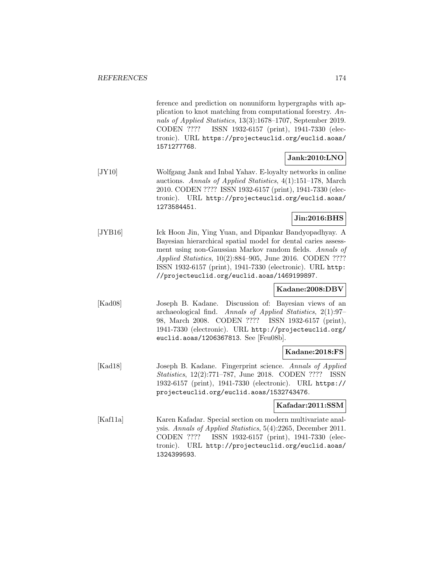ference and prediction on nonuniform hypergraphs with application to knot matching from computational forestry. Annals of Applied Statistics, 13(3):1678–1707, September 2019. CODEN ???? ISSN 1932-6157 (print), 1941-7330 (electronic). URL https://projecteuclid.org/euclid.aoas/ 1571277768.

## **Jank:2010:LNO**

[JY10] Wolfgang Jank and Inbal Yahav. E-loyalty networks in online auctions. Annals of Applied Statistics, 4(1):151–178, March 2010. CODEN ???? ISSN 1932-6157 (print), 1941-7330 (electronic). URL http://projecteuclid.org/euclid.aoas/ 1273584451.

# **Jin:2016:BHS**

[JYB16] Ick Hoon Jin, Ying Yuan, and Dipankar Bandyopadhyay. A Bayesian hierarchical spatial model for dental caries assessment using non-Gaussian Markov random fields. Annals of Applied Statistics, 10(2):884–905, June 2016. CODEN ???? ISSN 1932-6157 (print), 1941-7330 (electronic). URL http: //projecteuclid.org/euclid.aoas/1469199897.

## **Kadane:2008:DBV**

[Kad08] Joseph B. Kadane. Discussion of: Bayesian views of an archaeological find. Annals of Applied Statistics, 2(1):97– 98, March 2008. CODEN ???? ISSN 1932-6157 (print), 1941-7330 (electronic). URL http://projecteuclid.org/ euclid.aoas/1206367813. See [Feu08b].

## **Kadane:2018:FS**

[Kad18] Joseph B. Kadane. Fingerprint science. Annals of Applied Statistics, 12(2):771–787, June 2018. CODEN ???? ISSN 1932-6157 (print), 1941-7330 (electronic). URL https:// projecteuclid.org/euclid.aoas/1532743476.

## **Kafadar:2011:SSM**

[Kaf11a] Karen Kafadar. Special section on modern multivariate analysis. Annals of Applied Statistics, 5(4):2265, December 2011. CODEN ???? ISSN 1932-6157 (print), 1941-7330 (electronic). URL http://projecteuclid.org/euclid.aoas/ 1324399593.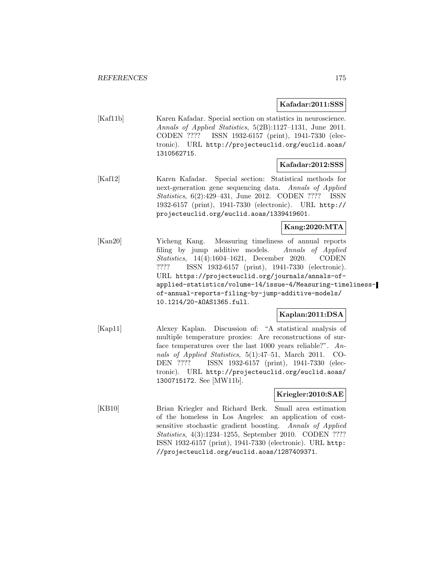**Kafadar:2011:SSS**

[Kaf11b] Karen Kafadar. Special section on statistics in neuroscience. Annals of Applied Statistics, 5(2B):1127–1131, June 2011. CODEN ???? ISSN 1932-6157 (print), 1941-7330 (electronic). URL http://projecteuclid.org/euclid.aoas/ 1310562715.

#### **Kafadar:2012:SSS**

[Kaf12] Karen Kafadar. Special section: Statistical methods for next-generation gene sequencing data. Annals of Applied Statistics, 6(2):429–431, June 2012. CODEN ???? ISSN 1932-6157 (print), 1941-7330 (electronic). URL http:// projecteuclid.org/euclid.aoas/1339419601.

**Kang:2020:MTA**

[Kan20] Yicheng Kang. Measuring timeliness of annual reports filing by jump additive models. Annals of Applied Statistics, 14(4):1604–1621, December 2020. CODEN ???? ISSN 1932-6157 (print), 1941-7330 (electronic). URL https://projecteuclid.org/journals/annals-ofapplied-statistics/volume-14/issue-4/Measuring-timelinessof-annual-reports-filing-by-jump-additive-models/ 10.1214/20-AOAS1365.full.

## **Kaplan:2011:DSA**

[Kap11] Alexey Kaplan. Discussion of: "A statistical analysis of multiple temperature proxies: Are reconstructions of surface temperatures over the last 1000 years reliable?". Annals of Applied Statistics, 5(1):47–51, March 2011. CO-DEN ???? ISSN 1932-6157 (print), 1941-7330 (electronic). URL http://projecteuclid.org/euclid.aoas/ 1300715172. See [MW11b].

## **Kriegler:2010:SAE**

[KB10] Brian Kriegler and Richard Berk. Small area estimation of the homeless in Los Angeles: an application of costsensitive stochastic gradient boosting. Annals of Applied Statistics, 4(3):1234–1255, September 2010. CODEN ???? ISSN 1932-6157 (print), 1941-7330 (electronic). URL http: //projecteuclid.org/euclid.aoas/1287409371.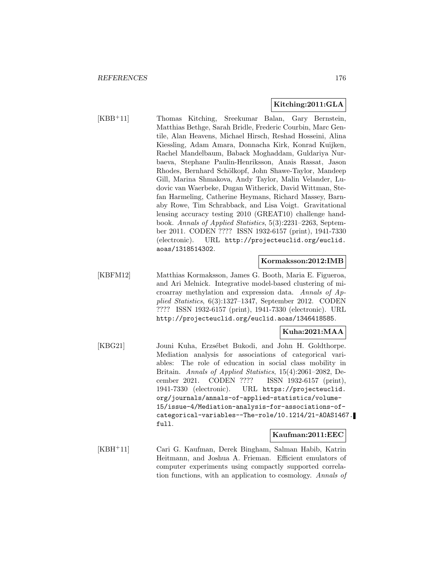### **Kitching:2011:GLA**

[KBB<sup>+</sup>11] Thomas Kitching, Sreekumar Balan, Gary Bernstein, Matthias Bethge, Sarah Bridle, Frederic Courbin, Marc Gentile, Alan Heavens, Michael Hirsch, Reshad Hosseini, Alina Kiessling, Adam Amara, Donnacha Kirk, Konrad Kuijken, Rachel Mandelbaum, Baback Moghaddam, Guldariya Nurbaeva, Stephane Paulin-Henriksson, Anais Rassat, Jason Rhodes, Bernhard Schölkopf, John Shawe-Taylor, Mandeep Gill, Marina Shmakova, Andy Taylor, Malin Velander, Ludovic van Waerbeke, Dugan Witherick, David Wittman, Stefan Harmeling, Catherine Heymans, Richard Massey, Barnaby Rowe, Tim Schrabback, and Lisa Voigt. Gravitational lensing accuracy testing 2010 (GREAT10) challenge handbook. Annals of Applied Statistics, 5(3):2231–2263, September 2011. CODEN ???? ISSN 1932-6157 (print), 1941-7330 (electronic). URL http://projecteuclid.org/euclid. aoas/1318514302.

#### **Kormaksson:2012:IMB**

[KBFM12] Matthias Kormaksson, James G. Booth, Maria E. Figueroa, and Ari Melnick. Integrative model-based clustering of microarray methylation and expression data. Annals of Applied Statistics, 6(3):1327–1347, September 2012. CODEN ???? ISSN 1932-6157 (print), 1941-7330 (electronic). URL http://projecteuclid.org/euclid.aoas/1346418585.

### **Kuha:2021:MAA**

[KBG21] Jouni Kuha, Erzsébet Bukodi, and John H. Goldthorpe. Mediation analysis for associations of categorical variables: The role of education in social class mobility in Britain. Annals of Applied Statistics, 15(4):2061–2082, December 2021. CODEN ???? ISSN 1932-6157 (print), 1941-7330 (electronic). URL https://projecteuclid. org/journals/annals-of-applied-statistics/volume-15/issue-4/Mediation-analysis-for-associations-ofcategorical-variables--The-role/10.1214/21-AOAS1467. full.

#### **Kaufman:2011:EEC**

[KBH<sup>+</sup>11] Cari G. Kaufman, Derek Bingham, Salman Habib, Katrin Heitmann, and Joshua A. Frieman. Efficient emulators of computer experiments using compactly supported correlation functions, with an application to cosmology. Annals of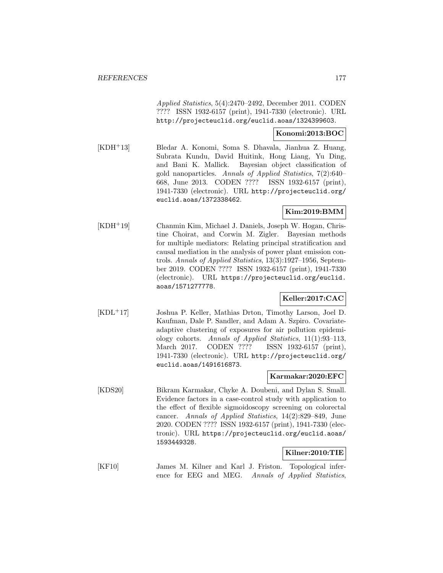Applied Statistics, 5(4):2470–2492, December 2011. CODEN ???? ISSN 1932-6157 (print), 1941-7330 (electronic). URL http://projecteuclid.org/euclid.aoas/1324399603.

### **Konomi:2013:BOC**

[KDH<sup>+</sup>13] Bledar A. Konomi, Soma S. Dhavala, Jianhua Z. Huang, Subrata Kundu, David Huitink, Hong Liang, Yu Ding, and Bani K. Mallick. Bayesian object classification of gold nanoparticles. Annals of Applied Statistics, 7(2):640– 668, June 2013. CODEN ???? ISSN 1932-6157 (print), 1941-7330 (electronic). URL http://projecteuclid.org/ euclid.aoas/1372338462.

### **Kim:2019:BMM**

[KDH<sup>+</sup>19] Chanmin Kim, Michael J. Daniels, Joseph W. Hogan, Christine Choirat, and Corwin M. Zigler. Bayesian methods for multiple mediators: Relating principal stratification and causal mediation in the analysis of power plant emission controls. Annals of Applied Statistics, 13(3):1927–1956, September 2019. CODEN ???? ISSN 1932-6157 (print), 1941-7330 (electronic). URL https://projecteuclid.org/euclid. aoas/1571277778.

## **Keller:2017:CAC**

[KDL<sup>+</sup>17] Joshua P. Keller, Mathias Drton, Timothy Larson, Joel D. Kaufman, Dale P. Sandler, and Adam A. Szpiro. Covariateadaptive clustering of exposures for air pollution epidemiology cohorts. Annals of Applied Statistics, 11(1):93–113, March 2017. CODEN ???? ISSN 1932-6157 (print), 1941-7330 (electronic). URL http://projecteuclid.org/ euclid.aoas/1491616873.

#### **Karmakar:2020:EFC**

[KDS20] Bikram Karmakar, Chyke A. Doubeni, and Dylan S. Small. Evidence factors in a case-control study with application to the effect of flexible sigmoidoscopy screening on colorectal cancer. Annals of Applied Statistics, 14(2):829–849, June 2020. CODEN ???? ISSN 1932-6157 (print), 1941-7330 (electronic). URL https://projecteuclid.org/euclid.aoas/ 1593449328.

## **Kilner:2010:TIE**

[KF10] James M. Kilner and Karl J. Friston. Topological inference for EEG and MEG. Annals of Applied Statistics,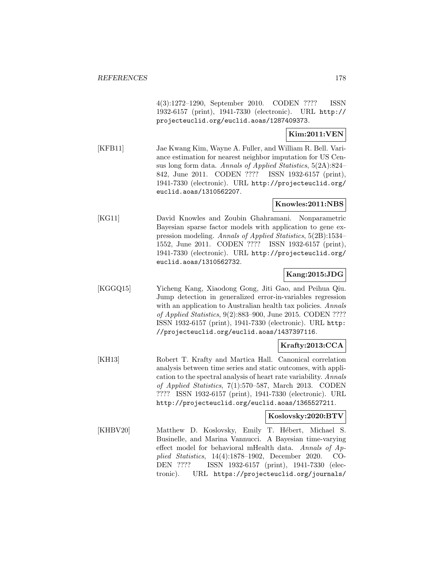4(3):1272–1290, September 2010. CODEN ???? ISSN 1932-6157 (print), 1941-7330 (electronic). URL http:// projecteuclid.org/euclid.aoas/1287409373.

### **Kim:2011:VEN**

[KFB11] Jae Kwang Kim, Wayne A. Fuller, and William R. Bell. Variance estimation for nearest neighbor imputation for US Census long form data. Annals of Applied Statistics, 5(2A):824– 842, June 2011. CODEN ???? ISSN 1932-6157 (print), 1941-7330 (electronic). URL http://projecteuclid.org/ euclid.aoas/1310562207.

### **Knowles:2011:NBS**

[KG11] David Knowles and Zoubin Ghahramani. Nonparametric Bayesian sparse factor models with application to gene expression modeling. Annals of Applied Statistics, 5(2B):1534– 1552, June 2011. CODEN ???? ISSN 1932-6157 (print), 1941-7330 (electronic). URL http://projecteuclid.org/ euclid.aoas/1310562732.

## **Kang:2015:JDG**

[KGGQ15] Yicheng Kang, Xiaodong Gong, Jiti Gao, and Peihua Qiu. Jump detection in generalized error-in-variables regression with an application to Australian health tax policies. Annals of Applied Statistics, 9(2):883–900, June 2015. CODEN ???? ISSN 1932-6157 (print), 1941-7330 (electronic). URL http: //projecteuclid.org/euclid.aoas/1437397116.

## **Krafty:2013:CCA**

[KH13] Robert T. Krafty and Martica Hall. Canonical correlation analysis between time series and static outcomes, with application to the spectral analysis of heart rate variability. Annals of Applied Statistics, 7(1):570–587, March 2013. CODEN ???? ISSN 1932-6157 (print), 1941-7330 (electronic). URL http://projecteuclid.org/euclid.aoas/1365527211.

#### **Koslovsky:2020:BTV**

[KHBV20] Matthew D. Koslovsky, Emily T. Hébert, Michael S. Businelle, and Marina Vannucci. A Bayesian time-varying effect model for behavioral mHealth data. Annals of Applied Statistics, 14(4):1878–1902, December 2020. CO-DEN ???? ISSN 1932-6157 (print), 1941-7330 (electronic). URL https://projecteuclid.org/journals/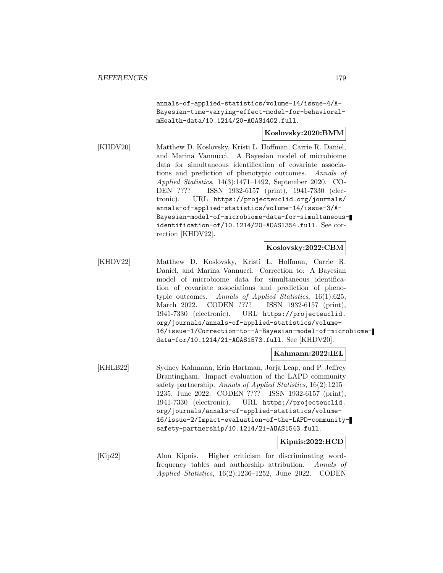annals-of-applied-statistics/volume-14/issue-4/A-Bayesian-time-varying-effect-model-for-behavioralmHealth-data/10.1214/20-AOAS1402.full.

**Koslovsky:2020:BMM**

[KHDV20] Matthew D. Koslovsky, Kristi L. Hoffman, Carrie R. Daniel, and Marina Vannucci. A Bayesian model of microbiome data for simultaneous identification of covariate associations and prediction of phenotypic outcomes. Annals of Applied Statistics, 14(3):1471–1492, September 2020. CO-DEN ???? ISSN 1932-6157 (print), 1941-7330 (electronic). URL https://projecteuclid.org/journals/ annals-of-applied-statistics/volume-14/issue-3/A-Bayesian-model-of-microbiome-data-for-simultaneousidentification-of/10.1214/20-AOAS1354.full. See correction [KHDV22].

#### **Koslovsky:2022:CBM**

[KHDV22] Matthew D. Koslovsky, Kristi L. Hoffman, Carrie R. Daniel, and Marina Vannucci. Correction to: A Bayesian model of microbiome data for simultaneous identification of covariate associations and prediction of phenotypic outcomes. Annals of Applied Statistics, 16(1):625, March 2022. CODEN ???? ISSN 1932-6157 (print), 1941-7330 (electronic). URL https://projecteuclid. org/journals/annals-of-applied-statistics/volume-16/issue-1/Correction-to--A-Bayesian-model-of-microbiomedata-for/10.1214/21-AOAS1573.full. See [KHDV20].

### **Kahmann:2022:IEL**

[KHLB22] Sydney Kahmann, Erin Hartman, Jorja Leap, and P. Jeffrey Brantingham. Impact evaluation of the LAPD community safety partnership. Annals of Applied Statistics, 16(2):1215– 1235, June 2022. CODEN ???? ISSN 1932-6157 (print), 1941-7330 (electronic). URL https://projecteuclid. org/journals/annals-of-applied-statistics/volume-16/issue-2/Impact-evaluation-of-the-LAPD-communitysafety-partnership/10.1214/21-AOAS1543.full.

#### **Kipnis:2022:HCD**

[Kip22] Alon Kipnis. Higher criticism for discriminating wordfrequency tables and authorship attribution. Annals of Applied Statistics, 16(2):1236–1252, June 2022. CODEN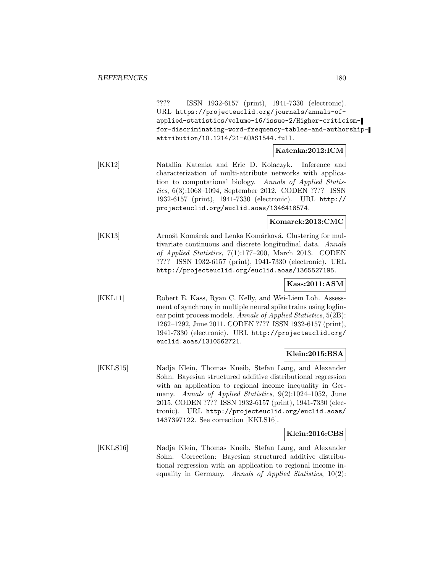???? ISSN 1932-6157 (print), 1941-7330 (electronic). URL https://projecteuclid.org/journals/annals-ofapplied-statistics/volume-16/issue-2/Higher-criticismfor-discriminating-word-frequency-tables-and-authorshipattribution/10.1214/21-AOAS1544.full.

**Katenka:2012:ICM**

[KK12] Natallia Katenka and Eric D. Kolaczyk. Inference and characterization of multi-attribute networks with application to computational biology. Annals of Applied Statistics, 6(3):1068–1094, September 2012. CODEN ???? ISSN 1932-6157 (print), 1941-7330 (electronic). URL http:// projecteuclid.org/euclid.aoas/1346418574.

#### **Komarek:2013:CMC**

[KK13] Arnošt Komárek and Lenka Komárková. Clustering for multivariate continuous and discrete longitudinal data. Annals of Applied Statistics, 7(1):177–200, March 2013. CODEN ???? ISSN 1932-6157 (print), 1941-7330 (electronic). URL http://projecteuclid.org/euclid.aoas/1365527195.

## **Kass:2011:ASM**

[KKL11] Robert E. Kass, Ryan C. Kelly, and Wei-Liem Loh. Assessment of synchrony in multiple neural spike trains using loglinear point process models. Annals of Applied Statistics, 5(2B): 1262–1292, June 2011. CODEN ???? ISSN 1932-6157 (print), 1941-7330 (electronic). URL http://projecteuclid.org/ euclid.aoas/1310562721.

#### **Klein:2015:BSA**

[KKLS15] Nadja Klein, Thomas Kneib, Stefan Lang, and Alexander Sohn. Bayesian structured additive distributional regression with an application to regional income inequality in Germany. Annals of Applied Statistics, 9(2):1024–1052, June 2015. CODEN ???? ISSN 1932-6157 (print), 1941-7330 (electronic). URL http://projecteuclid.org/euclid.aoas/ 1437397122. See correction [KKLS16].

## **Klein:2016:CBS**

[KKLS16] Nadja Klein, Thomas Kneib, Stefan Lang, and Alexander Sohn. Correction: Bayesian structured additive distributional regression with an application to regional income inequality in Germany. Annals of Applied Statistics, 10(2):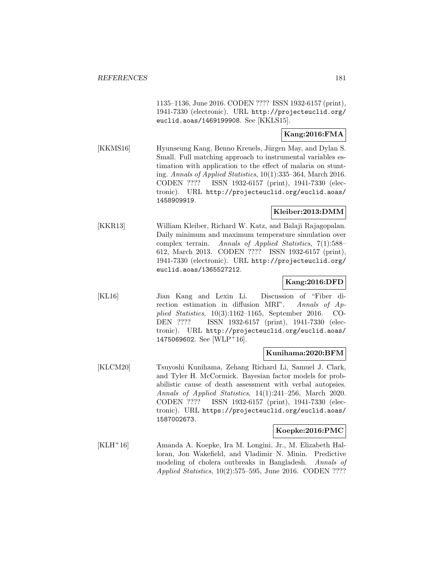1135–1136, June 2016. CODEN ???? ISSN 1932-6157 (print), 1941-7330 (electronic). URL http://projecteuclid.org/ euclid.aoas/1469199908. See [KKLS15].

# **Kang:2016:FMA**

[KKMS16] Hyunseung Kang, Benno Kreuels, Jürgen May, and Dylan S. Small. Full matching approach to instrumental variables estimation with application to the effect of malaria on stunting. Annals of Applied Statistics, 10(1):335–364, March 2016. CODEN ???? ISSN 1932-6157 (print), 1941-7330 (electronic). URL http://projecteuclid.org/euclid.aoas/ 1458909919.

#### **Kleiber:2013:DMM**

[KKR13] William Kleiber, Richard W. Katz, and Balaji Rajagopalan. Daily minimum and maximum temperature simulation over complex terrain. Annals of Applied Statistics, 7(1):588– 612, March 2013. CODEN ???? ISSN 1932-6157 (print), 1941-7330 (electronic). URL http://projecteuclid.org/ euclid.aoas/1365527212.

#### **Kang:2016:DFD**

[KL16] Jian Kang and Lexin Li. Discussion of "Fiber direction estimation in diffusion MRI". Annals of Applied Statistics, 10(3):1162–1165, September 2016. CO-DEN ???? ISSN 1932-6157 (print), 1941-7330 (electronic). URL http://projecteuclid.org/euclid.aoas/ 1475069602. See [WLP+16].

#### **Kunihama:2020:BFM**

[KLCM20] Tsuyoshi Kunihama, Zehang Richard Li, Samuel J. Clark, and Tyler H. McCormick. Bayesian factor models for probabilistic cause of death assessment with verbal autopsies. Annals of Applied Statistics, 14(1):241–256, March 2020. CODEN ???? ISSN 1932-6157 (print), 1941-7330 (electronic). URL https://projecteuclid.org/euclid.aoas/ 1587002673.

#### **Koepke:2016:PMC**

[KLH<sup>+</sup>16] Amanda A. Koepke, Ira M. Longini, Jr., M. Elizabeth Halloran, Jon Wakefield, and Vladimir N. Minin. Predictive modeling of cholera outbreaks in Bangladesh. Annals of Applied Statistics, 10(2):575–595, June 2016. CODEN ????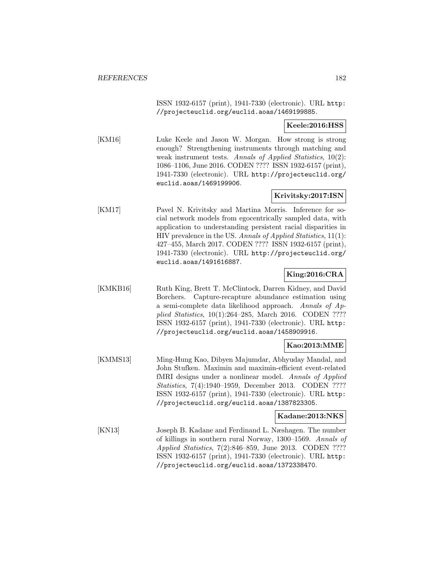ISSN 1932-6157 (print), 1941-7330 (electronic). URL http: //projecteuclid.org/euclid.aoas/1469199885.

**Keele:2016:HSS**

[KM16] Luke Keele and Jason W. Morgan. How strong is strong enough? Strengthening instruments through matching and weak instrument tests. Annals of Applied Statistics, 10(2): 1086–1106, June 2016. CODEN ???? ISSN 1932-6157 (print), 1941-7330 (electronic). URL http://projecteuclid.org/ euclid.aoas/1469199906.

### **Krivitsky:2017:ISN**

[KM17] Pavel N. Krivitsky and Martina Morris. Inference for social network models from egocentrically sampled data, with application to understanding persistent racial disparities in HIV prevalence in the US. Annals of Applied Statistics, 11(1): 427–455, March 2017. CODEN ???? ISSN 1932-6157 (print), 1941-7330 (electronic). URL http://projecteuclid.org/ euclid.aoas/1491616887.

## **King:2016:CRA**

[KMKB16] Ruth King, Brett T. McClintock, Darren Kidney, and David Borchers. Capture-recapture abundance estimation using a semi-complete data likelihood approach. Annals of Applied Statistics, 10(1):264–285, March 2016. CODEN ???? ISSN 1932-6157 (print), 1941-7330 (electronic). URL http: //projecteuclid.org/euclid.aoas/1458909916.

## **Kao:2013:MME**

[KMMS13] Ming-Hung Kao, Dibyen Majumdar, Abhyuday Mandal, and John Stufken. Maximin and maximin-efficient event-related fMRI designs under a nonlinear model. Annals of Applied Statistics, 7(4):1940–1959, December 2013. CODEN ???? ISSN 1932-6157 (print), 1941-7330 (electronic). URL http: //projecteuclid.org/euclid.aoas/1387823305.

### **Kadane:2013:NKS**

[KN13] Joseph B. Kadane and Ferdinand L. Næshagen. The number of killings in southern rural Norway, 1300–1569. Annals of Applied Statistics, 7(2):846–859, June 2013. CODEN ???? ISSN 1932-6157 (print), 1941-7330 (electronic). URL http: //projecteuclid.org/euclid.aoas/1372338470.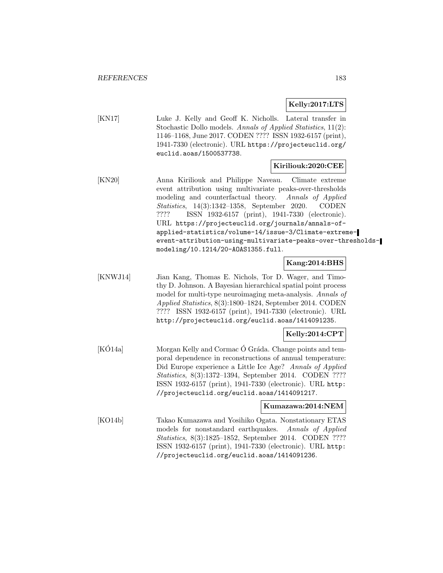## **Kelly:2017:LTS**

[KN17] Luke J. Kelly and Geoff K. Nicholls. Lateral transfer in Stochastic Dollo models. Annals of Applied Statistics, 11(2): 1146–1168, June 2017. CODEN ???? ISSN 1932-6157 (print), 1941-7330 (electronic). URL https://projecteuclid.org/ euclid.aoas/1500537738.

#### **Kiriliouk:2020:CEE**

[KN20] Anna Kiriliouk and Philippe Naveau. Climate extreme event attribution using multivariate peaks-over-thresholds modeling and counterfactual theory. Annals of Applied Statistics, 14(3):1342–1358, September 2020. CODEN ???? ISSN 1932-6157 (print), 1941-7330 (electronic). URL https://projecteuclid.org/journals/annals-ofapplied-statistics/volume-14/issue-3/Climate-extremeevent-attribution-using-multivariate-peaks-over-thresholdsmodeling/10.1214/20-AOAS1355.full.

## **Kang:2014:BHS**

[KNWJ14] Jian Kang, Thomas E. Nichols, Tor D. Wager, and Timothy D. Johnson. A Bayesian hierarchical spatial point process model for multi-type neuroimaging meta-analysis. Annals of Applied Statistics, 8(3):1800–1824, September 2014. CODEN ???? ISSN 1932-6157 (print), 1941-7330 (electronic). URL http://projecteuclid.org/euclid.aoas/1414091235.

# **Kelly:2014:CPT**

[KO14a] Morgan Kelly and Cormac  $\acute{o}$  Gráda. Change points and temporal dependence in reconstructions of annual temperature: Did Europe experience a Little Ice Age? Annals of Applied Statistics, 8(3):1372–1394, September 2014. CODEN ???? ISSN 1932-6157 (print), 1941-7330 (electronic). URL http: //projecteuclid.org/euclid.aoas/1414091217.

#### **Kumazawa:2014:NEM**

[KO14b] Takao Kumazawa and Yosihiko Ogata. Nonstationary ETAS models for nonstandard earthquakes. Annals of Applied Statistics, 8(3):1825–1852, September 2014. CODEN ???? ISSN 1932-6157 (print), 1941-7330 (electronic). URL http: //projecteuclid.org/euclid.aoas/1414091236.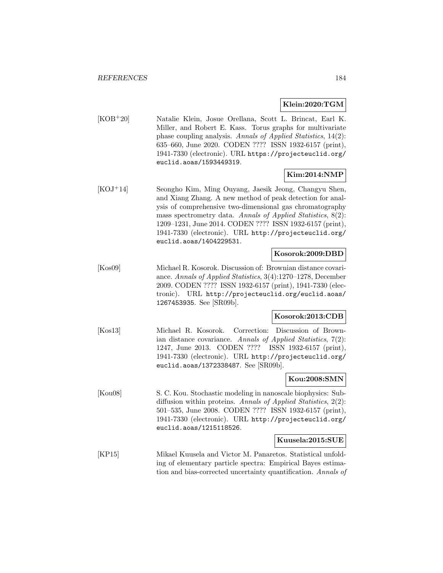#### **Klein:2020:TGM**

[KOB<sup>+</sup>20] Natalie Klein, Josue Orellana, Scott L. Brincat, Earl K. Miller, and Robert E. Kass. Torus graphs for multivariate phase coupling analysis. Annals of Applied Statistics, 14(2): 635–660, June 2020. CODEN ???? ISSN 1932-6157 (print), 1941-7330 (electronic). URL https://projecteuclid.org/ euclid.aoas/1593449319.

### **Kim:2014:NMP**

[KOJ<sup>+</sup>14] Seongho Kim, Ming Ouyang, Jaesik Jeong, Changyu Shen, and Xiang Zhang. A new method of peak detection for analysis of comprehensive two-dimensional gas chromatography mass spectrometry data. Annals of Applied Statistics, 8(2): 1209–1231, June 2014. CODEN ???? ISSN 1932-6157 (print), 1941-7330 (electronic). URL http://projecteuclid.org/ euclid.aoas/1404229531.

## **Kosorok:2009:DBD**

[Kos09] Michael R. Kosorok. Discussion of: Brownian distance covariance. Annals of Applied Statistics, 3(4):1270–1278, December 2009. CODEN ???? ISSN 1932-6157 (print), 1941-7330 (electronic). URL http://projecteuclid.org/euclid.aoas/ 1267453935. See [SR09b].

#### **Kosorok:2013:CDB**

[Kos13] Michael R. Kosorok. Correction: Discussion of Brownian distance covariance. Annals of Applied Statistics, 7(2): 1247, June 2013. CODEN ???? ISSN 1932-6157 (print), 1941-7330 (electronic). URL http://projecteuclid.org/ euclid.aoas/1372338487. See [SR09b].

#### **Kou:2008:SMN**

[Kou08] S. C. Kou. Stochastic modeling in nanoscale biophysics: Subdiffusion within proteins. Annals of Applied Statistics, 2(2): 501–535, June 2008. CODEN ???? ISSN 1932-6157 (print), 1941-7330 (electronic). URL http://projecteuclid.org/ euclid.aoas/1215118526.

#### **Kuusela:2015:SUE**

[KP15] Mikael Kuusela and Victor M. Panaretos. Statistical unfolding of elementary particle spectra: Empirical Bayes estimation and bias-corrected uncertainty quantification. Annals of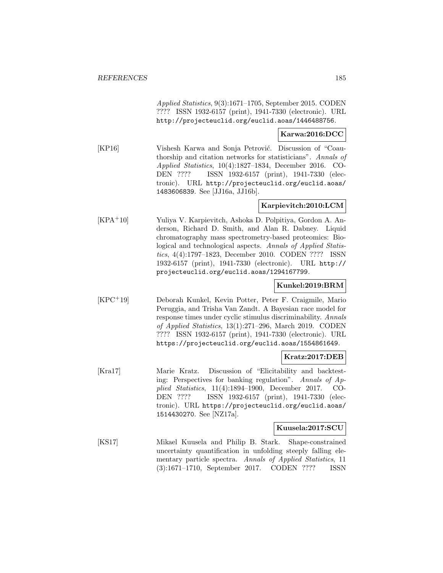Applied Statistics, 9(3):1671–1705, September 2015. CODEN ???? ISSN 1932-6157 (print), 1941-7330 (electronic). URL http://projecteuclid.org/euclid.aoas/1446488756.

### **Karwa:2016:DCC**

[KP16] Vishesh Karwa and Sonja Petrović. Discussion of "Coauthorship and citation networks for statisticians". Annals of Applied Statistics, 10(4):1827–1834, December 2016. CO-DEN ???? ISSN 1932-6157 (print), 1941-7330 (electronic). URL http://projecteuclid.org/euclid.aoas/ 1483606839. See [JJ16a, JJ16b].

## **Karpievitch:2010:LCM**

[KPA<sup>+</sup>10] Yuliya V. Karpievitch, Ashoka D. Polpitiya, Gordon A. Anderson, Richard D. Smith, and Alan R. Dabney. Liquid chromatography mass spectrometry-based proteomics: Biological and technological aspects. Annals of Applied Statistics, 4(4):1797–1823, December 2010. CODEN ???? ISSN 1932-6157 (print), 1941-7330 (electronic). URL http:// projecteuclid.org/euclid.aoas/1294167799.

## **Kunkel:2019:BRM**

[KPC<sup>+</sup>19] Deborah Kunkel, Kevin Potter, Peter F. Craigmile, Mario Peruggia, and Trisha Van Zandt. A Bayesian race model for response times under cyclic stimulus discriminability. Annals of Applied Statistics, 13(1):271–296, March 2019. CODEN ???? ISSN 1932-6157 (print), 1941-7330 (electronic). URL https://projecteuclid.org/euclid.aoas/1554861649.

## **Kratz:2017:DEB**

[Kra17] Marie Kratz. Discussion of "Elicitability and backtesting: Perspectives for banking regulation". Annals of Applied Statistics, 11(4):1894–1900, December 2017. CO-DEN ???? ISSN 1932-6157 (print), 1941-7330 (electronic). URL https://projecteuclid.org/euclid.aoas/ 1514430270. See [NZ17a].

### **Kuusela:2017:SCU**

[KS17] Mikael Kuusela and Philip B. Stark. Shape-constrained uncertainty quantification in unfolding steeply falling elementary particle spectra. Annals of Applied Statistics, 11 (3):1671–1710, September 2017. CODEN ???? ISSN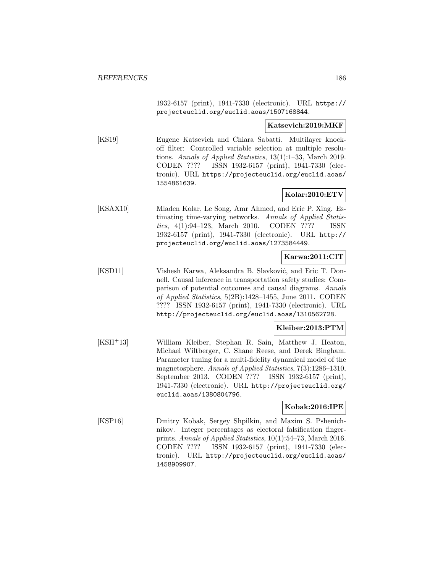1932-6157 (print), 1941-7330 (electronic). URL https:// projecteuclid.org/euclid.aoas/1507168844.

#### **Katsevich:2019:MKF**

[KS19] Eugene Katsevich and Chiara Sabatti. Multilayer knockoff filter: Controlled variable selection at multiple resolutions. Annals of Applied Statistics, 13(1):1–33, March 2019. CODEN ???? ISSN 1932-6157 (print), 1941-7330 (electronic). URL https://projecteuclid.org/euclid.aoas/ 1554861639.

## **Kolar:2010:ETV**

[KSAX10] Mladen Kolar, Le Song, Amr Ahmed, and Eric P. Xing. Estimating time-varying networks. Annals of Applied Statistics, 4(1):94–123, March 2010. CODEN ???? ISSN 1932-6157 (print), 1941-7330 (electronic). URL http:// projecteuclid.org/euclid.aoas/1273584449.

## **Karwa:2011:CIT**

[KSD11] Vishesh Karwa, Aleksandra B. Slavković, and Eric T. Donnell. Causal inference in transportation safety studies: Comparison of potential outcomes and causal diagrams. Annals of Applied Statistics, 5(2B):1428–1455, June 2011. CODEN ???? ISSN 1932-6157 (print), 1941-7330 (electronic). URL http://projecteuclid.org/euclid.aoas/1310562728.

#### **Kleiber:2013:PTM**

[KSH<sup>+</sup>13] William Kleiber, Stephan R. Sain, Matthew J. Heaton, Michael Wiltberger, C. Shane Reese, and Derek Bingham. Parameter tuning for a multi-fidelity dynamical model of the magnetosphere. Annals of Applied Statistics, 7(3):1286–1310, September 2013. CODEN ???? ISSN 1932-6157 (print), 1941-7330 (electronic). URL http://projecteuclid.org/ euclid.aoas/1380804796.

## **Kobak:2016:IPE**

[KSP16] Dmitry Kobak, Sergey Shpilkin, and Maxim S. Pshenichnikov. Integer percentages as electoral falsification fingerprints. Annals of Applied Statistics, 10(1):54–73, March 2016. CODEN ???? ISSN 1932-6157 (print), 1941-7330 (electronic). URL http://projecteuclid.org/euclid.aoas/ 1458909907.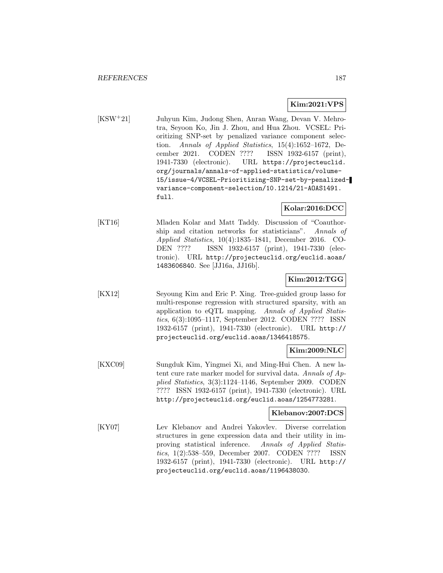## **Kim:2021:VPS**

[KSW<sup>+</sup>21] Juhyun Kim, Judong Shen, Anran Wang, Devan V. Mehrotra, Seyoon Ko, Jin J. Zhou, and Hua Zhou. VCSEL: Prioritizing SNP-set by penalized variance component selection. Annals of Applied Statistics, 15(4):1652–1672, December 2021. CODEN ???? ISSN 1932-6157 (print), 1941-7330 (electronic). URL https://projecteuclid. org/journals/annals-of-applied-statistics/volume-15/issue-4/VCSEL-Prioritizing-SNP-set-by-penalizedvariance-component-selection/10.1214/21-AOAS1491. full.

### **Kolar:2016:DCC**

[KT16] Mladen Kolar and Matt Taddy. Discussion of "Coauthorship and citation networks for statisticians". Annals of Applied Statistics, 10(4):1835–1841, December 2016. CO-DEN ???? ISSN 1932-6157 (print), 1941-7330 (electronic). URL http://projecteuclid.org/euclid.aoas/ 1483606840. See [JJ16a, JJ16b].

## **Kim:2012:TGG**

[KX12] Seyoung Kim and Eric P. Xing. Tree-guided group lasso for multi-response regression with structured sparsity, with an application to eQTL mapping. Annals of Applied Statistics, 6(3):1095–1117, September 2012. CODEN ???? ISSN 1932-6157 (print), 1941-7330 (electronic). URL http:// projecteuclid.org/euclid.aoas/1346418575.

#### **Kim:2009:NLC**

[KXC09] Sungduk Kim, Yingmei Xi, and Ming-Hui Chen. A new latent cure rate marker model for survival data. Annals of Applied Statistics, 3(3):1124–1146, September 2009. CODEN ???? ISSN 1932-6157 (print), 1941-7330 (electronic). URL http://projecteuclid.org/euclid.aoas/1254773281.

#### **Klebanov:2007:DCS**

[KY07] Lev Klebanov and Andrei Yakovlev. Diverse correlation structures in gene expression data and their utility in improving statistical inference. Annals of Applied Statistics, 1(2):538–559, December 2007. CODEN ???? ISSN 1932-6157 (print), 1941-7330 (electronic). URL http:// projecteuclid.org/euclid.aoas/1196438030.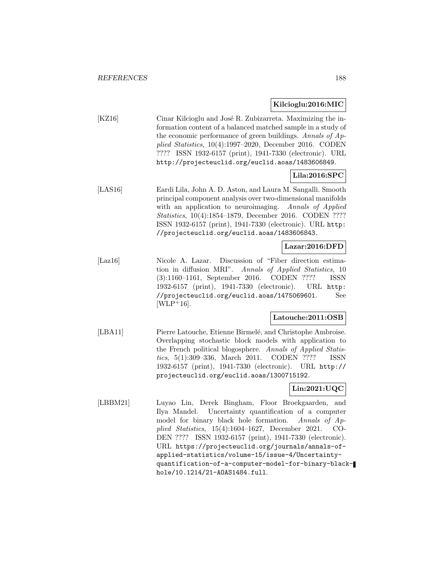#### **Kilcioglu:2016:MIC**

[KZ16] Cinar Kilcioglu and José R. Zubizarreta. Maximizing the information content of a balanced matched sample in a study of the economic performance of green buildings. Annals of Applied Statistics, 10(4):1997–2020, December 2016. CODEN ???? ISSN 1932-6157 (print), 1941-7330 (electronic). URL http://projecteuclid.org/euclid.aoas/1483606849.

## **Lila:2016:SPC**

[LAS16] Eardi Lila, John A. D. Aston, and Laura M. Sangalli. Smooth principal component analysis over two-dimensional manifolds with an application to neuroimaging. Annals of Applied Statistics, 10(4):1854–1879, December 2016. CODEN ???? ISSN 1932-6157 (print), 1941-7330 (electronic). URL http: //projecteuclid.org/euclid.aoas/1483606843.

### **Lazar:2016:DFD**

[Laz16] Nicole A. Lazar. Discussion of "Fiber direction estimation in diffusion MRI". Annals of Applied Statistics, 10 (3):1160–1161, September 2016. CODEN ???? ISSN 1932-6157 (print), 1941-7330 (electronic). URL http: //projecteuclid.org/euclid.aoas/1475069601. See  $[WD+16]$ .

## **Latouche:2011:OSB**

[LBA11] Pierre Latouche, Etienne Birmelé, and Christophe Ambroise. Overlapping stochastic block models with application to the French political blogosphere. Annals of Applied Statistics, 5(1):309–336, March 2011. CODEN ???? ISSN 1932-6157 (print), 1941-7330 (electronic). URL http:// projecteuclid.org/euclid.aoas/1300715192.

## **Lin:2021:UQC**

[LBBM21] Luyao Lin, Derek Bingham, Floor Broekgaarden, and Ilya Mandel. Uncertainty quantification of a computer model for binary black hole formation. Annals of Applied Statistics, 15(4):1604–1627, December 2021. CO-DEN ???? ISSN 1932-6157 (print), 1941-7330 (electronic). URL https://projecteuclid.org/journals/annals-ofapplied-statistics/volume-15/issue-4/Uncertaintyquantification-of-a-computer-model-for-binary-blackhole/10.1214/21-AOAS1484.full.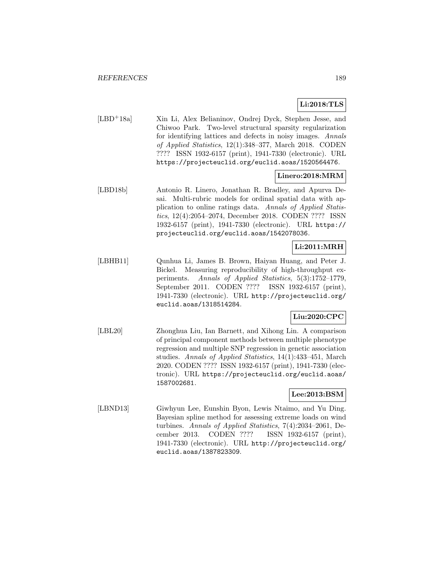# **Li:2018:TLS**

[LBD<sup>+</sup>18a] Xin Li, Alex Belianinov, Ondrej Dyck, Stephen Jesse, and Chiwoo Park. Two-level structural sparsity regularization for identifying lattices and defects in noisy images. Annals of Applied Statistics, 12(1):348–377, March 2018. CODEN ???? ISSN 1932-6157 (print), 1941-7330 (electronic). URL https://projecteuclid.org/euclid.aoas/1520564476.

## **Linero:2018:MRM**

[LBD18b] Antonio R. Linero, Jonathan R. Bradley, and Apurva Desai. Multi-rubric models for ordinal spatial data with application to online ratings data. Annals of Applied Statistics, 12(4):2054–2074, December 2018. CODEN ???? ISSN 1932-6157 (print), 1941-7330 (electronic). URL https:// projecteuclid.org/euclid.aoas/1542078036.

# **Li:2011:MRH**

[LBHB11] Qunhua Li, James B. Brown, Haiyan Huang, and Peter J. Bickel. Measuring reproducibility of high-throughput experiments. Annals of Applied Statistics, 5(3):1752–1779, September 2011. CODEN ???? ISSN 1932-6157 (print), 1941-7330 (electronic). URL http://projecteuclid.org/ euclid.aoas/1318514284.

## **Liu:2020:CPC**

[LBL20] Zhonghua Liu, Ian Barnett, and Xihong Lin. A comparison of principal component methods between multiple phenotype regression and multiple SNP regression in genetic association studies. Annals of Applied Statistics, 14(1):433–451, March 2020. CODEN ???? ISSN 1932-6157 (print), 1941-7330 (electronic). URL https://projecteuclid.org/euclid.aoas/ 1587002681.

## **Lee:2013:BSM**

[LBND13] Giwhyun Lee, Eunshin Byon, Lewis Ntaimo, and Yu Ding. Bayesian spline method for assessing extreme loads on wind turbines. Annals of Applied Statistics, 7(4):2034–2061, December 2013. CODEN ???? ISSN 1932-6157 (print), 1941-7330 (electronic). URL http://projecteuclid.org/ euclid.aoas/1387823309.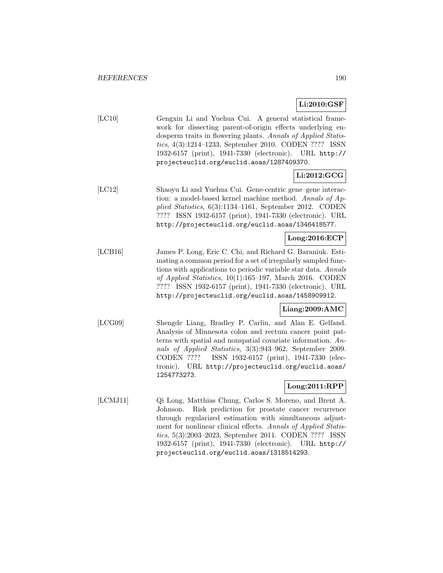# **Li:2010:GSF**

| [LC10] | Gengxin Li and Yuehua Cui. A general statistical frame-       |
|--------|---------------------------------------------------------------|
|        | work for dissecting parent-of-origin effects underlying en-   |
|        | dosperm traits in flowering plants. Annals of Applied Statis- |
|        | tics, 4(3):1214–1233, September 2010. CODEN ???? ISSN         |
|        | 1932-6157 (print), 1941-7330 (electronic). URL http://        |
|        | projecteuclid.org/euclid.aoas/1287409370.                     |

## **Li:2012:GCG**

[LC12] Shaoyu Li and Yuehua Cui. Gene-centric gene–gene interaction: a model-based kernel machine method. Annals of Applied Statistics, 6(3):1134–1161, September 2012. CODEN ???? ISSN 1932-6157 (print), 1941-7330 (electronic). URL http://projecteuclid.org/euclid.aoas/1346418577.

## **Long:2016:ECP**

[LCB16] James P. Long, Eric C. Chi, and Richard G. Baraniuk. Estimating a common period for a set of irregularly sampled functions with applications to periodic variable star data. Annals of Applied Statistics, 10(1):165–197, March 2016. CODEN ???? ISSN 1932-6157 (print), 1941-7330 (electronic). URL http://projecteuclid.org/euclid.aoas/1458909912.

#### **Liang:2009:AMC**

[LCG09] Shengde Liang, Bradley P. Carlin, and Alan E. Gelfand. Analysis of Minnesota colon and rectum cancer point patterns with spatial and nonspatial covariate information. Annals of Applied Statistics, 3(3):943–962, September 2009. CODEN ???? ISSN 1932-6157 (print), 1941-7330 (electronic). URL http://projecteuclid.org/euclid.aoas/ 1254773273.

## **Long:2011:RPP**

[LCMJ11] Qi Long, Matthias Chung, Carlos S. Moreno, and Brent A. Johnson. Risk prediction for prostate cancer recurrence through regularized estimation with simultaneous adjustment for nonlinear clinical effects. Annals of Applied Statistics, 5(3):2003–2023, September 2011. CODEN ???? ISSN 1932-6157 (print), 1941-7330 (electronic). URL http:// projecteuclid.org/euclid.aoas/1318514293.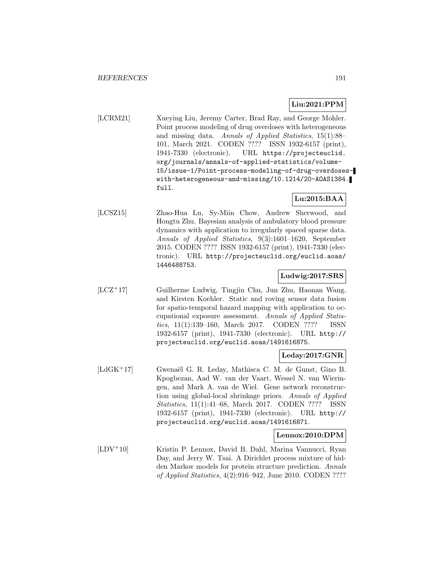## **Liu:2021:PPM**

[LCRM21] Xueying Liu, Jeremy Carter, Brad Ray, and George Mohler. Point process modeling of drug overdoses with heterogeneous and missing data. Annals of Applied Statistics, 15(1):88– 101, March 2021. CODEN ???? ISSN 1932-6157 (print), 1941-7330 (electronic). URL https://projecteuclid. org/journals/annals-of-applied-statistics/volume-15/issue-1/Point-process-modeling-of-drug-overdoseswith-heterogeneous-and-missing/10.1214/20-AOAS1384. full.

## **Lu:2015:BAA**

[LCSZ15] Zhao-Hua Lu, Sy-Miin Chow, Andrew Sherwood, and Hongtu Zhu. Bayesian analysis of ambulatory blood pressure dynamics with application to irregularly spaced sparse data. Annals of Applied Statistics, 9(3):1601–1620, September 2015. CODEN ???? ISSN 1932-6157 (print), 1941-7330 (electronic). URL http://projecteuclid.org/euclid.aoas/ 1446488753.

### **Ludwig:2017:SRS**

[LCZ<sup>+</sup>17] Guilherme Ludwig, Tingjin Chu, Jun Zhu, Haonan Wang, and Kirsten Koehler. Static and roving sensor data fusion for spatio-temporal hazard mapping with application to occupational exposure assessment. Annals of Applied Statistics, 11(1):139–160, March 2017. CODEN ???? ISSN 1932-6157 (print), 1941-7330 (electronic). URL http:// projecteuclid.org/euclid.aoas/1491616875.

### **Leday:2017:GNR**

[LdGK<sup>+</sup>17] Gwenaël G. R. Leday, Mathisca C. M. de Gunst, Gino B. Kpogbezan, Aad W. van der Vaart, Wessel N. van Wieringen, and Mark A. van de Wiel. Gene network reconstruction using global-local shrinkage priors. Annals of Applied Statistics, 11(1):41–68, March 2017. CODEN ???? ISSN 1932-6157 (print), 1941-7330 (electronic). URL http:// projecteuclid.org/euclid.aoas/1491616871.

#### **Lennox:2010:DPM**

[LDV<sup>+</sup>10] Kristin P. Lennox, David B. Dahl, Marina Vannucci, Ryan Day, and Jerry W. Tsai. A Dirichlet process mixture of hidden Markov models for protein structure prediction. Annals of Applied Statistics, 4(2):916–942, June 2010. CODEN ????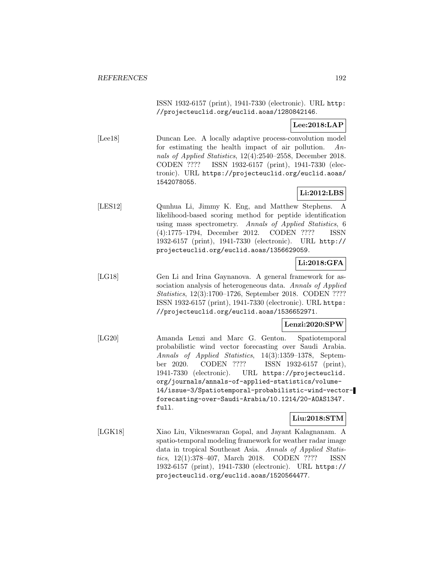ISSN 1932-6157 (print), 1941-7330 (electronic). URL http: //projecteuclid.org/euclid.aoas/1280842146.

## **Lee:2018:LAP**

[Lee18] Duncan Lee. A locally adaptive process-convolution model for estimating the health impact of air pollution. Annals of Applied Statistics, 12(4):2540–2558, December 2018. CODEN ???? ISSN 1932-6157 (print), 1941-7330 (electronic). URL https://projecteuclid.org/euclid.aoas/ 1542078055.

## **Li:2012:LBS**

[LES12] Qunhua Li, Jimmy K. Eng, and Matthew Stephens. A likelihood-based scoring method for peptide identification using mass spectrometry. Annals of Applied Statistics, 6 (4):1775–1794, December 2012. CODEN ???? ISSN 1932-6157 (print), 1941-7330 (electronic). URL http:// projecteuclid.org/euclid.aoas/1356629059.

# **Li:2018:GFA**

[LG18] Gen Li and Irina Gaynanova. A general framework for association analysis of heterogeneous data. Annals of Applied Statistics, 12(3):1700–1726, September 2018. CODEN ???? ISSN 1932-6157 (print), 1941-7330 (electronic). URL https: //projecteuclid.org/euclid.aoas/1536652971.

## **Lenzi:2020:SPW**

[LG20] Amanda Lenzi and Marc G. Genton. Spatiotemporal probabilistic wind vector forecasting over Saudi Arabia. Annals of Applied Statistics, 14(3):1359–1378, September 2020. CODEN ???? ISSN 1932-6157 (print), 1941-7330 (electronic). URL https://projecteuclid. org/journals/annals-of-applied-statistics/volume-14/issue-3/Spatiotemporal-probabilistic-wind-vectorforecasting-over-Saudi-Arabia/10.1214/20-AOAS1347. full.

## **Liu:2018:STM**

[LGK18] Xiao Liu, Vikneswaran Gopal, and Jayant Kalagnanam. A spatio-temporal modeling framework for weather radar image data in tropical Southeast Asia. Annals of Applied Statistics, 12(1):378–407, March 2018. CODEN ???? ISSN 1932-6157 (print), 1941-7330 (electronic). URL https:// projecteuclid.org/euclid.aoas/1520564477.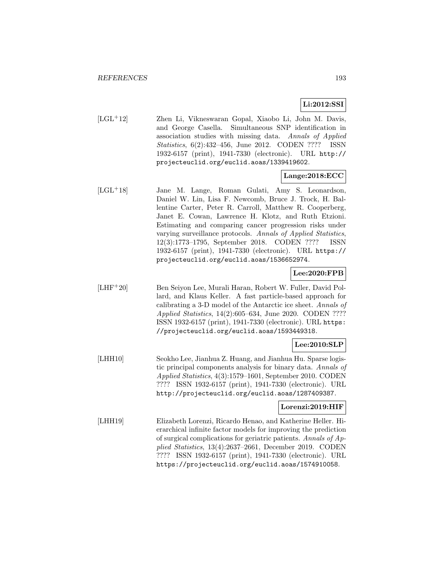# **Li:2012:SSI**

[LGL<sup>+</sup>12] Zhen Li, Vikneswaran Gopal, Xiaobo Li, John M. Davis, and George Casella. Simultaneous SNP identification in association studies with missing data. Annals of Applied Statistics, 6(2):432–456, June 2012. CODEN ???? ISSN 1932-6157 (print), 1941-7330 (electronic). URL http:// projecteuclid.org/euclid.aoas/1339419602.

## **Lange:2018:ECC**

[LGL<sup>+</sup>18] Jane M. Lange, Roman Gulati, Amy S. Leonardson, Daniel W. Lin, Lisa F. Newcomb, Bruce J. Trock, H. Ballentine Carter, Peter R. Carroll, Matthew R. Cooperberg, Janet E. Cowan, Lawrence H. Klotz, and Ruth Etzioni. Estimating and comparing cancer progression risks under varying surveillance protocols. Annals of Applied Statistics, 12(3):1773–1795, September 2018. CODEN ???? ISSN 1932-6157 (print), 1941-7330 (electronic). URL https:// projecteuclid.org/euclid.aoas/1536652974.

## **Lee:2020:FPB**

[LHF<sup>+</sup>20] Ben Seiyon Lee, Murali Haran, Robert W. Fuller, David Pollard, and Klaus Keller. A fast particle-based approach for calibrating a 3-D model of the Antarctic ice sheet. Annals of Applied Statistics, 14(2):605–634, June 2020. CODEN ???? ISSN 1932-6157 (print), 1941-7330 (electronic). URL https: //projecteuclid.org/euclid.aoas/1593449318.

## **Lee:2010:SLP**

[LHH10] Seokho Lee, Jianhua Z. Huang, and Jianhua Hu. Sparse logistic principal components analysis for binary data. Annals of Applied Statistics, 4(3):1579–1601, September 2010. CODEN ???? ISSN 1932-6157 (print), 1941-7330 (electronic). URL http://projecteuclid.org/euclid.aoas/1287409387.

## **Lorenzi:2019:HIF**

[LHH19] Elizabeth Lorenzi, Ricardo Henao, and Katherine Heller. Hierarchical infinite factor models for improving the prediction of surgical complications for geriatric patients. Annals of Applied Statistics, 13(4):2637–2661, December 2019. CODEN ???? ISSN 1932-6157 (print), 1941-7330 (electronic). URL https://projecteuclid.org/euclid.aoas/1574910058.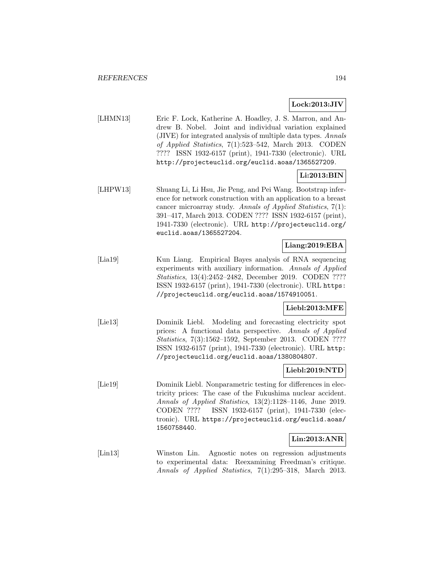### **Lock:2013:JIV**

[LHMN13] Eric F. Lock, Katherine A. Hoadley, J. S. Marron, and Andrew B. Nobel. Joint and individual variation explained (JIVE) for integrated analysis of multiple data types. Annals of Applied Statistics, 7(1):523–542, March 2013. CODEN ???? ISSN 1932-6157 (print), 1941-7330 (electronic). URL http://projecteuclid.org/euclid.aoas/1365527209.

## **Li:2013:BIN**

[LHPW13] Shuang Li, Li Hsu, Jie Peng, and Pei Wang. Bootstrap inference for network construction with an application to a breast cancer microarray study. Annals of Applied Statistics, 7(1): 391–417, March 2013. CODEN ???? ISSN 1932-6157 (print), 1941-7330 (electronic). URL http://projecteuclid.org/ euclid.aoas/1365527204.

## **Liang:2019:EBA**

[Lia19] Kun Liang. Empirical Bayes analysis of RNA sequencing experiments with auxiliary information. Annals of Applied Statistics, 13(4):2452–2482, December 2019. CODEN ???? ISSN 1932-6157 (print), 1941-7330 (electronic). URL https: //projecteuclid.org/euclid.aoas/1574910051.

#### **Liebl:2013:MFE**

[Lie13] Dominik Liebl. Modeling and forecasting electricity spot prices: A functional data perspective. Annals of Applied Statistics, 7(3):1562–1592, September 2013. CODEN ???? ISSN 1932-6157 (print), 1941-7330 (electronic). URL http: //projecteuclid.org/euclid.aoas/1380804807.

#### **Liebl:2019:NTD**

[Lie19] Dominik Liebl. Nonparametric testing for differences in electricity prices: The case of the Fukushima nuclear accident. Annals of Applied Statistics, 13(2):1128–1146, June 2019. CODEN ???? ISSN 1932-6157 (print), 1941-7330 (electronic). URL https://projecteuclid.org/euclid.aoas/ 1560758440.

#### **Lin:2013:ANR**

[Lin13] Winston Lin. Agnostic notes on regression adjustments to experimental data: Reexamining Freedman's critique. Annals of Applied Statistics, 7(1):295–318, March 2013.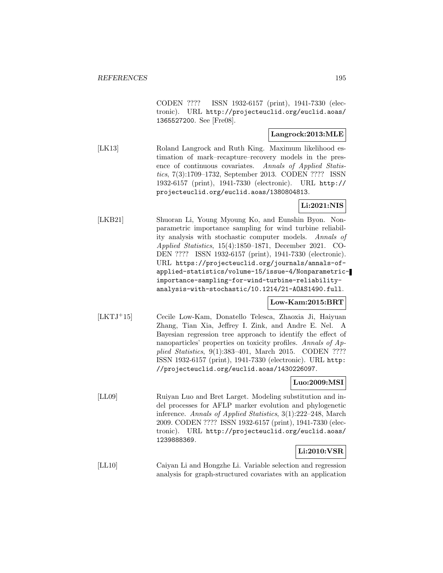CODEN ???? ISSN 1932-6157 (print), 1941-7330 (electronic). URL http://projecteuclid.org/euclid.aoas/ 1365527200. See [Fre08].

### **Langrock:2013:MLE**

[LK13] Roland Langrock and Ruth King. Maximum likelihood estimation of mark–recapture–recovery models in the presence of continuous covariates. Annals of Applied Statistics, 7(3):1709–1732, September 2013. CODEN ???? ISSN 1932-6157 (print), 1941-7330 (electronic). URL http:// projecteuclid.org/euclid.aoas/1380804813.

### **Li:2021:NIS**

[LKB21] Shuoran Li, Young Myoung Ko, and Eunshin Byon. Nonparametric importance sampling for wind turbine reliability analysis with stochastic computer models. Annals of Applied Statistics, 15(4):1850–1871, December 2021. CO-DEN ???? ISSN 1932-6157 (print), 1941-7330 (electronic). URL https://projecteuclid.org/journals/annals-ofapplied-statistics/volume-15/issue-4/Nonparametricimportance-sampling-for-wind-turbine-reliabilityanalysis-with-stochastic/10.1214/21-AOAS1490.full.

#### **Low-Kam:2015:BRT**

[LKTJ<sup>+</sup>15] Cecile Low-Kam, Donatello Telesca, Zhaoxia Ji, Haiyuan Zhang, Tian Xia, Jeffrey I. Zink, and Andre E. Nel. A Bayesian regression tree approach to identify the effect of nanoparticles' properties on toxicity profiles. Annals of Applied Statistics, 9(1):383–401, March 2015. CODEN ???? ISSN 1932-6157 (print), 1941-7330 (electronic). URL http: //projecteuclid.org/euclid.aoas/1430226097.

### **Luo:2009:MSI**

[LL09] Ruiyan Luo and Bret Larget. Modeling substitution and indel processes for AFLP marker evolution and phylogenetic inference. Annals of Applied Statistics, 3(1):222–248, March 2009. CODEN ???? ISSN 1932-6157 (print), 1941-7330 (electronic). URL http://projecteuclid.org/euclid.aoas/ 1239888369.

## **Li:2010:VSR**

[LL10] Caiyan Li and Hongzhe Li. Variable selection and regression analysis for graph-structured covariates with an application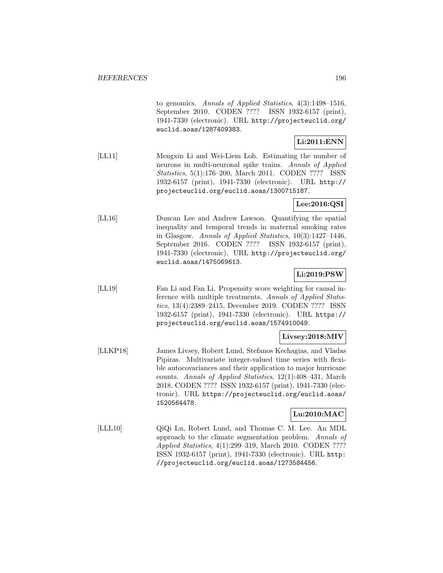to genomics. Annals of Applied Statistics, 4(3):1498–1516, September 2010. CODEN ???? ISSN 1932-6157 (print), 1941-7330 (electronic). URL http://projecteuclid.org/ euclid.aoas/1287409383.

### **Li:2011:ENN**

[LL11] Mengxin Li and Wei-Liem Loh. Estimating the number of neurons in multi-neuronal spike trains. Annals of Applied Statistics, 5(1):176–200, March 2011. CODEN ???? ISSN 1932-6157 (print), 1941-7330 (electronic). URL http:// projecteuclid.org/euclid.aoas/1300715187.

### **Lee:2016:QSI**

[LL16] Duncan Lee and Andrew Lawson. Quantifying the spatial inequality and temporal trends in maternal smoking rates in Glasgow. Annals of Applied Statistics, 10(3):1427–1446, September 2016. CODEN ???? ISSN 1932-6157 (print), 1941-7330 (electronic). URL http://projecteuclid.org/ euclid.aoas/1475069613.

## **Li:2019:PSW**

[LL19] Fan Li and Fan Li. Propensity score weighting for causal inference with multiple treatments. Annals of Applied Statistics, 13(4):2389–2415, December 2019. CODEN ???? ISSN 1932-6157 (print), 1941-7330 (electronic). URL https:// projecteuclid.org/euclid.aoas/1574910049.

## **Livsey:2018:MIV**

[LLKP18] James Livsey, Robert Lund, Stefanos Kechagias, and Vladas Pipiras. Multivariate integer-valued time series with flexible autocovariances and their application to major hurricane counts. Annals of Applied Statistics, 12(1):408–431, March 2018. CODEN ???? ISSN 1932-6157 (print), 1941-7330 (electronic). URL https://projecteuclid.org/euclid.aoas/ 1520564478.

## **Lu:2010:MAC**

[LLL10] QiQi Lu, Robert Lund, and Thomas C. M. Lee. An MDL approach to the climate segmentation problem. Annals of Applied Statistics, 4(1):299–319, March 2010. CODEN ???? ISSN 1932-6157 (print), 1941-7330 (electronic). URL http: //projecteuclid.org/euclid.aoas/1273584456.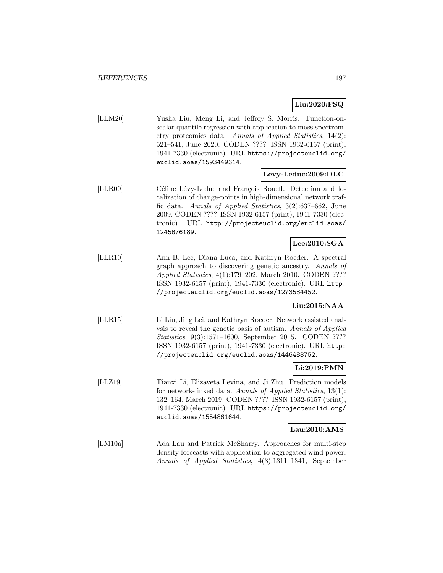## **Liu:2020:FSQ**

[LLM20] Yusha Liu, Meng Li, and Jeffrey S. Morris. Function-onscalar quantile regression with application to mass spectrometry proteomics data. Annals of Applied Statistics, 14(2): 521–541, June 2020. CODEN ???? ISSN 1932-6157 (print), 1941-7330 (electronic). URL https://projecteuclid.org/ euclid.aoas/1593449314.

#### **Levy-Leduc:2009:DLC**

[LLR09] Céline Lévy-Leduc and François Roueff. Detection and localization of change-points in high-dimensional network traffic data. Annals of Applied Statistics, 3(2):637–662, June 2009. CODEN ???? ISSN 1932-6157 (print), 1941-7330 (electronic). URL http://projecteuclid.org/euclid.aoas/ 1245676189.

## **Lee:2010:SGA**

[LLR10] Ann B. Lee, Diana Luca, and Kathryn Roeder. A spectral graph approach to discovering genetic ancestry. Annals of Applied Statistics, 4(1):179–202, March 2010. CODEN ???? ISSN 1932-6157 (print), 1941-7330 (electronic). URL http: //projecteuclid.org/euclid.aoas/1273584452.

## **Liu:2015:NAA**

[LLR15] Li Liu, Jing Lei, and Kathryn Roeder. Network assisted analysis to reveal the genetic basis of autism. Annals of Applied Statistics, 9(3):1571–1600, September 2015. CODEN ???? ISSN 1932-6157 (print), 1941-7330 (electronic). URL http: //projecteuclid.org/euclid.aoas/1446488752.

## **Li:2019:PMN**

[LLZ19] Tianxi Li, Elizaveta Levina, and Ji Zhu. Prediction models for network-linked data. Annals of Applied Statistics, 13(1): 132–164, March 2019. CODEN ???? ISSN 1932-6157 (print), 1941-7330 (electronic). URL https://projecteuclid.org/ euclid.aoas/1554861644.

## **Lau:2010:AMS**

[LM10a] Ada Lau and Patrick McSharry. Approaches for multi-step density forecasts with application to aggregated wind power. Annals of Applied Statistics, 4(3):1311–1341, September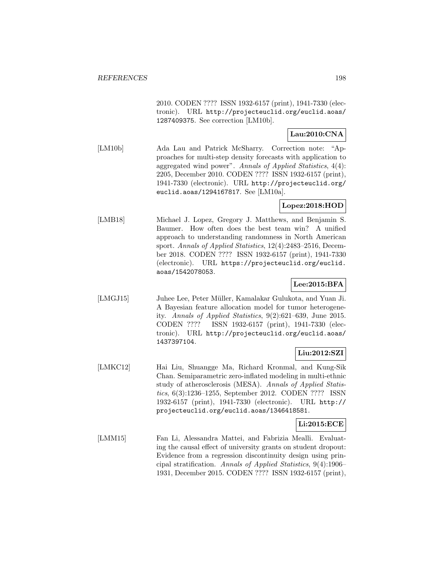2010. CODEN ???? ISSN 1932-6157 (print), 1941-7330 (electronic). URL http://projecteuclid.org/euclid.aoas/ 1287409375. See correction [LM10b].

## **Lau:2010:CNA**

[LM10b] Ada Lau and Patrick McSharry. Correction note: "Approaches for multi-step density forecasts with application to aggregated wind power". Annals of Applied Statistics, 4(4): 2205, December 2010. CODEN ???? ISSN 1932-6157 (print), 1941-7330 (electronic). URL http://projecteuclid.org/ euclid.aoas/1294167817. See [LM10a].

### **Lopez:2018:HOD**

[LMB18] Michael J. Lopez, Gregory J. Matthews, and Benjamin S. Baumer. How often does the best team win? A unified approach to understanding randomness in North American sport. Annals of Applied Statistics, 12(4):2483–2516, December 2018. CODEN ???? ISSN 1932-6157 (print), 1941-7330 (electronic). URL https://projecteuclid.org/euclid. aoas/1542078053.

## **Lee:2015:BFA**

[LMGJ15] Juhee Lee, Peter Müller, Kamalakar Gulukota, and Yuan Ji. A Bayesian feature allocation model for tumor heterogeneity. Annals of Applied Statistics, 9(2):621–639, June 2015. CODEN ???? ISSN 1932-6157 (print), 1941-7330 (electronic). URL http://projecteuclid.org/euclid.aoas/ 1437397104.

## **Liu:2012:SZI**

[LMKC12] Hai Liu, Shuangge Ma, Richard Kronmal, and Kung-Sik Chan. Semiparametric zero-inflated modeling in multi-ethnic study of atherosclerosis (MESA). Annals of Applied Statistics, 6(3):1236–1255, September 2012. CODEN ???? ISSN 1932-6157 (print), 1941-7330 (electronic). URL http:// projecteuclid.org/euclid.aoas/1346418581.

#### **Li:2015:ECE**

[LMM15] Fan Li, Alessandra Mattei, and Fabrizia Mealli. Evaluating the causal effect of university grants on student dropout: Evidence from a regression discontinuity design using principal stratification. Annals of Applied Statistics, 9(4):1906– 1931, December 2015. CODEN ???? ISSN 1932-6157 (print),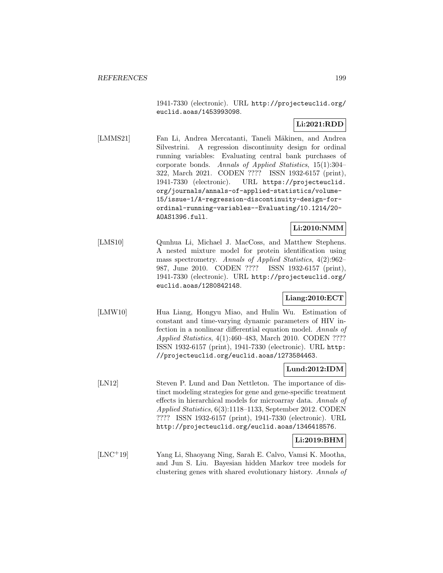1941-7330 (electronic). URL http://projecteuclid.org/ euclid.aoas/1453993098.

# **Li:2021:RDD**

[LMMS21] Fan Li, Andrea Mercatanti, Taneli Mäkinen, and Andrea Silvestrini. A regression discontinuity design for ordinal running variables: Evaluating central bank purchases of corporate bonds. Annals of Applied Statistics, 15(1):304– 322, March 2021. CODEN ???? ISSN 1932-6157 (print), 1941-7330 (electronic). URL https://projecteuclid. org/journals/annals-of-applied-statistics/volume-15/issue-1/A-regression-discontinuity-design-forordinal-running-variables--Evaluating/10.1214/20- AOAS1396.full.

## **Li:2010:NMM**

[LMS10] Qunhua Li, Michael J. MacCoss, and Matthew Stephens. A nested mixture model for protein identification using mass spectrometry. Annals of Applied Statistics, 4(2):962– 987, June 2010. CODEN ???? ISSN 1932-6157 (print), 1941-7330 (electronic). URL http://projecteuclid.org/ euclid.aoas/1280842148.

# **Liang:2010:ECT**

[LMW10] Hua Liang, Hongyu Miao, and Hulin Wu. Estimation of constant and time-varying dynamic parameters of HIV infection in a nonlinear differential equation model. Annals of Applied Statistics, 4(1):460–483, March 2010. CODEN ???? ISSN 1932-6157 (print), 1941-7330 (electronic). URL http: //projecteuclid.org/euclid.aoas/1273584463.

## **Lund:2012:IDM**

[LN12] Steven P. Lund and Dan Nettleton. The importance of distinct modeling strategies for gene and gene-specific treatment effects in hierarchical models for microarray data. Annals of Applied Statistics, 6(3):1118–1133, September 2012. CODEN ???? ISSN 1932-6157 (print), 1941-7330 (electronic). URL http://projecteuclid.org/euclid.aoas/1346418576.

## **Li:2019:BHM**

[LNC<sup>+</sup>19] Yang Li, Shaoyang Ning, Sarah E. Calvo, Vamsi K. Mootha, and Jun S. Liu. Bayesian hidden Markov tree models for clustering genes with shared evolutionary history. Annals of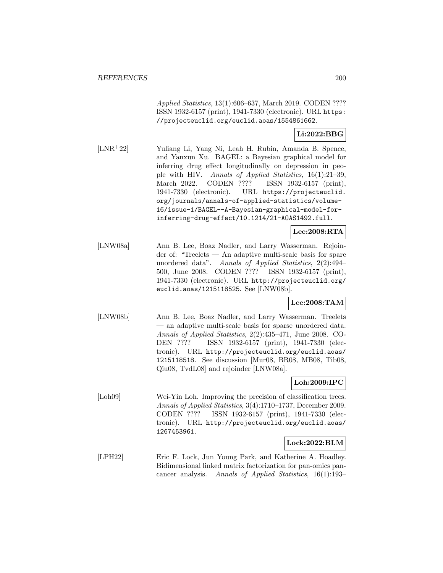Applied Statistics, 13(1):606–637, March 2019. CODEN ???? ISSN 1932-6157 (print), 1941-7330 (electronic). URL https: //projecteuclid.org/euclid.aoas/1554861662.

#### **Li:2022:BBG**

[LNR<sup>+</sup>22] Yuliang Li, Yang Ni, Leah H. Rubin, Amanda B. Spence, and Yanxun Xu. BAGEL: a Bayesian graphical model for inferring drug effect longitudinally on depression in people with HIV. Annals of Applied Statistics, 16(1):21–39, March 2022. CODEN ???? ISSN 1932-6157 (print), 1941-7330 (electronic). URL https://projecteuclid. org/journals/annals-of-applied-statistics/volume-16/issue-1/BAGEL--A-Bayesian-graphical-model-forinferring-drug-effect/10.1214/21-AOAS1492.full.

### **Lee:2008:RTA**

[LNW08a] Ann B. Lee, Boaz Nadler, and Larry Wasserman. Rejoinder of: "Treelets — An adaptive multi-scale basis for spare unordered data". Annals of Applied Statistics, 2(2):494-500, June 2008. CODEN ???? ISSN 1932-6157 (print), 1941-7330 (electronic). URL http://projecteuclid.org/ euclid.aoas/1215118525. See [LNW08b].

### **Lee:2008:TAM**

[LNW08b] Ann B. Lee, Boaz Nadler, and Larry Wasserman. Treelets — an adaptive multi-scale basis for sparse unordered data. Annals of Applied Statistics, 2(2):435–471, June 2008. CO-DEN ???? ISSN 1932-6157 (print), 1941-7330 (electronic). URL http://projecteuclid.org/euclid.aoas/ 1215118518. See discussion [Mur08, BR08, MB08, Tib08, Qiu08, TvdL08] and rejoinder [LNW08a].

### **Loh:2009:IPC**

[Loh09] Wei-Yin Loh. Improving the precision of classification trees. Annals of Applied Statistics, 3(4):1710–1737, December 2009. CODEN ???? ISSN 1932-6157 (print), 1941-7330 (electronic). URL http://projecteuclid.org/euclid.aoas/ 1267453961.

#### **Lock:2022:BLM**

[LPH22] Eric F. Lock, Jun Young Park, and Katherine A. Hoadley. Bidimensional linked matrix factorization for pan-omics pancancer analysis. Annals of Applied Statistics, 16(1):193–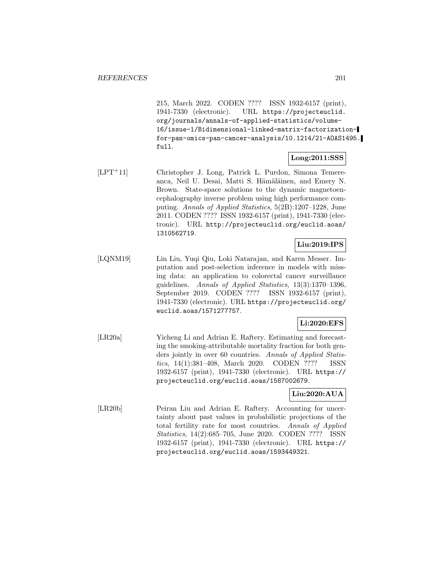215, March 2022. CODEN ???? ISSN 1932-6157 (print), 1941-7330 (electronic). URL https://projecteuclid. org/journals/annals-of-applied-statistics/volume-16/issue-1/Bidimensional-linked-matrix-factorizationfor-pan-omics-pan-cancer-analysis/10.1214/21-AOAS1495. full.

#### **Long:2011:SSS**

[LPT<sup>+</sup>11] Christopher J. Long, Patrick L. Purdon, Simona Temereanca, Neil U. Desai, Matti S. Hämäläinen, and Emery N. Brown. State-space solutions to the dynamic magnetoencephalography inverse problem using high performance computing. Annals of Applied Statistics, 5(2B):1207–1228, June 2011. CODEN ???? ISSN 1932-6157 (print), 1941-7330 (electronic). URL http://projecteuclid.org/euclid.aoas/ 1310562719.

#### **Liu:2019:IPS**

[LQNM19] Lin Liu, Yuqi Qiu, Loki Natarajan, and Karen Messer. Imputation and post-selection inference in models with missing data: an application to colorectal cancer surveillance guidelines. Annals of Applied Statistics, 13(3):1370–1396, September 2019. CODEN ???? ISSN 1932-6157 (print), 1941-7330 (electronic). URL https://projecteuclid.org/ euclid.aoas/1571277757.

## **Li:2020:EFS**

[LR20a] Yicheng Li and Adrian E. Raftery. Estimating and forecasting the smoking-attributable mortality fraction for both genders jointly in over 60 countries. Annals of Applied Statistics, 14(1):381–408, March 2020. CODEN ???? ISSN 1932-6157 (print), 1941-7330 (electronic). URL https:// projecteuclid.org/euclid.aoas/1587002679.

### **Liu:2020:AUA**

[LR20b] Peiran Liu and Adrian E. Raftery. Accounting for uncertainty about past values in probabilistic projections of the total fertility rate for most countries. Annals of Applied Statistics, 14(2):685–705, June 2020. CODEN ???? ISSN 1932-6157 (print), 1941-7330 (electronic). URL https:// projecteuclid.org/euclid.aoas/1593449321.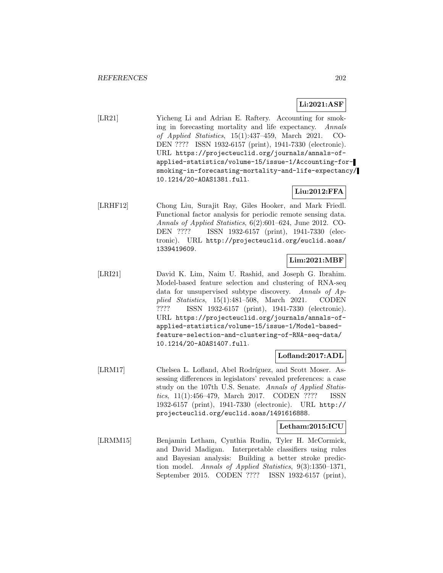# **Li:2021:ASF**

[LR21] Yicheng Li and Adrian E. Raftery. Accounting for smoking in forecasting mortality and life expectancy. Annals of Applied Statistics, 15(1):437–459, March 2021. CO-DEN ???? ISSN 1932-6157 (print), 1941-7330 (electronic). URL https://projecteuclid.org/journals/annals-ofapplied-statistics/volume-15/issue-1/Accounting-forsmoking-in-forecasting-mortality-and-life-expectancy/ 10.1214/20-AOAS1381.full.

# **Liu:2012:FFA**

[LRHF12] Chong Liu, Surajit Ray, Giles Hooker, and Mark Friedl. Functional factor analysis for periodic remote sensing data. Annals of Applied Statistics, 6(2):601–624, June 2012. CO-DEN ???? ISSN 1932-6157 (print), 1941-7330 (electronic). URL http://projecteuclid.org/euclid.aoas/ 1339419609.

## **Lim:2021:MBF**

[LRI21] David K. Lim, Naim U. Rashid, and Joseph G. Ibrahim. Model-based feature selection and clustering of RNA-seq data for unsupervised subtype discovery. Annals of Applied Statistics, 15(1):481–508, March 2021. CODEN ???? ISSN 1932-6157 (print), 1941-7330 (electronic). URL https://projecteuclid.org/journals/annals-ofapplied-statistics/volume-15/issue-1/Model-basedfeature-selection-and-clustering-of-RNA-seq-data/ 10.1214/20-AOAS1407.full.

### **Lofland:2017:ADL**

[LRM17] Chelsea L. Lofland, Abel Rodríguez, and Scott Moser. Assessing differences in legislators' revealed preferences: a case study on the 107th U.S. Senate. Annals of Applied Statistics, 11(1):456–479, March 2017. CODEN ???? ISSN 1932-6157 (print), 1941-7330 (electronic). URL http:// projecteuclid.org/euclid.aoas/1491616888.

#### **Letham:2015:ICU**

[LRMM15] Benjamin Letham, Cynthia Rudin, Tyler H. McCormick, and David Madigan. Interpretable classifiers using rules and Bayesian analysis: Building a better stroke prediction model. Annals of Applied Statistics, 9(3):1350–1371, September 2015. CODEN ???? ISSN 1932-6157 (print),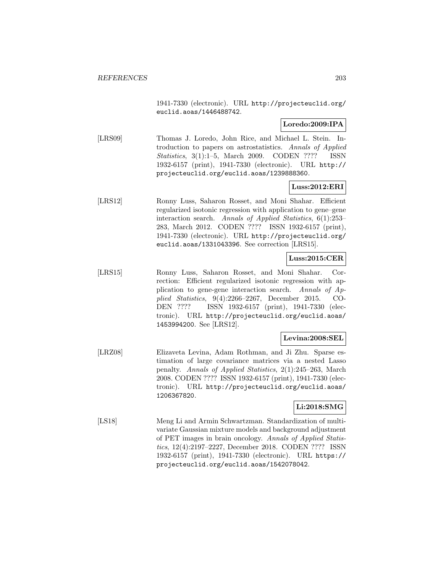1941-7330 (electronic). URL http://projecteuclid.org/ euclid.aoas/1446488742.

### **Loredo:2009:IPA**

[LRS09] Thomas J. Loredo, John Rice, and Michael L. Stein. Introduction to papers on astrostatistics. Annals of Applied Statistics, 3(1):1–5, March 2009. CODEN ???? ISSN 1932-6157 (print), 1941-7330 (electronic). URL http:// projecteuclid.org/euclid.aoas/1239888360.

### **Luss:2012:ERI**

[LRS12] Ronny Luss, Saharon Rosset, and Moni Shahar. Efficient regularized isotonic regression with application to gene–gene interaction search. Annals of Applied Statistics, 6(1):253– 283, March 2012. CODEN ???? ISSN 1932-6157 (print), 1941-7330 (electronic). URL http://projecteuclid.org/ euclid.aoas/1331043396. See correction [LRS15].

## **Luss:2015:CER**

[LRS15] Ronny Luss, Saharon Rosset, and Moni Shahar. Correction: Efficient regularized isotonic regression with application to gene-gene interaction search. Annals of Applied Statistics, 9(4):2266–2267, December 2015. CO-DEN ???? ISSN 1932-6157 (print), 1941-7330 (electronic). URL http://projecteuclid.org/euclid.aoas/ 1453994200. See [LRS12].

#### **Levina:2008:SEL**

[LRZ08] Elizaveta Levina, Adam Rothman, and Ji Zhu. Sparse estimation of large covariance matrices via a nested Lasso penalty. Annals of Applied Statistics, 2(1):245–263, March 2008. CODEN ???? ISSN 1932-6157 (print), 1941-7330 (electronic). URL http://projecteuclid.org/euclid.aoas/ 1206367820.

#### **Li:2018:SMG**

[LS18] Meng Li and Armin Schwartzman. Standardization of multivariate Gaussian mixture models and background adjustment of PET images in brain oncology. Annals of Applied Statistics, 12(4):2197–2227, December 2018. CODEN ???? ISSN 1932-6157 (print), 1941-7330 (electronic). URL https:// projecteuclid.org/euclid.aoas/1542078042.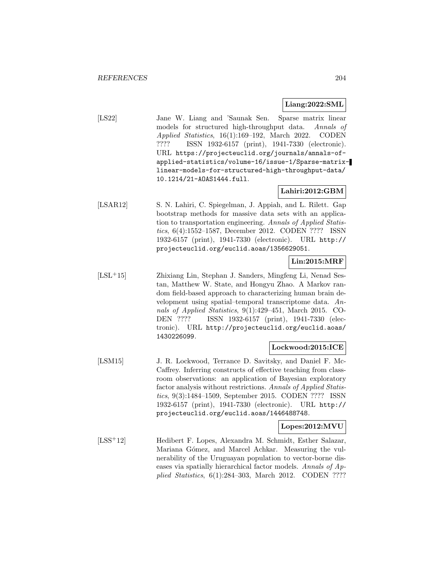#### **Liang:2022:SML**

[LS22] Jane W. Liang and 'Saunak Sen. Sparse matrix linear models for structured high-throughput data. Annals of Applied Statistics, 16(1):169–192, March 2022. CODEN ???? ISSN 1932-6157 (print), 1941-7330 (electronic). URL https://projecteuclid.org/journals/annals-ofapplied-statistics/volume-16/issue-1/Sparse-matrixlinear-models-for-structured-high-throughput-data/ 10.1214/21-AOAS1444.full.

# **Lahiri:2012:GBM**

[LSAR12] S. N. Lahiri, C. Spiegelman, J. Appiah, and L. Rilett. Gap bootstrap methods for massive data sets with an application to transportation engineering. Annals of Applied Statistics, 6(4):1552–1587, December 2012. CODEN ???? ISSN 1932-6157 (print), 1941-7330 (electronic). URL http:// projecteuclid.org/euclid.aoas/1356629051.

# **Lin:2015:MRF**

[LSL<sup>+</sup>15] Zhixiang Lin, Stephan J. Sanders, Mingfeng Li, Nenad Sestan, Matthew W. State, and Hongyu Zhao. A Markov random field-based approach to characterizing human brain development using spatial–temporal transcriptome data. Annals of Applied Statistics, 9(1):429–451, March 2015. CO-DEN ???? ISSN 1932-6157 (print), 1941-7330 (electronic). URL http://projecteuclid.org/euclid.aoas/ 1430226099.

## **Lockwood:2015:ICE**

[LSM15] J. R. Lockwood, Terrance D. Savitsky, and Daniel F. Mc-Caffrey. Inferring constructs of effective teaching from classroom observations: an application of Bayesian exploratory factor analysis without restrictions. Annals of Applied Statistics, 9(3):1484–1509, September 2015. CODEN ???? ISSN 1932-6157 (print), 1941-7330 (electronic). URL http:// projecteuclid.org/euclid.aoas/1446488748.

#### **Lopes:2012:MVU**

[LSS<sup>+</sup>12] Hedibert F. Lopes, Alexandra M. Schmidt, Esther Salazar, Mariana Gómez, and Marcel Achkar. Measuring the vulnerability of the Uruguayan population to vector-borne diseases via spatially hierarchical factor models. Annals of Applied Statistics, 6(1):284–303, March 2012. CODEN ????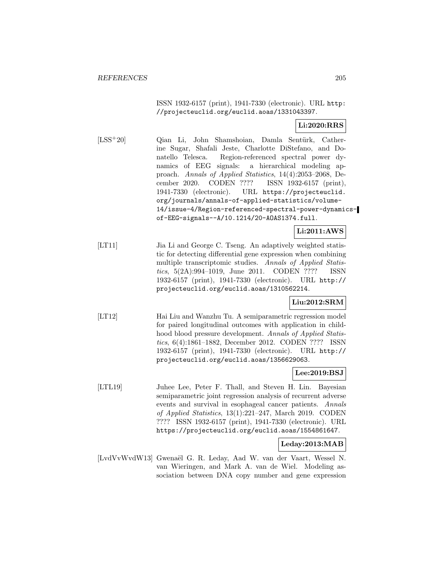ISSN 1932-6157 (print), 1941-7330 (electronic). URL http: //projecteuclid.org/euclid.aoas/1331043397.

## **Li:2020:RRS**

[LSS<sup>+</sup>20] Qian Li, John Shamshoian, Damla Sentürk, Catherine Sugar, Shafali Jeste, Charlotte DiStefano, and Donatello Telesca. Region-referenced spectral power dynamics of EEG signals: a hierarchical modeling approach. Annals of Applied Statistics, 14(4):2053–2068, December 2020. CODEN ???? ISSN 1932-6157 (print), 1941-7330 (electronic). URL https://projecteuclid. org/journals/annals-of-applied-statistics/volume-14/issue-4/Region-referenced-spectral-power-dynamicsof-EEG-signals--A/10.1214/20-AOAS1374.full.

### **Li:2011:AWS**

[LT11] Jia Li and George C. Tseng. An adaptively weighted statistic for detecting differential gene expression when combining multiple transcriptomic studies. Annals of Applied Statistics, 5(2A):994–1019, June 2011. CODEN ???? ISSN 1932-6157 (print), 1941-7330 (electronic). URL http:// projecteuclid.org/euclid.aoas/1310562214.

### **Liu:2012:SRM**

[LT12] Hai Liu and Wanzhu Tu. A semiparametric regression model for paired longitudinal outcomes with application in childhood blood pressure development. Annals of Applied Statistics, 6(4):1861–1882, December 2012. CODEN ???? ISSN 1932-6157 (print), 1941-7330 (electronic). URL http:// projecteuclid.org/euclid.aoas/1356629063.

#### **Lee:2019:BSJ**

[LTL19] Juhee Lee, Peter F. Thall, and Steven H. Lin. Bayesian semiparametric joint regression analysis of recurrent adverse events and survival in esophageal cancer patients. Annals of Applied Statistics, 13(1):221–247, March 2019. CODEN ???? ISSN 1932-6157 (print), 1941-7330 (electronic). URL https://projecteuclid.org/euclid.aoas/1554861647.

#### **Leday:2013:MAB**

[LvdVvWvdW13] Gwenaël G. R. Leday, Aad W. van der Vaart, Wessel N. van Wieringen, and Mark A. van de Wiel. Modeling association between DNA copy number and gene expression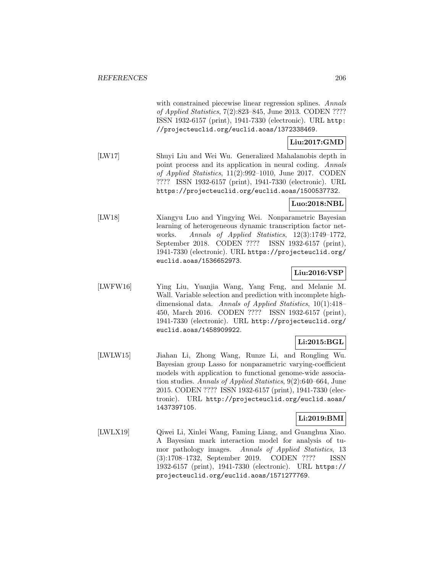with constrained piecewise linear regression splines. Annals of Applied Statistics, 7(2):823–845, June 2013. CODEN ???? ISSN 1932-6157 (print), 1941-7330 (electronic). URL http: //projecteuclid.org/euclid.aoas/1372338469.

## **Liu:2017:GMD**

[LW17] Shuyi Liu and Wei Wu. Generalized Mahalanobis depth in point process and its application in neural coding. Annals of Applied Statistics, 11(2):992–1010, June 2017. CODEN ???? ISSN 1932-6157 (print), 1941-7330 (electronic). URL https://projecteuclid.org/euclid.aoas/1500537732.

### **Luo:2018:NBL**

[LW18] Xiangyu Luo and Yingying Wei. Nonparametric Bayesian learning of heterogeneous dynamic transcription factor networks. Annals of Applied Statistics, 12(3):1749–1772, September 2018. CODEN ???? ISSN 1932-6157 (print), 1941-7330 (electronic). URL https://projecteuclid.org/ euclid.aoas/1536652973.

## **Liu:2016:VSP**

[LWFW16] Ying Liu, Yuanjia Wang, Yang Feng, and Melanie M. Wall. Variable selection and prediction with incomplete highdimensional data. Annals of Applied Statistics, 10(1):418– 450, March 2016. CODEN ???? ISSN 1932-6157 (print), 1941-7330 (electronic). URL http://projecteuclid.org/ euclid.aoas/1458909922.

## **Li:2015:BGL**

[LWLW15] Jiahan Li, Zhong Wang, Runze Li, and Rongling Wu. Bayesian group Lasso for nonparametric varying-coefficient models with application to functional genome-wide association studies. Annals of Applied Statistics, 9(2):640–664, June 2015. CODEN ???? ISSN 1932-6157 (print), 1941-7330 (electronic). URL http://projecteuclid.org/euclid.aoas/ 1437397105.

## **Li:2019:BMI**

[LWLX19] Qiwei Li, Xinlei Wang, Faming Liang, and Guanghua Xiao. A Bayesian mark interaction model for analysis of tumor pathology images. Annals of Applied Statistics, 13 (3):1708–1732, September 2019. CODEN ???? ISSN 1932-6157 (print), 1941-7330 (electronic). URL https:// projecteuclid.org/euclid.aoas/1571277769.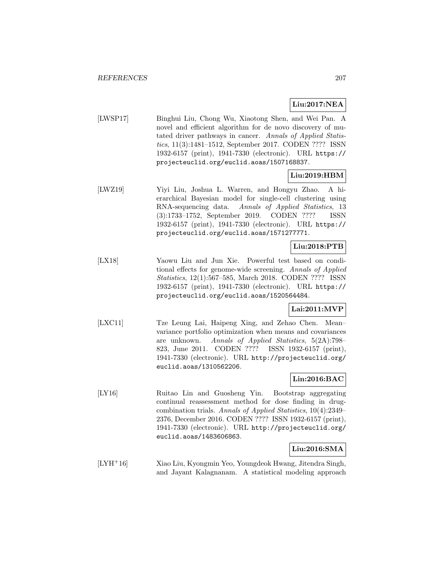## **Liu:2017:NEA**

[LWSP17] Binghui Liu, Chong Wu, Xiaotong Shen, and Wei Pan. A novel and efficient algorithm for de novo discovery of mutated driver pathways in cancer. Annals of Applied Statistics, 11(3):1481–1512, September 2017. CODEN ???? ISSN 1932-6157 (print), 1941-7330 (electronic). URL https:// projecteuclid.org/euclid.aoas/1507168837.

## **Liu:2019:HBM**

[LWZ19] Yiyi Liu, Joshua L. Warren, and Hongyu Zhao. A hierarchical Bayesian model for single-cell clustering using RNA-sequencing data. Annals of Applied Statistics, 13 (3):1733–1752, September 2019. CODEN ???? ISSN 1932-6157 (print), 1941-7330 (electronic). URL https:// projecteuclid.org/euclid.aoas/1571277771.

## **Liu:2018:PTB**

[LX18] Yaowu Liu and Jun Xie. Powerful test based on conditional effects for genome-wide screening. Annals of Applied Statistics, 12(1):567–585, March 2018. CODEN ???? ISSN 1932-6157 (print), 1941-7330 (electronic). URL https:// projecteuclid.org/euclid.aoas/1520564484.

## **Lai:2011:MVP**

[LXC11] Tze Leung Lai, Haipeng Xing, and Zehao Chen. Mean– variance portfolio optimization when means and covariances are unknown. Annals of Applied Statistics, 5(2A):798– 823, June 2011. CODEN ???? ISSN 1932-6157 (print), 1941-7330 (electronic). URL http://projecteuclid.org/ euclid.aoas/1310562206.

## **Lin:2016:BAC**

[LY16] Ruitao Lin and Guosheng Yin. Bootstrap aggregating continual reassessment method for dose finding in drugcombination trials. Annals of Applied Statistics, 10(4):2349– 2376, December 2016. CODEN ???? ISSN 1932-6157 (print), 1941-7330 (electronic). URL http://projecteuclid.org/ euclid.aoas/1483606863.

## **Liu:2016:SMA**

[LYH<sup>+</sup>16] Xiao Liu, Kyongmin Yeo, Youngdeok Hwang, Jitendra Singh, and Jayant Kalagnanam. A statistical modeling approach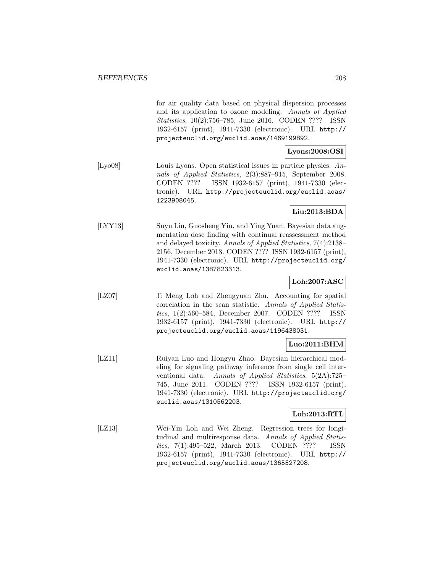for air quality data based on physical dispersion processes and its application to ozone modeling. Annals of Applied Statistics, 10(2):756–785, June 2016. CODEN ???? ISSN 1932-6157 (print), 1941-7330 (electronic). URL http:// projecteuclid.org/euclid.aoas/1469199892.

## **Lyons:2008:OSI**

[Lyo08] Louis Lyons. Open statistical issues in particle physics. Annals of Applied Statistics, 2(3):887–915, September 2008. CODEN ???? ISSN 1932-6157 (print), 1941-7330 (electronic). URL http://projecteuclid.org/euclid.aoas/ 1223908045.

## **Liu:2013:BDA**

[LYY13] Suyu Liu, Guosheng Yin, and Ying Yuan. Bayesian data augmentation dose finding with continual reassessment method and delayed toxicity. Annals of Applied Statistics, 7(4):2138– 2156, December 2013. CODEN ???? ISSN 1932-6157 (print), 1941-7330 (electronic). URL http://projecteuclid.org/ euclid.aoas/1387823313.

## **Loh:2007:ASC**

[LZ07] Ji Meng Loh and Zhengyuan Zhu. Accounting for spatial correlation in the scan statistic. Annals of Applied Statistics, 1(2):560–584, December 2007. CODEN ???? ISSN 1932-6157 (print), 1941-7330 (electronic). URL http:// projecteuclid.org/euclid.aoas/1196438031.

# **Luo:2011:BHM**

[LZ11] Ruiyan Luo and Hongyu Zhao. Bayesian hierarchical modeling for signaling pathway inference from single cell interventional data. Annals of Applied Statistics, 5(2A):725– 745, June 2011. CODEN ???? ISSN 1932-6157 (print), 1941-7330 (electronic). URL http://projecteuclid.org/ euclid.aoas/1310562203.

#### **Loh:2013:RTL**

[LZ13] Wei-Yin Loh and Wei Zheng. Regression trees for longitudinal and multiresponse data. Annals of Applied Statistics, 7(1):495–522, March 2013. CODEN ???? ISSN 1932-6157 (print), 1941-7330 (electronic). URL http:// projecteuclid.org/euclid.aoas/1365527208.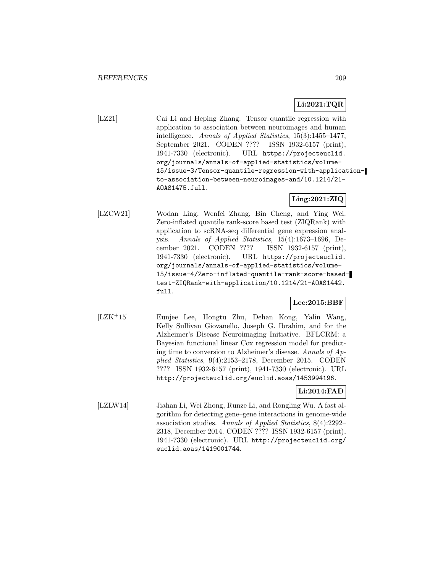### **Li:2021:TQR**

[LZ21] Cai Li and Heping Zhang. Tensor quantile regression with application to association between neuroimages and human intelligence. Annals of Applied Statistics, 15(3):1455–1477, September 2021. CODEN ???? ISSN 1932-6157 (print), 1941-7330 (electronic). URL https://projecteuclid. org/journals/annals-of-applied-statistics/volume-15/issue-3/Tensor-quantile-regression-with-applicationto-association-between-neuroimages-and/10.1214/21- AOAS1475.full.

## **Ling:2021:ZIQ**

[LZCW21] Wodan Ling, Wenfei Zhang, Bin Cheng, and Ying Wei. Zero-inflated quantile rank-score based test (ZIQRank) with application to scRNA-seq differential gene expression analysis. Annals of Applied Statistics, 15(4):1673–1696, December 2021. CODEN ???? ISSN 1932-6157 (print), 1941-7330 (electronic). URL https://projecteuclid. org/journals/annals-of-applied-statistics/volume-15/issue-4/Zero-inflated-quantile-rank-score-basedtest-ZIQRank-with-application/10.1214/21-AOAS1442. full.

### **Lee:2015:BBF**

[LZK<sup>+</sup>15] Eunjee Lee, Hongtu Zhu, Dehan Kong, Yalin Wang, Kelly Sullivan Giovanello, Joseph G. Ibrahim, and for the Alzheimer's Disease Neuroimaging Initiative. BFLCRM: a Bayesian functional linear Cox regression model for predicting time to conversion to Alzheimer's disease. Annals of Applied Statistics, 9(4):2153–2178, December 2015. CODEN ???? ISSN 1932-6157 (print), 1941-7330 (electronic). URL http://projecteuclid.org/euclid.aoas/1453994196.

# **Li:2014:FAD**

[LZLW14] Jiahan Li, Wei Zhong, Runze Li, and Rongling Wu. A fast algorithm for detecting gene–gene interactions in genome-wide association studies. Annals of Applied Statistics, 8(4):2292– 2318, December 2014. CODEN ???? ISSN 1932-6157 (print), 1941-7330 (electronic). URL http://projecteuclid.org/ euclid.aoas/1419001744.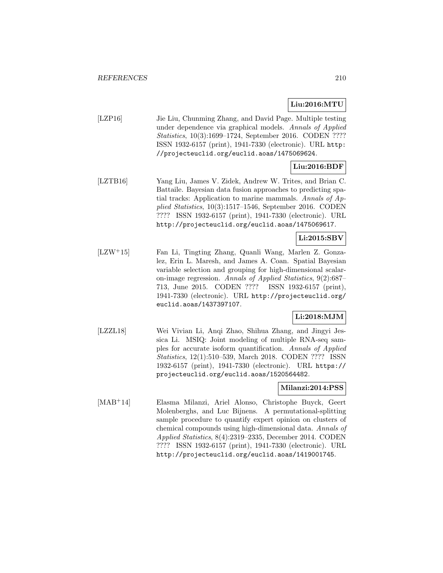## **Liu:2016:MTU**

[LZP16] Jie Liu, Chunming Zhang, and David Page. Multiple testing under dependence via graphical models. Annals of Applied Statistics, 10(3):1699–1724, September 2016. CODEN ???? ISSN 1932-6157 (print), 1941-7330 (electronic). URL http: //projecteuclid.org/euclid.aoas/1475069624.

# **Liu:2016:BDF**

[LZTB16] Yang Liu, James V. Zidek, Andrew W. Trites, and Brian C. Battaile. Bayesian data fusion approaches to predicting spatial tracks: Application to marine mammals. Annals of Applied Statistics, 10(3):1517–1546, September 2016. CODEN ???? ISSN 1932-6157 (print), 1941-7330 (electronic). URL http://projecteuclid.org/euclid.aoas/1475069617.

# **Li:2015:SBV**

[LZW<sup>+</sup>15] Fan Li, Tingting Zhang, Quanli Wang, Marlen Z. Gonzalez, Erin L. Maresh, and James A. Coan. Spatial Bayesian variable selection and grouping for high-dimensional scalaron-image regression. Annals of Applied Statistics, 9(2):687– 713, June 2015. CODEN ???? ISSN 1932-6157 (print), 1941-7330 (electronic). URL http://projecteuclid.org/ euclid.aoas/1437397107.

# **Li:2018:MJM**

[LZZL18] Wei Vivian Li, Anqi Zhao, Shihua Zhang, and Jingyi Jessica Li. MSIQ: Joint modeling of multiple RNA-seq samples for accurate isoform quantification. Annals of Applied Statistics, 12(1):510–539, March 2018. CODEN ???? ISSN 1932-6157 (print), 1941-7330 (electronic). URL https:// projecteuclid.org/euclid.aoas/1520564482.

#### **Milanzi:2014:PSS**

[MAB<sup>+</sup>14] Elasma Milanzi, Ariel Alonso, Christophe Buyck, Geert Molenberghs, and Luc Bijnens. A permutational-splitting sample procedure to quantify expert opinion on clusters of chemical compounds using high-dimensional data. Annals of Applied Statistics, 8(4):2319–2335, December 2014. CODEN ???? ISSN 1932-6157 (print), 1941-7330 (electronic). URL http://projecteuclid.org/euclid.aoas/1419001745.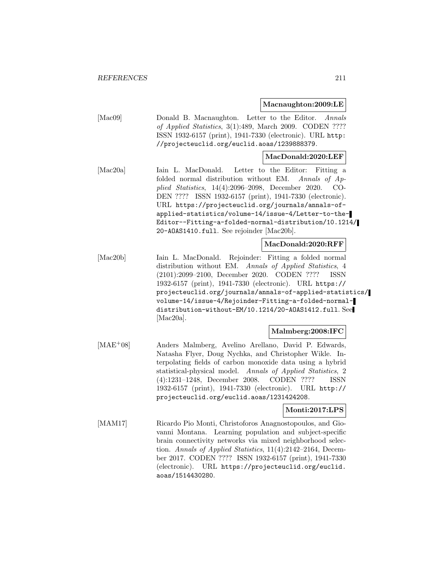**Macnaughton:2009:LE**

| [Mac09] | Donald B. Macnaughton. Letter to the Editor. Annals       |
|---------|-----------------------------------------------------------|
|         | of Applied Statistics, 3(1):489, March 2009. CODEN ????   |
|         | ISSN 1932-6157 (print), 1941-7330 (electronic). URL http: |
|         | //projecteuclid.org/euclid.aoas/1239888379.               |

#### **MacDonald:2020:LEF**

[Mac20a] Iain L. MacDonald. Letter to the Editor: Fitting a folded normal distribution without EM. Annals of Applied Statistics, 14(4):2096–2098, December 2020. CO-DEN ???? ISSN 1932-6157 (print), 1941-7330 (electronic). URL https://projecteuclid.org/journals/annals-ofapplied-statistics/volume-14/issue-4/Letter-to-the-Editor--Fitting-a-folded-normal-distribution/10.1214/ 20-AOAS1410.full. See rejoinder [Mac20b].

#### **MacDonald:2020:RFF**

[Mac20b] Iain L. MacDonald. Rejoinder: Fitting a folded normal distribution without EM. Annals of Applied Statistics, 4 (2101):2099–2100, December 2020. CODEN ???? ISSN 1932-6157 (print), 1941-7330 (electronic). URL https:// projecteuclid.org/journals/annals-of-applied-statistics/ volume-14/issue-4/Rejoinder-Fitting-a-folded-normaldistribution-without-EM/10.1214/20-AOAS1412.full. See [Mac20a].

#### **Malmberg:2008:IFC**

[MAE<sup>+</sup>08] Anders Malmberg, Avelino Arellano, David P. Edwards, Natasha Flyer, Doug Nychka, and Christopher Wikle. Interpolating fields of carbon monoxide data using a hybrid statistical-physical model. Annals of Applied Statistics, 2 (4):1231–1248, December 2008. CODEN ???? ISSN 1932-6157 (print), 1941-7330 (electronic). URL http:// projecteuclid.org/euclid.aoas/1231424208.

#### **Monti:2017:LPS**

[MAM17] Ricardo Pio Monti, Christoforos Anagnostopoulos, and Giovanni Montana. Learning population and subject-specific brain connectivity networks via mixed neighborhood selection. Annals of Applied Statistics, 11(4):2142–2164, December 2017. CODEN ???? ISSN 1932-6157 (print), 1941-7330 (electronic). URL https://projecteuclid.org/euclid. aoas/1514430280.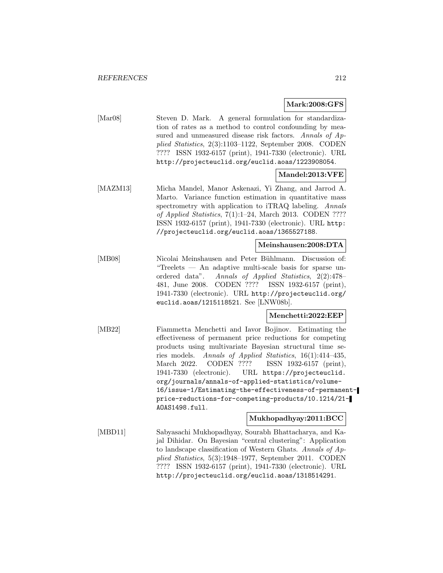#### **Mark:2008:GFS**

[Mar08] Steven D. Mark. A general formulation for standardization of rates as a method to control confounding by measured and unmeasured disease risk factors. Annals of Applied Statistics, 2(3):1103–1122, September 2008. CODEN ???? ISSN 1932-6157 (print), 1941-7330 (electronic). URL http://projecteuclid.org/euclid.aoas/1223908054.

### **Mandel:2013:VFE**

[MAZM13] Micha Mandel, Manor Askenazi, Yi Zhang, and Jarrod A. Marto. Variance function estimation in quantitative mass spectrometry with application to iTRAQ labeling. Annals of Applied Statistics, 7(1):1–24, March 2013. CODEN ???? ISSN 1932-6157 (print), 1941-7330 (electronic). URL http: //projecteuclid.org/euclid.aoas/1365527188.

### **Meinshausen:2008:DTA**

[MB08] Nicolai Meinshausen and Peter Bühlmann. Discussion of: "Treelets — An adaptive multi-scale basis for sparse unordered data". Annals of Applied Statistics, 2(2):478– 481, June 2008. CODEN ???? ISSN 1932-6157 (print), 1941-7330 (electronic). URL http://projecteuclid.org/ euclid.aoas/1215118521. See [LNW08b].

#### **Menchetti:2022:EEP**

[MB22] Fiammetta Menchetti and Iavor Bojinov. Estimating the effectiveness of permanent price reductions for competing products using multivariate Bayesian structural time series models. Annals of Applied Statistics, 16(1):414–435, March 2022. CODEN ???? ISSN 1932-6157 (print), 1941-7330 (electronic). URL https://projecteuclid. org/journals/annals-of-applied-statistics/volume-16/issue-1/Estimating-the-effectiveness-of-permanentprice-reductions-for-competing-products/10.1214/21- AOAS1498.full.

**Mukhopadhyay:2011:BCC**

[MBD11] Sabyasachi Mukhopadhyay, Sourabh Bhattacharya, and Kajal Dihidar. On Bayesian "central clustering": Application to landscape classification of Western Ghats. Annals of Applied Statistics, 5(3):1948–1977, September 2011. CODEN ???? ISSN 1932-6157 (print), 1941-7330 (electronic). URL http://projecteuclid.org/euclid.aoas/1318514291.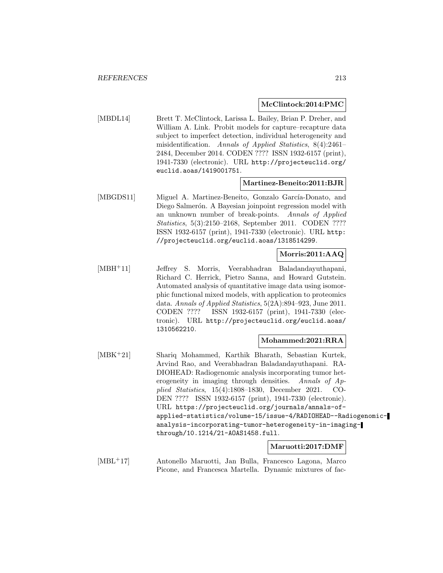#### **McClintock:2014:PMC**

[MBDL14] Brett T. McClintock, Larissa L. Bailey, Brian P. Dreher, and William A. Link. Probit models for capture–recapture data subject to imperfect detection, individual heterogeneity and misidentification. Annals of Applied Statistics, 8(4):2461– 2484, December 2014. CODEN ???? ISSN 1932-6157 (print), 1941-7330 (electronic). URL http://projecteuclid.org/ euclid.aoas/1419001751.

### **Martinez-Beneito:2011:BJR**

[MBGDS11] Miguel A. Martinez-Beneito, Gonzalo García-Donato, and Diego Salmerón. A Bayesian joinpoint regression model with an unknown number of break-points. Annals of Applied Statistics, 5(3):2150–2168, September 2011. CODEN ???? ISSN 1932-6157 (print), 1941-7330 (electronic). URL http: //projecteuclid.org/euclid.aoas/1318514299.

### **Morris:2011:AAQ**

[MBH<sup>+</sup>11] Jeffrey S. Morris, Veerabhadran Baladandayuthapani, Richard C. Herrick, Pietro Sanna, and Howard Gutstein. Automated analysis of quantitative image data using isomorphic functional mixed models, with application to proteomics data. Annals of Applied Statistics, 5(2A):894–923, June 2011. CODEN ???? ISSN 1932-6157 (print), 1941-7330 (electronic). URL http://projecteuclid.org/euclid.aoas/ 1310562210.

#### **Mohammed:2021:RRA**

[MBK<sup>+</sup>21] Shariq Mohammed, Karthik Bharath, Sebastian Kurtek, Arvind Rao, and Veerabhadran Baladandayuthapani. RA-DIOHEAD: Radiogenomic analysis incorporating tumor heterogeneity in imaging through densities. Annals of Applied Statistics, 15(4):1808–1830, December 2021. CO-DEN ???? ISSN 1932-6157 (print), 1941-7330 (electronic). URL https://projecteuclid.org/journals/annals-ofapplied-statistics/volume-15/issue-4/RADIOHEAD--Radiogenomicanalysis-incorporating-tumor-heterogeneity-in-imagingthrough/10.1214/21-AOAS1458.full.

#### **Maruotti:2017:DMF**

[MBL<sup>+</sup>17] Antonello Maruotti, Jan Bulla, Francesco Lagona, Marco Picone, and Francesca Martella. Dynamic mixtures of fac-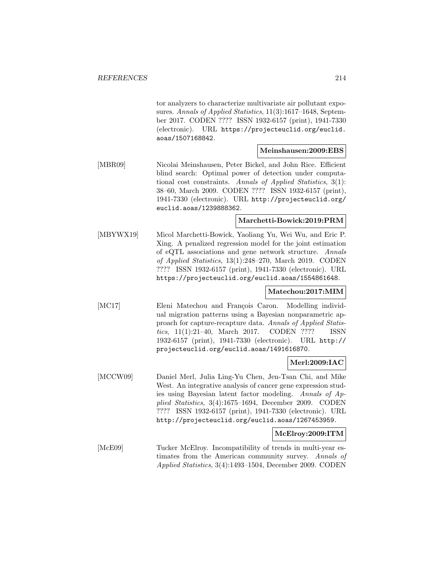tor analyzers to characterize multivariate air pollutant exposures. Annals of Applied Statistics, 11(3):1617-1648, September 2017. CODEN ???? ISSN 1932-6157 (print), 1941-7330 (electronic). URL https://projecteuclid.org/euclid. aoas/1507168842.

### **Meinshausen:2009:EBS**

[MBR09] Nicolai Meinshausen, Peter Bickel, and John Rice. Efficient blind search: Optimal power of detection under computational cost constraints. Annals of Applied Statistics, 3(1): 38–60, March 2009. CODEN ???? ISSN 1932-6157 (print), 1941-7330 (electronic). URL http://projecteuclid.org/ euclid.aoas/1239888362.

#### **Marchetti-Bowick:2019:PRM**

[MBYWX19] Micol Marchetti-Bowick, Yaoliang Yu, Wei Wu, and Eric P. Xing. A penalized regression model for the joint estimation of eQTL associations and gene network structure. Annals of Applied Statistics, 13(1):248–270, March 2019. CODEN ???? ISSN 1932-6157 (print), 1941-7330 (electronic). URL https://projecteuclid.org/euclid.aoas/1554861648.

#### **Matechou:2017:MIM**

[MC17] Eleni Matechou and François Caron. Modelling individual migration patterns using a Bayesian nonparametric approach for capture-recapture data. Annals of Applied Statistics, 11(1):21–40, March 2017. CODEN ???? ISSN 1932-6157 (print), 1941-7330 (electronic). URL http:// projecteuclid.org/euclid.aoas/1491616870.

#### **Merl:2009:IAC**

[MCCW09] Daniel Merl, Julia Ling-Yu Chen, Jen-Tsan Chi, and Mike West. An integrative analysis of cancer gene expression studies using Bayesian latent factor modeling. Annals of Applied Statistics, 3(4):1675–1694, December 2009. CODEN ???? ISSN 1932-6157 (print), 1941-7330 (electronic). URL http://projecteuclid.org/euclid.aoas/1267453959.

#### **McElroy:2009:ITM**

[McE09] Tucker McElroy. Incompatibility of trends in multi-year estimates from the American community survey. Annals of Applied Statistics, 3(4):1493–1504, December 2009. CODEN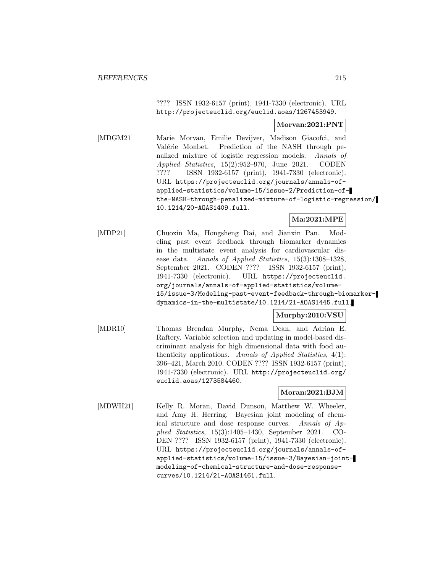???? ISSN 1932-6157 (print), 1941-7330 (electronic). URL http://projecteuclid.org/euclid.aoas/1267453949.

#### **Morvan:2021:PNT**

[MDGM21] Marie Morvan, Emilie Devijver, Madison Giacofci, and Valérie Monbet. Prediction of the NASH through penalized mixture of logistic regression models. Annals of Applied Statistics, 15(2):952–970, June 2021. CODEN ???? ISSN 1932-6157 (print), 1941-7330 (electronic). URL https://projecteuclid.org/journals/annals-ofapplied-statistics/volume-15/issue-2/Prediction-ofthe-NASH-through-penalized-mixture-of-logistic-regression/ 10.1214/20-AOAS1409.full.

### **Ma:2021:MPE**

[MDP21] Chuoxin Ma, Hongsheng Dai, and Jianxin Pan. Modeling past event feedback through biomarker dynamics in the multistate event analysis for cardiovascular disease data. Annals of Applied Statistics, 15(3):1308–1328, September 2021. CODEN ???? ISSN 1932-6157 (print), 1941-7330 (electronic). URL https://projecteuclid. org/journals/annals-of-applied-statistics/volume-15/issue-3/Modeling-past-event-feedback-through-biomarkerdynamics-in-the-multistate/10.1214/21-AOAS1445.full.

## **Murphy:2010:VSU**

[MDR10] Thomas Brendan Murphy, Nema Dean, and Adrian E. Raftery. Variable selection and updating in model-based discriminant analysis for high dimensional data with food authenticity applications. Annals of Applied Statistics, 4(1): 396–421, March 2010. CODEN ???? ISSN 1932-6157 (print), 1941-7330 (electronic). URL http://projecteuclid.org/ euclid.aoas/1273584460.

## **Moran:2021:BJM**

[MDWH21] Kelly R. Moran, David Dunson, Matthew W. Wheeler, and Amy H. Herring. Bayesian joint modeling of chemical structure and dose response curves. Annals of Applied Statistics, 15(3):1405–1430, September 2021. CO-DEN ???? ISSN 1932-6157 (print), 1941-7330 (electronic). URL https://projecteuclid.org/journals/annals-ofapplied-statistics/volume-15/issue-3/Bayesian-jointmodeling-of-chemical-structure-and-dose-responsecurves/10.1214/21-AOAS1461.full.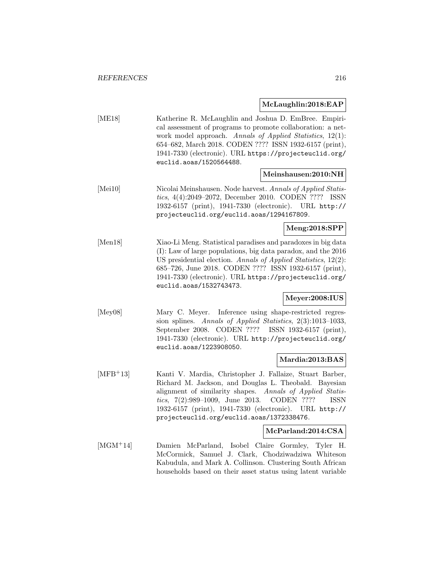### **McLaughlin:2018:EAP**

[ME18] Katherine R. McLaughlin and Joshua D. EmBree. Empirical assessment of programs to promote collaboration: a network model approach. Annals of Applied Statistics, 12(1): 654–682, March 2018. CODEN ???? ISSN 1932-6157 (print), 1941-7330 (electronic). URL https://projecteuclid.org/ euclid.aoas/1520564488.

#### **Meinshausen:2010:NH**

[Mei10] Nicolai Meinshausen. Node harvest. Annals of Applied Statistics, 4(4):2049–2072, December 2010. CODEN ???? ISSN 1932-6157 (print), 1941-7330 (electronic). URL http:// projecteuclid.org/euclid.aoas/1294167809.

#### **Meng:2018:SPP**

[Men18] Xiao-Li Meng. Statistical paradises and paradoxes in big data (I): Law of large populations, big data paradox, and the 2016 US presidential election. Annals of Applied Statistics, 12(2): 685–726, June 2018. CODEN ???? ISSN 1932-6157 (print), 1941-7330 (electronic). URL https://projecteuclid.org/ euclid.aoas/1532743473.

# **Meyer:2008:IUS**

[Mey08] Mary C. Meyer. Inference using shape-restricted regression splines. Annals of Applied Statistics, 2(3):1013–1033, September 2008. CODEN ???? ISSN 1932-6157 (print), 1941-7330 (electronic). URL http://projecteuclid.org/ euclid.aoas/1223908050.

#### **Mardia:2013:BAS**

[MFB<sup>+</sup>13] Kanti V. Mardia, Christopher J. Fallaize, Stuart Barber, Richard M. Jackson, and Douglas L. Theobald. Bayesian alignment of similarity shapes. Annals of Applied Statistics, 7(2):989–1009, June 2013. CODEN ???? ISSN 1932-6157 (print), 1941-7330 (electronic). URL http:// projecteuclid.org/euclid.aoas/1372338476.

### **McParland:2014:CSA**

[MGM<sup>+</sup>14] Damien McParland, Isobel Claire Gormley, Tyler H. McCormick, Samuel J. Clark, Chodziwadziwa Whiteson Kabudula, and Mark A. Collinson. Clustering South African households based on their asset status using latent variable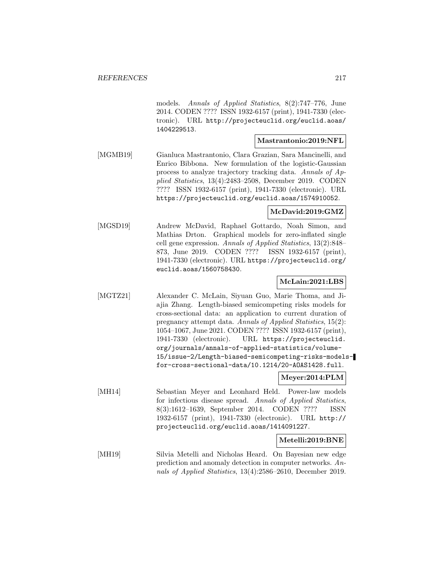models. Annals of Applied Statistics, 8(2):747–776, June 2014. CODEN ???? ISSN 1932-6157 (print), 1941-7330 (electronic). URL http://projecteuclid.org/euclid.aoas/ 1404229513.

### **Mastrantonio:2019:NFL**

[MGMB19] Gianluca Mastrantonio, Clara Grazian, Sara Mancinelli, and Enrico Bibbona. New formulation of the logistic-Gaussian process to analyze trajectory tracking data. Annals of Applied Statistics, 13(4):2483–2508, December 2019. CODEN ???? ISSN 1932-6157 (print), 1941-7330 (electronic). URL https://projecteuclid.org/euclid.aoas/1574910052.

### **McDavid:2019:GMZ**

[MGSD19] Andrew McDavid, Raphael Gottardo, Noah Simon, and Mathias Drton. Graphical models for zero-inflated single cell gene expression. Annals of Applied Statistics, 13(2):848– 873, June 2019. CODEN ???? ISSN 1932-6157 (print), 1941-7330 (electronic). URL https://projecteuclid.org/ euclid.aoas/1560758430.

### **McLain:2021:LBS**

[MGTZ21] Alexander C. McLain, Siyuan Guo, Marie Thoma, and Jiajia Zhang. Length-biased semicompeting risks models for cross-sectional data: an application to current duration of pregnancy attempt data. Annals of Applied Statistics, 15(2): 1054–1067, June 2021. CODEN ???? ISSN 1932-6157 (print), 1941-7330 (electronic). URL https://projecteuclid. org/journals/annals-of-applied-statistics/volume-15/issue-2/Length-biased-semicompeting-risks-modelsfor-cross-sectional-data/10.1214/20-AOAS1428.full.

### **Meyer:2014:PLM**

[MH14] Sebastian Meyer and Leonhard Held. Power-law models for infectious disease spread. Annals of Applied Statistics, 8(3):1612–1639, September 2014. CODEN ???? ISSN 1932-6157 (print), 1941-7330 (electronic). URL http:// projecteuclid.org/euclid.aoas/1414091227.

### **Metelli:2019:BNE**

[MH19] Silvia Metelli and Nicholas Heard. On Bayesian new edge prediction and anomaly detection in computer networks. Annals of Applied Statistics, 13(4):2586–2610, December 2019.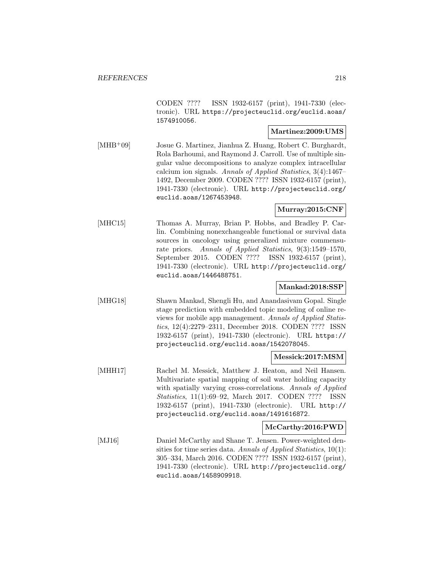CODEN ???? ISSN 1932-6157 (print), 1941-7330 (electronic). URL https://projecteuclid.org/euclid.aoas/ 1574910056.

# **Martinez:2009:UMS**

[MHB<sup>+</sup>09] Josue G. Martinez, Jianhua Z. Huang, Robert C. Burghardt, Rola Barhoumi, and Raymond J. Carroll. Use of multiple singular value decompositions to analyze complex intracellular calcium ion signals. Annals of Applied Statistics, 3(4):1467– 1492, December 2009. CODEN ???? ISSN 1932-6157 (print), 1941-7330 (electronic). URL http://projecteuclid.org/ euclid.aoas/1267453948.

### **Murray:2015:CNF**

[MHC15] Thomas A. Murray, Brian P. Hobbs, and Bradley P. Carlin. Combining nonexchangeable functional or survival data sources in oncology using generalized mixture commensurate priors. Annals of Applied Statistics, 9(3):1549–1570, September 2015. CODEN ???? ISSN 1932-6157 (print), 1941-7330 (electronic). URL http://projecteuclid.org/ euclid.aoas/1446488751.

# **Mankad:2018:SSP**

[MHG18] Shawn Mankad, Shengli Hu, and Anandasivam Gopal. Single stage prediction with embedded topic modeling of online reviews for mobile app management. Annals of Applied Statistics, 12(4):2279–2311, December 2018. CODEN ???? ISSN 1932-6157 (print), 1941-7330 (electronic). URL https:// projecteuclid.org/euclid.aoas/1542078045.

# **Messick:2017:MSM**

[MHH17] Rachel M. Messick, Matthew J. Heaton, and Neil Hansen. Multivariate spatial mapping of soil water holding capacity with spatially varying cross-correlations. Annals of Applied Statistics, 11(1):69–92, March 2017. CODEN ???? ISSN 1932-6157 (print), 1941-7330 (electronic). URL http:// projecteuclid.org/euclid.aoas/1491616872.

### **McCarthy:2016:PWD**

[MJ16] Daniel McCarthy and Shane T. Jensen. Power-weighted densities for time series data. Annals of Applied Statistics, 10(1): 305–334, March 2016. CODEN ???? ISSN 1932-6157 (print), 1941-7330 (electronic). URL http://projecteuclid.org/ euclid.aoas/1458909918.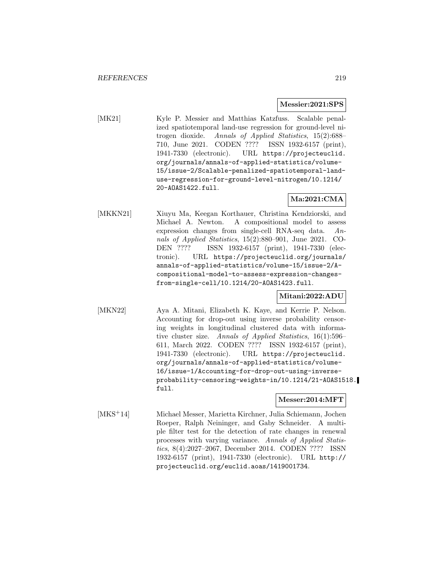### **Messier:2021:SPS**

[MK21] Kyle P. Messier and Matthias Katzfuss. Scalable penalized spatiotemporal land-use regression for ground-level nitrogen dioxide. Annals of Applied Statistics, 15(2):688– 710, June 2021. CODEN ???? ISSN 1932-6157 (print), 1941-7330 (electronic). URL https://projecteuclid. org/journals/annals-of-applied-statistics/volume-15/issue-2/Scalable-penalized-spatiotemporal-landuse-regression-for-ground-level-nitrogen/10.1214/ 20-AOAS1422.full.

# **Ma:2021:CMA**

[MKKN21] Xiuyu Ma, Keegan Korthauer, Christina Kendziorski, and Michael A. Newton. A compositional model to assess expression changes from single-cell RNA-seq data. Annals of Applied Statistics, 15(2):880–901, June 2021. CO-DEN ???? ISSN 1932-6157 (print), 1941-7330 (electronic). URL https://projecteuclid.org/journals/ annals-of-applied-statistics/volume-15/issue-2/Acompositional-model-to-assess-expression-changesfrom-single-cell/10.1214/20-AOAS1423.full.

# **Mitani:2022:ADU**

[MKN22] Aya A. Mitani, Elizabeth K. Kaye, and Kerrie P. Nelson. Accounting for drop-out using inverse probability censoring weights in longitudinal clustered data with informative cluster size. Annals of Applied Statistics, 16(1):596– 611, March 2022. CODEN ???? ISSN 1932-6157 (print), 1941-7330 (electronic). URL https://projecteuclid. org/journals/annals-of-applied-statistics/volume-16/issue-1/Accounting-for-drop-out-using-inverseprobability-censoring-weights-in/10.1214/21-AOAS1518. full.

### **Messer:2014:MFT**

[MKS<sup>+</sup>14] Michael Messer, Marietta Kirchner, Julia Schiemann, Jochen Roeper, Ralph Neininger, and Gaby Schneider. A multiple filter test for the detection of rate changes in renewal processes with varying variance. Annals of Applied Statistics, 8(4):2027–2067, December 2014. CODEN ???? ISSN 1932-6157 (print), 1941-7330 (electronic). URL http:// projecteuclid.org/euclid.aoas/1419001734.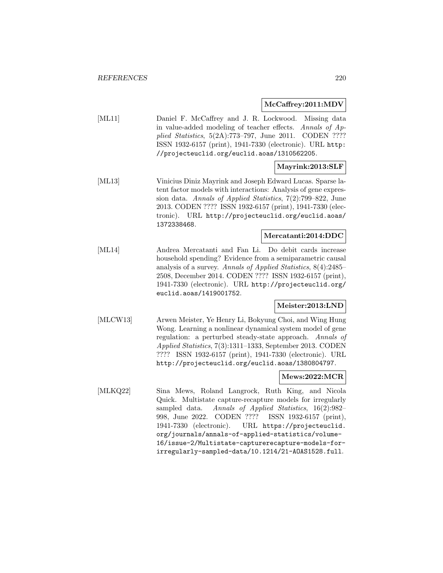### **McCaffrey:2011:MDV**

[ML11] Daniel F. McCaffrey and J. R. Lockwood. Missing data in value-added modeling of teacher effects. Annals of Applied Statistics, 5(2A):773–797, June 2011. CODEN ???? ISSN 1932-6157 (print), 1941-7330 (electronic). URL http: //projecteuclid.org/euclid.aoas/1310562205.

# **Mayrink:2013:SLF**

[ML13] Vinicius Diniz Mayrink and Joseph Edward Lucas. Sparse latent factor models with interactions: Analysis of gene expression data. Annals of Applied Statistics, 7(2):799–822, June 2013. CODEN ???? ISSN 1932-6157 (print), 1941-7330 (electronic). URL http://projecteuclid.org/euclid.aoas/ 1372338468.

### **Mercatanti:2014:DDC**

[ML14] Andrea Mercatanti and Fan Li. Do debit cards increase household spending? Evidence from a semiparametric causal analysis of a survey. Annals of Applied Statistics, 8(4):2485– 2508, December 2014. CODEN ???? ISSN 1932-6157 (print), 1941-7330 (electronic). URL http://projecteuclid.org/ euclid.aoas/1419001752.

### **Meister:2013:LND**

[MLCW13] Arwen Meister, Ye Henry Li, Bokyung Choi, and Wing Hung Wong. Learning a nonlinear dynamical system model of gene regulation: a perturbed steady-state approach. Annals of Applied Statistics, 7(3):1311–1333, September 2013. CODEN ???? ISSN 1932-6157 (print), 1941-7330 (electronic). URL http://projecteuclid.org/euclid.aoas/1380804797.

# **Mews:2022:MCR**

[MLKQ22] Sina Mews, Roland Langrock, Ruth King, and Nicola Quick. Multistate capture-recapture models for irregularly sampled data. Annals of Applied Statistics, 16(2):982– 998, June 2022. CODEN ???? ISSN 1932-6157 (print), 1941-7330 (electronic). URL https://projecteuclid. org/journals/annals-of-applied-statistics/volume-16/issue-2/Multistate-capturerecapture-models-forirregularly-sampled-data/10.1214/21-AOAS1528.full.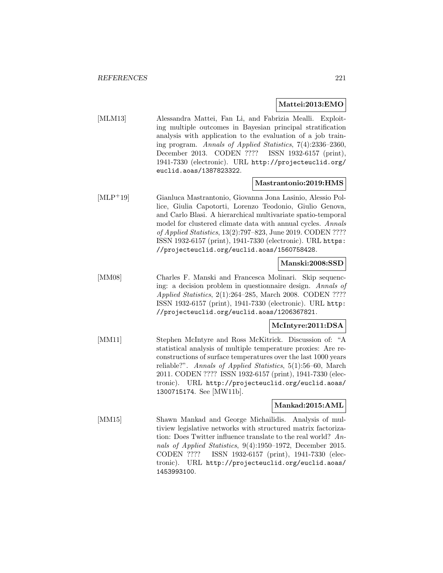### **Mattei:2013:EMO**

[MLM13] Alessandra Mattei, Fan Li, and Fabrizia Mealli. Exploiting multiple outcomes in Bayesian principal stratification analysis with application to the evaluation of a job training program. Annals of Applied Statistics, 7(4):2336–2360, December 2013. CODEN ???? ISSN 1932-6157 (print), 1941-7330 (electronic). URL http://projecteuclid.org/ euclid.aoas/1387823322.

### **Mastrantonio:2019:HMS**

[MLP<sup>+</sup>19] Gianluca Mastrantonio, Giovanna Jona Lasinio, Alessio Pollice, Giulia Capotorti, Lorenzo Teodonio, Giulio Genova, and Carlo Blasi. A hierarchical multivariate spatio-temporal model for clustered climate data with annual cycles. Annals of Applied Statistics, 13(2):797–823, June 2019. CODEN ???? ISSN 1932-6157 (print), 1941-7330 (electronic). URL https: //projecteuclid.org/euclid.aoas/1560758428.

### **Manski:2008:SSD**

[MM08] Charles F. Manski and Francesca Molinari. Skip sequencing: a decision problem in questionnaire design. Annals of Applied Statistics, 2(1):264–285, March 2008. CODEN ???? ISSN 1932-6157 (print), 1941-7330 (electronic). URL http: //projecteuclid.org/euclid.aoas/1206367821.

# **McIntyre:2011:DSA**

[MM11] Stephen McIntyre and Ross McKitrick. Discussion of: "A statistical analysis of multiple temperature proxies: Are reconstructions of surface temperatures over the last 1000 years reliable?". Annals of Applied Statistics, 5(1):56–60, March 2011. CODEN ???? ISSN 1932-6157 (print), 1941-7330 (electronic). URL http://projecteuclid.org/euclid.aoas/ 1300715174. See [MW11b].

# **Mankad:2015:AML**

[MM15] Shawn Mankad and George Michailidis. Analysis of multiview legislative networks with structured matrix factorization: Does Twitter influence translate to the real world? Annals of Applied Statistics, 9(4):1950–1972, December 2015. CODEN ???? ISSN 1932-6157 (print), 1941-7330 (electronic). URL http://projecteuclid.org/euclid.aoas/ 1453993100.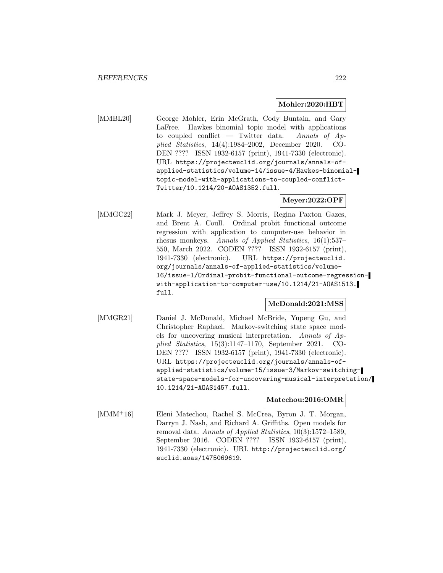### **Mohler:2020:HBT**

[MMBL20] George Mohler, Erin McGrath, Cody Buntain, and Gary LaFree. Hawkes binomial topic model with applications to coupled conflict — Twitter data. Annals of  $Ap$ plied Statistics, 14(4):1984–2002, December 2020. CO-DEN ???? ISSN 1932-6157 (print), 1941-7330 (electronic). URL https://projecteuclid.org/journals/annals-ofapplied-statistics/volume-14/issue-4/Hawkes-binomialtopic-model-with-applications-to-coupled-conflict-Twitter/10.1214/20-AOAS1352.full.

**Meyer:2022:OPF**

[MMGC22] Mark J. Meyer, Jeffrey S. Morris, Regina Paxton Gazes, and Brent A. Coull. Ordinal probit functional outcome regression with application to computer-use behavior in rhesus monkeys. Annals of Applied Statistics, 16(1):537– 550, March 2022. CODEN ???? ISSN 1932-6157 (print), 1941-7330 (electronic). URL https://projecteuclid. org/journals/annals-of-applied-statistics/volume-16/issue-1/Ordinal-probit-functional-outcome-regressionwith-application-to-computer-use/10.1214/21-AOAS1513. full.

### **McDonald:2021:MSS**

[MMGR21] Daniel J. McDonald, Michael McBride, Yupeng Gu, and Christopher Raphael. Markov-switching state space models for uncovering musical interpretation. Annals of Applied Statistics, 15(3):1147–1170, September 2021. CO-DEN ???? ISSN 1932-6157 (print), 1941-7330 (electronic). URL https://projecteuclid.org/journals/annals-ofapplied-statistics/volume-15/issue-3/Markov-switchingstate-space-models-for-uncovering-musical-interpretation/ 10.1214/21-AOAS1457.full.

**Matechou:2016:OMR**

[MMM<sup>+</sup>16] Eleni Matechou, Rachel S. McCrea, Byron J. T. Morgan, Darryn J. Nash, and Richard A. Griffiths. Open models for removal data. Annals of Applied Statistics, 10(3):1572–1589, September 2016. CODEN ???? ISSN 1932-6157 (print), 1941-7330 (electronic). URL http://projecteuclid.org/ euclid.aoas/1475069619.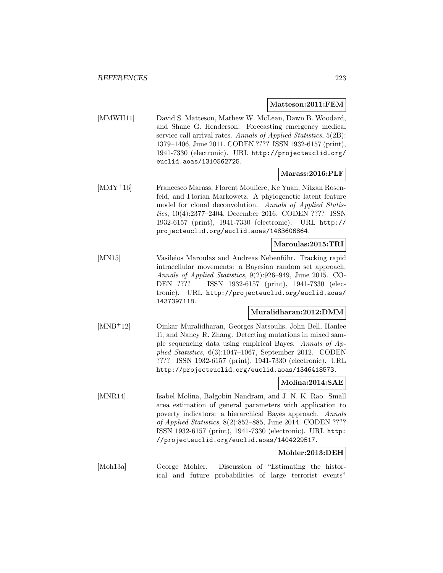### **Matteson:2011:FEM**

[MMWH11] David S. Matteson, Mathew W. McLean, Dawn B. Woodard, and Shane G. Henderson. Forecasting emergency medical service call arrival rates. Annals of Applied Statistics, 5(2B): 1379–1406, June 2011. CODEN ???? ISSN 1932-6157 (print), 1941-7330 (electronic). URL http://projecteuclid.org/ euclid.aoas/1310562725.

# **Marass:2016:PLF**

[MMY<sup>+</sup>16] Francesco Marass, Florent Mouliere, Ke Yuan, Nitzan Rosenfeld, and Florian Markowetz. A phylogenetic latent feature model for clonal deconvolution. Annals of Applied Statistics, 10(4):2377–2404, December 2016. CODEN ???? ISSN 1932-6157 (print), 1941-7330 (electronic). URL http:// projecteuclid.org/euclid.aoas/1483606864.

### **Maroulas:2015:TRI**

[MN15] Vasileios Maroulas and Andreas Nebenführ. Tracking rapid intracellular movements: a Bayesian random set approach. Annals of Applied Statistics, 9(2):926–949, June 2015. CO-DEN ???? ISSN 1932-6157 (print), 1941-7330 (electronic). URL http://projecteuclid.org/euclid.aoas/ 1437397118.

### **Muralidharan:2012:DMM**

[MNB<sup>+</sup>12] Omkar Muralidharan, Georges Natsoulis, John Bell, Hanlee Ji, and Nancy R. Zhang. Detecting mutations in mixed sample sequencing data using empirical Bayes. Annals of Applied Statistics, 6(3):1047–1067, September 2012. CODEN ???? ISSN 1932-6157 (print), 1941-7330 (electronic). URL http://projecteuclid.org/euclid.aoas/1346418573.

## **Molina:2014:SAE**

[MNR14] Isabel Molina, Balgobin Nandram, and J. N. K. Rao. Small area estimation of general parameters with application to poverty indicators: a hierarchical Bayes approach. Annals of Applied Statistics, 8(2):852–885, June 2014. CODEN ???? ISSN 1932-6157 (print), 1941-7330 (electronic). URL http: //projecteuclid.org/euclid.aoas/1404229517.

# **Mohler:2013:DEH**

[Moh13a] George Mohler. Discussion of "Estimating the historical and future probabilities of large terrorist events"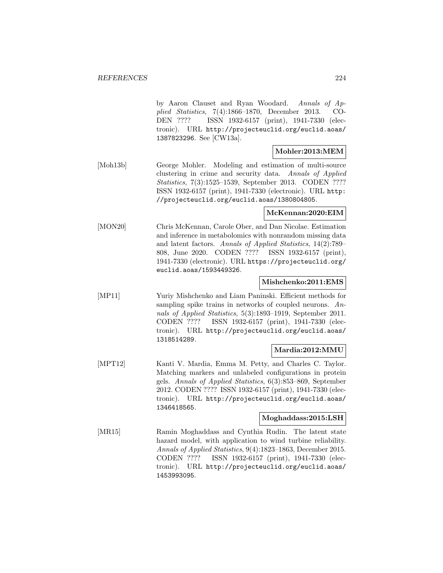by Aaron Clauset and Ryan Woodard. Annals of Applied Statistics, 7(4):1866–1870, December 2013. CO-DEN ???? ISSN 1932-6157 (print), 1941-7330 (electronic). URL http://projecteuclid.org/euclid.aoas/ 1387823296. See [CW13a].

# **Mohler:2013:MEM**

[Moh13b] George Mohler. Modeling and estimation of multi-source clustering in crime and security data. Annals of Applied Statistics, 7(3):1525–1539, September 2013. CODEN ???? ISSN 1932-6157 (print), 1941-7330 (electronic). URL http: //projecteuclid.org/euclid.aoas/1380804805.

### **McKennan:2020:EIM**

[MON20] Chris McKennan, Carole Ober, and Dan Nicolae. Estimation and inference in metabolomics with nonrandom missing data and latent factors. Annals of Applied Statistics, 14(2):789– 808, June 2020. CODEN ???? ISSN 1932-6157 (print), 1941-7330 (electronic). URL https://projecteuclid.org/ euclid.aoas/1593449326.

### **Mishchenko:2011:EMS**

[MP11] Yuriy Mishchenko and Liam Paninski. Efficient methods for sampling spike trains in networks of coupled neurons. Annals of Applied Statistics, 5(3):1893–1919, September 2011. CODEN ???? ISSN 1932-6157 (print), 1941-7330 (electronic). URL http://projecteuclid.org/euclid.aoas/ 1318514289.

### **Mardia:2012:MMU**

[MPT12] Kanti V. Mardia, Emma M. Petty, and Charles C. Taylor. Matching markers and unlabeled configurations in protein gels. Annals of Applied Statistics, 6(3):853–869, September 2012. CODEN ???? ISSN 1932-6157 (print), 1941-7330 (electronic). URL http://projecteuclid.org/euclid.aoas/ 1346418565.

# **Moghaddass:2015:LSH**

[MR15] Ramin Moghaddass and Cynthia Rudin. The latent state hazard model, with application to wind turbine reliability. Annals of Applied Statistics, 9(4):1823–1863, December 2015. CODEN ???? ISSN 1932-6157 (print), 1941-7330 (electronic). URL http://projecteuclid.org/euclid.aoas/ 1453993095.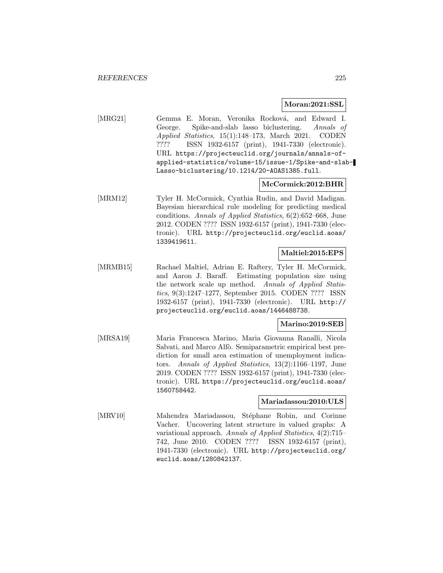### **Moran:2021:SSL**

[MRG21] Gemma E. Moran, Veronika Rocková, and Edward I. George. Spike-and-slab lasso biclustering. Annals of Applied Statistics, 15(1):148–173, March 2021. CODEN ???? ISSN 1932-6157 (print), 1941-7330 (electronic). URL https://projecteuclid.org/journals/annals-ofapplied-statistics/volume-15/issue-1/Spike-and-slab-Lasso-biclustering/10.1214/20-AOAS1385.full.

### **McCormick:2012:BHR**

[MRM12] Tyler H. McCormick, Cynthia Rudin, and David Madigan. Bayesian hierarchical rule modeling for predicting medical conditions. Annals of Applied Statistics, 6(2):652–668, June 2012. CODEN ???? ISSN 1932-6157 (print), 1941-7330 (electronic). URL http://projecteuclid.org/euclid.aoas/ 1339419611.

# **Maltiel:2015:EPS**

[MRMB15] Rachael Maltiel, Adrian E. Raftery, Tyler H. McCormick, and Aaron J. Baraff. Estimating population size using the network scale up method. Annals of Applied Statistics, 9(3):1247–1277, September 2015. CODEN ???? ISSN 1932-6157 (print), 1941-7330 (electronic). URL http:// projecteuclid.org/euclid.aoas/1446488738.

# **Marino:2019:SEB**

[MRSA19] Maria Francesca Marino, Maria Giovanna Ranalli, Nicola Salvati, and Marco Alfò. Semiparametric empirical best prediction for small area estimation of unemployment indicators. Annals of Applied Statistics, 13(2):1166–1197, June 2019. CODEN ???? ISSN 1932-6157 (print), 1941-7330 (electronic). URL https://projecteuclid.org/euclid.aoas/ 1560758442.

### **Mariadassou:2010:ULS**

[MRV10] Mahendra Mariadassou, Stéphane Robin, and Corinne Vacher. Uncovering latent structure in valued graphs: A variational approach. Annals of Applied Statistics, 4(2):715– 742, June 2010. CODEN ???? ISSN 1932-6157 (print), 1941-7330 (electronic). URL http://projecteuclid.org/ euclid.aoas/1280842137.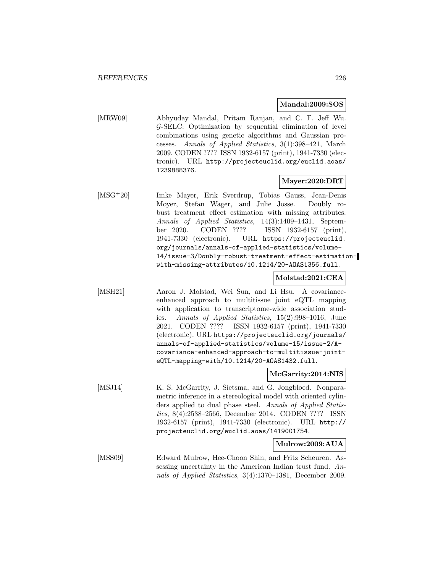### **Mandal:2009:SOS**

[MRW09] Abhyuday Mandal, Pritam Ranjan, and C. F. Jeff Wu. G-SELC: Optimization by sequential elimination of level combinations using genetic algorithms and Gaussian processes. Annals of Applied Statistics, 3(1):398–421, March 2009. CODEN ???? ISSN 1932-6157 (print), 1941-7330 (electronic). URL http://projecteuclid.org/euclid.aoas/ 1239888376.

# **Mayer:2020:DRT**

[MSG<sup>+</sup>20] Imke Mayer, Erik Sverdrup, Tobias Gauss, Jean-Denis Moyer, Stefan Wager, and Julie Josse. Doubly robust treatment effect estimation with missing attributes. Annals of Applied Statistics, 14(3):1409–1431, September 2020. CODEN ???? ISSN 1932-6157 (print), 1941-7330 (electronic). URL https://projecteuclid. org/journals/annals-of-applied-statistics/volume-14/issue-3/Doubly-robust-treatment-effect-estimationwith-missing-attributes/10.1214/20-AOAS1356.full.

### **Molstad:2021:CEA**

[MSH21] Aaron J. Molstad, Wei Sun, and Li Hsu. A covarianceenhanced approach to multitissue joint eQTL mapping with application to transcriptome-wide association studies. Annals of Applied Statistics, 15(2):998–1016, June 2021. CODEN ???? ISSN 1932-6157 (print), 1941-7330 (electronic). URL https://projecteuclid.org/journals/ annals-of-applied-statistics/volume-15/issue-2/Acovariance-enhanced-approach-to-multitissue-jointeQTL-mapping-with/10.1214/20-AOAS1432.full.

### **McGarrity:2014:NIS**

[MSJ14] K. S. McGarrity, J. Sietsma, and G. Jongbloed. Nonparametric inference in a stereological model with oriented cylinders applied to dual phase steel. Annals of Applied Statistics, 8(4):2538–2566, December 2014. CODEN ???? ISSN 1932-6157 (print), 1941-7330 (electronic). URL http:// projecteuclid.org/euclid.aoas/1419001754.

### **Mulrow:2009:AUA**

[MSS09] Edward Mulrow, Hee-Choon Shin, and Fritz Scheuren. Assessing uncertainty in the American Indian trust fund. Annals of Applied Statistics, 3(4):1370–1381, December 2009.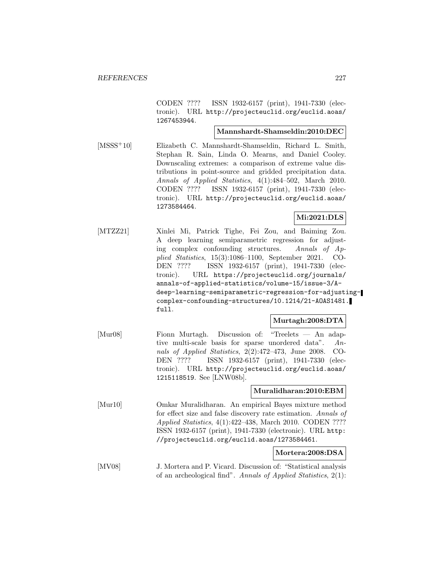CODEN ???? ISSN 1932-6157 (print), 1941-7330 (electronic). URL http://projecteuclid.org/euclid.aoas/ 1267453944.

### **Mannshardt-Shamseldin:2010:DEC**

[MSSS<sup>+</sup>10] Elizabeth C. Mannshardt-Shamseldin, Richard L. Smith, Stephan R. Sain, Linda O. Mearns, and Daniel Cooley. Downscaling extremes: a comparison of extreme value distributions in point-source and gridded precipitation data. Annals of Applied Statistics, 4(1):484–502, March 2010. CODEN ???? ISSN 1932-6157 (print), 1941-7330 (electronic). URL http://projecteuclid.org/euclid.aoas/ 1273584464.

# **Mi:2021:DLS**

[MTZZ21] Xinlei Mi, Patrick Tighe, Fei Zou, and Baiming Zou. A deep learning semiparametric regression for adjusting complex confounding structures. Annals of Applied Statistics, 15(3):1086–1100, September 2021. CO-DEN ???? ISSN 1932-6157 (print), 1941-7330 (electronic). URL https://projecteuclid.org/journals/ annals-of-applied-statistics/volume-15/issue-3/Adeep-learning-semiparametric-regression-for-adjustingcomplex-confounding-structures/10.1214/21-AOAS1481. full.

### **Murtagh:2008:DTA**

[Mur08] Fionn Murtagh. Discussion of: "Treelets — An adaptive multi-scale basis for sparse unordered data". Annals of Applied Statistics, 2(2):472–473, June 2008. CO-DEN ???? ISSN 1932-6157 (print), 1941-7330 (electronic). URL http://projecteuclid.org/euclid.aoas/ 1215118519. See [LNW08b].

### **Muralidharan:2010:EBM**

[Mur10] Omkar Muralidharan. An empirical Bayes mixture method for effect size and false discovery rate estimation. Annals of Applied Statistics, 4(1):422–438, March 2010. CODEN ???? ISSN 1932-6157 (print), 1941-7330 (electronic). URL http: //projecteuclid.org/euclid.aoas/1273584461.

# **Mortera:2008:DSA**

[MV08] J. Mortera and P. Vicard. Discussion of: "Statistical analysis of an archeological find". Annals of Applied Statistics, 2(1):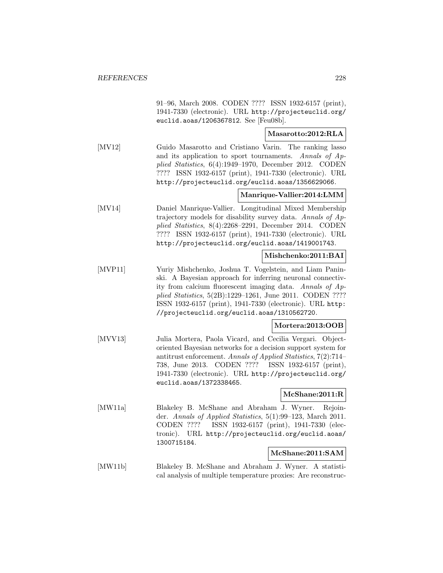|                          | 91-96, March 2008. CODEN ???? ISSN 1932-6157 (print),<br>1941-7330 (electronic). URL http://projecteuclid.org/<br>euclid.aoas/1206367812. See [Feu08b].                                                                                                                                                                                                   |
|--------------------------|-----------------------------------------------------------------------------------------------------------------------------------------------------------------------------------------------------------------------------------------------------------------------------------------------------------------------------------------------------------|
|                          | Masarotto:2012:RLA                                                                                                                                                                                                                                                                                                                                        |
| $\left[$ MV12 $\right]$  | Guido Masarotto and Cristiano Varin. The ranking lasso<br>and its application to sport tournaments. Annals of Ap-<br>plied Statistics, 6(4):1949-1970, December 2012. CODEN<br>???? ISSN 1932-6157 (print), 1941-7330 (electronic). URL<br>http://projecteuclid.org/euclid.aoas/1356629066.                                                               |
|                          | Manrique-Vallier:2014:LMM                                                                                                                                                                                                                                                                                                                                 |
| $\left[$ MV14 $\right]$  | Daniel Manrique-Vallier. Longitudinal Mixed Membership<br>trajectory models for disability survey data. Annals of Ap-<br>plied Statistics, 8(4):2268-2291, December 2014. CODEN<br>???? ISSN 1932-6157 (print), 1941-7330 (electronic). URL<br>http://projecteuclid.org/euclid.aoas/1419001743.                                                           |
|                          | Mishchenko:2011:BAI                                                                                                                                                                                                                                                                                                                                       |
| [MVP11]                  | Yuriy Mishchenko, Joshua T. Vogelstein, and Liam Panin-<br>ski. A Bayesian approach for inferring neuronal connectiv-<br>ity from calcium fluorescent imaging data. Annals of Ap-<br>plied Statistics, 5(2B):1229-1261, June 2011. CODEN ????<br>ISSN 1932-6157 (print), 1941-7330 (electronic). URL http:<br>//projecteuclid.org/euclid.aoas/1310562720. |
|                          | Mortera:2013:OOB                                                                                                                                                                                                                                                                                                                                          |
| $\left[$ MVV13 $\right]$ | Julia Mortera, Paola Vicard, and Cecilia Vergari. Object-<br>oriented Bayesian networks for a decision support system for<br>antitrust enforcement. Annals of Applied Statistics, 7(2):714–<br>738, June 2013. CODEN ???? ISSN 1932-6157 (print),<br>1941-7330 (electronic). URL http://projecteuclid.org/<br>euclid.aoas/1372338465.                     |
|                          | McShane:2011:R                                                                                                                                                                                                                                                                                                                                            |
| [MW11a]                  | Blakeley B. McShane and Abraham J. Wyner.<br>Rejoin-<br>der. Annals of Applied Statistics, 5(1):99-123, March 2011.<br>CODEN ????<br>ISSN 1932-6157 (print), 1941-7330 (elec-<br>tronic).<br>URL http://projecteuclid.org/euclid.aoas/<br>1300715184.                                                                                                     |
|                          | McShane:2011:SAM                                                                                                                                                                                                                                                                                                                                          |
| [MW11b]                  | Blakeley B. McShane and Abraham J. Wyner. A statisti-<br>cal analysis of multiple temperature proxies: Are reconstruc-                                                                                                                                                                                                                                    |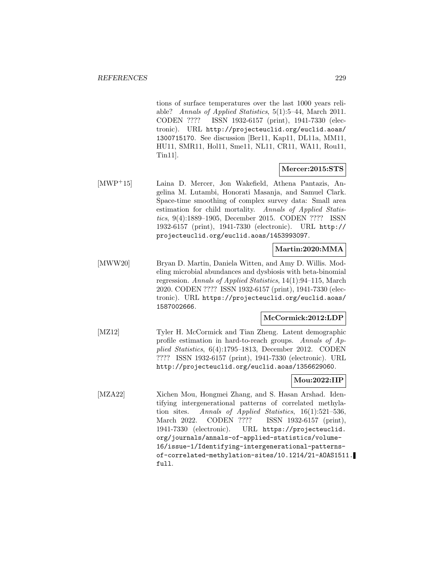tions of surface temperatures over the last 1000 years reliable? Annals of Applied Statistics, 5(1):5–44, March 2011. CODEN ???? ISSN 1932-6157 (print), 1941-7330 (electronic). URL http://projecteuclid.org/euclid.aoas/ 1300715170. See discussion [Ber11, Kap11, DL11a, MM11, HU11, SMR11, Hol11, Sme11, NL11, CR11, WA11, Rou11, Tin11].

# **Mercer:2015:STS**

[MWP<sup>+</sup>15] Laina D. Mercer, Jon Wakefield, Athena Pantazis, Angelina M. Lutambi, Honorati Masanja, and Samuel Clark. Space-time smoothing of complex survey data: Small area estimation for child mortality. Annals of Applied Statistics, 9(4):1889–1905, December 2015. CODEN ???? ISSN 1932-6157 (print), 1941-7330 (electronic). URL http:// projecteuclid.org/euclid.aoas/1453993097.

# **Martin:2020:MMA**

[MWW20] Bryan D. Martin, Daniela Witten, and Amy D. Willis. Modeling microbial abundances and dysbiosis with beta-binomial regression. Annals of Applied Statistics, 14(1):94–115, March 2020. CODEN ???? ISSN 1932-6157 (print), 1941-7330 (electronic). URL https://projecteuclid.org/euclid.aoas/ 1587002666.

# **McCormick:2012:LDP**

[MZ12] Tyler H. McCormick and Tian Zheng. Latent demographic profile estimation in hard-to-reach groups. Annals of Applied Statistics, 6(4):1795–1813, December 2012. CODEN ???? ISSN 1932-6157 (print), 1941-7330 (electronic). URL http://projecteuclid.org/euclid.aoas/1356629060.

# **Mou:2022:IIP**

[MZA22] Xichen Mou, Hongmei Zhang, and S. Hasan Arshad. Identifying intergenerational patterns of correlated methylation sites. Annals of Applied Statistics, 16(1):521–536, March 2022. CODEN ???? ISSN 1932-6157 (print), 1941-7330 (electronic). URL https://projecteuclid. org/journals/annals-of-applied-statistics/volume-16/issue-1/Identifying-intergenerational-patternsof-correlated-methylation-sites/10.1214/21-AOAS1511. full.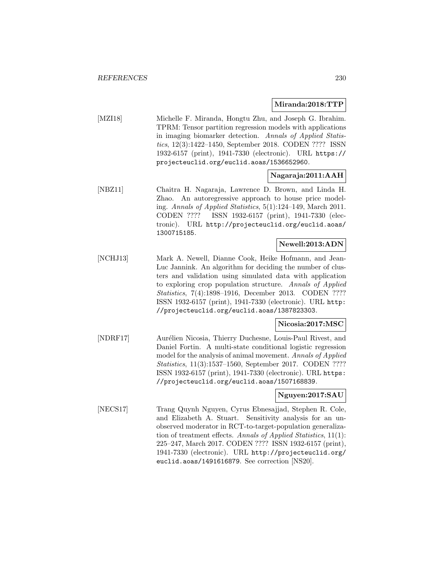### **Miranda:2018:TTP**

[MZI18] Michelle F. Miranda, Hongtu Zhu, and Joseph G. Ibrahim. TPRM: Tensor partition regression models with applications in imaging biomarker detection. Annals of Applied Statistics, 12(3):1422–1450, September 2018. CODEN ???? ISSN 1932-6157 (print), 1941-7330 (electronic). URL https:// projecteuclid.org/euclid.aoas/1536652960.

# **Nagaraja:2011:AAH**

[NBZ11] Chaitra H. Nagaraja, Lawrence D. Brown, and Linda H. Zhao. An autoregressive approach to house price modeling. Annals of Applied Statistics, 5(1):124–149, March 2011. CODEN ???? ISSN 1932-6157 (print), 1941-7330 (electronic). URL http://projecteuclid.org/euclid.aoas/ 1300715185.

### **Newell:2013:ADN**

[NCHJ13] Mark A. Newell, Dianne Cook, Heike Hofmann, and Jean-Luc Jannink. An algorithm for deciding the number of clusters and validation using simulated data with application to exploring crop population structure. Annals of Applied Statistics, 7(4):1898–1916, December 2013. CODEN ???? ISSN 1932-6157 (print), 1941-7330 (electronic). URL http: //projecteuclid.org/euclid.aoas/1387823303.

### **Nicosia:2017:MSC**

[NDRF17] Aurélien Nicosia, Thierry Duchesne, Louis-Paul Rivest, and Daniel Fortin. A multi-state conditional logistic regression model for the analysis of animal movement. Annals of Applied Statistics, 11(3):1537–1560, September 2017. CODEN ???? ISSN 1932-6157 (print), 1941-7330 (electronic). URL https: //projecteuclid.org/euclid.aoas/1507168839.

### **Nguyen:2017:SAU**

[NECS17] Trang Quynh Nguyen, Cyrus Ebnesajjad, Stephen R. Cole, and Elizabeth A. Stuart. Sensitivity analysis for an unobserved moderator in RCT-to-target-population generalization of treatment effects. Annals of Applied Statistics,  $11(1)$ : 225–247, March 2017. CODEN ???? ISSN 1932-6157 (print), 1941-7330 (electronic). URL http://projecteuclid.org/ euclid.aoas/1491616879. See correction [NS20].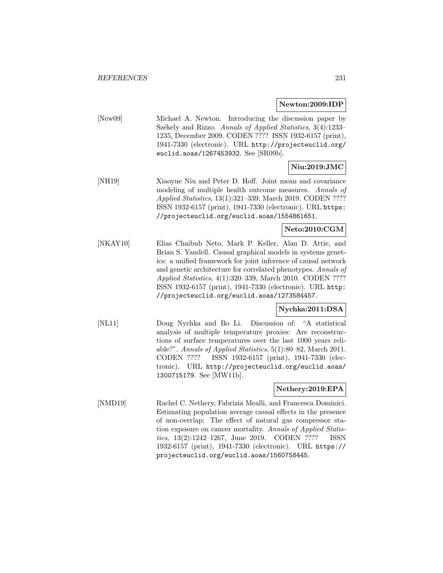### **Newton:2009:IDP**

[New09] Michael A. Newton. Introducing the discussion paper by Székely and Rizzo. Annals of Applied Statistics, 3(4):1233– 1235, December 2009. CODEN ???? ISSN 1932-6157 (print), 1941-7330 (electronic). URL http://projecteuclid.org/ euclid.aoas/1267453932. See [SR09b].

# **Niu:2019:JMC**

[NH19] Xiaoyue Niu and Peter D. Hoff. Joint mean and covariance modeling of multiple health outcome measures. Annals of Applied Statistics, 13(1):321–339, March 2019. CODEN ???? ISSN 1932-6157 (print), 1941-7330 (electronic). URL https: //projecteuclid.org/euclid.aoas/1554861651.

# **Neto:2010:CGM**

[NKAY10] Elias Chaibub Neto, Mark P. Keller, Alan D. Attie, and Brian S. Yandell. Causal graphical models in systems genetics: a unified framework for joint inference of causal network and genetic architecture for correlated phenotypes. Annals of Applied Statistics, 4(1):320–339, March 2010. CODEN ???? ISSN 1932-6157 (print), 1941-7330 (electronic). URL http: //projecteuclid.org/euclid.aoas/1273584457.

# **Nychka:2011:DSA**

[NL11] Doug Nychka and Bo Li. Discussion of: "A statistical analysis of multiple temperature proxies: Are reconstructions of surface temperatures over the last 1000 years reliable?". Annals of Applied Statistics, 5(1):80–82, March 2011. CODEN ???? ISSN 1932-6157 (print), 1941-7330 (electronic). URL http://projecteuclid.org/euclid.aoas/ 1300715179. See [MW11b].

### **Nethery:2019:EPA**

[NMD19] Rachel C. Nethery, Fabrizia Mealli, and Francesca Dominici. Estimating population average causal effects in the presence of non-overlap: The effect of natural gas compressor station exposure on cancer mortality. Annals of Applied Statistics, 13(2):1242–1267, June 2019. CODEN ???? ISSN 1932-6157 (print), 1941-7330 (electronic). URL https:// projecteuclid.org/euclid.aoas/1560758445.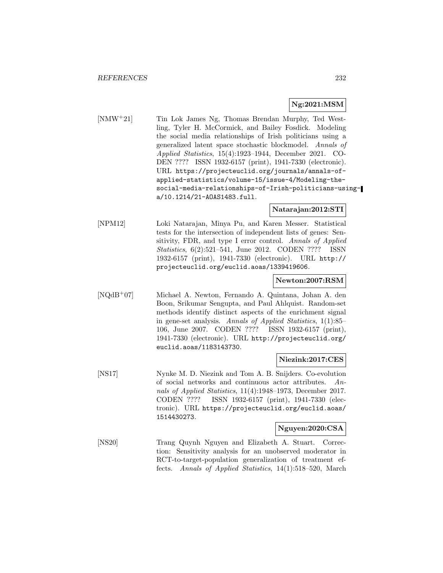# **Ng:2021:MSM**

[NMW<sup>+</sup>21] Tin Lok James Ng, Thomas Brendan Murphy, Ted Westling, Tyler H. McCormick, and Bailey Fosdick. Modeling the social media relationships of Irish politicians using a generalized latent space stochastic blockmodel. Annals of Applied Statistics, 15(4):1923–1944, December 2021. CO-DEN ???? ISSN 1932-6157 (print), 1941-7330 (electronic). URL https://projecteuclid.org/journals/annals-ofapplied-statistics/volume-15/issue-4/Modeling-thesocial-media-relationships-of-Irish-politicians-usinga/10.1214/21-AOAS1483.full.

# **Natarajan:2012:STI**

[NPM12] Loki Natarajan, Minya Pu, and Karen Messer. Statistical tests for the intersection of independent lists of genes: Sensitivity, FDR, and type I error control. Annals of Applied Statistics, 6(2):521–541, June 2012. CODEN ???? ISSN 1932-6157 (print), 1941-7330 (electronic). URL http:// projecteuclid.org/euclid.aoas/1339419606.

### **Newton:2007:RSM**

[NQdB<sup>+</sup>07] Michael A. Newton, Fernando A. Quintana, Johan A. den Boon, Srikumar Sengupta, and Paul Ahlquist. Random-set methods identify distinct aspects of the enrichment signal in gene-set analysis. Annals of Applied Statistics, 1(1):85– 106, June 2007. CODEN ???? ISSN 1932-6157 (print), 1941-7330 (electronic). URL http://projecteuclid.org/ euclid.aoas/1183143730.

# **Niezink:2017:CES**

[NS17] Nynke M. D. Niezink and Tom A. B. Snijders. Co-evolution of social networks and continuous actor attributes. Annals of Applied Statistics, 11(4):1948–1973, December 2017. CODEN ???? ISSN 1932-6157 (print), 1941-7330 (electronic). URL https://projecteuclid.org/euclid.aoas/ 1514430273.

### **Nguyen:2020:CSA**

[NS20] Trang Quynh Nguyen and Elizabeth A. Stuart. Correction: Sensitivity analysis for an unobserved moderator in RCT-to-target-population generalization of treatment effects. Annals of Applied Statistics, 14(1):518–520, March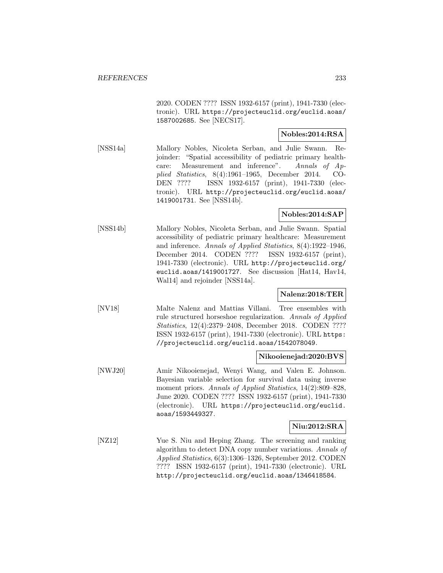2020. CODEN ???? ISSN 1932-6157 (print), 1941-7330 (electronic). URL https://projecteuclid.org/euclid.aoas/ 1587002685. See [NECS17].

# **Nobles:2014:RSA**

[NSS14a] Mallory Nobles, Nicoleta Serban, and Julie Swann. Rejoinder: "Spatial accessibility of pediatric primary healthcare: Measurement and inference". Annals of Applied Statistics, 8(4):1961–1965, December 2014. CO-DEN ???? ISSN 1932-6157 (print), 1941-7330 (electronic). URL http://projecteuclid.org/euclid.aoas/ 1419001731. See [NSS14b].

# **Nobles:2014:SAP**

[NSS14b] Mallory Nobles, Nicoleta Serban, and Julie Swann. Spatial accessibility of pediatric primary healthcare: Measurement and inference. Annals of Applied Statistics, 8(4):1922–1946, December 2014. CODEN ???? ISSN 1932-6157 (print), 1941-7330 (electronic). URL http://projecteuclid.org/ euclid.aoas/1419001727. See discussion [Hat14, Hav14, Wal14] and rejoinder [NSS14a].

# **Nalenz:2018:TER**

[NV18] Malte Nalenz and Mattias Villani. Tree ensembles with rule structured horseshoe regularization. Annals of Applied Statistics, 12(4):2379–2408, December 2018. CODEN ???? ISSN 1932-6157 (print), 1941-7330 (electronic). URL https: //projecteuclid.org/euclid.aoas/1542078049.

### **Nikooienejad:2020:BVS**

[NWJ20] Amir Nikooienejad, Wenyi Wang, and Valen E. Johnson. Bayesian variable selection for survival data using inverse moment priors. Annals of Applied Statistics, 14(2):809–828, June 2020. CODEN ???? ISSN 1932-6157 (print), 1941-7330 (electronic). URL https://projecteuclid.org/euclid. aoas/1593449327.

### **Niu:2012:SRA**

[NZ12] Yue S. Niu and Heping Zhang. The screening and ranking algorithm to detect DNA copy number variations. Annals of Applied Statistics, 6(3):1306–1326, September 2012. CODEN ???? ISSN 1932-6157 (print), 1941-7330 (electronic). URL http://projecteuclid.org/euclid.aoas/1346418584.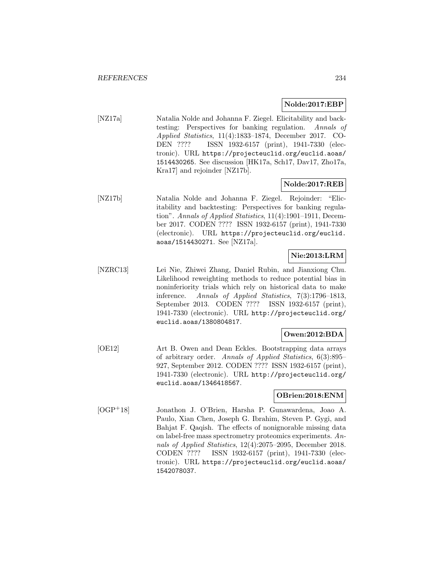# **Nolde:2017:EBP**

[NZ17a] Natalia Nolde and Johanna F. Ziegel. Elicitability and backtesting: Perspectives for banking regulation. Annals of Applied Statistics, 11(4):1833–1874, December 2017. CO-DEN ???? ISSN 1932-6157 (print), 1941-7330 (electronic). URL https://projecteuclid.org/euclid.aoas/ 1514430265. See discussion [HK17a, Sch17, Dav17, Zho17a, Kra17] and rejoinder [NZ17b].

# **Nolde:2017:REB**

[NZ17b] Natalia Nolde and Johanna F. Ziegel. Rejoinder: "Elicitability and backtesting: Perspectives for banking regulation". Annals of Applied Statistics, 11(4):1901–1911, December 2017. CODEN ???? ISSN 1932-6157 (print), 1941-7330 (electronic). URL https://projecteuclid.org/euclid. aoas/1514430271. See [NZ17a].

# **Nie:2013:LRM**

[NZRC13] Lei Nie, Zhiwei Zhang, Daniel Rubin, and Jianxiong Chu. Likelihood reweighting methods to reduce potential bias in noninferiority trials which rely on historical data to make inference. Annals of Applied Statistics, 7(3):1796–1813, September 2013. CODEN ???? ISSN 1932-6157 (print), 1941-7330 (electronic). URL http://projecteuclid.org/ euclid.aoas/1380804817.

# **Owen:2012:BDA**

[OE12] Art B. Owen and Dean Eckles. Bootstrapping data arrays of arbitrary order. Annals of Applied Statistics, 6(3):895– 927, September 2012. CODEN ???? ISSN 1932-6157 (print), 1941-7330 (electronic). URL http://projecteuclid.org/ euclid.aoas/1346418567.

# **OBrien:2018:ENM**

[OGP<sup>+</sup>18] Jonathon J. O'Brien, Harsha P. Gunawardena, Joao A. Paulo, Xian Chen, Joseph G. Ibrahim, Steven P. Gygi, and Bahjat F. Qaqish. The effects of nonignorable missing data on label-free mass spectrometry proteomics experiments. Annals of Applied Statistics, 12(4):2075–2095, December 2018. CODEN ???? ISSN 1932-6157 (print), 1941-7330 (electronic). URL https://projecteuclid.org/euclid.aoas/ 1542078037.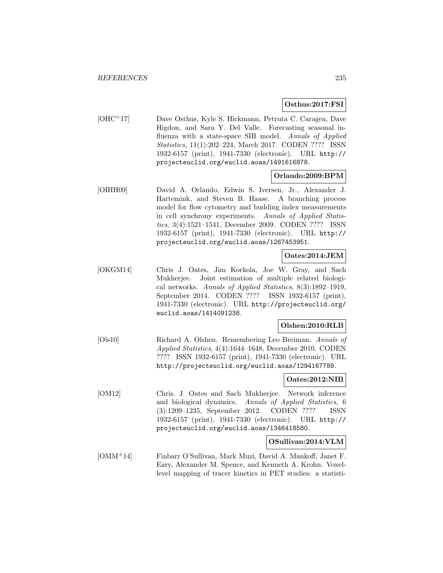# **Osthus:2017:FSI**

[OHC<sup>+</sup>17] Dave Osthus, Kyle S. Hickmann, Petruta C. Caragea, Dave Higdon, and Sara Y. Del Valle. Forecasting seasonal influenza with a state-space SIR model. Annals of Applied Statistics, 11(1):202–224, March 2017. CODEN ???? ISSN 1932-6157 (print), 1941-7330 (electronic). URL http:// projecteuclid.org/euclid.aoas/1491616878.

# **Orlando:2009:BPM**

[OIHH09] David A. Orlando, Edwin S. Iversen, Jr., Alexander J. Hartemink, and Steven B. Haase. A branching process model for flow cytometry and budding index measurements in cell synchrony experiments. Annals of Applied Statistics, 3(4):1521–1541, December 2009. CODEN ???? ISSN 1932-6157 (print), 1941-7330 (electronic). URL http:// projecteuclid.org/euclid.aoas/1267453951.

# **Oates:2014:JEM**

[OKGM14] Chris J. Oates, Jim Korkola, Joe W. Gray, and Sach Mukherjee. Joint estimation of multiple related biological networks. Annals of Applied Statistics, 8(3):1892–1919, September 2014. CODEN ???? ISSN 1932-6157 (print), 1941-7330 (electronic). URL http://projecteuclid.org/ euclid.aoas/1414091238.

# **Olshen:2010:RLB**

[Ols10] Richard A. Olshen. Remembering Leo Breiman. Annals of Applied Statistics, 4(4):1644–1648, December 2010. CODEN ???? ISSN 1932-6157 (print), 1941-7330 (electronic). URL http://projecteuclid.org/euclid.aoas/1294167789.

### **Oates:2012:NIB**

[OM12] Chris. J. Oates and Sach Mukherjee. Network inference and biological dynamics. Annals of Applied Statistics, 6 (3):1209–1235, September 2012. CODEN ???? ISSN 1932-6157 (print), 1941-7330 (electronic). URL http:// projecteuclid.org/euclid.aoas/1346418580.

### **OSullivan:2014:VLM**

[OMM<sup>+</sup>14] Finbarr O'Sullivan, Mark Muzi, David A. Mankoff, Janet F. Eary, Alexander M. Spence, and Kenneth A. Krohn. Voxellevel mapping of tracer kinetics in PET studies: a statisti-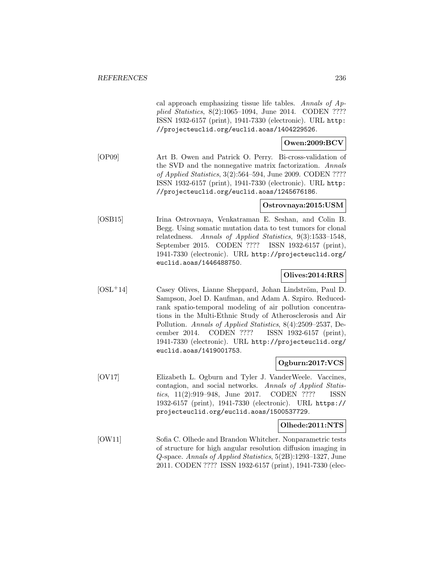cal approach emphasizing tissue life tables. Annals of Applied Statistics, 8(2):1065–1094, June 2014. CODEN ???? ISSN 1932-6157 (print), 1941-7330 (electronic). URL http: //projecteuclid.org/euclid.aoas/1404229526. **Owen:2009:BCV** [OP09] Art B. Owen and Patrick O. Perry. Bi-cross-validation of the SVD and the nonnegative matrix factorization. Annals of Applied Statistics, 3(2):564–594, June 2009. CODEN ???? ISSN 1932-6157 (print), 1941-7330 (electronic). URL http: //projecteuclid.org/euclid.aoas/1245676186. **Ostrovnaya:2015:USM** [OSB15] Irina Ostrovnaya, Venkatraman E. Seshan, and Colin B. Begg. Using somatic mutation data to test tumors for clonal relatedness. Annals of Applied Statistics, 9(3):1533–1548, September 2015. CODEN ???? ISSN 1932-6157 (print), 1941-7330 (electronic). URL http://projecteuclid.org/ euclid.aoas/1446488750. **Olives:2014:RRS** [OSL<sup>+</sup>14] Casey Olives, Lianne Sheppard, Johan Lindström, Paul D. Sampson, Joel D. Kaufman, and Adam A. Szpiro. Reducedrank spatio-temporal modeling of air pollution concentrations in the Multi-Ethnic Study of Atherosclerosis and Air Pollution. Annals of Applied Statistics, 8(4):2509–2537, December 2014. CODEN ???? ISSN 1932-6157 (print), 1941-7330 (electronic). URL http://projecteuclid.org/ euclid.aoas/1419001753. **Ogburn:2017:VCS** [OV17] Elizabeth L. Ogburn and Tyler J. VanderWeele. Vaccines, contagion, and social networks. Annals of Applied Statistics, 11(2):919–948, June 2017. CODEN ???? ISSN 1932-6157 (print), 1941-7330 (electronic). URL https:// projecteuclid.org/euclid.aoas/1500537729. **Olhede:2011:NTS** [OW11] Sofia C. Olhede and Brandon Whitcher. Nonparametric tests of structure for high angular resolution diffusion imaging in Q-space. Annals of Applied Statistics, 5(2B):1293–1327, June 2011. CODEN ???? ISSN 1932-6157 (print), 1941-7330 (elec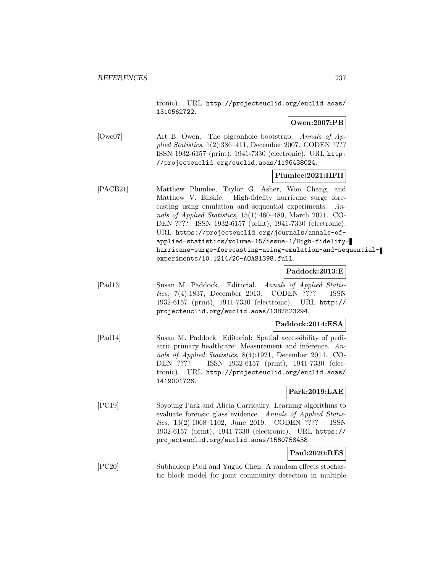tronic). URL http://projecteuclid.org/euclid.aoas/ 1310562722.

# **Owen:2007:PB**

[Owe07] Art B. Owen. The pigeonhole bootstrap. Annals of Applied Statistics, 1(2):386–411, December 2007. CODEN ???? ISSN 1932-6157 (print), 1941-7330 (electronic). URL http: //projecteuclid.org/euclid.aoas/1196438024.

# **Plumlee:2021:HFH**

[PACB21] Matthew Plumlee, Taylor G. Asher, Won Chang, and Matthew V. Bilskie. High-fidelity hurricane surge forecasting using emulation and sequential experiments. Annals of Applied Statistics, 15(1):460–480, March 2021. CO-DEN ???? ISSN 1932-6157 (print), 1941-7330 (electronic). URL https://projecteuclid.org/journals/annals-ofapplied-statistics/volume-15/issue-1/High-fidelityhurricane-surge-forecasting-using-emulation-and-sequentialexperiments/10.1214/20-AOAS1398.full.

### **Paddock:2013:E**

[Pad13] Susan M. Paddock. Editorial. Annals of Applied Statistics, 7(4):1837, December 2013. CODEN ???? ISSN 1932-6157 (print), 1941-7330 (electronic). URL http:// projecteuclid.org/euclid.aoas/1387823294.

### **Paddock:2014:ESA**

[Pad14] Susan M. Paddock. Editorial: Spatial accessibility of pediatric primary healthcare: Measurement and inference. Annals of Applied Statistics, 8(4):1921, December 2014. CO-DEN ???? ISSN 1932-6157 (print), 1941-7330 (electronic). URL http://projecteuclid.org/euclid.aoas/ 1419001726.

### **Park:2019:LAE**

[PC19] Soyoung Park and Alicia Carriquiry. Learning algorithms to evaluate forensic glass evidence. Annals of Applied Statistics, 13(2):1068–1102, June 2019. CODEN ???? ISSN 1932-6157 (print), 1941-7330 (electronic). URL https:// projecteuclid.org/euclid.aoas/1560758438.

# **Paul:2020:RES**

[PC20] Subhadeep Paul and Yuguo Chen. A random effects stochastic block model for joint community detection in multiple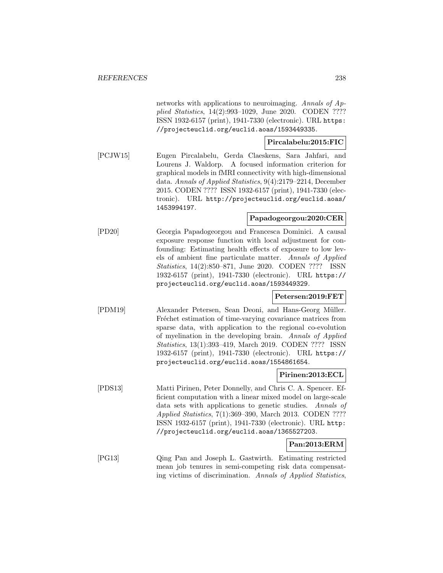networks with applications to neuroimaging. Annals of Applied Statistics, 14(2):993–1029, June 2020. CODEN ???? ISSN 1932-6157 (print), 1941-7330 (electronic). URL https: //projecteuclid.org/euclid.aoas/1593449335.

# **Pircalabelu:2015:FIC**

[PCJW15] Eugen Pircalabelu, Gerda Claeskens, Sara Jahfari, and Lourens J. Waldorp. A focused information criterion for graphical models in fMRI connectivity with high-dimensional data. Annals of Applied Statistics, 9(4):2179–2214, December 2015. CODEN ???? ISSN 1932-6157 (print), 1941-7330 (electronic). URL http://projecteuclid.org/euclid.aoas/ 1453994197.

# **Papadogeorgou:2020:CER**

[PD20] Georgia Papadogeorgou and Francesca Dominici. A causal exposure response function with local adjustment for confounding: Estimating health effects of exposure to low levels of ambient fine particulate matter. Annals of Applied Statistics, 14(2):850–871, June 2020. CODEN ???? ISSN 1932-6157 (print), 1941-7330 (electronic). URL https:// projecteuclid.org/euclid.aoas/1593449329.

# **Petersen:2019:FET**

[PDM19] Alexander Petersen, Sean Deoni, and Hans-Georg Müller. Fréchet estimation of time-varying covariance matrices from sparse data, with application to the regional co-evolution of myelination in the developing brain. Annals of Applied Statistics, 13(1):393–419, March 2019. CODEN ???? ISSN 1932-6157 (print), 1941-7330 (electronic). URL https:// projecteuclid.org/euclid.aoas/1554861654.

## **Pirinen:2013:ECL**

[PDS13] Matti Pirinen, Peter Donnelly, and Chris C. A. Spencer. Efficient computation with a linear mixed model on large-scale data sets with applications to genetic studies. Annals of Applied Statistics, 7(1):369–390, March 2013. CODEN ???? ISSN 1932-6157 (print), 1941-7330 (electronic). URL http: //projecteuclid.org/euclid.aoas/1365527203.

# **Pan:2013:ERM**

[PG13] Qing Pan and Joseph L. Gastwirth. Estimating restricted mean job tenures in semi-competing risk data compensating victims of discrimination. Annals of Applied Statistics,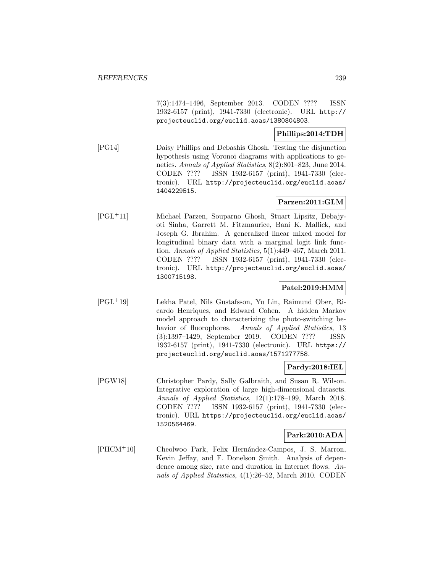7(3):1474–1496, September 2013. CODEN ???? ISSN 1932-6157 (print), 1941-7330 (electronic). URL http:// projecteuclid.org/euclid.aoas/1380804803.

# **Phillips:2014:TDH**

[PG14] Daisy Phillips and Debashis Ghosh. Testing the disjunction hypothesis using Voronoi diagrams with applications to genetics. Annals of Applied Statistics, 8(2):801–823, June 2014. CODEN ???? ISSN 1932-6157 (print), 1941-7330 (electronic). URL http://projecteuclid.org/euclid.aoas/ 1404229515.

# **Parzen:2011:GLM**

[PGL<sup>+</sup>11] Michael Parzen, Souparno Ghosh, Stuart Lipsitz, Debajyoti Sinha, Garrett M. Fitzmaurice, Bani K. Mallick, and Joseph G. Ibrahim. A generalized linear mixed model for longitudinal binary data with a marginal logit link function. Annals of Applied Statistics, 5(1):449–467, March 2011. CODEN ???? ISSN 1932-6157 (print), 1941-7330 (electronic). URL http://projecteuclid.org/euclid.aoas/ 1300715198.

# **Patel:2019:HMM**

[PGL<sup>+</sup>19] Lekha Patel, Nils Gustafsson, Yu Lin, Raimund Ober, Ricardo Henriques, and Edward Cohen. A hidden Markov model approach to characterizing the photo-switching behavior of fluorophores. Annals of Applied Statistics, 13 (3):1397–1429, September 2019. CODEN ???? ISSN 1932-6157 (print), 1941-7330 (electronic). URL https:// projecteuclid.org/euclid.aoas/1571277758.

### **Pardy:2018:IEL**

[PGW18] Christopher Pardy, Sally Galbraith, and Susan R. Wilson. Integrative exploration of large high-dimensional datasets. Annals of Applied Statistics, 12(1):178–199, March 2018. CODEN ???? ISSN 1932-6157 (print), 1941-7330 (electronic). URL https://projecteuclid.org/euclid.aoas/ 1520564469.

# **Park:2010:ADA**

[PHCM<sup>+</sup>10] Cheolwoo Park, Felix Hernández-Campos, J. S. Marron, Kevin Jeffay, and F. Donelson Smith. Analysis of dependence among size, rate and duration in Internet flows. Annals of Applied Statistics, 4(1):26–52, March 2010. CODEN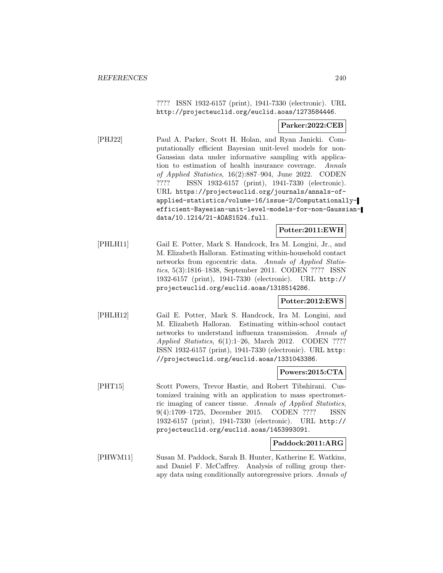???? ISSN 1932-6157 (print), 1941-7330 (electronic). URL http://projecteuclid.org/euclid.aoas/1273584446.

### **Parker:2022:CEB**

[PHJ22] Paul A. Parker, Scott H. Holan, and Ryan Janicki. Computationally efficient Bayesian unit-level models for non-Gaussian data under informative sampling with application to estimation of health insurance coverage. Annals of Applied Statistics, 16(2):887–904, June 2022. CODEN ???? ISSN 1932-6157 (print), 1941-7330 (electronic). URL https://projecteuclid.org/journals/annals-ofapplied-statistics/volume-16/issue-2/Computationallyefficient-Bayesian-unit-level-models-for-non-Gaussiandata/10.1214/21-AOAS1524.full.

# **Potter:2011:EWH**

[PHLH11] Gail E. Potter, Mark S. Handcock, Ira M. Longini, Jr., and M. Elizabeth Halloran. Estimating within-household contact networks from egocentric data. Annals of Applied Statistics, 5(3):1816–1838, September 2011. CODEN ???? ISSN 1932-6157 (print), 1941-7330 (electronic). URL http:// projecteuclid.org/euclid.aoas/1318514286.

### **Potter:2012:EWS**

[PHLH12] Gail E. Potter, Mark S. Handcock, Ira M. Longini, and M. Elizabeth Halloran. Estimating within-school contact networks to understand influenza transmission. Annals of Applied Statistics, 6(1):1–26, March 2012. CODEN ???? ISSN 1932-6157 (print), 1941-7330 (electronic). URL http: //projecteuclid.org/euclid.aoas/1331043386.

### **Powers:2015:CTA**

[PHT15] Scott Powers, Trevor Hastie, and Robert Tibshirani. Customized training with an application to mass spectrometric imaging of cancer tissue. Annals of Applied Statistics, 9(4):1709–1725, December 2015. CODEN ???? ISSN 1932-6157 (print), 1941-7330 (electronic). URL http:// projecteuclid.org/euclid.aoas/1453993091.

### **Paddock:2011:ARG**

[PHWM11] Susan M. Paddock, Sarah B. Hunter, Katherine E. Watkins, and Daniel F. McCaffrey. Analysis of rolling group therapy data using conditionally autoregressive priors. Annals of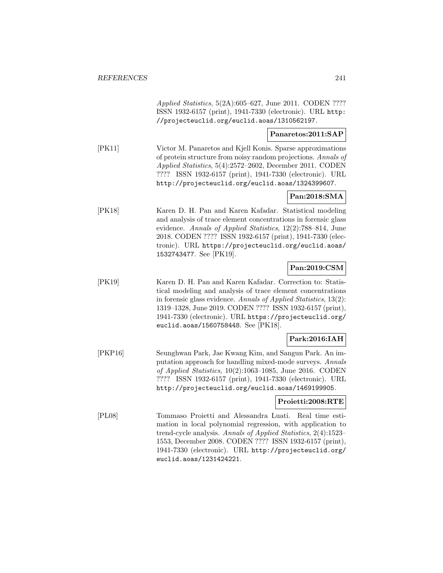Applied Statistics, 5(2A):605–627, June 2011. CODEN ???? ISSN 1932-6157 (print), 1941-7330 (electronic). URL http: //projecteuclid.org/euclid.aoas/1310562197.

## **Panaretos:2011:SAP**

[PK11] Victor M. Panaretos and Kjell Konis. Sparse approximations of protein structure from noisy random projections. Annals of Applied Statistics, 5(4):2572–2602, December 2011. CODEN ???? ISSN 1932-6157 (print), 1941-7330 (electronic). URL http://projecteuclid.org/euclid.aoas/1324399607.

# **Pan:2018:SMA**

[PK18] Karen D. H. Pan and Karen Kafadar. Statistical modeling and analysis of trace element concentrations in forensic glass evidence. Annals of Applied Statistics, 12(2):788–814, June 2018. CODEN ???? ISSN 1932-6157 (print), 1941-7330 (electronic). URL https://projecteuclid.org/euclid.aoas/ 1532743477. See [PK19].

# **Pan:2019:CSM**

[PK19] Karen D. H. Pan and Karen Kafadar. Correction to: Statistical modeling and analysis of trace element concentrations in forensic glass evidence. Annals of Applied Statistics, 13(2): 1319–1328, June 2019. CODEN ???? ISSN 1932-6157 (print), 1941-7330 (electronic). URL https://projecteuclid.org/ euclid.aoas/1560758448. See [PK18].

# **Park:2016:IAH**

[PKP16] Seunghwan Park, Jae Kwang Kim, and Sangun Park. An imputation approach for handling mixed-mode surveys. Annals of Applied Statistics, 10(2):1063–1085, June 2016. CODEN ???? ISSN 1932-6157 (print), 1941-7330 (electronic). URL http://projecteuclid.org/euclid.aoas/1469199905.

### **Proietti:2008:RTE**

[PL08] Tommaso Proietti and Alessandra Luati. Real time estimation in local polynomial regression, with application to trend-cycle analysis. Annals of Applied Statistics, 2(4):1523– 1553, December 2008. CODEN ???? ISSN 1932-6157 (print), 1941-7330 (electronic). URL http://projecteuclid.org/ euclid.aoas/1231424221.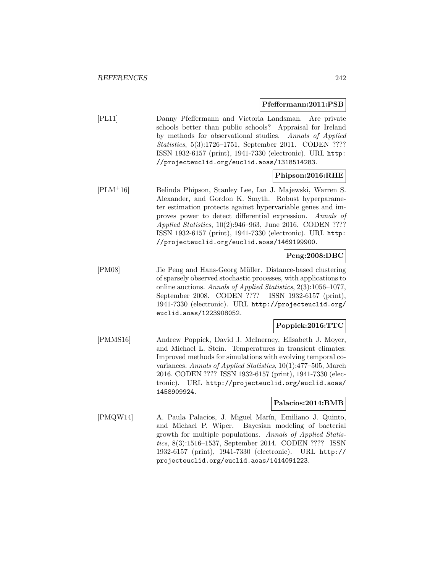### **Pfeffermann:2011:PSB**

[PL11] Danny Pfeffermann and Victoria Landsman. Are private schools better than public schools? Appraisal for Ireland by methods for observational studies. Annals of Applied Statistics, 5(3):1726–1751, September 2011. CODEN ???? ISSN 1932-6157 (print), 1941-7330 (electronic). URL http: //projecteuclid.org/euclid.aoas/1318514283.

### **Phipson:2016:RHE**

[PLM<sup>+</sup>16] Belinda Phipson, Stanley Lee, Ian J. Majewski, Warren S. Alexander, and Gordon K. Smyth. Robust hyperparameter estimation protects against hypervariable genes and improves power to detect differential expression. Annals of Applied Statistics, 10(2):946–963, June 2016. CODEN ???? ISSN 1932-6157 (print), 1941-7330 (electronic). URL http: //projecteuclid.org/euclid.aoas/1469199900.

### **Peng:2008:DBC**

[PM08] Jie Peng and Hans-Georg Müller. Distance-based clustering of sparsely observed stochastic processes, with applications to online auctions. Annals of Applied Statistics, 2(3):1056–1077, September 2008. CODEN ???? ISSN 1932-6157 (print), 1941-7330 (electronic). URL http://projecteuclid.org/ euclid.aoas/1223908052.

# **Poppick:2016:TTC**

[PMMS16] Andrew Poppick, David J. McInerney, Elisabeth J. Moyer, and Michael L. Stein. Temperatures in transient climates: Improved methods for simulations with evolving temporal covariances. Annals of Applied Statistics, 10(1):477–505, March 2016. CODEN ???? ISSN 1932-6157 (print), 1941-7330 (electronic). URL http://projecteuclid.org/euclid.aoas/ 1458909924.

### **Palacios:2014:BMB**

[PMQW14] A. Paula Palacios, J. Miguel Marín, Emiliano J. Quinto, and Michael P. Wiper. Bayesian modeling of bacterial growth for multiple populations. Annals of Applied Statistics, 8(3):1516–1537, September 2014. CODEN ???? ISSN 1932-6157 (print), 1941-7330 (electronic). URL http:// projecteuclid.org/euclid.aoas/1414091223.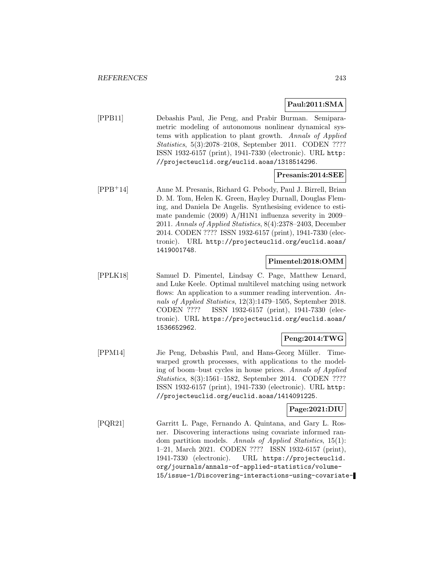# **Paul:2011:SMA**

[PPB11] Debashis Paul, Jie Peng, and Prabir Burman. Semiparametric modeling of autonomous nonlinear dynamical systems with application to plant growth. Annals of Applied Statistics, 5(3):2078–2108, September 2011. CODEN ???? ISSN 1932-6157 (print), 1941-7330 (electronic). URL http: //projecteuclid.org/euclid.aoas/1318514296.

### **Presanis:2014:SEE**

[PPB<sup>+</sup>14] Anne M. Presanis, Richard G. Pebody, Paul J. Birrell, Brian D. M. Tom, Helen K. Green, Hayley Durnall, Douglas Fleming, and Daniela De Angelis. Synthesising evidence to estimate pandemic (2009) A/H1N1 influenza severity in 2009– 2011. Annals of Applied Statistics, 8(4):2378–2403, December 2014. CODEN ???? ISSN 1932-6157 (print), 1941-7330 (electronic). URL http://projecteuclid.org/euclid.aoas/ 1419001748.

### **Pimentel:2018:OMM**

[PPLK18] Samuel D. Pimentel, Lindsay C. Page, Matthew Lenard, and Luke Keele. Optimal multilevel matching using network flows: An application to a summer reading intervention. Annals of Applied Statistics, 12(3):1479–1505, September 2018. CODEN ???? ISSN 1932-6157 (print), 1941-7330 (electronic). URL https://projecteuclid.org/euclid.aoas/ 1536652962.

# **Peng:2014:TWG**

[PPM14] Jie Peng, Debashis Paul, and Hans-Georg Müller. Timewarped growth processes, with applications to the modeling of boom–bust cycles in house prices. Annals of Applied Statistics, 8(3):1561–1582, September 2014. CODEN ???? ISSN 1932-6157 (print), 1941-7330 (electronic). URL http: //projecteuclid.org/euclid.aoas/1414091225.

### **Page:2021:DIU**

[PQR21] Garritt L. Page, Fernando A. Quintana, and Gary L. Rosner. Discovering interactions using covariate informed random partition models. Annals of Applied Statistics, 15(1): 1–21, March 2021. CODEN ???? ISSN 1932-6157 (print), 1941-7330 (electronic). URL https://projecteuclid. org/journals/annals-of-applied-statistics/volume-15/issue-1/Discovering-interactions-using-covariate-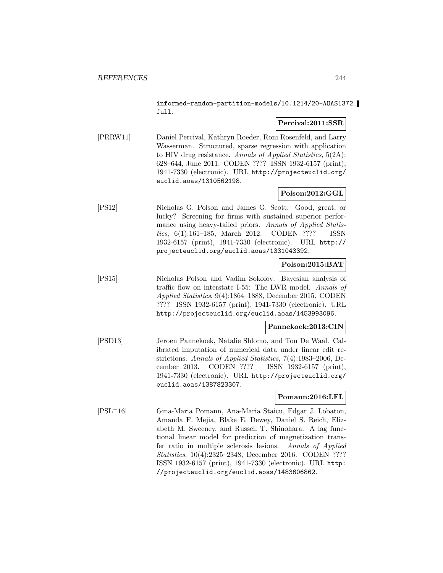informed-random-partition-models/10.1214/20-AOAS1372. full.

## **Percival:2011:SSR**

[PRRW11] Daniel Percival, Kathryn Roeder, Roni Rosenfeld, and Larry Wasserman. Structured, sparse regression with application to HIV drug resistance. Annals of Applied Statistics, 5(2A): 628–644, June 2011. CODEN ???? ISSN 1932-6157 (print), 1941-7330 (electronic). URL http://projecteuclid.org/ euclid.aoas/1310562198.

# **Polson:2012:GGL**

[PS12] Nicholas G. Polson and James G. Scott. Good, great, or lucky? Screening for firms with sustained superior performance using heavy-tailed priors. Annals of Applied Statistics, 6(1):161–185, March 2012. CODEN ???? ISSN 1932-6157 (print), 1941-7330 (electronic). URL http:// projecteuclid.org/euclid.aoas/1331043392.

# **Polson:2015:BAT**

[PS15] Nicholas Polson and Vadim Sokolov. Bayesian analysis of traffic flow on interstate I-55: The LWR model. Annals of Applied Statistics, 9(4):1864–1888, December 2015. CODEN ???? ISSN 1932-6157 (print), 1941-7330 (electronic). URL http://projecteuclid.org/euclid.aoas/1453993096.

### **Pannekoek:2013:CIN**

[PSD13] Jeroen Pannekoek, Natalie Shlomo, and Ton De Waal. Calibrated imputation of numerical data under linear edit restrictions. Annals of Applied Statistics, 7(4):1983–2006, December 2013. CODEN ???? ISSN 1932-6157 (print), 1941-7330 (electronic). URL http://projecteuclid.org/ euclid.aoas/1387823307.

# **Pomann:2016:LFL**

[PSL<sup>+</sup>16] Gina-Maria Pomann, Ana-Maria Staicu, Edgar J. Lobaton, Amanda F. Mejia, Blake E. Dewey, Daniel S. Reich, Elizabeth M. Sweeney, and Russell T. Shinohara. A lag functional linear model for prediction of magnetization transfer ratio in multiple sclerosis lesions. Annals of Applied Statistics, 10(4):2325–2348, December 2016. CODEN ???? ISSN 1932-6157 (print), 1941-7330 (electronic). URL http: //projecteuclid.org/euclid.aoas/1483606862.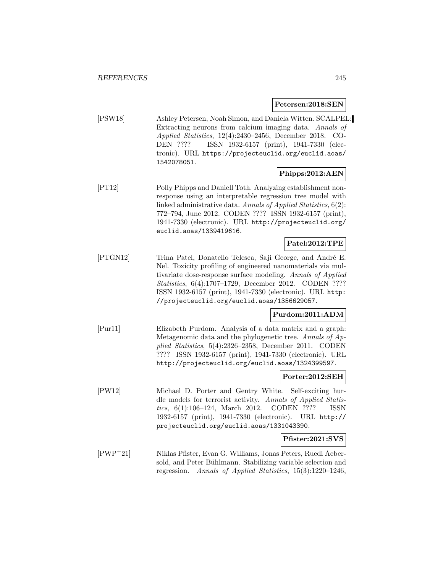# **Petersen:2018:SEN**

[PSW18] Ashley Petersen, Noah Simon, and Daniela Witten. SCALPEL: Extracting neurons from calcium imaging data. Annals of Applied Statistics, 12(4):2430–2456, December 2018. CO-DEN ???? ISSN 1932-6157 (print), 1941-7330 (electronic). URL https://projecteuclid.org/euclid.aoas/ 1542078051.

# **Phipps:2012:AEN**

[PT12] Polly Phipps and Daniell Toth. Analyzing establishment nonresponse using an interpretable regression tree model with linked administrative data. Annals of Applied Statistics, 6(2): 772–794, June 2012. CODEN ???? ISSN 1932-6157 (print), 1941-7330 (electronic). URL http://projecteuclid.org/ euclid.aoas/1339419616.

### **Patel:2012:TPE**

[PTGN12] Trina Patel, Donatello Telesca, Saji George, and André E. Nel. Toxicity profiling of engineered nanomaterials via multivariate dose-response surface modeling. Annals of Applied Statistics, 6(4):1707–1729, December 2012. CODEN ???? ISSN 1932-6157 (print), 1941-7330 (electronic). URL http: //projecteuclid.org/euclid.aoas/1356629057.

### **Purdom:2011:ADM**

[Pur11] Elizabeth Purdom. Analysis of a data matrix and a graph: Metagenomic data and the phylogenetic tree. Annals of Applied Statistics, 5(4):2326–2358, December 2011. CODEN ???? ISSN 1932-6157 (print), 1941-7330 (electronic). URL http://projecteuclid.org/euclid.aoas/1324399597.

### **Porter:2012:SEH**

[PW12] Michael D. Porter and Gentry White. Self-exciting hurdle models for terrorist activity. Annals of Applied Statistics, 6(1):106–124, March 2012. CODEN ???? ISSN 1932-6157 (print), 1941-7330 (electronic). URL http:// projecteuclid.org/euclid.aoas/1331043390.

## **Pfister:2021:SVS**

[PWP<sup>+</sup>21] Niklas Pfister, Evan G. Williams, Jonas Peters, Ruedi Aebersold, and Peter Bühlmann. Stabilizing variable selection and regression. Annals of Applied Statistics, 15(3):1220–1246,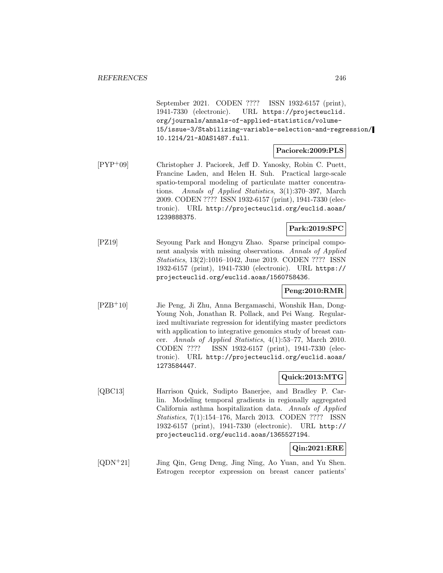September 2021. CODEN ???? ISSN 1932-6157 (print), 1941-7330 (electronic). URL https://projecteuclid. org/journals/annals-of-applied-statistics/volume-15/issue-3/Stabilizing-variable-selection-and-regression/ 10.1214/21-AOAS1487.full.

### **Paciorek:2009:PLS**

[PYP<sup>+</sup>09] Christopher J. Paciorek, Jeff D. Yanosky, Robin C. Puett, Francine Laden, and Helen H. Suh. Practical large-scale spatio-temporal modeling of particulate matter concentrations. Annals of Applied Statistics, 3(1):370–397, March 2009. CODEN ???? ISSN 1932-6157 (print), 1941-7330 (electronic). URL http://projecteuclid.org/euclid.aoas/ 1239888375.

# **Park:2019:SPC**

[PZ19] Seyoung Park and Hongyu Zhao. Sparse principal component analysis with missing observations. Annals of Applied Statistics, 13(2):1016–1042, June 2019. CODEN ???? ISSN 1932-6157 (print), 1941-7330 (electronic). URL https:// projecteuclid.org/euclid.aoas/1560758436.

# **Peng:2010:RMR**

[PZB<sup>+</sup>10] Jie Peng, Ji Zhu, Anna Bergamaschi, Wonshik Han, Dong-Young Noh, Jonathan R. Pollack, and Pei Wang. Regularized multivariate regression for identifying master predictors with application to integrative genomics study of breast cancer. Annals of Applied Statistics, 4(1):53–77, March 2010. CODEN ???? ISSN 1932-6157 (print), 1941-7330 (electronic). URL http://projecteuclid.org/euclid.aoas/ 1273584447.

### **Quick:2013:MTG**

[QBC13] Harrison Quick, Sudipto Banerjee, and Bradley P. Carlin. Modeling temporal gradients in regionally aggregated California asthma hospitalization data. Annals of Applied Statistics, 7(1):154–176, March 2013. CODEN ???? ISSN 1932-6157 (print), 1941-7330 (electronic). URL http:// projecteuclid.org/euclid.aoas/1365527194.

# **Qin:2021:ERE**

[QDN<sup>+</sup>21] Jing Qin, Geng Deng, Jing Ning, Ao Yuan, and Yu Shen. Estrogen receptor expression on breast cancer patients'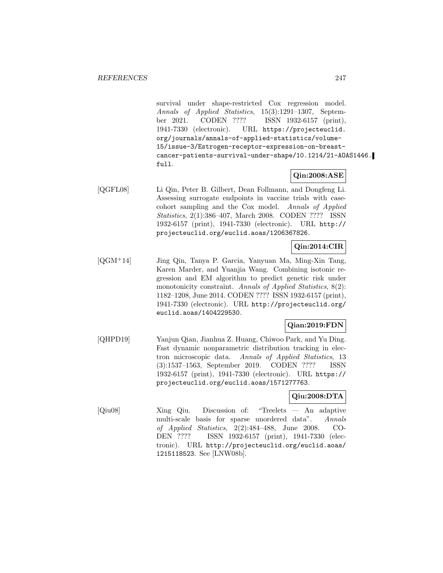survival under shape-restricted Cox regression model. Annals of Applied Statistics, 15(3):1291–1307, September 2021. CODEN ???? ISSN 1932-6157 (print), 1941-7330 (electronic). URL https://projecteuclid. org/journals/annals-of-applied-statistics/volume-15/issue-3/Estrogen-receptor-expression-on-breastcancer-patients-survival-under-shape/10.1214/21-AOAS1446. full.

# **Qin:2008:ASE**

[QGFL08] Li Qin, Peter B. Gilbert, Dean Follmann, and Dongfeng Li. Assessing surrogate endpoints in vaccine trials with casecohort sampling and the Cox model. Annals of Applied Statistics, 2(1):386–407, March 2008. CODEN ???? ISSN 1932-6157 (print), 1941-7330 (electronic). URL http:// projecteuclid.org/euclid.aoas/1206367826.

# **Qin:2014:CIR**

[QGM<sup>+</sup>14] Jing Qin, Tanya P. Garcia, Yanyuan Ma, Ming-Xin Tang, Karen Marder, and Yuanjia Wang. Combining isotonic regression and EM algorithm to predict genetic risk under monotonicity constraint. Annals of Applied Statistics, 8(2): 1182–1208, June 2014. CODEN ???? ISSN 1932-6157 (print), 1941-7330 (electronic). URL http://projecteuclid.org/ euclid.aoas/1404229530.

# **Qian:2019:FDN**

[QHPD19] Yanjun Qian, Jianhua Z. Huang, Chiwoo Park, and Yu Ding. Fast dynamic nonparametric distribution tracking in electron microscopic data. Annals of Applied Statistics, 13 (3):1537–1563, September 2019. CODEN ???? ISSN 1932-6157 (print), 1941-7330 (electronic). URL https:// projecteuclid.org/euclid.aoas/1571277763.

# **Qiu:2008:DTA**

[Qiu08] Xing Qiu. Discussion of: "Treelets — An adaptive multi-scale basis for sparse unordered data". Annals of Applied Statistics, 2(2):484–488, June 2008. CO-DEN ???? ISSN 1932-6157 (print), 1941-7330 (electronic). URL http://projecteuclid.org/euclid.aoas/ 1215118523. See [LNW08b].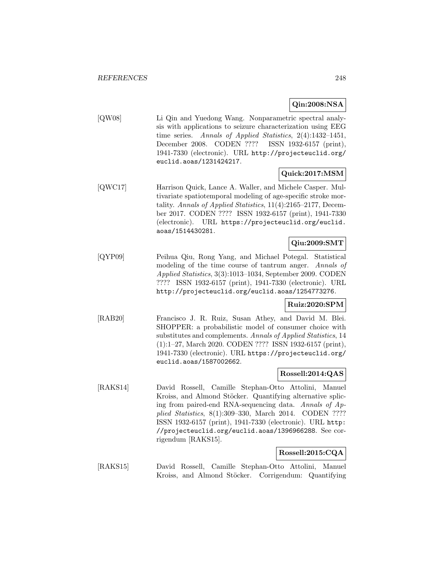# **Qin:2008:NSA**

[QW08] Li Qin and Yuedong Wang. Nonparametric spectral analysis with applications to seizure characterization using EEG time series. Annals of Applied Statistics, 2(4):1432–1451, December 2008. CODEN ???? ISSN 1932-6157 (print), 1941-7330 (electronic). URL http://projecteuclid.org/ euclid.aoas/1231424217.

# **Quick:2017:MSM**

[QWC17] Harrison Quick, Lance A. Waller, and Michele Casper. Multivariate spatiotemporal modeling of age-specific stroke mortality. Annals of Applied Statistics, 11(4):2165–2177, December 2017. CODEN ???? ISSN 1932-6157 (print), 1941-7330 (electronic). URL https://projecteuclid.org/euclid. aoas/1514430281.

# **Qiu:2009:SMT**

[QYP09] Peihua Qiu, Rong Yang, and Michael Potegal. Statistical modeling of the time course of tantrum anger. Annals of Applied Statistics, 3(3):1013–1034, September 2009. CODEN ???? ISSN 1932-6157 (print), 1941-7330 (electronic). URL http://projecteuclid.org/euclid.aoas/1254773276.

# **Ruiz:2020:SPM**

[RAB20] Francisco J. R. Ruiz, Susan Athey, and David M. Blei. SHOPPER: a probabilistic model of consumer choice with substitutes and complements. Annals of Applied Statistics, 14 (1):1–27, March 2020. CODEN ???? ISSN 1932-6157 (print), 1941-7330 (electronic). URL https://projecteuclid.org/ euclid.aoas/1587002662.

# **Rossell:2014:QAS**

[RAKS14] David Rossell, Camille Stephan-Otto Attolini, Manuel Kroiss, and Almond Stöcker. Quantifying alternative splicing from paired-end RNA-sequencing data. Annals of Applied Statistics, 8(1):309–330, March 2014. CODEN ???? ISSN 1932-6157 (print), 1941-7330 (electronic). URL http: //projecteuclid.org/euclid.aoas/1396966288. See corrigendum [RAKS15].

### **Rossell:2015:CQA**

[RAKS15] David Rossell, Camille Stephan-Otto Attolini, Manuel Kroiss, and Almond Stöcker. Corrigendum: Quantifying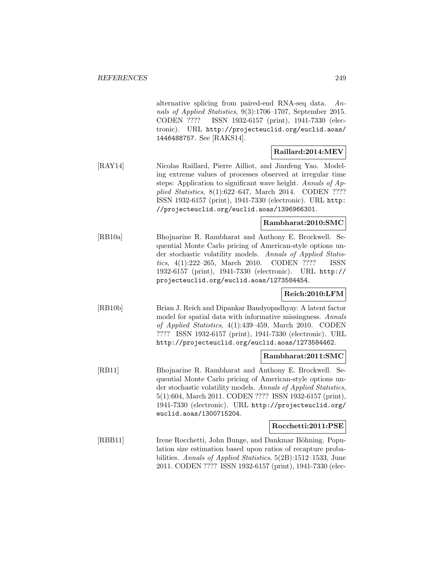alternative splicing from paired-end RNA-seq data. Annals of Applied Statistics, 9(3):1706–1707, September 2015. CODEN ???? ISSN 1932-6157 (print), 1941-7330 (electronic). URL http://projecteuclid.org/euclid.aoas/ 1446488757. See [RAKS14].

# **Raillard:2014:MEV**

[RAY14] Nicolas Raillard, Pierre Ailliot, and Jianfeng Yao. Modeling extreme values of processes observed at irregular time steps: Application to significant wave height. Annals of Applied Statistics, 8(1):622–647, March 2014. CODEN ???? ISSN 1932-6157 (print), 1941-7330 (electronic). URL http: //projecteuclid.org/euclid.aoas/1396966301.

## **Rambharat:2010:SMC**

[RB10a] Bhojnarine R. Rambharat and Anthony E. Brockwell. Sequential Monte Carlo pricing of American-style options under stochastic volatility models. Annals of Applied Statistics, 4(1):222–265, March 2010. CODEN ???? ISSN 1932-6157 (print), 1941-7330 (electronic). URL http:// projecteuclid.org/euclid.aoas/1273584454.

# **Reich:2010:LFM**

[RB10b] Brian J. Reich and Dipankar Bandyopadhyay. A latent factor model for spatial data with informative missingness. Annals of Applied Statistics, 4(1):439–459, March 2010. CODEN ???? ISSN 1932-6157 (print), 1941-7330 (electronic). URL http://projecteuclid.org/euclid.aoas/1273584462.

### **Rambharat:2011:SMC**

[RB11] Bhojnarine R. Rambharat and Anthony E. Brockwell. Sequential Monte Carlo pricing of American-style options under stochastic volatility models. Annals of Applied Statistics, 5(1):604, March 2011. CODEN ???? ISSN 1932-6157 (print), 1941-7330 (electronic). URL http://projecteuclid.org/ euclid.aoas/1300715204.

### **Rocchetti:2011:PSE**

[RBB11] Irene Rocchetti, John Bunge, and Dankmar Böhning. Population size estimation based upon ratios of recapture probabilities. Annals of Applied Statistics, 5(2B):1512–1533, June 2011. CODEN ???? ISSN 1932-6157 (print), 1941-7330 (elec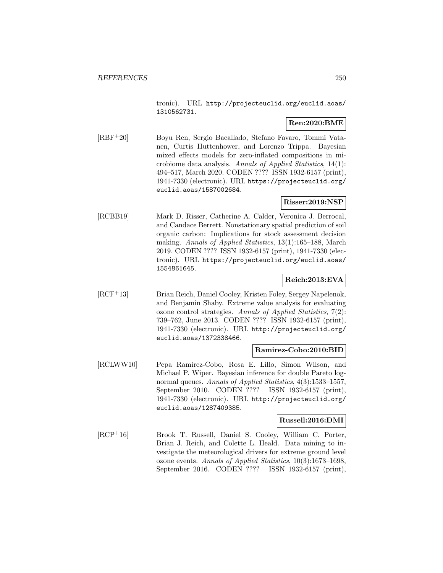tronic). URL http://projecteuclid.org/euclid.aoas/ 1310562731.

## **Ren:2020:BME**

[RBF<sup>+</sup>20] Boyu Ren, Sergio Bacallado, Stefano Favaro, Tommi Vatanen, Curtis Huttenhower, and Lorenzo Trippa. Bayesian mixed effects models for zero-inflated compositions in microbiome data analysis. Annals of Applied Statistics, 14(1): 494–517, March 2020. CODEN ???? ISSN 1932-6157 (print), 1941-7330 (electronic). URL https://projecteuclid.org/ euclid.aoas/1587002684.

# **Risser:2019:NSP**

[RCBB19] Mark D. Risser, Catherine A. Calder, Veronica J. Berrocal, and Candace Berrett. Nonstationary spatial prediction of soil organic carbon: Implications for stock assessment decision making. Annals of Applied Statistics, 13(1):165–188, March 2019. CODEN ???? ISSN 1932-6157 (print), 1941-7330 (electronic). URL https://projecteuclid.org/euclid.aoas/ 1554861645.

# **Reich:2013:EVA**

[RCF<sup>+</sup>13] Brian Reich, Daniel Cooley, Kristen Foley, Sergey Napelenok, and Benjamin Shaby. Extreme value analysis for evaluating ozone control strategies. Annals of Applied Statistics, 7(2): 739–762, June 2013. CODEN ???? ISSN 1932-6157 (print), 1941-7330 (electronic). URL http://projecteuclid.org/ euclid.aoas/1372338466.

# **Ramirez-Cobo:2010:BID**

[RCLWW10] Pepa Ramirez-Cobo, Rosa E. Lillo, Simon Wilson, and Michael P. Wiper. Bayesian inference for double Pareto lognormal queues. Annals of Applied Statistics, 4(3):1533-1557, September 2010. CODEN ???? ISSN 1932-6157 (print), 1941-7330 (electronic). URL http://projecteuclid.org/ euclid.aoas/1287409385.

## **Russell:2016:DMI**

[RCP<sup>+</sup>16] Brook T. Russell, Daniel S. Cooley, William C. Porter, Brian J. Reich, and Colette L. Heald. Data mining to investigate the meteorological drivers for extreme ground level ozone events. Annals of Applied Statistics, 10(3):1673–1698, September 2016. CODEN ???? ISSN 1932-6157 (print),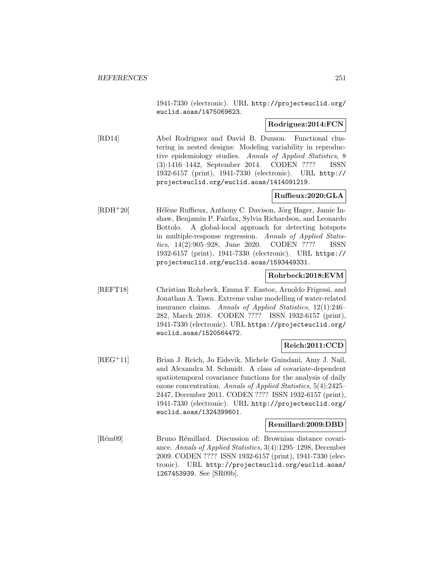1941-7330 (electronic). URL http://projecteuclid.org/ euclid.aoas/1475069623.

### **Rodriguez:2014:FCN**

[RD14] Abel Rodriguez and David B. Dunson. Functional clustering in nested designs: Modeling variability in reproductive epidemiology studies. Annals of Applied Statistics, 8 (3):1416–1442, September 2014. CODEN ???? ISSN 1932-6157 (print), 1941-7330 (electronic). URL http:// projecteuclid.org/euclid.aoas/1414091219.

# **Ruffieux:2020:GLA**

[RDH<sup>+</sup>20] Hélène Ruffieux, Anthony C. Davison, Jörg Hager, Jamie Inshaw, Benjamin P. Fairfax, Sylvia Richardson, and Leonardo Bottolo. A global-local approach for detecting hotspots in multiple-response regression. Annals of Applied Statistics, 14(2):905–928, June 2020. CODEN ???? ISSN 1932-6157 (print), 1941-7330 (electronic). URL https:// projecteuclid.org/euclid.aoas/1593449331.

### **Rohrbeck:2018:EVM**

[REFT18] Christian Rohrbeck, Emma F. Eastoe, Arnoldo Frigessi, and Jonathan A. Tawn. Extreme value modelling of water-related insurance claims. Annals of Applied Statistics, 12(1):246– 282, March 2018. CODEN ???? ISSN 1932-6157 (print), 1941-7330 (electronic). URL https://projecteuclid.org/ euclid.aoas/1520564472.

### **Reich:2011:CCD**

[REG<sup>+</sup>11] Brian J. Reich, Jo Eidsvik, Michele Guindani, Amy J. Nail, and Alexandra M. Schmidt. A class of covariate-dependent spatiotemporal covariance functions for the analysis of daily ozone concentration. Annals of Applied Statistics, 5(4):2425– 2447, December 2011. CODEN ???? ISSN 1932-6157 (print), 1941-7330 (electronic). URL http://projecteuclid.org/ euclid.aoas/1324399601.

# **Remillard:2009:DBD**

[Rém09] Bruno Rémillard. Discussion of: Brownian distance covariance. Annals of Applied Statistics, 3(4):1295–1298, December 2009. CODEN ???? ISSN 1932-6157 (print), 1941-7330 (electronic). URL http://projecteuclid.org/euclid.aoas/ 1267453939. See [SR09b].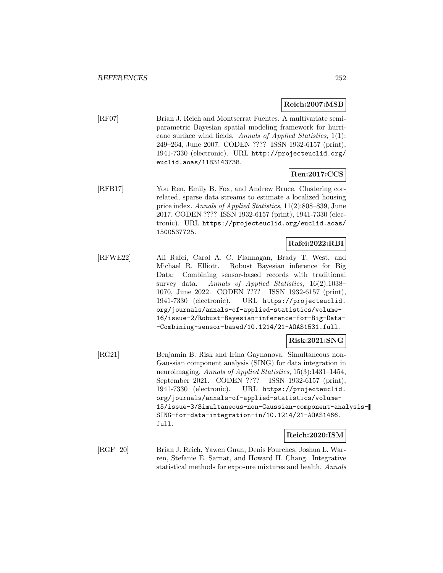### **Reich:2007:MSB**

[RF07] Brian J. Reich and Montserrat Fuentes. A multivariate semiparametric Bayesian spatial modeling framework for hurricane surface wind fields. Annals of Applied Statistics, 1(1): 249–264, June 2007. CODEN ???? ISSN 1932-6157 (print), 1941-7330 (electronic). URL http://projecteuclid.org/ euclid.aoas/1183143738.

# **Ren:2017:CCS**

[RFB17] You Ren, Emily B. Fox, and Andrew Bruce. Clustering correlated, sparse data streams to estimate a localized housing price index. Annals of Applied Statistics, 11(2):808–839, June 2017. CODEN ???? ISSN 1932-6157 (print), 1941-7330 (electronic). URL https://projecteuclid.org/euclid.aoas/ 1500537725.

# **Rafei:2022:RBI**

[RFWE22] Ali Rafei, Carol A. C. Flannagan, Brady T. West, and Michael R. Elliott. Robust Bayesian inference for Big Data: Combining sensor-based records with traditional survey data. Annals of Applied Statistics, 16(2):1038– 1070, June 2022. CODEN ???? ISSN 1932-6157 (print), 1941-7330 (electronic). URL https://projecteuclid. org/journals/annals-of-applied-statistics/volume-16/issue-2/Robust-Bayesian-inference-for-Big-Data- -Combining-sensor-based/10.1214/21-AOAS1531.full.

# **Risk:2021:SNG**

[RG21] Benjamin B. Risk and Irina Gaynanova. Simultaneous non-Gaussian component analysis (SING) for data integration in neuroimaging. Annals of Applied Statistics, 15(3):1431–1454, September 2021. CODEN ???? ISSN 1932-6157 (print), 1941-7330 (electronic). URL https://projecteuclid. org/journals/annals-of-applied-statistics/volume-15/issue-3/Simultaneous-non-Gaussian-component-analysis-SING-for-data-integration-in/10.1214/21-AOAS1466. full.

**Reich:2020:ISM**

[RGF<sup>+</sup>20] Brian J. Reich, Yawen Guan, Denis Fourches, Joshua L. Warren, Stefanie E. Sarnat, and Howard H. Chang. Integrative statistical methods for exposure mixtures and health. Annals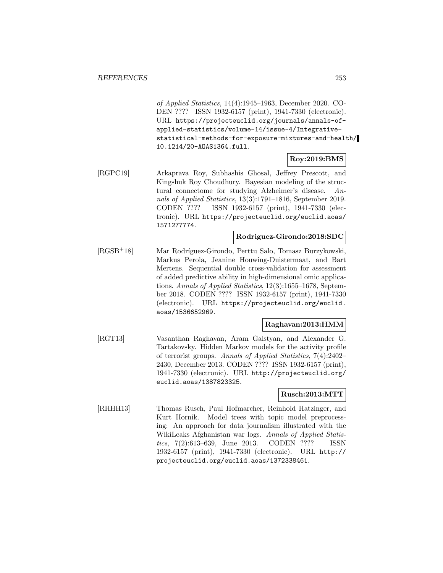of Applied Statistics, 14(4):1945–1963, December 2020. CO-DEN ???? ISSN 1932-6157 (print), 1941-7330 (electronic). URL https://projecteuclid.org/journals/annals-ofapplied-statistics/volume-14/issue-4/Integrativestatistical-methods-for-exposure-mixtures-and-health/ 10.1214/20-AOAS1364.full.

#### **Roy:2019:BMS**

[RGPC19] Arkaprava Roy, Subhashis Ghosal, Jeffrey Prescott, and Kingshuk Roy Choudhury. Bayesian modeling of the structural connectome for studying Alzheimer's disease. Annals of Applied Statistics, 13(3):1791–1816, September 2019. CODEN ???? ISSN 1932-6157 (print), 1941-7330 (electronic). URL https://projecteuclid.org/euclid.aoas/ 1571277774.

#### **Rodriguez-Girondo:2018:SDC**

[RGSB<sup>+</sup>18] Mar Rodríguez-Girondo, Perttu Salo, Tomasz Burzykowski, Markus Perola, Jeanine Houwing-Duistermaat, and Bart Mertens. Sequential double cross-validation for assessment of added predictive ability in high-dimensional omic applications. Annals of Applied Statistics, 12(3):1655–1678, September 2018. CODEN ???? ISSN 1932-6157 (print), 1941-7330 (electronic). URL https://projecteuclid.org/euclid. aoas/1536652969.

### **Raghavan:2013:HMM**

[RGT13] Vasanthan Raghavan, Aram Galstyan, and Alexander G. Tartakovsky. Hidden Markov models for the activity profile of terrorist groups. Annals of Applied Statistics, 7(4):2402– 2430, December 2013. CODEN ???? ISSN 1932-6157 (print), 1941-7330 (electronic). URL http://projecteuclid.org/ euclid.aoas/1387823325.

# **Rusch:2013:MTT**

[RHHH13] Thomas Rusch, Paul Hofmarcher, Reinhold Hatzinger, and Kurt Hornik. Model trees with topic model preprocessing: An approach for data journalism illustrated with the WikiLeaks Afghanistan war logs. Annals of Applied Statistics, 7(2):613–639, June 2013. CODEN ???? ISSN 1932-6157 (print), 1941-7330 (electronic). URL http:// projecteuclid.org/euclid.aoas/1372338461.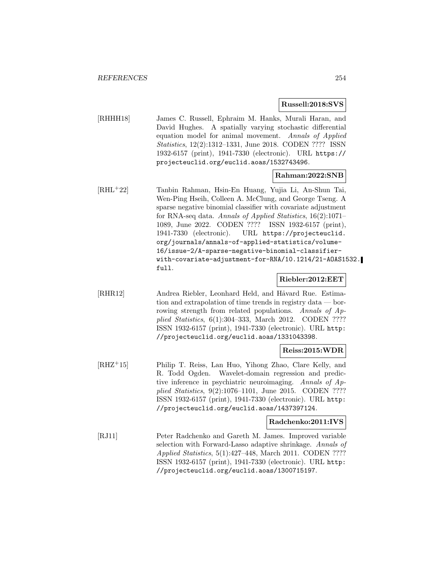#### **Russell:2018:SVS**

[RHHH18] James C. Russell, Ephraim M. Hanks, Murali Haran, and David Hughes. A spatially varying stochastic differential equation model for animal movement. Annals of Applied Statistics, 12(2):1312–1331, June 2018. CODEN ???? ISSN 1932-6157 (print), 1941-7330 (electronic). URL https:// projecteuclid.org/euclid.aoas/1532743496.

### **Rahman:2022:SNB**

[RHL<sup>+</sup>22] Tanbin Rahman, Hsin-En Huang, Yujia Li, An-Shun Tai, Wen-Ping Hseih, Colleen A. McClung, and George Tseng. A sparse negative binomial classifier with covariate adjustment for RNA-seq data. Annals of Applied Statistics, 16(2):1071– 1089, June 2022. CODEN ???? ISSN 1932-6157 (print), 1941-7330 (electronic). URL https://projecteuclid. org/journals/annals-of-applied-statistics/volume-16/issue-2/A-sparse-negative-binomial-classifierwith-covariate-adjustment-for-RNA/10.1214/21-AOAS1532. full.

## **Riebler:2012:EET**

[RHR12] Andrea Riebler, Leonhard Held, and Håvard Rue. Estimation and extrapolation of time trends in registry data — borrowing strength from related populations. Annals of Applied Statistics, 6(1):304–333, March 2012. CODEN ???? ISSN 1932-6157 (print), 1941-7330 (electronic). URL http: //projecteuclid.org/euclid.aoas/1331043398.

### **Reiss:2015:WDR**

[RHZ<sup>+</sup>15] Philip T. Reiss, Lan Huo, Yihong Zhao, Clare Kelly, and R. Todd Ogden. Wavelet-domain regression and predictive inference in psychiatric neuroimaging. Annals of Applied Statistics, 9(2):1076–1101, June 2015. CODEN ???? ISSN 1932-6157 (print), 1941-7330 (electronic). URL http: //projecteuclid.org/euclid.aoas/1437397124.

#### **Radchenko:2011:IVS**

[RJ11] Peter Radchenko and Gareth M. James. Improved variable selection with Forward-Lasso adaptive shrinkage. Annals of Applied Statistics, 5(1):427–448, March 2011. CODEN ???? ISSN 1932-6157 (print), 1941-7330 (electronic). URL http: //projecteuclid.org/euclid.aoas/1300715197.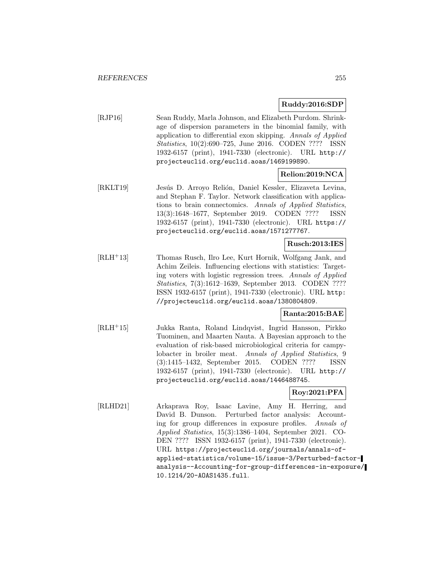### **Ruddy:2016:SDP**

[RJP16] Sean Ruddy, Marla Johnson, and Elizabeth Purdom. Shrinkage of dispersion parameters in the binomial family, with application to differential exon skipping. Annals of Applied Statistics, 10(2):690–725, June 2016. CODEN ???? ISSN 1932-6157 (print), 1941-7330 (electronic). URL http:// projecteuclid.org/euclid.aoas/1469199890.

# **Relion:2019:NCA**

[RKLT19] Jesús D. Arroyo Relión, Daniel Kessler, Elizaveta Levina, and Stephan F. Taylor. Network classification with applications to brain connectomics. Annals of Applied Statistics, 13(3):1648–1677, September 2019. CODEN ???? ISSN 1932-6157 (print), 1941-7330 (electronic). URL https:// projecteuclid.org/euclid.aoas/1571277767.

### **Rusch:2013:IES**

[RLH<sup>+</sup>13] Thomas Rusch, Ilro Lee, Kurt Hornik, Wolfgang Jank, and Achim Zeileis. Influencing elections with statistics: Targeting voters with logistic regression trees. Annals of Applied Statistics, 7(3):1612–1639, September 2013. CODEN ???? ISSN 1932-6157 (print), 1941-7330 (electronic). URL http: //projecteuclid.org/euclid.aoas/1380804809.

# **Ranta:2015:BAE**

[RLH<sup>+</sup>15] Jukka Ranta, Roland Lindqvist, Ingrid Hansson, Pirkko Tuominen, and Maarten Nauta. A Bayesian approach to the evaluation of risk-based microbiological criteria for campylobacter in broiler meat. Annals of Applied Statistics, 9 (3):1415–1432, September 2015. CODEN ???? ISSN 1932-6157 (print), 1941-7330 (electronic). URL http:// projecteuclid.org/euclid.aoas/1446488745.

# **Roy:2021:PFA**

[RLHD21] Arkaprava Roy, Isaac Lavine, Amy H. Herring, and David B. Dunson. Perturbed factor analysis: Accounting for group differences in exposure profiles. Annals of Applied Statistics, 15(3):1386–1404, September 2021. CO-DEN ???? ISSN 1932-6157 (print), 1941-7330 (electronic). URL https://projecteuclid.org/journals/annals-ofapplied-statistics/volume-15/issue-3/Perturbed-factoranalysis--Accounting-for-group-differences-in-exposure/ 10.1214/20-AOAS1435.full.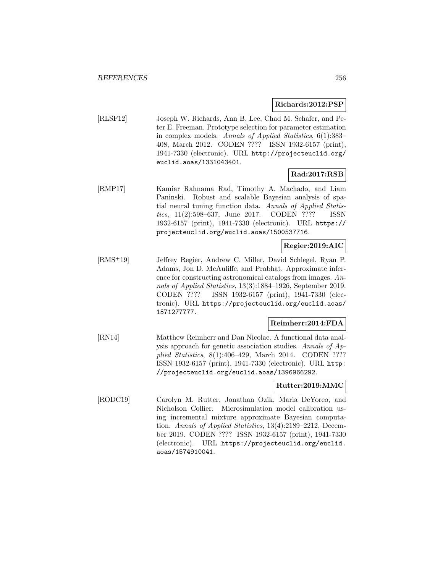### **Richards:2012:PSP**

[RLSF12] Joseph W. Richards, Ann B. Lee, Chad M. Schafer, and Peter E. Freeman. Prototype selection for parameter estimation in complex models. Annals of Applied Statistics, 6(1):383– 408, March 2012. CODEN ???? ISSN 1932-6157 (print), 1941-7330 (electronic). URL http://projecteuclid.org/ euclid.aoas/1331043401.

# **Rad:2017:RSB**

[RMP17] Kamiar Rahnama Rad, Timothy A. Machado, and Liam Paninski. Robust and scalable Bayesian analysis of spatial neural tuning function data. Annals of Applied Statistics, 11(2):598–637, June 2017. CODEN ???? ISSN 1932-6157 (print), 1941-7330 (electronic). URL https:// projecteuclid.org/euclid.aoas/1500537716.

# **Regier:2019:AIC**

[RMS<sup>+</sup>19] Jeffrey Regier, Andrew C. Miller, David Schlegel, Ryan P. Adams, Jon D. McAuliffe, and Prabhat. Approximate inference for constructing astronomical catalogs from images. Annals of Applied Statistics, 13(3):1884–1926, September 2019. CODEN ???? ISSN 1932-6157 (print), 1941-7330 (electronic). URL https://projecteuclid.org/euclid.aoas/ 1571277777.

# **Reimherr:2014:FDA**

[RN14] Matthew Reimherr and Dan Nicolae. A functional data analysis approach for genetic association studies. Annals of Applied Statistics, 8(1):406–429, March 2014. CODEN ???? ISSN 1932-6157 (print), 1941-7330 (electronic). URL http: //projecteuclid.org/euclid.aoas/1396966292.

### **Rutter:2019:MMC**

[RODC19] Carolyn M. Rutter, Jonathan Ozik, Maria DeYoreo, and Nicholson Collier. Microsimulation model calibration using incremental mixture approximate Bayesian computation. Annals of Applied Statistics, 13(4):2189–2212, December 2019. CODEN ???? ISSN 1932-6157 (print), 1941-7330 (electronic). URL https://projecteuclid.org/euclid. aoas/1574910041.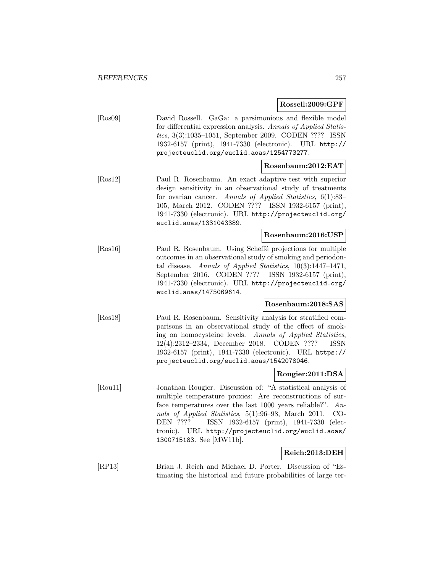**Rossell:2009:GPF**

[Ros09] David Rossell. GaGa: a parsimonious and flexible model for differential expression analysis. Annals of Applied Statistics, 3(3):1035–1051, September 2009. CODEN ???? ISSN 1932-6157 (print), 1941-7330 (electronic). URL http:// projecteuclid.org/euclid.aoas/1254773277.

## **Rosenbaum:2012:EAT**

[Ros12] Paul R. Rosenbaum. An exact adaptive test with superior design sensitivity in an observational study of treatments for ovarian cancer. Annals of Applied Statistics, 6(1):83– 105, March 2012. CODEN ???? ISSN 1932-6157 (print), 1941-7330 (electronic). URL http://projecteuclid.org/ euclid.aoas/1331043389.

### **Rosenbaum:2016:USP**

[Ros16] Paul R. Rosenbaum. Using Scheffé projections for multiple outcomes in an observational study of smoking and periodontal disease. Annals of Applied Statistics, 10(3):1447–1471, September 2016. CODEN ???? ISSN 1932-6157 (print), 1941-7330 (electronic). URL http://projecteuclid.org/ euclid.aoas/1475069614.

### **Rosenbaum:2018:SAS**

[Ros18] Paul R. Rosenbaum. Sensitivity analysis for stratified comparisons in an observational study of the effect of smoking on homocysteine levels. Annals of Applied Statistics, 12(4):2312–2334, December 2018. CODEN ???? ISSN 1932-6157 (print), 1941-7330 (electronic). URL https:// projecteuclid.org/euclid.aoas/1542078046.

### **Rougier:2011:DSA**

[Rou11] Jonathan Rougier. Discussion of: "A statistical analysis of multiple temperature proxies: Are reconstructions of surface temperatures over the last 1000 years reliable?". Annals of Applied Statistics, 5(1):96–98, March 2011. CO-DEN ???? ISSN 1932-6157 (print), 1941-7330 (electronic). URL http://projecteuclid.org/euclid.aoas/ 1300715183. See [MW11b].

### **Reich:2013:DEH**

[RP13] Brian J. Reich and Michael D. Porter. Discussion of "Estimating the historical and future probabilities of large ter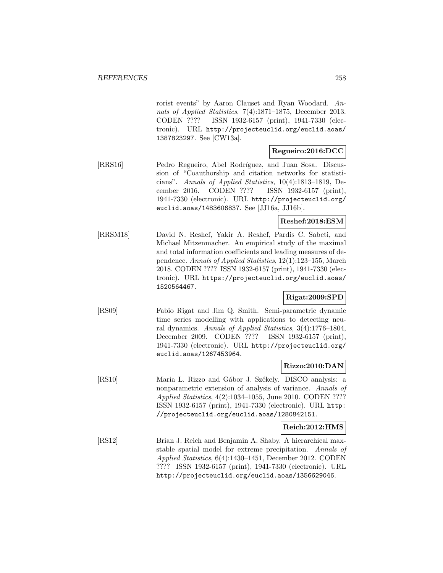rorist events" by Aaron Clauset and Ryan Woodard. Annals of Applied Statistics, 7(4):1871–1875, December 2013. CODEN ???? ISSN 1932-6157 (print), 1941-7330 (electronic). URL http://projecteuclid.org/euclid.aoas/ 1387823297. See [CW13a].

## **Regueiro:2016:DCC**

[RRS16] Pedro Regueiro, Abel Rodríguez, and Juan Sosa. Discussion of "Coauthorship and citation networks for statisticians". Annals of Applied Statistics, 10(4):1813–1819, December 2016. CODEN ???? ISSN 1932-6157 (print), 1941-7330 (electronic). URL http://projecteuclid.org/ euclid.aoas/1483606837. See [JJ16a, JJ16b].

### **Reshef:2018:ESM**

[RRSM18] David N. Reshef, Yakir A. Reshef, Pardis C. Sabeti, and Michael Mitzenmacher. An empirical study of the maximal and total information coefficients and leading measures of dependence. Annals of Applied Statistics, 12(1):123–155, March 2018. CODEN ???? ISSN 1932-6157 (print), 1941-7330 (electronic). URL https://projecteuclid.org/euclid.aoas/ 1520564467.

# **Rigat:2009:SPD**

[RS09] Fabio Rigat and Jim Q. Smith. Semi-parametric dynamic time series modelling with applications to detecting neural dynamics. Annals of Applied Statistics, 3(4):1776–1804, December 2009. CODEN ???? ISSN 1932-6157 (print), 1941-7330 (electronic). URL http://projecteuclid.org/ euclid.aoas/1267453964.

### **Rizzo:2010:DAN**

[RS10] Maria L. Rizzo and Gábor J. Székely. DISCO analysis: a nonparametric extension of analysis of variance. Annals of Applied Statistics, 4(2):1034–1055, June 2010. CODEN ???? ISSN 1932-6157 (print), 1941-7330 (electronic). URL http: //projecteuclid.org/euclid.aoas/1280842151.

#### **Reich:2012:HMS**

[RS12] Brian J. Reich and Benjamin A. Shaby. A hierarchical maxstable spatial model for extreme precipitation. Annals of Applied Statistics, 6(4):1430–1451, December 2012. CODEN ???? ISSN 1932-6157 (print), 1941-7330 (electronic). URL http://projecteuclid.org/euclid.aoas/1356629046.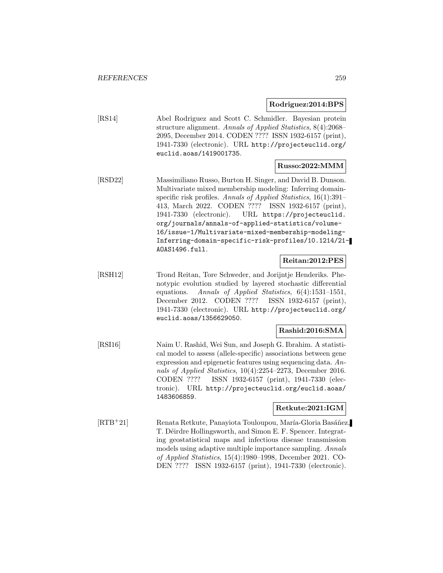#### **Rodriguez:2014:BPS**

[RS14] Abel Rodriguez and Scott C. Schmidler. Bayesian protein structure alignment. Annals of Applied Statistics, 8(4):2068– 2095, December 2014. CODEN ???? ISSN 1932-6157 (print), 1941-7330 (electronic). URL http://projecteuclid.org/ euclid.aoas/1419001735.

### **Russo:2022:MMM**

[RSD22] Massimiliano Russo, Burton H. Singer, and David B. Dunson. Multivariate mixed membership modeling: Inferring domainspecific risk profiles. Annals of Applied Statistics, 16(1):391– 413, March 2022. CODEN ???? ISSN 1932-6157 (print), 1941-7330 (electronic). URL https://projecteuclid. org/journals/annals-of-applied-statistics/volume-16/issue-1/Multivariate-mixed-membership-modeling-Inferring-domain-specific-risk-profiles/10.1214/21- AOAS1496.full.

## **Reitan:2012:PES**

[RSH12] Trond Reitan, Tore Schweder, and Jorijntje Henderiks. Phenotypic evolution studied by layered stochastic differential equations. Annals of Applied Statistics, 6(4):1531–1551, December 2012. CODEN ???? ISSN 1932-6157 (print), 1941-7330 (electronic). URL http://projecteuclid.org/ euclid.aoas/1356629050.

#### **Rashid:2016:SMA**

[RSI16] Naim U. Rashid, Wei Sun, and Joseph G. Ibrahim. A statistical model to assess (allele-specific) associations between gene expression and epigenetic features using sequencing data. Annals of Applied Statistics, 10(4):2254–2273, December 2016. CODEN ???? ISSN 1932-6157 (print), 1941-7330 (electronic). URL http://projecteuclid.org/euclid.aoas/ 1483606859.

### **Retkute:2021:IGM**

[RTB+21] Renata Retkute, Panayiota Touloupou, María-Gloria Basáñez, T. Déirdre Hollingsworth, and Simon E. F. Spencer. Integrating geostatistical maps and infectious disease transmission models using adaptive multiple importance sampling. Annals of Applied Statistics, 15(4):1980–1998, December 2021. CO-DEN ???? ISSN 1932-6157 (print), 1941-7330 (electronic).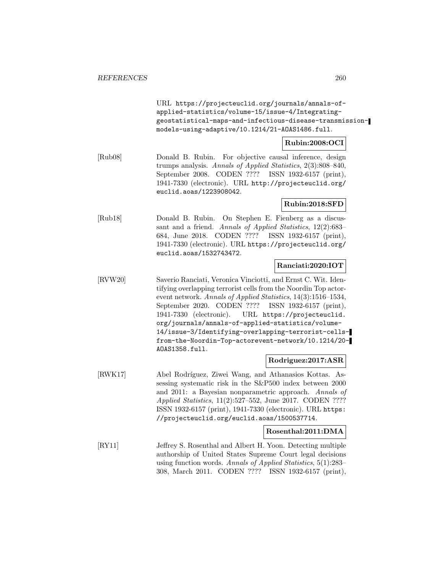URL https://projecteuclid.org/journals/annals-ofapplied-statistics/volume-15/issue-4/Integratinggeostatistical-maps-and-infectious-disease-transmissionmodels-using-adaptive/10.1214/21-AOAS1486.full.

# **Rubin:2008:OCI**

[Rub08] Donald B. Rubin. For objective causal inference, design trumps analysis. Annals of Applied Statistics, 2(3):808–840, September 2008. CODEN ???? ISSN 1932-6157 (print), 1941-7330 (electronic). URL http://projecteuclid.org/ euclid.aoas/1223908042.

## **Rubin:2018:SFD**

[Rub18] Donald B. Rubin. On Stephen E. Fienberg as a discussant and a friend. Annals of Applied Statistics, 12(2):683– 684, June 2018. CODEN ???? ISSN 1932-6157 (print), 1941-7330 (electronic). URL https://projecteuclid.org/ euclid.aoas/1532743472.

## **Ranciati:2020:IOT**

[RVW20] Saverio Ranciati, Veronica Vinciotti, and Ernst C. Wit. Identifying overlapping terrorist cells from the Noordin Top actorevent network. Annals of Applied Statistics, 14(3):1516–1534, September 2020. CODEN ???? ISSN 1932-6157 (print), 1941-7330 (electronic). URL https://projecteuclid. org/journals/annals-of-applied-statistics/volume-14/issue-3/Identifying-overlapping-terrorist-cellsfrom-the-Noordin-Top-actorevent-network/10.1214/20- AOAS1358.full.

# **Rodriguez:2017:ASR**

[RWK17] Abel Rodríguez, Ziwei Wang, and Athanasios Kottas. Assessing systematic risk in the S&P500 index between 2000 and 2011: a Bayesian nonparametric approach. Annals of Applied Statistics, 11(2):527–552, June 2017. CODEN ???? ISSN 1932-6157 (print), 1941-7330 (electronic). URL https: //projecteuclid.org/euclid.aoas/1500537714.

# **Rosenthal:2011:DMA**

[RY11] Jeffrey S. Rosenthal and Albert H. Yoon. Detecting multiple authorship of United States Supreme Court legal decisions using function words. Annals of Applied Statistics, 5(1):283– 308, March 2011. CODEN ???? ISSN 1932-6157 (print),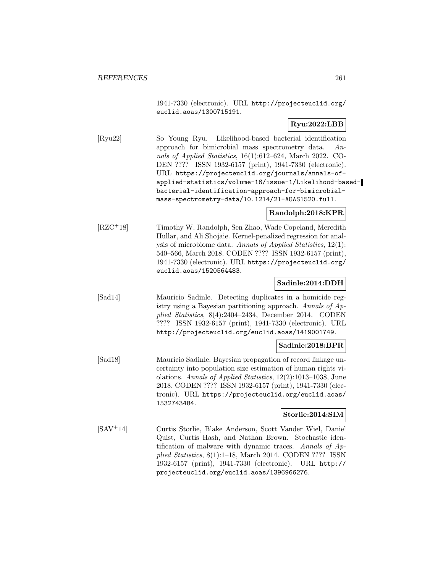1941-7330 (electronic). URL http://projecteuclid.org/ euclid.aoas/1300715191.

## **Ryu:2022:LBB**

[Ryu22] So Young Ryu. Likelihood-based bacterial identification approach for bimicrobial mass spectrometry data. Annals of Applied Statistics, 16(1):612–624, March 2022. CO-DEN ???? ISSN 1932-6157 (print), 1941-7330 (electronic). URL https://projecteuclid.org/journals/annals-ofapplied-statistics/volume-16/issue-1/Likelihood-basedbacterial-identification-approach-for-bimicrobialmass-spectrometry-data/10.1214/21-AOAS1520.full.

### **Randolph:2018:KPR**

[RZC<sup>+</sup>18] Timothy W. Randolph, Sen Zhao, Wade Copeland, Meredith Hullar, and Ali Shojaie. Kernel-penalized regression for analysis of microbiome data. Annals of Applied Statistics, 12(1): 540–566, March 2018. CODEN ???? ISSN 1932-6157 (print), 1941-7330 (electronic). URL https://projecteuclid.org/ euclid.aoas/1520564483.

### **Sadinle:2014:DDH**

[Sad14] Mauricio Sadinle. Detecting duplicates in a homicide registry using a Bayesian partitioning approach. Annals of Applied Statistics, 8(4):2404–2434, December 2014. CODEN ???? ISSN 1932-6157 (print), 1941-7330 (electronic). URL http://projecteuclid.org/euclid.aoas/1419001749.

#### **Sadinle:2018:BPR**

[Sad18] Mauricio Sadinle. Bayesian propagation of record linkage uncertainty into population size estimation of human rights violations. Annals of Applied Statistics, 12(2):1013–1038, June 2018. CODEN ???? ISSN 1932-6157 (print), 1941-7330 (electronic). URL https://projecteuclid.org/euclid.aoas/ 1532743484.

### **Storlie:2014:SIM**

[SAV<sup>+</sup>14] Curtis Storlie, Blake Anderson, Scott Vander Wiel, Daniel Quist, Curtis Hash, and Nathan Brown. Stochastic identification of malware with dynamic traces. Annals of Applied Statistics, 8(1):1–18, March 2014. CODEN ???? ISSN 1932-6157 (print), 1941-7330 (electronic). URL http:// projecteuclid.org/euclid.aoas/1396966276.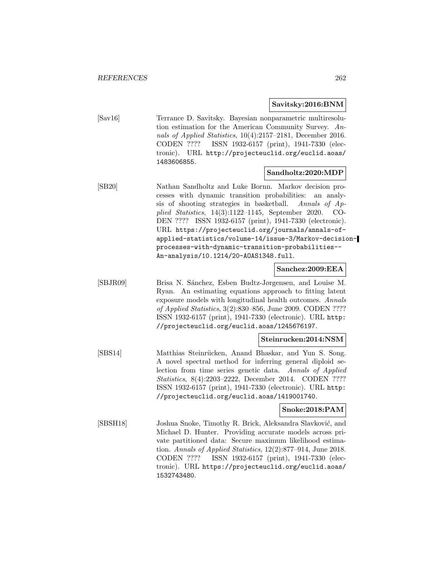### **Savitsky:2016:BNM**

[Sav16] Terrance D. Savitsky. Bayesian nonparametric multiresolution estimation for the American Community Survey. Annals of Applied Statistics, 10(4):2157–2181, December 2016. CODEN ???? ISSN 1932-6157 (print), 1941-7330 (electronic). URL http://projecteuclid.org/euclid.aoas/ 1483606855.

### **Sandholtz:2020:MDP**

[SB20] Nathan Sandholtz and Luke Bornn. Markov decision processes with dynamic transition probabilities: an analysis of shooting strategies in basketball. Annals of Applied Statistics, 14(3):1122–1145, September 2020. CO-DEN ???? ISSN 1932-6157 (print), 1941-7330 (electronic). URL https://projecteuclid.org/journals/annals-ofapplied-statistics/volume-14/issue-3/Markov-decisionprocesses-with-dynamic-transition-probabilities-- An-analysis/10.1214/20-AOAS1348.full.

#### **Sanchez:2009:EEA**

[SBJR09] Brisa N. S´anchez, Esben Budtz-Jørgensen, and Louise M. Ryan. An estimating equations approach to fitting latent exposure models with longitudinal health outcomes. Annals of Applied Statistics, 3(2):830–856, June 2009. CODEN ???? ISSN 1932-6157 (print), 1941-7330 (electronic). URL http: //projecteuclid.org/euclid.aoas/1245676197.

#### **Steinrucken:2014:NSM**

[SBS14] Matthias Steinrücken, Anand Bhaskar, and Yun S. Song. A novel spectral method for inferring general diploid selection from time series genetic data. Annals of Applied Statistics, 8(4):2203–2222, December 2014. CODEN ???? ISSN 1932-6157 (print), 1941-7330 (electronic). URL http: //projecteuclid.org/euclid.aoas/1419001740.

### **Snoke:2018:PAM**

[SBSH18] Joshua Snoke, Timothy R. Brick, Aleksandra Slavković, and Michael D. Hunter. Providing accurate models across private partitioned data: Secure maximum likelihood estimation. Annals of Applied Statistics, 12(2):877–914, June 2018. CODEN ???? ISSN 1932-6157 (print), 1941-7330 (electronic). URL https://projecteuclid.org/euclid.aoas/ 1532743480.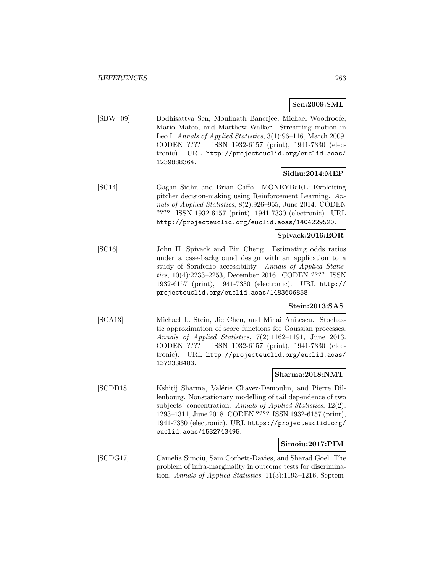### **Sen:2009:SML**

[SBW<sup>+</sup>09] Bodhisattva Sen, Moulinath Banerjee, Michael Woodroofe, Mario Mateo, and Matthew Walker. Streaming motion in Leo I. Annals of Applied Statistics, 3(1):96–116, March 2009. CODEN ???? ISSN 1932-6157 (print), 1941-7330 (electronic). URL http://projecteuclid.org/euclid.aoas/ 1239888364.

# **Sidhu:2014:MEP**

[SC14] Gagan Sidhu and Brian Caffo. MONEYBaRL: Exploiting pitcher decision-making using Reinforcement Learning. Annals of Applied Statistics, 8(2):926–955, June 2014. CODEN ???? ISSN 1932-6157 (print), 1941-7330 (electronic). URL http://projecteuclid.org/euclid.aoas/1404229520.

# **Spivack:2016:EOR**

[SC16] John H. Spivack and Bin Cheng. Estimating odds ratios under a case-background design with an application to a study of Sorafenib accessibility. Annals of Applied Statistics, 10(4):2233–2253, December 2016. CODEN ???? ISSN 1932-6157 (print), 1941-7330 (electronic). URL http:// projecteuclid.org/euclid.aoas/1483606858.

### **Stein:2013:SAS**

[SCA13] Michael L. Stein, Jie Chen, and Mihai Anitescu. Stochastic approximation of score functions for Gaussian processes. Annals of Applied Statistics, 7(2):1162–1191, June 2013. CODEN ???? ISSN 1932-6157 (print), 1941-7330 (electronic). URL http://projecteuclid.org/euclid.aoas/ 1372338483.

### **Sharma:2018:NMT**

[SCDD18] Kshitij Sharma, Valérie Chavez-Demoulin, and Pierre Dillenbourg. Nonstationary modelling of tail dependence of two subjects' concentration. Annals of Applied Statistics, 12(2): 1293–1311, June 2018. CODEN ???? ISSN 1932-6157 (print), 1941-7330 (electronic). URL https://projecteuclid.org/ euclid.aoas/1532743495.

### **Simoiu:2017:PIM**

[SCDG17] Camelia Simoiu, Sam Corbett-Davies, and Sharad Goel. The problem of infra-marginality in outcome tests for discrimination. Annals of Applied Statistics, 11(3):1193–1216, Septem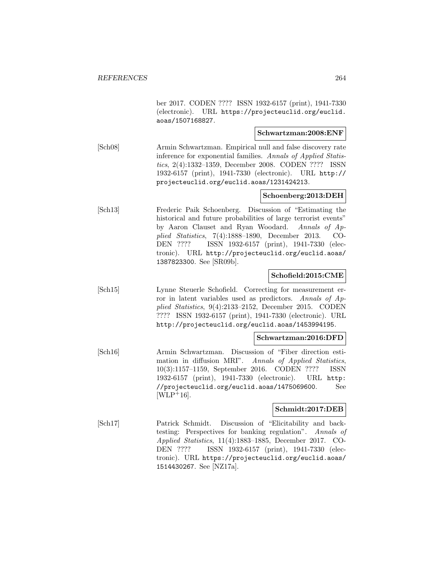ber 2017. CODEN ???? ISSN 1932-6157 (print), 1941-7330 (electronic). URL https://projecteuclid.org/euclid. aoas/1507168827.

#### **Schwartzman:2008:ENF**

[Sch08] Armin Schwartzman. Empirical null and false discovery rate inference for exponential families. Annals of Applied Statistics, 2(4):1332–1359, December 2008. CODEN ???? ISSN 1932-6157 (print), 1941-7330 (electronic). URL http:// projecteuclid.org/euclid.aoas/1231424213.

### **Schoenberg:2013:DEH**

[Sch13] Frederic Paik Schoenberg. Discussion of "Estimating the historical and future probabilities of large terrorist events" by Aaron Clauset and Ryan Woodard. Annals of Applied Statistics, 7(4):1888–1890, December 2013. CO-DEN ???? ISSN 1932-6157 (print), 1941-7330 (electronic). URL http://projecteuclid.org/euclid.aoas/ 1387823300. See [SR09b].

### **Schofield:2015:CME**

[Sch15] Lynne Steuerle Schofield. Correcting for measurement error in latent variables used as predictors. Annals of Applied Statistics, 9(4):2133–2152, December 2015. CODEN ???? ISSN 1932-6157 (print), 1941-7330 (electronic). URL http://projecteuclid.org/euclid.aoas/1453994195.

### **Schwartzman:2016:DFD**

[Sch16] Armin Schwartzman. Discussion of "Fiber direction estimation in diffusion MRI". Annals of Applied Statistics, 10(3):1157–1159, September 2016. CODEN ???? ISSN 1932-6157 (print), 1941-7330 (electronic). URL http: //projecteuclid.org/euclid.aoas/1475069600. See  $[WD+16]$ .

# **Schmidt:2017:DEB**

[Sch17] Patrick Schmidt. Discussion of "Elicitability and backtesting: Perspectives for banking regulation". Annals of Applied Statistics, 11(4):1883–1885, December 2017. CO-DEN ???? ISSN 1932-6157 (print), 1941-7330 (electronic). URL https://projecteuclid.org/euclid.aoas/ 1514430267. See [NZ17a].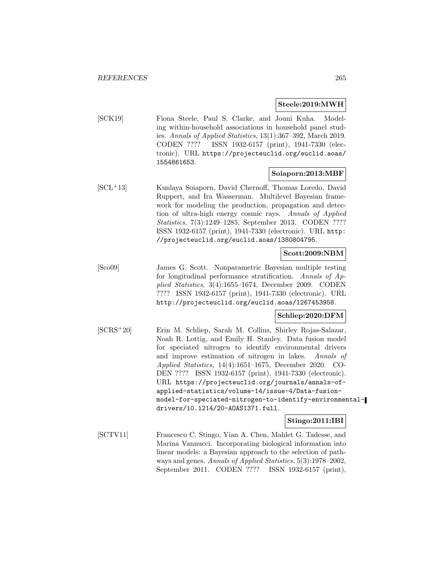#### **Steele:2019:MWH**

[SCK19] Fiona Steele, Paul S. Clarke, and Jouni Kuha. Modeling within-household associations in household panel studies. Annals of Applied Statistics, 13(1):367–392, March 2019. CODEN ???? ISSN 1932-6157 (print), 1941-7330 (electronic). URL https://projecteuclid.org/euclid.aoas/ 1554861653.

### **Soiaporn:2013:MBF**

[SCL<sup>+</sup>13] Kunlaya Soiaporn, David Chernoff, Thomas Loredo, David Ruppert, and Ira Wasserman. Multilevel Bayesian framework for modeling the production, propagation and detection of ultra-high energy cosmic rays. Annals of Applied Statistics, 7(3):1249–1285, September 2013. CODEN ???? ISSN 1932-6157 (print), 1941-7330 (electronic). URL http: //projecteuclid.org/euclid.aoas/1380804795.

### **Scott:2009:NBM**

[Sco09] James G. Scott. Nonparametric Bayesian multiple testing for longitudinal performance stratification. Annals of Applied Statistics, 3(4):1655–1674, December 2009. CODEN ???? ISSN 1932-6157 (print), 1941-7330 (electronic). URL http://projecteuclid.org/euclid.aoas/1267453958.

### **Schliep:2020:DFM**

[SCRS<sup>+</sup>20] Erin M. Schliep, Sarah M. Collins, Shirley Rojas-Salazar, Noah R. Lottig, and Emily H. Stanley. Data fusion model for speciated nitrogen to identify environmental drivers and improve estimation of nitrogen in lakes. Annals of Applied Statistics, 14(4):1651–1675, December 2020. CO-DEN ???? ISSN 1932-6157 (print), 1941-7330 (electronic). URL https://projecteuclid.org/journals/annals-ofapplied-statistics/volume-14/issue-4/Data-fusionmodel-for-speciated-nitrogen-to-identify-environmentaldrivers/10.1214/20-AOAS1371.full.

### **Stingo:2011:IBI**

[SCTV11] Francesco C. Stingo, Yian A. Chen, Mahlet G. Tadesse, and Marina Vannucci. Incorporating biological information into linear models: a Bayesian approach to the selection of pathways and genes. Annals of Applied Statistics, 5(3):1978–2002, September 2011. CODEN ???? ISSN 1932-6157 (print),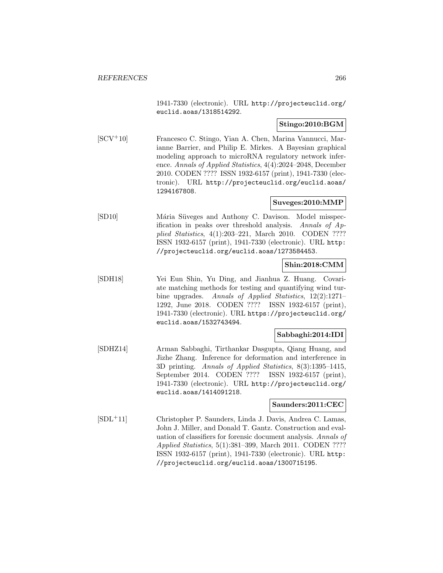1941-7330 (electronic). URL http://projecteuclid.org/ euclid.aoas/1318514292.

## **Stingo:2010:BGM**

[SCV<sup>+</sup>10] Francesco C. Stingo, Yian A. Chen, Marina Vannucci, Marianne Barrier, and Philip E. Mirkes. A Bayesian graphical modeling approach to microRNA regulatory network inference. Annals of Applied Statistics, 4(4):2024–2048, December 2010. CODEN ???? ISSN 1932-6157 (print), 1941-7330 (electronic). URL http://projecteuclid.org/euclid.aoas/ 1294167808.

## **Suveges:2010:MMP**

[SD10] Mária Süveges and Anthony C. Davison. Model misspecification in peaks over threshold analysis. Annals of Applied Statistics, 4(1):203–221, March 2010. CODEN ???? ISSN 1932-6157 (print), 1941-7330 (electronic). URL http: //projecteuclid.org/euclid.aoas/1273584453.

# **Shin:2018:CMM**

[SDH18] Yei Eun Shin, Yu Ding, and Jianhua Z. Huang. Covariate matching methods for testing and quantifying wind turbine upgrades. Annals of Applied Statistics, 12(2):1271– 1292, June 2018. CODEN ???? ISSN 1932-6157 (print), 1941-7330 (electronic). URL https://projecteuclid.org/ euclid.aoas/1532743494.

# **Sabbaghi:2014:IDI**

[SDHZ14] Arman Sabbaghi, Tirthankar Dasgupta, Qiang Huang, and Jizhe Zhang. Inference for deformation and interference in 3D printing. Annals of Applied Statistics, 8(3):1395–1415, September 2014. CODEN ???? ISSN 1932-6157 (print), 1941-7330 (electronic). URL http://projecteuclid.org/ euclid.aoas/1414091218.

### **Saunders:2011:CEC**

[SDL<sup>+</sup>11] Christopher P. Saunders, Linda J. Davis, Andrea C. Lamas, John J. Miller, and Donald T. Gantz. Construction and evaluation of classifiers for forensic document analysis. Annals of Applied Statistics, 5(1):381–399, March 2011. CODEN ???? ISSN 1932-6157 (print), 1941-7330 (electronic). URL http: //projecteuclid.org/euclid.aoas/1300715195.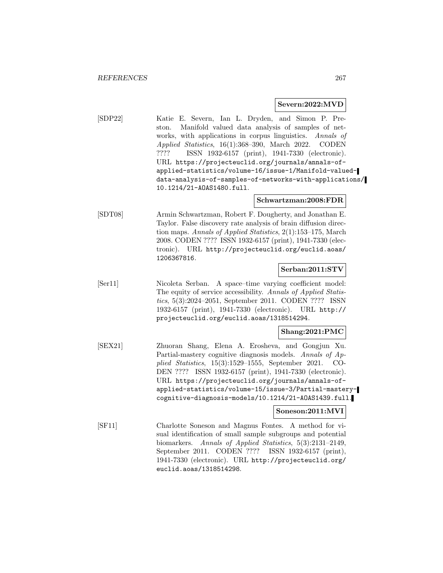#### **Severn:2022:MVD**

[SDP22] Katie E. Severn, Ian L. Dryden, and Simon P. Preston. Manifold valued data analysis of samples of networks, with applications in corpus linguistics. Annals of Applied Statistics, 16(1):368–390, March 2022. CODEN ???? ISSN 1932-6157 (print), 1941-7330 (electronic). URL https://projecteuclid.org/journals/annals-ofapplied-statistics/volume-16/issue-1/Manifold-valueddata-analysis-of-samples-of-networks-with-applications/ 10.1214/21-AOAS1480.full.

#### **Schwartzman:2008:FDR**

[SDT08] Armin Schwartzman, Robert F. Dougherty, and Jonathan E. Taylor. False discovery rate analysis of brain diffusion direction maps. Annals of Applied Statistics, 2(1):153–175, March 2008. CODEN ???? ISSN 1932-6157 (print), 1941-7330 (electronic). URL http://projecteuclid.org/euclid.aoas/ 1206367816.

### **Serban:2011:STV**

[Ser11] Nicoleta Serban. A space–time varying coefficient model: The equity of service accessibility. Annals of Applied Statistics, 5(3):2024–2051, September 2011. CODEN ???? ISSN 1932-6157 (print), 1941-7330 (electronic). URL http:// projecteuclid.org/euclid.aoas/1318514294.

### **Shang:2021:PMC**

[SEX21] Zhuoran Shang, Elena A. Erosheva, and Gongjun Xu. Partial-mastery cognitive diagnosis models. Annals of Applied Statistics, 15(3):1529–1555, September 2021. CO-DEN ???? ISSN 1932-6157 (print), 1941-7330 (electronic). URL https://projecteuclid.org/journals/annals-ofapplied-statistics/volume-15/issue-3/Partial-masterycognitive-diagnosis-models/10.1214/21-AOAS1439.full.

#### **Soneson:2011:MVI**

[SF11] Charlotte Soneson and Magnus Fontes. A method for visual identification of small sample subgroups and potential biomarkers. Annals of Applied Statistics, 5(3):2131–2149, September 2011. CODEN ???? ISSN 1932-6157 (print), 1941-7330 (electronic). URL http://projecteuclid.org/ euclid.aoas/1318514298.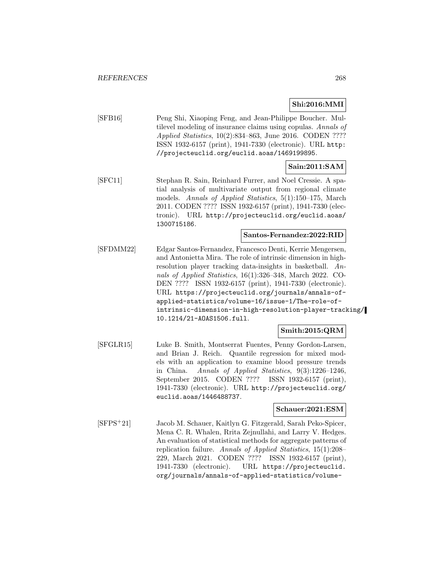## **Shi:2016:MMI**

[SFB16] Peng Shi, Xiaoping Feng, and Jean-Philippe Boucher. Multilevel modeling of insurance claims using copulas. Annals of Applied Statistics, 10(2):834–863, June 2016. CODEN ???? ISSN 1932-6157 (print), 1941-7330 (electronic). URL http: //projecteuclid.org/euclid.aoas/1469199895.

## **Sain:2011:SAM**

[SFC11] Stephan R. Sain, Reinhard Furrer, and Noel Cressie. A spatial analysis of multivariate output from regional climate models. Annals of Applied Statistics, 5(1):150–175, March 2011. CODEN ???? ISSN 1932-6157 (print), 1941-7330 (electronic). URL http://projecteuclid.org/euclid.aoas/ 1300715186.

### **Santos-Fernandez:2022:RID**

[SFDMM22] Edgar Santos-Fernandez, Francesco Denti, Kerrie Mengersen, and Antonietta Mira. The role of intrinsic dimension in highresolution player tracking data-insights in basketball. Annals of Applied Statistics, 16(1):326–348, March 2022. CO-DEN ???? ISSN 1932-6157 (print), 1941-7330 (electronic). URL https://projecteuclid.org/journals/annals-ofapplied-statistics/volume-16/issue-1/The-role-ofintrinsic-dimension-in-high-resolution-player-tracking/ 10.1214/21-AOAS1506.full.

### **Smith:2015:QRM**

[SFGLR15] Luke B. Smith, Montserrat Fuentes, Penny Gordon-Larsen, and Brian J. Reich. Quantile regression for mixed models with an application to examine blood pressure trends in China. Annals of Applied Statistics, 9(3):1226–1246, September 2015. CODEN ???? ISSN 1932-6157 (print), 1941-7330 (electronic). URL http://projecteuclid.org/ euclid.aoas/1446488737.

#### **Schauer:2021:ESM**

[SFPS<sup>+</sup>21] Jacob M. Schauer, Kaitlyn G. Fitzgerald, Sarah Peko-Spicer, Mena C. R. Whalen, Rrita Zejnullahi, and Larry V. Hedges. An evaluation of statistical methods for aggregate patterns of replication failure. Annals of Applied Statistics, 15(1):208– 229, March 2021. CODEN ???? ISSN 1932-6157 (print), 1941-7330 (electronic). URL https://projecteuclid. org/journals/annals-of-applied-statistics/volume-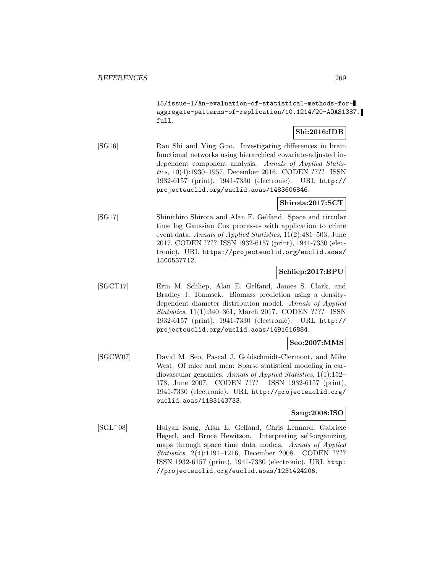15/issue-1/An-evaluation-of-statistical-methods-foraggregate-patterns-of-replication/10.1214/20-AOAS1387. full.

# **Shi:2016:IDB**

[SG16] Ran Shi and Ying Guo. Investigating differences in brain functional networks using hierarchical covariate-adjusted independent component analysis. Annals of Applied Statistics, 10(4):1930–1957, December 2016. CODEN ???? ISSN 1932-6157 (print), 1941-7330 (electronic). URL http:// projecteuclid.org/euclid.aoas/1483606846.

# **Shirota:2017:SCT**

[SG17] Shinichiro Shirota and Alan E. Gelfand. Space and circular time log Gaussian Cox processes with application to crime event data. Annals of Applied Statistics, 11(2):481–503, June 2017. CODEN ???? ISSN 1932-6157 (print), 1941-7330 (electronic). URL https://projecteuclid.org/euclid.aoas/ 1500537712.

### **Schliep:2017:BPU**

[SGCT17] Erin M. Schliep, Alan E. Gelfand, James S. Clark, and Bradley J. Tomasek. Biomass prediction using a densitydependent diameter distribution model. Annals of Applied Statistics, 11(1):340–361, March 2017. CODEN ???? ISSN 1932-6157 (print), 1941-7330 (electronic). URL http:// projecteuclid.org/euclid.aoas/1491616884.

# **Seo:2007:MMS**

[SGCW07] David M. Seo, Pascal J. Goldschmidt-Clermont, and Mike West. Of mice and men: Sparse statistical modeling in cardiovascular genomics. Annals of Applied Statistics, 1(1):152– 178, June 2007. CODEN ???? ISSN 1932-6157 (print), 1941-7330 (electronic). URL http://projecteuclid.org/ euclid.aoas/1183143733.

### **Sang:2008:ISO**

[SGL<sup>+</sup>08] Huiyan Sang, Alan E. Gelfand, Chris Lennard, Gabriele Hegerl, and Bruce Hewitson. Interpreting self-organizing maps through space–time data models. Annals of Applied Statistics, 2(4):1194–1216, December 2008. CODEN ???? ISSN 1932-6157 (print), 1941-7330 (electronic). URL http: //projecteuclid.org/euclid.aoas/1231424206.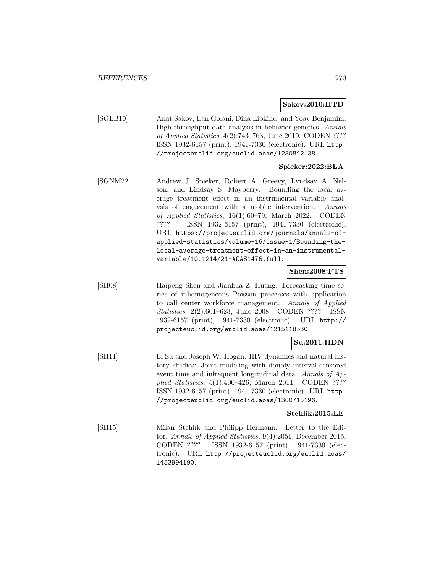#### **Sakov:2010:HTD**

[SGLB10] Anat Sakov, Ilan Golani, Dina Lipkind, and Yoav Benjamini. High-throughput data analysis in behavior genetics. Annals of Applied Statistics, 4(2):743–763, June 2010. CODEN ???? ISSN 1932-6157 (print), 1941-7330 (electronic). URL http: //projecteuclid.org/euclid.aoas/1280842138.

## **Spieker:2022:BLA**

[SGNM22] Andrew J. Spieker, Robert A. Greevy, Lyndsay A. Nelson, and Lindsay S. Mayberry. Bounding the local average treatment effect in an instrumental variable analysis of engagement with a mobile intervention. Annals of Applied Statistics, 16(1):60–79, March 2022. CODEN ???? ISSN 1932-6157 (print), 1941-7330 (electronic). URL https://projecteuclid.org/journals/annals-ofapplied-statistics/volume-16/issue-1/Bounding-thelocal-average-treatment-effect-in-an-instrumentalvariable/10.1214/21-AOAS1476.full.

### **Shen:2008:FTS**

[SH08] Haipeng Shen and Jianhua Z. Huang. Forecasting time series of inhomogeneous Poisson processes with application to call center workforce management. Annals of Applied Statistics, 2(2):601–623, June 2008. CODEN ???? ISSN 1932-6157 (print), 1941-7330 (electronic). URL http:// projecteuclid.org/euclid.aoas/1215118530.

# **Su:2011:HDN**

[SH11] Li Su and Joseph W. Hogan. HIV dynamics and natural history studies: Joint modeling with doubly interval-censored event time and infrequent longitudinal data. Annals of Applied Statistics, 5(1):400–426, March 2011. CODEN ???? ISSN 1932-6157 (print), 1941-7330 (electronic). URL http: //projecteuclid.org/euclid.aoas/1300715196.

### **Stehlik:2015:LE**

[SH15] Milan Stehlík and Philipp Hermann. Letter to the Editor. Annals of Applied Statistics, 9(4):2051, December 2015. CODEN ???? ISSN 1932-6157 (print), 1941-7330 (electronic). URL http://projecteuclid.org/euclid.aoas/ 1453994190.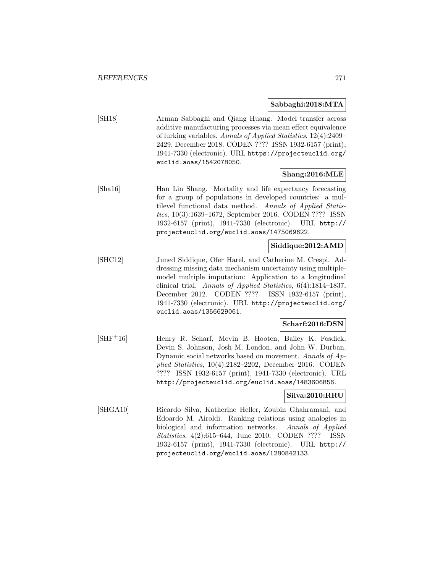### **Sabbaghi:2018:MTA**

[SH18] Arman Sabbaghi and Qiang Huang. Model transfer across additive manufacturing processes via mean effect equivalence of lurking variables. Annals of Applied Statistics, 12(4):2409– 2429, December 2018. CODEN ???? ISSN 1932-6157 (print), 1941-7330 (electronic). URL https://projecteuclid.org/ euclid.aoas/1542078050.

## **Shang:2016:MLE**

[Sha16] Han Lin Shang. Mortality and life expectancy forecasting for a group of populations in developed countries: a multilevel functional data method. Annals of Applied Statistics, 10(3):1639–1672, September 2016. CODEN ???? ISSN 1932-6157 (print), 1941-7330 (electronic). URL http:// projecteuclid.org/euclid.aoas/1475069622.

## **Siddique:2012:AMD**

[SHC12] Juned Siddique, Ofer Harel, and Catherine M. Crespi. Addressing missing data mechanism uncertainty using multiplemodel multiple imputation: Application to a longitudinal clinical trial. Annals of Applied Statistics, 6(4):1814–1837, December 2012. CODEN ???? ISSN 1932-6157 (print), 1941-7330 (electronic). URL http://projecteuclid.org/ euclid.aoas/1356629061.

# **Scharf:2016:DSN**

[SHF<sup>+</sup>16] Henry R. Scharf, Mevin B. Hooten, Bailey K. Fosdick, Devin S. Johnson, Josh M. London, and John W. Durban. Dynamic social networks based on movement. Annals of Applied Statistics, 10(4):2182–2202, December 2016. CODEN ???? ISSN 1932-6157 (print), 1941-7330 (electronic). URL http://projecteuclid.org/euclid.aoas/1483606856.

### **Silva:2010:RRU**

[SHGA10] Ricardo Silva, Katherine Heller, Zoubin Ghahramani, and Edoardo M. Airoldi. Ranking relations using analogies in biological and information networks. Annals of Applied Statistics, 4(2):615–644, June 2010. CODEN ???? ISSN 1932-6157 (print), 1941-7330 (electronic). URL http:// projecteuclid.org/euclid.aoas/1280842133.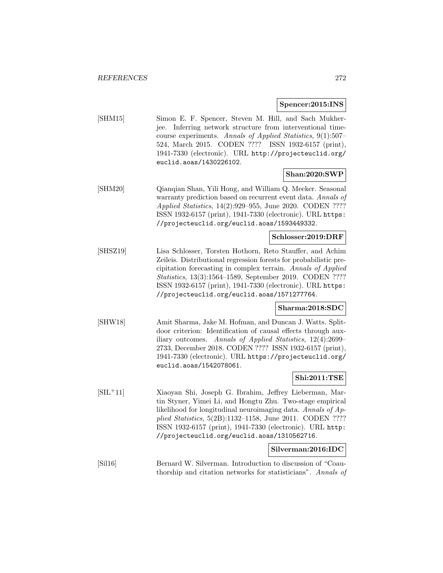#### **Spencer:2015:INS**

[SHM15] Simon E. F. Spencer, Steven M. Hill, and Sach Mukherjee. Inferring network structure from interventional timecourse experiments. Annals of Applied Statistics, 9(1):507– 524, March 2015. CODEN ???? ISSN 1932-6157 (print), 1941-7330 (electronic). URL http://projecteuclid.org/ euclid.aoas/1430226102.

### **Shan:2020:SWP**

[SHM20] Qianqian Shan, Yili Hong, and William Q. Meeker. Seasonal warranty prediction based on recurrent event data. Annals of Applied Statistics, 14(2):929–955, June 2020. CODEN ???? ISSN 1932-6157 (print), 1941-7330 (electronic). URL https: //projecteuclid.org/euclid.aoas/1593449332.

# **Schlosser:2019:DRF**

[SHSZ19] Lisa Schlosser, Torsten Hothorn, Reto Stauffer, and Achim Zeileis. Distributional regression forests for probabilistic precipitation forecasting in complex terrain. Annals of Applied Statistics, 13(3):1564–1589, September 2019. CODEN ???? ISSN 1932-6157 (print), 1941-7330 (electronic). URL https: //projecteuclid.org/euclid.aoas/1571277764.

#### **Sharma:2018:SDC**

[SHW18] Amit Sharma, Jake M. Hofman, and Duncan J. Watts. Splitdoor criterion: Identification of causal effects through auxiliary outcomes. Annals of Applied Statistics, 12(4):2699– 2733, December 2018. CODEN ???? ISSN 1932-6157 (print), 1941-7330 (electronic). URL https://projecteuclid.org/ euclid.aoas/1542078061.

### **Shi:2011:TSE**

[SIL<sup>+</sup>11] Xiaoyan Shi, Joseph G. Ibrahim, Jeffrey Lieberman, Martin Styner, Yimei Li, and Hongtu Zhu. Two-stage empirical likelihood for longitudinal neuroimaging data. Annals of Applied Statistics, 5(2B):1132–1158, June 2011. CODEN ???? ISSN 1932-6157 (print), 1941-7330 (electronic). URL http: //projecteuclid.org/euclid.aoas/1310562716.

### **Silverman:2016:IDC**

[Sil16] Bernard W. Silverman. Introduction to discussion of "Coauthorship and citation networks for statisticians". Annals of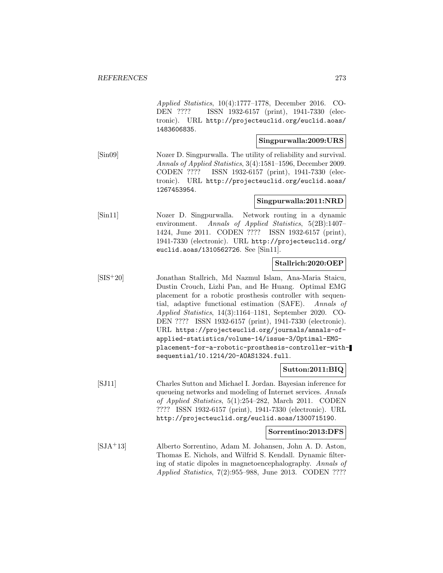Applied Statistics, 10(4):1777–1778, December 2016. CO-DEN ???? ISSN 1932-6157 (print), 1941-7330 (electronic). URL http://projecteuclid.org/euclid.aoas/ 1483606835.

#### **Singpurwalla:2009:URS**

[Sin09] Nozer D. Singpurwalla. The utility of reliability and survival. Annals of Applied Statistics, 3(4):1581–1596, December 2009. CODEN ???? ISSN 1932-6157 (print), 1941-7330 (electronic). URL http://projecteuclid.org/euclid.aoas/ 1267453954.

### **Singpurwalla:2011:NRD**

[Sin11] Nozer D. Singpurwalla. Network routing in a dynamic environment. Annals of Applied Statistics, 5(2B):1407– 1424, June 2011. CODEN ???? ISSN 1932-6157 (print), 1941-7330 (electronic). URL http://projecteuclid.org/ euclid.aoas/1310562726. See [Sin11].

## **Stallrich:2020:OEP**

[SIS<sup>+</sup>20] Jonathan Stallrich, Md Nazmul Islam, Ana-Maria Staicu, Dustin Crouch, Lizhi Pan, and He Huang. Optimal EMG placement for a robotic prosthesis controller with sequential, adaptive functional estimation (SAFE). Annals of Applied Statistics, 14(3):1164–1181, September 2020. CO-DEN ???? ISSN 1932-6157 (print), 1941-7330 (electronic). URL https://projecteuclid.org/journals/annals-ofapplied-statistics/volume-14/issue-3/Optimal-EMGplacement-for-a-robotic-prosthesis-controller-withsequential/10.1214/20-AOAS1324.full.

# **Sutton:2011:BIQ**

[SJ11] Charles Sutton and Michael I. Jordan. Bayesian inference for queueing networks and modeling of Internet services. Annals of Applied Statistics, 5(1):254–282, March 2011. CODEN ???? ISSN 1932-6157 (print), 1941-7330 (electronic). URL http://projecteuclid.org/euclid.aoas/1300715190.

### **Sorrentino:2013:DFS**

[SJA<sup>+</sup>13] Alberto Sorrentino, Adam M. Johansen, John A. D. Aston, Thomas E. Nichols, and Wilfrid S. Kendall. Dynamic filtering of static dipoles in magnetoencephalography. Annals of Applied Statistics, 7(2):955–988, June 2013. CODEN ????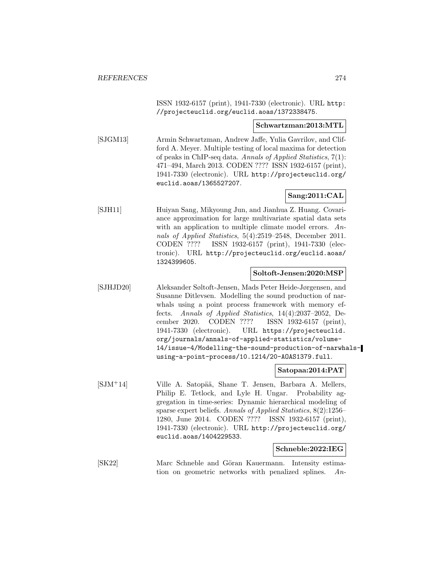ISSN 1932-6157 (print), 1941-7330 (electronic). URL http: //projecteuclid.org/euclid.aoas/1372338475.

#### **Schwartzman:2013:MTL**

[SJGM13] Armin Schwartzman, Andrew Jaffe, Yulia Gavrilov, and Clifford A. Meyer. Multiple testing of local maxima for detection of peaks in ChIP-seq data. Annals of Applied Statistics, 7(1): 471–494, March 2013. CODEN ???? ISSN 1932-6157 (print), 1941-7330 (electronic). URL http://projecteuclid.org/ euclid.aoas/1365527207.

## **Sang:2011:CAL**

[SJH11] Huiyan Sang, Mikyoung Jun, and Jianhua Z. Huang. Covariance approximation for large multivariate spatial data sets with an application to multiple climate model errors. Annals of Applied Statistics, 5(4):2519–2548, December 2011. CODEN ???? ISSN 1932-6157 (print), 1941-7330 (electronic). URL http://projecteuclid.org/euclid.aoas/ 1324399605.

#### **Soltoft-Jensen:2020:MSP**

[SJHJD20] Aleksander Søltoft-Jensen, Mads Peter Heide-Jørgensen, and Susanne Ditlevsen. Modelling the sound production of narwhals using a point process framework with memory effects. Annals of Applied Statistics, 14(4):2037–2052, December 2020. CODEN ???? ISSN 1932-6157 (print), 1941-7330 (electronic). URL https://projecteuclid. org/journals/annals-of-applied-statistics/volume-14/issue-4/Modelling-the-sound-production-of-narwhalsusing-a-point-process/10.1214/20-AOAS1379.full.

#### **Satopaa:2014:PAT**

[SJM<sup>+</sup>14] Ville A. Satopää, Shane T. Jensen, Barbara A. Mellers, Philip E. Tetlock, and Lyle H. Ungar. Probability aggregation in time-series: Dynamic hierarchical modeling of sparse expert beliefs. Annals of Applied Statistics, 8(2):1256– 1280, June 2014. CODEN ???? ISSN 1932-6157 (print), 1941-7330 (electronic). URL http://projecteuclid.org/ euclid.aoas/1404229533.

# **Schneble:2022:IEG**

[SK22] Marc Schneble and Göran Kauermann. Intensity estimation on geometric networks with penalized splines. An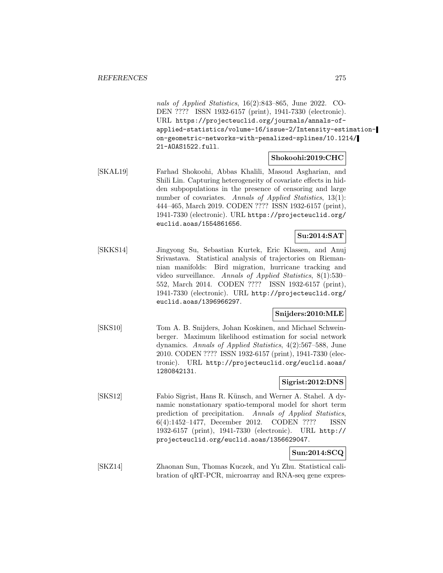nals of Applied Statistics, 16(2):843–865, June 2022. CO-DEN ???? ISSN 1932-6157 (print), 1941-7330 (electronic). URL https://projecteuclid.org/journals/annals-ofapplied-statistics/volume-16/issue-2/Intensity-estimationon-geometric-networks-with-penalized-splines/10.1214/ 21-AOAS1522.full.

### **Shokoohi:2019:CHC**

[SKAL19] Farhad Shokoohi, Abbas Khalili, Masoud Asgharian, and Shili Lin. Capturing heterogeneity of covariate effects in hidden subpopulations in the presence of censoring and large number of covariates. Annals of Applied Statistics, 13(1): 444–465, March 2019. CODEN ???? ISSN 1932-6157 (print), 1941-7330 (electronic). URL https://projecteuclid.org/ euclid.aoas/1554861656.

# **Su:2014:SAT**

[SKKS14] Jingyong Su, Sebastian Kurtek, Eric Klassen, and Anuj Srivastava. Statistical analysis of trajectories on Riemannian manifolds: Bird migration, hurricane tracking and video surveillance. Annals of Applied Statistics, 8(1):530– 552, March 2014. CODEN ???? ISSN 1932-6157 (print), 1941-7330 (electronic). URL http://projecteuclid.org/ euclid.aoas/1396966297.

# **Snijders:2010:MLE**

[SKS10] Tom A. B. Snijders, Johan Koskinen, and Michael Schweinberger. Maximum likelihood estimation for social network dynamics. Annals of Applied Statistics, 4(2):567–588, June 2010. CODEN ???? ISSN 1932-6157 (print), 1941-7330 (electronic). URL http://projecteuclid.org/euclid.aoas/ 1280842131.

# **Sigrist:2012:DNS**

[SKS12] Fabio Sigrist, Hans R. Künsch, and Werner A. Stahel. A dynamic nonstationary spatio-temporal model for short term prediction of precipitation. Annals of Applied Statistics, 6(4):1452–1477, December 2012. CODEN ???? ISSN 1932-6157 (print), 1941-7330 (electronic). URL http:// projecteuclid.org/euclid.aoas/1356629047.

# **Sun:2014:SCQ**

[SKZ14] Zhaonan Sun, Thomas Kuczek, and Yu Zhu. Statistical calibration of qRT-PCR, microarray and RNA-seq gene expres-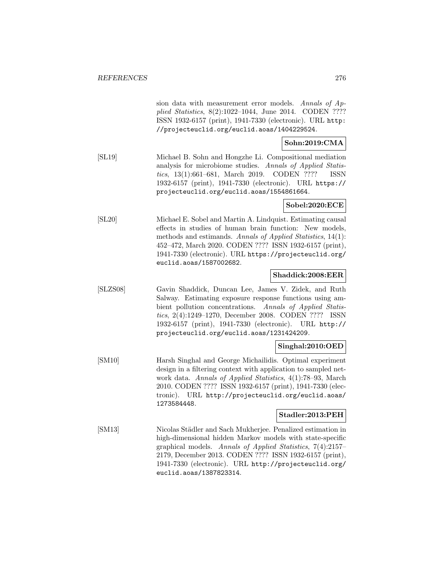|          | sion data with measurement error models. Annals of Ap-<br>plied Statistics, 8(2):1022-1044, June 2014. CODEN ????<br>ISSN 1932-6157 (print), 1941-7330 (electronic). URL http:<br>//projecteuclid.org/euclid.aoas/1404229524.                                                                                                                   |
|----------|-------------------------------------------------------------------------------------------------------------------------------------------------------------------------------------------------------------------------------------------------------------------------------------------------------------------------------------------------|
|          | Sohn:2019:CMA                                                                                                                                                                                                                                                                                                                                   |
| [SL19]   | Michael B. Sohn and Hongzhe Li. Compositional mediation<br>analysis for microbiome studies. Annals of Applied Statis-<br>tics, 13(1):661-681, March 2019. CODEN ????<br><b>ISSN</b><br>1932-6157 (print), 1941-7330 (electronic). URL https://<br>projecteuclid.org/euclid.aoas/1554861664.                                                     |
|          | Sobel:2020:ECE                                                                                                                                                                                                                                                                                                                                  |
| [SL20]   | Michael E. Sobel and Martin A. Lindquist. Estimating causal<br>effects in studies of human brain function: New models,<br>methods and estimands. Annals of Applied Statistics, 14(1):<br>452–472, March 2020. CODEN ???? ISSN 1932-6157 (print),<br>1941-7330 (electronic). URL https://projecteuclid.org/<br>euclid.aoas/1587002682.           |
|          | Shaddick:2008:EER                                                                                                                                                                                                                                                                                                                               |
| [SLZS08] | Gavin Shaddick, Duncan Lee, James V. Zidek, and Ruth<br>Salway. Estimating exposure response functions using am-<br>bient pollution concentrations. Annals of Applied Statis-<br>tics, 2(4):1249-1270, December 2008. CODEN ????<br>ISSN<br>1932-6157 (print), 1941-7330 (electronic). URL http://<br>projecteuclid.org/euclid.aoas/1231424209. |
|          | Singhal:2010:OED                                                                                                                                                                                                                                                                                                                                |
| [SM10]   | Harsh Singhal and George Michailidis. Optimal experiment<br>design in a filtering context with application to sampled net-<br>work data. Annals of Applied Statistics, 4(1):78-93, March<br>2010. CODEN ???? ISSN 1932-6157 (print), 1941-7330 (elec-<br>tronic). URL http://projecteuclid.org/euclid.aoas/<br>1273584448.                      |
|          | Stadler:2013:PEH                                                                                                                                                                                                                                                                                                                                |
| [SM13]   | Nicolas Städler and Sach Mukherjee. Penalized estimation in<br>high-dimensional hidden Markov models with state-specific<br>graphical models. Annals of Applied Statistics, 7(4):2157-<br>2179, December 2013. CODEN ???? ISSN 1932-6157 (print),<br>1941-7330 (electronic). URL http://projecteuclid.org/<br>euclid.aoas/1387823314.           |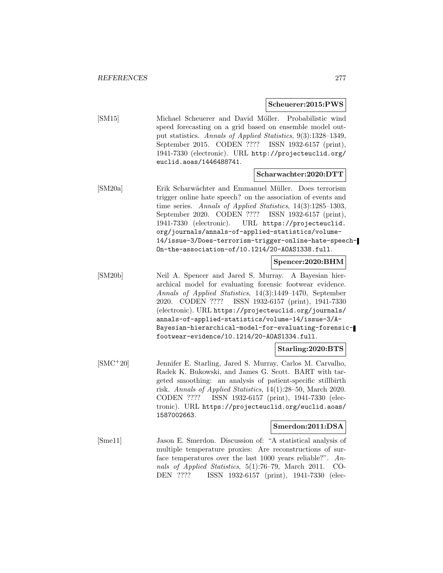#### **Scheuerer:2015:PWS**

[SM15] Michael Scheuerer and David Möller. Probabilistic wind speed forecasting on a grid based on ensemble model output statistics. Annals of Applied Statistics, 9(3):1328–1349, September 2015. CODEN ???? ISSN 1932-6157 (print), 1941-7330 (electronic). URL http://projecteuclid.org/ euclid.aoas/1446488741.

#### **Scharwachter:2020:DTT**

[SM20a] Erik Scharw¨achter and Emmanuel M¨uller. Does terrorism trigger online hate speech? on the association of events and time series. Annals of Applied Statistics, 14(3):1285–1303, September 2020. CODEN ???? ISSN 1932-6157 (print), 1941-7330 (electronic). URL https://projecteuclid. org/journals/annals-of-applied-statistics/volume-14/issue-3/Does-terrorism-trigger-online-hate-speech-On-the-association-of/10.1214/20-AOAS1338.full.

### **Spencer:2020:BHM**

[SM20b] Neil A. Spencer and Jared S. Murray. A Bayesian hierarchical model for evaluating forensic footwear evidence. Annals of Applied Statistics, 14(3):1449–1470, September 2020. CODEN ???? ISSN 1932-6157 (print), 1941-7330 (electronic). URL https://projecteuclid.org/journals/ annals-of-applied-statistics/volume-14/issue-3/A-Bayesian-hierarchical-model-for-evaluating-forensicfootwear-evidence/10.1214/20-AOAS1334.full.

#### **Starling:2020:BTS**

[SMC<sup>+</sup>20] Jennifer E. Starling, Jared S. Murray, Carlos M. Carvalho, Radek K. Bukowski, and James G. Scott. BART with targeted smoothing: an analysis of patient-specific stillbirth risk. Annals of Applied Statistics, 14(1):28–50, March 2020. CODEN ???? ISSN 1932-6157 (print), 1941-7330 (electronic). URL https://projecteuclid.org/euclid.aoas/ 1587002663.

#### **Smerdon:2011:DSA**

[Sme11] Jason E. Smerdon. Discussion of: "A statistical analysis of multiple temperature proxies: Are reconstructions of surface temperatures over the last 1000 years reliable?". Annals of Applied Statistics, 5(1):76–79, March 2011. CO-DEN ???? ISSN 1932-6157 (print), 1941-7330 (elec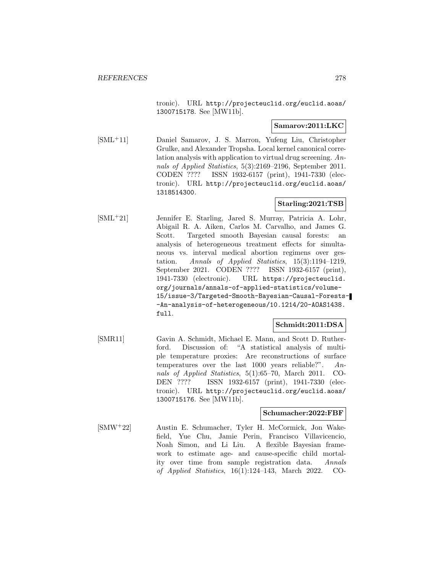tronic). URL http://projecteuclid.org/euclid.aoas/ 1300715178. See [MW11b].

### **Samarov:2011:LKC**

[SML<sup>+</sup>11] Daniel Samarov, J. S. Marron, Yufeng Liu, Christopher Grulke, and Alexander Tropsha. Local kernel canonical correlation analysis with application to virtual drug screening. Annals of Applied Statistics, 5(3):2169–2196, September 2011. CODEN ???? ISSN 1932-6157 (print), 1941-7330 (electronic). URL http://projecteuclid.org/euclid.aoas/ 1318514300.

# **Starling:2021:TSB**

[SML<sup>+</sup>21] Jennifer E. Starling, Jared S. Murray, Patricia A. Lohr, Abigail R. A. Aiken, Carlos M. Carvalho, and James G. Scott. Targeted smooth Bayesian causal forests: an analysis of heterogeneous treatment effects for simultaneous vs. interval medical abortion regimens over gestation. Annals of Applied Statistics, 15(3):1194–1219, September 2021. CODEN ???? ISSN 1932-6157 (print), 1941-7330 (electronic). URL https://projecteuclid. org/journals/annals-of-applied-statistics/volume-15/issue-3/Targeted-Smooth-Bayesian-Causal-Forests- -An-analysis-of-heterogeneous/10.1214/20-AOAS1438. full.

# **Schmidt:2011:DSA**

[SMR11] Gavin A. Schmidt, Michael E. Mann, and Scott D. Rutherford. Discussion of: "A statistical analysis of multiple temperature proxies: Are reconstructions of surface temperatures over the last 1000 years reliable?". Annals of Applied Statistics, 5(1):65–70, March 2011. CO-DEN ???? ISSN 1932-6157 (print), 1941-7330 (electronic). URL http://projecteuclid.org/euclid.aoas/ 1300715176. See [MW11b].

### **Schumacher:2022:FBF**

[SMW<sup>+</sup>22] Austin E. Schumacher, Tyler H. McCormick, Jon Wakefield, Yue Chu, Jamie Perin, Francisco Villavicencio, Noah Simon, and Li Liu. A flexible Bayesian framework to estimate age- and cause-specific child mortality over time from sample registration data. Annals of Applied Statistics, 16(1):124–143, March 2022. CO-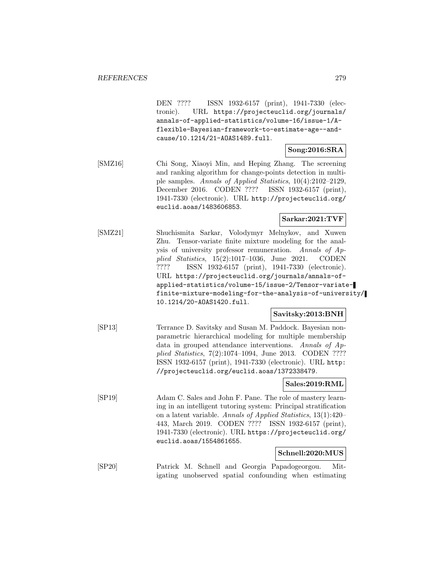DEN ???? ISSN 1932-6157 (print), 1941-7330 (electronic). URL https://projecteuclid.org/journals/ annals-of-applied-statistics/volume-16/issue-1/Aflexible-Bayesian-framework-to-estimate-age--andcause/10.1214/21-AOAS1489.full.

## **Song:2016:SRA**

[SMZ16] Chi Song, Xiaoyi Min, and Heping Zhang. The screening and ranking algorithm for change-points detection in multiple samples. Annals of Applied Statistics, 10(4):2102–2129, December 2016. CODEN ???? ISSN 1932-6157 (print), 1941-7330 (electronic). URL http://projecteuclid.org/ euclid.aoas/1483606853.

## **Sarkar:2021:TVF**

[SMZ21] Shuchismita Sarkar, Volodymyr Melnykov, and Xuwen Zhu. Tensor-variate finite mixture modeling for the analysis of university professor remuneration. Annals of Applied Statistics, 15(2):1017–1036, June 2021. CODEN ???? ISSN 1932-6157 (print), 1941-7330 (electronic). URL https://projecteuclid.org/journals/annals-ofapplied-statistics/volume-15/issue-2/Tensor-variatefinite-mixture-modeling-for-the-analysis-of-university/ 10.1214/20-AOAS1420.full.

# **Savitsky:2013:BNH**

[SP13] Terrance D. Savitsky and Susan M. Paddock. Bayesian nonparametric hierarchical modeling for multiple membership data in grouped attendance interventions. Annals of Applied Statistics, 7(2):1074–1094, June 2013. CODEN ???? ISSN 1932-6157 (print), 1941-7330 (electronic). URL http: //projecteuclid.org/euclid.aoas/1372338479.

# **Sales:2019:RML**

[SP19] Adam C. Sales and John F. Pane. The role of mastery learning in an intelligent tutoring system: Principal stratification on a latent variable. Annals of Applied Statistics, 13(1):420– 443, March 2019. CODEN ???? ISSN 1932-6157 (print), 1941-7330 (electronic). URL https://projecteuclid.org/ euclid.aoas/1554861655.

# **Schnell:2020:MUS**

[SP20] Patrick M. Schnell and Georgia Papadogeorgou. Mitigating unobserved spatial confounding when estimating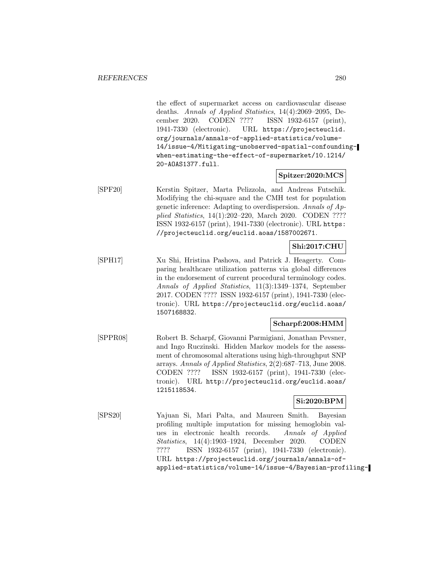the effect of supermarket access on cardiovascular disease deaths. Annals of Applied Statistics, 14(4):2069–2095, December 2020. CODEN ???? ISSN 1932-6157 (print), 1941-7330 (electronic). URL https://projecteuclid. org/journals/annals-of-applied-statistics/volume-14/issue-4/Mitigating-unobserved-spatial-confoundingwhen-estimating-the-effect-of-supermarket/10.1214/ 20-AOAS1377.full.

#### **Spitzer:2020:MCS**

[SPF20] Kerstin Spitzer, Marta Pelizzola, and Andreas Futschik. Modifying the chi-square and the CMH test for population genetic inference: Adapting to overdispersion. Annals of Applied Statistics, 14(1):202–220, March 2020. CODEN ???? ISSN 1932-6157 (print), 1941-7330 (electronic). URL https: //projecteuclid.org/euclid.aoas/1587002671.

### **Shi:2017:CHU**

[SPH17] Xu Shi, Hristina Pashova, and Patrick J. Heagerty. Comparing healthcare utilization patterns via global differences in the endorsement of current procedural terminology codes. Annals of Applied Statistics, 11(3):1349–1374, September 2017. CODEN ???? ISSN 1932-6157 (print), 1941-7330 (electronic). URL https://projecteuclid.org/euclid.aoas/ 1507168832.

# **Scharpf:2008:HMM**

[SPPR08] Robert B. Scharpf, Giovanni Parmigiani, Jonathan Pevsner, and Ingo Ruczinski. Hidden Markov models for the assessment of chromosomal alterations using high-throughput SNP arrays. Annals of Applied Statistics, 2(2):687–713, June 2008. CODEN ???? ISSN 1932-6157 (print), 1941-7330 (electronic). URL http://projecteuclid.org/euclid.aoas/ 1215118534.

## **Si:2020:BPM**

[SPS20] Yajuan Si, Mari Palta, and Maureen Smith. Bayesian profiling multiple imputation for missing hemoglobin values in electronic health records. Annals of Applied Statistics, 14(4):1903–1924, December 2020. CODEN ???? ISSN 1932-6157 (print), 1941-7330 (electronic). URL https://projecteuclid.org/journals/annals-ofapplied-statistics/volume-14/issue-4/Bayesian-profiling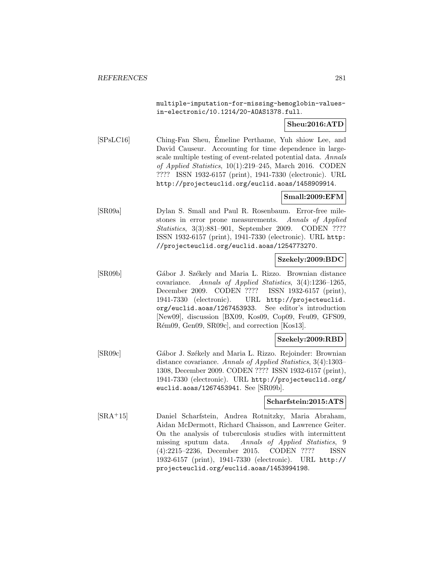multiple-imputation-for-missing-hemoglobin-valuesin-electronic/10.1214/20-AOAS1378.full.

## **Sheu:2016:ATD**

[SPsLC16] Ching-Fan Sheu, Emeline Perthame, Yuh shiow Lee, and ´ David Causeur. Accounting for time dependence in largescale multiple testing of event-related potential data. Annals of Applied Statistics, 10(1):219–245, March 2016. CODEN ???? ISSN 1932-6157 (print), 1941-7330 (electronic). URL http://projecteuclid.org/euclid.aoas/1458909914.

# **Small:2009:EFM**

[SR09a] Dylan S. Small and Paul R. Rosenbaum. Error-free milestones in error prone measurements. Annals of Applied Statistics, 3(3):881–901, September 2009. CODEN ???? ISSN 1932-6157 (print), 1941-7330 (electronic). URL http: //projecteuclid.org/euclid.aoas/1254773270.

#### **Szekely:2009:BDC**

[SR09b] Gábor J. Székely and Maria L. Rizzo. Brownian distance covariance. Annals of Applied Statistics, 3(4):1236–1265, December 2009. CODEN ???? ISSN 1932-6157 (print), 1941-7330 (electronic). URL http://projecteuclid. org/euclid.aoas/1267453933. See editor's introduction [New09], discussion [BX09, Kos09, Cop09, Feu09, GFS09, Rém09, Gen09, SR09c], and correction [Kos13].

#### **Szekely:2009:RBD**

[SR09c] Gábor J. Székely and Maria L. Rizzo. Rejoinder: Brownian distance covariance. Annals of Applied Statistics, 3(4):1303– 1308, December 2009. CODEN ???? ISSN 1932-6157 (print), 1941-7330 (electronic). URL http://projecteuclid.org/ euclid.aoas/1267453941. See [SR09b].

### **Scharfstein:2015:ATS**

[SRA<sup>+</sup>15] Daniel Scharfstein, Andrea Rotnitzky, Maria Abraham, Aidan McDermott, Richard Chaisson, and Lawrence Geiter. On the analysis of tuberculosis studies with intermittent missing sputum data. Annals of Applied Statistics, 9 (4):2215–2236, December 2015. CODEN ???? ISSN 1932-6157 (print), 1941-7330 (electronic). URL http:// projecteuclid.org/euclid.aoas/1453994198.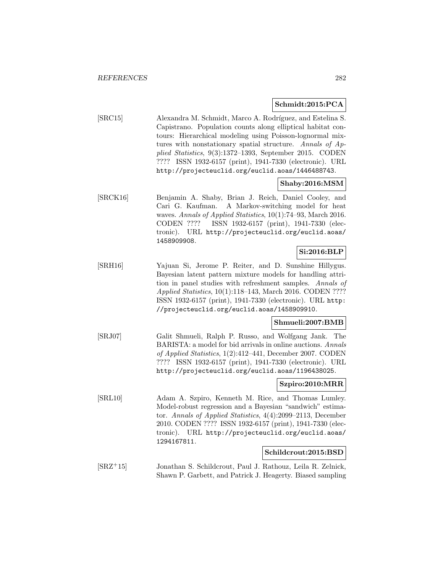## **Schmidt:2015:PCA**

[SRC15] Alexandra M. Schmidt, Marco A. Rodríguez, and Estelina S. Capistrano. Population counts along elliptical habitat contours: Hierarchical modeling using Poisson-lognormal mixtures with nonstationary spatial structure. Annals of Applied Statistics, 9(3):1372–1393, September 2015. CODEN ???? ISSN 1932-6157 (print), 1941-7330 (electronic). URL http://projecteuclid.org/euclid.aoas/1446488743.

### **Shaby:2016:MSM**

[SRCK16] Benjamin A. Shaby, Brian J. Reich, Daniel Cooley, and Cari G. Kaufman. A Markov-switching model for heat waves. Annals of Applied Statistics, 10(1):74–93, March 2016. CODEN ???? ISSN 1932-6157 (print), 1941-7330 (electronic). URL http://projecteuclid.org/euclid.aoas/ 1458909908.

# **Si:2016:BLP**

[SRH16] Yajuan Si, Jerome P. Reiter, and D. Sunshine Hillygus. Bayesian latent pattern mixture models for handling attrition in panel studies with refreshment samples. Annals of Applied Statistics, 10(1):118–143, March 2016. CODEN ???? ISSN 1932-6157 (print), 1941-7330 (electronic). URL http: //projecteuclid.org/euclid.aoas/1458909910.

# **Shmueli:2007:BMB**

[SRJ07] Galit Shmueli, Ralph P. Russo, and Wolfgang Jank. The BARISTA: a model for bid arrivals in online auctions. Annals of Applied Statistics, 1(2):412–441, December 2007. CODEN ???? ISSN 1932-6157 (print), 1941-7330 (electronic). URL http://projecteuclid.org/euclid.aoas/1196438025.

### **Szpiro:2010:MRR**

[SRL10] Adam A. Szpiro, Kenneth M. Rice, and Thomas Lumley. Model-robust regression and a Bayesian "sandwich" estimator. Annals of Applied Statistics, 4(4):2099–2113, December 2010. CODEN ???? ISSN 1932-6157 (print), 1941-7330 (electronic). URL http://projecteuclid.org/euclid.aoas/ 1294167811.

#### **Schildcrout:2015:BSD**

[SRZ<sup>+</sup>15] Jonathan S. Schildcrout, Paul J. Rathouz, Leila R. Zelnick, Shawn P. Garbett, and Patrick J. Heagerty. Biased sampling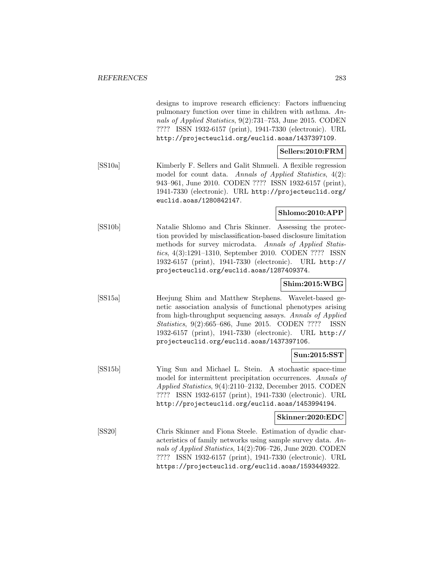designs to improve research efficiency: Factors influencing pulmonary function over time in children with asthma. Annals of Applied Statistics, 9(2):731–753, June 2015. CODEN ???? ISSN 1932-6157 (print), 1941-7330 (electronic). URL http://projecteuclid.org/euclid.aoas/1437397109.

# **Sellers:2010:FRM**

[SS10a] Kimberly F. Sellers and Galit Shmueli. A flexible regression model for count data. Annals of Applied Statistics, 4(2): 943–961, June 2010. CODEN ???? ISSN 1932-6157 (print), 1941-7330 (electronic). URL http://projecteuclid.org/ euclid.aoas/1280842147.

## **Shlomo:2010:APP**

[SS10b] Natalie Shlomo and Chris Skinner. Assessing the protection provided by misclassification-based disclosure limitation methods for survey microdata. Annals of Applied Statistics, 4(3):1291–1310, September 2010. CODEN ???? ISSN 1932-6157 (print), 1941-7330 (electronic). URL http:// projecteuclid.org/euclid.aoas/1287409374.

# **Shim:2015:WBG**

[SS15a] Heejung Shim and Matthew Stephens. Wavelet-based genetic association analysis of functional phenotypes arising from high-throughput sequencing assays. Annals of Applied Statistics, 9(2):665–686, June 2015. CODEN ???? ISSN 1932-6157 (print), 1941-7330 (electronic). URL http:// projecteuclid.org/euclid.aoas/1437397106.

# **Sun:2015:SST**

[SS15b] Ying Sun and Michael L. Stein. A stochastic space-time model for intermittent precipitation occurrences. Annals of Applied Statistics, 9(4):2110–2132, December 2015. CODEN ???? ISSN 1932-6157 (print), 1941-7330 (electronic). URL http://projecteuclid.org/euclid.aoas/1453994194.

## **Skinner:2020:EDC**

[SS20] Chris Skinner and Fiona Steele. Estimation of dyadic characteristics of family networks using sample survey data. Annals of Applied Statistics, 14(2):706–726, June 2020. CODEN ???? ISSN 1932-6157 (print), 1941-7330 (electronic). URL https://projecteuclid.org/euclid.aoas/1593449322.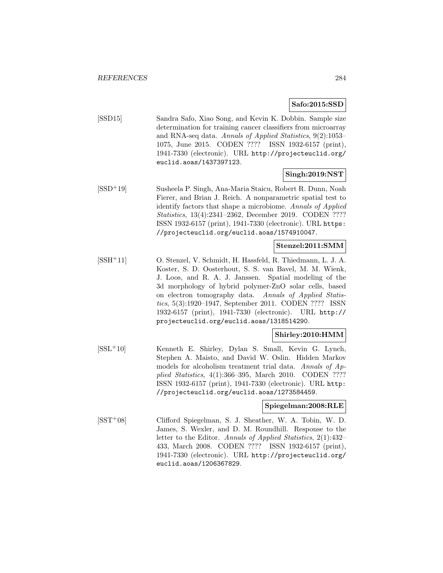### **Safo:2015:SSD**

[SSD15] Sandra Safo, Xiao Song, and Kevin K. Dobbin. Sample size determination for training cancer classifiers from microarray and RNA-seq data. Annals of Applied Statistics, 9(2):1053– 1075, June 2015. CODEN ???? ISSN 1932-6157 (print), 1941-7330 (electronic). URL http://projecteuclid.org/ euclid.aoas/1437397123.

## **Singh:2019:NST**

[SSD<sup>+</sup>19] Susheela P. Singh, Ana-Maria Staicu, Robert R. Dunn, Noah Fierer, and Brian J. Reich. A nonparametric spatial test to identify factors that shape a microbiome. Annals of Applied Statistics, 13(4):2341–2362, December 2019. CODEN ???? ISSN 1932-6157 (print), 1941-7330 (electronic). URL https: //projecteuclid.org/euclid.aoas/1574910047.

## **Stenzel:2011:SMM**

[SSH<sup>+</sup>11] O. Stenzel, V. Schmidt, H. Hassfeld, R. Thiedmann, L. J. A. Koster, S. D. Oosterhout, S. S. van Bavel, M. M. Wienk, J. Loos, and R. A. J. Janssen. Spatial modeling of the 3d morphology of hybrid polymer-ZnO solar cells, based on electron tomography data. Annals of Applied Statistics, 5(3):1920–1947, September 2011. CODEN ???? ISSN 1932-6157 (print), 1941-7330 (electronic). URL http:// projecteuclid.org/euclid.aoas/1318514290.

# **Shirley:2010:HMM**

[SSL<sup>+</sup>10] Kenneth E. Shirley, Dylan S. Small, Kevin G. Lynch, Stephen A. Maisto, and David W. Oslin. Hidden Markov models for alcoholism treatment trial data. Annals of Applied Statistics, 4(1):366–395, March 2010. CODEN ???? ISSN 1932-6157 (print), 1941-7330 (electronic). URL http: //projecteuclid.org/euclid.aoas/1273584459.

### **Spiegelman:2008:RLE**

[SST<sup>+</sup>08] Clifford Spiegelman, S. J. Sheather, W. A. Tobin, W. D. James, S. Wexler, and D. M. Roundhill. Response to the letter to the Editor. Annals of Applied Statistics, 2(1):432– 433, March 2008. CODEN ???? ISSN 1932-6157 (print), 1941-7330 (electronic). URL http://projecteuclid.org/ euclid.aoas/1206367829.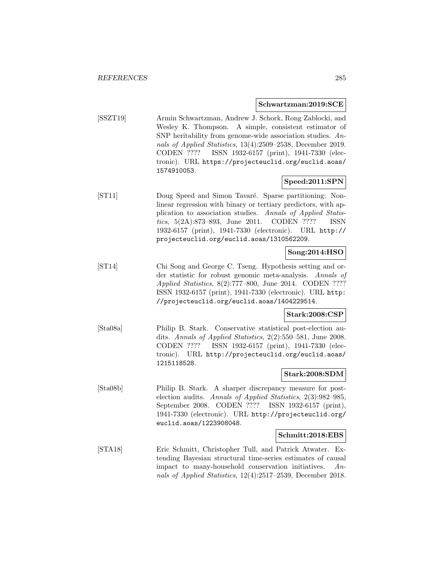#### **Schwartzman:2019:SCE**

[SSZT19] Armin Schwartzman, Andrew J. Schork, Rong Zablocki, and Wesley K. Thompson. A simple, consistent estimator of SNP heritability from genome-wide association studies. Annals of Applied Statistics, 13(4):2509–2538, December 2019. CODEN ???? ISSN 1932-6157 (print), 1941-7330 (electronic). URL https://projecteuclid.org/euclid.aoas/ 1574910053.

# **Speed:2011:SPN**

[ST11] Doug Speed and Simon Tavaré. Sparse partitioning: Nonlinear regression with binary or tertiary predictors, with application to association studies. Annals of Applied Statistics, 5(2A):873–893, June 2011. CODEN ???? ISSN 1932-6157 (print), 1941-7330 (electronic). URL http:// projecteuclid.org/euclid.aoas/1310562209.

# **Song:2014:HSO**

[ST14] Chi Song and George C. Tseng. Hypothesis setting and order statistic for robust genomic meta-analysis. Annals of Applied Statistics, 8(2):777–800, June 2014. CODEN ???? ISSN 1932-6157 (print), 1941-7330 (electronic). URL http: //projecteuclid.org/euclid.aoas/1404229514.

### **Stark:2008:CSP**

[Sta08a] Philip B. Stark. Conservative statistical post-election audits. Annals of Applied Statistics, 2(2):550–581, June 2008. CODEN ???? ISSN 1932-6157 (print), 1941-7330 (electronic). URL http://projecteuclid.org/euclid.aoas/ 1215118528.

#### **Stark:2008:SDM**

[Sta08b] Philip B. Stark. A sharper discrepancy measure for postelection audits. Annals of Applied Statistics, 2(3):982–985, September 2008. CODEN ???? ISSN 1932-6157 (print), 1941-7330 (electronic). URL http://projecteuclid.org/ euclid.aoas/1223908048.

#### **Schmitt:2018:EBS**

[STA18] Eric Schmitt, Christopher Tull, and Patrick Atwater. Extending Bayesian structural time-series estimates of causal impact to many-household conservation initiatives. Annals of Applied Statistics, 12(4):2517–2539, December 2018.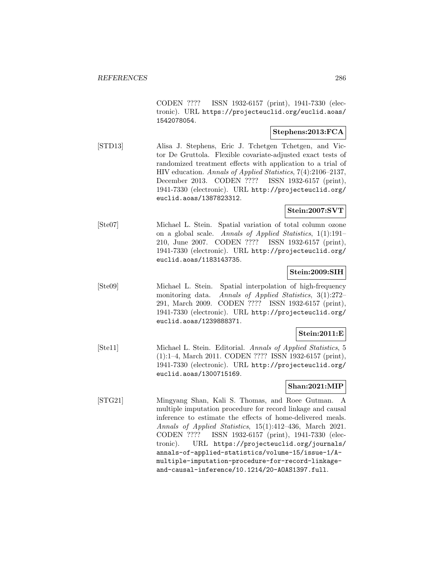CODEN ???? ISSN 1932-6157 (print), 1941-7330 (electronic). URL https://projecteuclid.org/euclid.aoas/ 1542078054.

# **Stephens:2013:FCA**

[STD13] Alisa J. Stephens, Eric J. Tchetgen Tchetgen, and Victor De Gruttola. Flexible covariate-adjusted exact tests of randomized treatment effects with application to a trial of HIV education. Annals of Applied Statistics, 7(4):2106–2137, December 2013. CODEN ???? ISSN 1932-6157 (print), 1941-7330 (electronic). URL http://projecteuclid.org/ euclid.aoas/1387823312.

### **Stein:2007:SVT**

[Ste07] Michael L. Stein. Spatial variation of total column ozone on a global scale. Annals of Applied Statistics, 1(1):191– 210, June 2007. CODEN ???? ISSN 1932-6157 (print), 1941-7330 (electronic). URL http://projecteuclid.org/ euclid.aoas/1183143735.

### **Stein:2009:SIH**

[Ste09] Michael L. Stein. Spatial interpolation of high-frequency monitoring data. Annals of Applied Statistics, 3(1):272– 291, March 2009. CODEN ???? ISSN 1932-6157 (print), 1941-7330 (electronic). URL http://projecteuclid.org/ euclid.aoas/1239888371.

# **Stein:2011:E**

[Ste11] Michael L. Stein. Editorial. Annals of Applied Statistics, 5 (1):1–4, March 2011. CODEN ???? ISSN 1932-6157 (print), 1941-7330 (electronic). URL http://projecteuclid.org/ euclid.aoas/1300715169.

### **Shan:2021:MIP**

[STG21] Mingyang Shan, Kali S. Thomas, and Roee Gutman. A multiple imputation procedure for record linkage and causal inference to estimate the effects of home-delivered meals. Annals of Applied Statistics, 15(1):412–436, March 2021. CODEN ???? ISSN 1932-6157 (print), 1941-7330 (electronic). URL https://projecteuclid.org/journals/ annals-of-applied-statistics/volume-15/issue-1/Amultiple-imputation-procedure-for-record-linkageand-causal-inference/10.1214/20-AOAS1397.full.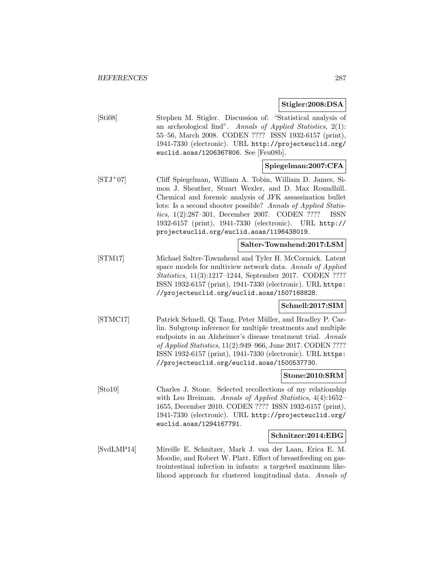**Stigler:2008:DSA**

| [Sti08]    | Stephen M. Stigler. Discussion of: "Statistical analysis of<br>an archeological find". Annals of Applied Statistics, $2(1)$ :<br>55-56, March 2008. CODEN ???? ISSN 1932-6157 (print),<br>1941-7330 (electronic). URL http://projecteuclid.org/<br>euclid.aoas/1206367806. See [Feu08b].                                                                                                                             |
|------------|----------------------------------------------------------------------------------------------------------------------------------------------------------------------------------------------------------------------------------------------------------------------------------------------------------------------------------------------------------------------------------------------------------------------|
|            | Spiegelman:2007:CFA                                                                                                                                                                                                                                                                                                                                                                                                  |
| $[STJ+07]$ | Cliff Spiegelman, William A. Tobin, William D. James, Si-<br>mon J. Sheather, Stuart Wexler, and D. Max Roundhill.<br>Chemical and forensic analysis of JFK assassination bullet<br>lots: Is a second shooter possible? Annals of Applied Statis-<br>tics, 1(2):287-301, December 2007. CODEN ????<br>ISSN<br>1932-6157 (print), 1941-7330 (electronic).<br>URL http://<br>projecteuclid.org/euclid.aoas/1196438019. |
|            | Salter-Townshend:2017:LSM                                                                                                                                                                                                                                                                                                                                                                                            |
| STM17      | Michael Salter-Townshend and Tyler H. McCormick. Latent<br>space models for multiview network data. Annals of Applied<br>Statistics, 11(3):1217-1244, September 2017. CODEN ????<br>ISSN 1932-6157 (print), 1941-7330 (electronic). URL https:<br>//projecteuclid.org/euclid.aoas/1507168828.                                                                                                                        |
|            | Schnell:2017:SIM                                                                                                                                                                                                                                                                                                                                                                                                     |
| [STMC17]   | Patrick Schnell, Qi Tang, Peter Müller, and Bradley P. Car-<br>lin. Subgroup inference for multiple treatments and multiple<br>endpoints in an Alzheimer's disease treatment trial. Annals<br>of Applied Statistics, 11(2):949–966, June 2017. CODEN ????<br>ISSN 1932-6157 (print), 1941-7330 (electronic). URL https:<br>//projecteuclid.org/euclid.aoas/1500537730.                                               |
|            | Stone:2010:SRM                                                                                                                                                                                                                                                                                                                                                                                                       |
| [Sto10]    | Charles J. Stone. Selected recollections of my relationship<br>with Leo Breiman. Annals of Applied Statistics, 4(4):1652-<br>1655, December 2010. CODEN ???? ISSN 1932-6157 (print),<br>1941-7330 (electronic). URL http://projecteuclid.org/<br>euclid.aoas/1294167791.                                                                                                                                             |
|            | Schnitzer:2014:EBG                                                                                                                                                                                                                                                                                                                                                                                                   |
| [SvdLMP14] | Mireille E. Schnitzer, Mark J. van der Laan, Erica E. M.<br>Moodie, and Robert W. Platt. Effect of breastfeeding on gas-<br>trointestinal infection in infants: a targeted maximum like-<br>lihood approach for clustered longitudinal data. Annals of                                                                                                                                                               |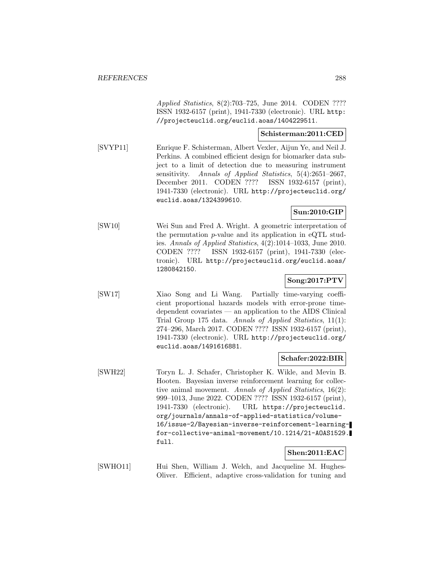Applied Statistics, 8(2):703–725, June 2014. CODEN ???? ISSN 1932-6157 (print), 1941-7330 (electronic). URL http: //projecteuclid.org/euclid.aoas/1404229511.

#### **Schisterman:2011:CED**

[SVYP11] Enrique F. Schisterman, Albert Vexler, Aijun Ye, and Neil J. Perkins. A combined efficient design for biomarker data subject to a limit of detection due to measuring instrument sensitivity. Annals of Applied Statistics, 5(4):2651–2667, December 2011. CODEN ???? ISSN 1932-6157 (print), 1941-7330 (electronic). URL http://projecteuclid.org/ euclid.aoas/1324399610.

# **Sun:2010:GIP**

[SW10] Wei Sun and Fred A. Wright. A geometric interpretation of the permutation  $p$ -value and its application in eQTL studies. Annals of Applied Statistics, 4(2):1014–1033, June 2010. CODEN ???? ISSN 1932-6157 (print), 1941-7330 (electronic). URL http://projecteuclid.org/euclid.aoas/ 1280842150.

# **Song:2017:PTV**

[SW17] Xiao Song and Li Wang. Partially time-varying coefficient proportional hazards models with error-prone timedependent covariates — an application to the AIDS Clinical Trial Group 175 data. Annals of Applied Statistics, 11(1): 274–296, March 2017. CODEN ???? ISSN 1932-6157 (print), 1941-7330 (electronic). URL http://projecteuclid.org/ euclid.aoas/1491616881.

# **Schafer:2022:BIR**

[SWH22] Toryn L. J. Schafer, Christopher K. Wikle, and Mevin B. Hooten. Bayesian inverse reinforcement learning for collective animal movement. Annals of Applied Statistics, 16(2): 999–1013, June 2022. CODEN ???? ISSN 1932-6157 (print), 1941-7330 (electronic). URL https://projecteuclid. org/journals/annals-of-applied-statistics/volume-16/issue-2/Bayesian-inverse-reinforcement-learningfor-collective-animal-movement/10.1214/21-AOAS1529. full.

# **Shen:2011:EAC**

[SWHO11] Hui Shen, William J. Welch, and Jacqueline M. Hughes-Oliver. Efficient, adaptive cross-validation for tuning and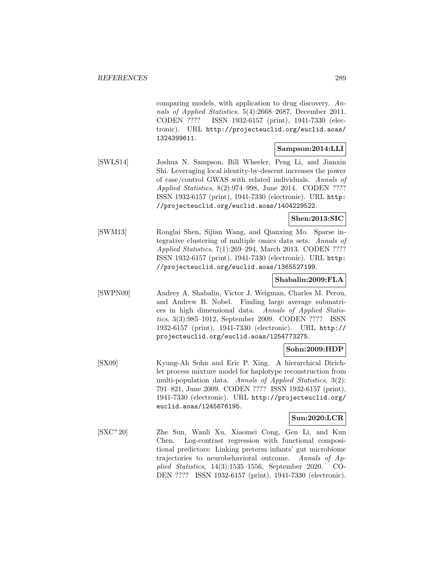comparing models, with application to drug discovery. Annals of Applied Statistics, 5(4):2668–2687, December 2011. CODEN ???? ISSN 1932-6157 (print), 1941-7330 (electronic). URL http://projecteuclid.org/euclid.aoas/ 1324399611.

### **Sampson:2014:LLI**

[SWLS14] Joshua N. Sampson, Bill Wheeler, Peng Li, and Jianxin Shi. Leveraging local identity-by-descent increases the power of case/control GWAS with related individuals. Annals of Applied Statistics, 8(2):974–998, June 2014. CODEN ???? ISSN 1932-6157 (print), 1941-7330 (electronic). URL http: //projecteuclid.org/euclid.aoas/1404229522.

**Shen:2013:SIC**

[SWM13] Ronglai Shen, Sijian Wang, and Qianxing Mo. Sparse integrative clustering of multiple omics data sets. Annals of Applied Statistics, 7(1):269–294, March 2013. CODEN ???? ISSN 1932-6157 (print), 1941-7330 (electronic). URL http: //projecteuclid.org/euclid.aoas/1365527199.

#### **Shabalin:2009:FLA**

[SWPN09] Andrey A. Shabalin, Victor J. Weigman, Charles M. Perou, and Andrew B. Nobel. Finding large average submatrices in high dimensional data. Annals of Applied Statistics, 3(3):985–1012, September 2009. CODEN ???? ISSN 1932-6157 (print), 1941-7330 (electronic). URL http:// projecteuclid.org/euclid.aoas/1254773275.

### **Sohn:2009:HDP**

[SX09] Kyung-Ah Sohn and Eric P. Xing. A hierarchical Dirichlet process mixture model for haplotype reconstruction from multi-population data. Annals of Applied Statistics, 3(2): 791–821, June 2009. CODEN ???? ISSN 1932-6157 (print), 1941-7330 (electronic). URL http://projecteuclid.org/ euclid.aoas/1245676195.

#### **Sun:2020:LCR**

[SXC<sup>+</sup>20] Zhe Sun, Wanli Xu, Xiaomei Cong, Gen Li, and Kun Chen. Log-contrast regression with functional compositional predictors: Linking preterm infants' gut microbiome trajectories to neurobehavioral outcome. Annals of Applied Statistics, 14(3):1535–1556, September 2020. CO-DEN ???? ISSN 1932-6157 (print), 1941-7330 (electronic).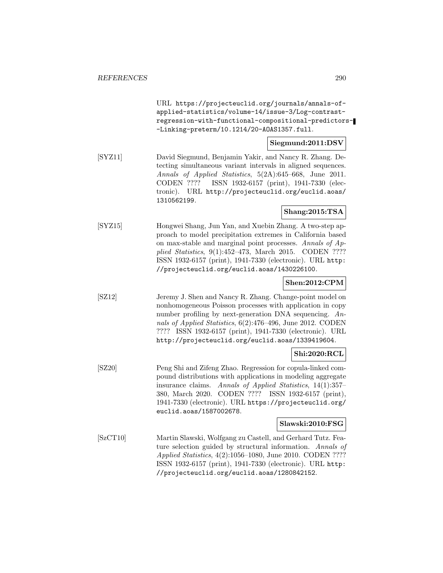URL https://projecteuclid.org/journals/annals-ofapplied-statistics/volume-14/issue-3/Log-contrastregression-with-functional-compositional-predictors- -Linking-preterm/10.1214/20-AOAS1357.full.

### **Siegmund:2011:DSV**

[SYZ11] David Siegmund, Benjamin Yakir, and Nancy R. Zhang. Detecting simultaneous variant intervals in aligned sequences. Annals of Applied Statistics, 5(2A):645–668, June 2011. CODEN ???? ISSN 1932-6157 (print), 1941-7330 (electronic). URL http://projecteuclid.org/euclid.aoas/ 1310562199.

# **Shang:2015:TSA**

[SYZ15] Hongwei Shang, Jun Yan, and Xuebin Zhang. A two-step approach to model precipitation extremes in California based on max-stable and marginal point processes. Annals of Applied Statistics, 9(1):452–473, March 2015. CODEN ???? ISSN 1932-6157 (print), 1941-7330 (electronic). URL http: //projecteuclid.org/euclid.aoas/1430226100.

### **Shen:2012:CPM**

[SZ12] Jeremy J. Shen and Nancy R. Zhang. Change-point model on nonhomogeneous Poisson processes with application in copy number profiling by next-generation DNA sequencing. Annals of Applied Statistics, 6(2):476–496, June 2012. CODEN ???? ISSN 1932-6157 (print), 1941-7330 (electronic). URL http://projecteuclid.org/euclid.aoas/1339419604.

# **Shi:2020:RCL**

[SZ20] Peng Shi and Zifeng Zhao. Regression for copula-linked compound distributions with applications in modeling aggregate insurance claims. Annals of Applied Statistics, 14(1):357– 380, March 2020. CODEN ???? ISSN 1932-6157 (print), 1941-7330 (electronic). URL https://projecteuclid.org/ euclid.aoas/1587002678.

#### **Slawski:2010:FSG**

[SzCT10] Martin Slawski, Wolfgang zu Castell, and Gerhard Tutz. Feature selection guided by structural information. Annals of Applied Statistics, 4(2):1056–1080, June 2010. CODEN ???? ISSN 1932-6157 (print), 1941-7330 (electronic). URL http: //projecteuclid.org/euclid.aoas/1280842152.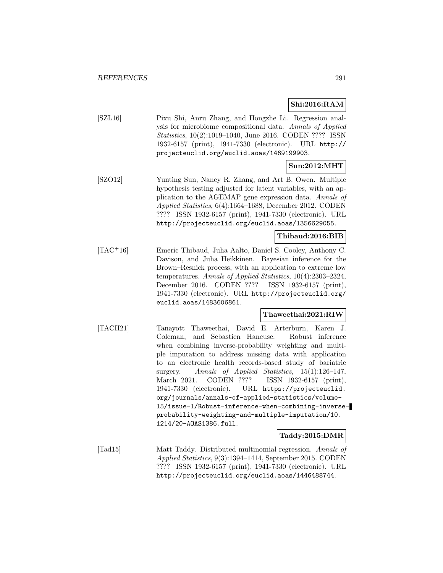**Shi:2016:RAM**

[SZL16] Pixu Shi, Anru Zhang, and Hongzhe Li. Regression analysis for microbiome compositional data. Annals of Applied Statistics, 10(2):1019–1040, June 2016. CODEN ???? ISSN 1932-6157 (print), 1941-7330 (electronic). URL http:// projecteuclid.org/euclid.aoas/1469199903.

# **Sun:2012:MHT**

[SZO12] Yunting Sun, Nancy R. Zhang, and Art B. Owen. Multiple hypothesis testing adjusted for latent variables, with an application to the AGEMAP gene expression data. Annals of Applied Statistics, 6(4):1664–1688, December 2012. CODEN ???? ISSN 1932-6157 (print), 1941-7330 (electronic). URL http://projecteuclid.org/euclid.aoas/1356629055.

### **Thibaud:2016:BIB**

[TAC<sup>+</sup>16] Emeric Thibaud, Juha Aalto, Daniel S. Cooley, Anthony C. Davison, and Juha Heikkinen. Bayesian inference for the Brown–Resnick process, with an application to extreme low temperatures. Annals of Applied Statistics, 10(4):2303–2324, December 2016. CODEN ???? ISSN 1932-6157 (print), 1941-7330 (electronic). URL http://projecteuclid.org/ euclid.aoas/1483606861.

#### **Thaweethai:2021:RIW**

[TACH21] Tanayott Thaweethai, David E. Arterburn, Karen J. Coleman, and Sebastien Haneuse. Robust inference when combining inverse-probability weighting and multiple imputation to address missing data with application to an electronic health records-based study of bariatric surgery. Annals of Applied Statistics, 15(1):126–147, March 2021. CODEN ???? ISSN 1932-6157 (print), 1941-7330 (electronic). URL https://projecteuclid. org/journals/annals-of-applied-statistics/volume-15/issue-1/Robust-inference-when-combining-inverseprobability-weighting-and-multiple-imputation/10. 1214/20-AOAS1386.full.

#### **Taddy:2015:DMR**

[Tad15] Matt Taddy. Distributed multinomial regression. Annals of Applied Statistics, 9(3):1394–1414, September 2015. CODEN ???? ISSN 1932-6157 (print), 1941-7330 (electronic). URL http://projecteuclid.org/euclid.aoas/1446488744.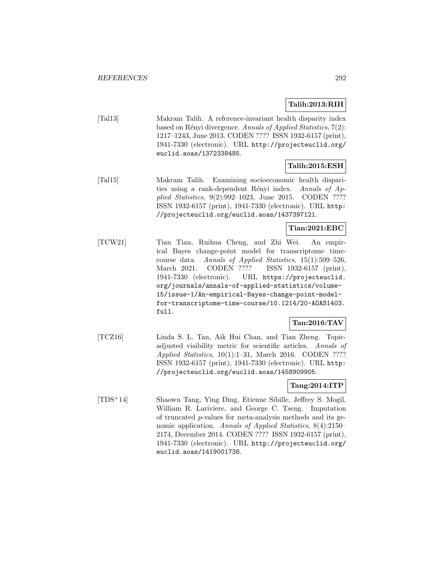### **Talih:2013:RIH**

[Tal13] Makram Talih. A reference-invariant health disparity index based on Rényi divergence. Annals of Applied Statistics,  $7(2)$ : 1217–1243, June 2013. CODEN ???? ISSN 1932-6157 (print), 1941-7330 (electronic). URL http://projecteuclid.org/ euclid.aoas/1372338485.

### **Talih:2015:ESH**

[Tal15] Makram Talih. Examining socioeconomic health disparities using a rank-dependent Rényi index. Annals of  $Ap$ plied Statistics, 9(2):992–1023, June 2015. CODEN ???? ISSN 1932-6157 (print), 1941-7330 (electronic). URL http: //projecteuclid.org/euclid.aoas/1437397121.

### **Tian:2021:EBC**

[TCW21] Tian Tian, Ruihua Cheng, and Zhi Wei. An empirical Bayes change-point model for transcriptome timecourse data. Annals of Applied Statistics, 15(1):509–526, March 2021. CODEN ???? ISSN 1932-6157 (print), 1941-7330 (electronic). URL https://projecteuclid. org/journals/annals-of-applied-statistics/volume-15/issue-1/An-empirical-Bayes-change-point-modelfor-transcriptome-time-course/10.1214/20-AOAS1403. full.

# **Tan:2016:TAV**

[TCZ16] Linda S. L. Tan, Aik Hui Chan, and Tian Zheng. Topicadjusted visibility metric for scientific articles. Annals of Applied Statistics, 10(1):1–31, March 2016. CODEN ???? ISSN 1932-6157 (print), 1941-7330 (electronic). URL http: //projecteuclid.org/euclid.aoas/1458909905.

### **Tang:2014:ITP**

[TDS<sup>+</sup>14] Shaowu Tang, Ying Ding, Etienne Sibille, Jeffrey S. Mogil, William R. Lariviere, and George C. Tseng. Imputation of truncated p-values for meta-analysis methods and its genomic application. Annals of Applied Statistics, 8(4):2150– 2174, December 2014. CODEN ???? ISSN 1932-6157 (print), 1941-7330 (electronic). URL http://projecteuclid.org/ euclid.aoas/1419001738.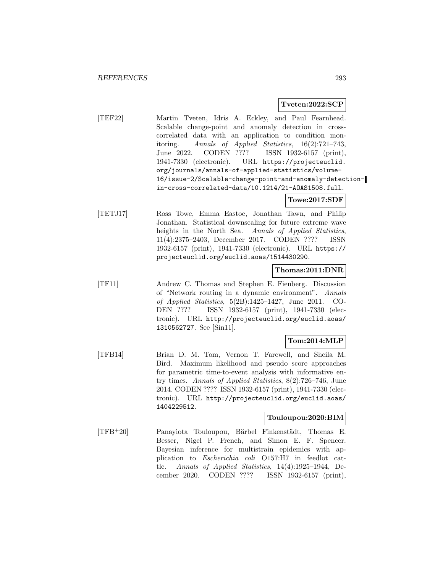#### **Tveten:2022:SCP**

[TEF22] Martin Tveten, Idris A. Eckley, and Paul Fearnhead. Scalable change-point and anomaly detection in crosscorrelated data with an application to condition monitoring. Annals of Applied Statistics, 16(2):721–743, June 2022. CODEN ???? ISSN 1932-6157 (print), 1941-7330 (electronic). URL https://projecteuclid. org/journals/annals-of-applied-statistics/volume-16/issue-2/Scalable-change-point-and-anomaly-detectionin-cross-correlated-data/10.1214/21-AOAS1508.full.

#### **Towe:2017:SDF**

[TETJ17] Ross Towe, Emma Eastoe, Jonathan Tawn, and Philip Jonathan. Statistical downscaling for future extreme wave heights in the North Sea. Annals of Applied Statistics, 11(4):2375–2403, December 2017. CODEN ???? ISSN 1932-6157 (print), 1941-7330 (electronic). URL https:// projecteuclid.org/euclid.aoas/1514430290.

#### **Thomas:2011:DNR**

[TF11] Andrew C. Thomas and Stephen E. Fienberg. Discussion of "Network routing in a dynamic environment". Annals of Applied Statistics, 5(2B):1425–1427, June 2011. CO-DEN ???? ISSN 1932-6157 (print), 1941-7330 (electronic). URL http://projecteuclid.org/euclid.aoas/ 1310562727. See [Sin11].

#### **Tom:2014:MLP**

[TFB14] Brian D. M. Tom, Vernon T. Farewell, and Sheila M. Bird. Maximum likelihood and pseudo score approaches for parametric time-to-event analysis with informative entry times. Annals of Applied Statistics, 8(2):726–746, June 2014. CODEN ???? ISSN 1932-6157 (print), 1941-7330 (electronic). URL http://projecteuclid.org/euclid.aoas/ 1404229512.

### **Touloupou:2020:BIM**

[TFB<sup>+</sup>20] Panayiota Touloupou, Bärbel Finkenstädt, Thomas E. Besser, Nigel P. French, and Simon E. F. Spencer. Bayesian inference for multistrain epidemics with application to Escherichia coli O157:H7 in feedlot cattle. Annals of Applied Statistics, 14(4):1925–1944, December 2020. CODEN ???? ISSN 1932-6157 (print),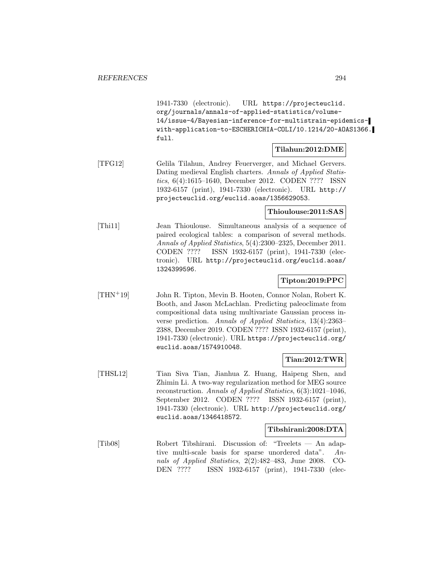1941-7330 (electronic). URL https://projecteuclid. org/journals/annals-of-applied-statistics/volume-14/issue-4/Bayesian-inference-for-multistrain-epidemicswith-application-to-ESCHERICHIA-COLI/10.1214/20-AOAS1366. full.

#### **Tilahun:2012:DME**

[TFG12] Gelila Tilahun, Andrey Feuerverger, and Michael Gervers. Dating medieval English charters. Annals of Applied Statistics, 6(4):1615–1640, December 2012. CODEN ???? ISSN 1932-6157 (print), 1941-7330 (electronic). URL http:// projecteuclid.org/euclid.aoas/1356629053.

**Thioulouse:2011:SAS**

[Thi11] Jean Thioulouse. Simultaneous analysis of a sequence of paired ecological tables: a comparison of several methods. Annals of Applied Statistics, 5(4):2300–2325, December 2011. CODEN ???? ISSN 1932-6157 (print), 1941-7330 (electronic). URL http://projecteuclid.org/euclid.aoas/ 1324399596.

### **Tipton:2019:PPC**

[THN<sup>+</sup>19] John R. Tipton, Mevin B. Hooten, Connor Nolan, Robert K. Booth, and Jason McLachlan. Predicting paleoclimate from compositional data using multivariate Gaussian process inverse prediction. Annals of Applied Statistics, 13(4):2363– 2388, December 2019. CODEN ???? ISSN 1932-6157 (print), 1941-7330 (electronic). URL https://projecteuclid.org/ euclid.aoas/1574910048.

#### **Tian:2012:TWR**

[THSL12] Tian Siva Tian, Jianhua Z. Huang, Haipeng Shen, and Zhimin Li. A two-way regularization method for MEG source reconstruction. Annals of Applied Statistics, 6(3):1021–1046, September 2012. CODEN ???? ISSN 1932-6157 (print), 1941-7330 (electronic). URL http://projecteuclid.org/ euclid.aoas/1346418572.

#### **Tibshirani:2008:DTA**

[Tib08] Robert Tibshirani. Discussion of: "Treelets — An adaptive multi-scale basis for sparse unordered data". Annals of Applied Statistics, 2(2):482–483, June 2008. CO-DEN ???? ISSN 1932-6157 (print), 1941-7330 (elec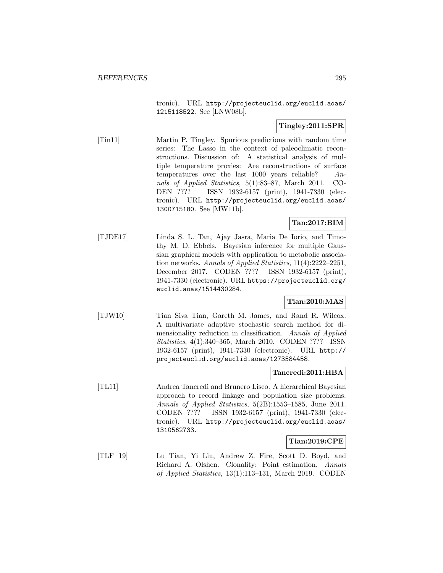tronic). URL http://projecteuclid.org/euclid.aoas/ 1215118522. See [LNW08b].

### **Tingley:2011:SPR**

[Tin11] Martin P. Tingley. Spurious predictions with random time series: The Lasso in the context of paleoclimatic reconstructions. Discussion of: A statistical analysis of multiple temperature proxies: Are reconstructions of surface temperatures over the last  $1000$  years reliable?  $An$ nals of Applied Statistics, 5(1):83–87, March 2011. CO-DEN ???? ISSN 1932-6157 (print), 1941-7330 (electronic). URL http://projecteuclid.org/euclid.aoas/ 1300715180. See [MW11b].

# **Tan:2017:BIM**

[TJDE17] Linda S. L. Tan, Ajay Jasra, Maria De Iorio, and Timothy M. D. Ebbels. Bayesian inference for multiple Gaussian graphical models with application to metabolic association networks. Annals of Applied Statistics, 11(4):2222–2251, December 2017. CODEN ???? ISSN 1932-6157 (print), 1941-7330 (electronic). URL https://projecteuclid.org/ euclid.aoas/1514430284.

### **Tian:2010:MAS**

[TJW10] Tian Siva Tian, Gareth M. James, and Rand R. Wilcox. A multivariate adaptive stochastic search method for dimensionality reduction in classification. Annals of Applied Statistics, 4(1):340–365, March 2010. CODEN ???? ISSN 1932-6157 (print), 1941-7330 (electronic). URL http:// projecteuclid.org/euclid.aoas/1273584458.

# **Tancredi:2011:HBA**

[TL11] Andrea Tancredi and Brunero Liseo. A hierarchical Bayesian approach to record linkage and population size problems. Annals of Applied Statistics, 5(2B):1553–1585, June 2011. CODEN ???? ISSN 1932-6157 (print), 1941-7330 (electronic). URL http://projecteuclid.org/euclid.aoas/ 1310562733.

# **Tian:2019:CPE**

[TLF<sup>+</sup>19] Lu Tian, Yi Liu, Andrew Z. Fire, Scott D. Boyd, and Richard A. Olshen. Clonality: Point estimation. Annals of Applied Statistics, 13(1):113–131, March 2019. CODEN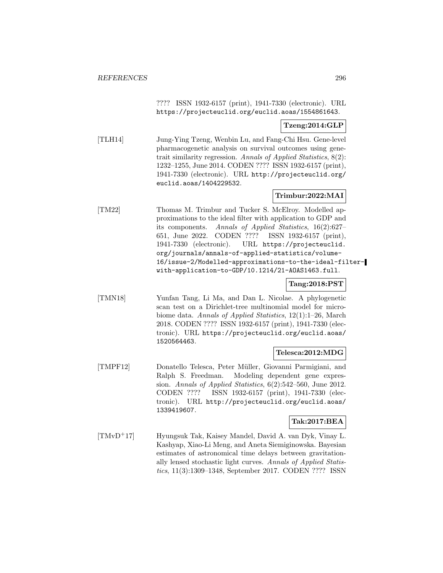???? ISSN 1932-6157 (print), 1941-7330 (electronic). URL https://projecteuclid.org/euclid.aoas/1554861643.

### **Tzeng:2014:GLP**

[TLH14] Jung-Ying Tzeng, Wenbin Lu, and Fang-Chi Hsu. Gene-level pharmacogenetic analysis on survival outcomes using genetrait similarity regression. Annals of Applied Statistics, 8(2): 1232–1255, June 2014. CODEN ???? ISSN 1932-6157 (print), 1941-7330 (electronic). URL http://projecteuclid.org/ euclid.aoas/1404229532.

# **Trimbur:2022:MAI**

[TM22] Thomas M. Trimbur and Tucker S. McElroy. Modelled approximations to the ideal filter with application to GDP and its components. Annals of Applied Statistics, 16(2):627– 651, June 2022. CODEN ???? ISSN 1932-6157 (print), 1941-7330 (electronic). URL https://projecteuclid. org/journals/annals-of-applied-statistics/volume-16/issue-2/Modelled-approximations-to-the-ideal-filterwith-application-to-GDP/10.1214/21-AOAS1463.full.

# **Tang:2018:PST**

[TMN18] Yunfan Tang, Li Ma, and Dan L. Nicolae. A phylogenetic scan test on a Dirichlet-tree multinomial model for microbiome data. Annals of Applied Statistics, 12(1):1–26, March 2018. CODEN ???? ISSN 1932-6157 (print), 1941-7330 (electronic). URL https://projecteuclid.org/euclid.aoas/ 1520564463.

#### **Telesca:2012:MDG**

[TMPF12] Donatello Telesca, Peter M¨uller, Giovanni Parmigiani, and Ralph S. Freedman. Modeling dependent gene expression. Annals of Applied Statistics, 6(2):542–560, June 2012. CODEN ???? ISSN 1932-6157 (print), 1941-7330 (electronic). URL http://projecteuclid.org/euclid.aoas/ 1339419607.

### **Tak:2017:BEA**

[TMvD<sup>+</sup>17] Hyungsuk Tak, Kaisey Mandel, David A. van Dyk, Vinay L. Kashyap, Xiao-Li Meng, and Aneta Siemiginowska. Bayesian estimates of astronomical time delays between gravitationally lensed stochastic light curves. Annals of Applied Statistics, 11(3):1309–1348, September 2017. CODEN ???? ISSN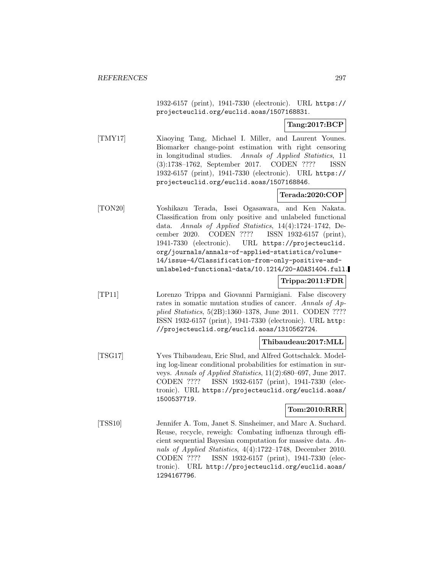1932-6157 (print), 1941-7330 (electronic). URL https:// projecteuclid.org/euclid.aoas/1507168831.

**Tang:2017:BCP**

[TMY17] Xiaoying Tang, Michael I. Miller, and Laurent Younes. Biomarker change-point estimation with right censoring in longitudinal studies. Annals of Applied Statistics, 11 (3):1738–1762, September 2017. CODEN ???? ISSN 1932-6157 (print), 1941-7330 (electronic). URL https:// projecteuclid.org/euclid.aoas/1507168846.

# **Terada:2020:COP**

[TON20] Yoshikazu Terada, Issei Ogasawara, and Ken Nakata. Classification from only positive and unlabeled functional data. Annals of Applied Statistics, 14(4):1724–1742, December 2020. CODEN ???? ISSN 1932-6157 (print), 1941-7330 (electronic). URL https://projecteuclid. org/journals/annals-of-applied-statistics/volume-14/issue-4/Classification-from-only-positive-andunlabeled-functional-data/10.1214/20-AOAS1404.full.

**Trippa:2011:FDR**

[TP11] Lorenzo Trippa and Giovanni Parmigiani. False discovery rates in somatic mutation studies of cancer. Annals of Applied Statistics, 5(2B):1360–1378, June 2011. CODEN ???? ISSN 1932-6157 (print), 1941-7330 (electronic). URL http: //projecteuclid.org/euclid.aoas/1310562724.

**Thibaudeau:2017:MLL**

[TSG17] Yves Thibaudeau, Eric Slud, and Alfred Gottschalck. Modeling log-linear conditional probabilities for estimation in surveys. Annals of Applied Statistics, 11(2):680–697, June 2017. CODEN ???? ISSN 1932-6157 (print), 1941-7330 (electronic). URL https://projecteuclid.org/euclid.aoas/ 1500537719.

#### **Tom:2010:RRR**

[TSS10] Jennifer A. Tom, Janet S. Sinsheimer, and Marc A. Suchard. Reuse, recycle, reweigh: Combating influenza through efficient sequential Bayesian computation for massive data. Annals of Applied Statistics, 4(4):1722–1748, December 2010. CODEN ???? ISSN 1932-6157 (print), 1941-7330 (electronic). URL http://projecteuclid.org/euclid.aoas/ 1294167796.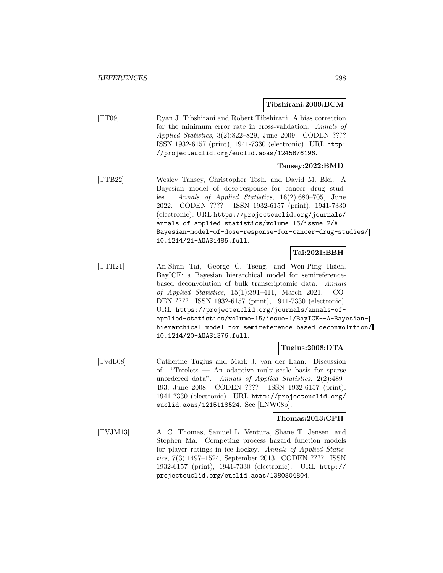#### **Tibshirani:2009:BCM**

[TT09] Ryan J. Tibshirani and Robert Tibshirani. A bias correction for the minimum error rate in cross-validation. Annals of Applied Statistics, 3(2):822–829, June 2009. CODEN ???? ISSN 1932-6157 (print), 1941-7330 (electronic). URL http: //projecteuclid.org/euclid.aoas/1245676196.

# **Tansey:2022:BMD**

[TTB22] Wesley Tansey, Christopher Tosh, and David M. Blei. A Bayesian model of dose-response for cancer drug studies. Annals of Applied Statistics, 16(2):680–705, June 2022. CODEN ???? ISSN 1932-6157 (print), 1941-7330 (electronic). URL https://projecteuclid.org/journals/ annals-of-applied-statistics/volume-16/issue-2/A-Bayesian-model-of-dose-response-for-cancer-drug-studies/ 10.1214/21-AOAS1485.full.

### **Tai:2021:BBH**

[TTH21] An-Shun Tai, George C. Tseng, and Wen-Ping Hsieh. BayICE: a Bayesian hierarchical model for semireferencebased deconvolution of bulk transcriptomic data. Annals of Applied Statistics, 15(1):391–411, March 2021. CO-DEN ???? ISSN 1932-6157 (print), 1941-7330 (electronic). URL https://projecteuclid.org/journals/annals-ofapplied-statistics/volume-15/issue-1/BayICE--A-Bayesianhierarchical-model-for-semireference-based-deconvolution/ 10.1214/20-AOAS1376.full.

#### **Tuglus:2008:DTA**

[TvdL08] Catherine Tuglus and Mark J. van der Laan. Discussion of: "Treelets — An adaptive multi-scale basis for sparse unordered data". Annals of Applied Statistics, 2(2):489– 493, June 2008. CODEN ???? ISSN 1932-6157 (print), 1941-7330 (electronic). URL http://projecteuclid.org/ euclid.aoas/1215118524. See [LNW08b].

#### **Thomas:2013:CPH**

[TVJM13] A. C. Thomas, Samuel L. Ventura, Shane T. Jensen, and Stephen Ma. Competing process hazard function models for player ratings in ice hockey. Annals of Applied Statistics, 7(3):1497–1524, September 2013. CODEN ???? ISSN 1932-6157 (print), 1941-7330 (electronic). URL http:// projecteuclid.org/euclid.aoas/1380804804.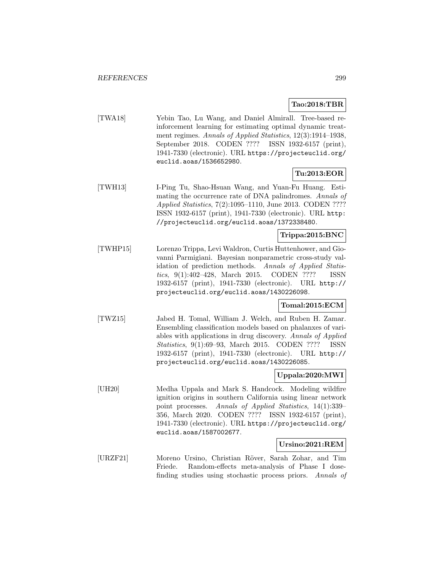# **Tao:2018:TBR**

[TWA18] Yebin Tao, Lu Wang, and Daniel Almirall. Tree-based reinforcement learning for estimating optimal dynamic treatment regimes. Annals of Applied Statistics, 12(3):1914–1938, September 2018. CODEN ???? ISSN 1932-6157 (print), 1941-7330 (electronic). URL https://projecteuclid.org/ euclid.aoas/1536652980.

# **Tu:2013:EOR**

[TWH13] I-Ping Tu, Shao-Hsuan Wang, and Yuan-Fu Huang. Estimating the occurrence rate of DNA palindromes. Annals of Applied Statistics, 7(2):1095–1110, June 2013. CODEN ???? ISSN 1932-6157 (print), 1941-7330 (electronic). URL http: //projecteuclid.org/euclid.aoas/1372338480.

# **Trippa:2015:BNC**

[TWHP15] Lorenzo Trippa, Levi Waldron, Curtis Huttenhower, and Giovanni Parmigiani. Bayesian nonparametric cross-study validation of prediction methods. Annals of Applied Statistics, 9(1):402–428, March 2015. CODEN ???? ISSN 1932-6157 (print), 1941-7330 (electronic). URL http:// projecteuclid.org/euclid.aoas/1430226098.

# **Tomal:2015:ECM**

[TWZ15] Jabed H. Tomal, William J. Welch, and Ruben H. Zamar. Ensembling classification models based on phalanxes of variables with applications in drug discovery. Annals of Applied Statistics, 9(1):69–93, March 2015. CODEN ???? ISSN 1932-6157 (print), 1941-7330 (electronic). URL http:// projecteuclid.org/euclid.aoas/1430226085.

### **Uppala:2020:MWI**

[UH20] Medha Uppala and Mark S. Handcock. Modeling wildfire ignition origins in southern California using linear network point processes. Annals of Applied Statistics, 14(1):339– 356, March 2020. CODEN ???? ISSN 1932-6157 (print), 1941-7330 (electronic). URL https://projecteuclid.org/ euclid.aoas/1587002677.

#### **Ursino:2021:REM**

[URZF21] Moreno Ursino, Christian Röver, Sarah Zohar, and Tim Friede. Random-effects meta-analysis of Phase I dosefinding studies using stochastic process priors. Annals of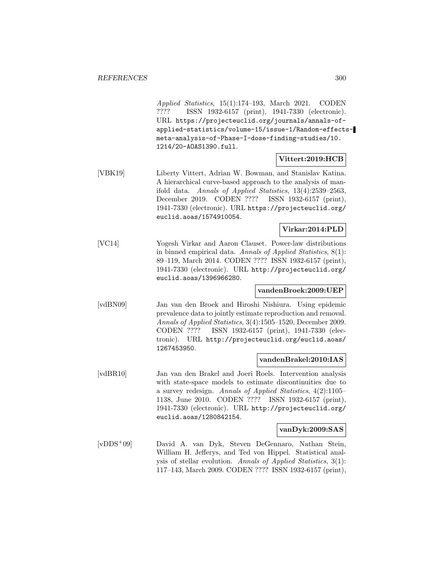Applied Statistics, 15(1):174–193, March 2021. CODEN ???? ISSN 1932-6157 (print), 1941-7330 (electronic). URL https://projecteuclid.org/journals/annals-ofapplied-statistics/volume-15/issue-1/Random-effectsmeta-analysis-of-Phase-I-dose-finding-studies/10. 1214/20-AOAS1390.full.

#### **Vittert:2019:HCB**

[VBK19] Liberty Vittert, Adrian W. Bowman, and Stanislav Katina. A hierarchical curve-based approach to the analysis of manifold data. Annals of Applied Statistics, 13(4):2539–2563, December 2019. CODEN ???? ISSN 1932-6157 (print), 1941-7330 (electronic). URL https://projecteuclid.org/ euclid.aoas/1574910054.

# **Virkar:2014:PLD**

[VC14] Yogesh Virkar and Aaron Clauset. Power-law distributions in binned empirical data. Annals of Applied Statistics, 8(1): 89–119, March 2014. CODEN ???? ISSN 1932-6157 (print), 1941-7330 (electronic). URL http://projecteuclid.org/ euclid.aoas/1396966280.

#### **vandenBroek:2009:UEP**

[vdBN09] Jan van den Broek and Hiroshi Nishiura. Using epidemic prevalence data to jointly estimate reproduction and removal. Annals of Applied Statistics, 3(4):1505–1520, December 2009. CODEN ???? ISSN 1932-6157 (print), 1941-7330 (electronic). URL http://projecteuclid.org/euclid.aoas/ 1267453950.

#### **vandenBrakel:2010:IAS**

[vdBR10] Jan van den Brakel and Joeri Roels. Intervention analysis with state-space models to estimate discontinuities due to a survey redesign. Annals of Applied Statistics, 4(2):1105– 1138, June 2010. CODEN ???? ISSN 1932-6157 (print), 1941-7330 (electronic). URL http://projecteuclid.org/ euclid.aoas/1280842154.

### **vanDyk:2009:SAS**

[vDDS<sup>+</sup>09] David A. van Dyk, Steven DeGennaro, Nathan Stein, William H. Jefferys, and Ted von Hippel. Statistical analysis of stellar evolution. Annals of Applied Statistics, 3(1): 117–143, March 2009. CODEN ???? ISSN 1932-6157 (print),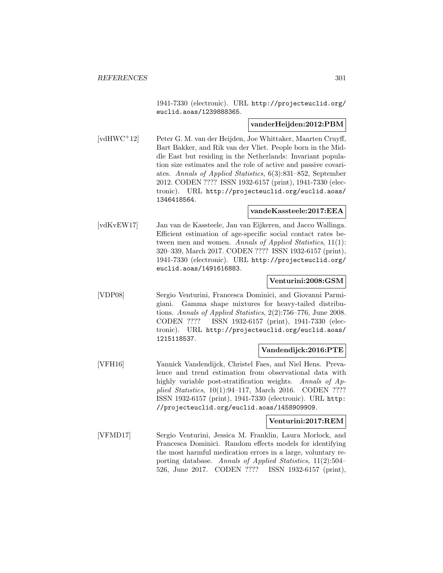1941-7330 (electronic). URL http://projecteuclid.org/ euclid.aoas/1239888365.

### **vanderHeijden:2012:PBM**

[vdHWC<sup>+</sup>12] Peter G. M. van der Heijden, Joe Whittaker, Maarten Cruyff, Bart Bakker, and Rik van der Vliet. People born in the Middle East but residing in the Netherlands: Invariant population size estimates and the role of active and passive covariates. Annals of Applied Statistics, 6(3):831–852, September 2012. CODEN ???? ISSN 1932-6157 (print), 1941-7330 (electronic). URL http://projecteuclid.org/euclid.aoas/ 1346418564.

#### **vandeKassteele:2017:EEA**

[vdKvEW17] Jan van de Kassteele, Jan van Eijkeren, and Jacco Wallinga. Efficient estimation of age-specific social contact rates between men and women. Annals of Applied Statistics, 11(1): 320–339, March 2017. CODEN ???? ISSN 1932-6157 (print), 1941-7330 (electronic). URL http://projecteuclid.org/ euclid.aoas/1491616883.

#### **Venturini:2008:GSM**

[VDP08] Sergio Venturini, Francesca Dominici, and Giovanni Parmigiani. Gamma shape mixtures for heavy-tailed distributions. Annals of Applied Statistics, 2(2):756–776, June 2008. CODEN ???? ISSN 1932-6157 (print), 1941-7330 (electronic). URL http://projecteuclid.org/euclid.aoas/ 1215118537.

### **Vandendijck:2016:PTE**

[VFH16] Yannick Vandendijck, Christel Faes, and Niel Hens. Prevalence and trend estimation from observational data with highly variable post-stratification weights. Annals of Applied Statistics, 10(1):94–117, March 2016. CODEN ???? ISSN 1932-6157 (print), 1941-7330 (electronic). URL http: //projecteuclid.org/euclid.aoas/1458909909.

#### **Venturini:2017:REM**

[VFMD17] Sergio Venturini, Jessica M. Franklin, Laura Morlock, and Francesca Dominici. Random effects models for identifying the most harmful medication errors in a large, voluntary reporting database. Annals of Applied Statistics, 11(2):504– 526, June 2017. CODEN ???? ISSN 1932-6157 (print),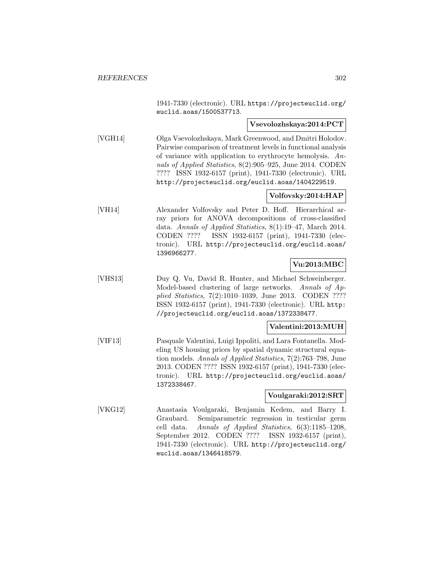1941-7330 (electronic). URL https://projecteuclid.org/ euclid.aoas/1500537713.

#### **Vsevolozhskaya:2014:PCT**

[VGH14] Olga Vsevolozhskaya, Mark Greenwood, and Dmitri Holodov. Pairwise comparison of treatment levels in functional analysis of variance with application to erythrocyte hemolysis. Annals of Applied Statistics, 8(2):905–925, June 2014. CODEN ???? ISSN 1932-6157 (print), 1941-7330 (electronic). URL http://projecteuclid.org/euclid.aoas/1404229519.

### **Volfovsky:2014:HAP**

[VH14] Alexander Volfovsky and Peter D. Hoff. Hierarchical array priors for ANOVA decompositions of cross-classified data. Annals of Applied Statistics, 8(1):19–47, March 2014. CODEN ???? ISSN 1932-6157 (print), 1941-7330 (electronic). URL http://projecteuclid.org/euclid.aoas/ 1396966277.

#### **Vu:2013:MBC**

[VHS13] Duy Q. Vu, David R. Hunter, and Michael Schweinberger. Model-based clustering of large networks. Annals of Applied Statistics, 7(2):1010–1039, June 2013. CODEN ???? ISSN 1932-6157 (print), 1941-7330 (electronic). URL http: //projecteuclid.org/euclid.aoas/1372338477.

#### **Valentini:2013:MUH**

[VIF13] Pasquale Valentini, Luigi Ippoliti, and Lara Fontanella. Modeling US housing prices by spatial dynamic structural equation models. Annals of Applied Statistics, 7(2):763–798, June 2013. CODEN ???? ISSN 1932-6157 (print), 1941-7330 (electronic). URL http://projecteuclid.org/euclid.aoas/ 1372338467.

#### **Voulgaraki:2012:SRT**

[VKG12] Anastasia Voulgaraki, Benjamin Kedem, and Barry I. Graubard. Semiparametric regression in testicular germ cell data. Annals of Applied Statistics, 6(3):1185–1208, September 2012. CODEN ???? ISSN 1932-6157 (print), 1941-7330 (electronic). URL http://projecteuclid.org/ euclid.aoas/1346418579.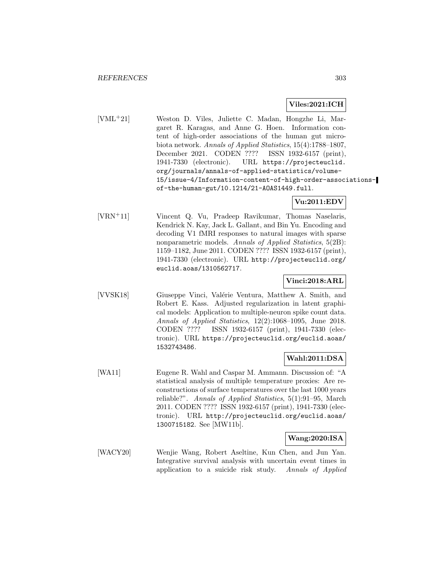### **Viles:2021:ICH**

[VML<sup>+</sup>21] Weston D. Viles, Juliette C. Madan, Hongzhe Li, Margaret R. Karagas, and Anne G. Hoen. Information content of high-order associations of the human gut microbiota network. Annals of Applied Statistics, 15(4):1788–1807, December 2021. CODEN ???? ISSN 1932-6157 (print), 1941-7330 (electronic). URL https://projecteuclid. org/journals/annals-of-applied-statistics/volume-15/issue-4/Information-content-of-high-order-associationsof-the-human-gut/10.1214/21-AOAS1449.full.

# **Vu:2011:EDV**

[VRN<sup>+</sup>11] Vincent Q. Vu, Pradeep Ravikumar, Thomas Naselaris, Kendrick N. Kay, Jack L. Gallant, and Bin Yu. Encoding and decoding V1 fMRI responses to natural images with sparse nonparametric models. Annals of Applied Statistics, 5(2B): 1159–1182, June 2011. CODEN ???? ISSN 1932-6157 (print), 1941-7330 (electronic). URL http://projecteuclid.org/ euclid.aoas/1310562717.

# **Vinci:2018:ARL**

[VVSK18] Giuseppe Vinci, Valérie Ventura, Matthew A. Smith, and Robert E. Kass. Adjusted regularization in latent graphical models: Application to multiple-neuron spike count data. Annals of Applied Statistics, 12(2):1068–1095, June 2018. CODEN ???? ISSN 1932-6157 (print), 1941-7330 (electronic). URL https://projecteuclid.org/euclid.aoas/ 1532743486.

# **Wahl:2011:DSA**

[WA11] Eugene R. Wahl and Caspar M. Ammann. Discussion of: "A statistical analysis of multiple temperature proxies: Are reconstructions of surface temperatures over the last 1000 years reliable?". Annals of Applied Statistics, 5(1):91–95, March 2011. CODEN ???? ISSN 1932-6157 (print), 1941-7330 (electronic). URL http://projecteuclid.org/euclid.aoas/ 1300715182. See [MW11b].

### **Wang:2020:ISA**

[WACY20] Wenjie Wang, Robert Aseltine, Kun Chen, and Jun Yan. Integrative survival analysis with uncertain event times in application to a suicide risk study. Annals of Applied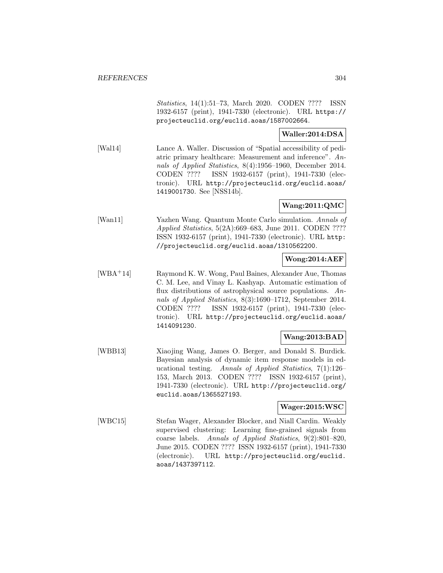Statistics, 14(1):51–73, March 2020. CODEN ???? ISSN 1932-6157 (print), 1941-7330 (electronic). URL https:// projecteuclid.org/euclid.aoas/1587002664.

# **Waller:2014:DSA**

[Wal14] Lance A. Waller. Discussion of "Spatial accessibility of pediatric primary healthcare: Measurement and inference". Annals of Applied Statistics, 8(4):1956–1960, December 2014. CODEN ???? ISSN 1932-6157 (print), 1941-7330 (electronic). URL http://projecteuclid.org/euclid.aoas/ 1419001730. See [NSS14b].

# **Wang:2011:QMC**

[Wan11] Yazhen Wang. Quantum Monte Carlo simulation. Annals of Applied Statistics, 5(2A):669–683, June 2011. CODEN ???? ISSN 1932-6157 (print), 1941-7330 (electronic). URL http: //projecteuclid.org/euclid.aoas/1310562200.

### **Wong:2014:AEF**

[WBA<sup>+</sup>14] Raymond K. W. Wong, Paul Baines, Alexander Aue, Thomas C. M. Lee, and Vinay L. Kashyap. Automatic estimation of flux distributions of astrophysical source populations. Annals of Applied Statistics, 8(3):1690–1712, September 2014. CODEN ???? ISSN 1932-6157 (print), 1941-7330 (electronic). URL http://projecteuclid.org/euclid.aoas/ 1414091230.

# **Wang:2013:BAD**

[WBB13] Xiaojing Wang, James O. Berger, and Donald S. Burdick. Bayesian analysis of dynamic item response models in educational testing. Annals of Applied Statistics, 7(1):126– 153, March 2013. CODEN ???? ISSN 1932-6157 (print), 1941-7330 (electronic). URL http://projecteuclid.org/ euclid.aoas/1365527193.

### **Wager:2015:WSC**

[WBC15] Stefan Wager, Alexander Blocker, and Niall Cardin. Weakly supervised clustering: Learning fine-grained signals from coarse labels. Annals of Applied Statistics, 9(2):801–820, June 2015. CODEN ???? ISSN 1932-6157 (print), 1941-7330 (electronic). URL http://projecteuclid.org/euclid. aoas/1437397112.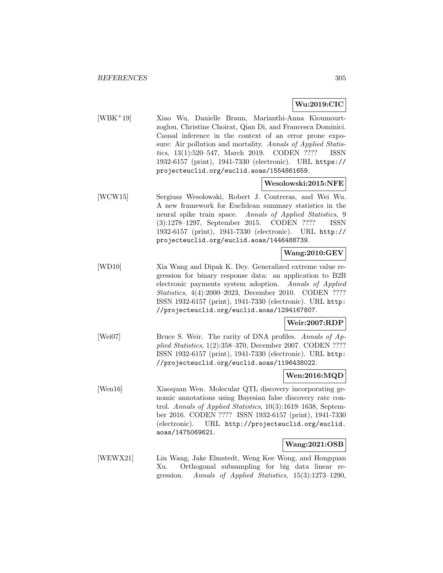# **Wu:2019:CIC**

[WBK<sup>+</sup>19] Xiao Wu, Danielle Braun, Marianthi-Anna Kioumourtzoglou, Christine Choirat, Qian Di, and Francesca Dominici. Causal inference in the context of an error prone exposure: Air pollution and mortality. Annals of Applied Statistics, 13(1):520–547, March 2019. CODEN ???? ISSN 1932-6157 (print), 1941-7330 (electronic). URL https:// projecteuclid.org/euclid.aoas/1554861659.

### **Wesolowski:2015:NFE**

[WCW15] Sergiusz Wesolowski, Robert J. Contreras, and Wei Wu. A new framework for Euclidean summary statistics in the neural spike train space. Annals of Applied Statistics, 9 (3):1278–1297, September 2015. CODEN ???? ISSN 1932-6157 (print), 1941-7330 (electronic). URL http:// projecteuclid.org/euclid.aoas/1446488739.

# **Wang:2010:GEV**

[WD10] Xia Wang and Dipak K. Dey. Generalized extreme value regression for binary response data: an application to B2B electronic payments system adoption. Annals of Applied Statistics, 4(4):2000–2023, December 2010. CODEN ???? ISSN 1932-6157 (print), 1941-7330 (electronic). URL http: //projecteuclid.org/euclid.aoas/1294167807.

### **Weir:2007:RDP**

[Wei07] Bruce S. Weir. The rarity of DNA profiles. Annals of Applied Statistics, 1(2):358–370, December 2007. CODEN ???? ISSN 1932-6157 (print), 1941-7330 (electronic). URL http: //projecteuclid.org/euclid.aoas/1196438022.

### **Wen:2016:MQD**

[Wen16] Xiaoquan Wen. Molecular QTL discovery incorporating genomic annotations using Bayesian false discovery rate control. Annals of Applied Statistics, 10(3):1619–1638, September 2016. CODEN ???? ISSN 1932-6157 (print), 1941-7330 (electronic). URL http://projecteuclid.org/euclid. aoas/1475069621.

### **Wang:2021:OSB**

[WEWX21] Lin Wang, Jake Elmstedt, Weng Kee Wong, and Hongquan Xu. Orthogonal subsampling for big data linear regression. Annals of Applied Statistics, 15(3):1273–1290,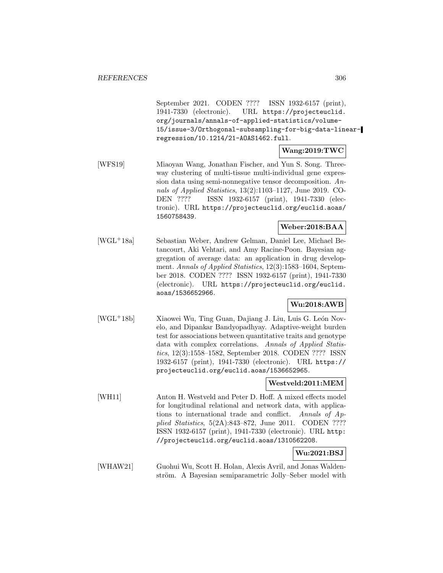September 2021. CODEN ???? ISSN 1932-6157 (print), 1941-7330 (electronic). URL https://projecteuclid. org/journals/annals-of-applied-statistics/volume-15/issue-3/Orthogonal-subsampling-for-big-data-linearregression/10.1214/21-AOAS1462.full.

# **Wang:2019:TWC**

[WFS19] Miaoyan Wang, Jonathan Fischer, and Yun S. Song. Threeway clustering of multi-tissue multi-individual gene expression data using semi-nonnegative tensor decomposition. Annals of Applied Statistics, 13(2):1103–1127, June 2019. CO-DEN ???? ISSN 1932-6157 (print), 1941-7330 (electronic). URL https://projecteuclid.org/euclid.aoas/ 1560758439.

# **Weber:2018:BAA**

[WGL<sup>+</sup>18a] Sebastian Weber, Andrew Gelman, Daniel Lee, Michael Betancourt, Aki Vehtari, and Amy Racine-Poon. Bayesian aggregation of average data: an application in drug development. Annals of Applied Statistics, 12(3):1583–1604, September 2018. CODEN ???? ISSN 1932-6157 (print), 1941-7330 (electronic). URL https://projecteuclid.org/euclid. aoas/1536652966.

# **Wu:2018:AWB**

[WGL<sup>+</sup>18b] Xiaowei Wu, Ting Guan, Dajiang J. Liu, Luis G. León Novelo, and Dipankar Bandyopadhyay. Adaptive-weight burden test for associations between quantitative traits and genotype data with complex correlations. Annals of Applied Statistics, 12(3):1558–1582, September 2018. CODEN ???? ISSN 1932-6157 (print), 1941-7330 (electronic). URL https:// projecteuclid.org/euclid.aoas/1536652965.

# **Westveld:2011:MEM**

[WH11] Anton H. Westveld and Peter D. Hoff. A mixed effects model for longitudinal relational and network data, with applications to international trade and conflict. Annals of Applied Statistics, 5(2A):843–872, June 2011. CODEN ???? ISSN 1932-6157 (print), 1941-7330 (electronic). URL http: //projecteuclid.org/euclid.aoas/1310562208.

# **Wu:2021:BSJ**

[WHAW21] Guohui Wu, Scott H. Holan, Alexis Avril, and Jonas Waldenström. A Bayesian semiparametric Jolly–Seber model with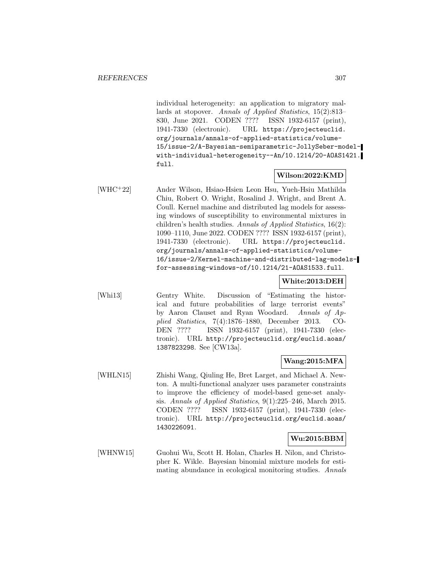individual heterogeneity: an application to migratory mallards at stopover. Annals of Applied Statistics, 15(2):813– 830, June 2021. CODEN ???? ISSN 1932-6157 (print), 1941-7330 (electronic). URL https://projecteuclid. org/journals/annals-of-applied-statistics/volume-15/issue-2/A-Bayesian-semiparametric-JollySeber-modelwith-individual-heterogeneity--An/10.1214/20-AOAS1421. full.

#### **Wilson:2022:KMD**

[WHC<sup>+</sup>22] Ander Wilson, Hsiao-Hsien Leon Hsu, Yueh-Hsiu Mathilda Chiu, Robert O. Wright, Rosalind J. Wright, and Brent A. Coull. Kernel machine and distributed lag models for assessing windows of susceptibility to environmental mixtures in children's health studies. Annals of Applied Statistics, 16(2): 1090–1110, June 2022. CODEN ???? ISSN 1932-6157 (print), 1941-7330 (electronic). URL https://projecteuclid. org/journals/annals-of-applied-statistics/volume-16/issue-2/Kernel-machine-and-distributed-lag-modelsfor-assessing-windows-of/10.1214/21-AOAS1533.full.

#### **White:2013:DEH**

[Whi13] Gentry White. Discussion of "Estimating the historical and future probabilities of large terrorist events" by Aaron Clauset and Ryan Woodard. Annals of Applied Statistics, 7(4):1876–1880, December 2013. CO-DEN ???? ISSN 1932-6157 (print), 1941-7330 (electronic). URL http://projecteuclid.org/euclid.aoas/ 1387823298. See [CW13a].

#### **Wang:2015:MFA**

[WHLN15] Zhishi Wang, Qiuling He, Bret Larget, and Michael A. Newton. A multi-functional analyzer uses parameter constraints to improve the efficiency of model-based gene-set analysis. Annals of Applied Statistics, 9(1):225–246, March 2015. CODEN ???? ISSN 1932-6157 (print), 1941-7330 (electronic). URL http://projecteuclid.org/euclid.aoas/ 1430226091.

#### **Wu:2015:BBM**

[WHNW15] Guohui Wu, Scott H. Holan, Charles H. Nilon, and Christopher K. Wikle. Bayesian binomial mixture models for estimating abundance in ecological monitoring studies. Annals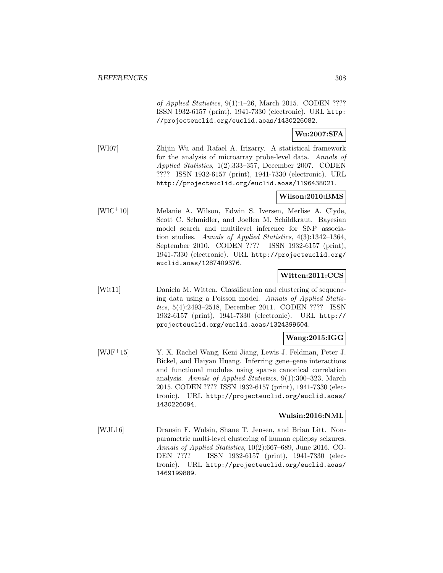of Applied Statistics, 9(1):1–26, March 2015. CODEN ???? ISSN 1932-6157 (print), 1941-7330 (electronic). URL http: //projecteuclid.org/euclid.aoas/1430226082.

### **Wu:2007:SFA**

[WI07] Zhijin Wu and Rafael A. Irizarry. A statistical framework for the analysis of microarray probe-level data. Annals of Applied Statistics, 1(2):333–357, December 2007. CODEN ???? ISSN 1932-6157 (print), 1941-7330 (electronic). URL http://projecteuclid.org/euclid.aoas/1196438021.

# **Wilson:2010:BMS**

[WIC<sup>+</sup>10] Melanie A. Wilson, Edwin S. Iversen, Merlise A. Clyde, Scott C. Schmidler, and Joellen M. Schildkraut. Bayesian model search and multilevel inference for SNP association studies. Annals of Applied Statistics, 4(3):1342–1364, September 2010. CODEN ???? ISSN 1932-6157 (print), 1941-7330 (electronic). URL http://projecteuclid.org/ euclid.aoas/1287409376.

# **Witten:2011:CCS**

[Wit11] Daniela M. Witten. Classification and clustering of sequencing data using a Poisson model. Annals of Applied Statistics, 5(4):2493–2518, December 2011. CODEN ???? ISSN 1932-6157 (print), 1941-7330 (electronic). URL http:// projecteuclid.org/euclid.aoas/1324399604.

# **Wang:2015:IGG**

[WJF<sup>+</sup>15] Y. X. Rachel Wang, Keni Jiang, Lewis J. Feldman, Peter J. Bickel, and Haiyan Huang. Inferring gene–gene interactions and functional modules using sparse canonical correlation analysis. Annals of Applied Statistics, 9(1):300–323, March 2015. CODEN ???? ISSN 1932-6157 (print), 1941-7330 (electronic). URL http://projecteuclid.org/euclid.aoas/ 1430226094.

#### **Wulsin:2016:NML**

[WJL16] Drausin F. Wulsin, Shane T. Jensen, and Brian Litt. Nonparametric multi-level clustering of human epilepsy seizures. Annals of Applied Statistics, 10(2):667–689, June 2016. CO-DEN ???? ISSN 1932-6157 (print), 1941-7330 (electronic). URL http://projecteuclid.org/euclid.aoas/ 1469199889.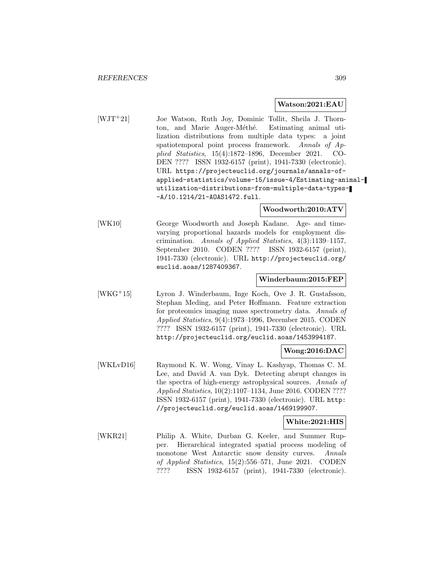#### **Watson:2021:EAU**

[WJT<sup>+</sup>21] Joe Watson, Ruth Joy, Dominic Tollit, Sheila J. Thornton, and Marie Auger-Méthé. Estimating animal utilization distributions from multiple data types: a joint spatiotemporal point process framework. Annals of Applied Statistics, 15(4):1872–1896, December 2021. CO-DEN ???? ISSN 1932-6157 (print), 1941-7330 (electronic). URL https://projecteuclid.org/journals/annals-ofapplied-statistics/volume-15/issue-4/Estimating-animalutilization-distributions-from-multiple-data-types- -A/10.1214/21-AOAS1472.full.

#### **Woodworth:2010:ATV**

[WK10] George Woodworth and Joseph Kadane. Age- and timevarying proportional hazards models for employment discrimination. Annals of Applied Statistics, 4(3):1139–1157, September 2010. CODEN ???? ISSN 1932-6157 (print), 1941-7330 (electronic). URL http://projecteuclid.org/ euclid.aoas/1287409367.

### **Winderbaum:2015:FEP**

[WKG<sup>+</sup>15] Lyron J. Winderbaum, Inge Koch, Ove J. R. Gustafsson, Stephan Meding, and Peter Hoffmann. Feature extraction for proteomics imaging mass spectrometry data. Annals of Applied Statistics, 9(4):1973–1996, December 2015. CODEN ???? ISSN 1932-6157 (print), 1941-7330 (electronic). URL http://projecteuclid.org/euclid.aoas/1453994187.

#### **Wong:2016:DAC**

[WKLvD16] Raymond K. W. Wong, Vinay L. Kashyap, Thomas C. M. Lee, and David A. van Dyk. Detecting abrupt changes in the spectra of high-energy astrophysical sources. Annals of Applied Statistics, 10(2):1107–1134, June 2016. CODEN ???? ISSN 1932-6157 (print), 1941-7330 (electronic). URL http: //projecteuclid.org/euclid.aoas/1469199907.

#### **White:2021:HIS**

[WKR21] Philip A. White, Durban G. Keeler, and Summer Rupper. Hierarchical integrated spatial process modeling of monotone West Antarctic snow density curves. Annals of Applied Statistics, 15(2):556–571, June 2021. CODEN ???? ISSN 1932-6157 (print), 1941-7330 (electronic).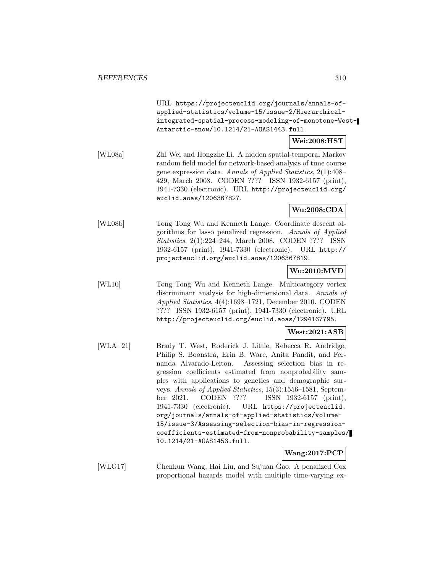URL https://projecteuclid.org/journals/annals-ofapplied-statistics/volume-15/issue-2/Hierarchicalintegrated-spatial-process-modeling-of-monotone-West-Antarctic-snow/10.1214/21-AOAS1443.full.

# **Wei:2008:HST**

[WL08a] Zhi Wei and Hongzhe Li. A hidden spatial-temporal Markov random field model for network-based analysis of time course gene expression data. Annals of Applied Statistics, 2(1):408– 429, March 2008. CODEN ???? ISSN 1932-6157 (print), 1941-7330 (electronic). URL http://projecteuclid.org/ euclid.aoas/1206367827.

### **Wu:2008:CDA**

[WL08b] Tong Tong Wu and Kenneth Lange. Coordinate descent algorithms for lasso penalized regression. Annals of Applied Statistics, 2(1):224–244, March 2008. CODEN ???? ISSN 1932-6157 (print), 1941-7330 (electronic). URL http:// projecteuclid.org/euclid.aoas/1206367819.

### **Wu:2010:MVD**

[WL10] Tong Tong Wu and Kenneth Lange. Multicategory vertex discriminant analysis for high-dimensional data. Annals of Applied Statistics, 4(4):1698–1721, December 2010. CODEN ???? ISSN 1932-6157 (print), 1941-7330 (electronic). URL http://projecteuclid.org/euclid.aoas/1294167795.

#### **West:2021:ASB**

[WLA<sup>+</sup>21] Brady T. West, Roderick J. Little, Rebecca R. Andridge, Philip S. Boonstra, Erin B. Ware, Anita Pandit, and Fernanda Alvarado-Leiton. Assessing selection bias in regression coefficients estimated from nonprobability samples with applications to genetics and demographic surveys. Annals of Applied Statistics, 15(3):1556–1581, September 2021. CODEN ???? ISSN 1932-6157 (print), 1941-7330 (electronic). URL https://projecteuclid. org/journals/annals-of-applied-statistics/volume-15/issue-3/Assessing-selection-bias-in-regressioncoefficients-estimated-from-nonprobability-samples/ 10.1214/21-AOAS1453.full.

# **Wang:2017:PCP**

[WLG17] Chenkun Wang, Hai Liu, and Sujuan Gao. A penalized Cox proportional hazards model with multiple time-varying ex-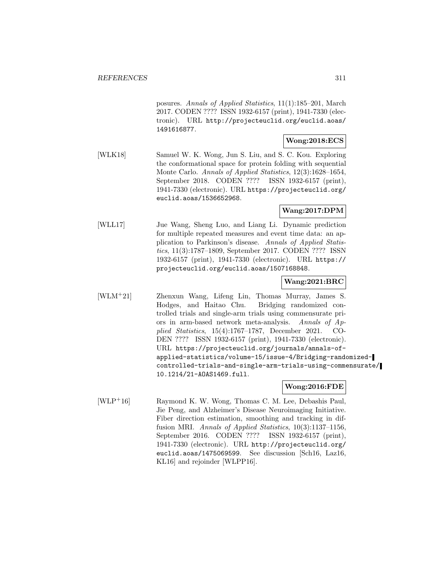posures. Annals of Applied Statistics, 11(1):185–201, March 2017. CODEN ???? ISSN 1932-6157 (print), 1941-7330 (electronic). URL http://projecteuclid.org/euclid.aoas/ 1491616877.

# **Wong:2018:ECS**

[WLK18] Samuel W. K. Wong, Jun S. Liu, and S. C. Kou. Exploring the conformational space for protein folding with sequential Monte Carlo. Annals of Applied Statistics, 12(3):1628–1654, September 2018. CODEN ???? ISSN 1932-6157 (print), 1941-7330 (electronic). URL https://projecteuclid.org/ euclid.aoas/1536652968.

### **Wang:2017:DPM**

[WLL17] Jue Wang, Sheng Luo, and Liang Li. Dynamic prediction for multiple repeated measures and event time data: an application to Parkinson's disease. Annals of Applied Statistics, 11(3):1787–1809, September 2017. CODEN ???? ISSN 1932-6157 (print), 1941-7330 (electronic). URL https:// projecteuclid.org/euclid.aoas/1507168848.

### **Wang:2021:BRC**

[WLM<sup>+</sup>21] Zhenxun Wang, Lifeng Lin, Thomas Murray, James S. Hodges, and Haitao Chu. Bridging randomized controlled trials and single-arm trials using commensurate priors in arm-based network meta-analysis. Annals of Applied Statistics, 15(4):1767–1787, December 2021. CO-DEN ???? ISSN 1932-6157 (print), 1941-7330 (electronic). URL https://projecteuclid.org/journals/annals-ofapplied-statistics/volume-15/issue-4/Bridging-randomizedcontrolled-trials-and-single-arm-trials-using-commensurate/ 10.1214/21-AOAS1469.full.

#### **Wong:2016:FDE**

[WLP<sup>+</sup>16] Raymond K. W. Wong, Thomas C. M. Lee, Debashis Paul, Jie Peng, and Alzheimer's Disease Neuroimaging Initiative. Fiber direction estimation, smoothing and tracking in diffusion MRI. *Annals of Applied Statistics*, 10(3):1137–1156, September 2016. CODEN ???? ISSN 1932-6157 (print), 1941-7330 (electronic). URL http://projecteuclid.org/ euclid.aoas/1475069599. See discussion [Sch16, Laz16, KL16] and rejoinder [WLPP16].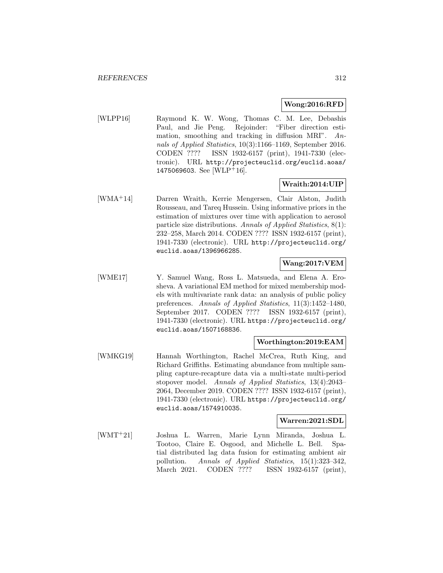### **Wong:2016:RFD**

[WLPP16] Raymond K. W. Wong, Thomas C. M. Lee, Debashis Paul, and Jie Peng. Rejoinder: "Fiber direction estimation, smoothing and tracking in diffusion MRI". Annals of Applied Statistics, 10(3):1166–1169, September 2016. CODEN ???? ISSN 1932-6157 (print), 1941-7330 (electronic). URL http://projecteuclid.org/euclid.aoas/ 1475069603. See [WLP<sup>+</sup>16].

### **Wraith:2014:UIP**

[WMA<sup>+</sup>14] Darren Wraith, Kerrie Mengersen, Clair Alston, Judith Rousseau, and Tareq Hussein. Using informative priors in the estimation of mixtures over time with application to aerosol particle size distributions. Annals of Applied Statistics, 8(1): 232–258, March 2014. CODEN ???? ISSN 1932-6157 (print), 1941-7330 (electronic). URL http://projecteuclid.org/ euclid.aoas/1396966285.

# **Wang:2017:VEM**

[WME17] Y. Samuel Wang, Ross L. Matsueda, and Elena A. Erosheva. A variational EM method for mixed membership models with multivariate rank data: an analysis of public policy preferences. Annals of Applied Statistics, 11(3):1452–1480, September 2017. CODEN ???? ISSN 1932-6157 (print), 1941-7330 (electronic). URL https://projecteuclid.org/ euclid.aoas/1507168836.

### **Worthington:2019:EAM**

[WMKG19] Hannah Worthington, Rachel McCrea, Ruth King, and Richard Griffiths. Estimating abundance from multiple sampling capture-recapture data via a multi-state multi-period stopover model. Annals of Applied Statistics, 13(4):2043– 2064, December 2019. CODEN ???? ISSN 1932-6157 (print), 1941-7330 (electronic). URL https://projecteuclid.org/ euclid.aoas/1574910035.

#### **Warren:2021:SDL**

[WMT<sup>+</sup>21] Joshua L. Warren, Marie Lynn Miranda, Joshua L. Tootoo, Claire E. Osgood, and Michelle L. Bell. Spatial distributed lag data fusion for estimating ambient air pollution. Annals of Applied Statistics, 15(1):323–342, March 2021. CODEN ???? ISSN 1932-6157 (print),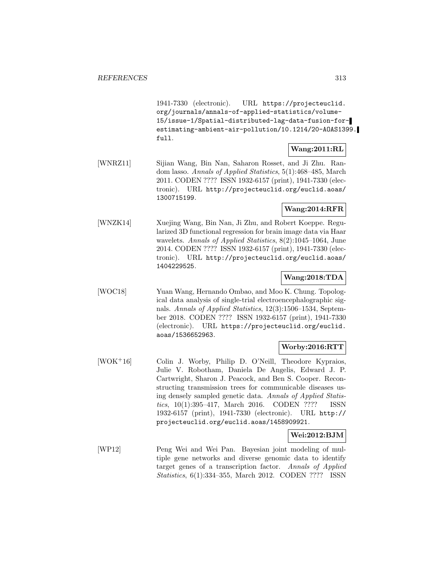1941-7330 (electronic). URL https://projecteuclid. org/journals/annals-of-applied-statistics/volume-15/issue-1/Spatial-distributed-lag-data-fusion-forestimating-ambient-air-pollution/10.1214/20-AOAS1399. full.

# **Wang:2011:RL**

[WNRZ11] Sijian Wang, Bin Nan, Saharon Rosset, and Ji Zhu. Random lasso. Annals of Applied Statistics, 5(1):468–485, March 2011. CODEN ???? ISSN 1932-6157 (print), 1941-7330 (electronic). URL http://projecteuclid.org/euclid.aoas/ 1300715199.

### **Wang:2014:RFR**

[WNZK14] Xuejing Wang, Bin Nan, Ji Zhu, and Robert Koeppe. Regularized 3D functional regression for brain image data via Haar wavelets. Annals of Applied Statistics, 8(2):1045–1064, June 2014. CODEN ???? ISSN 1932-6157 (print), 1941-7330 (electronic). URL http://projecteuclid.org/euclid.aoas/ 1404229525.

### **Wang:2018:TDA**

[WOC18] Yuan Wang, Hernando Ombao, and Moo K. Chung. Topological data analysis of single-trial electroencephalographic signals. Annals of Applied Statistics, 12(3):1506–1534, September 2018. CODEN ???? ISSN 1932-6157 (print), 1941-7330 (electronic). URL https://projecteuclid.org/euclid. aoas/1536652963.

### **Worby:2016:RTT**

[WOK<sup>+</sup>16] Colin J. Worby, Philip D. O'Neill, Theodore Kypraios, Julie V. Robotham, Daniela De Angelis, Edward J. P. Cartwright, Sharon J. Peacock, and Ben S. Cooper. Reconstructing transmission trees for communicable diseases using densely sampled genetic data. Annals of Applied Statistics, 10(1):395–417, March 2016. CODEN ???? ISSN 1932-6157 (print), 1941-7330 (electronic). URL http:// projecteuclid.org/euclid.aoas/1458909921.

# **Wei:2012:BJM**

[WP12] Peng Wei and Wei Pan. Bayesian joint modeling of multiple gene networks and diverse genomic data to identify target genes of a transcription factor. Annals of Applied Statistics, 6(1):334–355, March 2012. CODEN ???? ISSN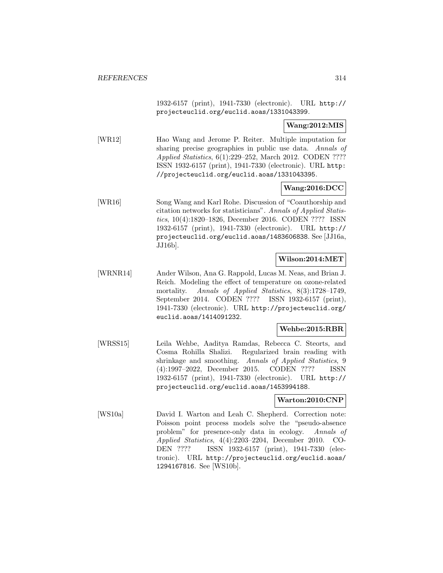1932-6157 (print), 1941-7330 (electronic). URL http:// projecteuclid.org/euclid.aoas/1331043399.

### **Wang:2012:MIS**

[WR12] Hao Wang and Jerome P. Reiter. Multiple imputation for sharing precise geographies in public use data. Annals of Applied Statistics, 6(1):229–252, March 2012. CODEN ???? ISSN 1932-6157 (print), 1941-7330 (electronic). URL http: //projecteuclid.org/euclid.aoas/1331043395.

# **Wang:2016:DCC**

[WR16] Song Wang and Karl Rohe. Discussion of "Coauthorship and citation networks for statisticians". Annals of Applied Statistics, 10(4):1820–1826, December 2016. CODEN ???? ISSN 1932-6157 (print), 1941-7330 (electronic). URL http:// projecteuclid.org/euclid.aoas/1483606838. See [JJ16a, JJ16b].

#### **Wilson:2014:MET**

[WRNR14] Ander Wilson, Ana G. Rappold, Lucas M. Neas, and Brian J. Reich. Modeling the effect of temperature on ozone-related mortality. Annals of Applied Statistics, 8(3):1728-1749, September 2014. CODEN ???? ISSN 1932-6157 (print), 1941-7330 (electronic). URL http://projecteuclid.org/ euclid.aoas/1414091232.

#### **Wehbe:2015:RBR**

[WRSS15] Leila Wehbe, Aaditya Ramdas, Rebecca C. Steorts, and Cosma Rohilla Shalizi. Regularized brain reading with shrinkage and smoothing. Annals of Applied Statistics, 9 (4):1997–2022, December 2015. CODEN ???? ISSN 1932-6157 (print), 1941-7330 (electronic). URL http:// projecteuclid.org/euclid.aoas/1453994188.

#### **Warton:2010:CNP**

[WS10a] David I. Warton and Leah C. Shepherd. Correction note: Poisson point process models solve the "pseudo-absence problem" for presence-only data in ecology. Annals of Applied Statistics, 4(4):2203–2204, December 2010. CO-DEN ???? ISSN 1932-6157 (print), 1941-7330 (electronic). URL http://projecteuclid.org/euclid.aoas/ 1294167816. See [WS10b].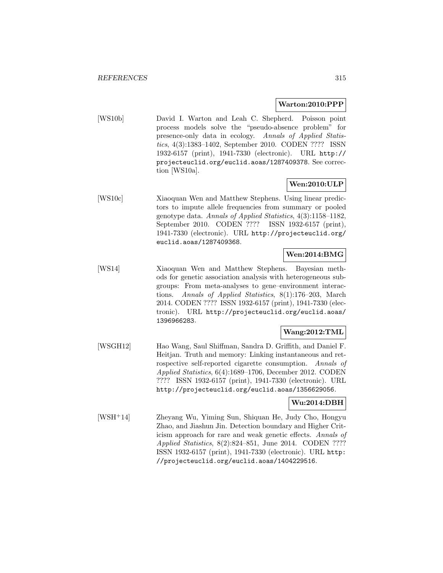#### **Warton:2010:PPP**

[WS10b] David I. Warton and Leah C. Shepherd. Poisson point process models solve the "pseudo-absence problem" for presence-only data in ecology. Annals of Applied Statistics, 4(3):1383–1402, September 2010. CODEN ???? ISSN 1932-6157 (print), 1941-7330 (electronic). URL http:// projecteuclid.org/euclid.aoas/1287409378. See correction [WS10a].

# **Wen:2010:ULP**

[WS10c] Xiaoquan Wen and Matthew Stephens. Using linear predictors to impute allele frequencies from summary or pooled genotype data. Annals of Applied Statistics, 4(3):1158–1182, September 2010. CODEN ???? ISSN 1932-6157 (print), 1941-7330 (electronic). URL http://projecteuclid.org/ euclid.aoas/1287409368.

# **Wen:2014:BMG**

[WS14] Xiaoquan Wen and Matthew Stephens. Bayesian methods for genetic association analysis with heterogeneous subgroups: From meta-analyses to gene–environment interactions. Annals of Applied Statistics, 8(1):176–203, March 2014. CODEN ???? ISSN 1932-6157 (print), 1941-7330 (electronic). URL http://projecteuclid.org/euclid.aoas/ 1396966283.

### **Wang:2012:TML**

[WSGH12] Hao Wang, Saul Shiffman, Sandra D. Griffith, and Daniel F. Heitjan. Truth and memory: Linking instantaneous and retrospective self-reported cigarette consumption. Annals of Applied Statistics, 6(4):1689–1706, December 2012. CODEN ???? ISSN 1932-6157 (print), 1941-7330 (electronic). URL http://projecteuclid.org/euclid.aoas/1356629056.

### **Wu:2014:DBH**

[WSH<sup>+</sup>14] Zheyang Wu, Yiming Sun, Shiquan He, Judy Cho, Hongyu Zhao, and Jiashun Jin. Detection boundary and Higher Criticism approach for rare and weak genetic effects. Annals of Applied Statistics, 8(2):824–851, June 2014. CODEN ???? ISSN 1932-6157 (print), 1941-7330 (electronic). URL http: //projecteuclid.org/euclid.aoas/1404229516.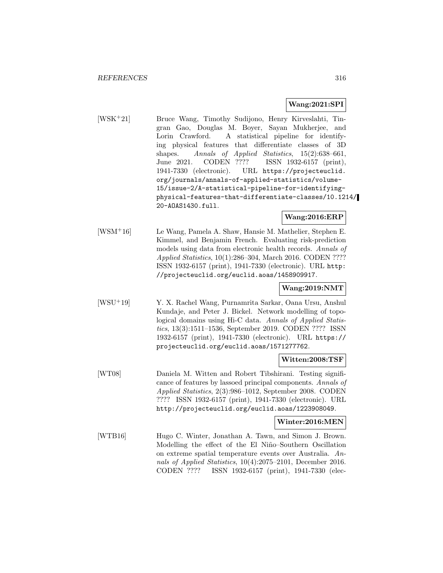### **Wang:2021:SPI**

[WSK<sup>+</sup>21] Bruce Wang, Timothy Sudijono, Henry Kirveslahti, Tingran Gao, Douglas M. Boyer, Sayan Mukherjee, and Lorin Crawford. A statistical pipeline for identifying physical features that differentiate classes of 3D shapes. Annals of Applied Statistics, 15(2):638–661, June 2021. CODEN ???? ISSN 1932-6157 (print), 1941-7330 (electronic). URL https://projecteuclid. org/journals/annals-of-applied-statistics/volume-15/issue-2/A-statistical-pipeline-for-identifyingphysical-features-that-differentiate-classes/10.1214/ 20-AOAS1430.full.

**Wang:2016:ERP**

[WSM<sup>+</sup>16] Le Wang, Pamela A. Shaw, Hansie M. Mathelier, Stephen E. Kimmel, and Benjamin French. Evaluating risk-prediction models using data from electronic health records. Annals of Applied Statistics, 10(1):286–304, March 2016. CODEN ???? ISSN 1932-6157 (print), 1941-7330 (electronic). URL http: //projecteuclid.org/euclid.aoas/1458909917.

# **Wang:2019:NMT**

[WSU<sup>+</sup>19] Y. X. Rachel Wang, Purnamrita Sarkar, Oana Ursu, Anshul Kundaje, and Peter J. Bickel. Network modelling of topological domains using Hi-C data. Annals of Applied Statistics, 13(3):1511–1536, September 2019. CODEN ???? ISSN 1932-6157 (print), 1941-7330 (electronic). URL https:// projecteuclid.org/euclid.aoas/1571277762.

#### **Witten:2008:TSF**

[WT08] Daniela M. Witten and Robert Tibshirani. Testing significance of features by lassoed principal components. Annals of Applied Statistics, 2(3):986–1012, September 2008. CODEN ???? ISSN 1932-6157 (print), 1941-7330 (electronic). URL http://projecteuclid.org/euclid.aoas/1223908049.

#### **Winter:2016:MEN**

[WTB16] Hugo C. Winter, Jonathan A. Tawn, and Simon J. Brown. Modelling the effect of the El Niño–Southern Oscillation on extreme spatial temperature events over Australia. Annals of Applied Statistics, 10(4):2075–2101, December 2016. CODEN ???? ISSN 1932-6157 (print), 1941-7330 (elec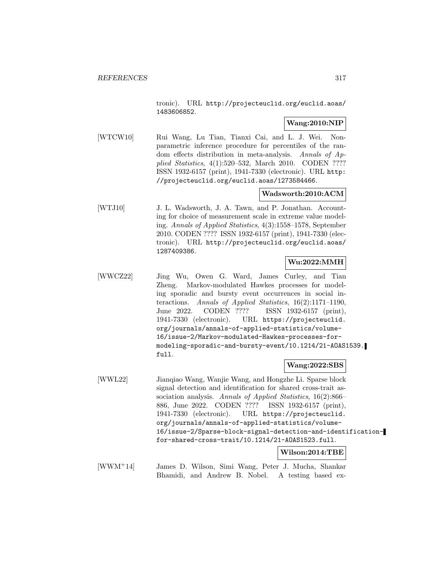tronic). URL http://projecteuclid.org/euclid.aoas/ 1483606852.

# **Wang:2010:NIP**

[WTCW10] Rui Wang, Lu Tian, Tianxi Cai, and L. J. Wei. Nonparametric inference procedure for percentiles of the random effects distribution in meta-analysis. Annals of Applied Statistics, 4(1):520–532, March 2010. CODEN ???? ISSN 1932-6157 (print), 1941-7330 (electronic). URL http: //projecteuclid.org/euclid.aoas/1273584466.

# **Wadsworth:2010:ACM**

[WTJ10] J. L. Wadsworth, J. A. Tawn, and P. Jonathan. Accounting for choice of measurement scale in extreme value modeling. Annals of Applied Statistics, 4(3):1558–1578, September 2010. CODEN ???? ISSN 1932-6157 (print), 1941-7330 (electronic). URL http://projecteuclid.org/euclid.aoas/ 1287409386.

# **Wu:2022:MMH**

[WWCZ22] Jing Wu, Owen G. Ward, James Curley, and Tian Zheng. Markov-modulated Hawkes processes for modeling sporadic and bursty event occurrences in social interactions. Annals of Applied Statistics, 16(2):1171–1190, June 2022. CODEN ???? ISSN 1932-6157 (print), 1941-7330 (electronic). URL https://projecteuclid. org/journals/annals-of-applied-statistics/volume-16/issue-2/Markov-modulated-Hawkes-processes-formodeling-sporadic-and-bursty-event/10.1214/21-AOAS1539. full.

#### **Wang:2022:SBS**

[WWL22] Jianqiao Wang, Wanjie Wang, and Hongzhe Li. Sparse block signal detection and identification for shared cross-trait association analysis. Annals of Applied Statistics, 16(2):866– 886, June 2022. CODEN ???? ISSN 1932-6157 (print), 1941-7330 (electronic). URL https://projecteuclid. org/journals/annals-of-applied-statistics/volume-16/issue-2/Sparse-block-signal-detection-and-identificationfor-shared-cross-trait/10.1214/21-AOAS1523.full.

**Wilson:2014:TBE**

[WWM<sup>+</sup>14] James D. Wilson, Simi Wang, Peter J. Mucha, Shankar Bhamidi, and Andrew B. Nobel. A testing based ex-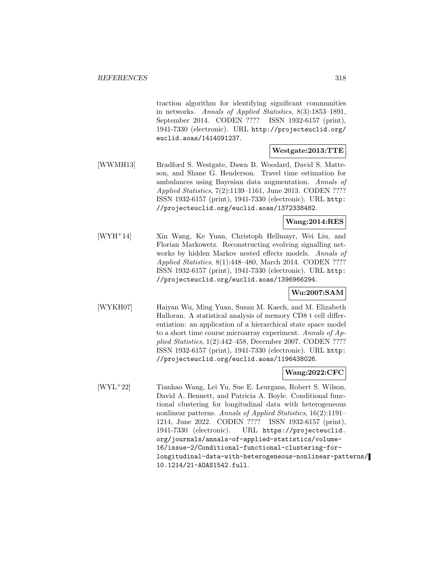traction algorithm for identifying significant communities in networks. Annals of Applied Statistics, 8(3):1853–1891, September 2014. CODEN ???? ISSN 1932-6157 (print), 1941-7330 (electronic). URL http://projecteuclid.org/ euclid.aoas/1414091237.

# **Westgate:2013:TTE**

[WWMH13] Bradford S. Westgate, Dawn B. Woodard, David S. Matteson, and Shane G. Henderson. Travel time estimation for ambulances using Bayesian data augmentation. Annals of Applied Statistics, 7(2):1139–1161, June 2013. CODEN ???? ISSN 1932-6157 (print), 1941-7330 (electronic). URL http: //projecteuclid.org/euclid.aoas/1372338482.

### **Wang:2014:RES**

[WYH<sup>+</sup>14] Xin Wang, Ke Yuan, Christoph Hellmayr, Wei Liu, and Florian Markowetz. Reconstructing evolving signalling networks by hidden Markov nested effects models. Annals of Applied Statistics, 8(1):448–480, March 2014. CODEN ???? ISSN 1932-6157 (print), 1941-7330 (electronic). URL http: //projecteuclid.org/euclid.aoas/1396966294.

# **Wu:2007:SAM**

[WYKH07] Haiyan Wu, Ming Yuan, Susan M. Kaech, and M. Elizabeth Halloran. A statistical analysis of memory CD8 t cell differentiation: an application of a hierarchical state space model to a short time course microarray experiment. Annals of Applied Statistics, 1(2):442–458, December 2007. CODEN ???? ISSN 1932-6157 (print), 1941-7330 (electronic). URL http: //projecteuclid.org/euclid.aoas/1196438026.

### **Wang:2022:CFC**

[WYL<sup>+</sup>22] Tianhao Wang, Lei Yu, Sue E. Leurgans, Robert S. Wilson, David A. Bennett, and Patricia A. Boyle. Conditional functional clustering for longitudinal data with heterogeneous nonlinear patterns. Annals of Applied Statistics, 16(2):1191– 1214, June 2022. CODEN ???? ISSN 1932-6157 (print), 1941-7330 (electronic). URL https://projecteuclid. org/journals/annals-of-applied-statistics/volume-16/issue-2/Conditional-functional-clustering-forlongitudinal-data-with-heterogeneous-nonlinear-patterns/ 10.1214/21-AOAS1542.full.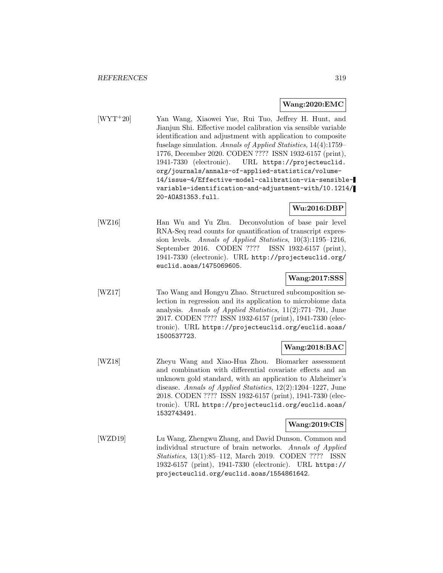#### **Wang:2020:EMC**

[WYT<sup>+</sup>20] Yan Wang, Xiaowei Yue, Rui Tuo, Jeffrey H. Hunt, and Jianjun Shi. Effective model calibration via sensible variable identification and adjustment with application to composite fuselage simulation. Annals of Applied Statistics, 14(4):1759– 1776, December 2020. CODEN ???? ISSN 1932-6157 (print), 1941-7330 (electronic). URL https://projecteuclid. org/journals/annals-of-applied-statistics/volume-14/issue-4/Effective-model-calibration-via-sensiblevariable-identification-and-adjustment-with/10.1214/ 20-AOAS1353.full.

### **Wu:2016:DBP**

[WZ16] Han Wu and Yu Zhu. Deconvolution of base pair level RNA-Seq read counts for quantification of transcript expression levels. Annals of Applied Statistics, 10(3):1195–1216, September 2016. CODEN ???? ISSN 1932-6157 (print), 1941-7330 (electronic). URL http://projecteuclid.org/ euclid.aoas/1475069605.

### **Wang:2017:SSS**

[WZ17] Tao Wang and Hongyu Zhao. Structured subcomposition selection in regression and its application to microbiome data analysis. Annals of Applied Statistics, 11(2):771–791, June 2017. CODEN ???? ISSN 1932-6157 (print), 1941-7330 (electronic). URL https://projecteuclid.org/euclid.aoas/ 1500537723.

# **Wang:2018:BAC**

[WZ18] Zheyu Wang and Xiao-Hua Zhou. Biomarker assessment and combination with differential covariate effects and an unknown gold standard, with an application to Alzheimer's disease. Annals of Applied Statistics, 12(2):1204–1227, June 2018. CODEN ???? ISSN 1932-6157 (print), 1941-7330 (electronic). URL https://projecteuclid.org/euclid.aoas/ 1532743491.

#### **Wang:2019:CIS**

[WZD19] Lu Wang, Zhengwu Zhang, and David Dunson. Common and individual structure of brain networks. Annals of Applied Statistics, 13(1):85–112, March 2019. CODEN ???? ISSN 1932-6157 (print), 1941-7330 (electronic). URL https:// projecteuclid.org/euclid.aoas/1554861642.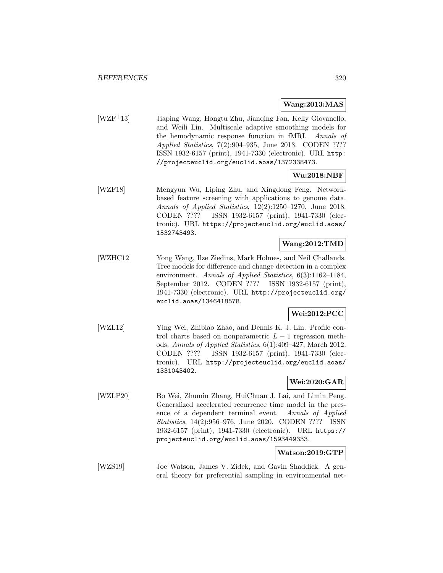#### **Wang:2013:MAS**

[WZF<sup>+</sup>13] Jiaping Wang, Hongtu Zhu, Jianqing Fan, Kelly Giovanello, and Weili Lin. Multiscale adaptive smoothing models for the hemodynamic response function in fMRI. Annals of Applied Statistics, 7(2):904–935, June 2013. CODEN ???? ISSN 1932-6157 (print), 1941-7330 (electronic). URL http: //projecteuclid.org/euclid.aoas/1372338473.

### **Wu:2018:NBF**

[WZF18] Mengyun Wu, Liping Zhu, and Xingdong Feng. Networkbased feature screening with applications to genome data. Annals of Applied Statistics, 12(2):1250–1270, June 2018. CODEN ???? ISSN 1932-6157 (print), 1941-7330 (electronic). URL https://projecteuclid.org/euclid.aoas/ 1532743493.

#### **Wang:2012:TMD**

[WZHC12] Yong Wang, Ilze Ziedins, Mark Holmes, and Neil Challands. Tree models for difference and change detection in a complex environment. Annals of Applied Statistics, 6(3):1162-1184, September 2012. CODEN ???? ISSN 1932-6157 (print), 1941-7330 (electronic). URL http://projecteuclid.org/ euclid.aoas/1346418578.

### **Wei:2012:PCC**

[WZL12] Ying Wei, Zhibiao Zhao, and Dennis K. J. Lin. Profile control charts based on nonparametric  $L - 1$  regression methods. Annals of Applied Statistics, 6(1):409–427, March 2012. CODEN ???? ISSN 1932-6157 (print), 1941-7330 (electronic). URL http://projecteuclid.org/euclid.aoas/ 1331043402.

# **Wei:2020:GAR**

[WZLP20] Bo Wei, Zhumin Zhang, HuiChuan J. Lai, and Limin Peng. Generalized accelerated recurrence time model in the presence of a dependent terminal event. Annals of Applied Statistics, 14(2):956–976, June 2020. CODEN ???? ISSN 1932-6157 (print), 1941-7330 (electronic). URL https:// projecteuclid.org/euclid.aoas/1593449333.

# **Watson:2019:GTP**

[WZS19] Joe Watson, James V. Zidek, and Gavin Shaddick. A general theory for preferential sampling in environmental net-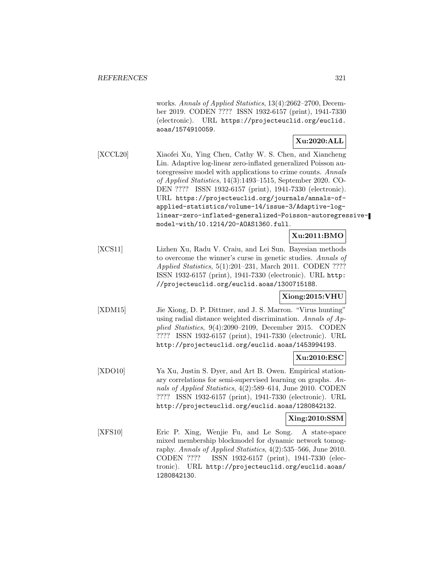works. Annals of Applied Statistics, 13(4):2662–2700, December 2019. CODEN ???? ISSN 1932-6157 (print), 1941-7330 (electronic). URL https://projecteuclid.org/euclid. aoas/1574910059.

### **Xu:2020:ALL**

[XCCL20] Xiaofei Xu, Ying Chen, Cathy W. S. Chen, and Xiancheng Lin. Adaptive log-linear zero-inflated generalized Poisson autoregressive model with applications to crime counts. Annals of Applied Statistics, 14(3):1493–1515, September 2020. CO-DEN ???? ISSN 1932-6157 (print), 1941-7330 (electronic). URL https://projecteuclid.org/journals/annals-ofapplied-statistics/volume-14/issue-3/Adaptive-loglinear-zero-inflated-generalized-Poisson-autoregressivemodel-with/10.1214/20-AOAS1360.full.

# **Xu:2011:BMO**

[XCS11] Lizhen Xu, Radu V. Craiu, and Lei Sun. Bayesian methods to overcome the winner's curse in genetic studies. Annals of Applied Statistics, 5(1):201–231, March 2011. CODEN ???? ISSN 1932-6157 (print), 1941-7330 (electronic). URL http: //projecteuclid.org/euclid.aoas/1300715188.

# **Xiong:2015:VHU**

[XDM15] Jie Xiong, D. P. Dittmer, and J. S. Marron. "Virus hunting" using radial distance weighted discrimination. Annals of Applied Statistics, 9(4):2090–2109, December 2015. CODEN ???? ISSN 1932-6157 (print), 1941-7330 (electronic). URL http://projecteuclid.org/euclid.aoas/1453994193.

# **Xu:2010:ESC**

[XDO10] Ya Xu, Justin S. Dyer, and Art B. Owen. Empirical stationary correlations for semi-supervised learning on graphs. Annals of Applied Statistics, 4(2):589–614, June 2010. CODEN ???? ISSN 1932-6157 (print), 1941-7330 (electronic). URL http://projecteuclid.org/euclid.aoas/1280842132.

#### **Xing:2010:SSM**

[XFS10] Eric P. Xing, Wenjie Fu, and Le Song. A state-space mixed membership blockmodel for dynamic network tomography. Annals of Applied Statistics, 4(2):535–566, June 2010. CODEN ???? ISSN 1932-6157 (print), 1941-7330 (electronic). URL http://projecteuclid.org/euclid.aoas/ 1280842130.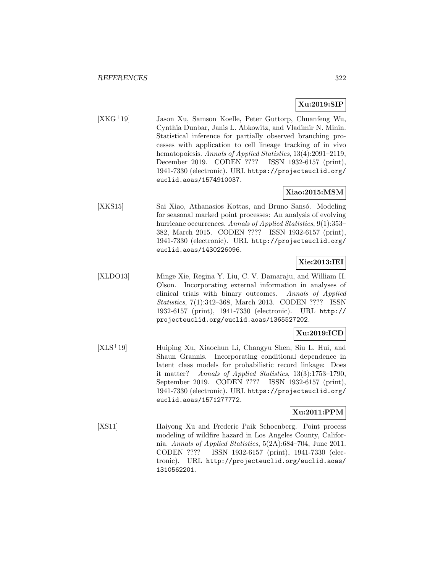# **Xu:2019:SIP**

[XKG<sup>+</sup>19] Jason Xu, Samson Koelle, Peter Guttorp, Chuanfeng Wu, Cynthia Dunbar, Janis L. Abkowitz, and Vladimir N. Minin. Statistical inference for partially observed branching processes with application to cell lineage tracking of in vivo hematopoiesis. Annals of Applied Statistics, 13(4):2091-2119, December 2019. CODEN ???? ISSN 1932-6157 (print), 1941-7330 (electronic). URL https://projecteuclid.org/ euclid.aoas/1574910037.

# **Xiao:2015:MSM**

[XKS15] Sai Xiao, Athanasios Kottas, and Bruno Sansó. Modeling for seasonal marked point processes: An analysis of evolving hurricane occurrences. Annals of Applied Statistics, 9(1):353– 382, March 2015. CODEN ???? ISSN 1932-6157 (print), 1941-7330 (electronic). URL http://projecteuclid.org/ euclid.aoas/1430226096.

# **Xie:2013:IEI**

[XLDO13] Minge Xie, Regina Y. Liu, C. V. Damaraju, and William H. Olson. Incorporating external information in analyses of clinical trials with binary outcomes. Annals of Applied Statistics, 7(1):342–368, March 2013. CODEN ???? ISSN 1932-6157 (print), 1941-7330 (electronic). URL http:// projecteuclid.org/euclid.aoas/1365527202.

# **Xu:2019:ICD**

[XLS<sup>+</sup>19] Huiping Xu, Xiaochun Li, Changyu Shen, Siu L. Hui, and Shaun Grannis. Incorporating conditional dependence in latent class models for probabilistic record linkage: Does it matter? Annals of Applied Statistics, 13(3):1753–1790, September 2019. CODEN ???? ISSN 1932-6157 (print), 1941-7330 (electronic). URL https://projecteuclid.org/ euclid.aoas/1571277772.

# **Xu:2011:PPM**

[XS11] Haiyong Xu and Frederic Paik Schoenberg. Point process modeling of wildfire hazard in Los Angeles County, California. Annals of Applied Statistics, 5(2A):684–704, June 2011. CODEN ???? ISSN 1932-6157 (print), 1941-7330 (electronic). URL http://projecteuclid.org/euclid.aoas/ 1310562201.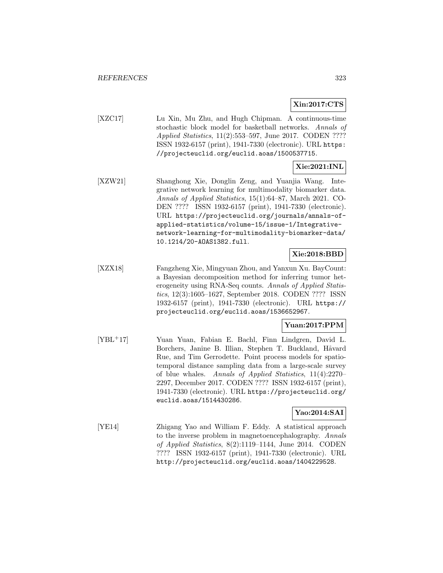# **Xin:2017:CTS**

[XZC17] Lu Xin, Mu Zhu, and Hugh Chipman. A continuous-time stochastic block model for basketball networks. Annals of Applied Statistics, 11(2):553–597, June 2017. CODEN ???? ISSN 1932-6157 (print), 1941-7330 (electronic). URL https: //projecteuclid.org/euclid.aoas/1500537715.

# **Xie:2021:INL**

[XZW21] Shanghong Xie, Donglin Zeng, and Yuanjia Wang. Integrative network learning for multimodality biomarker data. Annals of Applied Statistics, 15(1):64–87, March 2021. CO-DEN ???? ISSN 1932-6157 (print), 1941-7330 (electronic). URL https://projecteuclid.org/journals/annals-ofapplied-statistics/volume-15/issue-1/Integrativenetwork-learning-for-multimodality-biomarker-data/ 10.1214/20-AOAS1382.full.

# **Xie:2018:BBD**

[XZX18] Fangzheng Xie, Mingyuan Zhou, and Yanxun Xu. BayCount: a Bayesian decomposition method for inferring tumor heterogeneity using RNA-Seq counts. Annals of Applied Statistics, 12(3):1605–1627, September 2018. CODEN ???? ISSN 1932-6157 (print), 1941-7330 (electronic). URL https:// projecteuclid.org/euclid.aoas/1536652967.

# **Yuan:2017:PPM**

[YBL<sup>+</sup>17] Yuan Yuan, Fabian E. Bachl, Finn Lindgren, David L. Borchers, Janine B. Illian, Stephen T. Buckland, Håvard Rue, and Tim Gerrodette. Point process models for spatiotemporal distance sampling data from a large-scale survey of blue whales. Annals of Applied Statistics, 11(4):2270– 2297, December 2017. CODEN ???? ISSN 1932-6157 (print), 1941-7330 (electronic). URL https://projecteuclid.org/ euclid.aoas/1514430286.

# **Yao:2014:SAI**

[YE14] Zhigang Yao and William F. Eddy. A statistical approach to the inverse problem in magnetoencephalography. Annals of Applied Statistics, 8(2):1119–1144, June 2014. CODEN ???? ISSN 1932-6157 (print), 1941-7330 (electronic). URL http://projecteuclid.org/euclid.aoas/1404229528.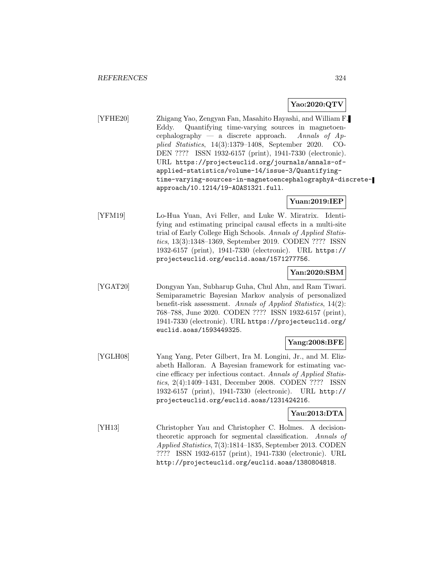### **Yao:2020:QTV**

[YFHE20] Zhigang Yao, Zengyan Fan, Masahito Hayashi, and William F. Eddy. Quantifying time-varying sources in magnetoencephalography — a discrete approach. Annals of  $Ap$ plied Statistics, 14(3):1379–1408, September 2020. CO-DEN ???? ISSN 1932-6157 (print), 1941-7330 (electronic). URL https://projecteuclid.org/journals/annals-ofapplied-statistics/volume-14/issue-3/Quantifyingtime-varying-sources-in-magnetoencephalographyA-discreteapproach/10.1214/19-AOAS1321.full.

### **Yuan:2019:IEP**

[YFM19] Lo-Hua Yuan, Avi Feller, and Luke W. Miratrix. Identifying and estimating principal causal effects in a multi-site trial of Early College High Schools. Annals of Applied Statistics, 13(3):1348–1369, September 2019. CODEN ???? ISSN 1932-6157 (print), 1941-7330 (electronic). URL https:// projecteuclid.org/euclid.aoas/1571277756.

### **Yan:2020:SBM**

[YGAT20] Dongyan Yan, Subharup Guha, Chul Ahn, and Ram Tiwari. Semiparametric Bayesian Markov analysis of personalized benefit-risk assessment. Annals of Applied Statistics, 14(2): 768–788, June 2020. CODEN ???? ISSN 1932-6157 (print), 1941-7330 (electronic). URL https://projecteuclid.org/ euclid.aoas/1593449325.

#### **Yang:2008:BFE**

[YGLH08] Yang Yang, Peter Gilbert, Ira M. Longini, Jr., and M. Elizabeth Halloran. A Bayesian framework for estimating vaccine efficacy per infectious contact. Annals of Applied Statistics, 2(4):1409–1431, December 2008. CODEN ???? ISSN 1932-6157 (print), 1941-7330 (electronic). URL http:// projecteuclid.org/euclid.aoas/1231424216.

# **Yau:2013:DTA**

[YH13] Christopher Yau and Christopher C. Holmes. A decisiontheoretic approach for segmental classification. Annals of Applied Statistics, 7(3):1814–1835, September 2013. CODEN ???? ISSN 1932-6157 (print), 1941-7330 (electronic). URL http://projecteuclid.org/euclid.aoas/1380804818.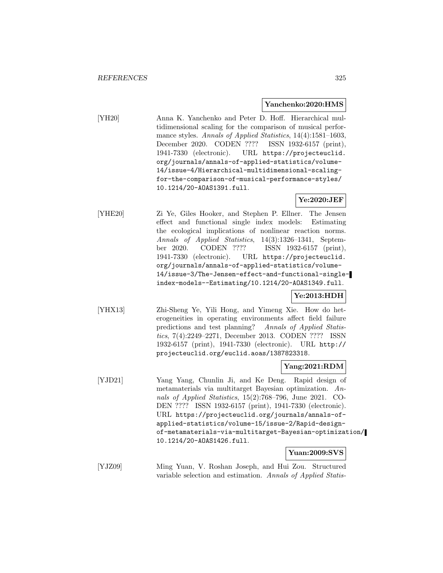#### **Yanchenko:2020:HMS**

[YH20] Anna K. Yanchenko and Peter D. Hoff. Hierarchical multidimensional scaling for the comparison of musical performance styles. Annals of Applied Statistics, 14(4):1581-1603, December 2020. CODEN ???? ISSN 1932-6157 (print), 1941-7330 (electronic). URL https://projecteuclid. org/journals/annals-of-applied-statistics/volume-14/issue-4/Hierarchical-multidimensional-scalingfor-the-comparison-of-musical-performance-styles/ 10.1214/20-AOAS1391.full.

### **Ye:2020:JEF**

[YHE20] Zi Ye, Giles Hooker, and Stephen P. Ellner. The Jensen effect and functional single index models: Estimating the ecological implications of nonlinear reaction norms. Annals of Applied Statistics, 14(3):1326–1341, September 2020. CODEN ???? ISSN 1932-6157 (print), 1941-7330 (electronic). URL https://projecteuclid. org/journals/annals-of-applied-statistics/volume-14/issue-3/The-Jensen-effect-and-functional-singleindex-models--Estimating/10.1214/20-AOAS1349.full.

# **Ye:2013:HDH**

[YHX13] Zhi-Sheng Ye, Yili Hong, and Yimeng Xie. How do heterogeneities in operating environments affect field failure predictions and test planning? Annals of Applied Statistics, 7(4):2249–2271, December 2013. CODEN ???? ISSN 1932-6157 (print), 1941-7330 (electronic). URL http:// projecteuclid.org/euclid.aoas/1387823318.

#### **Yang:2021:RDM**

[YJD21] Yang Yang, Chunlin Ji, and Ke Deng. Rapid design of metamaterials via multitarget Bayesian optimization. Annals of Applied Statistics, 15(2):768–796, June 2021. CO-DEN ???? ISSN 1932-6157 (print), 1941-7330 (electronic). URL https://projecteuclid.org/journals/annals-ofapplied-statistics/volume-15/issue-2/Rapid-designof-metamaterials-via-multitarget-Bayesian-optimization/ 10.1214/20-AOAS1426.full.

### **Yuan:2009:SVS**

[YJZ09] Ming Yuan, V. Roshan Joseph, and Hui Zou. Structured variable selection and estimation. Annals of Applied Statis-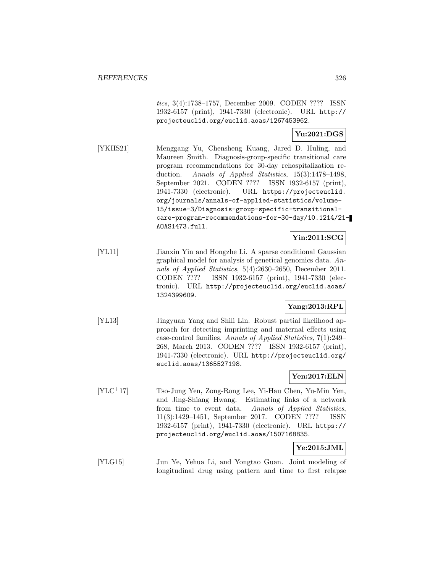tics, 3(4):1738–1757, December 2009. CODEN ???? ISSN 1932-6157 (print), 1941-7330 (electronic). URL http:// projecteuclid.org/euclid.aoas/1267453962.

### **Yu:2021:DGS**

[YKHS21] Menggang Yu, Chensheng Kuang, Jared D. Huling, and Maureen Smith. Diagnosis-group-specific transitional care program recommendations for 30-day rehospitalization reduction. Annals of Applied Statistics, 15(3):1478–1498, September 2021. CODEN ???? ISSN 1932-6157 (print), 1941-7330 (electronic). URL https://projecteuclid. org/journals/annals-of-applied-statistics/volume-15/issue-3/Diagnosis-group-specific-transitionalcare-program-recommendations-for-30-day/10.1214/21- AOAS1473.full.

# **Yin:2011:SCG**

[YL11] Jianxin Yin and Hongzhe Li. A sparse conditional Gaussian graphical model for analysis of genetical genomics data. Annals of Applied Statistics, 5(4):2630–2650, December 2011. CODEN ???? ISSN 1932-6157 (print), 1941-7330 (electronic). URL http://projecteuclid.org/euclid.aoas/ 1324399609.

### **Yang:2013:RPL**

[YL13] Jingyuan Yang and Shili Lin. Robust partial likelihood approach for detecting imprinting and maternal effects using case-control families. Annals of Applied Statistics, 7(1):249– 268, March 2013. CODEN ???? ISSN 1932-6157 (print), 1941-7330 (electronic). URL http://projecteuclid.org/ euclid.aoas/1365527198.

# **Yen:2017:ELN**

[YLC<sup>+</sup>17] Tso-Jung Yen, Zong-Rong Lee, Yi-Hau Chen, Yu-Min Yen, and Jing-Shiang Hwang. Estimating links of a network from time to event data. Annals of Applied Statistics, 11(3):1429–1451, September 2017. CODEN ???? ISSN 1932-6157 (print), 1941-7330 (electronic). URL https:// projecteuclid.org/euclid.aoas/1507168835.

# **Ye:2015:JML**

[YLG15] Jun Ye, Yehua Li, and Yongtao Guan. Joint modeling of longitudinal drug using pattern and time to first relapse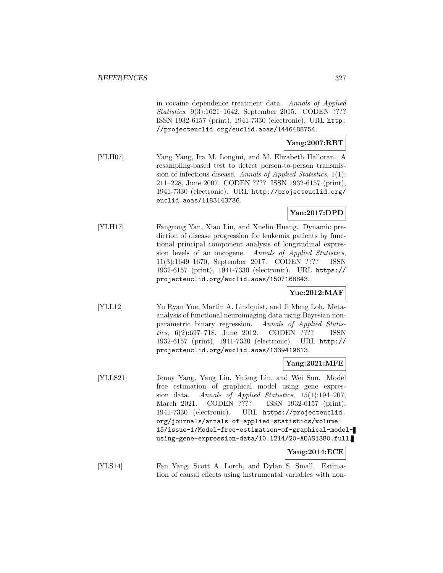in cocaine dependence treatment data. Annals of Applied Statistics, 9(3):1621–1642, September 2015. CODEN ???? ISSN 1932-6157 (print), 1941-7330 (electronic). URL http: //projecteuclid.org/euclid.aoas/1446488754.

# **Yang:2007:RBT**

[YLH07] Yang Yang, Ira M. Longini, and M. Elizabeth Halloran. A resampling-based test to detect person-to-person transmission of infectious disease. Annals of Applied Statistics, 1(1): 211–228, June 2007. CODEN ???? ISSN 1932-6157 (print), 1941-7330 (electronic). URL http://projecteuclid.org/ euclid.aoas/1183143736.

# **Yan:2017:DPD**

[YLH17] Fangrong Yan, Xiao Lin, and Xuelin Huang. Dynamic prediction of disease progression for leukemia patients by functional principal component analysis of longitudinal expression levels of an oncogene. Annals of Applied Statistics, 11(3):1649–1670, September 2017. CODEN ???? ISSN 1932-6157 (print), 1941-7330 (electronic). URL https:// projecteuclid.org/euclid.aoas/1507168843.

# **Yue:2012:MAF**

[YLL12] Yu Ryan Yue, Martin A. Lindquist, and Ji Meng Loh. Metaanalysis of functional neuroimaging data using Bayesian nonparametric binary regression. Annals of Applied Statistics, 6(2):697–718, June 2012. CODEN ???? ISSN 1932-6157 (print), 1941-7330 (electronic). URL http:// projecteuclid.org/euclid.aoas/1339419613.

#### **Yang:2021:MFE**

[YLLS21] Jenny Yang, Yang Liu, Yufeng Liu, and Wei Sun. Model free estimation of graphical model using gene expression data. Annals of Applied Statistics, 15(1):194–207, March 2021. CODEN ???? ISSN 1932-6157 (print), 1941-7330 (electronic). URL https://projecteuclid. org/journals/annals-of-applied-statistics/volume-15/issue-1/Model-free-estimation-of-graphical-modelusing-gene-expression-data/10.1214/20-AOAS1380.full.

#### **Yang:2014:ECE**

[YLS14] Fan Yang, Scott A. Lorch, and Dylan S. Small. Estimation of causal effects using instrumental variables with non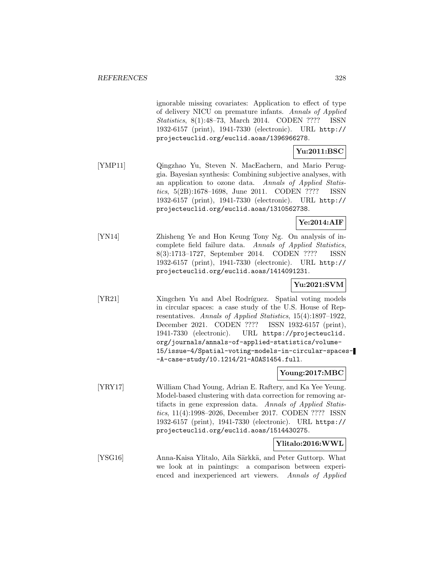ignorable missing covariates: Application to effect of type of delivery NICU on premature infants. Annals of Applied Statistics, 8(1):48–73, March 2014. CODEN ???? ISSN 1932-6157 (print), 1941-7330 (electronic). URL http:// projecteuclid.org/euclid.aoas/1396966278.

# **Yu:2011:BSC**

[YMP11] Qingzhao Yu, Steven N. MacEachern, and Mario Peruggia. Bayesian synthesis: Combining subjective analyses, with an application to ozone data. Annals of Applied Statistics, 5(2B):1678–1698, June 2011. CODEN ???? ISSN 1932-6157 (print), 1941-7330 (electronic). URL http:// projecteuclid.org/euclid.aoas/1310562738.

# **Ye:2014:AIF**

[YN14] Zhisheng Ye and Hon Keung Tony Ng. On analysis of incomplete field failure data. Annals of Applied Statistics, 8(3):1713–1727, September 2014. CODEN ???? ISSN 1932-6157 (print), 1941-7330 (electronic). URL http:// projecteuclid.org/euclid.aoas/1414091231.

# **Yu:2021:SVM**

[YR21] Xingchen Yu and Abel Rodríguez. Spatial voting models in circular spaces: a case study of the U.S. House of Representatives. Annals of Applied Statistics, 15(4):1897–1922, December 2021. CODEN ???? ISSN 1932-6157 (print), 1941-7330 (electronic). URL https://projecteuclid. org/journals/annals-of-applied-statistics/volume-15/issue-4/Spatial-voting-models-in-circular-spaces- -A-case-study/10.1214/21-AOAS1454.full.

### **Young:2017:MBC**

[YRY17] William Chad Young, Adrian E. Raftery, and Ka Yee Yeung. Model-based clustering with data correction for removing artifacts in gene expression data. Annals of Applied Statistics, 11(4):1998–2026, December 2017. CODEN ???? ISSN 1932-6157 (print), 1941-7330 (electronic). URL https:// projecteuclid.org/euclid.aoas/1514430275.

### **Ylitalo:2016:WWL**

[YSG16] Anna-Kaisa Ylitalo, Aila Särkkä, and Peter Guttorp. What we look at in paintings: a comparison between experienced and inexperienced art viewers. Annals of Applied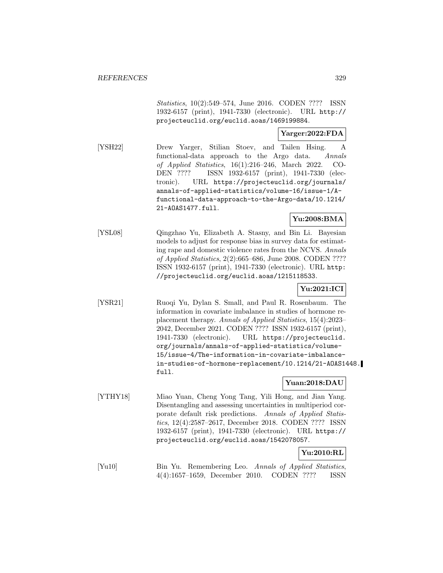Statistics, 10(2):549–574, June 2016. CODEN ???? ISSN 1932-6157 (print), 1941-7330 (electronic). URL http:// projecteuclid.org/euclid.aoas/1469199884.

### **Yarger:2022:FDA**

[YSH22] Drew Yarger, Stilian Stoev, and Tailen Hsing. A functional-data approach to the Argo data. Annals of Applied Statistics, 16(1):216–246, March 2022. CO-DEN ???? ISSN 1932-6157 (print), 1941-7330 (electronic). URL https://projecteuclid.org/journals/ annals-of-applied-statistics/volume-16/issue-1/Afunctional-data-approach-to-the-Argo-data/10.1214/ 21-AOAS1477.full.

**Yu:2008:BMA**

[YSL08] Qingzhao Yu, Elizabeth A. Stasny, and Bin Li. Bayesian models to adjust for response bias in survey data for estimating rape and domestic violence rates from the NCVS. Annals of Applied Statistics, 2(2):665–686, June 2008. CODEN ???? ISSN 1932-6157 (print), 1941-7330 (electronic). URL http: //projecteuclid.org/euclid.aoas/1215118533.

# **Yu:2021:ICI**

[YSR21] Ruoqi Yu, Dylan S. Small, and Paul R. Rosenbaum. The information in covariate imbalance in studies of hormone replacement therapy. Annals of Applied Statistics, 15(4):2023– 2042, December 2021. CODEN ???? ISSN 1932-6157 (print), 1941-7330 (electronic). URL https://projecteuclid. org/journals/annals-of-applied-statistics/volume-15/issue-4/The-information-in-covariate-imbalancein-studies-of-hormone-replacement/10.1214/21-AOAS1448. full.

# **Yuan:2018:DAU**

[YTHY18] Miao Yuan, Cheng Yong Tang, Yili Hong, and Jian Yang. Disentangling and assessing uncertainties in multiperiod corporate default risk predictions. Annals of Applied Statistics, 12(4):2587–2617, December 2018. CODEN ???? ISSN 1932-6157 (print), 1941-7330 (electronic). URL https:// projecteuclid.org/euclid.aoas/1542078057.

# **Yu:2010:RL**

[Yu10] Bin Yu. Remembering Leo. Annals of Applied Statistics, 4(4):1657–1659, December 2010. CODEN ???? ISSN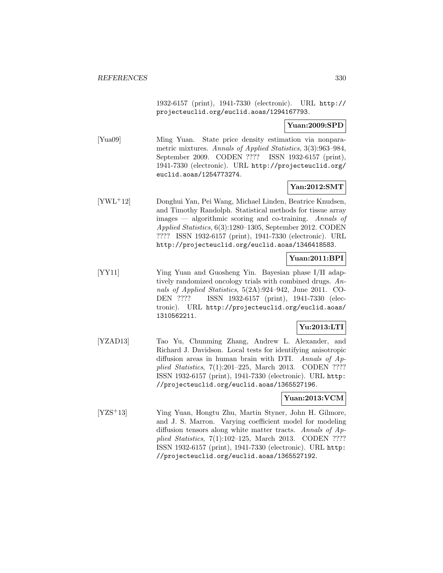1932-6157 (print), 1941-7330 (electronic). URL http:// projecteuclid.org/euclid.aoas/1294167793.

### **Yuan:2009:SPD**

[Yua09] Ming Yuan. State price density estimation via nonparametric mixtures. Annals of Applied Statistics, 3(3):963–984, September 2009. CODEN ???? ISSN 1932-6157 (print), 1941-7330 (electronic). URL http://projecteuclid.org/ euclid.aoas/1254773274.

# **Yan:2012:SMT**

[YWL<sup>+</sup>12] Donghui Yan, Pei Wang, Michael Linden, Beatrice Knudsen, and Timothy Randolph. Statistical methods for tissue array images — algorithmic scoring and co-training. Annals of Applied Statistics, 6(3):1280–1305, September 2012. CODEN ???? ISSN 1932-6157 (print), 1941-7330 (electronic). URL http://projecteuclid.org/euclid.aoas/1346418583.

### **Yuan:2011:BPI**

[YY11] Ying Yuan and Guosheng Yin. Bayesian phase I/II adaptively randomized oncology trials with combined drugs. Annals of Applied Statistics, 5(2A):924–942, June 2011. CO-DEN ???? ISSN 1932-6157 (print), 1941-7330 (electronic). URL http://projecteuclid.org/euclid.aoas/ 1310562211.

# **Yu:2013:LTI**

[YZAD13] Tao Yu, Chunming Zhang, Andrew L. Alexander, and Richard J. Davidson. Local tests for identifying anisotropic diffusion areas in human brain with DTI. Annals of Applied Statistics, 7(1):201–225, March 2013. CODEN ???? ISSN 1932-6157 (print), 1941-7330 (electronic). URL http: //projecteuclid.org/euclid.aoas/1365527196.

#### **Yuan:2013:VCM**

[YZS<sup>+</sup>13] Ying Yuan, Hongtu Zhu, Martin Styner, John H. Gilmore, and J. S. Marron. Varying coefficient model for modeling diffusion tensors along white matter tracts. Annals of Applied Statistics, 7(1):102–125, March 2013. CODEN ???? ISSN 1932-6157 (print), 1941-7330 (electronic). URL http: //projecteuclid.org/euclid.aoas/1365527192.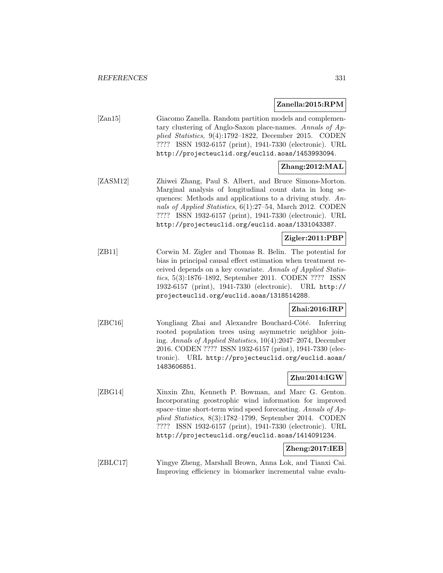#### **Zanella:2015:RPM**

| Zan15 | Giacomo Zanella. Random partition models and complemen-   |
|-------|-----------------------------------------------------------|
|       | tary clustering of Anglo-Saxon place-names. Annals of Ap- |
|       | plied Statistics, $9(4):1792-1822$ , December 2015. CODEN |
|       | ???? ISSN 1932-6157 (print), 1941-7330 (electronic). URL  |
|       | http://projecteuclid.org/euclid.aoas/1453993094.          |
|       |                                                           |

# **Zhang:2012:MAL**

[ZASM12] Zhiwei Zhang, Paul S. Albert, and Bruce Simons-Morton. Marginal analysis of longitudinal count data in long sequences: Methods and applications to a driving study. Annals of Applied Statistics, 6(1):27–54, March 2012. CODEN ???? ISSN 1932-6157 (print), 1941-7330 (electronic). URL http://projecteuclid.org/euclid.aoas/1331043387.

# **Zigler:2011:PBP**

[ZB11] Corwin M. Zigler and Thomas R. Belin. The potential for bias in principal causal effect estimation when treatment received depends on a key covariate. Annals of Applied Statistics, 5(3):1876–1892, September 2011. CODEN ???? ISSN 1932-6157 (print), 1941-7330 (electronic). URL http:// projecteuclid.org/euclid.aoas/1318514288.

### **Zhai:2016:IRP**

[ZBC16] Yongliang Zhai and Alexandre Bouchard-Côté. Inferring rooted population trees using asymmetric neighbor joining. Annals of Applied Statistics, 10(4):2047–2074, December 2016. CODEN ???? ISSN 1932-6157 (print), 1941-7330 (electronic). URL http://projecteuclid.org/euclid.aoas/ 1483606851.

### **Zhu:2014:IGW**

[ZBG14] Xinxin Zhu, Kenneth P. Bowman, and Marc G. Genton. Incorporating geostrophic wind information for improved space–time short-term wind speed forecasting. Annals of Applied Statistics, 8(3):1782–1799, September 2014. CODEN ???? ISSN 1932-6157 (print), 1941-7330 (electronic). URL http://projecteuclid.org/euclid.aoas/1414091234.

# **Zheng:2017:IEB**

[ZBLC17] Yingye Zheng, Marshall Brown, Anna Lok, and Tianxi Cai. Improving efficiency in biomarker incremental value evalu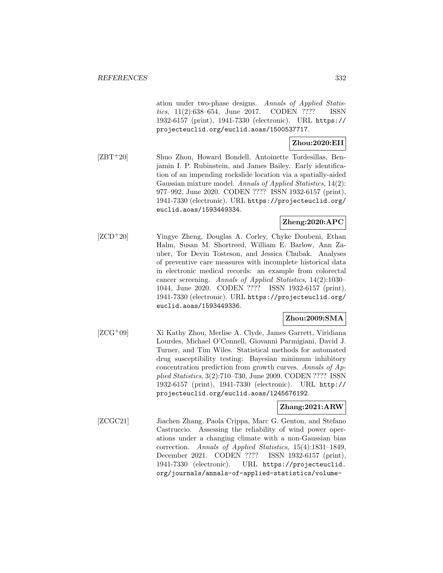ation under two-phase designs. Annals of Applied Statistics, 11(2):638–654, June 2017. CODEN ???? ISSN 1932-6157 (print), 1941-7330 (electronic). URL https:// projecteuclid.org/euclid.aoas/1500537717.

# **Zhou:2020:EII**

[ZBT<sup>+</sup>20] Shuo Zhou, Howard Bondell, Antoinette Tordesillas, Benjamin I. P. Rubinstein, and James Bailey. Early identification of an impending rockslide location via a spatially-aided Gaussian mixture model. Annals of Applied Statistics, 14(2): 977–992, June 2020. CODEN ???? ISSN 1932-6157 (print), 1941-7330 (electronic). URL https://projecteuclid.org/ euclid.aoas/1593449334.

# **Zheng:2020:APC**

[ZCD<sup>+</sup>20] Yingye Zheng, Douglas A. Corley, Chyke Doubeni, Ethan Halm, Susan M. Shortreed, William E. Barlow, Ann Zauber, Tor Devin Tosteson, and Jessica Chubak. Analyses of preventive care measures with incomplete historical data in electronic medical records: an example from colorectal cancer screening. Annals of Applied Statistics, 14(2):1030– 1044, June 2020. CODEN ???? ISSN 1932-6157 (print), 1941-7330 (electronic). URL https://projecteuclid.org/ euclid.aoas/1593449336.

### **Zhou:2009:SMA**

[ZCG<sup>+</sup>09] Xi Kathy Zhou, Merlise A. Clyde, James Garrett, Viridiana Lourdes, Michael O'Connell, Giovanni Parmigiani, David J. Turner, and Tim Wiles. Statistical methods for automated drug susceptibility testing: Bayesian minimum inhibitory concentration prediction from growth curves. Annals of Applied Statistics, 3(2):710–730, June 2009. CODEN ???? ISSN 1932-6157 (print), 1941-7330 (electronic). URL http:// projecteuclid.org/euclid.aoas/1245676192.

# **Zhang:2021:ARW**

[ZCGC21] Jiachen Zhang, Paola Crippa, Marc G. Genton, and Stefano Castruccio. Assessing the reliability of wind power operations under a changing climate with a non-Gaussian bias correction. Annals of Applied Statistics, 15(4):1831–1849, December 2021. CODEN ???? ISSN 1932-6157 (print), 1941-7330 (electronic). URL https://projecteuclid. org/journals/annals-of-applied-statistics/volume-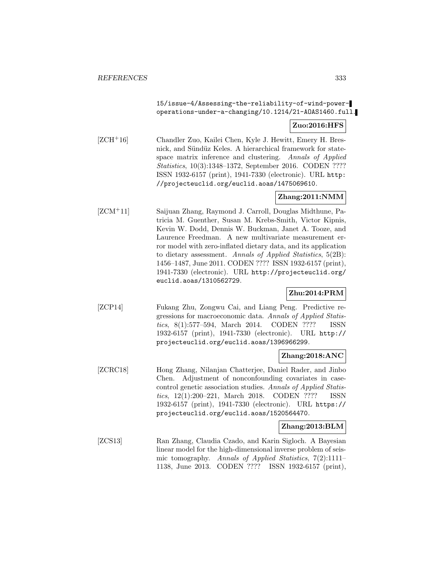## 15/issue-4/Assessing-the-reliability-of-wind-poweroperations-under-a-changing/10.1214/21-AOAS1460.full.

### **Zuo:2016:HFS**

[ZCH<sup>+</sup>16] Chandler Zuo, Kailei Chen, Kyle J. Hewitt, Emery H. Bresnick, and Sündüz Keles. A hierarchical framework for statespace matrix inference and clustering. Annals of Applied Statistics, 10(3):1348–1372, September 2016. CODEN ???? ISSN 1932-6157 (print), 1941-7330 (electronic). URL http: //projecteuclid.org/euclid.aoas/1475069610.

### **Zhang:2011:NMM**

[ZCM<sup>+</sup>11] Saijuan Zhang, Raymond J. Carroll, Douglas Midthune, Patricia M. Guenther, Susan M. Krebs-Smith, Victor Kipnis, Kevin W. Dodd, Dennis W. Buckman, Janet A. Tooze, and Laurence Freedman. A new multivariate measurement error model with zero-inflated dietary data, and its application to dietary assessment. Annals of Applied Statistics, 5(2B): 1456–1487, June 2011. CODEN ???? ISSN 1932-6157 (print), 1941-7330 (electronic). URL http://projecteuclid.org/ euclid.aoas/1310562729.

# **Zhu:2014:PRM**

[ZCP14] Fukang Zhu, Zongwu Cai, and Liang Peng. Predictive regressions for macroeconomic data. Annals of Applied Statistics, 8(1):577–594, March 2014. CODEN ???? ISSN 1932-6157 (print), 1941-7330 (electronic). URL http:// projecteuclid.org/euclid.aoas/1396966299.

### **Zhang:2018:ANC**

[ZCRC18] Hong Zhang, Nilanjan Chatterjee, Daniel Rader, and Jinbo Chen. Adjustment of nonconfounding covariates in casecontrol genetic association studies. Annals of Applied Statistics, 12(1):200–221, March 2018. CODEN ???? ISSN 1932-6157 (print), 1941-7330 (electronic). URL https:// projecteuclid.org/euclid.aoas/1520564470.

### **Zhang:2013:BLM**

[ZCS13] Ran Zhang, Claudia Czado, and Karin Sigloch. A Bayesian linear model for the high-dimensional inverse problem of seismic tomography. Annals of Applied Statistics, 7(2):1111– 1138, June 2013. CODEN ???? ISSN 1932-6157 (print),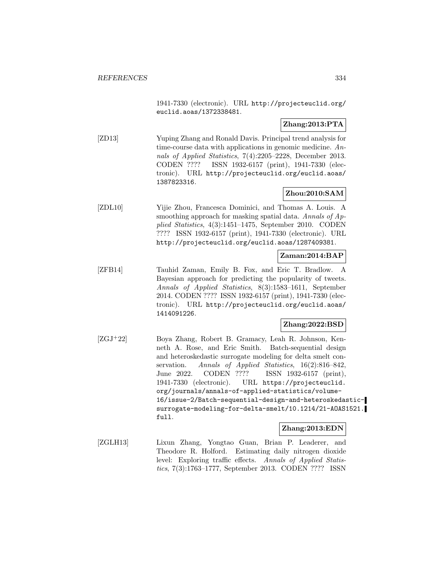1941-7330 (electronic). URL http://projecteuclid.org/ euclid.aoas/1372338481.

# **Zhang:2013:PTA**

[ZD13] Yuping Zhang and Ronald Davis. Principal trend analysis for time-course data with applications in genomic medicine. Annals of Applied Statistics, 7(4):2205–2228, December 2013. CODEN ???? ISSN 1932-6157 (print), 1941-7330 (electronic). URL http://projecteuclid.org/euclid.aoas/ 1387823316.

# **Zhou:2010:SAM**

[ZDL10] Yijie Zhou, Francesca Dominici, and Thomas A. Louis. A smoothing approach for masking spatial data. Annals of Applied Statistics, 4(3):1451–1475, September 2010. CODEN ???? ISSN 1932-6157 (print), 1941-7330 (electronic). URL http://projecteuclid.org/euclid.aoas/1287409381.

### **Zaman:2014:BAP**

[ZFB14] Tauhid Zaman, Emily B. Fox, and Eric T. Bradlow. A Bayesian approach for predicting the popularity of tweets. Annals of Applied Statistics, 8(3):1583–1611, September 2014. CODEN ???? ISSN 1932-6157 (print), 1941-7330 (electronic). URL http://projecteuclid.org/euclid.aoas/ 1414091226.

### **Zhang:2022:BSD**

[ZGJ<sup>+</sup>22] Boya Zhang, Robert B. Gramacy, Leah R. Johnson, Kenneth A. Rose, and Eric Smith. Batch-sequential design and heteroskedastic surrogate modeling for delta smelt conservation. Annals of Applied Statistics, 16(2):816-842, June 2022. CODEN ???? ISSN 1932-6157 (print), 1941-7330 (electronic). URL https://projecteuclid. org/journals/annals-of-applied-statistics/volume-16/issue-2/Batch-sequential-design-and-heteroskedasticsurrogate-modeling-for-delta-smelt/10.1214/21-AOAS1521. full.

### **Zhang:2013:EDN**

[ZGLH13] Lixun Zhang, Yongtao Guan, Brian P. Leaderer, and Theodore R. Holford. Estimating daily nitrogen dioxide level: Exploring traffic effects. Annals of Applied Statistics, 7(3):1763–1777, September 2013. CODEN ???? ISSN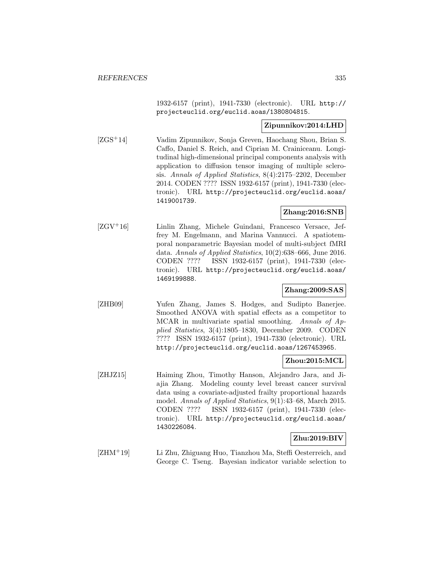1932-6157 (print), 1941-7330 (electronic). URL http:// projecteuclid.org/euclid.aoas/1380804815.

### **Zipunnikov:2014:LHD**

[ZGS<sup>+</sup>14] Vadim Zipunnikov, Sonja Greven, Haochang Shou, Brian S. Caffo, Daniel S. Reich, and Ciprian M. Crainiceanu. Longitudinal high-dimensional principal components analysis with application to diffusion tensor imaging of multiple sclerosis. Annals of Applied Statistics, 8(4):2175–2202, December 2014. CODEN ???? ISSN 1932-6157 (print), 1941-7330 (electronic). URL http://projecteuclid.org/euclid.aoas/ 1419001739.

### **Zhang:2016:SNB**

[ZGV<sup>+</sup>16] Linlin Zhang, Michele Guindani, Francesco Versace, Jeffrey M. Engelmann, and Marina Vannucci. A spatiotemporal nonparametric Bayesian model of multi-subject fMRI data. Annals of Applied Statistics, 10(2):638–666, June 2016. CODEN ???? ISSN 1932-6157 (print), 1941-7330 (electronic). URL http://projecteuclid.org/euclid.aoas/ 1469199888.

# **Zhang:2009:SAS**

[ZHB09] Yufen Zhang, James S. Hodges, and Sudipto Banerjee. Smoothed ANOVA with spatial effects as a competitor to MCAR in multivariate spatial smoothing. Annals of Applied Statistics, 3(4):1805–1830, December 2009. CODEN ???? ISSN 1932-6157 (print), 1941-7330 (electronic). URL http://projecteuclid.org/euclid.aoas/1267453965.

#### **Zhou:2015:MCL**

[ZHJZ15] Haiming Zhou, Timothy Hanson, Alejandro Jara, and Jiajia Zhang. Modeling county level breast cancer survival data using a covariate-adjusted frailty proportional hazards model. Annals of Applied Statistics, 9(1):43–68, March 2015. CODEN ???? ISSN 1932-6157 (print), 1941-7330 (electronic). URL http://projecteuclid.org/euclid.aoas/ 1430226084.

#### **Zhu:2019:BIV**

[ZHM<sup>+</sup>19] Li Zhu, Zhiguang Huo, Tianzhou Ma, Steffi Oesterreich, and George C. Tseng. Bayesian indicator variable selection to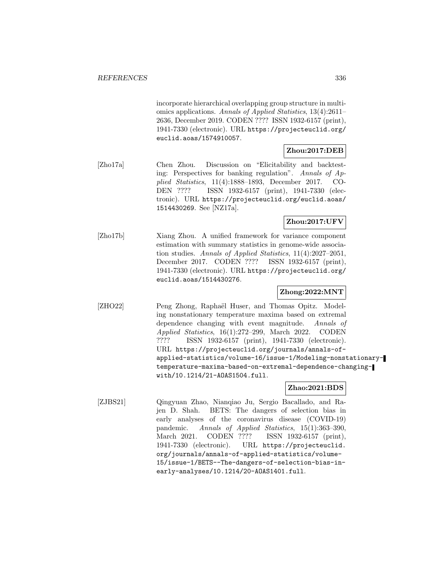incorporate hierarchical overlapping group structure in multiomics applications. Annals of Applied Statistics, 13(4):2611– 2636, December 2019. CODEN ???? ISSN 1932-6157 (print), 1941-7330 (electronic). URL https://projecteuclid.org/ euclid.aoas/1574910057.

# **Zhou:2017:DEB**

[Zho17a] Chen Zhou. Discussion on "Elicitability and backtesting: Perspectives for banking regulation". Annals of Applied Statistics, 11(4):1888–1893, December 2017. CO-DEN ???? ISSN 1932-6157 (print), 1941-7330 (electronic). URL https://projecteuclid.org/euclid.aoas/ 1514430269. See [NZ17a].

# **Zhou:2017:UFV**

[Zho17b] Xiang Zhou. A unified framework for variance component estimation with summary statistics in genome-wide association studies. Annals of Applied Statistics, 11(4):2027–2051, December 2017. CODEN ???? ISSN 1932-6157 (print), 1941-7330 (electronic). URL https://projecteuclid.org/ euclid.aoas/1514430276.

# **Zhong:2022:MNT**

[ZHO22] Peng Zhong, Raphaël Huser, and Thomas Opitz. Modeling nonstationary temperature maxima based on extremal dependence changing with event magnitude. Annals of Applied Statistics, 16(1):272–299, March 2022. CODEN ???? ISSN 1932-6157 (print), 1941-7330 (electronic). URL https://projecteuclid.org/journals/annals-ofapplied-statistics/volume-16/issue-1/Modeling-nonstationarytemperature-maxima-based-on-extremal-dependence-changingwith/10.1214/21-AOAS1504.full.

#### **Zhao:2021:BDS**

[ZJBS21] Qingyuan Zhao, Nianqiao Ju, Sergio Bacallado, and Rajen D. Shah. BETS: The dangers of selection bias in early analyses of the coronavirus disease (COVID-19) pandemic. Annals of Applied Statistics, 15(1):363–390, March 2021. CODEN ???? ISSN 1932-6157 (print), 1941-7330 (electronic). URL https://projecteuclid. org/journals/annals-of-applied-statistics/volume-15/issue-1/BETS--The-dangers-of-selection-bias-inearly-analyses/10.1214/20-AOAS1401.full.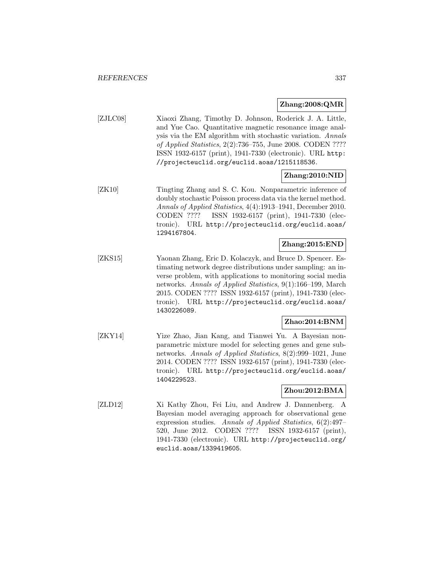### **Zhang:2008:QMR**

[ZJLC08] Xiaoxi Zhang, Timothy D. Johnson, Roderick J. A. Little, and Yue Cao. Quantitative magnetic resonance image analysis via the EM algorithm with stochastic variation. Annals of Applied Statistics, 2(2):736–755, June 2008. CODEN ???? ISSN 1932-6157 (print), 1941-7330 (electronic). URL http: //projecteuclid.org/euclid.aoas/1215118536.

# **Zhang:2010:NID**

[ZK10] Tingting Zhang and S. C. Kou. Nonparametric inference of doubly stochastic Poisson process data via the kernel method. Annals of Applied Statistics, 4(4):1913–1941, December 2010. CODEN ???? ISSN 1932-6157 (print), 1941-7330 (electronic). URL http://projecteuclid.org/euclid.aoas/ 1294167804.

### **Zhang:2015:END**

[ZKS15] Yaonan Zhang, Eric D. Kolaczyk, and Bruce D. Spencer. Estimating network degree distributions under sampling: an inverse problem, with applications to monitoring social media networks. Annals of Applied Statistics, 9(1):166–199, March 2015. CODEN ???? ISSN 1932-6157 (print), 1941-7330 (electronic). URL http://projecteuclid.org/euclid.aoas/ 1430226089.

# **Zhao:2014:BNM**

[ZKY14] Yize Zhao, Jian Kang, and Tianwei Yu. A Bayesian nonparametric mixture model for selecting genes and gene subnetworks. Annals of Applied Statistics, 8(2):999–1021, June 2014. CODEN ???? ISSN 1932-6157 (print), 1941-7330 (electronic). URL http://projecteuclid.org/euclid.aoas/ 1404229523.

# **Zhou:2012:BMA**

[ZLD12] Xi Kathy Zhou, Fei Liu, and Andrew J. Dannenberg. A Bayesian model averaging approach for observational gene expression studies. Annals of Applied Statistics, 6(2):497– 520, June 2012. CODEN ???? ISSN 1932-6157 (print), 1941-7330 (electronic). URL http://projecteuclid.org/ euclid.aoas/1339419605.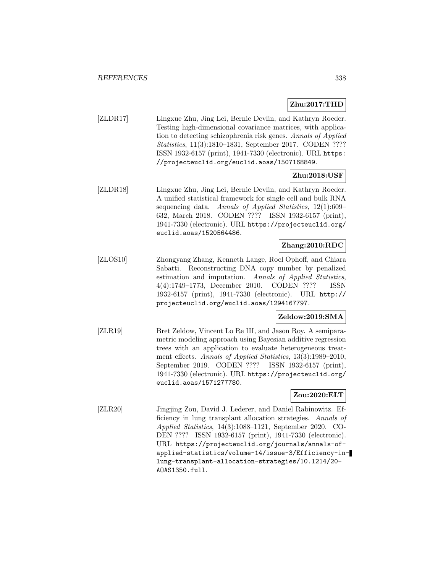# **Zhu:2017:THD**

[ZLDR17] Lingxue Zhu, Jing Lei, Bernie Devlin, and Kathryn Roeder. Testing high-dimensional covariance matrices, with application to detecting schizophrenia risk genes. Annals of Applied Statistics, 11(3):1810–1831, September 2017. CODEN ???? ISSN 1932-6157 (print), 1941-7330 (electronic). URL https: //projecteuclid.org/euclid.aoas/1507168849.

### **Zhu:2018:USF**

[ZLDR18] Lingxue Zhu, Jing Lei, Bernie Devlin, and Kathryn Roeder. A unified statistical framework for single cell and bulk RNA sequencing data. Annals of Applied Statistics, 12(1):609– 632, March 2018. CODEN ???? ISSN 1932-6157 (print), 1941-7330 (electronic). URL https://projecteuclid.org/ euclid.aoas/1520564486.

# **Zhang:2010:RDC**

[ZLOS10] Zhongyang Zhang, Kenneth Lange, Roel Ophoff, and Chiara Sabatti. Reconstructing DNA copy number by penalized estimation and imputation. Annals of Applied Statistics, 4(4):1749–1773, December 2010. CODEN ???? ISSN 1932-6157 (print), 1941-7330 (electronic). URL http:// projecteuclid.org/euclid.aoas/1294167797.

# **Zeldow:2019:SMA**

[ZLR19] Bret Zeldow, Vincent Lo Re III, and Jason Roy. A semiparametric modeling approach using Bayesian additive regression trees with an application to evaluate heterogeneous treatment effects. Annals of Applied Statistics, 13(3):1989–2010, September 2019. CODEN ???? ISSN 1932-6157 (print), 1941-7330 (electronic). URL https://projecteuclid.org/ euclid.aoas/1571277780.

### **Zou:2020:ELT**

[ZLR20] Jingjing Zou, David J. Lederer, and Daniel Rabinowitz. Efficiency in lung transplant allocation strategies. Annals of Applied Statistics, 14(3):1088–1121, September 2020. CO-DEN ???? ISSN 1932-6157 (print), 1941-7330 (electronic). URL https://projecteuclid.org/journals/annals-ofapplied-statistics/volume-14/issue-3/Efficiency-inlung-transplant-allocation-strategies/10.1214/20- AOAS1350.full.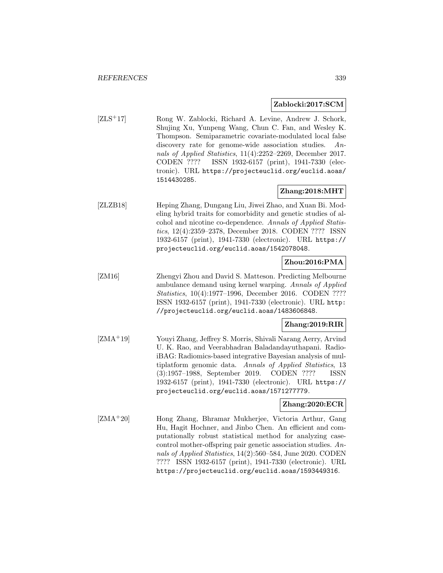#### **Zablocki:2017:SCM**

[ZLS<sup>+</sup>17] Rong W. Zablocki, Richard A. Levine, Andrew J. Schork, Shujing Xu, Yunpeng Wang, Chun C. Fan, and Wesley K. Thompson. Semiparametric covariate-modulated local false discovery rate for genome-wide association studies. Annals of Applied Statistics, 11(4):2252–2269, December 2017. CODEN ???? ISSN 1932-6157 (print), 1941-7330 (electronic). URL https://projecteuclid.org/euclid.aoas/ 1514430285.

# **Zhang:2018:MHT**

[ZLZB18] Heping Zhang, Dungang Liu, Jiwei Zhao, and Xuan Bi. Modeling hybrid traits for comorbidity and genetic studies of alcohol and nicotine co-dependence. Annals of Applied Statistics, 12(4):2359–2378, December 2018. CODEN ???? ISSN 1932-6157 (print), 1941-7330 (electronic). URL https:// projecteuclid.org/euclid.aoas/1542078048.

# **Zhou:2016:PMA**

[ZM16] Zhengyi Zhou and David S. Matteson. Predicting Melbourne ambulance demand using kernel warping. Annals of Applied Statistics, 10(4):1977–1996, December 2016. CODEN ???? ISSN 1932-6157 (print), 1941-7330 (electronic). URL http: //projecteuclid.org/euclid.aoas/1483606848.

# **Zhang:2019:RIR**

[ZMA<sup>+</sup>19] Youyi Zhang, Jeffrey S. Morris, Shivali Narang Aerry, Arvind U. K. Rao, and Veerabhadran Baladandayuthapani. RadioiBAG: Radiomics-based integrative Bayesian analysis of multiplatform genomic data. Annals of Applied Statistics, 13 (3):1957–1988, September 2019. CODEN ???? ISSN 1932-6157 (print), 1941-7330 (electronic). URL https:// projecteuclid.org/euclid.aoas/1571277779.

### **Zhang:2020:ECR**

[ZMA<sup>+</sup>20] Hong Zhang, Bhramar Mukherjee, Victoria Arthur, Gang Hu, Hagit Hochner, and Jinbo Chen. An efficient and computationally robust statistical method for analyzing casecontrol mother-offspring pair genetic association studies. Annals of Applied Statistics, 14(2):560–584, June 2020. CODEN ???? ISSN 1932-6157 (print), 1941-7330 (electronic). URL https://projecteuclid.org/euclid.aoas/1593449316.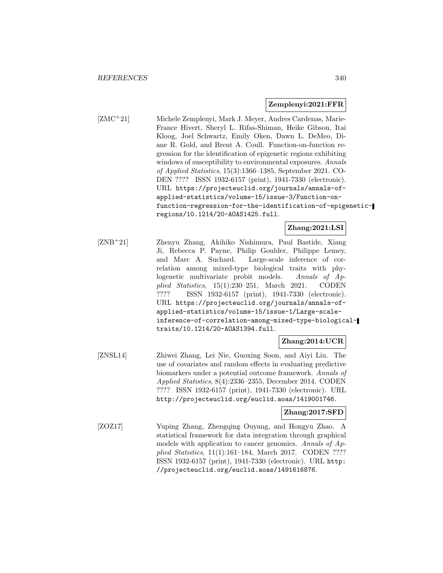#### **Zemplenyi:2021:FFR**

[ZMC<sup>+</sup>21] Michele Zemplenyi, Mark J. Meyer, Andres Cardenas, Marie-France Hivert, Sheryl L. Rifas-Shiman, Heike Gibson, Itai Kloog, Joel Schwartz, Emily Oken, Dawn L. DeMeo, Diane R. Gold, and Brent A. Coull. Function-on-function regression for the identification of epigenetic regions exhibiting windows of susceptibility to environmental exposures. Annals of Applied Statistics, 15(3):1366–1385, September 2021. CO-DEN ???? ISSN 1932-6157 (print), 1941-7330 (electronic). URL https://projecteuclid.org/journals/annals-ofapplied-statistics/volume-15/issue-3/Function-onfunction-regression-for-the-identification-of-epigeneticregions/10.1214/20-AOAS1425.full.

### **Zhang:2021:LSI**

[ZNB<sup>+</sup>21] Zhenyu Zhang, Akihiko Nishimura, Paul Bastide, Xiang Ji, Rebecca P. Payne, Philip Goulder, Philippe Lemey, and Marc A. Suchard. Large-scale inference of correlation among mixed-type biological traits with phylogenetic multivariate probit models. Annals of Applied Statistics, 15(1):230–251, March 2021. CODEN ???? ISSN 1932-6157 (print), 1941-7330 (electronic). URL https://projecteuclid.org/journals/annals-ofapplied-statistics/volume-15/issue-1/Large-scaleinference-of-correlation-among-mixed-type-biologicaltraits/10.1214/20-AOAS1394.full.

**Zhang:2014:UCR**

[ZNSL14] Zhiwei Zhang, Lei Nie, Guoxing Soon, and Aiyi Liu. The use of covariates and random effects in evaluating predictive biomarkers under a potential outcome framework. Annals of Applied Statistics, 8(4):2336–2355, December 2014. CODEN ???? ISSN 1932-6157 (print), 1941-7330 (electronic). URL http://projecteuclid.org/euclid.aoas/1419001746.

# **Zhang:2017:SFD**

[ZOZ17] Yuping Zhang, Zhengqing Ouyang, and Hongyu Zhao. A statistical framework for data integration through graphical models with application to cancer genomics. Annals of Applied Statistics, 11(1):161–184, March 2017. CODEN ???? ISSN 1932-6157 (print), 1941-7330 (electronic). URL http: //projecteuclid.org/euclid.aoas/1491616876.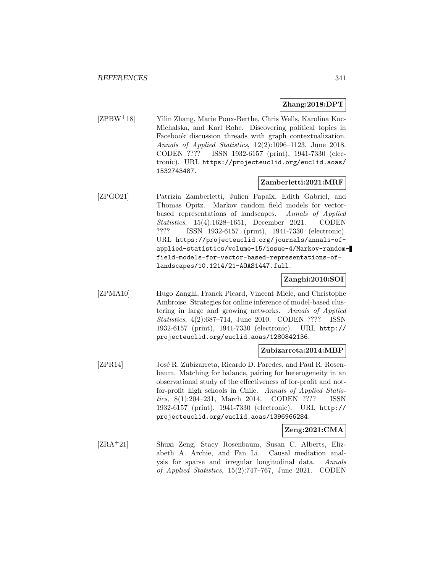#### **Zhang:2018:DPT**

[ZPBW<sup>+</sup>18] Yilin Zhang, Marie Poux-Berthe, Chris Wells, Karolina Koc-Michalska, and Karl Rohe. Discovering political topics in Facebook discussion threads with graph contextualization. Annals of Applied Statistics, 12(2):1096–1123, June 2018. CODEN ???? ISSN 1932-6157 (print), 1941-7330 (electronic). URL https://projecteuclid.org/euclid.aoas/ 1532743487.

### **Zamberletti:2021:MRF**

[ZPGO21] Patrizia Zamberletti, Julien Papaïx, Edith Gabriel, and Thomas Opitz. Markov random field models for vectorbased representations of landscapes. Annals of Applied Statistics, 15(4):1628–1651, December 2021. CODEN ???? ISSN 1932-6157 (print), 1941-7330 (electronic). URL https://projecteuclid.org/journals/annals-ofapplied-statistics/volume-15/issue-4/Markov-randomfield-models-for-vector-based-representations-oflandscapes/10.1214/21-AOAS1447.full.

### **Zanghi:2010:SOI**

[ZPMA10] Hugo Zanghi, Franck Picard, Vincent Miele, and Christophe Ambroise. Strategies for online inference of model-based clustering in large and growing networks. Annals of Applied Statistics, 4(2):687–714, June 2010. CODEN ???? ISSN 1932-6157 (print), 1941-7330 (electronic). URL http:// projecteuclid.org/euclid.aoas/1280842136.

#### **Zubizarreta:2014:MBP**

[ZPR14] José R. Zubizarreta, Ricardo D. Paredes, and Paul R. Rosenbaum. Matching for balance, pairing for heterogeneity in an observational study of the effectiveness of for-profit and notfor-profit high schools in Chile. Annals of Applied Statistics, 8(1):204–231, March 2014. CODEN ???? ISSN 1932-6157 (print), 1941-7330 (electronic). URL http:// projecteuclid.org/euclid.aoas/1396966284.

# **Zeng:2021:CMA**

[ZRA<sup>+</sup>21] Shuxi Zeng, Stacy Rosenbaum, Susan C. Alberts, Elizabeth A. Archie, and Fan Li. Causal mediation analysis for sparse and irregular longitudinal data. Annals of Applied Statistics, 15(2):747–767, June 2021. CODEN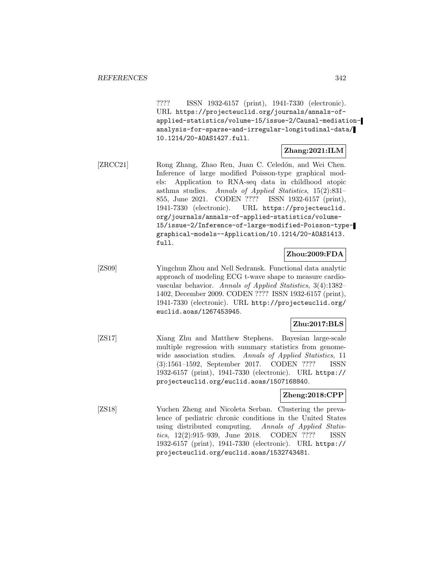???? ISSN 1932-6157 (print), 1941-7330 (electronic). URL https://projecteuclid.org/journals/annals-ofapplied-statistics/volume-15/issue-2/Causal-mediationanalysis-for-sparse-and-irregular-longitudinal-data/ 10.1214/20-AOAS1427.full.

#### **Zhang:2021:ILM**

[ZRCC21] Rong Zhang, Zhao Ren, Juan C. Celedón, and Wei Chen. Inference of large modified Poisson-type graphical models: Application to RNA-seq data in childhood atopic asthma studies. Annals of Applied Statistics, 15(2):831– 855, June 2021. CODEN ???? ISSN 1932-6157 (print), 1941-7330 (electronic). URL https://projecteuclid. org/journals/annals-of-applied-statistics/volume-15/issue-2/Inference-of-large-modified-Poisson-typegraphical-models--Application/10.1214/20-AOAS1413. full.

### **Zhou:2009:FDA**

[ZS09] Yingchun Zhou and Nell Sedransk. Functional data analytic approach of modeling ECG t-wave shape to measure cardiovascular behavior. Annals of Applied Statistics, 3(4):1382– 1402, December 2009. CODEN ???? ISSN 1932-6157 (print), 1941-7330 (electronic). URL http://projecteuclid.org/ euclid.aoas/1267453945.

#### **Zhu:2017:BLS**

[ZS17] Xiang Zhu and Matthew Stephens. Bayesian large-scale multiple regression with summary statistics from genomewide association studies. Annals of Applied Statistics, 11 (3):1561–1592, September 2017. CODEN ???? ISSN 1932-6157 (print), 1941-7330 (electronic). URL https:// projecteuclid.org/euclid.aoas/1507168840.

#### **Zheng:2018:CPP**

[ZS18] Yuchen Zheng and Nicoleta Serban. Clustering the prevalence of pediatric chronic conditions in the United States using distributed computing. Annals of Applied Statistics, 12(2):915–939, June 2018. CODEN ???? ISSN 1932-6157 (print), 1941-7330 (electronic). URL https:// projecteuclid.org/euclid.aoas/1532743481.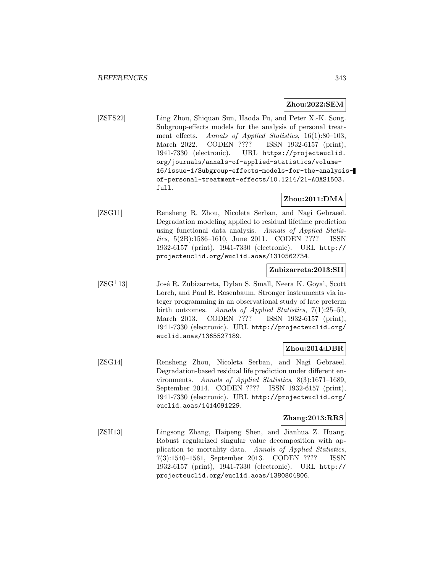#### **Zhou:2022:SEM**

[ZSFS22] Ling Zhou, Shiquan Sun, Haoda Fu, and Peter X.-K. Song. Subgroup-effects models for the analysis of personal treatment effects. Annals of Applied Statistics, 16(1):80–103, March 2022. CODEN ???? ISSN 1932-6157 (print), 1941-7330 (electronic). URL https://projecteuclid. org/journals/annals-of-applied-statistics/volume-16/issue-1/Subgroup-effects-models-for-the-analysisof-personal-treatment-effects/10.1214/21-AOAS1503. full.

# **Zhou:2011:DMA**

[ZSG11] Rensheng R. Zhou, Nicoleta Serban, and Nagi Gebraeel. Degradation modeling applied to residual lifetime prediction using functional data analysis. Annals of Applied Statistics, 5(2B):1586–1610, June 2011. CODEN ???? ISSN 1932-6157 (print), 1941-7330 (electronic). URL http:// projecteuclid.org/euclid.aoas/1310562734.

### **Zubizarreta:2013:SII**

 $[ZSG<sup>+</sup>13]$  José R. Zubizarreta, Dylan S. Small, Neera K. Goyal, Scott Lorch, and Paul R. Rosenbaum. Stronger instruments via integer programming in an observational study of late preterm birth outcomes. Annals of Applied Statistics, 7(1):25–50, March 2013. CODEN ???? ISSN 1932-6157 (print), 1941-7330 (electronic). URL http://projecteuclid.org/ euclid.aoas/1365527189.

#### **Zhou:2014:DBR**

[ZSG14] Rensheng Zhou, Nicoleta Serban, and Nagi Gebraeel. Degradation-based residual life prediction under different environments. Annals of Applied Statistics, 8(3):1671–1689, September 2014. CODEN ???? ISSN 1932-6157 (print), 1941-7330 (electronic). URL http://projecteuclid.org/ euclid.aoas/1414091229.

### **Zhang:2013:RRS**

[ZSH13] Lingsong Zhang, Haipeng Shen, and Jianhua Z. Huang. Robust regularized singular value decomposition with application to mortality data. Annals of Applied Statistics, 7(3):1540–1561, September 2013. CODEN ???? ISSN 1932-6157 (print), 1941-7330 (electronic). URL http:// projecteuclid.org/euclid.aoas/1380804806.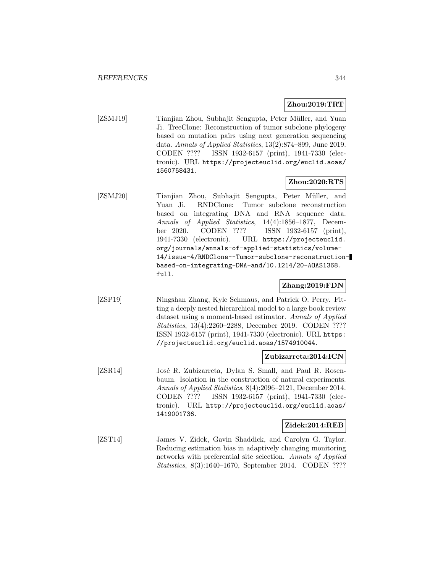#### **Zhou:2019:TRT**

[ZSMJ19] Tianjian Zhou, Subhajit Sengupta, Peter Müller, and Yuan Ji. TreeClone: Reconstruction of tumor subclone phylogeny based on mutation pairs using next generation sequencing data. Annals of Applied Statistics, 13(2):874–899, June 2019. CODEN ???? ISSN 1932-6157 (print), 1941-7330 (electronic). URL https://projecteuclid.org/euclid.aoas/ 1560758431.

#### **Zhou:2020:RTS**

[ZSMJ20] Tianjian Zhou, Subhajit Sengupta, Peter Müller, and Yuan Ji. RNDClone: Tumor subclone reconstruction based on integrating DNA and RNA sequence data. Annals of Applied Statistics, 14(4):1856–1877, December 2020. CODEN ???? ISSN 1932-6157 (print), 1941-7330 (electronic). URL https://projecteuclid. org/journals/annals-of-applied-statistics/volume-14/issue-4/RNDClone--Tumor-subclone-reconstructionbased-on-integrating-DNA-and/10.1214/20-AOAS1368. full.

# **Zhang:2019:FDN**

[ZSP19] Ningshan Zhang, Kyle Schmaus, and Patrick O. Perry. Fitting a deeply nested hierarchical model to a large book review dataset using a moment-based estimator. Annals of Applied Statistics, 13(4):2260–2288, December 2019. CODEN ???? ISSN 1932-6157 (print), 1941-7330 (electronic). URL https: //projecteuclid.org/euclid.aoas/1574910044.

#### **Zubizarreta:2014:ICN**

[ZSR14] José R. Zubizarreta, Dylan S. Small, and Paul R. Rosenbaum. Isolation in the construction of natural experiments. Annals of Applied Statistics, 8(4):2096–2121, December 2014. CODEN ???? ISSN 1932-6157 (print), 1941-7330 (electronic). URL http://projecteuclid.org/euclid.aoas/ 1419001736.

#### **Zidek:2014:REB**

[ZST14] James V. Zidek, Gavin Shaddick, and Carolyn G. Taylor. Reducing estimation bias in adaptively changing monitoring networks with preferential site selection. Annals of Applied Statistics, 8(3):1640–1670, September 2014. CODEN ????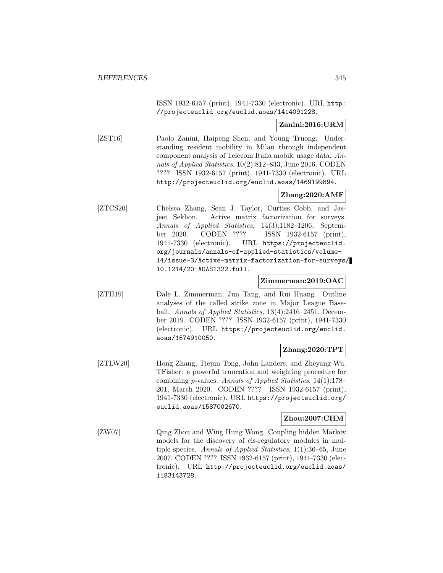ISSN 1932-6157 (print), 1941-7330 (electronic). URL http: //projecteuclid.org/euclid.aoas/1414091228.

### **Zanini:2016:URM**

[ZST16] Paolo Zanini, Haipeng Shen, and Young Truong. Understanding resident mobility in Milan through independent component analysis of Telecom Italia mobile usage data. Annals of Applied Statistics, 10(2):812–833, June 2016. CODEN ???? ISSN 1932-6157 (print), 1941-7330 (electronic). URL http://projecteuclid.org/euclid.aoas/1469199894.

# **Zhang:2020:AMF**

[ZTCS20] Chelsea Zhang, Sean J. Taylor, Curtiss Cobb, and Jasjeet Sekhon. Active matrix factorization for surveys. Annals of Applied Statistics, 14(3):1182–1206, September 2020. CODEN ???? ISSN 1932-6157 (print), 1941-7330 (electronic). URL https://projecteuclid. org/journals/annals-of-applied-statistics/volume-14/issue-3/Active-matrix-factorization-for-surveys/ 10.1214/20-AOAS1322.full.

#### **Zimmerman:2019:OAC**

[ZTH19] Dale L. Zimmerman, Jun Tang, and Rui Huang. Outline analyses of the called strike zone in Major League Baseball. Annals of Applied Statistics, 13(4):2416–2451, December 2019. CODEN ???? ISSN 1932-6157 (print), 1941-7330 (electronic). URL https://projecteuclid.org/euclid. aoas/1574910050.

### **Zhang:2020:TPT**

[ZTLW20] Hong Zhang, Tiejun Tong, John Landers, and Zheyang Wu. TFisher: a powerful truncation and weighting procedure for combining p-values. Annals of Applied Statistics, 14(1):178– 201, March 2020. CODEN ???? ISSN 1932-6157 (print), 1941-7330 (electronic). URL https://projecteuclid.org/ euclid.aoas/1587002670.

### **Zhou:2007:CHM**

[ZW07] Qing Zhou and Wing Hung Wong. Coupling hidden Markov models for the discovery of cis-regulatory modules in multiple species. Annals of Applied Statistics, 1(1):36–65, June 2007. CODEN ???? ISSN 1932-6157 (print), 1941-7330 (electronic). URL http://projecteuclid.org/euclid.aoas/ 1183143728.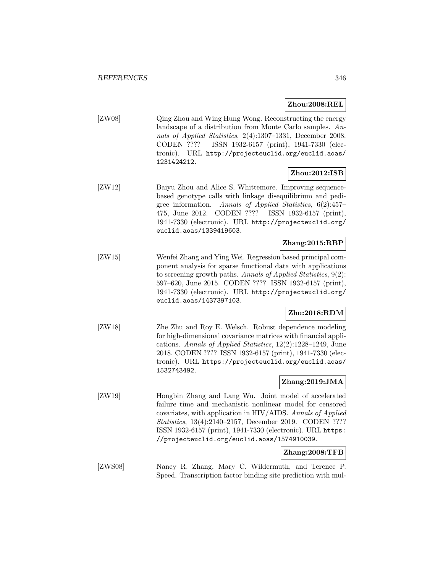#### **Zhou:2008:REL**

[ZW08] Qing Zhou and Wing Hung Wong. Reconstructing the energy landscape of a distribution from Monte Carlo samples. Annals of Applied Statistics, 2(4):1307–1331, December 2008. CODEN ???? ISSN 1932-6157 (print), 1941-7330 (electronic). URL http://projecteuclid.org/euclid.aoas/ 1231424212.

# **Zhou:2012:ISB**

[ZW12] Baiyu Zhou and Alice S. Whittemore. Improving sequencebased genotype calls with linkage disequilibrium and pedigree information. Annals of Applied Statistics, 6(2):457– 475, June 2012. CODEN ???? ISSN 1932-6157 (print), 1941-7330 (electronic). URL http://projecteuclid.org/ euclid.aoas/1339419603.

## **Zhang:2015:RBP**

[ZW15] Wenfei Zhang and Ying Wei. Regression based principal component analysis for sparse functional data with applications to screening growth paths. Annals of Applied Statistics, 9(2): 597–620, June 2015. CODEN ???? ISSN 1932-6157 (print), 1941-7330 (electronic). URL http://projecteuclid.org/ euclid.aoas/1437397103.

# **Zhu:2018:RDM**

[ZW18] Zhe Zhu and Roy E. Welsch. Robust dependence modeling for high-dimensional covariance matrices with financial applications. Annals of Applied Statistics, 12(2):1228–1249, June 2018. CODEN ???? ISSN 1932-6157 (print), 1941-7330 (electronic). URL https://projecteuclid.org/euclid.aoas/ 1532743492.

# **Zhang:2019:JMA**

[ZW19] Hongbin Zhang and Lang Wu. Joint model of accelerated failure time and mechanistic nonlinear model for censored covariates, with application in HIV/AIDS. Annals of Applied Statistics, 13(4):2140–2157, December 2019. CODEN ???? ISSN 1932-6157 (print), 1941-7330 (electronic). URL https: //projecteuclid.org/euclid.aoas/1574910039.

# **Zhang:2008:TFB**

[ZWS08] Nancy R. Zhang, Mary C. Wildermuth, and Terence P. Speed. Transcription factor binding site prediction with mul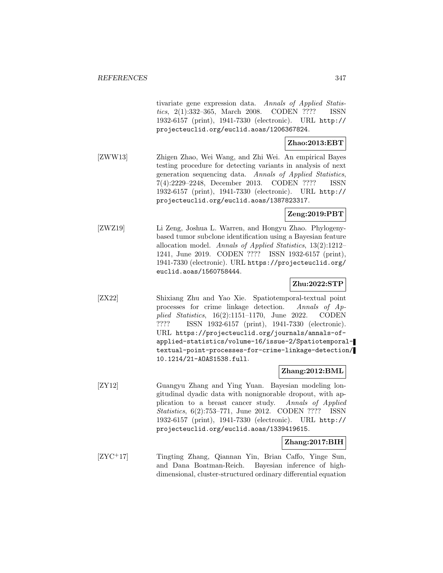tivariate gene expression data. Annals of Applied Statistics, 2(1):332–365, March 2008. CODEN ???? ISSN 1932-6157 (print), 1941-7330 (electronic). URL http:// projecteuclid.org/euclid.aoas/1206367824.

# **Zhao:2013:EBT**

[ZWW13] Zhigen Zhao, Wei Wang, and Zhi Wei. An empirical Bayes testing procedure for detecting variants in analysis of next generation sequencing data. Annals of Applied Statistics, 7(4):2229–2248, December 2013. CODEN ???? ISSN 1932-6157 (print), 1941-7330 (electronic). URL http:// projecteuclid.org/euclid.aoas/1387823317.

# **Zeng:2019:PBT**

[ZWZ19] Li Zeng, Joshua L. Warren, and Hongyu Zhao. Phylogenybased tumor subclone identification using a Bayesian feature allocation model. Annals of Applied Statistics, 13(2):1212– 1241, June 2019. CODEN ???? ISSN 1932-6157 (print), 1941-7330 (electronic). URL https://projecteuclid.org/ euclid.aoas/1560758444.

# **Zhu:2022:STP**

[ZX22] Shixiang Zhu and Yao Xie. Spatiotemporal-textual point processes for crime linkage detection. Annals of Applied Statistics, 16(2):1151–1170, June 2022. CODEN ???? ISSN 1932-6157 (print), 1941-7330 (electronic). URL https://projecteuclid.org/journals/annals-ofapplied-statistics/volume-16/issue-2/Spatiotemporaltextual-point-processes-for-crime-linkage-detection/ 10.1214/21-AOAS1538.full.

### **Zhang:2012:BML**

[ZY12] Guangyu Zhang and Ying Yuan. Bayesian modeling longitudinal dyadic data with nonignorable dropout, with application to a breast cancer study. Annals of Applied Statistics, 6(2):753–771, June 2012. CODEN ???? ISSN 1932-6157 (print), 1941-7330 (electronic). URL http:// projecteuclid.org/euclid.aoas/1339419615.

# **Zhang:2017:BIH**

[ZYC<sup>+</sup>17] Tingting Zhang, Qiannan Yin, Brian Caffo, Yinge Sun, and Dana Boatman-Reich. Bayesian inference of highdimensional, cluster-structured ordinary differential equation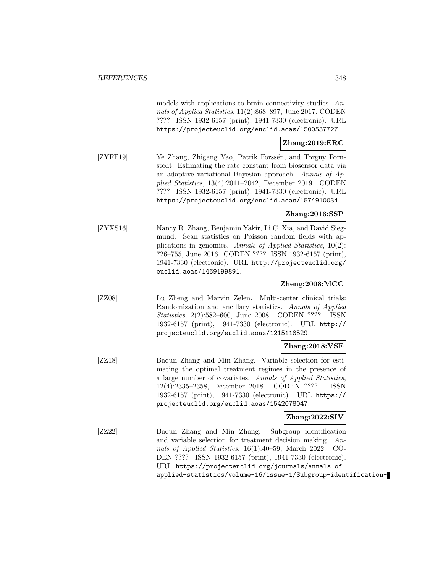models with applications to brain connectivity studies. Annals of Applied Statistics, 11(2):868–897, June 2017. CODEN ???? ISSN 1932-6157 (print), 1941-7330 (electronic). URL https://projecteuclid.org/euclid.aoas/1500537727.

# **Zhang:2019:ERC**

[ZYFF19] Ye Zhang, Zhigang Yao, Patrik Forssén, and Torgny Fornstedt. Estimating the rate constant from biosensor data via an adaptive variational Bayesian approach. Annals of Applied Statistics, 13(4):2011–2042, December 2019. CODEN ???? ISSN 1932-6157 (print), 1941-7330 (electronic). URL https://projecteuclid.org/euclid.aoas/1574910034.

# **Zhang:2016:SSP**

[ZYXS16] Nancy R. Zhang, Benjamin Yakir, Li C. Xia, and David Siegmund. Scan statistics on Poisson random fields with applications in genomics. Annals of Applied Statistics, 10(2): 726–755, June 2016. CODEN ???? ISSN 1932-6157 (print), 1941-7330 (electronic). URL http://projecteuclid.org/ euclid.aoas/1469199891.

### **Zheng:2008:MCC**

[ZZ08] Lu Zheng and Marvin Zelen. Multi-center clinical trials: Randomization and ancillary statistics. Annals of Applied Statistics, 2(2):582–600, June 2008. CODEN ???? ISSN 1932-6157 (print), 1941-7330 (electronic). URL http:// projecteuclid.org/euclid.aoas/1215118529.

# **Zhang:2018:VSE**

[ZZ18] Baqun Zhang and Min Zhang. Variable selection for estimating the optimal treatment regimes in the presence of a large number of covariates. Annals of Applied Statistics, 12(4):2335–2358, December 2018. CODEN ???? ISSN 1932-6157 (print), 1941-7330 (electronic). URL https:// projecteuclid.org/euclid.aoas/1542078047.

# **Zhang:2022:SIV**

[ZZ22] Baqun Zhang and Min Zhang. Subgroup identification and variable selection for treatment decision making. Annals of Applied Statistics, 16(1):40–59, March 2022. CO-DEN ???? ISSN 1932-6157 (print), 1941-7330 (electronic). URL https://projecteuclid.org/journals/annals-ofapplied-statistics/volume-16/issue-1/Subgroup-identification